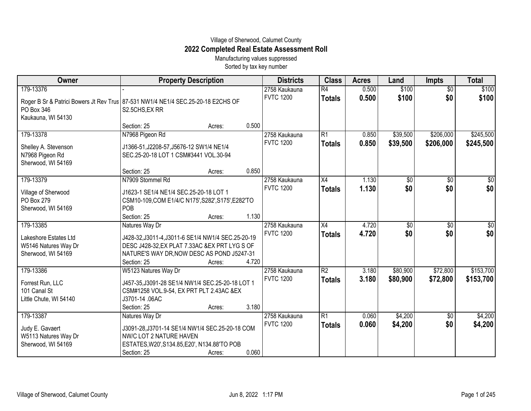## Village of Sherwood, Calumet County **2022 Completed Real Estate Assessment Roll**

Manufacturing values suppressed Sorted by tax key number

| Owner                                                                            | <b>Property Description</b>                                                                          |                 | <b>Districts</b> | <b>Class</b>    | <b>Acres</b> | Land            | <b>Impts</b>    | <b>Total</b> |
|----------------------------------------------------------------------------------|------------------------------------------------------------------------------------------------------|-----------------|------------------|-----------------|--------------|-----------------|-----------------|--------------|
| 179-13376                                                                        |                                                                                                      |                 | 2758 Kaukauna    | $\overline{R4}$ | 0.500        | \$100           | $\overline{$0}$ | \$100        |
| Roger B Sr & Patrici Bowers Jt Rev Trus 87-531 NW1/4 NE1/4 SEC.25-20-18 E2CHS OF |                                                                                                      |                 | <b>FVTC 1200</b> | <b>Totals</b>   | 0.500        | \$100           | \$0             | \$100        |
| PO Box 346                                                                       | S2.5CHS, EX RR                                                                                       |                 |                  |                 |              |                 |                 |              |
| Kaukauna, WI 54130                                                               |                                                                                                      |                 |                  |                 |              |                 |                 |              |
|                                                                                  | Section: 25<br>Acres:                                                                                | 0.500           |                  |                 |              |                 |                 |              |
| 179-13378                                                                        | N7968 Pigeon Rd                                                                                      |                 | 2758 Kaukauna    | R1              | 0.850        | \$39,500        | \$206,000       | \$245,500    |
| Shelley A. Stevenson                                                             | J1366-51, J2208-57, J5676-12 SW1/4 NE1/4                                                             |                 | <b>FVTC 1200</b> | <b>Totals</b>   | 0.850        | \$39,500        | \$206,000       | \$245,500    |
| N7968 Pigeon Rd                                                                  | SEC.25-20-18 LOT 1 CSM#3441 VOL.30-94                                                                |                 |                  |                 |              |                 |                 |              |
| Sherwood, WI 54169                                                               |                                                                                                      |                 |                  |                 |              |                 |                 |              |
|                                                                                  | Section: 25                                                                                          | 0.850<br>Acres: |                  |                 |              |                 |                 |              |
| 179-13379                                                                        | N7909 Stommel Rd                                                                                     |                 | 2758 Kaukauna    | X4              | 1.130        | \$0             | \$0             | \$0          |
| Village of Sherwood                                                              | J1623-1 SE1/4 NE1/4 SEC.25-20-18 LOT 1                                                               |                 | <b>FVTC 1200</b> | <b>Totals</b>   | 1.130        | \$0             | \$0             | \$0          |
| PO Box 279                                                                       | CSM10-109, COM E1/4/C N175', S282', S175', E282'TO                                                   |                 |                  |                 |              |                 |                 |              |
| Sherwood, WI 54169                                                               | <b>POB</b>                                                                                           |                 |                  |                 |              |                 |                 |              |
|                                                                                  | Section: 25<br>Acres:                                                                                | 1.130           |                  |                 |              |                 |                 |              |
| 179-13385                                                                        | Natures Way Dr                                                                                       |                 | 2758 Kaukauna    | $\overline{X4}$ | 4.720        | $\overline{50}$ | $\overline{60}$ | $\sqrt{50}$  |
| Lakeshore Estates Ltd                                                            |                                                                                                      |                 | <b>FVTC 1200</b> | <b>Totals</b>   | 4.720        | \$0             | \$0             | \$0          |
| W5146 Natures Way Dr                                                             | J428-32, J3011-4, J3011-6 SE1/4 NW1/4 SEC.25-20-19<br>DESC J428-32, EX PLAT 7.33AC & EX PRT LYG S OF |                 |                  |                 |              |                 |                 |              |
| Sherwood, WI 54169                                                               | NATURE'S WAY DR, NOW DESC AS POND J5247-31                                                           |                 |                  |                 |              |                 |                 |              |
|                                                                                  | Section: 25<br>Acres:                                                                                | 4.720           |                  |                 |              |                 |                 |              |
| 179-13386                                                                        | W5123 Natures Way Dr                                                                                 |                 | 2758 Kaukauna    | $\overline{R2}$ | 3.180        | \$80,900        | \$72,800        | \$153,700    |
|                                                                                  |                                                                                                      |                 | <b>FVTC 1200</b> | <b>Totals</b>   | 3.180        | \$80,900        | \$72,800        | \$153,700    |
| Forrest Run, LLC                                                                 | J457-35, J3091-28 SE1/4 NW1/4 SEC. 25-20-18 LOT 1                                                    |                 |                  |                 |              |                 |                 |              |
| 101 Canal St                                                                     | CSM#1258 VOL.9-54, EX PRT PLT 2.43AC &EX                                                             |                 |                  |                 |              |                 |                 |              |
| Little Chute, WI 54140                                                           | J3701-14 .06AC<br>Section: 25                                                                        | 3.180<br>Acres: |                  |                 |              |                 |                 |              |
| 179-13387                                                                        | Natures Way Dr                                                                                       |                 | 2758 Kaukauna    | R1              | 0.060        | \$4,200         | \$0             | \$4,200      |
|                                                                                  |                                                                                                      |                 | <b>FVTC 1200</b> | <b>Totals</b>   | 0.060        | \$4,200         | \$0             | \$4,200      |
| Judy E. Gavaert                                                                  | J3091-28, J3701-14 SE1/4 NW1/4 SEC. 25-20-18 COM                                                     |                 |                  |                 |              |                 |                 |              |
| W5113 Natures Way Dr                                                             | NW/C LOT 2 NATURE HAVEN                                                                              |                 |                  |                 |              |                 |                 |              |
| Sherwood, WI 54169                                                               | ESTATES, W20', S134.85, E20', N134.88'TO POB                                                         |                 |                  |                 |              |                 |                 |              |
|                                                                                  | Section: 25<br>Acres:                                                                                | 0.060           |                  |                 |              |                 |                 |              |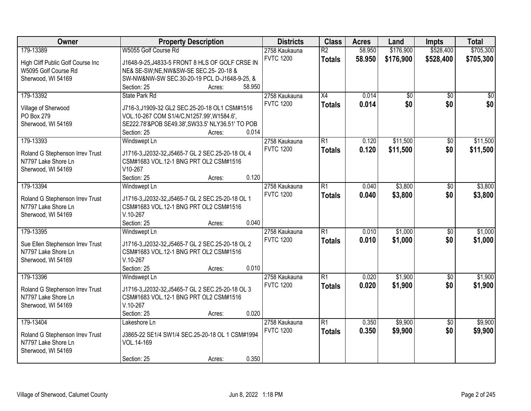| Owner                             | <b>Property Description</b>                                     |                  | <b>Districts</b> | <b>Class</b>    | <b>Acres</b> | Land      | <b>Impts</b>    | <b>Total</b> |
|-----------------------------------|-----------------------------------------------------------------|------------------|------------------|-----------------|--------------|-----------|-----------------|--------------|
| 179-13389                         | W5055 Golf Course Rd                                            |                  | 2758 Kaukauna    | $\overline{R2}$ | 58.950       | \$176,900 | \$528,400       | \$705,300    |
| High Cliff Public Golf Course Inc | J1648-9-25, J4833-5 FRONT 8 HLS OF GOLF CRSE IN                 |                  | <b>FVTC 1200</b> | <b>Totals</b>   | 58.950       | \$176,900 | \$528,400       | \$705,300    |
| W5095 Golf Course Rd              | NE& SE-SW;NE, NW&SW-SE SEC.25-20-18 &                           |                  |                  |                 |              |           |                 |              |
| Sherwood, WI 54169                | SW-NW&NW-SW SEC.30-20-19 PCL D-J1648-9-25, &                    |                  |                  |                 |              |           |                 |              |
|                                   | Section: 25                                                     | 58.950<br>Acres: |                  |                 |              |           |                 |              |
| 179-13392                         | State Park Rd                                                   |                  | 2758 Kaukauna    | $\overline{X4}$ | 0.014        | \$0       | $\overline{50}$ | \$0          |
|                                   |                                                                 |                  | <b>FVTC 1200</b> | <b>Totals</b>   | 0.014        | \$0       | \$0             | \$0          |
| Village of Sherwood               | J716-3, J1909-32 GL2 SEC.25-20-18 OL1 CSM#1516                  |                  |                  |                 |              |           |                 |              |
| PO Box 279                        | VOL.10-267 COM S1/4/C, N1257.99', W1584.6',                     |                  |                  |                 |              |           |                 |              |
| Sherwood, WI 54169                | SE222.78'&POB SE49.38', SW33.5' NLY36.51' TO POB<br>Section: 25 | 0.014            |                  |                 |              |           |                 |              |
| 179-13393                         | Windswept Ln                                                    | Acres:           | 2758 Kaukauna    | $\overline{R1}$ | 0.120        | \$11,500  | $\overline{50}$ | \$11,500     |
|                                   |                                                                 |                  | <b>FVTC 1200</b> |                 |              |           |                 |              |
| Roland G Stephenson Irrev Trust   | J1716-3, J2032-32, J5465-7 GL 2 SEC. 25-20-18 OL 4              |                  |                  | <b>Totals</b>   | 0.120        | \$11,500  | \$0             | \$11,500     |
| N7797 Lake Shore Ln               | CSM#1683 VOL.12-1 BNG PRT OL2 CSM#1516                          |                  |                  |                 |              |           |                 |              |
| Sherwood, WI 54169                | V10-267                                                         |                  |                  |                 |              |           |                 |              |
|                                   | Section: 25                                                     | 0.120<br>Acres:  |                  |                 |              |           |                 |              |
| 179-13394                         | Windswept Ln                                                    |                  | 2758 Kaukauna    | $\overline{R1}$ | 0.040        | \$3,800   | $\sqrt[6]{}$    | \$3,800      |
| Roland G Stephenson Irrev Trust   | J1716-3, J2032-32, J5465-7 GL 2 SEC. 25-20-18 OL 1              |                  | <b>FVTC 1200</b> | <b>Totals</b>   | 0.040        | \$3,800   | \$0             | \$3,800      |
| N7797 Lake Shore Ln               | CSM#1683 VOL.12-1 BNG PRT OL2 CSM#1516                          |                  |                  |                 |              |           |                 |              |
| Sherwood, WI 54169                | $V.10-267$                                                      |                  |                  |                 |              |           |                 |              |
|                                   | Section: 25                                                     | 0.040<br>Acres:  |                  |                 |              |           |                 |              |
| 179-13395                         | Windswept Ln                                                    |                  | 2758 Kaukauna    | $\overline{R1}$ | 0.010        | \$1,000   | $\overline{50}$ | \$1,000      |
|                                   |                                                                 |                  | <b>FVTC 1200</b> | <b>Totals</b>   | 0.010        | \$1,000   | \$0             | \$1,000      |
| Sue Ellen Stephenson Irrev Trust  | J1716-3, J2032-32, J5465-7 GL 2 SEC. 25-20-18 OL 2              |                  |                  |                 |              |           |                 |              |
| N7797 Lake Shore Ln               | CSM#1683 VOL.12-1 BNG PRT OL2 CSM#1516                          |                  |                  |                 |              |           |                 |              |
| Sherwood, WI 54169                | $V.10-267$                                                      |                  |                  |                 |              |           |                 |              |
|                                   | Section: 25                                                     | 0.010<br>Acres:  |                  |                 |              |           |                 |              |
| 179-13396                         | Windswept Ln                                                    |                  | 2758 Kaukauna    | $\overline{R1}$ | 0.020        | \$1,900   | $\sqrt{6}$      | \$1,900      |
| Roland G Stephenson Irrev Trust   | J1716-3, J2032-32, J5465-7 GL 2 SEC. 25-20-18 OL 3              |                  | <b>FVTC 1200</b> | <b>Totals</b>   | 0.020        | \$1,900   | \$0             | \$1,900      |
| N7797 Lake Shore Ln               | CSM#1683 VOL.12-1 BNG PRT OL2 CSM#1516                          |                  |                  |                 |              |           |                 |              |
| Sherwood, WI 54169                | $V.10-267$                                                      |                  |                  |                 |              |           |                 |              |
|                                   | Section: 25                                                     | 0.020<br>Acres:  |                  |                 |              |           |                 |              |
| 179-13404                         | Lakeshore Ln                                                    |                  | 2758 Kaukauna    | $\overline{R1}$ | 0.350        | \$9,900   | $\overline{50}$ | \$9,900      |
|                                   |                                                                 |                  | <b>FVTC 1200</b> | <b>Totals</b>   | 0.350        | \$9,900   | \$0             | \$9,900      |
| Roland G Stephenson Irrev Trust   | J3865-22 SE1/4 SW1/4 SEC.25-20-18 OL 1 CSM#1994                 |                  |                  |                 |              |           |                 |              |
| N7797 Lake Shore Ln               | VOL.14-169                                                      |                  |                  |                 |              |           |                 |              |
| Sherwood, WI 54169                |                                                                 |                  |                  |                 |              |           |                 |              |
|                                   | Section: 25                                                     | 0.350<br>Acres:  |                  |                 |              |           |                 |              |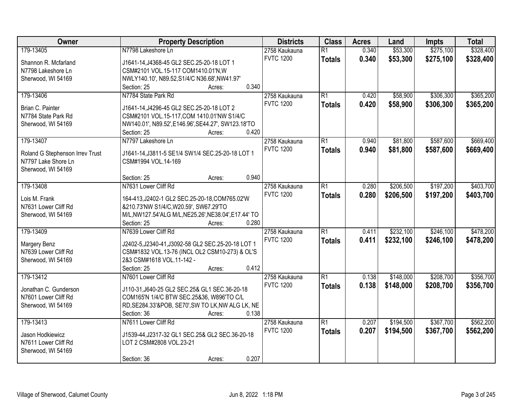| Owner                           | <b>Property Description</b>                            | <b>Districts</b> | <b>Class</b>    | <b>Acres</b> | Land      | <b>Impts</b> | <b>Total</b> |
|---------------------------------|--------------------------------------------------------|------------------|-----------------|--------------|-----------|--------------|--------------|
| 179-13405                       | N7798 Lakeshore Ln                                     | 2758 Kaukauna    | $\overline{R1}$ | 0.340        | \$53,300  | \$275,100    | \$328,400    |
| Shannon R. Mcfarland            | J1641-14, J4368-45 GL2 SEC.25-20-18 LOT 1              | <b>FVTC 1200</b> | <b>Totals</b>   | 0.340        | \$53,300  | \$275,100    | \$328,400    |
| N7798 Lakeshore Ln              | CSM#2101 VOL.15-117 COM1410.01'N, W                    |                  |                 |              |           |              |              |
| Sherwood, WI 54169              | NWLY140.10', N89.52, S1/4/C N36.68', NW41.97'          |                  |                 |              |           |              |              |
|                                 | 0.340<br>Section: 25<br>Acres:                         |                  |                 |              |           |              |              |
| 179-13406                       | N7784 State Park Rd                                    | 2758 Kaukauna    | $\overline{R1}$ | 0.420        | \$58,900  | \$306,300    | \$365,200    |
|                                 |                                                        | <b>FVTC 1200</b> | <b>Totals</b>   | 0.420        | \$58,900  | \$306,300    | \$365,200    |
| Brian C. Painter                | J1641-14, J4296-45 GL2 SEC.25-20-18 LOT 2              |                  |                 |              |           |              |              |
| N7784 State Park Rd             | CSM#2101 VOL.15-117, COM 1410.01'NW S1/4/C             |                  |                 |              |           |              |              |
| Sherwood, WI 54169              | NW140.01', N89.52', E146.96', SE44.27', SW123.18'TO    |                  |                 |              |           |              |              |
|                                 | 0.420<br>Section: 25<br>Acres:                         |                  |                 |              |           |              |              |
| 179-13407                       | N7797 Lakeshore Ln                                     | 2758 Kaukauna    | $\overline{R1}$ | 0.940        | \$81,800  | \$587,600    | \$669,400    |
| Roland G Stephenson Irrev Trust | J1641-14, J3811-5 SE1/4 SW1/4 SEC. 25-20-18 LOT 1      | <b>FVTC 1200</b> | <b>Totals</b>   | 0.940        | \$81,800  | \$587,600    | \$669,400    |
| N7797 Lake Shore Ln             | CSM#1994 VOL.14-169                                    |                  |                 |              |           |              |              |
| Sherwood, WI 54169              |                                                        |                  |                 |              |           |              |              |
|                                 | 0.940<br>Section: 25<br>Acres:                         |                  |                 |              |           |              |              |
| 179-13408                       | N7631 Lower Cliff Rd                                   | 2758 Kaukauna    | $\overline{R1}$ | 0.280        | \$206,500 | \$197,200    | \$403,700    |
| Lois M. Frank                   | 164-413, J2402-1 GL2 SEC.25-20-18, COM765.02'W         | <b>FVTC 1200</b> | <b>Totals</b>   | 0.280        | \$206,500 | \$197,200    | \$403,700    |
| N7631 Lower Cliff Rd            | &210.73'NW S1/4/C,W20.59', SW67.29'TO                  |                  |                 |              |           |              |              |
| Sherwood, WI 54169              | M/L, NW127.54' ALG M/L, NE25.26', NE38.04', E17.44' TO |                  |                 |              |           |              |              |
|                                 | Section: 25<br>0.280<br>Acres:                         |                  |                 |              |           |              |              |
| 179-13409                       | N7639 Lower Cliff Rd                                   | 2758 Kaukauna    | $\overline{R1}$ | 0.411        | \$232,100 | \$246,100    | \$478,200    |
|                                 |                                                        | <b>FVTC 1200</b> |                 | 0.411        | \$232,100 | \$246,100    | \$478,200    |
| Margery Benz                    | J2402-5, J2340-41, J3092-58 GL2 SEC. 25-20-18 LOT 1    |                  | <b>Totals</b>   |              |           |              |              |
| N7639 Lower Cliff Rd            | CSM#1832 VOL.13-76 (INCL OL2 CSM10-273) & OL'S         |                  |                 |              |           |              |              |
| Sherwood, WI 54169              | 2&3 CSM#1618 VOL.11-142 -                              |                  |                 |              |           |              |              |
|                                 | 0.412<br>Section: 25<br>Acres:                         |                  |                 |              |           |              |              |
| 179-13412                       | N7601 Lower Cliff Rd                                   | 2758 Kaukauna    | $\overline{R1}$ | 0.138        | \$148,000 | \$208,700    | \$356,700    |
| Jonathan C. Gunderson           | J110-31, J640-25 GL2 SEC. 25& GL1 SEC. 36-20-18        | <b>FVTC 1200</b> | <b>Totals</b>   | 0.138        | \$148,000 | \$208,700    | \$356,700    |
| N7601 Lower Cliff Rd            | COM165'N 1/4/C BTW SEC.25&36, W896'TO C/L              |                  |                 |              |           |              |              |
| Sherwood, WI 54169              | RD, SE284.33'&POB, SE70', SW TO LK, NW ALG LK, NE      |                  |                 |              |           |              |              |
|                                 | 0.138<br>Section: 36<br>Acres:                         |                  |                 |              |           |              |              |
| 179-13413                       | N7611 Lower Cliff Rd                                   | 2758 Kaukauna    | $\overline{R1}$ | 0.207        | \$194,500 | \$367,700    | \$562,200    |
|                                 |                                                        | <b>FVTC 1200</b> | <b>Totals</b>   | 0.207        | \$194,500 | \$367,700    | \$562,200    |
| Jason Hodkiewicz                | J1539-44, J2317-32 GL1 SEC. 25& GL2 SEC. 36-20-18      |                  |                 |              |           |              |              |
| N7611 Lower Cliff Rd            | LOT 2 CSM#2808 VOL.23-21                               |                  |                 |              |           |              |              |
| Sherwood, WI 54169              |                                                        |                  |                 |              |           |              |              |
|                                 | 0.207<br>Section: 36<br>Acres:                         |                  |                 |              |           |              |              |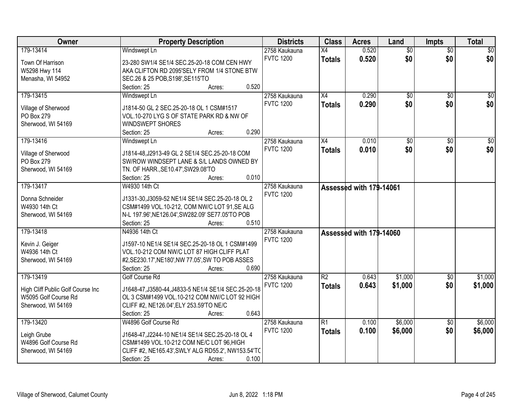| Owner                             | <b>Property Description</b>                          | <b>Districts</b> | <b>Class</b>    | <b>Acres</b>            | Land            | <b>Impts</b>    | <b>Total</b>    |
|-----------------------------------|------------------------------------------------------|------------------|-----------------|-------------------------|-----------------|-----------------|-----------------|
| 179-13414                         | Windswept Ln                                         | 2758 Kaukauna    | X4              | 0.520                   | $\overline{50}$ | $\overline{50}$ | \$0             |
| Town Of Harrison                  | 23-280 SW1/4 SE1/4 SEC.25-20-18 COM CEN HWY          | <b>FVTC 1200</b> | <b>Totals</b>   | 0.520                   | \$0             | \$0             | \$0             |
| W5298 Hwy 114                     | AKA CLIFTON RD 2095'SELY FROM 1/4 STONE BTW          |                  |                 |                         |                 |                 |                 |
| Menasha, WI 54952                 | SEC.26 & 25 POB, S198', SE115'TO                     |                  |                 |                         |                 |                 |                 |
|                                   | 0.520<br>Section: 25<br>Acres:                       |                  |                 |                         |                 |                 |                 |
| 179-13415                         | Windswept Ln                                         | 2758 Kaukauna    | X4              | 0.290                   | $\overline{50}$ | $\overline{50}$ | \$0             |
|                                   |                                                      | <b>FVTC 1200</b> | <b>Totals</b>   | 0.290                   | \$0             | \$0             | \$0             |
| Village of Sherwood               | J1814-50 GL 2 SEC.25-20-18 OL 1 CSM#1517             |                  |                 |                         |                 |                 |                 |
| PO Box 279                        | VOL.10-270 LYG S OF STATE PARK RD & NW OF            |                  |                 |                         |                 |                 |                 |
| Sherwood, WI 54169                | <b>WINDSWEPT SHORES</b>                              |                  |                 |                         |                 |                 |                 |
|                                   | 0.290<br>Section: 25<br>Acres:                       |                  |                 |                         |                 |                 |                 |
| 179-13416                         | Windswept Ln                                         | 2758 Kaukauna    | X4              | 0.010                   | \$0             | \$0             | $\overline{50}$ |
| Village of Sherwood               | J1814-48, J2913-49 GL 2 SE1/4 SEC. 25-20-18 COM      | <b>FVTC 1200</b> | <b>Totals</b>   | 0.010                   | \$0             | \$0             | \$0             |
| PO Box 279                        | SW/ROW WINDSEPT LANE & S/L LANDS OWNED BY            |                  |                 |                         |                 |                 |                 |
| Sherwood, WI 54169                | TN. OF HARR., SE10.47', SW29.08'TO                   |                  |                 |                         |                 |                 |                 |
|                                   | 0.010<br>Section: 25<br>Acres:                       |                  |                 |                         |                 |                 |                 |
| 179-13417                         | W4930 14th Ct                                        | 2758 Kaukauna    |                 | Assessed with 179-14061 |                 |                 |                 |
|                                   |                                                      | <b>FVTC 1200</b> |                 |                         |                 |                 |                 |
| Donna Schneider                   | J1331-30, J3059-52 NE1/4 SE1/4 SEC. 25-20-18 OL 2    |                  |                 |                         |                 |                 |                 |
| W4930 14th Ct                     | CSM#1499 VOL.10-212, COM NW/C LOT 91, SE ALG         |                  |                 |                         |                 |                 |                 |
| Sherwood, WI 54169                | N-L 197.96', NE126.04', SW282.09' SE77.05'TO POB     |                  |                 |                         |                 |                 |                 |
|                                   | 0.510<br>Section: 25<br>Acres:                       |                  |                 |                         |                 |                 |                 |
| 179-13418                         | N4936 14th Ct                                        | 2758 Kaukauna    |                 | Assessed with 179-14060 |                 |                 |                 |
| Kevin J. Geiger                   | J1597-10 NE1/4 SE1/4 SEC.25-20-18 OL 1 CSM#1499      | <b>FVTC 1200</b> |                 |                         |                 |                 |                 |
| W4936 14th Ct                     | VOL.10-212 COM NW/C LOT 87 HIGH CLIFF PLAT           |                  |                 |                         |                 |                 |                 |
| Sherwood, WI 54169                | #2, SE230.17', NE180', NW 77.05', SW TO POB ASSES    |                  |                 |                         |                 |                 |                 |
|                                   | Section: 25<br>0.690<br>Acres:                       |                  |                 |                         |                 |                 |                 |
| 179-13419                         | Golf Course Rd                                       | 2758 Kaukauna    | $\overline{R2}$ | 0.643                   | \$1,000         | $\overline{50}$ | \$1,000         |
|                                   |                                                      | <b>FVTC 1200</b> | <b>Totals</b>   | 0.643                   | \$1,000         | \$0             | \$1,000         |
| High Cliff Public Golf Course Inc | J1648-47, J3580-44, J4833-5 NE1/4 SE1/4 SEC.25-20-18 |                  |                 |                         |                 |                 |                 |
| W5095 Golf Course Rd              | OL 3 CSM#1499 VOL.10-212 COM NW/C LOT 92 HIGH        |                  |                 |                         |                 |                 |                 |
| Sherwood, WI 54169                | CLIFF #2, NE126.04', ELY 253.59'TO NE/C              |                  |                 |                         |                 |                 |                 |
|                                   | 0.643<br>Section: 25<br>Acres:                       |                  |                 |                         |                 |                 |                 |
| 179-13420                         | W4896 Golf Course Rd                                 | 2758 Kaukauna    | $\overline{R1}$ | 0.100                   | \$6,000         | $\overline{50}$ | \$6,000         |
| Leigh Grube                       | J1648-47, J2244-10 NE1/4 SE1/4 SEC.25-20-18 OL 4     | <b>FVTC 1200</b> | <b>Totals</b>   | 0.100                   | \$6,000         | \$0             | \$6,000         |
| W4896 Golf Course Rd              | CSM#1499 VOL.10-212 COM NE/C LOT 96, HIGH            |                  |                 |                         |                 |                 |                 |
| Sherwood, WI 54169                | CLIFF #2, NE165.43', SWLY ALG RD55.2', NW153.54'TC   |                  |                 |                         |                 |                 |                 |
|                                   | 0.100<br>Section: 25<br>Acres:                       |                  |                 |                         |                 |                 |                 |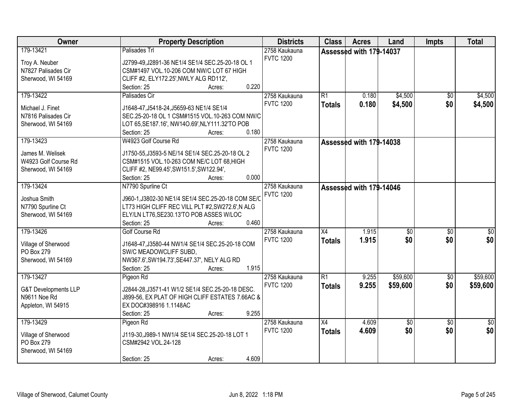| Owner                           | <b>Property Description</b>                        | <b>Districts</b> | <b>Class</b>    | <b>Acres</b>            | Land            | Impts           | <b>Total</b>    |
|---------------------------------|----------------------------------------------------|------------------|-----------------|-------------------------|-----------------|-----------------|-----------------|
| 179-13421                       | Palisades Trl                                      | 2758 Kaukauna    |                 | Assessed with 179-14037 |                 |                 |                 |
| Troy A. Neuber                  | J2799-49, J2891-36 NE1/4 SE1/4 SEC. 25-20-18 OL 1  | <b>FVTC 1200</b> |                 |                         |                 |                 |                 |
| N7827 Palisades Cir             | CSM#1497 VOL.10-206 COM NW/C LOT 67 HIGH           |                  |                 |                         |                 |                 |                 |
| Sherwood, WI 54169              | CLIFF #2, ELY172.25', NWLY ALG RD112',             |                  |                 |                         |                 |                 |                 |
|                                 | 0.220<br>Section: 25<br>Acres:                     |                  |                 |                         |                 |                 |                 |
| 179-13422                       | Palisades Cir                                      | 2758 Kaukauna    | R1              | 0.180                   | \$4,500         | $\overline{50}$ | \$4,500         |
|                                 |                                                    | <b>FVTC 1200</b> | <b>Totals</b>   | 0.180                   | \$4,500         | \$0             | \$4,500         |
| Michael J. Finet                | J1648-47, J5418-24, J5659-63 NE1/4 SE1/4           |                  |                 |                         |                 |                 |                 |
| N7816 Palisades Cir             | SEC.25-20-18 OL 1 CSM#1515 VOL.10-263 COM NW/C     |                  |                 |                         |                 |                 |                 |
| Sherwood, WI 54169              | LOT 65, SE187.16', NW14O.69', NLY111.32'TO POB     |                  |                 |                         |                 |                 |                 |
|                                 | 0.180<br>Section: 25<br>Acres:                     |                  |                 |                         |                 |                 |                 |
| 179-13423                       | W4923 Golf Course Rd                               | 2758 Kaukauna    |                 | Assessed with 179-14038 |                 |                 |                 |
| James M. Welisek                | J1750-55, J3593-5 NE/14 SE1/4 SEC.25-20-18 OL 2    | <b>FVTC 1200</b> |                 |                         |                 |                 |                 |
| W4923 Golf Course Rd            | CSM#1515 VOL.10-263 COM NE/C LOT 68. HIGH          |                  |                 |                         |                 |                 |                 |
| Sherwood, WI 54169              | CLIFF #2, NE99.45', SW151.5', SW122.94',           |                  |                 |                         |                 |                 |                 |
|                                 | 0.000<br>Section: 25<br>Acres:                     |                  |                 |                         |                 |                 |                 |
| 179-13424                       | N7790 Spurline Ct                                  | 2758 Kaukauna    |                 | Assessed with 179-14046 |                 |                 |                 |
|                                 |                                                    | <b>FVTC 1200</b> |                 |                         |                 |                 |                 |
| Joshua Smith                    | J960-1, J3802-30 NE1/4 SE1/4 SEC.25-20-18 COM SE/C |                  |                 |                         |                 |                 |                 |
| N7790 Spurline Ct               | LT73 HIGH CLIFF REC VILL PLT #2,SW272.6',N ALG     |                  |                 |                         |                 |                 |                 |
| Sherwood, WI 54169              | ELY/LN LT76, SE230.13'TO POB ASSES W/LOC           |                  |                 |                         |                 |                 |                 |
|                                 | 0.460<br>Section: 25<br>Acres:                     |                  |                 |                         |                 |                 |                 |
| 179-13426                       | Golf Course Rd                                     | 2758 Kaukauna    | $\overline{X4}$ | 1.915                   | $\overline{50}$ | $\overline{50}$ | $\overline{30}$ |
| Village of Sherwood             | J1648-47, J3580-44 NW1/4 SE1/4 SEC.25-20-18 COM    | <b>FVTC 1200</b> | <b>Totals</b>   | 1.915                   | \$0             | \$0             | \$0             |
| PO Box 279                      | SW/C MEADOWCLIFF SUBD,                             |                  |                 |                         |                 |                 |                 |
| Sherwood, WI 54169              | NW367.6', SW194.73', SE447.37', NELY ALG RD        |                  |                 |                         |                 |                 |                 |
|                                 | 1.915<br>Section: 25<br>Acres:                     |                  |                 |                         |                 |                 |                 |
| 179-13427                       | Pigeon Rd                                          | 2758 Kaukauna    | R1              | 9.255                   | \$59,600        | \$0             | \$59,600        |
|                                 |                                                    | <b>FVTC 1200</b> | <b>Totals</b>   | 9.255                   | \$59,600        | \$0             | \$59,600        |
| <b>G&amp;T Developments LLP</b> | J2844-28, J3571-41 W1/2 SE1/4 SEC. 25-20-18 DESC.  |                  |                 |                         |                 |                 |                 |
| N9611 Noe Rd                    | J899-56, EX PLAT OF HIGH CLIFF ESTATES 7.66AC &    |                  |                 |                         |                 |                 |                 |
| Appleton, WI 54915              | EX DOC#398916 1.1148AC                             |                  |                 |                         |                 |                 |                 |
|                                 | 9.255<br>Section: 25<br>Acres:                     |                  |                 |                         |                 |                 |                 |
| 179-13429                       | Pigeon Rd                                          | 2758 Kaukauna    | $\overline{X4}$ | 4.609                   | $\overline{50}$ | $\overline{50}$ | $\frac{1}{2}$   |
| Village of Sherwood             | J119-30, J989-1 NW1/4 SE1/4 SEC. 25-20-18 LOT 1    | <b>FVTC 1200</b> | <b>Totals</b>   | 4.609                   | \$0             | \$0             | \$0             |
| PO Box 279                      | CSM#2942 VOL.24-128                                |                  |                 |                         |                 |                 |                 |
| Sherwood, WI 54169              |                                                    |                  |                 |                         |                 |                 |                 |
|                                 | 4.609<br>Section: 25<br>Acres:                     |                  |                 |                         |                 |                 |                 |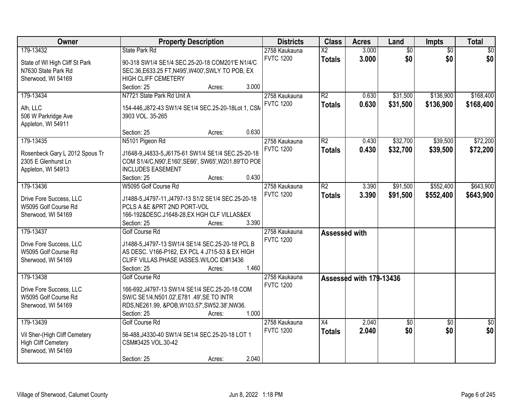| Owner                                           | <b>Property Description</b>                           |        |       | <b>Districts</b> | <b>Class</b>           | <b>Acres</b>            | Land            | <b>Impts</b>    | <b>Total</b>    |
|-------------------------------------------------|-------------------------------------------------------|--------|-------|------------------|------------------------|-------------------------|-----------------|-----------------|-----------------|
| 179-13432                                       | <b>State Park Rd</b>                                  |        |       | 2758 Kaukauna    | $\overline{\text{X2}}$ | 3.000                   | $\overline{50}$ | $\overline{50}$ | $\overline{50}$ |
| State of WI High Cliff St Park                  | 90-318 SW1/4 SE1/4 SEC.25-20-18 COM201'E N1/4/C       |        |       | <b>FVTC 1200</b> | <b>Totals</b>          | 3.000                   | \$0             | \$0             | \$0             |
| N7630 State Park Rd                             | SEC.36, E633.25 FT, N495', W400', SWLY TO POB, EX     |        |       |                  |                        |                         |                 |                 |                 |
| Sherwood, WI 54169                              | <b>HIGH CLIFF CEMETERY</b>                            |        |       |                  |                        |                         |                 |                 |                 |
|                                                 | Section: 25                                           | Acres: | 3.000 |                  |                        |                         |                 |                 |                 |
| 179-13434                                       | N7721 State Park Rd Unit A                            |        |       | 2758 Kaukauna    | $\overline{R2}$        | 0.630                   | \$31,500        | \$136,900       | \$168,400       |
|                                                 |                                                       |        |       | <b>FVTC 1200</b> | <b>Totals</b>          | 0.630                   | \$31,500        | \$136,900       | \$168,400       |
| Alh, LLC                                        | 154-446, J872-43 SW1/4 SE1/4 SEC.25-20-18Lot 1, CSM   |        |       |                  |                        |                         |                 |                 |                 |
| 506 W Parkridge Ave                             | 3903 VOL. 35-265                                      |        |       |                  |                        |                         |                 |                 |                 |
| Appleton, WI 54911                              |                                                       |        |       |                  |                        |                         |                 |                 |                 |
|                                                 | Section: 25                                           | Acres: | 0.630 |                  |                        |                         |                 |                 |                 |
| 179-13435                                       | N5101 Pigeon Rd                                       |        |       | 2758 Kaukauna    | $\overline{R2}$        | 0.430                   | \$32,700        | \$39,500        | \$72,200        |
| Rosenbeck Gary L 2012 Spous Tr                  | J1648-9, J4833-5, J6175-61 SW1/4 SE1/4 SEC.25-20-18   |        |       | <b>FVTC 1200</b> | <b>Totals</b>          | 0.430                   | \$32,700        | \$39,500        | \$72,200        |
| 2305 E Glenhurst Ln                             | COM S1/4/C, N90', E160', SE66', SW65', W201.89'TO POE |        |       |                  |                        |                         |                 |                 |                 |
| Appleton, WI 54913                              | <b>INCLUDES EASEMENT</b>                              |        |       |                  |                        |                         |                 |                 |                 |
|                                                 | Section: 25                                           | Acres: | 0.430 |                  |                        |                         |                 |                 |                 |
| 179-13436                                       | W5095 Golf Course Rd                                  |        |       | 2758 Kaukauna    | $\overline{R2}$        | 3.390                   | \$91,500        | \$552,400       | \$643,900       |
|                                                 |                                                       |        |       | <b>FVTC 1200</b> | <b>Totals</b>          | 3.390                   | \$91,500        | \$552,400       | \$643,900       |
| Drive Fore Success, LLC                         | J1488-5, J4797-11, J4797-13 S1/2 SE1/4 SEC.25-20-18   |        |       |                  |                        |                         |                 |                 |                 |
| W5095 Golf Course Rd                            | PCLS A &E & PRT 2ND PORT-VOL                          |        |       |                  |                        |                         |                 |                 |                 |
| Sherwood, WI 54169                              | 166-192&DESC.J1648-28, EX HGH CLF VILLAS& EX          |        |       |                  |                        |                         |                 |                 |                 |
|                                                 | Section: 25                                           | Acres: | 3.390 |                  |                        |                         |                 |                 |                 |
| 179-13437                                       | Golf Course Rd                                        |        |       | 2758 Kaukauna    | Assessed with          |                         |                 |                 |                 |
| Drive Fore Success, LLC                         | J1488-5, J4797-13 SW1/4 SE1/4 SEC. 25-20-18 PCL B     |        |       | <b>FVTC 1200</b> |                        |                         |                 |                 |                 |
| W5095 Golf Course Rd                            | AS DESC. V166-P162, EX PCL 4 J715-53 & EX HIGH        |        |       |                  |                        |                         |                 |                 |                 |
| Sherwood, WI 54169                              | CLIFF VILLAS PHASE IASSES. W/LOC ID#13436             |        |       |                  |                        |                         |                 |                 |                 |
|                                                 | Section: 25                                           | Acres: | 1.460 |                  |                        |                         |                 |                 |                 |
| 179-13438                                       | Golf Course Rd                                        |        |       | 2758 Kaukauna    |                        | Assessed with 179-13436 |                 |                 |                 |
|                                                 |                                                       |        |       | <b>FVTC 1200</b> |                        |                         |                 |                 |                 |
| Drive Fore Success, LLC<br>W5095 Golf Course Rd | 166-692, J4797-13 SW1/4 SE1/4 SEC.25-20-18 COM        |        |       |                  |                        |                         |                 |                 |                 |
|                                                 | SW/C SE1/4, N501.02', E781 .49', SE TO INTR           |        |       |                  |                        |                         |                 |                 |                 |
| Sherwood, WI 54169                              | RDS, NE261.99, &POB, W103.57', SW52.38', NW36.        |        | 1.000 |                  |                        |                         |                 |                 |                 |
| 179-13439                                       | Section: 25                                           | Acres: |       |                  |                        | 2.040                   |                 |                 |                 |
|                                                 | Golf Course Rd                                        |        |       | 2758 Kaukauna    | $\overline{X4}$        |                         | \$0             | $\overline{50}$ | $\overline{50}$ |
| Vil Sher-(High Cliff Cemetery                   | 56-488, J4330-40 SW1/4 SE1/4 SEC.25-20-18 LOT 1       |        |       | <b>FVTC 1200</b> | <b>Totals</b>          | 2.040                   | \$0             | \$0             | \$0             |
| <b>High Cliff Cemetery</b>                      | CSM#3425 VOL.30-42                                    |        |       |                  |                        |                         |                 |                 |                 |
| Sherwood, WI 54169                              |                                                       |        |       |                  |                        |                         |                 |                 |                 |
|                                                 | Section: 25                                           | Acres: | 2.040 |                  |                        |                         |                 |                 |                 |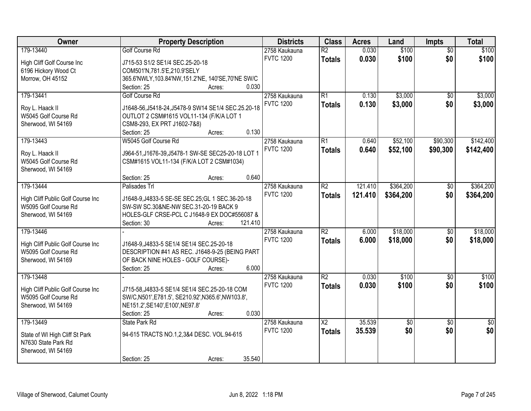| Owner                             | <b>Property Description</b>                                                         | <b>Districts</b> | <b>Class</b>           | <b>Acres</b> | Land        | Impts           | <b>Total</b>    |
|-----------------------------------|-------------------------------------------------------------------------------------|------------------|------------------------|--------------|-------------|-----------------|-----------------|
| 179-13440                         | <b>Golf Course Rd</b>                                                               | 2758 Kaukauna    | $\overline{R2}$        | 0.030        | \$100       | $\overline{50}$ | \$100           |
| High Cliff Golf Course Inc        | J715-53 S1/2 SE1/4 SEC.25-20-18                                                     | <b>FVTC 1200</b> | <b>Totals</b>          | 0.030        | \$100       | \$0             | \$100           |
| 6196 Hickory Wood Ct              | COM501'N,781.5'E,210.9'SELY                                                         |                  |                        |              |             |                 |                 |
| Morrow, OH 45152                  | 365.6'NWLY, 103.84'NW, 151.2'NE, 140'SE, 70'NE SW/C                                 |                  |                        |              |             |                 |                 |
|                                   | 0.030<br>Section: 25<br>Acres:                                                      |                  |                        |              |             |                 |                 |
| 179-13441                         | <b>Golf Course Rd</b>                                                               | 2758 Kaukauna    | $\overline{R1}$        | 0.130        | \$3,000     | \$0             | \$3,000         |
|                                   |                                                                                     | <b>FVTC 1200</b> | <b>Totals</b>          | 0.130        | \$3,000     | \$0             | \$3,000         |
| Roy L. Haack II                   | J1648-56, J5418-24, J5478-9 SW14 SE1/4 SEC. 25.20-18                                |                  |                        |              |             |                 |                 |
| W5045 Golf Course Rd              | OUTLOT 2 CSM#1615 VOL11-134 (F/K/A LOT 1                                            |                  |                        |              |             |                 |                 |
| Sherwood, WI 54169                | CSM8-293, EX PRT J1602-7&8)<br>0.130                                                |                  |                        |              |             |                 |                 |
| 179-13443                         | Section: 25<br>Acres:<br>W5045 Golf Course Rd                                       |                  | $\overline{R1}$        |              | \$52,100    | \$90,300        | \$142,400       |
|                                   |                                                                                     | 2758 Kaukauna    |                        | 0.640        |             |                 |                 |
| Roy L. Haack II                   | J964-51, J1676-39, J5478-1 SW-SE SEC25-20-18 LOT 1                                  | <b>FVTC 1200</b> | <b>Totals</b>          | 0.640        | \$52,100    | \$90,300        | \$142,400       |
| W5045 Golf Course Rd              | CSM#1615 VOL11-134 (F/K/A LOT 2 CSM#1034)                                           |                  |                        |              |             |                 |                 |
| Sherwood, WI 54169                |                                                                                     |                  |                        |              |             |                 |                 |
|                                   | 0.640<br>Section: 25<br>Acres:                                                      |                  |                        |              |             |                 |                 |
| 179-13444                         | Palisades Trl                                                                       | 2758 Kaukauna    | $\overline{R2}$        | 121.410      | \$364,200   | \$0             | \$364,200       |
| High Cliff Public Golf Course Inc | J1648-9, J4833-5 SE-SE SEC.25; GL 1 SEC.36-20-18                                    | <b>FVTC 1200</b> | <b>Totals</b>          | 121.410      | \$364,200   | \$0             | \$364,200       |
| W5095 Golf Course Rd              | SW-SW SC.30&NE-NW SEC.31-20-19 BACK 9                                               |                  |                        |              |             |                 |                 |
| Sherwood, WI 54169                | HOLES-GLF CRSE-PCL C J1648-9 EX DOC#556087 &                                        |                  |                        |              |             |                 |                 |
|                                   | 121.410<br>Section: 30<br>Acres:                                                    |                  |                        |              |             |                 |                 |
| 179-13446                         |                                                                                     | 2758 Kaukauna    | $\overline{R2}$        | 6.000        | \$18,000    | $\overline{50}$ | \$18,000        |
|                                   |                                                                                     | <b>FVTC 1200</b> |                        |              |             |                 |                 |
| High Cliff Public Golf Course Inc | J1648-9, J4833-5 SE1/4 SE1/4 SEC. 25-20-18                                          |                  | <b>Totals</b>          | 6.000        | \$18,000    | \$0             | \$18,000        |
| W5095 Golf Course Rd              | DESCRIPTION #41 AS REC. J1648-9-25 (BEING PART                                      |                  |                        |              |             |                 |                 |
| Sherwood, WI 54169                | OF BACK NINE HOLES - GOLF COURSE)-                                                  |                  |                        |              |             |                 |                 |
|                                   | Section: 25<br>6.000<br>Acres:                                                      |                  |                        |              |             |                 |                 |
| 179-13448                         |                                                                                     | 2758 Kaukauna    | $\overline{R2}$        | 0.030        | \$100       | $\overline{50}$ | \$100           |
| High Cliff Public Golf Course Inc | J715-58, J4833-5 SE1/4 SE1/4 SEC. 25-20-18 COM                                      | <b>FVTC 1200</b> | <b>Totals</b>          | 0.030        | \$100       | \$0             | \$100           |
| W5095 Golf Course Rd              |                                                                                     |                  |                        |              |             |                 |                 |
| Sherwood, WI 54169                | SW/C,N501',E781.5', SE210.92',N365.6',NW103.8',<br>NE151.2', SE140', E100', NE97.8' |                  |                        |              |             |                 |                 |
|                                   | 0.030<br>Section: 25<br>Acres:                                                      |                  |                        |              |             |                 |                 |
| 179-13449                         | State Park Rd                                                                       | 2758 Kaukauna    | $\overline{\text{X2}}$ | 35.539       | $\sqrt{50}$ | $\overline{30}$ | $\overline{50}$ |
|                                   |                                                                                     | <b>FVTC 1200</b> |                        |              | \$0         | \$0             | \$0             |
| State of WI High Cliff St Park    | 94-615 TRACTS NO.1,2,3&4 DESC. VOL.94-615                                           |                  | <b>Totals</b>          | 35.539       |             |                 |                 |
| N7630 State Park Rd               |                                                                                     |                  |                        |              |             |                 |                 |
| Sherwood, WI 54169                |                                                                                     |                  |                        |              |             |                 |                 |
|                                   | 35.540<br>Section: 25<br>Acres:                                                     |                  |                        |              |             |                 |                 |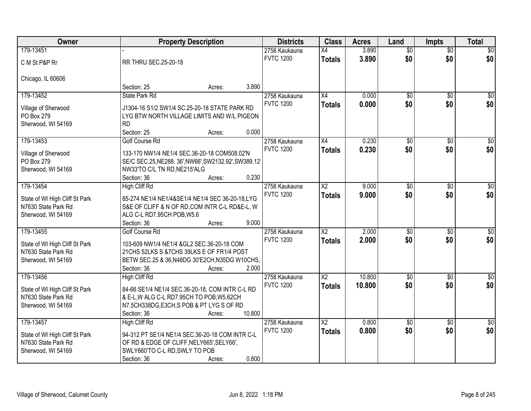| Owner                                     | <b>Property Description</b>                                                 |        | <b>Districts</b> | <b>Class</b>           | <b>Acres</b> | Land            | <b>Impts</b>    | <b>Total</b>     |
|-------------------------------------------|-----------------------------------------------------------------------------|--------|------------------|------------------------|--------------|-----------------|-----------------|------------------|
| 179-13451                                 |                                                                             |        | 2758 Kaukauna    | X4                     | 3.890        | $\overline{50}$ | $\overline{50}$ | \$0              |
| C M St P&P Rr                             | RR THRU SEC.25-20-18                                                        |        | <b>FVTC 1200</b> | <b>Totals</b>          | 3.890        | \$0             | \$0             | \$0              |
| Chicago, IL 60606                         |                                                                             |        |                  |                        |              |                 |                 |                  |
|                                           | Section: 25                                                                 | Acres: | 3.890            |                        |              |                 |                 |                  |
| 179-13452                                 | State Park Rd                                                               |        | 2758 Kaukauna    | X4                     | 0.000        | $\overline{50}$ | $\overline{50}$ | \$0              |
| Village of Sherwood                       | J1304-16 S1/2 SW1/4 SC.25-20-18 STATE PARK RD                               |        | <b>FVTC 1200</b> | <b>Totals</b>          | 0.000        | \$0             | \$0             | \$0              |
| PO Box 279                                | LYG BTW NORTH VILLAGE LIMITS AND W/L PIGEON                                 |        |                  |                        |              |                 |                 |                  |
| Sherwood, WI 54169                        | <b>RD</b>                                                                   |        |                  |                        |              |                 |                 |                  |
|                                           | Section: 25                                                                 | Acres: | 0.000            |                        |              |                 |                 |                  |
| 179-13453                                 | <b>Golf Course Rd</b>                                                       |        | 2758 Kaukauna    | X4                     | 0.230        | \$0             | \$0             | $\overline{50}$  |
|                                           | 133-170 NW1/4 NE1/4 SEC.36-20-18 COM508.02'N                                |        | <b>FVTC 1200</b> | <b>Totals</b>          | 0.230        | \$0             | \$0             | \$0              |
| Village of Sherwood<br>PO Box 279         | SE/C SEC.25, NE288. 36', NW66', SW2132.92', SW389.12'                       |        |                  |                        |              |                 |                 |                  |
| Sherwood, WI 54169                        | NW33'TO C/L TN RD, NE215'ALG                                                |        |                  |                        |              |                 |                 |                  |
|                                           | Section: 36                                                                 | Acres: | 0.230            |                        |              |                 |                 |                  |
| 179-13454                                 | <b>High Cliff Rd</b>                                                        |        | 2758 Kaukauna    | X2                     | 9.000        | \$0             | \$0             | $\sqrt{50}$      |
|                                           |                                                                             |        | <b>FVTC 1200</b> | <b>Totals</b>          | 9.000        | \$0             | \$0             | \$0              |
| State of WI High Cliff St Park            | 85-274 NE1/4 NE1/4&SE1/4 NE1/4 SEC 36-20-18,LYG                             |        |                  |                        |              |                 |                 |                  |
| N7630 State Park Rd                       | S&E OF CLIFF & N OF RD, COM INTR C-L RD&E-L, W                              |        |                  |                        |              |                 |                 |                  |
| Sherwood, WI 54169                        | ALG C-L RD7.95CH POB, W5.6                                                  |        |                  |                        |              |                 |                 |                  |
|                                           | Section: 36                                                                 | Acres: | 9.000            |                        |              |                 |                 |                  |
| 179-13455                                 | Golf Course Rd                                                              |        | 2758 Kaukauna    | $\overline{\text{X2}}$ | 2.000        | $\overline{50}$ | $\overline{30}$ | $\overline{50}$  |
| State of WI High Cliff St Park            | 103-609 NW1/4 NE1/4 &GL2 SEC.36-20-18 COM                                   |        | <b>FVTC 1200</b> | <b>Totals</b>          | 2.000        | \$0             | \$0             | \$0              |
| N7630 State Park Rd                       | 21 CHS 52LKS S & 7 CHS 39LKS E OF FR1/4 POST                                |        |                  |                        |              |                 |                 |                  |
| Sherwood, WI 54169                        | BETW SEC.25 & 36, N48DG 30'E2CH, N35DG W10CHS,                              |        |                  |                        |              |                 |                 |                  |
|                                           | Section: 36                                                                 | Acres: | 2.000            |                        |              |                 |                 |                  |
| 179-13456                                 | <b>High Cliff Rd</b>                                                        |        | 2758 Kaukauna    | $\overline{X2}$        | 10.800       | $\overline{50}$ | $\overline{50}$ | $\overline{\$0}$ |
| State of WI High Cliff St Park            | 84-66 SE1/4 NE1/4 SEC.36-20-18, COM INTR C-L RD                             |        | <b>FVTC 1200</b> | <b>Totals</b>          | 10.800       | \$0             | \$0             | \$0              |
| N7630 State Park Rd                       | & E-L, W ALG C-L RD7.95CH TO POB, W5.62CH                                   |        |                  |                        |              |                 |                 |                  |
| Sherwood, WI 54169                        | N7.5CH338DG, E3CH, SPOB & PT LYG SOF RD                                     |        |                  |                        |              |                 |                 |                  |
|                                           | Section: 36                                                                 | Acres: | 10.800           |                        |              |                 |                 |                  |
| 179-13457                                 | <b>High Cliff Rd</b>                                                        |        | 2758 Kaukauna    | $\overline{\text{X2}}$ | 0.800        | $\overline{50}$ | $\overline{50}$ | $\overline{30}$  |
|                                           |                                                                             |        | <b>FVTC 1200</b> | <b>Totals</b>          | 0.800        | \$0             | \$0             | \$0              |
| State of WI High Cliff St Park            | 94-312 PT SE1/4 NE1/4 SEC.36-20-18 COM INTR C-L                             |        |                  |                        |              |                 |                 |                  |
| N7630 State Park Rd<br>Sherwood, WI 54169 | OF RD & EDGE OF CLIFF, NELY665', SELY66',<br>SWLY660'TO C-L RD, SWLY TO POB |        |                  |                        |              |                 |                 |                  |
|                                           | Section: 36                                                                 |        | 0.800            |                        |              |                 |                 |                  |
|                                           |                                                                             | Acres: |                  |                        |              |                 |                 |                  |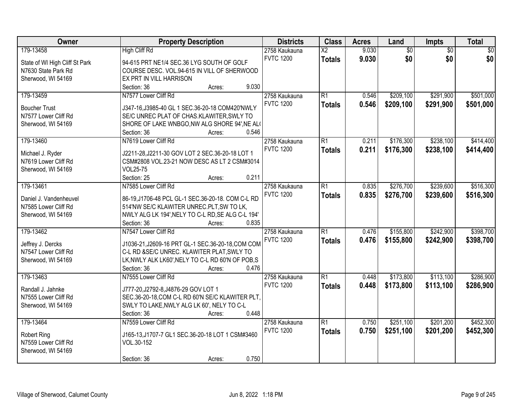| Owner                          | <b>Property Description</b>                                               | <b>Districts</b>                  | <b>Class</b>           | <b>Acres</b> | Land            | Impts           | <b>Total</b>    |
|--------------------------------|---------------------------------------------------------------------------|-----------------------------------|------------------------|--------------|-----------------|-----------------|-----------------|
| 179-13458                      | <b>High Cliff Rd</b>                                                      | 2758 Kaukauna                     | $\overline{\text{X2}}$ | 9.030        | $\overline{60}$ | $\overline{60}$ | $\overline{50}$ |
| State of WI High Cliff St Park | 94-615 PRT NE1/4 SEC.36 LYG SOUTH OF GOLF                                 | <b>FVTC 1200</b>                  | <b>Totals</b>          | 9.030        | \$0             | \$0             | \$0             |
| N7630 State Park Rd            | COURSE DESC. VOL.94-615 IN VILL OF SHERWOOD                               |                                   |                        |              |                 |                 |                 |
| Sherwood, WI 54169             | EX PRT IN VILL HARRISON                                                   |                                   |                        |              |                 |                 |                 |
|                                | 9.030<br>Section: 36<br>Acres:                                            |                                   |                        |              |                 |                 |                 |
| 179-13459                      | N7577 Lower Cliff Rd                                                      | 2758 Kaukauna                     | $\overline{R1}$        | 0.546        | \$209,100       | \$291,900       | \$501,000       |
|                                |                                                                           | <b>FVTC 1200</b>                  | <b>Totals</b>          | 0.546        | \$209,100       | \$291,900       | \$501,000       |
| <b>Boucher Trust</b>           | J347-16, J3985-40 GL 1 SEC.36-20-18 COM420'NWLY                           |                                   |                        |              |                 |                 |                 |
| N7577 Lower Cliff Rd           | SE/C UNREC PLAT OF CHAS.KLAWITER, SWLY TO                                 |                                   |                        |              |                 |                 |                 |
| Sherwood, WI 54169             | SHORE OF LAKE WNBGO, NW ALG SHORE 94', NE AL(                             |                                   |                        |              |                 |                 |                 |
|                                | 0.546<br>Section: 36<br>Acres:                                            |                                   |                        |              |                 |                 |                 |
| 179-13460                      | N7619 Lower Cliff Rd                                                      | 2758 Kaukauna                     | $\overline{R1}$        | 0.211        | \$176,300       | \$238,100       | \$414,400       |
| Michael J. Ryder               | J2211-28, J2211-30 GOV LOT 2 SEC.36-20-18 LOT 1                           | <b>FVTC 1200</b>                  | <b>Totals</b>          | 0.211        | \$176,300       | \$238,100       | \$414,400       |
| N7619 Lower Cliff Rd           | CSM#2808 VOL.23-21 NOW DESC AS LT 2 CSM#3014                              |                                   |                        |              |                 |                 |                 |
| Sherwood, WI 54169             | <b>VOL25-75</b>                                                           |                                   |                        |              |                 |                 |                 |
|                                | Section: 25<br>0.211<br>Acres:                                            |                                   |                        |              |                 |                 |                 |
| 179-13461                      | N7585 Lower Cliff Rd                                                      | 2758 Kaukauna                     | $\overline{R1}$        | 0.835        | \$276,700       | \$239,600       | \$516,300       |
|                                |                                                                           | <b>FVTC 1200</b>                  | <b>Totals</b>          | 0.835        | \$276,700       | \$239,600       | \$516,300       |
| Daniel J. Vandenheuvel         | 86-19, J1706-48 PCL GL-1 SEC.36-20-18. COM C-L RD                         |                                   |                        |              |                 |                 |                 |
| N7585 Lower Cliff Rd           | 514'NW SE/C KLAWITER UNREC.PLT, SW TO LK,                                 |                                   |                        |              |                 |                 |                 |
| Sherwood, WI 54169             | NWLY ALG LK 194', NELY TO C-L RD, SE ALG C-L 194'<br>0.835<br>Section: 36 |                                   |                        |              |                 |                 |                 |
| 179-13462                      | Acres:<br>N7547 Lower Cliff Rd                                            |                                   | $\overline{R1}$        | 0.476        | \$155,800       | \$242,900       | \$398,700       |
|                                |                                                                           | 2758 Kaukauna<br><b>FVTC 1200</b> |                        |              |                 |                 |                 |
| Jeffrey J. Dercks              | J1036-21, J2609-16 PRT GL-1 SEC.36-20-18, COM COM                         |                                   | <b>Totals</b>          | 0.476        | \$155,800       | \$242,900       | \$398,700       |
| N7547 Lower Cliff Rd           | C-L RD &SE/C UNREC. KLAWITER PLAT, SWLY TO                                |                                   |                        |              |                 |                 |                 |
| Sherwood, WI 54169             | LK, NWLY ALK LK60', NELY TO C-L RD 60'N OF POB, S                         |                                   |                        |              |                 |                 |                 |
|                                | Section: 36<br>0.476<br>Acres:                                            |                                   |                        |              |                 |                 |                 |
| 179-13463                      | N7555 Lower Cliff Rd                                                      | 2758 Kaukauna                     | $\overline{R1}$        | 0.448        | \$173,800       | \$113,100       | \$286,900       |
| Randall J. Jahnke              | J777-20, J2792-8, J4876-29 GOV LOT 1                                      | <b>FVTC 1200</b>                  | <b>Totals</b>          | 0.448        | \$173,800       | \$113,100       | \$286,900       |
| N7555 Lower Cliff Rd           | SEC.36-20-18, COM C-L RD 60'N SE/C KLAWITER PLT,                          |                                   |                        |              |                 |                 |                 |
| Sherwood, WI 54169             | SWLY TO LAKE, NWLY ALG LK 60', NELY TO C-L                                |                                   |                        |              |                 |                 |                 |
|                                | 0.448<br>Section: 36<br>Acres:                                            |                                   |                        |              |                 |                 |                 |
| 179-13464                      | N7559 Lower Cliff Rd                                                      | 2758 Kaukauna                     | $\overline{R1}$        | 0.750        | \$251,100       | \$201,200       | \$452,300       |
|                                |                                                                           | <b>FVTC 1200</b>                  | <b>Totals</b>          | 0.750        | \$251,100       | \$201,200       | \$452,300       |
| <b>Robert Ring</b>             | J165-13, J1707-7 GL1 SEC.36-20-18 LOT 1 CSM#3460                          |                                   |                        |              |                 |                 |                 |
| N7559 Lower Cliff Rd           | VOL.30-152                                                                |                                   |                        |              |                 |                 |                 |
| Sherwood, WI 54169             |                                                                           |                                   |                        |              |                 |                 |                 |
|                                | 0.750<br>Section: 36<br>Acres:                                            |                                   |                        |              |                 |                 |                 |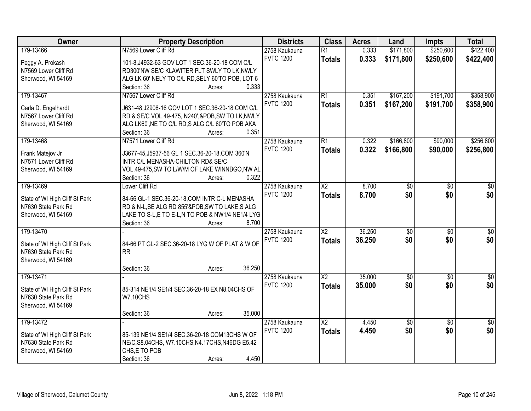| Owner                          | <b>Property Description</b>                             | <b>Districts</b> | <b>Class</b>           | <b>Acres</b> | Land            | <b>Impts</b>    | <b>Total</b>  |
|--------------------------------|---------------------------------------------------------|------------------|------------------------|--------------|-----------------|-----------------|---------------|
| 179-13466                      | N7569 Lower Cliff Rd                                    | 2758 Kaukauna    | $\overline{R1}$        | 0.333        | \$171,800       | \$250,600       | \$422,400     |
| Peggy A. Prokash               | 101-8, J4932-63 GOV LOT 1 SEC.36-20-18 COM C/L          | <b>FVTC 1200</b> | <b>Totals</b>          | 0.333        | \$171,800       | \$250,600       | \$422,400     |
| N7569 Lower Cliff Rd           | RD300'NW SE/C KLAWITER PLT SWLY TO LK, NWLY             |                  |                        |              |                 |                 |               |
| Sherwood, WI 54169             | ALG LK 60' NELY TO C/L RD, SELY 60'TO POB, LOT 6        |                  |                        |              |                 |                 |               |
|                                | 0.333<br>Section: 36<br>Acres:                          |                  |                        |              |                 |                 |               |
| 179-13467                      | N7567 Lower Cliff Rd                                    | 2758 Kaukauna    | R1                     | 0.351        | \$167,200       | \$191,700       | \$358,900     |
|                                |                                                         | <b>FVTC 1200</b> | <b>Totals</b>          | 0.351        | \$167,200       | \$191,700       | \$358,900     |
| Carla D. Engelhardt            | J631-48,J2906-16 GOV LOT 1 SEC.36-20-18 COM C/L         |                  |                        |              |                 |                 |               |
| N7567 Lower Cliff Rd           | RD & SE/C VOL.49-475, N240', &POB, SW TO LK, NWLY       |                  |                        |              |                 |                 |               |
| Sherwood, WI 54169             | ALG LK60', NE TO C/L RD, S ALG C/L 60'TO POB AKA        |                  |                        |              |                 |                 |               |
|                                | 0.351<br>Section: 36<br>Acres:                          |                  |                        |              |                 |                 |               |
| 179-13468                      | N7571 Lower Cliff Rd                                    | 2758 Kaukauna    | R1                     | 0.322        | \$166,800       | \$90,000        | \$256,800     |
|                                |                                                         | <b>FVTC 1200</b> | <b>Totals</b>          | 0.322        | \$166,800       | \$90,000        | \$256,800     |
| Frank Matejov Jr               | J3677-45, J5937-56 GL 1 SEC.36-20-18, COM 360'N         |                  |                        |              |                 |                 |               |
| N7571 Lower Cliff Rd           | INTR C/L MENASHA-CHILTON RD& SE/C                       |                  |                        |              |                 |                 |               |
| Sherwood, WI 54169             | VOL.49-475, SW TO L/W/M OF LAKE WINNBGO, NW AL<br>0.322 |                  |                        |              |                 |                 |               |
|                                | Section: 36<br>Acres:                                   |                  |                        |              |                 |                 |               |
| 179-13469                      | Lower Cliff Rd                                          | 2758 Kaukauna    | $\overline{\text{X2}}$ | 8.700        | \$0             | \$0             | \$0           |
| State of WI High Cliff St Park | 84-66 GL-1 SEC.36-20-18, COM INTR C-L MENASHA           | <b>FVTC 1200</b> | <b>Totals</b>          | 8.700        | \$0             | \$0             | \$0           |
| N7630 State Park Rd            | RD & N-L, SE ALG RD 855'&POB, SW TO LAKE, SALG          |                  |                        |              |                 |                 |               |
| Sherwood, WI 54169             | LAKE TO S-L, E TO E-L, N TO POB & NW1/4 NE1/4 LYG       |                  |                        |              |                 |                 |               |
|                                | 8.700<br>Section: 36<br>Acres:                          |                  |                        |              |                 |                 |               |
| 179-13470                      |                                                         | 2758 Kaukauna    | $\overline{X2}$        | 36.250       | $\overline{50}$ | $\overline{50}$ | $\sqrt{30}$   |
|                                |                                                         | <b>FVTC 1200</b> | <b>Totals</b>          | 36.250       | \$0             | \$0             | \$0           |
| State of WI High Cliff St Park | 84-66 PT GL-2 SEC.36-20-18 LYG W OF PLAT & W OF         |                  |                        |              |                 |                 |               |
| N7630 State Park Rd            | <b>RR</b>                                               |                  |                        |              |                 |                 |               |
| Sherwood, WI 54169             |                                                         |                  |                        |              |                 |                 |               |
|                                | 36.250<br>Section: 36<br>Acres:                         |                  |                        |              |                 |                 |               |
| 179-13471                      |                                                         | 2758 Kaukauna    | $\overline{X2}$        | 35.000       | $\sqrt{50}$     | $\sqrt{6}$      | $\sqrt{50}$   |
| State of WI High Cliff St Park | 85-314 NE1/4 SE1/4 SEC.36-20-18 EX N8.04CHS OF          | <b>FVTC 1200</b> | <b>Totals</b>          | 35.000       | \$0             | \$0             | \$0           |
| N7630 State Park Rd            | <b>W7.10CHS</b>                                         |                  |                        |              |                 |                 |               |
| Sherwood, WI 54169             |                                                         |                  |                        |              |                 |                 |               |
|                                | 35.000<br>Section: 36<br>Acres:                         |                  |                        |              |                 |                 |               |
| 179-13472                      |                                                         | 2758 Kaukauna    | $\overline{X2}$        | 4.450        | $\overline{50}$ | $\overline{50}$ | $\frac{1}{2}$ |
|                                |                                                         | <b>FVTC 1200</b> | <b>Totals</b>          | 4.450        | \$0             | \$0             | \$0           |
| State of WI High Cliff St Park | 85-139 NE1/4 SE1/4 SEC.36-20-18 COM13CHS W OF           |                  |                        |              |                 |                 |               |
| N7630 State Park Rd            | NE/C, S8.04CHS, W7.10CHS, N4.17CHS, N46DG E5.42         |                  |                        |              |                 |                 |               |
| Sherwood, WI 54169             | CHS, E TO POB                                           |                  |                        |              |                 |                 |               |
|                                | 4.450<br>Section: 36<br>Acres:                          |                  |                        |              |                 |                 |               |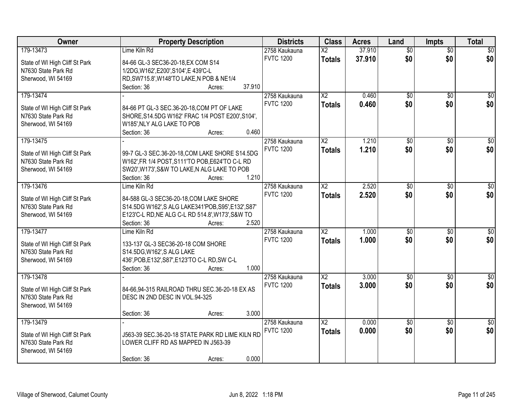| Owner                                                 | <b>Property Description</b>                                                     | <b>Districts</b> | <b>Class</b>             | <b>Acres</b> | Land            | <b>Impts</b>    | <b>Total</b>    |
|-------------------------------------------------------|---------------------------------------------------------------------------------|------------------|--------------------------|--------------|-----------------|-----------------|-----------------|
| 179-13473                                             | Lime Kiln Rd                                                                    | 2758 Kaukauna    | $\overline{\mathsf{X2}}$ | 37.910       | $\overline{50}$ | $\overline{50}$ | \$0             |
| State of WI High Cliff St Park                        | 84-66 GL-3 SEC36-20-18, EX COM S14                                              | <b>FVTC 1200</b> | <b>Totals</b>            | 37.910       | \$0             | \$0             | \$0             |
| N7630 State Park Rd                                   | 1/2DG, W162', E200', S104', E439'C-L                                            |                  |                          |              |                 |                 |                 |
| Sherwood, WI 54169                                    | RD, SW715.8', W148'TO LAKE, N POB & NE1/4                                       |                  |                          |              |                 |                 |                 |
|                                                       | Section: 36<br>Acres:                                                           | 37.910           |                          |              |                 |                 |                 |
| 179-13474                                             |                                                                                 | 2758 Kaukauna    | $\overline{\text{X2}}$   | 0.460        | $\overline{50}$ | $\overline{50}$ | $\overline{30}$ |
|                                                       |                                                                                 | <b>FVTC 1200</b> | <b>Totals</b>            | 0.460        | \$0             | \$0             | \$0             |
| State of WI High Cliff St Park                        | 84-66 PT GL-3 SEC.36-20-18, COM PT OF LAKE                                      |                  |                          |              |                 |                 |                 |
| N7630 State Park Rd                                   | SHORE, S14.5DG W162' FRAC 1/4 POST E200', S104',                                |                  |                          |              |                 |                 |                 |
| Sherwood, WI 54169                                    | W185', NLY ALG LAKE TO POB                                                      |                  |                          |              |                 |                 |                 |
|                                                       | Section: 36<br>Acres:                                                           | 0.460            |                          |              |                 |                 |                 |
| 179-13475                                             |                                                                                 | 2758 Kaukauna    | X <sub>2</sub>           | 1.210        | \$0             | \$0             | $\overline{50}$ |
| State of WI High Cliff St Park                        | 99-7 GL-3 SEC.36-20-18, COM LAKE SHORE S14.5DG                                  | <b>FVTC 1200</b> | <b>Totals</b>            | 1.210        | \$0             | \$0             | \$0             |
| N7630 State Park Rd                                   | W162', FR 1/4 POST, S111'TO POB, E624'TO C-L RD                                 |                  |                          |              |                 |                 |                 |
| Sherwood, WI 54169                                    | SW20', W173', S&W TO LAKE, N ALG LAKE TO POB                                    |                  |                          |              |                 |                 |                 |
|                                                       | Section: 36<br>Acres:                                                           | 1.210            |                          |              |                 |                 |                 |
| 179-13476                                             | Lime Kiln Rd                                                                    | 2758 Kaukauna    | $\overline{\text{X2}}$   | 2.520        | \$0             | \$0             | \$0             |
|                                                       |                                                                                 | <b>FVTC 1200</b> | <b>Totals</b>            | 2.520        | \$0             | \$0             | \$0             |
| State of WI High Cliff St Park                        | 84-588 GL-3 SEC36-20-18, COM LAKE SHORE                                         |                  |                          |              |                 |                 |                 |
| N7630 State Park Rd                                   | S14.5DG W162', S ALG LAKE341'POB, S95', E132', S87'                             |                  |                          |              |                 |                 |                 |
| Sherwood, WI 54169                                    | E123'C-L RD, NE ALG C-L RD 514.8', W173', S&W TO                                |                  |                          |              |                 |                 |                 |
|                                                       | Section: 36<br>Acres:                                                           | 2.520            |                          |              |                 |                 |                 |
| 179-13477                                             | Lime Kiln Rd                                                                    | 2758 Kaukauna    | $\overline{X2}$          | 1.000        | $\overline{50}$ | $\overline{50}$ | $\overline{50}$ |
| State of WI High Cliff St Park                        | 133-137 GL-3 SEC36-20-18 COM SHORE                                              | <b>FVTC 1200</b> | <b>Totals</b>            | 1.000        | \$0             | \$0             | \$0             |
| N7630 State Park Rd                                   | S14.5DG, W162', SALG LAKE                                                       |                  |                          |              |                 |                 |                 |
| Sherwood, WI 54169                                    | 436', POB, E132', S87', E123'TO C-L RD, SW C-L                                  |                  |                          |              |                 |                 |                 |
|                                                       | Section: 36<br>Acres:                                                           | 1.000            |                          |              |                 |                 |                 |
| 179-13478                                             |                                                                                 | 2758 Kaukauna    | $\overline{X2}$          | 3.000        | $\overline{60}$ | $\overline{50}$ | $\overline{50}$ |
|                                                       |                                                                                 | <b>FVTC 1200</b> | <b>Totals</b>            | 3.000        | \$0             | \$0             | \$0             |
| State of WI High Cliff St Park<br>N7630 State Park Rd | 84-66,94-315 RAILROAD THRU SEC.36-20-18 EX AS<br>DESC IN 2ND DESC IN VOL.94-325 |                  |                          |              |                 |                 |                 |
| Sherwood, WI 54169                                    |                                                                                 |                  |                          |              |                 |                 |                 |
|                                                       | Section: 36<br>Acres:                                                           | 3.000            |                          |              |                 |                 |                 |
| 179-13479                                             |                                                                                 | 2758 Kaukauna    | $\overline{\mathsf{X2}}$ | 0.000        | $\overline{50}$ | $\overline{30}$ | \$0             |
|                                                       |                                                                                 | <b>FVTC 1200</b> |                          | 0.000        | \$0             | \$0             | \$0             |
| State of WI High Cliff St Park                        | J563-39 SEC.36-20-18 STATE PARK RD LIME KILN RD                                 |                  | <b>Totals</b>            |              |                 |                 |                 |
| N7630 State Park Rd                                   | LOWER CLIFF RD AS MAPPED IN J563-39                                             |                  |                          |              |                 |                 |                 |
| Sherwood, WI 54169                                    |                                                                                 |                  |                          |              |                 |                 |                 |
|                                                       | Section: 36<br>Acres:                                                           | 0.000            |                          |              |                 |                 |                 |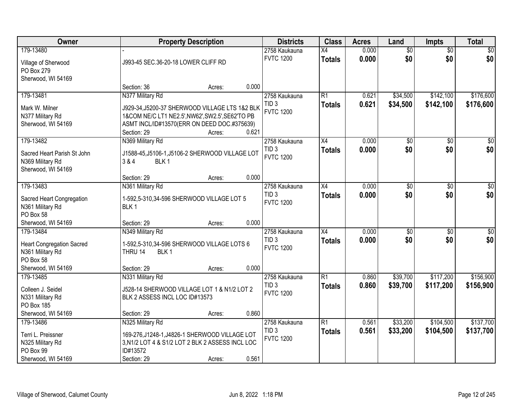| Owner                                                                                                |                                                                                                                                                                                      | <b>Property Description</b> |       | <b>Districts</b>                                      | <b>Class</b>                     | <b>Acres</b>   | Land                   | <b>Impts</b>           | <b>Total</b>           |
|------------------------------------------------------------------------------------------------------|--------------------------------------------------------------------------------------------------------------------------------------------------------------------------------------|-----------------------------|-------|-------------------------------------------------------|----------------------------------|----------------|------------------------|------------------------|------------------------|
| 179-13480<br>Village of Sherwood<br>PO Box 279<br>Sherwood, WI 54169                                 | J993-45 SEC.36-20-18 LOWER CLIFF RD                                                                                                                                                  |                             |       | 2758 Kaukauna<br><b>FVTC 1200</b>                     | $\overline{X4}$<br><b>Totals</b> | 0.000<br>0.000 | $\overline{60}$<br>\$0 | $\overline{50}$<br>\$0 | \$0<br>\$0             |
|                                                                                                      | Section: 36                                                                                                                                                                          | Acres:                      | 0.000 |                                                       |                                  |                |                        |                        |                        |
| 179-13481<br>Mark W. Milner<br>N377 Military Rd<br>Sherwood, WI 54169                                | N377 Military Rd<br>J929-34, J5200-37 SHERWOOD VILLAGE LTS 1&2 BLK<br>1&COM NE/C LT1 NE2.5', NW62', SW2.5', SE62'TO PB<br>ASMT INCL/ID#13570(ERR ON DEED DOC.#375639)<br>Section: 29 | Acres:                      | 0.621 | 2758 Kaukauna<br>TID <sub>3</sub><br><b>FVTC 1200</b> | $\overline{R1}$<br><b>Totals</b> | 0.621<br>0.621 | \$34,500<br>\$34,500   | \$142,100<br>\$142,100 | \$176,600<br>\$176,600 |
| 179-13482<br>Sacred Heart Parish St John<br>N369 Military Rd<br>Sherwood, WI 54169                   | N369 Military Rd<br>J1588-45, J5106-1, J5106-2 SHERWOOD VILLAGE LOT<br>BLK <sub>1</sub><br>3 & 4<br>Section: 29                                                                      | Acres:                      | 0.000 | 2758 Kaukauna<br>TID <sub>3</sub><br><b>FVTC 1200</b> | X4<br><b>Totals</b>              | 0.000<br>0.000 | \$0<br>\$0             | \$0<br>\$0             | $\overline{50}$<br>\$0 |
| 179-13483<br>Sacred Heart Congregation<br>N361 Military Rd<br>PO Box 58<br>Sherwood, WI 54169        | N361 Military Rd<br>1-592,5-310,34-596 SHERWOOD VILLAGE LOT 5<br>BLK <sub>1</sub><br>Section: 29                                                                                     | Acres:                      | 0.000 | 2758 Kaukauna<br>TID <sub>3</sub><br><b>FVTC 1200</b> | X4<br><b>Totals</b>              | 0.000<br>0.000 | $\overline{60}$<br>\$0 | $\sqrt{6}$<br>\$0      | $\sqrt{50}$<br>\$0     |
| 179-13484<br><b>Heart Congregation Sacred</b><br>N361 Military Rd<br>PO Box 58<br>Sherwood, WI 54169 | N349 Military Rd<br>1-592,5-310,34-596 SHERWOOD VILLAGE LOTS 6<br>BLK <sub>1</sub><br>THRU 14<br>Section: 29                                                                         | Acres:                      | 0.000 | 2758 Kaukauna<br>TID <sub>3</sub><br><b>FVTC 1200</b> | $\overline{X4}$<br><b>Totals</b> | 0.000<br>0.000 | $\overline{50}$<br>\$0 | $\overline{30}$<br>\$0 | $\overline{50}$<br>\$0 |
| 179-13485<br>Colleen J. Seidel<br>N331 Military Rd<br>PO Box 185<br>Sherwood, WI 54169               | N331 Military Rd<br>J528-14 SHERWOOD VILLAGE LOT 1 & N1/2 LOT 2<br>BLK 2 ASSESS INCL LOC ID#13573<br>Section: 29                                                                     | Acres:                      | 0.860 | 2758 Kaukauna<br>TID <sub>3</sub><br><b>FVTC 1200</b> | $\overline{R1}$<br><b>Totals</b> | 0.860<br>0.860 | \$39,700<br>\$39,700   | \$117,200<br>\$117,200 | \$156,900<br>\$156,900 |
| 179-13486<br>Terri L. Preissner<br>N325 Military Rd<br>PO Box 99<br>Sherwood, WI 54169               | N325 Military Rd<br>169-276, J1248-1, J4826-1 SHERWOOD VILLAGE LOT<br>3, N1/2 LOT 4 & S1/2 LOT 2 BLK 2 ASSESS INCL LOC<br>ID#13572<br>Section: 29                                    | Acres:                      | 0.561 | 2758 Kaukauna<br>TID <sub>3</sub><br><b>FVTC 1200</b> | $\overline{R1}$<br><b>Totals</b> | 0.561<br>0.561 | \$33,200<br>\$33,200   | \$104,500<br>\$104,500 | \$137,700<br>\$137,700 |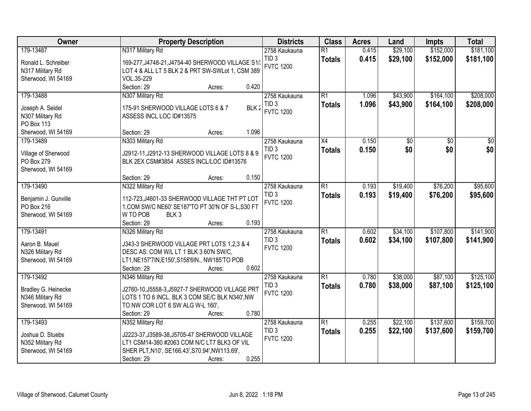| Owner                                   | <b>Property Description</b>                                                                          | <b>Districts</b>                     | <b>Class</b>    | <b>Acres</b>   | Land     | <b>Impts</b> | <b>Total</b> |
|-----------------------------------------|------------------------------------------------------------------------------------------------------|--------------------------------------|-----------------|----------------|----------|--------------|--------------|
| 179-13487                               | N317 Military Rd                                                                                     | 2758 Kaukauna                        | $\overline{R1}$ | 0.415          | \$29,100 | \$152,000    | \$181,100    |
| Ronald L. Schreiber<br>N317 Military Rd | 169-277, J4748-21, J4754-40 SHERWOOD VILLAGE S1/<br>LOT 4 & ALL LT 5 BLK 2 & PRT SW-SWLot 1, CSM 389 | TID <sub>3</sub><br><b>FVTC 1200</b> | <b>Totals</b>   | 0.415          | \$29,100 | \$152,000    | \$181,100    |
| Sherwood, WI 54169                      | VOL.35-229                                                                                           |                                      |                 |                |          |              |              |
|                                         | 0.420<br>Section: 29<br>Acres:                                                                       |                                      |                 |                |          |              |              |
| 179-13488                               | N307 Military Rd                                                                                     | 2758 Kaukauna<br>TID <sub>3</sub>    | $\overline{R1}$ | 1.096          | \$43,900 | \$164,100    | \$208,000    |
| Joseph A. Seidel<br>N307 Military Rd    | 175-91 SHERWOOD VILLAGE LOTS 6 & 7<br>BLK 2<br>ASSESS INCL LOC ID#13575                              | <b>FVTC 1200</b>                     | <b>Totals</b>   | 1.096          | \$43,900 | \$164,100    | \$208,000    |
| <b>PO Box 113</b>                       |                                                                                                      |                                      |                 |                |          |              |              |
| Sherwood, WI 54169<br>179-13489         | 1.096<br>Section: 29<br>Acres:                                                                       |                                      | X4              | 0.150          | \$0      | \$0          | \$0          |
|                                         | N303 Military Rd                                                                                     | 2758 Kaukauna<br>TID <sub>3</sub>    | <b>Totals</b>   | 0.150          | \$0      | \$0          | \$0          |
| Village of Sherwood                     | J2912-11, J2912-13 SHERWOOD VILLAGE LOTS 8 & 9                                                       | <b>FVTC 1200</b>                     |                 |                |          |              |              |
| PO Box 279                              | BLK 2EX CSM#3854 ASSES INCL/LOC ID#13576                                                             |                                      |                 |                |          |              |              |
| Sherwood, WI 54169                      |                                                                                                      |                                      |                 |                |          |              |              |
|                                         | 0.150<br>Section: 29<br>Acres:                                                                       |                                      |                 |                |          |              |              |
| 179-13490                               | N322 Military Rd                                                                                     | 2758 Kaukauna<br>TID <sub>3</sub>    | R1              | 0.193<br>0.193 | \$19,400 | \$76,200     | \$95,600     |
| Benjamin J. Gunville                    | 112-723, J4601-33 SHERWOOD VILLAGE THT PT LOT                                                        | <b>FVTC 1200</b>                     | <b>Totals</b>   |                | \$19,400 | \$76,200     | \$95,600     |
| PO Box 216                              | 1, COM SW/C NE60' SE187'TO PT 30'N OF S-L, S30 FT                                                    |                                      |                 |                |          |              |              |
| Sherwood, WI 54169                      | W TO POB<br>BLK <sub>3</sub>                                                                         |                                      |                 |                |          |              |              |
|                                         | 0.193<br>Section: 29<br>Acres:                                                                       |                                      |                 |                |          |              |              |
| 179-13491                               | N326 Military Rd                                                                                     | 2758 Kaukauna                        | $\overline{R1}$ | 0.602          | \$34,100 | \$107,800    | \$141,900    |
| Aaron B. Mauel                          | J343-3 SHERWOOD VILLAGE PRT LOTS 1,2,3 & 4                                                           | TID <sub>3</sub><br><b>FVTC 1200</b> | <b>Totals</b>   | 0.602          | \$34,100 | \$107,800    | \$141,900    |
| N326 Military Rd                        | DESC AS: COM W/L LT 1 BLK 3 60'N SW/C,                                                               |                                      |                 |                |          |              |              |
| Sherwood, WI 54169                      | LT1, NE157'7IN, E150', S158'6IN., NW185'TO POB                                                       |                                      |                 |                |          |              |              |
|                                         | Section: 29<br>0.602<br>Acres:                                                                       |                                      |                 |                |          |              |              |
| 179-13492                               | N346 Military Rd                                                                                     | 2758 Kaukauna                        | R1              | 0.780          | \$38,000 | \$87,100     | \$125,100    |
| Bradley G. Heinecke                     | J2760-10, J5558-3, J5927-7 SHERWOOD VILLAGE PRT                                                      | TID <sub>3</sub>                     | <b>Totals</b>   | 0.780          | \$38,000 | \$87,100     | \$125,100    |
| N346 Military Rd                        | LOTS 1 TO 6 INCL. BLK 3 COM SE/C BLK N340', NW                                                       | <b>FVTC 1200</b>                     |                 |                |          |              |              |
| Sherwood, WI 54169                      | TO NW COR LOT 6 SW ALG W-L 160',                                                                     |                                      |                 |                |          |              |              |
|                                         | 0.780<br>Section: 29<br>Acres:                                                                       |                                      |                 |                |          |              |              |
| 179-13493                               | N352 Military Rd                                                                                     | 2758 Kaukauna                        | R1              | 0.255          | \$22,100 | \$137,600    | \$159,700    |
| Joshua D. Stuebs                        | J2223-37, J3589-38, J5705-47 SHERWOOD VILLAGE                                                        | TID <sub>3</sub>                     | <b>Totals</b>   | 0.255          | \$22,100 | \$137,600    | \$159,700    |
| N352 Military Rd                        | LT1 CSM14-380 #2063 COM N/C LT7 BLK3 OF VIL                                                          | <b>FVTC 1200</b>                     |                 |                |          |              |              |
| Sherwood, WI 54169                      | SHER PLT, N10', SE166.43', S70.94', NW113.69',                                                       |                                      |                 |                |          |              |              |
|                                         | 0.255<br>Section: 29<br>Acres:                                                                       |                                      |                 |                |          |              |              |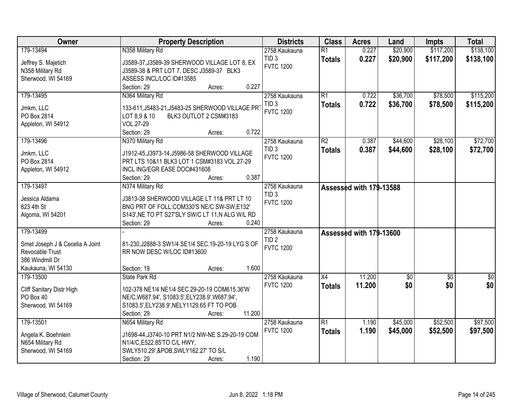| Owner                           | <b>Property Description</b>                                                                  | <b>Districts</b>                     | <b>Class</b>    | <b>Acres</b>            | Land     | <b>Impts</b> | <b>Total</b> |
|---------------------------------|----------------------------------------------------------------------------------------------|--------------------------------------|-----------------|-------------------------|----------|--------------|--------------|
| 179-13494                       | N358 Military Rd                                                                             | 2758 Kaukauna                        | $\overline{R1}$ | 0.227                   | \$20,900 | \$117,200    | \$138,100    |
| Jeffrey S. Majetich             | J3589-37, J3589-39 SHERWOOD VILLAGE LOT 8, EX                                                | TID <sub>3</sub>                     | <b>Totals</b>   | 0.227                   | \$20,900 | \$117,200    | \$138,100    |
| N358 Military Rd                | J3589-38 & PRT LOT 7, DESC J3589-37 BLK3                                                     | <b>FVTC 1200</b>                     |                 |                         |          |              |              |
| Sherwood, WI 54169              | ASSESS INCL/LOC ID#13585                                                                     |                                      |                 |                         |          |              |              |
|                                 | 0.227<br>Section: 29<br>Acres:                                                               |                                      |                 |                         |          |              |              |
| 179-13495                       | N364 Military Rd                                                                             | 2758 Kaukauna                        | $\overline{R1}$ | 0.722                   | \$36,700 | \$78,500     | \$115,200    |
| Jmkm, LLC                       | 133-611, J5483-21, J5483-25 SHERWOOD VILLAGE PR                                              | TID <sub>3</sub>                     | <b>Totals</b>   | 0.722                   | \$36,700 | \$78,500     | \$115,200    |
| PO Box 2814                     | LOT 8,9 & 10<br>BLK3 OUTLOT 2 CSM#3183                                                       | <b>FVTC 1200</b>                     |                 |                         |          |              |              |
| Appleton, WI 54912              | VOL.27-29                                                                                    |                                      |                 |                         |          |              |              |
|                                 | 0.722<br>Section: 29<br>Acres:                                                               |                                      |                 |                         |          |              |              |
| 179-13496                       | N370 Military Rd                                                                             | 2758 Kaukauna                        | $\overline{R2}$ | 0.387                   | \$44,600 | \$28,100     | \$72,700     |
|                                 |                                                                                              | TID <sub>3</sub>                     | <b>Totals</b>   | 0.387                   | \$44,600 | \$28,100     | \$72,700     |
| Jmkm, LLC<br>PO Box 2814        | J1912-45, J3973-14, J5986-58 SHERWOOD VILLAGE<br>PRT LTS 10&11 BLK3 LOT 1 CSM#3183 VOL.27-29 | <b>FVTC 1200</b>                     |                 |                         |          |              |              |
| Appleton, WI 54912              | INCL ING/EGR EASE DOC#431608                                                                 |                                      |                 |                         |          |              |              |
|                                 | 0.387<br>Section: 29<br>Acres:                                                               |                                      |                 |                         |          |              |              |
| 179-13497                       | N374 Military Rd                                                                             | 2758 Kaukauna                        |                 | Assessed with 179-13588 |          |              |              |
|                                 |                                                                                              | TID <sub>3</sub>                     |                 |                         |          |              |              |
| Jessica Aldama                  | J3813-38 SHERWOOD VILLAGE LT 11& PRT LT 10                                                   | <b>FVTC 1200</b>                     |                 |                         |          |              |              |
| 823 4th St                      | BNG PRT OF FOLL:COM330'S NE/C SW-SW,E132'                                                    |                                      |                 |                         |          |              |              |
| Algoma, WI 54201                | S143', NE TO PT S27'SLY SW/C LT 11, N ALG W/L RD                                             |                                      |                 |                         |          |              |              |
|                                 | Section: 29<br>0.240<br>Acres:                                                               |                                      |                 |                         |          |              |              |
| 179-13499                       |                                                                                              | 2758 Kaukauna                        |                 | Assessed with 179-13600 |          |              |              |
| Smet Joseph J & Cecelia A Joint | 81-230, J2888-3 SW1/4 SE1/4 SEC. 19-20-19 LYG S OF                                           | TID <sub>2</sub><br><b>FVTC 1200</b> |                 |                         |          |              |              |
| Revocable Trust                 | RR NOW DESC W/LOC ID#13600                                                                   |                                      |                 |                         |          |              |              |
| 386 Windmill Dr                 |                                                                                              |                                      |                 |                         |          |              |              |
| Kaukauna, WI 54130              | 1.600<br>Section: 19<br>Acres:                                                               |                                      |                 |                         |          |              |              |
| 179-13500                       | State Park Rd                                                                                | 2758 Kaukauna                        | $\overline{X4}$ | 11.200                  | \$0      | \$0          | $\sqrt{60}$  |
| Cliff Sanitary Distr High       | 102-378 NE1/4 NE1/4 SEC.29-20-19 COM615.36'W                                                 | <b>FVTC 1200</b>                     | <b>Totals</b>   | 11.200                  | \$0      | \$0          | \$0          |
| PO Box 40                       | NE/C, W687.94', S1083.5', ELY238.9', W687.94',                                               |                                      |                 |                         |          |              |              |
| Sherwood, WI 54169              | S1083.5', ELY238.9', NELY1129.65 FT TO POB                                                   |                                      |                 |                         |          |              |              |
|                                 | 11.200<br>Section: 29<br>Acres:                                                              |                                      |                 |                         |          |              |              |
| 179-13501                       | N654 Military Rd                                                                             | 2758 Kaukauna                        | $\overline{R1}$ | 1.190                   | \$45,000 | \$52,500     | \$97,500     |
| Angela K. Boehnlein             | J1698-44, J3740-10 PRT N1/2 NW-NE S.29-20-19 COM                                             | <b>FVTC 1200</b>                     | <b>Totals</b>   | 1.190                   | \$45,000 | \$52,500     | \$97,500     |
| N654 Military Rd                | N1/4/C, E522.85'TO C/L HWY,                                                                  |                                      |                 |                         |          |              |              |
| Sherwood, WI 54169              | SWLY510.29', & POB, SWLY162.27' TO S/L                                                       |                                      |                 |                         |          |              |              |
|                                 | 1.190<br>Section: 29<br>Acres:                                                               |                                      |                 |                         |          |              |              |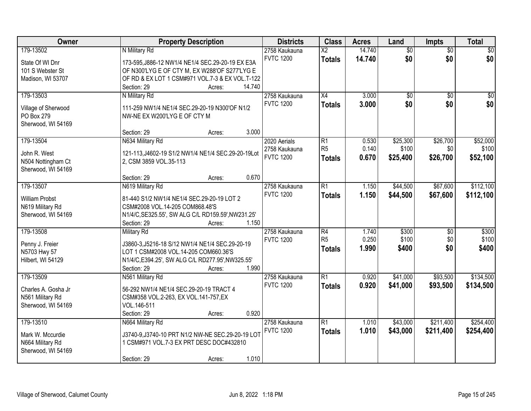| Owner                             | <b>Property Description</b>                                                                | <b>Districts</b> | <b>Class</b>    | <b>Acres</b> | Land            | <b>Impts</b>    | <b>Total</b>    |
|-----------------------------------|--------------------------------------------------------------------------------------------|------------------|-----------------|--------------|-----------------|-----------------|-----------------|
| 179-13502                         | N Military Rd                                                                              | 2758 Kaukauna    | $\overline{X2}$ | 14.740       | $\overline{50}$ | $\overline{50}$ | $\overline{30}$ |
| State Of WI Dnr                   | 173-595, J886-12 NW1/4 NE1/4 SEC.29-20-19 EX E3A                                           | <b>FVTC 1200</b> | <b>Totals</b>   | 14.740       | \$0             | \$0             | \$0             |
| 101 S Webster St                  | OF N300'LYG E OF CTY M, EX W288'OF S277'LYG E                                              |                  |                 |              |                 |                 |                 |
| Madison, WI 53707                 | OF RD & EX LOT 1 CSM#971 VOL.7-3 & EX VOL.T-122                                            |                  |                 |              |                 |                 |                 |
|                                   | 14.740<br>Section: 29<br>Acres:                                                            |                  |                 |              |                 |                 |                 |
| 179-13503                         | N Military Rd                                                                              | 2758 Kaukauna    | X4              | 3.000        | $\overline{50}$ | $\overline{50}$ | $\overline{30}$ |
|                                   |                                                                                            | <b>FVTC 1200</b> | <b>Totals</b>   | 3.000        | \$0             | \$0             | \$0             |
| Village of Sherwood               | 111-259 NW1/4 NE1/4 SEC.29-20-19 N300'OF N1/2                                              |                  |                 |              |                 |                 |                 |
| PO Box 279<br>Sherwood, WI 54169  | NW-NE EX W200'LYG E OF CTY M                                                               |                  |                 |              |                 |                 |                 |
|                                   | 3.000<br>Section: 29<br>Acres:                                                             |                  |                 |              |                 |                 |                 |
| 179-13504                         | N634 Military Rd                                                                           | 2020 Aerials     | R1              | 0.530        | \$25,300        | \$26,700        | \$52,000        |
|                                   |                                                                                            | 2758 Kaukauna    | R <sub>5</sub>  | 0.140        | \$100           | \$0             | \$100           |
| John R. West                      | 121-113, J4602-19 S1/2 NW1/4 NE1/4 SEC.29-20-19Lot                                         | <b>FVTC 1200</b> | <b>Totals</b>   | 0.670        | \$25,400        | \$26,700        | \$52,100        |
| N504 Nottingham Ct                | 2, CSM 3859 VOL.35-113                                                                     |                  |                 |              |                 |                 |                 |
| Sherwood, WI 54169                |                                                                                            |                  |                 |              |                 |                 |                 |
|                                   | 0.670<br>Section: 29<br>Acres:                                                             |                  |                 |              |                 |                 |                 |
| 179-13507                         | N619 Military Rd                                                                           | 2758 Kaukauna    | R1              | 1.150        | \$44,500        | \$67,600        | \$112,100       |
| <b>William Probst</b>             | 81-440 S1/2 NW1/4 NE1/4 SEC.29-20-19 LOT 2                                                 | <b>FVTC 1200</b> | <b>Totals</b>   | 1.150        | \$44,500        | \$67,600        | \$112,100       |
| N619 Military Rd                  | CSM#2008 VOL.14-205 COM868.48'S                                                            |                  |                 |              |                 |                 |                 |
| Sherwood, WI 54169                | N1/4/C, SE325.55', SW ALG C/L RD159.59', NW231.25'                                         |                  |                 |              |                 |                 |                 |
|                                   | 1.150<br>Section: 29<br>Acres:                                                             |                  |                 |              |                 |                 |                 |
| 179-13508                         | <b>Military Rd</b>                                                                         | 2758 Kaukauna    | $\overline{R4}$ | 1.740        | \$300           | \$0             | \$300           |
|                                   |                                                                                            | <b>FVTC 1200</b> | R <sub>5</sub>  | 0.250        | \$100           | \$0             | \$100           |
| Penny J. Freier                   | J3860-3, J5216-18 S/12 NW1/4 NE1/4 SEC.29-20-19                                            |                  | <b>Totals</b>   | 1.990        | \$400           | \$0             | \$400           |
| N5703 Hwy 57<br>Hilbert, WI 54129 | LOT 1 CSM#2008 VOL.14-205 COM660.36'S<br>N1/4/C, E394.25', SW ALG C/L RD277.95', NW325.55' |                  |                 |              |                 |                 |                 |
|                                   | 1.990<br>Section: 29<br>Acres:                                                             |                  |                 |              |                 |                 |                 |
| 179-13509                         | N561 Military Rd                                                                           | 2758 Kaukauna    | $\overline{R1}$ | 0.920        | \$41,000        | \$93,500        | \$134,500       |
|                                   |                                                                                            | <b>FVTC 1200</b> | <b>Totals</b>   | 0.920        | \$41,000        | \$93,500        | \$134,500       |
| Charles A. Gosha Jr               | 56-292 NW1/4 NE1/4 SEC.29-20-19 TRACT 4                                                    |                  |                 |              |                 |                 |                 |
| N561 Military Rd                  | CSM#358 VOL.2-263, EX VOL.141-757, EX                                                      |                  |                 |              |                 |                 |                 |
| Sherwood, WI 54169                | VOL.146-511                                                                                |                  |                 |              |                 |                 |                 |
|                                   | 0.920<br>Section: 29<br>Acres:                                                             |                  |                 |              |                 |                 |                 |
| 179-13510                         | N664 Military Rd                                                                           | 2758 Kaukauna    | R1              | 1.010        | \$43,000        | \$211,400       | \$254,400       |
| Mark W. Mccurdie                  | J3740-9,J3740-10 PRT N1/2 NW-NE SEC.29-20-19 LOT                                           | <b>FVTC 1200</b> | <b>Totals</b>   | 1.010        | \$43,000        | \$211,400       | \$254,400       |
| N664 Military Rd                  | 1 CSM#971 VOL.7-3 EX PRT DESC DOC#432810                                                   |                  |                 |              |                 |                 |                 |
| Sherwood, WI 54169                |                                                                                            |                  |                 |              |                 |                 |                 |
|                                   | 1.010<br>Section: 29<br>Acres:                                                             |                  |                 |              |                 |                 |                 |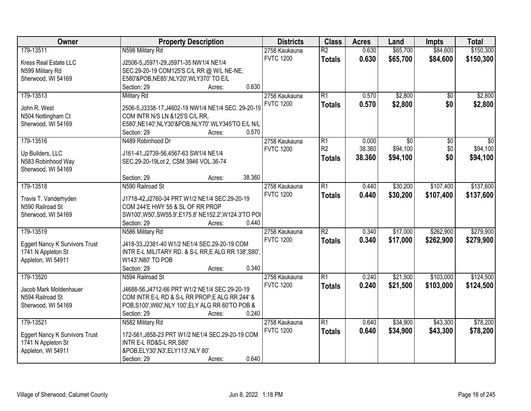| Owner                                 | <b>Property Description</b>                            | <b>Districts</b> | <b>Class</b>    | <b>Acres</b> | Land            | <b>Impts</b>    | <b>Total</b> |
|---------------------------------------|--------------------------------------------------------|------------------|-----------------|--------------|-----------------|-----------------|--------------|
| 179-13511                             | N598 Military Rd                                       | 2758 Kaukauna    | $\overline{R2}$ | 0.630        | \$65,700        | \$84,600        | \$150,300    |
| Kress Real Estate LLC                 | J2506-5, J5971-29, J5971-35 NW1/4 NE1/4                | <b>FVTC 1200</b> | <b>Totals</b>   | 0.630        | \$65,700        | \$84,600        | \$150,300    |
| N599 Military Rd                      | SEC.29-20-19 COM125'S C/L RR @ W/L NE-NE,              |                  |                 |              |                 |                 |              |
| Sherwood, WI 54169                    | E580'&POB, NE85', NLY20', WLY370' TO E/L               |                  |                 |              |                 |                 |              |
|                                       | 0.630<br>Section: 29<br>Acres:                         |                  |                 |              |                 |                 |              |
| 179-13513                             | <b>Military Rd</b>                                     | 2758 Kaukauna    | $\overline{R1}$ | 0.570        | \$2,800         | $\overline{50}$ | \$2,800      |
|                                       |                                                        | <b>FVTC 1200</b> | <b>Totals</b>   | 0.570        | \$2,800         | \$0             | \$2,800      |
| John R. West                          | 2506-5, J3338-17, J4602-19 NW1/4 NE1/4 SEC. 29-20-19   |                  |                 |              |                 |                 |              |
| N504 Nottingham Ct                    | COM INTR N/S LN & 125'S C/L RR.                        |                  |                 |              |                 |                 |              |
| Sherwood, WI 54169                    | E580', NE140', NLY30'&POB, NLY70' WLY345'TO E/L N/L    |                  |                 |              |                 |                 |              |
|                                       | 0.570<br>Section: 29<br>Acres:                         |                  |                 |              |                 |                 |              |
| 179-13516                             | N489 Robinhood Dr                                      | 2758 Kaukauna    | $\overline{R1}$ | 0.000        | $\overline{50}$ | $\overline{50}$ | \$0          |
| Up Builders, LLC                      | J161-41, J2739-56, 4567-63 SW1/4 NE1/4                 | <b>FVTC 1200</b> | R2              | 38.360       | \$94,100        | \$0             | \$94,100     |
| N583 Robinhood Way                    | SEC.29-20-19Lot 2, CSM 3946 VOL.36-74                  |                  | <b>Totals</b>   | 38.360       | \$94,100        | \$0             | \$94,100     |
| Sherwood, WI 54169                    |                                                        |                  |                 |              |                 |                 |              |
|                                       | 38.360<br>Section: 29<br>Acres:                        |                  |                 |              |                 |                 |              |
| 179-13518                             | N590 Railroad St                                       | 2758 Kaukauna    | $\overline{R1}$ | 0.440        | \$30,200        | \$107,400       | \$137,600    |
|                                       |                                                        | <b>FVTC 1200</b> | <b>Totals</b>   | 0.440        | \$30,200        | \$107,400       | \$137,600    |
| Travis T. Vanderhyden                 | J1718-42, J2760-34 PRT W1/2 NE1/4 SEC. 29-20-19        |                  |                 |              |                 |                 |              |
| N590 Railroad St                      | COM 244'E HWY 55 & SL OF RR PROP                       |                  |                 |              |                 |                 |              |
| Sherwood, WI 54169                    | SW100', W50', SW55.9', E175.8' NE152.2', W124.3'TO POI |                  |                 |              |                 |                 |              |
|                                       | 0.440<br>Section: 29<br>Acres:                         |                  |                 |              |                 |                 |              |
| 179-13519                             | N586 Military Rd                                       | 2758 Kaukauna    | $\overline{R2}$ | 0.340        | \$17,000        | \$262,900       | \$279,900    |
| <b>Eggert Nancy K Survivors Trust</b> | J418-33, J2381-40 W1/2 NE1/4 SEC.29-20-19 COM          | <b>FVTC 1200</b> | <b>Totals</b>   | 0.340        | \$17,000        | \$262,900       | \$279,900    |
| 1741 N Appleton St                    | INTR E-L MILITARY RD. & S-L RR, E ALG RR 138', S80',   |                  |                 |              |                 |                 |              |
| Appleton, WI 54911                    | W143', N80' TO POB                                     |                  |                 |              |                 |                 |              |
|                                       | Section: 29<br>0.340<br>Acres:                         |                  |                 |              |                 |                 |              |
| 179-13520                             | N594 Railroad St                                       | 2758 Kaukauna    | $\overline{R1}$ | 0.240        | \$21,500        | \$103,000       | \$124,500    |
|                                       |                                                        | <b>FVTC 1200</b> | <b>Totals</b>   | 0.240        | \$21,500        | \$103,000       | \$124,500    |
| Jacob Mark Moldenhauer                | J4688-56, J4712-66 PRT W1/2 NE1/4 SEC 29-20-19         |                  |                 |              |                 |                 |              |
| N594 Railroad St                      | COM INTR E-L RD & S-L RR PROP, E ALG RR 244' &         |                  |                 |              |                 |                 |              |
| Sherwood, WI 54169                    | POB, \$100', W60', NLY 100', ELY ALG RR 60'TO POB &    |                  |                 |              |                 |                 |              |
|                                       | Section: 29<br>0.240<br>Acres:                         |                  |                 |              |                 |                 |              |
| 179-13521                             | N582 Military Rd                                       | 2758 Kaukauna    | $\overline{R1}$ | 0.640        | \$34,900        | \$43,300        | \$78,200     |
| Eggert Nancy K Survivors Trust        | 172-561, J858-23 PRT W1/2 NE1/4 SEC.29-20-19 COM       | <b>FVTC 1200</b> | <b>Totals</b>   | 0.640        | \$34,900        | \$43,300        | \$78,200     |
| 1741 N Appleton St                    | INTR E-L RD&S-L RR, S80'                               |                  |                 |              |                 |                 |              |
| Appleton, WI 54911                    | &POB,ELY30',N3',ELY113',NLY 80'                        |                  |                 |              |                 |                 |              |
|                                       | 0.640<br>Section: 29<br>Acres:                         |                  |                 |              |                 |                 |              |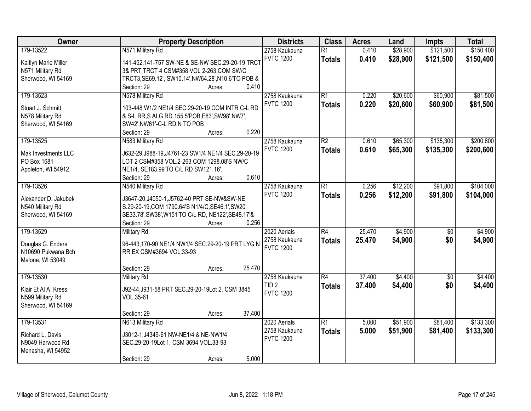| Owner                | <b>Property Description</b>                                    | <b>Districts</b> | <b>Class</b>    | <b>Acres</b> | Land     | <b>Impts</b>    | <b>Total</b> |
|----------------------|----------------------------------------------------------------|------------------|-----------------|--------------|----------|-----------------|--------------|
| 179-13522            | N571 Military Rd                                               | 2758 Kaukauna    | $\overline{R1}$ | 0.410        | \$28,900 | \$121,500       | \$150,400    |
| Kaitlyn Marie Miller | 141-452,141-757 SW-NE & SE-NW SEC.29-20-19 TRCT                | <b>FVTC 1200</b> | <b>Totals</b>   | 0.410        | \$28,900 | \$121,500       | \$150,400    |
| N571 Military Rd     | 3& PRT TRCT 4 CSM#358 VOL 2-263, COM SW/C                      |                  |                 |              |          |                 |              |
| Sherwood, WI 54169   | TRCT3, SE69.12', SW10.14', NW64.28', N10.6'TO POB &            |                  |                 |              |          |                 |              |
|                      | 0.410<br>Section: 29<br>Acres:                                 |                  |                 |              |          |                 |              |
| 179-13523            | N578 Military Rd                                               | 2758 Kaukauna    | $\overline{R1}$ | 0.220        | \$20,600 | \$60,900        | \$81,500     |
|                      |                                                                | <b>FVTC 1200</b> | <b>Totals</b>   | 0.220        | \$20,600 | \$60,900        | \$81,500     |
| Stuart J. Schmitt    | 103-448 W1/2 NE1/4 SEC.29-20-19 COM INTR C-L RD                |                  |                 |              |          |                 |              |
| N578 Military Rd     | & S-L RR, S ALG RD 155.5'POB, E83', SW98', NW7',               |                  |                 |              |          |                 |              |
| Sherwood, WI 54169   | SW42', NW61'-C-L RD, N TO POB                                  |                  |                 |              |          |                 |              |
|                      | 0.220<br>Section: 29<br>Acres:                                 |                  |                 |              |          |                 |              |
| 179-13525            | N583 Military Rd                                               | 2758 Kaukauna    | $\overline{R2}$ | 0.610        | \$65,300 | \$135,300       | \$200,600    |
| Mak Investments LLC  | J632-29, J988-19, J4761-23 SW1/4 NE1/4 SEC. 29-20-19           | <b>FVTC 1200</b> | <b>Totals</b>   | 0.610        | \$65,300 | \$135,300       | \$200,600    |
| PO Box 1681          | LOT 2 CSM#358 VOL.2-263 COM 1298.08'S NW/C                     |                  |                 |              |          |                 |              |
| Appleton, WI 54912   | NE1/4, SE183.99'TO C/L RD SW121.16',                           |                  |                 |              |          |                 |              |
|                      | 0.610<br>Section: 29<br>Acres:                                 |                  |                 |              |          |                 |              |
| 179-13526            | N540 Military Rd                                               | 2758 Kaukauna    | $\overline{R1}$ | 0.256        | \$12,200 | \$91,800        | \$104,000    |
|                      |                                                                | <b>FVTC 1200</b> | <b>Totals</b>   | 0.256        | \$12,200 | \$91,800        | \$104,000    |
| Alexander D. Jakubek | J3647-20, J4050-1, J5762-40 PRT SE-NW&SW-NE                    |                  |                 |              |          |                 |              |
| N540 Military Rd     | S.29-20-19, COM 1790.64'S N1/4/C, SE46.1', SW20'               |                  |                 |              |          |                 |              |
| Sherwood, WI 54169   | SE33.78', SW38', W151'TO C/L RD, NE122', SE48.17'&             |                  |                 |              |          |                 |              |
|                      | 0.256<br>Section: 29<br>Acres:                                 |                  |                 |              |          |                 |              |
| 179-13529            | <b>Military Rd</b>                                             | 2020 Aerials     | $\overline{R4}$ | 25.470       | \$4,900  | $\overline{50}$ | \$4,900      |
| Douglas G. Enders    | 96-443,170-90 NE1/4 NW1/4 SEC.29-20-19 PRT LYG N               | 2758 Kaukauna    | <b>Totals</b>   | 25.470       | \$4,900  | \$0             | \$4,900      |
| N10690 Pukwana Bch   | RR EX CSM#3694 VOL.33-93                                       | <b>FVTC 1200</b> |                 |              |          |                 |              |
| Malone, WI 53049     |                                                                |                  |                 |              |          |                 |              |
|                      | 25.470<br>Section: 29<br>Acres:                                |                  |                 |              |          |                 |              |
| 179-13530            | <b>Military Rd</b>                                             | 2758 Kaukauna    | $\overline{R4}$ | 37.400       | \$4,400  | $\overline{60}$ | \$4,400      |
|                      |                                                                | TID <sub>2</sub> | <b>Totals</b>   | 37.400       | \$4,400  | \$0             | \$4,400      |
| Klair Et Al A. Kress | J92-44, J931-58 PRT SEC. 29-20-19 Lot 2, CSM 3845<br>VOL.35-61 | <b>FVTC 1200</b> |                 |              |          |                 |              |
| N599 Military Rd     |                                                                |                  |                 |              |          |                 |              |
| Sherwood, WI 54169   | 37.400                                                         |                  |                 |              |          |                 |              |
| 179-13531            | Section: 29<br>Acres:                                          |                  | $\overline{R1}$ |              | \$51,900 | \$81,400        | \$133,300    |
|                      | N613 Military Rd                                               | 2020 Aerials     |                 | 5.000        |          |                 |              |
| Richard L. Davis     | J3012-1, J4349-61 NW-NE1/4 & NE-NW1/4                          | 2758 Kaukauna    | <b>Totals</b>   | 5.000        | \$51,900 | \$81,400        | \$133,300    |
| N9049 Harwood Rd     | SEC.29-20-19Lot 1, CSM 3694 VOL.33-93                          | <b>FVTC 1200</b> |                 |              |          |                 |              |
| Menasha, WI 54952    |                                                                |                  |                 |              |          |                 |              |
|                      | 5.000<br>Section: 29<br>Acres:                                 |                  |                 |              |          |                 |              |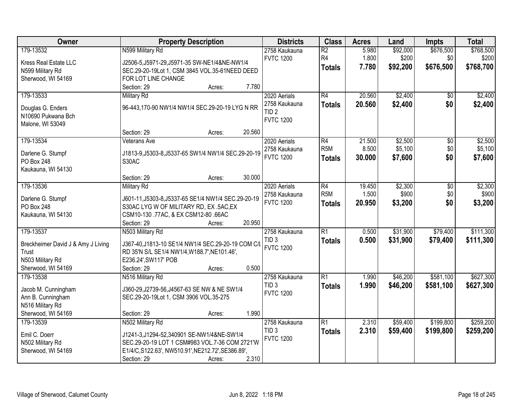| Owner                                   | <b>Property Description</b>                         | <b>Districts</b> | <b>Class</b>     | <b>Acres</b> | Land     | Impts           | <b>Total</b> |
|-----------------------------------------|-----------------------------------------------------|------------------|------------------|--------------|----------|-----------------|--------------|
| 179-13532                               | N599 Military Rd                                    | 2758 Kaukauna    | $\overline{R2}$  | 5.980        | \$92,000 | \$676,500       | \$768,500    |
| Kress Real Estate LLC                   | J2506-5, J5971-29, J5971-35 SW-NE1/4&NE-NW1/4       | <b>FVTC 1200</b> | R4               | 1.800        | \$200    | \$0             | \$200        |
| N599 Military Rd                        | SEC.29-20-19Lot 1, CSM 3845 VOL.35-61NEED DEED      |                  | <b>Totals</b>    | 7.780        | \$92,200 | \$676,500       | \$768,700    |
| Sherwood, WI 54169                      | FOR LOT LINE CHANGE                                 |                  |                  |              |          |                 |              |
|                                         | 7.780<br>Section: 29<br>Acres:                      |                  |                  |              |          |                 |              |
| 179-13533                               | <b>Military Rd</b>                                  | 2020 Aerials     | R4               | 20.560       | \$2,400  | $\overline{50}$ | \$2,400      |
|                                         | 96-443,170-90 NW1/4 NW1/4 SEC.29-20-19 LYG N RR     | 2758 Kaukauna    | <b>Totals</b>    | 20.560       | \$2,400  | \$0             | \$2,400      |
| Douglas G. Enders<br>N10690 Pukwana Bch |                                                     | TID <sub>2</sub> |                  |              |          |                 |              |
| Malone, WI 53049                        |                                                     | <b>FVTC 1200</b> |                  |              |          |                 |              |
|                                         | 20.560<br>Section: 29<br>Acres:                     |                  |                  |              |          |                 |              |
| 179-13534                               | Veterans Ave                                        | 2020 Aerials     | R4               | 21.500       | \$2,500  | \$0             | \$2,500      |
|                                         |                                                     | 2758 Kaukauna    | R <sub>5</sub> M | 8.500        | \$5,100  | \$0             | \$5,100      |
| Darlene G. Stumpf                       | J1813-9, J5303-8, J5337-65 SW1/4 NW1/4 SEC.29-20-19 | <b>FVTC 1200</b> | Totals           | 30.000       | \$7,600  | \$0             | \$7,600      |
| PO Box 248                              | S30AC                                               |                  |                  |              |          |                 |              |
| Kaukauna, WI 54130                      |                                                     |                  |                  |              |          |                 |              |
|                                         | 30.000<br>Section: 29<br>Acres:                     |                  |                  |              |          |                 |              |
| 179-13536                               | <b>Military Rd</b>                                  | 2020 Aerials     | R4               | 19.450       | \$2,300  | \$0             | \$2,300      |
| Darlene G. Stumpf                       | J601-11, J5303-8, J5337-65 SE1/4 NW1/4 SEC.29-20-19 | 2758 Kaukauna    | R <sub>5M</sub>  | 1.500        | \$900    | \$0             | \$900        |
| PO Box 248                              | S30AC LYG W OF MILITARY RD, EX .5AC, EX             | <b>FVTC 1200</b> | <b>Totals</b>    | 20.950       | \$3,200  | \$0             | \$3,200      |
| Kaukauna, WI 54130                      | CSM10-130 .77AC, & EX CSM12-80 .66AC                |                  |                  |              |          |                 |              |
|                                         | 20.950<br>Section: 29<br>Acres:                     |                  |                  |              |          |                 |              |
| 179-13537                               | N503 Military Rd                                    | 2758 Kaukauna    | $\overline{R1}$  | 0.500        | \$31,900 | \$79,400        | \$111,300    |
| Breckheimer David J & Amy J Living      | J367-40, J1813-10 SE1/4 NW1/4 SEC. 29-20-19 COM C/L | TID <sub>3</sub> | <b>Totals</b>    | 0.500        | \$31,900 | \$79,400        | \$111,300    |
| Trust                                   | RD 35'N S/L SE1/4 NW1/4, W188.7', NE101.46',        | <b>FVTC 1200</b> |                  |              |          |                 |              |
| N503 Military Rd                        | E236.24', SW117' POB                                |                  |                  |              |          |                 |              |
| Sherwood, WI 54169                      | 0.500<br>Section: 29<br>Acres:                      |                  |                  |              |          |                 |              |
| 179-13538                               | N516 Military Rd                                    | 2758 Kaukauna    | R1               | 1.990        | \$46,200 | \$581,100       | \$627,300    |
|                                         |                                                     | TID <sub>3</sub> | <b>Totals</b>    | 1.990        | \$46,200 | \$581,100       | \$627,300    |
| Jacob M. Cunningham                     | J360-29, J2739-56, J4567-63 SE NW & NE SW1/4        | <b>FVTC 1200</b> |                  |              |          |                 |              |
| Ann B. Cunningham                       | SEC.29-20-19Lot 1, CSM 3906 VOL.35-275              |                  |                  |              |          |                 |              |
| N516 Military Rd                        |                                                     |                  |                  |              |          |                 |              |
| Sherwood, WI 54169                      | 1.990<br>Section: 29<br>Acres:                      |                  |                  |              |          |                 |              |
| 179-13539                               | N502 Military Rd                                    | 2758 Kaukauna    | R1               | 2.310        | \$59,400 | \$199,800       | \$259,200    |
| Emil C. Doerr                           | J1241-3,J1294-52,340901 SE-NW1/4&NE-SW1/4           | TID <sub>3</sub> | <b>Totals</b>    | 2.310        | \$59,400 | \$199,800       | \$259,200    |
| N502 Military Rd                        | SEC.29-20-19 LOT 1 CSM#983 VOL.7-36 COM 2721'W      | <b>FVTC 1200</b> |                  |              |          |                 |              |
| Sherwood, WI 54169                      | E1/4/C,S122.63', NW510.91', NE212.72', SE386.89',   |                  |                  |              |          |                 |              |
|                                         | 2.310<br>Section: 29<br>Acres:                      |                  |                  |              |          |                 |              |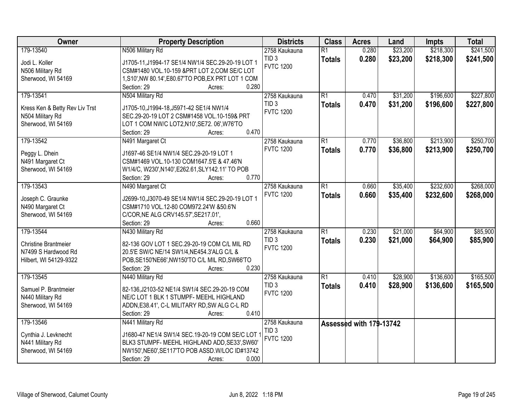| Owner                          | <b>Property Description</b>                            | <b>Districts</b>                     | <b>Class</b>    | <b>Acres</b>            | Land     | <b>Impts</b> | <b>Total</b> |
|--------------------------------|--------------------------------------------------------|--------------------------------------|-----------------|-------------------------|----------|--------------|--------------|
| 179-13540                      | N506 Military Rd                                       | 2758 Kaukauna                        | $\overline{R1}$ | 0.280                   | \$23,200 | \$218,300    | \$241,500    |
| Jodi L. Koller                 | J1705-11, J1994-17 SE1/4 NW1/4 SEC.29-20-19 LOT 1      | TID <sub>3</sub>                     | <b>Totals</b>   | 0.280                   | \$23,200 | \$218,300    | \$241,500    |
| N506 Military Rd               | CSM#1480 VOL.10-159 &PRT LOT 2,COM SE/C LOT            | <b>FVTC 1200</b>                     |                 |                         |          |              |              |
| Sherwood, WI 54169             | 1, S10', NW 80.14', E80.67'TO POB, EX PRT LOT 1 COM    |                                      |                 |                         |          |              |              |
|                                | 0.280<br>Section: 29<br>Acres:                         |                                      |                 |                         |          |              |              |
| 179-13541                      | N504 Military Rd                                       | 2758 Kaukauna                        | R1              | 0.470                   | \$31,200 | \$196,600    | \$227,800    |
|                                |                                                        | TID <sub>3</sub>                     | <b>Totals</b>   | 0.470                   | \$31,200 | \$196,600    | \$227,800    |
| Kress Ken & Betty Rev Liv Trst | J1705-10, J1994-18, J5971-42 SE1/4 NW1/4               | <b>FVTC 1200</b>                     |                 |                         |          |              |              |
| N504 Military Rd               | SEC.29-20-19 LOT 2 CSM#1458 VOL.10-159& PRT            |                                      |                 |                         |          |              |              |
| Sherwood, WI 54169             | LOT 1 COM NW/C LOT2, N10', SE72. 06', W76'TO<br>0.470  |                                      |                 |                         |          |              |              |
|                                | Section: 29<br>Acres:                                  |                                      |                 |                         |          |              |              |
| 179-13542                      | N491 Margaret Ct                                       | 2758 Kaukauna                        | $\overline{R1}$ | 0.770                   | \$36,800 | \$213,900    | \$250,700    |
| Peggy L. Dhein                 | J1697-46 SE1/4 NW1/4 SEC.29-20-19 LOT 1                | <b>FVTC 1200</b>                     | <b>Totals</b>   | 0.770                   | \$36,800 | \$213,900    | \$250,700    |
| N491 Margaret Ct               | CSM#1469 VOL.10-130 COM1647.5'E & 47.46'N              |                                      |                 |                         |          |              |              |
| Sherwood, WI 54169             | W1/4/C, W230', N140', E262.61, SLY142.11' TO POB       |                                      |                 |                         |          |              |              |
|                                | 0.770<br>Section: 29<br>Acres:                         |                                      |                 |                         |          |              |              |
| 179-13543                      | N490 Margaret Ct                                       | 2758 Kaukauna                        | $\overline{R1}$ | 0.660                   | \$35,400 | \$232,600    | \$268,000    |
|                                |                                                        | <b>FVTC 1200</b>                     | <b>Totals</b>   | 0.660                   | \$35,400 | \$232,600    | \$268,000    |
| Joseph C. Graunke              | J2699-10, J3070-49 SE1/4 NW1/4 SEC.29-20-19 LOT 1      |                                      |                 |                         |          |              |              |
| N490 Margaret Ct               | CSM#1710 VOL.12-80 COM972.24'W &50.6'N                 |                                      |                 |                         |          |              |              |
| Sherwood, WI 54169             | C/COR, NE ALG CRV145.57', SE217.01',<br>0.660          |                                      |                 |                         |          |              |              |
|                                | Section: 29<br>Acres:                                  |                                      | $\overline{R1}$ |                         |          |              |              |
| 179-13544                      | N430 Military Rd                                       | 2758 Kaukauna                        |                 | 0.230                   | \$21,000 | \$64,900     | \$85,900     |
| <b>Christine Brantmeier</b>    | 82-136 GOV LOT 1 SEC.29-20-19 COM C/L MIL RD           | TID <sub>3</sub>                     | <b>Totals</b>   | 0.230                   | \$21,000 | \$64,900     | \$85,900     |
| N7499 S Hardwood Rd            | 20.5'E SW/C NE/14 SW1/4, NE454.3'ALG C/L &             | <b>FVTC 1200</b>                     |                 |                         |          |              |              |
| Hilbert, WI 54129-9322         | POB, SE150'NE66', NW150'TO C/L MIL RD, SW66'TO         |                                      |                 |                         |          |              |              |
|                                | 0.230<br>Section: 29<br>Acres:                         |                                      |                 |                         |          |              |              |
| 179-13545                      | N440 Military Rd                                       | 2758 Kaukauna                        | R1              | 0.410                   | \$28,900 | \$136,600    | \$165,500    |
| Samuel P. Brantmeier           | 82-136, J2103-52 NE1/4 SW1/4 SEC. 29-20-19 COM         | TID <sub>3</sub>                     | <b>Totals</b>   | 0.410                   | \$28,900 | \$136,600    | \$165,500    |
|                                | NE/C LOT 1 BLK 1 STUMPF- MEEHL HIGHLAND                | <b>FVTC 1200</b>                     |                 |                         |          |              |              |
| N440 Military Rd               |                                                        |                                      |                 |                         |          |              |              |
| Sherwood, WI 54169             | ADDN, E38.41', C-L MILITARY RD, SW ALG C-L RD<br>0.410 |                                      |                 |                         |          |              |              |
|                                | Section: 29<br>Acres:                                  |                                      |                 |                         |          |              |              |
| 179-13546                      | N441 Military Rd                                       | 2758 Kaukauna                        |                 | Assessed with 179-13742 |          |              |              |
| Cynthia J. Levknecht           | J1680-47 NE1/4 SW1/4 SEC.19-20-19 COM SE/C LOT         | TID <sub>3</sub><br><b>FVTC 1200</b> |                 |                         |          |              |              |
| N441 Military Rd               | BLK3 STUMPF- MEEHL HIGHLAND ADD, SE33', SW60'          |                                      |                 |                         |          |              |              |
| Sherwood, WI 54169             | NW150', NE60', SE117'TO POB ASSD. W/LOC ID#13742       |                                      |                 |                         |          |              |              |
|                                | 0.000<br>Section: 29<br>Acres:                         |                                      |                 |                         |          |              |              |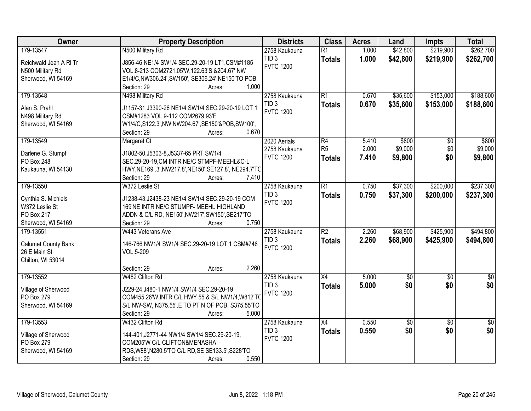| Owner                      | <b>Property Description</b>                                                              | <b>Districts</b> | <b>Class</b>    | <b>Acres</b> | Land        | <b>Impts</b>    | <b>Total</b>     |
|----------------------------|------------------------------------------------------------------------------------------|------------------|-----------------|--------------|-------------|-----------------|------------------|
| 179-13547                  | N500 Military Rd                                                                         | 2758 Kaukauna    | $\overline{R1}$ | 1.000        | \$42,800    | \$219,900       | \$262,700        |
| Reichwald Jean A RI Tr     | J856-46 NE1/4 SW1/4 SEC.29-20-19 LT1, CSM#1185                                           | TID <sub>3</sub> | <b>Totals</b>   | 1.000        | \$42,800    | \$219,900       | \$262,700        |
| N500 Military Rd           | VOL.8-213 COM2721.05'W,122.63'S &204.67' NW                                              | <b>FVTC 1200</b> |                 |              |             |                 |                  |
| Sherwood, WI 54169         | E1/4/C,NW306.24',SW150', SE306.24',NE150'TO POB                                          |                  |                 |              |             |                 |                  |
|                            | 1.000<br>Section: 29<br>Acres:                                                           |                  |                 |              |             |                 |                  |
| 179-13548                  | N498 Military Rd                                                                         | 2758 Kaukauna    | $\overline{R1}$ | 0.670        | \$35,600    | \$153,000       | \$188,600        |
| Alan S. Prahl              | J1157-31, J3390-26 NE1/4 SW1/4 SEC.29-20-19 LOT 1                                        | TID <sub>3</sub> | <b>Totals</b>   | 0.670        | \$35,600    | \$153,000       | \$188,600        |
| N498 Military Rd           | CSM#1283 VOL.9-112 COM2679.93'E                                                          | <b>FVTC 1200</b> |                 |              |             |                 |                  |
| Sherwood, WI 54169         | W1/4/C,S122.3',NW NW204.67',SE150'&POB,SW100',                                           |                  |                 |              |             |                 |                  |
|                            | 0.670<br>Section: 29<br>Acres:                                                           |                  |                 |              |             |                 |                  |
| 179-13549                  | Margaret Ct                                                                              | 2020 Aerials     | R4              | 5.410        | \$800       | \$0             | \$800            |
|                            |                                                                                          | 2758 Kaukauna    | R <sub>5</sub>  | 2.000        | \$9,000     | \$0             | \$9,000          |
| Darlene G. Stumpf          | J1802-50, J5303-8, J5337-65 PRT SW1/4                                                    | <b>FVTC 1200</b> | <b>Totals</b>   | 7.410        | \$9,800     | \$0             | \$9,800          |
| <b>PO Box 248</b>          | SEC.29-20-19,CM INTR NE/C STMPF-MEEHL&C-L                                                |                  |                 |              |             |                 |                  |
| Kaukauna, WI 54130         | HWY, NE169 .3', NW217.8', NE150', SE127.8', NE294.7'TC<br>Section: 29<br>7.410<br>Acres: |                  |                 |              |             |                 |                  |
| 179-13550                  | W372 Leslie St                                                                           | 2758 Kaukauna    | $\overline{R1}$ | 0.750        | \$37,300    | \$200,000       | \$237,300        |
|                            |                                                                                          | TID <sub>3</sub> |                 |              |             |                 |                  |
| Cynthia S. Michiels        | J1238-43, J2438-23 NE1/4 SW1/4 SEC. 29-20-19 COM                                         | <b>FVTC 1200</b> | <b>Totals</b>   | 0.750        | \$37,300    | \$200,000       | \$237,300        |
| W372 Leslie St             | 169'NE INTR NE/C STUMPF- MEEHL HIGHLAND                                                  |                  |                 |              |             |                 |                  |
| <b>PO Box 217</b>          | ADDN & C/L RD, NE150', NW217', SW150', SE217'TO                                          |                  |                 |              |             |                 |                  |
| Sherwood, WI 54169         | 0.750<br>Section: 29<br>Acres:                                                           |                  |                 |              |             |                 |                  |
| 179-13551                  | W443 Veterans Ave                                                                        | 2758 Kaukauna    | $\overline{R2}$ | 2.260        | \$68,900    | \$425,900       | \$494,800        |
| <b>Calumet County Bank</b> | 146-766 NW1/4 SW1/4 SEC.29-20-19 LOT 1 CSM#746                                           | TID <sub>3</sub> | <b>Totals</b>   | 2.260        | \$68,900    | \$425,900       | \$494,800        |
| 26 E Main St               | VOL.5-209                                                                                | <b>FVTC 1200</b> |                 |              |             |                 |                  |
| Chilton, WI 53014          |                                                                                          |                  |                 |              |             |                 |                  |
|                            | 2.260<br>Section: 29<br>Acres:                                                           |                  |                 |              |             |                 |                  |
| 179-13552                  | W482 Clifton Rd                                                                          | 2758 Kaukauna    | $\overline{X4}$ | 5.000        | $\sqrt{50}$ | $\overline{50}$ | $\overline{\$0}$ |
| Village of Sherwood        | J229-24, J480-1 NW1/4 SW1/4 SEC.29-20-19                                                 | TID <sub>3</sub> | <b>Totals</b>   | 5.000        | \$0         | \$0             | \$0              |
| PO Box 279                 | COM455.26'W INTR C/L HWY 55 & S/L NW1/4, W812'TO                                         | <b>FVTC 1200</b> |                 |              |             |                 |                  |
| Sherwood, WI 54169         | S/L NW-SW, N375.55', E TO PT N OF POB, S375.55'TO                                        |                  |                 |              |             |                 |                  |
|                            | 5.000<br>Section: 29<br>Acres:                                                           |                  |                 |              |             |                 |                  |
| 179-13553                  | W432 Clifton Rd                                                                          | 2758 Kaukauna    | $\overline{X4}$ | 0.550        | $\sqrt{50}$ | $\overline{50}$ | $\overline{50}$  |
|                            |                                                                                          | TID <sub>3</sub> | <b>Totals</b>   | 0.550        | \$0         | \$0             | \$0              |
| Village of Sherwood        | 144-401, J2771-44 NW1/4 SW1/4 SEC.29-20-19,                                              | <b>FVTC 1200</b> |                 |              |             |                 |                  |
| PO Box 279                 | COM205'W C/L CLIFTON&MENASHA                                                             |                  |                 |              |             |                 |                  |
| Sherwood, WI 54169         | RDS, W88', N280.5'TO C/L RD, SE SE133.5', S228'TO<br>0.550                               |                  |                 |              |             |                 |                  |
|                            | Section: 29<br>Acres:                                                                    |                  |                 |              |             |                 |                  |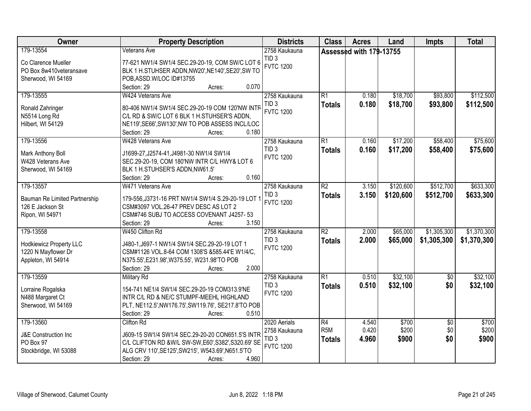| Owner                           | <b>Property Description</b>                                                        | <b>Districts</b> | <b>Class</b>     | <b>Acres</b>            | Land      | Impts           | <b>Total</b> |
|---------------------------------|------------------------------------------------------------------------------------|------------------|------------------|-------------------------|-----------|-----------------|--------------|
| 179-13554                       | <b>Veterans Ave</b>                                                                | 2758 Kaukauna    |                  | Assessed with 179-13755 |           |                 |              |
| Co Clarence Mueller             | 77-621 NW1/4 SW1/4 SEC.29-20-19, COM SW/C LOT 6                                    | TID <sub>3</sub> |                  |                         |           |                 |              |
| PO Box 8w410veteransave         | BLK 1 H.STUHSER ADDN, NW20', NE140', SE20', SW TO                                  | <b>FVTC 1200</b> |                  |                         |           |                 |              |
| Sherwood, WI 54169              | POB, ASSD. W/LOC ID#13755                                                          |                  |                  |                         |           |                 |              |
|                                 | 0.070<br>Section: 29<br>Acres:                                                     |                  |                  |                         |           |                 |              |
| 179-13555                       | W424 Veterans Ave                                                                  | 2758 Kaukauna    | $\overline{R1}$  | 0.180                   | \$18,700  | \$93,800        | \$112,500    |
|                                 |                                                                                    | TID <sub>3</sub> | <b>Totals</b>    | 0.180                   | \$18,700  | \$93,800        | \$112,500    |
| Ronald Zahringer                | 80-406 NW1/4 SW1/4 SEC.29-20-19 COM 120'NW INTR                                    | <b>FVTC 1200</b> |                  |                         |           |                 |              |
| N5514 Long Rd                   | C/L RD & SW/C LOT 6 BLK 1 H.STUHSER'S ADDN,                                        |                  |                  |                         |           |                 |              |
| Hilbert, WI 54129               | NE119', SE66', SW130', NW TO POB ASSESS INCL/LOC<br>0.180<br>Section: 29<br>Acres: |                  |                  |                         |           |                 |              |
| 179-13556                       | W428 Veterans Ave                                                                  | 2758 Kaukauna    | R1               | 0.160                   | \$17,200  | \$58,400        | \$75,600     |
|                                 |                                                                                    | TID <sub>3</sub> |                  |                         |           |                 |              |
| Mark Anthony Boll               | J1699-27, J2574-41, J4981-30 NW1/4 SW1/4                                           | <b>FVTC 1200</b> | <b>Totals</b>    | 0.160                   | \$17,200  | \$58,400        | \$75,600     |
| W428 Veterans Ave               | SEC.29-20-19, COM 180'NW INTR C/L HWY& LOT 6                                       |                  |                  |                         |           |                 |              |
| Sherwood, WI 54169              | BLK 1 H.STUHSER'S ADDN, NW61.5'                                                    |                  |                  |                         |           |                 |              |
|                                 | 0.160<br>Section: 29<br>Acres:                                                     |                  |                  |                         |           |                 |              |
| 179-13557                       | W471 Veterans Ave                                                                  | 2758 Kaukauna    | $\overline{R2}$  | 3.150                   | \$120,600 | \$512,700       | \$633,300    |
| Bauman Re Limited Partnership   | 179-556, J3731-16 PRT NW1/4 SW1/4 S.29-20-19 LOT 1                                 | TID <sub>3</sub> | <b>Totals</b>    | 3.150                   | \$120,600 | \$512,700       | \$633,300    |
| 126 E Jackson St                | CSM#3097 VOL.26-47 PREV DESC AS LOT 2                                              | <b>FVTC 1200</b> |                  |                         |           |                 |              |
| Ripon, WI 54971                 | CSM#746 SUBJ TO ACCESS COVENANT J4257-53                                           |                  |                  |                         |           |                 |              |
|                                 | 3.150<br>Section: 29<br>Acres:                                                     |                  |                  |                         |           |                 |              |
| 179-13558                       | W450 Clifton Rd                                                                    | 2758 Kaukauna    | $\overline{R2}$  | 2.000                   | \$65,000  | \$1,305,300     | \$1,370,300  |
|                                 |                                                                                    | TID <sub>3</sub> | <b>Totals</b>    | 2.000                   | \$65,000  | \$1,305,300     | \$1,370,300  |
| <b>Hodkiewicz Property LLC</b>  | J480-1, J697-1 NW1/4 SW1/4 SEC. 29-20-19 LOT 1                                     | <b>FVTC 1200</b> |                  |                         |           |                 |              |
| 1220 N Mayflower Dr             | CSM#1126 VOL.8-64 COM 1308'S &585.44'E W1/4/C,                                     |                  |                  |                         |           |                 |              |
| Appleton, WI 54914              | N375.55', E231.98', W375.55', W231.98'TO POB                                       |                  |                  |                         |           |                 |              |
|                                 | 2.000<br>Section: 29<br>Acres:                                                     |                  |                  |                         |           |                 |              |
| 179-13559                       | Military Rd                                                                        | 2758 Kaukauna    | $\overline{R1}$  | 0.510                   | \$32,100  | $\overline{50}$ | \$32,100     |
| Lorraine Rogalska               | 154-741 NE1/4 SW1/4 SEC.29-20-19 COM313.9'NE                                       | TID <sub>3</sub> | <b>Totals</b>    | 0.510                   | \$32,100  | \$0             | \$32,100     |
| N488 Margaret Ct                | INTR C/L RD & NE/C STUMPF-MEEHL HIGHLAND                                           | <b>FVTC 1200</b> |                  |                         |           |                 |              |
| Sherwood, WI 54169              | PLT, NE112.5', NW176.75', SW119.76', SE217.8'TO POB                                |                  |                  |                         |           |                 |              |
|                                 | 0.510<br>Section: 29<br>Acres:                                                     |                  |                  |                         |           |                 |              |
| 179-13560                       | <b>Clifton Rd</b>                                                                  | 2020 Aerials     | $\overline{R4}$  | 4.540                   | \$700     | $\overline{50}$ | \$700        |
| <b>J&amp;E Construction Inc</b> | J609-15 SW1/4 SW1/4 SEC.29-20-20 CON651.5'S INTR                                   | 2758 Kaukauna    | R <sub>5</sub> M | 0.420                   | \$200     | \$0             | \$200        |
| PO Box 97                       | C/L CLIFTON RD &W/L SW-SW, E60', S382', S320.69' SE                                | TID <sub>3</sub> | <b>Totals</b>    | 4.960                   | \$900     | \$0             | \$900        |
| Stockbridge, WI 53088           | ALG CRV 110', SE125', SW215', W543.69', N651.5'TO                                  | <b>FVTC 1200</b> |                  |                         |           |                 |              |
|                                 | 4.960<br>Section: 29<br>Acres:                                                     |                  |                  |                         |           |                 |              |
|                                 |                                                                                    |                  |                  |                         |           |                 |              |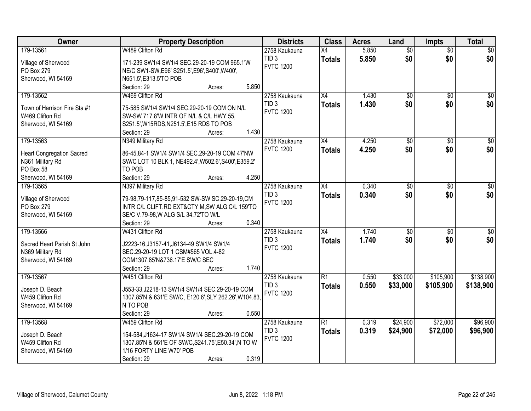| Owner                            | <b>Property Description</b>                            | <b>Districts</b> | <b>Class</b>    | <b>Acres</b> | Land            | <b>Impts</b>    | <b>Total</b>    |
|----------------------------------|--------------------------------------------------------|------------------|-----------------|--------------|-----------------|-----------------|-----------------|
| 179-13561                        | W489 Clifton Rd                                        | 2758 Kaukauna    | $\overline{X4}$ | 5.850        | $\overline{50}$ | $\overline{50}$ | $\overline{30}$ |
| Village of Sherwood              | 171-239 SW1/4 SW1/4 SEC.29-20-19 COM 965.1'W           | TID <sub>3</sub> | <b>Totals</b>   | 5.850        | \$0             | \$0             | \$0             |
| PO Box 279                       | NE/C SW1-SW, E96' S251.5', E96', S400', W400',         | <b>FVTC 1200</b> |                 |              |                 |                 |                 |
| Sherwood, WI 54169               | N651.5', E313.5'TO POB                                 |                  |                 |              |                 |                 |                 |
|                                  | Section: 29<br>5.850<br>Acres:                         |                  |                 |              |                 |                 |                 |
| 179-13562                        | W469 Clifton Rd                                        | 2758 Kaukauna    | X4              | 1.430        | $\overline{50}$ | $\overline{50}$ | \$0             |
|                                  |                                                        | TID <sub>3</sub> | <b>Totals</b>   | 1.430        | \$0             | \$0             | \$0             |
| Town of Harrison Fire Sta #1     | 75-585 SW1/4 SW1/4 SEC.29-20-19 COM ON N/L             | <b>FVTC 1200</b> |                 |              |                 |                 |                 |
| W469 Clifton Rd                  | SW-SW 717.8'W INTR OF N/L & C/L HWY 55,                |                  |                 |              |                 |                 |                 |
| Sherwood, WI 54169               | S251.5', W15RDS, N251.5', E15 RDS TO POB               |                  |                 |              |                 |                 |                 |
|                                  | 1.430<br>Section: 29<br>Acres:                         |                  |                 |              |                 |                 |                 |
| 179-13563                        | N349 Military Rd                                       | 2758 Kaukauna    | X4              | 4.250        | $\overline{50}$ | \$0             | $\overline{50}$ |
| <b>Heart Congregation Sacred</b> | 86-45,84-1 SW1/4 SW1/4 SEC.29-20-19 COM 47'NW          | <b>FVTC 1200</b> | <b>Totals</b>   | 4.250        | \$0             | \$0             | \$0             |
| N361 Military Rd                 | SW/C LOT 10 BLK 1, NE492.4', W502.6', S400', E359.2'   |                  |                 |              |                 |                 |                 |
| PO Box 58                        | TO POB                                                 |                  |                 |              |                 |                 |                 |
| Sherwood, WI 54169               | 4.250<br>Section: 29<br>Acres:                         |                  |                 |              |                 |                 |                 |
| 179-13565                        | N397 Military Rd                                       | 2758 Kaukauna    | $\overline{X4}$ | 0.340        | $\overline{50}$ | \$0             | $\sqrt{50}$     |
|                                  |                                                        | TID <sub>3</sub> | <b>Totals</b>   | 0.340        | \$0             | \$0             | \$0             |
| Village of Sherwood              | 79-98,79-117,85-85,91-532 SW-SW SC.29-20-19,CM         | <b>FVTC 1200</b> |                 |              |                 |                 |                 |
| PO Box 279                       | INTR C/L CLIFT.RD EXT&CTY M, SW ALG C/L 159'TO         |                  |                 |              |                 |                 |                 |
| Sherwood, WI 54169               | SE/C V.79-98, W ALG S/L 34.72'TO W/L                   |                  |                 |              |                 |                 |                 |
|                                  | 0.340<br>Section: 29<br>Acres:                         |                  |                 |              |                 |                 |                 |
| 179-13566                        | W431 Clifton Rd                                        | 2758 Kaukauna    | $\overline{X4}$ | 1.740        | $\overline{50}$ | $\overline{30}$ | $\sqrt{50}$     |
| Sacred Heart Parish St John      | J2223-16, J3157-41, J6134-49 SW1/4 SW1/4               | TID <sub>3</sub> | <b>Totals</b>   | 1.740        | \$0             | \$0             | \$0             |
| N369 Military Rd                 | SEC.29-20-19 LOT 1 CSM#565 VOL.4-82                    | <b>FVTC 1200</b> |                 |              |                 |                 |                 |
| Sherwood, WI 54169               | COM1307.85'N&736.17'E SW/C SEC                         |                  |                 |              |                 |                 |                 |
|                                  | 1.740<br>Section: 29<br>Acres:                         |                  |                 |              |                 |                 |                 |
| 179-13567                        | W451 Clifton Rd                                        | 2758 Kaukauna    | $\overline{R1}$ | 0.550        | \$33,000        | \$105,900       | \$138,900       |
|                                  |                                                        | TID <sub>3</sub> | <b>Totals</b>   | 0.550        | \$33,000        | \$105,900       | \$138,900       |
| Joseph D. Beach                  | J553-33, J2218-13 SW1/4 SW1/4 SEC.29-20-19 COM         | <b>FVTC 1200</b> |                 |              |                 |                 |                 |
| W459 Clifton Rd                  | 1307.85'N & 631'E SW/C, E120.6', SLY 262.26', W104.83, |                  |                 |              |                 |                 |                 |
| Sherwood, WI 54169               | N TO POB                                               |                  |                 |              |                 |                 |                 |
|                                  | 0.550<br>Section: 29<br>Acres:                         |                  |                 |              |                 |                 |                 |
| 179-13568                        | W459 Clifton Rd                                        | 2758 Kaukauna    | $\overline{R1}$ | 0.319        | \$24,900        | \$72,000        | \$96,900        |
| Joseph D. Beach                  | 154-584, J1634-17 SW1/4 SW1/4 SEC.29-20-19 COM         | TID <sub>3</sub> | <b>Totals</b>   | 0.319        | \$24,900        | \$72,000        | \$96,900        |
| W459 Clifton Rd                  | 1307.85'N & 561'E OF SW/C, S241.75', E50.34', N TO W   | <b>FVTC 1200</b> |                 |              |                 |                 |                 |
| Sherwood, WI 54169               | 1/16 FORTY LINE W70' POB                               |                  |                 |              |                 |                 |                 |
|                                  | 0.319<br>Section: 29<br>Acres:                         |                  |                 |              |                 |                 |                 |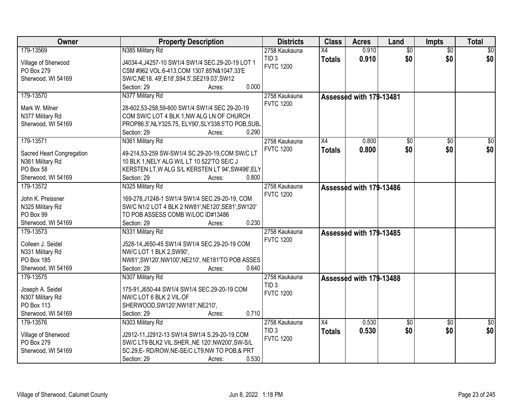| Owner                     | <b>Property Description</b>                         | <b>Districts</b> | <b>Class</b>  | <b>Acres</b>            | Land            | <b>Impts</b>    | <b>Total</b>    |
|---------------------------|-----------------------------------------------------|------------------|---------------|-------------------------|-----------------|-----------------|-----------------|
| 179-13569                 | N385 Military Rd                                    | 2758 Kaukauna    | X4            | 0.910                   | $\overline{50}$ | $\overline{50}$ | $\sqrt{50}$     |
| Village of Sherwood       | J4034-4, J4257-10 SW1/4 SW1/4 SEC.29-20-19 LOT 1    | TID <sub>3</sub> | <b>Totals</b> | 0.910                   | \$0             | \$0             | \$0             |
| PO Box 279                | CSM #962 VOL.6-413, COM 1307.85'N&1047.33'E         | <b>FVTC 1200</b> |               |                         |                 |                 |                 |
| Sherwood, WI 54169        | SW/C, NE18. 49', E18', S94.5', SE219.03', SW12      |                  |               |                         |                 |                 |                 |
|                           | 0.000<br>Section: 29<br>Acres:                      |                  |               |                         |                 |                 |                 |
| 179-13570                 | N377 Military Rd                                    | 2758 Kaukauna    |               | Assessed with 179-13481 |                 |                 |                 |
|                           |                                                     | <b>FVTC 1200</b> |               |                         |                 |                 |                 |
| Mark W. Milner            | 28-602,53-258,59-600 SW1/4 SW1/4 SEC 29-20-19       |                  |               |                         |                 |                 |                 |
| N377 Military Rd          | COM SW/C LOT 4 BLK 1, NW ALG LN OF CHURCH           |                  |               |                         |                 |                 |                 |
| Sherwood, WI 54169        | PROP86.5', NLY325.75, ELY90', SLY338.5'TO POB, SUB. |                  |               |                         |                 |                 |                 |
|                           | 0.290<br>Section: 29<br>Acres:                      |                  |               |                         |                 |                 |                 |
| 179-13571                 | N361 Military Rd                                    | 2758 Kaukauna    | X4            | 0.800                   | \$0             | \$0             | $\overline{50}$ |
| Sacred Heart Congregation | 49-214,53-259 SW-SW1/4 SC.29-20-19,COM SW/C LT      | <b>FVTC 1200</b> | <b>Totals</b> | 0.800                   | \$0             | \$0             | \$0             |
| N361 Military Rd          | 10 BLK 1, NELY ALG W/L LT 10 522'TO SE/C J          |                  |               |                         |                 |                 |                 |
| PO Box 58                 | KERSTEN LT, W ALG S/L KERSTEN LT 94', SW496', ELY   |                  |               |                         |                 |                 |                 |
| Sherwood, WI 54169        | Section: 29<br>0.800<br>Acres:                      |                  |               |                         |                 |                 |                 |
| 179-13572                 | N325 Military Rd                                    | 2758 Kaukauna    |               | Assessed with 179-13486 |                 |                 |                 |
|                           |                                                     | <b>FVTC 1200</b> |               |                         |                 |                 |                 |
| John K. Preissner         | 169-278, J1248-1 SW1/4 SW1/4 SEC.29-20-19, COM      |                  |               |                         |                 |                 |                 |
| N325 Military Rd          | SW/C N1/2 LOT 4 BLK 2 NW81', NE120', SE81', SW120'  |                  |               |                         |                 |                 |                 |
| PO Box 99                 | TO POB ASSESS COMB W/LOC ID#13486                   |                  |               |                         |                 |                 |                 |
| Sherwood, WI 54169        | 0.230<br>Section: 29<br>Acres:                      |                  |               |                         |                 |                 |                 |
| 179-13573                 | N331 Military Rd                                    | 2758 Kaukauna    |               | Assessed with 179-13485 |                 |                 |                 |
| Colleen J. Seidel         | J528-14, J650-45 SW1/4 SW1/4 SEC.29-20-19 COM       | <b>FVTC 1200</b> |               |                         |                 |                 |                 |
| N331 Military Rd          | NW/C LOT 1 BLK 2, SW90',                            |                  |               |                         |                 |                 |                 |
| PO Box 185                | NW81', SW120', NW100', NE210', NE181'TO POB ASSES   |                  |               |                         |                 |                 |                 |
| Sherwood, WI 54169        | 0.640<br>Section: 29<br>Acres:                      |                  |               |                         |                 |                 |                 |
| 179-13575                 | N307 Military Rd                                    | 2758 Kaukauna    |               |                         |                 |                 |                 |
|                           |                                                     | TID <sub>3</sub> |               | Assessed with 179-13488 |                 |                 |                 |
| Joseph A. Seidel          | 175-91, J650-44 SW1/4 SW1/4 SEC.29-20-19 COM        | <b>FVTC 1200</b> |               |                         |                 |                 |                 |
| N307 Military Rd          | NW/C LOT 6 BLK 2 VIL.OF                             |                  |               |                         |                 |                 |                 |
| <b>PO Box 113</b>         | SHERWOOD, SW120', NW181', NE210',                   |                  |               |                         |                 |                 |                 |
| Sherwood, WI 54169        | 0.710<br>Section: 29<br>Acres:                      |                  |               |                         |                 |                 |                 |
| 179-13576                 | N303 Military Rd                                    | 2758 Kaukauna    | X4            | 0.530                   | $\overline{50}$ | $\overline{30}$ | $\frac{1}{2}$   |
| Village of Sherwood       | J2912-11, J2912-13 SW1/4 SW1/4 S.29-20-19, COM      | TID <sub>3</sub> | <b>Totals</b> | 0.530                   | \$0             | \$0             | \$0             |
|                           |                                                     | <b>FVTC 1200</b> |               |                         |                 |                 |                 |
| PO Box 279                | SW/C LT9 BLK2 VIL.SHER., NE 120', NW200', SW-S/L    |                  |               |                         |                 |                 |                 |
| Sherwood, WI 54169        | SC.29, E-RD/ROW, NE-SE/C LT9, NW TO POB, & PRT      |                  |               |                         |                 |                 |                 |
|                           | 0.530<br>Section: 29<br>Acres:                      |                  |               |                         |                 |                 |                 |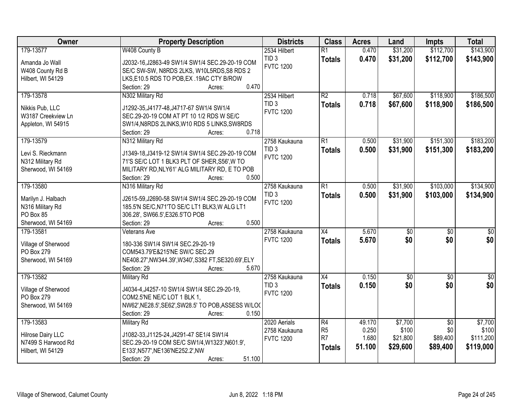| Owner               | <b>Property Description</b>                                          | <b>Districts</b> | <b>Class</b>    | <b>Acres</b> | Land            | <b>Impts</b>    | <b>Total</b>     |
|---------------------|----------------------------------------------------------------------|------------------|-----------------|--------------|-----------------|-----------------|------------------|
| 179-13577           | W408 County B                                                        | 2534 Hilbert     | $\overline{R1}$ | 0.470        | \$31,200        | \$112,700       | \$143,900        |
| Amanda Jo Wall      | J2032-16, J2863-49 SW1/4 SW1/4 SEC. 29-20-19 COM                     | TID <sub>3</sub> | <b>Totals</b>   | 0.470        | \$31,200        | \$112,700       | \$143,900        |
| W408 County Rd B    | SE/C SW-SW, N8RDS 2LKS, W10L5RDS, S8 RDS 2                           | <b>FVTC 1200</b> |                 |              |                 |                 |                  |
| Hilbert, WI 54129   | LKS, E10.5 RDS TO POB, EX. 19AC CTY B/ROW                            |                  |                 |              |                 |                 |                  |
|                     | 0.470<br>Section: 29<br>Acres:                                       |                  |                 |              |                 |                 |                  |
| 179-13578           | N302 Military Rd                                                     | 2534 Hilbert     | $\overline{R2}$ | 0.718        | \$67,600        | \$118,900       | \$186,500        |
|                     |                                                                      | TID <sub>3</sub> | <b>Totals</b>   | 0.718        | \$67,600        | \$118,900       | \$186,500        |
| Nikkis Pub, LLC     | J1292-35, J4177-48, J4717-67 SW1/4 SW1/4                             | <b>FVTC 1200</b> |                 |              |                 |                 |                  |
| W3187 Creekview Ln  | SEC.29-20-19 COM AT PT 10 1/2 RDS W SE/C                             |                  |                 |              |                 |                 |                  |
| Appleton, WI 54915  | SW1/4, N8RDS 2LINKS, W10 RDS 5 LINKS, SW8RDS<br>0.718<br>Section: 29 |                  |                 |              |                 |                 |                  |
| 179-13579           | Acres:<br>N312 Military Rd                                           | 2758 Kaukauna    | $\overline{R1}$ | 0.500        | \$31,900        | \$151,300       | \$183,200        |
|                     |                                                                      | TID <sub>3</sub> |                 |              |                 |                 |                  |
| Levi S. Rieckmann   | J1349-18, J3419-12 SW1/4 SW1/4 SEC.29-20-19 COM                      | <b>FVTC 1200</b> | <b>Totals</b>   | 0.500        | \$31,900        | \$151,300       | \$183,200        |
| N312 Military Rd    | 71'S SE/C LOT 1 BLK3 PLT OF SHER, S56', W TO                         |                  |                 |              |                 |                 |                  |
| Sherwood, WI 54169  | MILITARY RD, NLY61' ALG MILITARY RD, E TO POB                        |                  |                 |              |                 |                 |                  |
|                     | 0.500<br>Section: 29<br>Acres:                                       |                  |                 |              |                 |                 |                  |
| 179-13580           | N316 Military Rd                                                     | 2758 Kaukauna    | $\overline{R1}$ | 0.500        | \$31,900        | \$103,000       | \$134,900        |
| Marilyn J. Halbach  | J2615-59, J2690-58 SW1/4 SW1/4 SEC.29-20-19 COM                      | TID <sub>3</sub> | <b>Totals</b>   | 0.500        | \$31,900        | \$103,000       | \$134,900        |
| N316 Military Rd    | 185.5'N SE/C, N71'TO SE/C LT1 BLK3, W ALG LT1                        | <b>FVTC 1200</b> |                 |              |                 |                 |                  |
| PO Box 85           | 306.28', SW66.5', E326.5'TO POB                                      |                  |                 |              |                 |                 |                  |
| Sherwood, WI 54169  | 0.500<br>Section: 29<br>Acres:                                       |                  |                 |              |                 |                 |                  |
| 179-13581           | Veterans Ave                                                         | 2758 Kaukauna    | $\overline{X4}$ | 5.670        | $\overline{50}$ | $\overline{50}$ | $\overline{\$0}$ |
|                     |                                                                      | <b>FVTC 1200</b> | <b>Totals</b>   | 5.670        | \$0             | \$0             | \$0              |
| Village of Sherwood | 180-336 SW1/4 SW1/4 SEC.29-20-19                                     |                  |                 |              |                 |                 |                  |
| PO Box 279          | COM543.79'E&215'NE SW/C SEC.29                                       |                  |                 |              |                 |                 |                  |
| Sherwood, WI 54169  | NE408.27', NW344.39', W340', S382 FT, SE320.69', ELY                 |                  |                 |              |                 |                 |                  |
|                     | 5.670<br>Section: 29<br>Acres:                                       |                  |                 |              |                 |                 |                  |
| 179-13582           | Military Rd                                                          | 2758 Kaukauna    | X4              | 0.150        | $\sqrt{50}$     | $\overline{50}$ | \$0              |
| Village of Sherwood | J4034-4, J4257-10 SW1/4 SW1/4 SEC.29-20-19,                          | TID <sub>3</sub> | <b>Totals</b>   | 0.150        | \$0             | \$0             | s <sub>0</sub>   |
| PO Box 279          | COM2.5'NE NE/C LOT 1 BLK 1,                                          | <b>FVTC 1200</b> |                 |              |                 |                 |                  |
| Sherwood, WI 54169  | NW62', NE28.5', SE62', SW28.5' TO POB, ASSESS W/LO(                  |                  |                 |              |                 |                 |                  |
|                     | 0.150<br>Section: 29<br>Acres:                                       |                  |                 |              |                 |                 |                  |
| 179-13583           | <b>Military Rd</b>                                                   | 2020 Aerials     | $\overline{R4}$ | 49.170       | \$7,700         | $\overline{50}$ | \$7,700          |
|                     |                                                                      | 2758 Kaukauna    | R <sub>5</sub>  | 0.250        | \$100           | \$0             | \$100            |
| Hilrose Dairy LLC   | J1082-33, J1125-24, J4291-47 SE1/4 SW1/4                             | <b>FVTC 1200</b> | R <sub>7</sub>  | 1.680        | \$21,800        | \$89,400        | \$111,200        |
| N7499 S Harwood Rd  | SEC.29-20-19 COM SE/C SW1/4, W1323', N601.9',                        |                  | <b>Totals</b>   | 51.100       | \$29,600        | \$89,400        | \$119,000        |
| Hilbert, WI 54129   | E133', N577', NE136'NE252.2', NW<br>51.100                           |                  |                 |              |                 |                 |                  |
|                     | Section: 29<br>Acres:                                                |                  |                 |              |                 |                 |                  |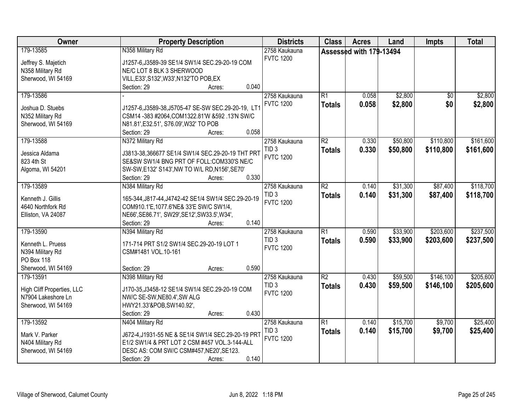| Owner                      | <b>Property Description</b>                          | <b>Districts</b> | <b>Class</b>    | <b>Acres</b>            | Land     | <b>Impts</b>    | <b>Total</b> |
|----------------------------|------------------------------------------------------|------------------|-----------------|-------------------------|----------|-----------------|--------------|
| 179-13585                  | N358 Military Rd                                     | 2758 Kaukauna    |                 | Assessed with 179-13494 |          |                 |              |
| Jeffrey S. Majetich        | J1257-6, J3589-39 SE1/4 SW1/4 SEC.29-20-19 COM       | <b>FVTC 1200</b> |                 |                         |          |                 |              |
| N358 Military Rd           | NE/C LOT 8 BLK 3 SHERWOOD                            |                  |                 |                         |          |                 |              |
| Sherwood, WI 54169         | VILL, E33', S132', W33', N132'TO POB, EX             |                  |                 |                         |          |                 |              |
|                            | 0.040<br>Section: 29<br>Acres:                       |                  |                 |                         |          |                 |              |
| 179-13586                  |                                                      | 2758 Kaukauna    | $\overline{R1}$ | 0.058                   | \$2,800  | $\overline{50}$ | \$2,800      |
|                            |                                                      | <b>FVTC 1200</b> | <b>Totals</b>   | 0.058                   | \$2,800  | \$0             | \$2,800      |
| Joshua D. Stuebs           | J1257-6, J3589-38, J5705-47 SE-SW SEC. 29-20-19, LT1 |                  |                 |                         |          |                 |              |
| N352 Military Rd           | CSM14 -383 #2064, COM1322.81'W & 592 .13'N SW/C      |                  |                 |                         |          |                 |              |
| Sherwood, WI 54169         | N81.81', E32.51', S76.09', W32' TO POB               |                  |                 |                         |          |                 |              |
|                            | 0.058<br>Section: 29<br>Acres:                       |                  |                 |                         |          |                 |              |
| 179-13588                  | N372 Military Rd                                     | 2758 Kaukauna    | R2              | 0.330                   | \$50,800 | \$110,800       | \$161,600    |
| Jessica Aldama             | J3813-38,366677 SE1/4 SW1/4 SEC.29-20-19 THT PRT     | TID <sub>3</sub> | <b>Totals</b>   | 0.330                   | \$50,800 | \$110,800       | \$161,600    |
| 823 4th St                 | SE&SW SW1/4 BNG PRT OF FOLL: COM330'S NE/C           | <b>FVTC 1200</b> |                 |                         |          |                 |              |
| Algoma, WI 54201           | SW-SW, E132' S143', NW TO W/L RD, N156', SE70'       |                  |                 |                         |          |                 |              |
|                            | 0.330<br>Section: 29<br>Acres:                       |                  |                 |                         |          |                 |              |
| 179-13589                  | N384 Military Rd                                     | 2758 Kaukauna    | $\overline{R2}$ | 0.140                   | \$31,300 | \$87,400        | \$118,700    |
|                            |                                                      | TID <sub>3</sub> | <b>Totals</b>   | 0.140                   | \$31,300 | \$87,400        | \$118,700    |
| Kenneth J. Gillis          | 165-344, J817-44, J4742-42 SE1/4 SW1/4 SEC.29-20-19  | <b>FVTC 1200</b> |                 |                         |          |                 |              |
| 4640 Northfork Rd          | COM910.1'E, 1077.6'NE& 33'E SW/C SW1/4,              |                  |                 |                         |          |                 |              |
| Elliston, VA 24087         | NE66', SE86.71', SW29', SE12', SW33.5', W34',        |                  |                 |                         |          |                 |              |
|                            | 0.140<br>Section: 29<br>Acres:                       |                  |                 |                         |          |                 |              |
| 179-13590                  | N394 Military Rd                                     | 2758 Kaukauna    | $\overline{R1}$ | 0.590                   | \$33,900 | \$203,600       | \$237,500    |
| Kenneth L. Pruess          | 171-714 PRT S1/2 SW1/4 SEC.29-20-19 LOT 1            | TID <sub>3</sub> | <b>Totals</b>   | 0.590                   | \$33,900 | \$203,600       | \$237,500    |
| N394 Military Rd           | CSM#1481 VOL.10-161                                  | <b>FVTC 1200</b> |                 |                         |          |                 |              |
| <b>PO Box 118</b>          |                                                      |                  |                 |                         |          |                 |              |
| Sherwood, WI 54169         | 0.590<br>Section: 29<br>Acres:                       |                  |                 |                         |          |                 |              |
| 179-13591                  | N398 Military Rd                                     | 2758 Kaukauna    | $\overline{R2}$ | 0.430                   | \$59,500 | \$146,100       | \$205,600    |
|                            |                                                      | TID <sub>3</sub> | <b>Totals</b>   | 0.430                   | \$59,500 | \$146,100       | \$205,600    |
| High Cliff Properties, LLC | J170-35, J3458-12 SE1/4 SW1/4 SEC.29-20-19 COM       | <b>FVTC 1200</b> |                 |                         |          |                 |              |
| N7904 Lakeshore Ln         | NW/C SE-SW, NE80.4', SW ALG                          |                  |                 |                         |          |                 |              |
| Sherwood, WI 54169         | HWY21.33'&POB,SW140.92',                             |                  |                 |                         |          |                 |              |
|                            | 0.430<br>Section: 29<br>Acres:                       |                  |                 |                         |          |                 |              |
| 179-13592                  | N404 Military Rd                                     | 2758 Kaukauna    | $\overline{R1}$ | 0.140                   | \$15,700 | \$9,700         | \$25,400     |
| Mark V. Parker             | J672-4, J1931-55 NE & SE1/4 SW1/4 SEC.29-20-19 PRT   | TID <sub>3</sub> | <b>Totals</b>   | 0.140                   | \$15,700 | \$9,700         | \$25,400     |
| N404 Military Rd           | E1/2 SW1/4 & PRT LOT 2 CSM #457 VOL.3-144-ALL        | <b>FVTC 1200</b> |                 |                         |          |                 |              |
| Sherwood, WI 54169         | DESC AS: COM SW/C CSM#457, NE20', SE123.             |                  |                 |                         |          |                 |              |
|                            | 0.140<br>Section: 29<br>Acres:                       |                  |                 |                         |          |                 |              |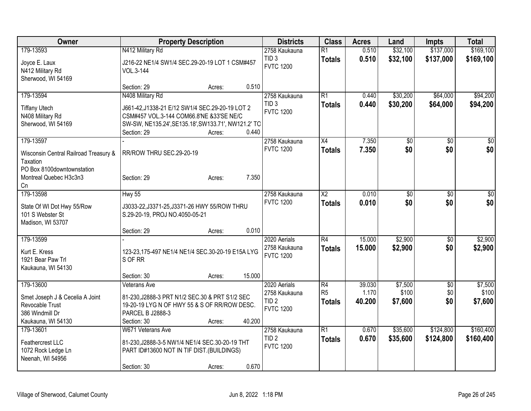| Owner                                 | <b>Property Description</b>                         | <b>Districts</b>                  | <b>Class</b>         | <b>Acres</b>    | Land             | <b>Impts</b>      | <b>Total</b>     |
|---------------------------------------|-----------------------------------------------------|-----------------------------------|----------------------|-----------------|------------------|-------------------|------------------|
| 179-13593                             | N412 Military Rd                                    | 2758 Kaukauna                     | $\overline{R1}$      | 0.510           | \$32,100         | \$137,000         | \$169,100        |
| Joyce E. Laux                         | J216-22 NE1/4 SW1/4 SEC.29-20-19 LOT 1 CSM#457      | TID <sub>3</sub>                  | <b>Totals</b>        | 0.510           | \$32,100         | \$137,000         | \$169,100        |
| N412 Military Rd                      | VOL.3-144                                           | <b>FVTC 1200</b>                  |                      |                 |                  |                   |                  |
| Sherwood, WI 54169                    |                                                     |                                   |                      |                 |                  |                   |                  |
|                                       | 0.510<br>Section: 29<br>Acres:                      |                                   |                      |                 |                  |                   |                  |
| 179-13594                             | N408 Military Rd                                    | 2758 Kaukauna                     | R1                   | 0.440           | \$30,200         | \$64,000          | \$94,200         |
| <b>Tiffany Utech</b>                  | J661-42, J1338-21 E/12 SW1/4 SEC. 29-20-19 LOT 2    | TID <sub>3</sub>                  | <b>Totals</b>        | 0.440           | \$30,200         | \$64,000          | \$94,200         |
| N408 Military Rd                      | CSM#457 VOL.3-144 COM66.8'NE &33'SE NE/C            | <b>FVTC 1200</b>                  |                      |                 |                  |                   |                  |
| Sherwood, WI 54169                    | SW-SW, NE135.24', SE135.18', SW133.71', NW121.2' TO |                                   |                      |                 |                  |                   |                  |
|                                       | 0.440<br>Section: 29<br>Acres:                      |                                   |                      |                 |                  |                   |                  |
| 179-13597                             |                                                     | 2758 Kaukauna                     | X4                   | 7.350           | \$0              | \$0               | $\sqrt{50}$      |
| Wisconsin Central Railroad Treasury & | RR/ROW THRU SEC.29-20-19                            | <b>FVTC 1200</b>                  | <b>Totals</b>        | 7.350           | \$0              | \$0               | \$0              |
| Taxation                              |                                                     |                                   |                      |                 |                  |                   |                  |
| PO Box 8100downtownstation            |                                                     |                                   |                      |                 |                  |                   |                  |
| Montreal Quebec H3c3n3                | 7.350<br>Section: 29<br>Acres:                      |                                   |                      |                 |                  |                   |                  |
| Cn                                    |                                                     |                                   |                      |                 |                  |                   |                  |
| 179-13598                             | <b>Hwy 55</b>                                       | 2758 Kaukauna                     | $\overline{X2}$      | 0.010           | \$0              | \$0               | \$0              |
| State Of WI Dot Hwy 55/Row            | J3033-22, J3371-25, J3371-26 HWY 55/ROW THRU        | <b>FVTC 1200</b>                  | <b>Totals</b>        | 0.010           | \$0              | \$0               | \$0              |
| 101 S Webster St                      | S.29-20-19, PROJ NO.4050-05-21                      |                                   |                      |                 |                  |                   |                  |
| Madison, WI 53707                     |                                                     |                                   |                      |                 |                  |                   |                  |
|                                       | 0.010<br>Section: 29<br>Acres:                      |                                   |                      |                 |                  |                   |                  |
| 179-13599                             |                                                     | 2020 Aerials<br>2758 Kaukauna     | R4                   | 15.000          | \$2,900          | \$0               | \$2,900          |
| Kurt E. Kress                         | 123-23,175-497 NE1/4 NE1/4 SEC.30-20-19 E15A LYG    | <b>FVTC 1200</b>                  | <b>Totals</b>        | 15.000          | \$2,900          | \$0               | \$2,900          |
| 1921 Bear Paw Trl                     | S OF RR                                             |                                   |                      |                 |                  |                   |                  |
| Kaukauna, WI 54130                    |                                                     |                                   |                      |                 |                  |                   |                  |
|                                       | 15.000<br>Section: 30<br>Acres:                     |                                   |                      |                 |                  |                   |                  |
| 179-13600                             | Veterans Ave                                        | 2020 Aerials<br>2758 Kaukauna     | R4<br>R <sub>5</sub> | 39.030<br>1.170 | \$7,500<br>\$100 | $\sqrt{6}$<br>\$0 | \$7,500<br>\$100 |
| Smet Joseph J & Cecelia A Joint       | 81-230, J2888-3 PRT N1/2 SEC.30 & PRT S1/2 SEC      | TID <sub>2</sub>                  | <b>Totals</b>        | 40.200          | \$7,600          | \$0               | \$7,600          |
| Revocable Trust                       | 19-20-19 LYG N OF HWY 55 & S OF RR/ROW DESC.        | <b>FVTC 1200</b>                  |                      |                 |                  |                   |                  |
| 386 Windmill Dr                       | PARCEL B J2888-3                                    |                                   |                      |                 |                  |                   |                  |
| Kaukauna, WI 54130                    | 40.200<br>Section: 30<br>Acres:                     |                                   |                      |                 |                  |                   |                  |
| 179-13601                             | W671 Veterans Ave                                   | 2758 Kaukauna<br>TID <sub>2</sub> | $\overline{R1}$      | 0.670           | \$35,600         | \$124,800         | \$160,400        |
| Feathercrest LLC                      | 81-230, J2888-3-5 NW1/4 NE1/4 SEC. 30-20-19 THT     | <b>FVTC 1200</b>                  | <b>Totals</b>        | 0.670           | \$35,600         | \$124,800         | \$160,400        |
| 1072 Rock Ledge Ln                    | PART ID#13600 NOT IN TIF DIST.(BUILDINGS)           |                                   |                      |                 |                  |                   |                  |
| Neenah, WI 54956                      |                                                     |                                   |                      |                 |                  |                   |                  |
|                                       | 0.670<br>Section: 30<br>Acres:                      |                                   |                      |                 |                  |                   |                  |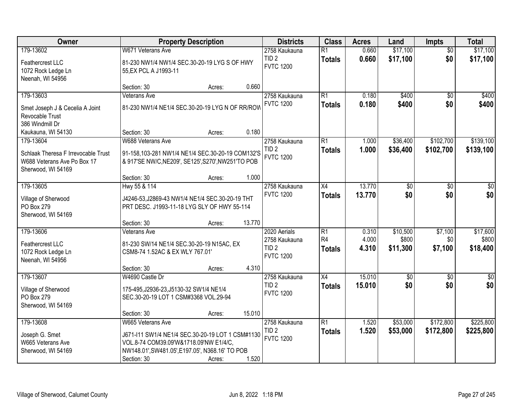| Owner                               |                                                    | <b>Property Description</b> |        | <b>Districts</b>                     | <b>Class</b>    | <b>Acres</b> | Land            | <b>Impts</b>    | <b>Total</b>     |
|-------------------------------------|----------------------------------------------------|-----------------------------|--------|--------------------------------------|-----------------|--------------|-----------------|-----------------|------------------|
| 179-13602                           | W671 Veterans Ave                                  |                             |        | 2758 Kaukauna                        | $\overline{R1}$ | 0.660        | \$17,100        | $\overline{50}$ | \$17,100         |
| Feathercrest LLC                    | 81-230 NW1/4 NW1/4 SEC.30-20-19 LYG S OF HWY       |                             |        | TID <sub>2</sub>                     | <b>Totals</b>   | 0.660        | \$17,100        | \$0             | \$17,100         |
| 1072 Rock Ledge Ln                  | 55, EX PCL A J1993-11                              |                             |        | <b>FVTC 1200</b>                     |                 |              |                 |                 |                  |
| Neenah, WI 54956                    |                                                    |                             |        |                                      |                 |              |                 |                 |                  |
|                                     | Section: 30                                        | Acres:                      | 0.660  |                                      |                 |              |                 |                 |                  |
| 179-13603                           | <b>Veterans Ave</b>                                |                             |        | 2758 Kaukauna                        | $\overline{R1}$ | 0.180        | \$400           | $\overline{50}$ | \$400            |
| Smet Joseph J & Cecelia A Joint     | 81-230 NW1/4 NE1/4 SEC.30-20-19 LYG N OF RR/ROW    |                             |        | <b>FVTC 1200</b>                     | <b>Totals</b>   | 0.180        | \$400           | \$0             | \$400            |
| Revocable Trust                     |                                                    |                             |        |                                      |                 |              |                 |                 |                  |
| 386 Windmill Dr                     |                                                    |                             |        |                                      |                 |              |                 |                 |                  |
| Kaukauna, WI 54130                  | Section: 30                                        | Acres:                      | 0.180  |                                      |                 |              |                 |                 |                  |
| 179-13604                           | W688 Veterans Ave                                  |                             |        | 2758 Kaukauna                        | R1              | 1.000        | \$36,400        | \$102,700       | \$139,100        |
| Schlaak Theresa F Irrevocable Trust | 91-158,103-281 NW1/4 NE1/4 SEC.30-20-19 COM132'S   |                             |        | TID <sub>2</sub>                     | <b>Totals</b>   | 1.000        | \$36,400        | \$102,700       | \$139,100        |
| W688 Veterans Ave Po Box 17         | & 917'SE NW/C, NE209', SE125', S270', NW251'TO POB |                             |        | <b>FVTC 1200</b>                     |                 |              |                 |                 |                  |
| Sherwood, WI 54169                  |                                                    |                             |        |                                      |                 |              |                 |                 |                  |
|                                     | Section: 30                                        | Acres:                      | 1.000  |                                      |                 |              |                 |                 |                  |
| 179-13605                           | Hwy 55 & 114                                       |                             |        | 2758 Kaukauna                        | X4              | 13.770       | \$0             | \$0             | \$0              |
| Village of Sherwood                 | J4246-53, J2869-43 NW1/4 NE1/4 SEC.30-20-19 THT    |                             |        | <b>FVTC 1200</b>                     | <b>Totals</b>   | 13.770       | \$0             | \$0             | \$0              |
| PO Box 279                          | PRT DESC. J1993-11-18 LYG SLY OF HWY 55-114        |                             |        |                                      |                 |              |                 |                 |                  |
| Sherwood, WI 54169                  |                                                    |                             |        |                                      |                 |              |                 |                 |                  |
|                                     | Section: 30                                        | Acres:                      | 13.770 |                                      |                 |              |                 |                 |                  |
| 179-13606                           | Veterans Ave                                       |                             |        | 2020 Aerials                         | $\overline{R1}$ | 0.310        | \$10,500        | \$7,100         | \$17,600         |
| Feathercrest LLC                    | 81-230 SW/14 NE1/4 SEC.30-20-19 N15AC, EX          |                             |        | 2758 Kaukauna                        | R4              | 4.000        | \$800           | \$0             | \$800            |
| 1072 Rock Ledge Ln                  | CSM8-74 1.52AC & EX WLY 767.01                     |                             |        | TID <sub>2</sub><br><b>FVTC 1200</b> | <b>Totals</b>   | 4.310        | \$11,300        | \$7,100         | \$18,400         |
| Neenah, WI 54956                    |                                                    |                             |        |                                      |                 |              |                 |                 |                  |
|                                     | Section: 30                                        | Acres:                      | 4.310  |                                      |                 |              |                 |                 |                  |
| 179-13607                           | W4690 Castle Dr                                    |                             |        | 2758 Kaukauna                        | $\overline{X4}$ | 15.010       | $\overline{50}$ | $\overline{30}$ | $\overline{\$0}$ |
| Village of Sherwood                 | 175-495, J2936-23, J5130-32 SW1/4 NE1/4            |                             |        | TID <sub>2</sub>                     | <b>Totals</b>   | 15.010       | \$0             | \$0             | \$0              |
| PO Box 279                          | SEC.30-20-19 LOT 1 CSM#3368 VOL.29-94              |                             |        | <b>FVTC 1200</b>                     |                 |              |                 |                 |                  |
| Sherwood, WI 54169                  |                                                    |                             |        |                                      |                 |              |                 |                 |                  |
|                                     | Section: 30                                        | Acres:                      | 15.010 |                                      |                 |              |                 |                 |                  |
| 179-13608                           | W665 Veterans Ave                                  |                             |        | 2758 Kaukauna                        | R1              | 1.520        | \$53,000        | \$172,800       | \$225,800        |
| Joseph G. Smet                      | J671-I11 SW1/4 NE1/4 SEC.30-20-19 LOT 1 CSM#1130   |                             |        | TID <sub>2</sub>                     | <b>Totals</b>   | 1.520        | \$53,000        | \$172,800       | \$225,800        |
| W665 Veterans Ave                   | VOL.8-74 COM39.09'W&1718.09'NW E1/4/C,             |                             |        | <b>FVTC 1200</b>                     |                 |              |                 |                 |                  |
| Sherwood, WI 54169                  | NW148.01', SW481.05', E197.05', N368.16' TO POB    |                             |        |                                      |                 |              |                 |                 |                  |
|                                     | Section: 30                                        | Acres:                      | 1.520  |                                      |                 |              |                 |                 |                  |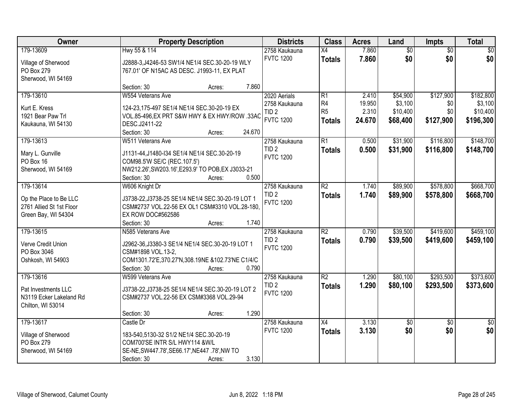| Owner                             | <b>Property Description</b>                                            |                  | <b>Districts</b> | <b>Class</b>    | <b>Acres</b> | Land            | Impts           | <b>Total</b>    |
|-----------------------------------|------------------------------------------------------------------------|------------------|------------------|-----------------|--------------|-----------------|-----------------|-----------------|
| 179-13609                         | Hwy 55 & 114                                                           |                  | 2758 Kaukauna    | $\overline{X4}$ | 7.860        | $\overline{60}$ | $\overline{50}$ | \$0             |
| Village of Sherwood               | J2888-3, J4246-53 SW1/4 NE1/4 SEC.30-20-19 WLY                         |                  | <b>FVTC 1200</b> | <b>Totals</b>   | 7.860        | \$0             | \$0             | \$0             |
| PO Box 279                        | 767.01' OF N15AC AS DESC. J1993-11, EX PLAT                            |                  |                  |                 |              |                 |                 |                 |
| Sherwood, WI 54169                |                                                                        |                  |                  |                 |              |                 |                 |                 |
|                                   | Section: 30                                                            | 7.860<br>Acres:  |                  |                 |              |                 |                 |                 |
| 179-13610                         | W554 Veterans Ave                                                      |                  | 2020 Aerials     | $\overline{R1}$ | 2.410        | \$54,900        | \$127,900       | \$182,800       |
| Kurt E. Kress                     | 124-23,175-497 SE1/4 NE1/4 SEC.30-20-19 EX                             |                  | 2758 Kaukauna    | R <sub>4</sub>  | 19.950       | \$3,100         | \$0             | \$3,100         |
| 1921 Bear Paw Trl                 | VOL.85-496, EX PRT S&W HWY & EX HWY/ROW .33AC                          |                  | TID <sub>2</sub> | R <sub>5</sub>  | 2.310        | \$10,400        | \$0             | \$10,400        |
| Kaukauna, WI 54130                | DESC.J2411-22                                                          |                  | <b>FVTC 1200</b> | <b>Totals</b>   | 24.670       | \$68,400        | \$127,900       | \$196,300       |
|                                   | Section: 30                                                            | 24.670<br>Acres: |                  |                 |              |                 |                 |                 |
| 179-13613                         | W511 Veterans Ave                                                      |                  | 2758 Kaukauna    | $\overline{R1}$ | 0.500        | \$31,900        | \$116,800       | \$148,700       |
| Mary L. Gunville                  | J1131-44, J1480-I34 SE1/4 NE1/4 SEC.30-20-19                           |                  | TID <sub>2</sub> | <b>Totals</b>   | 0.500        | \$31,900        | \$116,800       | \$148,700       |
| PO Box 16                         | COM98.5'W SE/C (REC.107.5')                                            |                  | <b>FVTC 1200</b> |                 |              |                 |                 |                 |
| Sherwood, WI 54169                | NW212.26', SW203.16', E293.9' TO POB, EX J3033-21                      |                  |                  |                 |              |                 |                 |                 |
|                                   | Section: 30                                                            | 0.500<br>Acres:  |                  |                 |              |                 |                 |                 |
| 179-13614                         | W606 Knight Dr                                                         |                  | 2758 Kaukauna    | $\overline{R2}$ | 1.740        | \$89,900        | \$578,800       | \$668,700       |
| Op the Place to Be LLC            | J3738-22, J3738-25 SE1/4 NE1/4 SEC.30-20-19 LOT 1                      |                  | TID <sub>2</sub> | <b>Totals</b>   | 1.740        | \$89,900        | \$578,800       | \$668,700       |
| 2761 Allied St 1st Floor          | CSM#2737 VOL.22-56 EX OL1 CSM#3310 VOL.28-180,                         |                  | <b>FVTC 1200</b> |                 |              |                 |                 |                 |
| Green Bay, WI 54304               | EX ROW DOC#562586                                                      |                  |                  |                 |              |                 |                 |                 |
|                                   | Section: 30                                                            | 1.740<br>Acres:  |                  |                 |              |                 |                 |                 |
| 179-13615                         | N585 Veterans Ave                                                      |                  | 2758 Kaukauna    | $\overline{R2}$ | 0.790        | \$39,500        | \$419,600       | \$459,100       |
|                                   |                                                                        |                  | TID <sub>2</sub> | <b>Totals</b>   | 0.790        | \$39,500        | \$419,600       | \$459,100       |
| Verve Credit Union<br>PO Box 3046 | J2962-36, J3380-3 SE1/4 NE1/4 SEC.30-20-19 LOT 1<br>CSM#1898 VOL.13-2, |                  | <b>FVTC 1200</b> |                 |              |                 |                 |                 |
| Oshkosh, WI 54903                 | COM1301.72'E,370.27'N,308.19NE &102.73'NE C1/4/C                       |                  |                  |                 |              |                 |                 |                 |
|                                   | Section: 30                                                            | 0.790<br>Acres:  |                  |                 |              |                 |                 |                 |
| 179-13616                         | W599 Veterans Ave                                                      |                  | 2758 Kaukauna    | $\overline{R2}$ | 1.290        | \$80,100        | \$293,500       | \$373,600       |
|                                   |                                                                        |                  | TID <sub>2</sub> | <b>Totals</b>   | 1.290        | \$80,100        | \$293,500       | \$373,600       |
| Pat Investments LLC               | J3738-22, J3738-25 SE1/4 NE1/4 SEC.30-20-19 LOT 2                      |                  | <b>FVTC 1200</b> |                 |              |                 |                 |                 |
| N3119 Ecker Lakeland Rd           | CSM#2737 VOL.22-56 EX CSM#3368 VOL.29-94                               |                  |                  |                 |              |                 |                 |                 |
| Chilton, WI 53014                 | Section: 30                                                            | 1.290<br>Acres:  |                  |                 |              |                 |                 |                 |
| 179-13617                         | Castle Dr                                                              |                  | 2758 Kaukauna    | $\overline{X4}$ | 3.130        | $\sqrt{50}$     | $\overline{30}$ | $\overline{50}$ |
|                                   |                                                                        |                  | <b>FVTC 1200</b> | <b>Totals</b>   | 3.130        | \$0             | \$0             | \$0             |
| Village of Sherwood               | 183-540,5130-32 S1/2 NE1/4 SEC.30-20-19                                |                  |                  |                 |              |                 |                 |                 |
| PO Box 279                        | COM700'SE INTR S/L HWY114 &W/L                                         |                  |                  |                 |              |                 |                 |                 |
| Sherwood, WI 54169                | SE-NE, SW447.78', SE66.17', NE447.78', NW TO                           |                  |                  |                 |              |                 |                 |                 |
|                                   | Section: 30                                                            | 3.130<br>Acres:  |                  |                 |              |                 |                 |                 |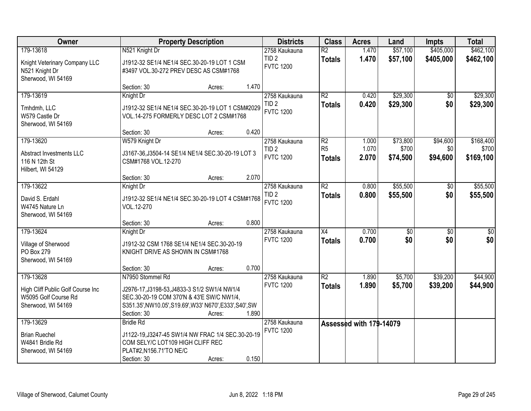| Owner                                                                           |                                                                                                                                                                      | <b>Property Description</b> |       | <b>Districts</b>                     | <b>Class</b>                     | <b>Acres</b>            | Land                 | <b>Impts</b>           | <b>Total</b>           |
|---------------------------------------------------------------------------------|----------------------------------------------------------------------------------------------------------------------------------------------------------------------|-----------------------------|-------|--------------------------------------|----------------------------------|-------------------------|----------------------|------------------------|------------------------|
| 179-13618                                                                       | N521 Knight Dr                                                                                                                                                       |                             |       | 2758 Kaukauna<br>TID <sub>2</sub>    | $\overline{R2}$<br><b>Totals</b> | 1.470<br>1.470          | \$57,100<br>\$57,100 | \$405,000<br>\$405,000 | \$462,100<br>\$462,100 |
| Knight Veterinary Company LLC<br>N521 Knight Dr<br>Sherwood, WI 54169           | J1912-32 SE1/4 NE1/4 SEC.30-20-19 LOT 1 CSM<br>#3497 VOL.30-272 PREV DESC AS CSM#1768                                                                                |                             |       | <b>FVTC 1200</b>                     |                                  |                         |                      |                        |                        |
|                                                                                 | Section: 30                                                                                                                                                          | Acres:                      | 1.470 |                                      |                                  |                         |                      |                        |                        |
| 179-13619                                                                       | Knight Dr                                                                                                                                                            |                             |       | 2758 Kaukauna                        | R2                               | 0.420                   | \$29,300             | $\overline{50}$        | \$29,300               |
| Tmhdmh, LLC<br>W579 Castle Dr<br>Sherwood, WI 54169                             | J1912-32 SE1/4 NE1/4 SEC.30-20-19 LOT 1 CSM#2029<br>VOL.14-275 FORMERLY DESC LOT 2 CSM#1768                                                                          |                             |       | TID <sub>2</sub><br><b>FVTC 1200</b> | <b>Totals</b>                    | 0.420                   | \$29,300             | \$0                    | \$29,300               |
|                                                                                 | Section: 30                                                                                                                                                          | Acres:                      | 0.420 |                                      |                                  |                         |                      |                        |                        |
| 179-13620                                                                       | W579 Knight Dr                                                                                                                                                       |                             |       | 2758 Kaukauna                        | R <sub>2</sub><br>R <sub>5</sub> | 1.000                   | \$73,800             | \$94,600               | \$168,400              |
| Abstract Investments LLC<br>116 N 12th St<br>Hilbert, WI 54129                  | J3167-36, J3504-14 SE1/4 NE1/4 SEC.30-20-19 LOT 3<br>CSM#1768 VOL.12-270                                                                                             |                             |       | TID <sub>2</sub><br><b>FVTC 1200</b> | <b>Totals</b>                    | 1.070<br>2.070          | \$700<br>\$74,500    | \$0<br>\$94,600        | \$700<br>\$169,100     |
|                                                                                 | Section: 30                                                                                                                                                          | Acres:                      | 2.070 |                                      |                                  |                         |                      |                        |                        |
| 179-13622                                                                       | Knight Dr                                                                                                                                                            |                             |       | 2758 Kaukauna                        | $\overline{R2}$                  | 0.800                   | \$55,500             | \$0                    | \$55,500               |
| David S. Erdahl<br>W4745 Nature Ln<br>Sherwood, WI 54169                        | J1912-32 SE1/4 NE1/4 SEC.30-20-19 LOT 4 CSM#1768<br>VOL.12-270                                                                                                       |                             |       | TID <sub>2</sub><br><b>FVTC 1200</b> | <b>Totals</b>                    | 0.800                   | \$55,500             | \$0                    | \$55,500               |
|                                                                                 | Section: 30                                                                                                                                                          | Acres:                      | 0.800 |                                      |                                  |                         |                      |                        |                        |
| 179-13624                                                                       | Knight Dr                                                                                                                                                            |                             |       | 2758 Kaukauna                        | $\overline{X4}$                  | 0.700                   | $\overline{50}$      | \$0                    | \$0                    |
| Village of Sherwood<br>PO Box 279<br>Sherwood, WI 54169                         | J1912-32 CSM 1768 SE1/4 NE1/4 SEC.30-20-19<br>KNIGHT DRIVE AS SHOWN IN CSM#1768                                                                                      |                             |       | <b>FVTC 1200</b>                     | <b>Totals</b>                    | 0.700                   | \$0                  | \$0                    | \$0                    |
|                                                                                 | Section: 30                                                                                                                                                          | Acres:                      | 0.700 |                                      |                                  |                         |                      |                        |                        |
| 179-13628                                                                       | N7950 Stommel Rd                                                                                                                                                     |                             |       | 2758 Kaukauna                        | $\overline{R2}$                  | 1.890                   | \$5,700              | \$39,200               | \$44,900               |
| High Cliff Public Golf Course Inc<br>W5095 Golf Course Rd<br>Sherwood, WI 54169 | J2976-17, J3198-53, J4833-3 S1/2 SW1/4 NW1/4<br>SEC.30-20-19 COM 370'N & 43'E SW/C NW1/4,<br>S351.35', NW10.05', S19.69', W33' N670', E333', S40', SW<br>Section: 30 | Acres:                      | 1.890 | <b>FVTC 1200</b>                     | <b>Totals</b>                    | 1.890                   | \$5,700              | \$39,200               | \$44,900               |
| 179-13629                                                                       | <b>Bridle Rd</b>                                                                                                                                                     |                             |       | 2758 Kaukauna                        |                                  | Assessed with 179-14079 |                      |                        |                        |
| <b>Brian Ruechel</b><br>W4841 Bridle Rd<br>Sherwood, WI 54169                   | J1122-19, J3247-45 SW1/4 NW FRAC 1/4 SEC.30-20-19<br>COM SELY/C LOT109 HIGH CLIFF REC<br>PLAT#2, N156.71'TO NE/C<br>Section: 30                                      | Acres:                      | 0.150 | <b>FVTC 1200</b>                     |                                  |                         |                      |                        |                        |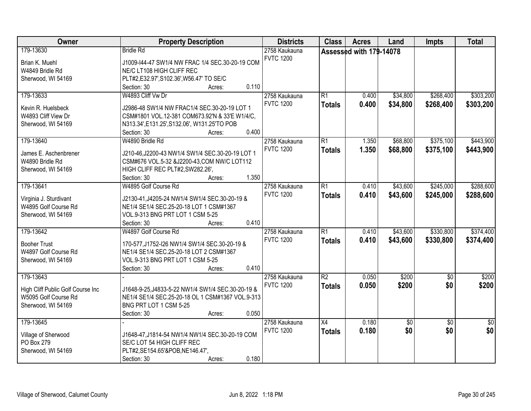| Owner                                                     | <b>Property Description</b>                                                | <b>Districts</b> | <b>Class</b>    | <b>Acres</b>            | Land            | <b>Impts</b>    | <b>Total</b>    |
|-----------------------------------------------------------|----------------------------------------------------------------------------|------------------|-----------------|-------------------------|-----------------|-----------------|-----------------|
| 179-13630                                                 | <b>Bridle Rd</b>                                                           | 2758 Kaukauna    |                 | Assessed with 179-14078 |                 |                 |                 |
| Brian K. Muehl                                            | J1009-I44-47 SW1/4 NW FRAC 1/4 SEC.30-20-19 COM                            | <b>FVTC 1200</b> |                 |                         |                 |                 |                 |
| W4849 Bridle Rd                                           | NE/C LT108 HIGH CLIFF REC                                                  |                  |                 |                         |                 |                 |                 |
| Sherwood, WI 54169                                        | PLT#2,E32.97',S102.36',W56.47' TO SE/C                                     |                  |                 |                         |                 |                 |                 |
|                                                           | 0.110<br>Section: 30<br>Acres:                                             |                  |                 |                         |                 |                 |                 |
| 179-13633                                                 | W4893 Cliff Vw Dr                                                          | 2758 Kaukauna    | $\overline{R1}$ | 0.400                   | \$34,800        | \$268,400       | \$303,200       |
|                                                           |                                                                            | <b>FVTC 1200</b> | <b>Totals</b>   | 0.400                   | \$34,800        | \$268,400       | \$303,200       |
| Kevin R. Huelsbeck                                        | J2986-48 SW1/4 NW FRAC1/4 SEC.30-20-19 LOT 1                               |                  |                 |                         |                 |                 |                 |
| W4893 Cliff View Dr                                       | CSM#1801 VOL.12-381 COM673.92'N & 33'E W1/4/C,                             |                  |                 |                         |                 |                 |                 |
| Sherwood, WI 54169                                        | N313.34', E131.25', S132.06', W131.25'TO POB                               |                  |                 |                         |                 |                 |                 |
|                                                           | 0.400<br>Section: 30<br>Acres:                                             |                  |                 |                         |                 |                 |                 |
| 179-13640                                                 | W4890 Bridle Rd                                                            | 2758 Kaukauna    | R1              | 1.350                   | \$68,800        | \$375,100       | \$443,900       |
| James E. Aschenbrener                                     | J210-46, J2200-43 NW1/4 SW1/4 SEC.30-20-19 LOT 1                           | <b>FVTC 1200</b> | <b>Totals</b>   | 1.350                   | \$68,800        | \$375,100       | \$443,900       |
| W4890 Bridle Rd                                           | CSM#676 VOL.5-32 &J2200-43,COM NW/C LOT112                                 |                  |                 |                         |                 |                 |                 |
| Sherwood, WI 54169                                        | HIGH CLIFF REC PLT#2,SW282.26',                                            |                  |                 |                         |                 |                 |                 |
|                                                           | 1.350<br>Section: 30<br>Acres:                                             |                  |                 |                         |                 |                 |                 |
| 179-13641                                                 | W4895 Golf Course Rd                                                       | 2758 Kaukauna    | $\overline{R1}$ | 0.410                   | \$43,600        | \$245,000       | \$288,600       |
|                                                           |                                                                            | <b>FVTC 1200</b> | <b>Totals</b>   | 0.410                   | \$43,600        | \$245,000       | \$288,600       |
| Virginia J. Sturdivant                                    | J2130-41, J4205-24 NW1/4 SW1/4 SEC.30-20-19 &                              |                  |                 |                         |                 |                 |                 |
| W4895 Golf Course Rd                                      | NE1/4 SE1/4 SEC.25-20-18 LOT 1 CSM#1367                                    |                  |                 |                         |                 |                 |                 |
| Sherwood, WI 54169                                        | VOL.9-313 BNG PRT LOT 1 CSM 5-25<br>0.410                                  |                  |                 |                         |                 |                 |                 |
|                                                           | Section: 30<br>Acres:                                                      |                  |                 |                         |                 |                 |                 |
| 179-13642                                                 | W4897 Golf Course Rd                                                       | 2758 Kaukauna    | $\overline{R1}$ | 0.410                   | \$43,600        | \$330,800       | \$374,400       |
| <b>Booher Trust</b>                                       | 170-577, J1752-I26 NW1/4 SW1/4 SEC.30-20-19 &                              | <b>FVTC 1200</b> | <b>Totals</b>   | 0.410                   | \$43,600        | \$330,800       | \$374,400       |
| W4897 Golf Course Rd                                      | NE1/4 SE1/4 SEC.25-20-18 LOT 2 CSM#1367                                    |                  |                 |                         |                 |                 |                 |
| Sherwood, WI 54169                                        | VOL.9-313 BNG PRT LOT 1 CSM 5-25                                           |                  |                 |                         |                 |                 |                 |
|                                                           | 0.410<br>Section: 30<br>Acres:                                             |                  |                 |                         |                 |                 |                 |
| 179-13643                                                 |                                                                            | 2758 Kaukauna    | $\overline{R2}$ | 0.050                   | \$200           | $\overline{50}$ | \$200           |
|                                                           |                                                                            | <b>FVTC 1200</b> | <b>Totals</b>   | 0.050                   | \$200           | \$0             | \$200           |
| High Cliff Public Golf Course Inc<br>W5095 Golf Course Rd | J1648-9-25, J4833-5-22 NW1/4 SW1/4 SEC.30-20-19 &                          |                  |                 |                         |                 |                 |                 |
| Sherwood, WI 54169                                        | NE1/4 SE1/4 SEC.25-20-18 OL 1 CSM#1367 VOL.9-313<br>BNG PRT LOT 1 CSM 5-25 |                  |                 |                         |                 |                 |                 |
|                                                           | 0.050<br>Acres:                                                            |                  |                 |                         |                 |                 |                 |
| 179-13645                                                 | Section: 30                                                                | 2758 Kaukauna    | $\overline{X4}$ | 0.180                   |                 | $\overline{50}$ | $\overline{50}$ |
|                                                           |                                                                            | <b>FVTC 1200</b> |                 |                         | $\overline{50}$ |                 |                 |
| Village of Sherwood                                       | J1648-47, J1814-54 NW1/4 NW1/4 SEC.30-20-19 COM                            |                  | <b>Totals</b>   | 0.180                   | \$0             | \$0             | \$0             |
| PO Box 279                                                | SE/C LOT 54 HIGH CLIFF REC                                                 |                  |                 |                         |                 |                 |                 |
| Sherwood, WI 54169                                        | PLT#2,SE154.65'&POB,NE146.47',                                             |                  |                 |                         |                 |                 |                 |
|                                                           | 0.180<br>Section: 30<br>Acres:                                             |                  |                 |                         |                 |                 |                 |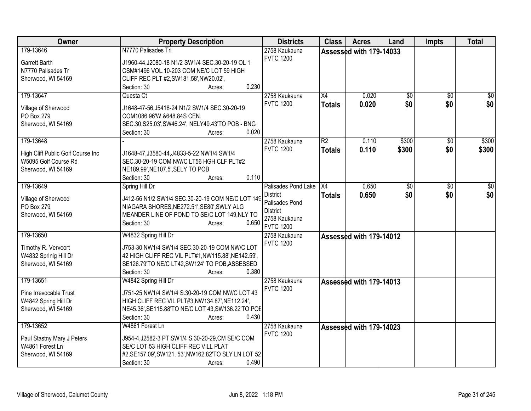| Owner                             | <b>Property Description</b>                         | <b>Districts</b>    | <b>Class</b>    | <b>Acres</b>            | Land  | <b>Impts</b>  | <b>Total</b>    |
|-----------------------------------|-----------------------------------------------------|---------------------|-----------------|-------------------------|-------|---------------|-----------------|
| 179-13646                         | N7770 Palisades Trl                                 | 2758 Kaukauna       |                 | Assessed with 179-14033 |       |               |                 |
| Garrett Barth                     | J1960-44, J2080-18 N1/2 SW1/4 SEC.30-20-19 OL 1     | <b>FVTC 1200</b>    |                 |                         |       |               |                 |
| N7770 Palisades Tr                | CSM#1496 VOL.10-203 COM NE/C LOT 59 HIGH            |                     |                 |                         |       |               |                 |
| Sherwood, WI 54169                | CLIFF REC PLT #2,SW181.58',NW20.02',                |                     |                 |                         |       |               |                 |
|                                   | 0.230<br>Section: 30<br>Acres:                      |                     |                 |                         |       |               |                 |
| 179-13647                         | Questa Ct                                           | 2758 Kaukauna       | X4              | 0.020                   | \$0   | \$0           | \$0             |
|                                   |                                                     | <b>FVTC 1200</b>    | <b>Totals</b>   | 0.020                   | \$0   | \$0           | \$0             |
| Village of Sherwood               | J1648-47-56, J5418-24 N1/2 SW1/4 SEC.30-20-19       |                     |                 |                         |       |               |                 |
| PO Box 279                        | COM1086.96'W &648.84S CEN.                          |                     |                 |                         |       |               |                 |
| Sherwood, WI 54169                | SEC.30, S25.03', SW46.24', NELY49.43'TO POB - BNG   |                     |                 |                         |       |               |                 |
|                                   | 0.020<br>Section: 30<br>Acres:                      |                     |                 |                         |       |               |                 |
| 179-13648                         |                                                     | 2758 Kaukauna       | $\overline{R2}$ | 0.110                   | \$300 | \$0           | \$300           |
| High Cliff Public Golf Course Inc | J1648-47, J3580-44, J4833-5-22 NW1/4 SW1/4          | <b>FVTC 1200</b>    | <b>Totals</b>   | 0.110                   | \$300 | \$0           | \$300           |
| W5095 Golf Course Rd              | SEC.30-20-19 COM NW/C LT56 HGH CLF PLT#2            |                     |                 |                         |       |               |                 |
| Sherwood, WI 54169                | NE189.99', NE107.5', SELY TO POB                    |                     |                 |                         |       |               |                 |
|                                   | 0.110<br>Section: 30<br>Acres:                      |                     |                 |                         |       |               |                 |
| 179-13649                         | Spring Hill Dr                                      | Palisades Pond Lake | X4              | 0.650                   | \$0   | $\sqrt[6]{3}$ | $\overline{50}$ |
|                                   |                                                     | <b>District</b>     | <b>Totals</b>   | 0.650                   | \$0   | \$0           | \$0             |
| Village of Sherwood               | J412-56 N1/2 SW1/4 SEC.30-20-19 COM NE/C LOT 149    | Palisades Pond      |                 |                         |       |               |                 |
| PO Box 279                        | NIAGARA SHORES, NE272.51', SE80', SWLY ALG          | <b>District</b>     |                 |                         |       |               |                 |
| Sherwood, WI 54169                | MEANDER LINE OF POND TO SE/C LOT 149, NLY TO        | 2758 Kaukauna       |                 |                         |       |               |                 |
|                                   | 0.650<br>Section: 30<br>Acres:                      | <b>FVTC 1200</b>    |                 |                         |       |               |                 |
| 179-13650                         | W4832 Spring Hill Dr                                | 2758 Kaukauna       |                 | Assessed with 179-14012 |       |               |                 |
| Timothy R. Vervoort               | J753-30 NW1/4 SW1/4 SEC.30-20-19 COM NW/C LOT       | <b>FVTC 1200</b>    |                 |                         |       |               |                 |
| W4832 Sprinig Hill Dr             | 42 HIGH CLIFF REC VIL PLT#1, NW115.88', NE142.59',  |                     |                 |                         |       |               |                 |
| Sherwood, WI 54169                | SE126.79'TO NE/C LT42, SW124' TO POB, ASSESSED      |                     |                 |                         |       |               |                 |
|                                   | 0.380<br>Section: 30<br>Acres:                      |                     |                 |                         |       |               |                 |
| 179-13651                         | W4842 Spring Hill Dr                                | 2758 Kaukauna       |                 |                         |       |               |                 |
|                                   |                                                     | <b>FVTC 1200</b>    |                 | Assessed with 179-14013 |       |               |                 |
| Pine Irrevocable Trust            | J751-25 NW1/4 SW1/4 S.30-20-19 COM NW/C LOT 43      |                     |                 |                         |       |               |                 |
| W4842 Spring Hill Dr              | HIGH CLIFF REC VIL PLT#3, NW134.87', NE112.24',     |                     |                 |                         |       |               |                 |
| Sherwood, WI 54169                | NE45.36', SE115.88'TO NE/C LOT 43, SW136.22'TO POE  |                     |                 |                         |       |               |                 |
|                                   | 0.430<br>Section: 30<br>Acres:                      |                     |                 |                         |       |               |                 |
| 179-13652                         | W4861 Forest Ln                                     | 2758 Kaukauna       |                 | Assessed with 179-14023 |       |               |                 |
| Paul Stastny Mary J Peters        | J954-4, J2582-3 PT SW1/4 S.30-20-29, CM SE/C COM    | <b>FVTC 1200</b>    |                 |                         |       |               |                 |
| W4861 Forest Ln                   | SE/C LOT 53 HIGH CLIFF REC VILL PLAT                |                     |                 |                         |       |               |                 |
| Sherwood, WI 54169                | #2, SE157.09', SW121.53', NW162.82'TO SLY LN LOT 52 |                     |                 |                         |       |               |                 |
|                                   | 0.490<br>Section: 30<br>Acres:                      |                     |                 |                         |       |               |                 |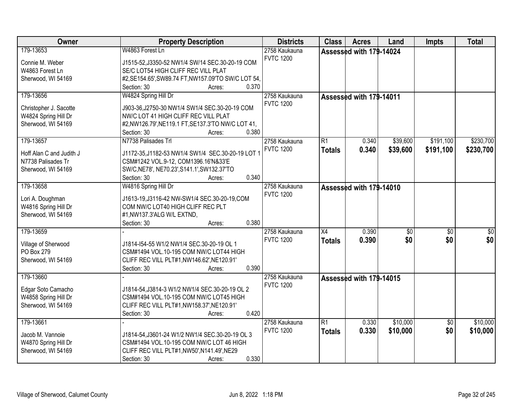| Owner                    | <b>Property Description</b>                          | <b>Districts</b>                  | <b>Class</b>    | <b>Acres</b>            | Land            | <b>Impts</b>    | <b>Total</b> |
|--------------------------|------------------------------------------------------|-----------------------------------|-----------------|-------------------------|-----------------|-----------------|--------------|
| 179-13653                | W4863 Forest Ln                                      | 2758 Kaukauna                     |                 | Assessed with 179-14024 |                 |                 |              |
| Connie M. Weber          | J1515-52, J3350-52 NW1/4 SW/14 SEC.30-20-19 COM      | <b>FVTC 1200</b>                  |                 |                         |                 |                 |              |
| W4863 Forest Ln          | SE/C LOT54 HIGH CLIFF REC VILL PLAT                  |                                   |                 |                         |                 |                 |              |
| Sherwood, WI 54169       | #2, SE154.65', SW89.74 FT, NW157.09'TO SW/C LOT 54,  |                                   |                 |                         |                 |                 |              |
|                          | 0.370<br>Section: 30<br>Acres:                       |                                   |                 |                         |                 |                 |              |
| 179-13656                | W4824 Spring Hill Dr                                 | 2758 Kaukauna                     |                 | Assessed with 179-14011 |                 |                 |              |
| Christopher J. Sacotte   | J903-36, J2750-30 NW1/4 SW1/4 SEC.30-20-19 COM       | <b>FVTC 1200</b>                  |                 |                         |                 |                 |              |
| W4824 Spring Hill Dr     | NW/C LOT 41 HIGH CLIFF REC VILL PLAT                 |                                   |                 |                         |                 |                 |              |
| Sherwood, WI 54169       | #2, NW126.79', NE119.1 FT, SE137.3'TO NW/C LOT 41,   |                                   |                 |                         |                 |                 |              |
|                          | 0.380<br>Section: 30<br>Acres:                       |                                   |                 |                         |                 |                 |              |
| 179-13657                | N7738 Palisades Trl                                  | 2758 Kaukauna                     | $\overline{R1}$ | 0.340                   | \$39,600        | \$191,100       | \$230,700    |
|                          |                                                      | <b>FVTC 1200</b>                  | <b>Totals</b>   | 0.340                   | \$39,600        | \$191,100       | \$230,700    |
| Hoff Alan C and Judith J | J1172-35, J1182-53 NW1/4 SW1/4 SEC.30-20-19 LOT 1    |                                   |                 |                         |                 |                 |              |
| N7738 Palisades Tr       | CSM#1242 VOL.9-12, COM1396.16'N&33'E                 |                                   |                 |                         |                 |                 |              |
| Sherwood, WI 54169       | SW/C, NE78', NE70.23', S141.1', SW132.37'TO<br>0.340 |                                   |                 |                         |                 |                 |              |
|                          | Section: 30<br>Acres:                                |                                   |                 |                         |                 |                 |              |
| 179-13658                | W4816 Spring Hill Dr                                 | 2758 Kaukauna<br><b>FVTC 1200</b> |                 | Assessed with 179-14010 |                 |                 |              |
| Lori A. Doughman         | J1613-19, J3116-42 NW-SW1/4 SEC.30-20-19, COM        |                                   |                 |                         |                 |                 |              |
| W4816 Spring Hill Dr     | COM NW/C LOT40 HIGH CLIFF REC PLT                    |                                   |                 |                         |                 |                 |              |
| Sherwood, WI 54169       | #1, NW137.3' ALG W/L EXTND,                          |                                   |                 |                         |                 |                 |              |
|                          | 0.380<br>Section: 30<br>Acres:                       |                                   |                 |                         |                 |                 |              |
| 179-13659                |                                                      | 2758 Kaukauna                     | $\overline{X4}$ | 0.390                   | $\overline{50}$ | $\overline{50}$ | \$0          |
| Village of Sherwood      | J1814-I54-55 W1/2 NW1/4 SEC.30-20-19 OL 1            | <b>FVTC 1200</b>                  | <b>Totals</b>   | 0.390                   | \$0             | \$0             | \$0          |
| PO Box 279               | CSM#1494 VOL.10-195 COM NW/C LOT44 HIGH              |                                   |                 |                         |                 |                 |              |
| Sherwood, WI 54169       | CLIFF REC VILL PLT#1, NW146.62', NE120.91'           |                                   |                 |                         |                 |                 |              |
|                          | Section: 30<br>0.390<br>Acres:                       |                                   |                 |                         |                 |                 |              |
| 179-13660                |                                                      | 2758 Kaukauna                     |                 | Assessed with 179-14015 |                 |                 |              |
|                          |                                                      | <b>FVTC 1200</b>                  |                 |                         |                 |                 |              |
| Edgar Soto Camacho       | J1814-54, J3814-3 W1/2 NW1/4 SEC.30-20-19 OL 2       |                                   |                 |                         |                 |                 |              |
| W4858 Spring Hill Dr     | CSM#1494 VOL.10-195 COM NW/C LOT45 HIGH              |                                   |                 |                         |                 |                 |              |
| Sherwood, WI 54169       | CLIFF REC VILL PLT#1, NW158.37', NE120.91'           |                                   |                 |                         |                 |                 |              |
|                          | 0.420<br>Section: 30<br>Acres:                       |                                   |                 |                         |                 |                 |              |
| 179-13661                |                                                      | 2758 Kaukauna                     | $\overline{R1}$ | 0.330                   | \$10,000        | $\overline{50}$ | \$10,000     |
| Jacob M. Vannoie         | J1814-54, J3601-24 W1/2 NW1/4 SEC.30-20-19 OL 3      | <b>FVTC 1200</b>                  | <b>Totals</b>   | 0.330                   | \$10,000        | \$0             | \$10,000     |
| W4870 Spring Hill Dr     | CSM#1494 VOL.10-195 COM NW/C LOT 46 HIGH             |                                   |                 |                         |                 |                 |              |
| Sherwood, WI 54169       | CLIFF REC VILL PLT#1, NW50', N141.49', NE29          |                                   |                 |                         |                 |                 |              |
|                          | 0.330<br>Section: 30<br>Acres:                       |                                   |                 |                         |                 |                 |              |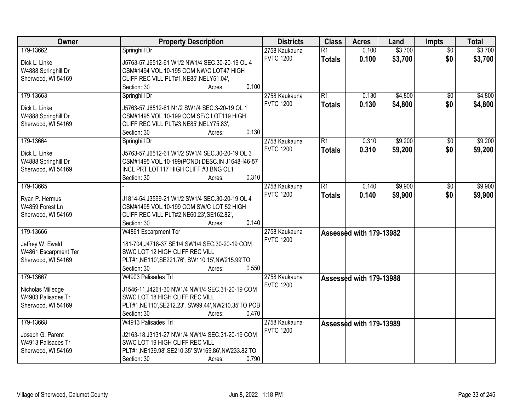| Owner                | <b>Property Description</b>                                  | <b>Districts</b> | <b>Class</b>    | <b>Acres</b>            | Land    | <b>Impts</b>    | <b>Total</b> |
|----------------------|--------------------------------------------------------------|------------------|-----------------|-------------------------|---------|-----------------|--------------|
| 179-13662            | Springhill Dr                                                | 2758 Kaukauna    | $\overline{R1}$ | 0.100                   | \$3,700 | $\overline{50}$ | \$3,700      |
| Dick L. Linke        | J5763-57, J6512-61 W1/2 NW1/4 SEC.30-20-19 OL 4              | <b>FVTC 1200</b> | <b>Totals</b>   | 0.100                   | \$3,700 | \$0             | \$3,700      |
| W4888 Springhill Dr  | CSM#1494 VOL.10-195 COM NW/C LOT47 HIGH                      |                  |                 |                         |         |                 |              |
| Sherwood, WI 54169   | CLIFF REC VILL PLT#1, NE85', NELY51.04',                     |                  |                 |                         |         |                 |              |
|                      | 0.100<br>Section: 30<br>Acres:                               |                  |                 |                         |         |                 |              |
| 179-13663            | Springhill Dr                                                | 2758 Kaukauna    | $\overline{R1}$ | 0.130                   | \$4,800 | \$0             | \$4,800      |
|                      |                                                              | <b>FVTC 1200</b> | <b>Totals</b>   | 0.130                   | \$4,800 | \$0             | \$4,800      |
| Dick L. Linke        | J5763-57, J6512-61 N1/2 SW1/4 SEC.3-20-19 OL 1               |                  |                 |                         |         |                 |              |
| W4888 Springhill Dr  | CSM#1495 VOL.10-199 COM SE/C LOT119 HIGH                     |                  |                 |                         |         |                 |              |
| Sherwood, WI 54169   | CLIFF REC VILL PLT#3, NE85', NELY75.83',                     |                  |                 |                         |         |                 |              |
|                      | 0.130<br>Section: 30<br>Acres:                               |                  |                 |                         |         |                 |              |
| 179-13664            | Springhill Dr                                                | 2758 Kaukauna    | $\overline{R1}$ | 0.310                   | \$9,200 | \$0             | \$9,200      |
| Dick L. Linke        | J5763-57, J6512-61 W1/2 SW1/4 SEC.30-20-19 OL 3              | <b>FVTC 1200</b> | <b>Totals</b>   | 0.310                   | \$9,200 | \$0             | \$9,200      |
| W4888 Springhill Dr  | CSM#1495 VOL.10-199(POND) DESC.IN J1648-I46-57               |                  |                 |                         |         |                 |              |
| Sherwood, WI 54169   | INCL PRT LOT117 HIGH CLIFF #3 BNG OL1                        |                  |                 |                         |         |                 |              |
|                      | 0.310<br>Section: 30<br>Acres:                               |                  |                 |                         |         |                 |              |
| 179-13665            |                                                              | 2758 Kaukauna    | $\overline{R1}$ | 0.140                   | \$9,900 | $\sqrt{6}$      | \$9,900      |
|                      |                                                              | <b>FVTC 1200</b> | <b>Totals</b>   | 0.140                   | \$9,900 | \$0             | \$9,900      |
| Ryan P. Hermus       | J1814-54, J3599-21 W1/2 SW1/4 SEC.30-20-19 OL 4              |                  |                 |                         |         |                 |              |
| W4859 Forest Ln      | CSM#1495 VOL.10-199 COM SW/C LOT 52 HIGH                     |                  |                 |                         |         |                 |              |
| Sherwood, WI 54169   | CLIFF REC VILL PLT#2, NE60.23', SE162.82',                   |                  |                 |                         |         |                 |              |
|                      | 0.140<br>Section: 30<br>Acres:                               |                  |                 |                         |         |                 |              |
| 179-13666            | W4861 Escarpment Ter                                         | 2758 Kaukauna    |                 | Assessed with 179-13982 |         |                 |              |
| Jeffrey W. Ewald     | 181-704, J4718-37 SE1/4 SW1/4 SEC.30-20-19 COM               | <b>FVTC 1200</b> |                 |                         |         |                 |              |
| W4861 Escarpment Ter | SW/C LOT 12 HIGH CLIFF REC VILL                              |                  |                 |                         |         |                 |              |
| Sherwood, WI 54169   | PLT#1,NE110',SE221.76', SW110.15',NW215.99'TO                |                  |                 |                         |         |                 |              |
|                      | Section: 30<br>0.550<br>Acres:                               |                  |                 |                         |         |                 |              |
| 179-13667            | W4903 Palisades Trl                                          | 2758 Kaukauna    |                 | Assessed with 179-13988 |         |                 |              |
|                      |                                                              | <b>FVTC 1200</b> |                 |                         |         |                 |              |
| Nicholas Milledge    | J1546-11, J4261-30 NW1/4 NW1/4 SEC.31-20-19 COM              |                  |                 |                         |         |                 |              |
| W4903 Palisades Tr   | SW/C LOT 18 HIGH CLIFF REC VILL                              |                  |                 |                         |         |                 |              |
| Sherwood, WI 54169   | PLT#1, NE110', SE212.23', SW99.44', NW210.35'TO POB<br>0.470 |                  |                 |                         |         |                 |              |
|                      | Section: 30<br>Acres:                                        |                  |                 |                         |         |                 |              |
| 179-13668            | W4913 Palisades Trl                                          | 2758 Kaukauna    |                 | Assessed with 179-13989 |         |                 |              |
| Joseph G. Parent     | J2163-18, J3131-27 NW1/4 NW1/4 SEC.31-20-19 COM              | <b>FVTC 1200</b> |                 |                         |         |                 |              |
| W4913 Palisades Tr   | SW/C LOT 19 HIGH CLIFF REC VILL                              |                  |                 |                         |         |                 |              |
| Sherwood, WI 54169   | PLT#1,NE139.98',SE210.35' SW169.86',NW233.82'TO              |                  |                 |                         |         |                 |              |
|                      | 0.790<br>Section: 30<br>Acres:                               |                  |                 |                         |         |                 |              |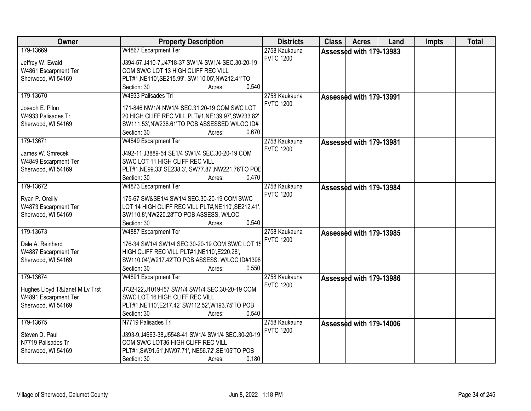| Owner                          | <b>Property Description</b>                          | <b>Districts</b>                  | <b>Class</b> | <b>Acres</b>            | Land | Impts | <b>Total</b> |
|--------------------------------|------------------------------------------------------|-----------------------------------|--------------|-------------------------|------|-------|--------------|
| 179-13669                      | W4867 Escarpment Ter                                 | 2758 Kaukauna                     |              | Assessed with 179-13983 |      |       |              |
| Jeffrey W. Ewald               | J394-57, J410-7, J4718-37 SW1/4 SW1/4 SEC.30-20-19   | <b>FVTC 1200</b>                  |              |                         |      |       |              |
| W4861 Escarpment Ter           | COM SW/C LOT 13 HIGH CLIFF REC VILL                  |                                   |              |                         |      |       |              |
| Sherwood, WI 54169             | PLT#1,NE110',SE215.99', SW110.05',NW212.41'TO        |                                   |              |                         |      |       |              |
|                                | 0.540<br>Section: 30<br>Acres:                       |                                   |              |                         |      |       |              |
| 179-13670                      | W4933 Palisades Trl                                  | 2758 Kaukauna                     |              | Assessed with 179-13991 |      |       |              |
| Joseph E. Pilon                | 171-846 NW1/4 NW1/4 SEC.31.20-19 COM SWC LOT         | <b>FVTC 1200</b>                  |              |                         |      |       |              |
| W4933 Palisades Tr             | 20 HIGH CLIFF REC VILL PLT#1, NE139.97', SW233.82'   |                                   |              |                         |      |       |              |
| Sherwood, WI 54169             | SW111.53', NW238.61'TO POB ASSESSED W/LOC ID#        |                                   |              |                         |      |       |              |
|                                | 0.670<br>Section: 30<br>Acres:                       |                                   |              |                         |      |       |              |
| 179-13671                      | W4849 Escarpment Ter                                 | 2758 Kaukauna                     |              | Assessed with 179-13981 |      |       |              |
| James W. Smrecek               | J492-11, J3889-54 SE1/4 SW1/4 SEC.30-20-19 COM       | <b>FVTC 1200</b>                  |              |                         |      |       |              |
| W4849 Escarpment Ter           | SW/C LOT 11 HIGH CLIFF REC VILL                      |                                   |              |                         |      |       |              |
| Sherwood, WI 54169             | PLT#1, NE99.33', SE238.3', SW77.87', NW221.76'TO POE |                                   |              |                         |      |       |              |
|                                | Section: 30<br>0.470<br>Acres:                       |                                   |              |                         |      |       |              |
| 179-13672                      | W4873 Escarpment Ter                                 | 2758 Kaukauna                     |              | Assessed with 179-13984 |      |       |              |
|                                |                                                      | <b>FVTC 1200</b>                  |              |                         |      |       |              |
| Ryan P. Oreilly                | 175-67 SW&SE1/4 SW1/4 SEC.30-20-19 COM SW/C          |                                   |              |                         |      |       |              |
| W4873 Escarpment Ter           | LOT 14 HIGH CLIFF REC VILL PLT#, NE110', SE212.41',  |                                   |              |                         |      |       |              |
| Sherwood, WI 54169             | SW110.8', NW220.28'TO POB ASSESS. W/LOC              |                                   |              |                         |      |       |              |
| 179-13673                      | 0.540<br>Section: 30<br>Acres:                       |                                   |              |                         |      |       |              |
|                                | W4887 Escarpment Ter                                 | 2758 Kaukauna<br><b>FVTC 1200</b> |              | Assessed with 179-13985 |      |       |              |
| Dale A. Reinhard               | 176-34 SW1/4 SW1/4 SEC.30-20-19 COM SW/C LOT 19      |                                   |              |                         |      |       |              |
| W4887 Escarpment Ter           | HIGH CLIFF REC VILL PLT#1, NE110', E220.28',         |                                   |              |                         |      |       |              |
| Sherwood, WI 54169             | SW110.04', W217.42'TO POB ASSESS. W/LOC ID#1398      |                                   |              |                         |      |       |              |
|                                | Section: 30<br>0.550<br>Acres:                       |                                   |              |                         |      |       |              |
| 179-13674                      | W4891 Escarpment Ter                                 | 2758 Kaukauna                     |              | Assessed with 179-13986 |      |       |              |
| Hughes Lloyd T&Janet M Lv Trst | J732-I22, J1019-I57 SW1/4 SW1/4 SEC.30-20-19 COM     | <b>FVTC 1200</b>                  |              |                         |      |       |              |
| W4891 Escarpment Ter           | SW/C LOT 16 HIGH CLIFF REC VILL                      |                                   |              |                         |      |       |              |
| Sherwood, WI 54169             | PLT#1, NE110', E217.42' SW112.52', W193.75'TO POB    |                                   |              |                         |      |       |              |
|                                | Section: 30<br>0.540<br>Acres:                       |                                   |              |                         |      |       |              |
| 179-13675                      | N7719 Palisades Trl                                  | 2758 Kaukauna                     |              | Assessed with 179-14006 |      |       |              |
| Steven D. Paul                 | J393-9, J4663-38, J5548-41 SW1/4 SW1/4 SEC.30-20-19  | <b>FVTC 1200</b>                  |              |                         |      |       |              |
| N7719 Palisades Tr             | COM SW/C LOT36 HIGH CLIFF REC VILL                   |                                   |              |                         |      |       |              |
| Sherwood, WI 54169             | PLT#1,SW91.51',NW97.71', NE56.72',SE105'TO POB       |                                   |              |                         |      |       |              |
|                                | 0.180<br>Section: 30<br>Acres:                       |                                   |              |                         |      |       |              |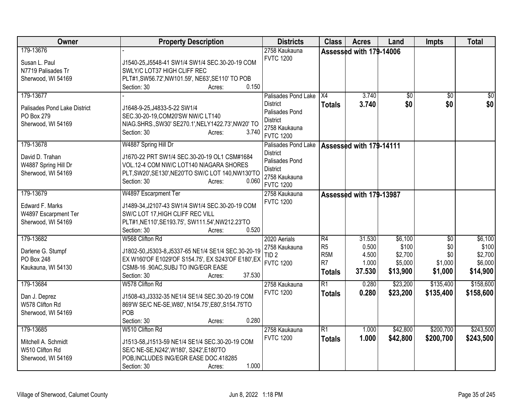| Owner                                                                               | <b>Property Description</b>                                                                                                                                                                             | <b>Districts</b>                                                                                                 | <b>Class</b>                                                                | <b>Acres</b>                                | Land                                               | <b>Impts</b>                                        | <b>Total</b>                                       |
|-------------------------------------------------------------------------------------|---------------------------------------------------------------------------------------------------------------------------------------------------------------------------------------------------------|------------------------------------------------------------------------------------------------------------------|-----------------------------------------------------------------------------|---------------------------------------------|----------------------------------------------------|-----------------------------------------------------|----------------------------------------------------|
| 179-13676<br>Susan L. Paul<br>N7719 Palisades Tr<br>Sherwood, WI 54169<br>179-13677 | J1540-25, J5548-41 SW1/4 SW1/4 SEC.30-20-19 COM<br>SWLY/C LOT37 HIGH CLIFF REC<br>PLT#1,SW56.72',NW101.59', NE63',SE110' TO POB<br>0.150<br>Section: 30<br>Acres:                                       | 2758 Kaukauna<br><b>FVTC 1200</b>                                                                                | X4                                                                          | Assessed with 179-14006<br>3.740            |                                                    |                                                     |                                                    |
| Palisades Pond Lake District<br>PO Box 279<br>Sherwood, WI 54169                    | J1648-9-25, J4833-5-22 SW1/4<br>SEC.30-20-19, COM20'SW NW/C LT140<br>NIAG.SHRS., SW30' SE270.1', NELY1422.73', NW20' TO<br>Section: 30<br>3.740<br>Acres:                                               | Palisades Pond Lake<br><b>District</b><br>Palisades Pond<br><b>District</b><br>2758 Kaukauna<br><b>FVTC 1200</b> | <b>Totals</b>                                                               | 3.740                                       | \$0<br>\$0                                         | \$0<br>\$0                                          | $\sqrt{50}$<br>\$0                                 |
| 179-13678<br>David D. Trahan<br>W4887 Spring Hill Dr<br>Sherwood, WI 54169          | W4887 Spring Hill Dr<br>J1670-22 PRT SW1/4 SEC.30-20-19 OL1 CSM#1684<br>VOL.12-4 COM NW/C LOT140 NIAGARA SHORES<br>PLT, SW20', SE130', NE20'TO SW/C LOT 140, NW130'TO<br>Section: 30<br>0.060<br>Acres: | Palisades Pond Lake<br><b>District</b><br>Palisades Pond<br><b>District</b><br>2758 Kaukauna<br><b>FVTC 1200</b> |                                                                             | Assessed with 179-14111                     |                                                    |                                                     |                                                    |
| 179-13679<br>Edward F. Marks<br>W4897 Escarpment Ter<br>Sherwood, WI 54169          | W4897 Escarpment Ter<br>J1489-34, J2107-43 SW1/4 SW1/4 SEC.30-20-19 COM<br>SW/C LOT 17, HIGH CLIFF REC VILL<br>PLT#1,NE110',SE193.75', SW111.54',NW212.23'TO<br>0.520<br>Section: 30<br>Acres:          | 2758 Kaukauna<br><b>FVTC 1200</b>                                                                                |                                                                             | Assessed with 179-13987                     |                                                    |                                                     |                                                    |
| 179-13682<br>Darlene G. Stumpf<br>PO Box 248<br>Kaukauna, WI 54130                  | W568 Clifton Rd<br>J1802-50, J5303-8, J5337-65 NE1/4 SE1/4 SEC.30-20-19<br>EX W160'OF E1029'OF S154.75', EX S243'OF E180', EX<br>CSM8-16 .90AC, SUBJ TO ING/EGR EASE<br>Section: 30<br>37.530<br>Acres: | 2020 Aerials<br>2758 Kaukauna<br>TID <sub>2</sub><br><b>FVTC 1200</b>                                            | R4<br>R <sub>5</sub><br>R <sub>5</sub> M<br>R <sub>7</sub><br><b>Totals</b> | 31.530<br>0.500<br>4.500<br>1.000<br>37.530 | \$6,100<br>\$100<br>\$2,700<br>\$5,000<br>\$13,900 | $\overline{50}$<br>\$0<br>\$0<br>\$1,000<br>\$1,000 | \$6,100<br>\$100<br>\$2,700<br>\$6,000<br>\$14,900 |
| 179-13684<br>Dan J. Deprez<br>W578 Clifton Rd<br>Sherwood, WI 54169                 | W578 Clifton Rd<br>J1508-43, J3332-35 NE1/4 SE1/4 SEC.30-20-19 COM<br>869'W SE/C NE-SE, W80', N154.75', E80', S154.75'TO<br>POB<br>0.280<br>Section: 30<br>Acres:                                       | 2758 Kaukauna<br><b>FVTC 1200</b>                                                                                | $\overline{R1}$<br><b>Totals</b>                                            | 0.280<br>0.280                              | \$23,200<br>\$23,200                               | \$135,400<br>\$135,400                              | \$158,600<br>\$158,600                             |
| 179-13685<br>Mitchell A. Schmidt<br>W510 Clifton Rd<br>Sherwood, WI 54169           | W510 Clifton Rd<br>J1513-58, J1513-59 NE1/4 SE1/4 SEC.30-20-19 COM<br>SE/C NE-SE, N242', W180', S242', E180'TO<br>POB, INCLUDES ING/EGR EASE DOC.418285<br>1.000<br>Section: 30<br>Acres:               | 2758 Kaukauna<br><b>FVTC 1200</b>                                                                                | $\overline{R1}$<br><b>Totals</b>                                            | 1.000<br>1.000                              | \$42,800<br>\$42,800                               | \$200,700<br>\$200,700                              | \$243,500<br>\$243,500                             |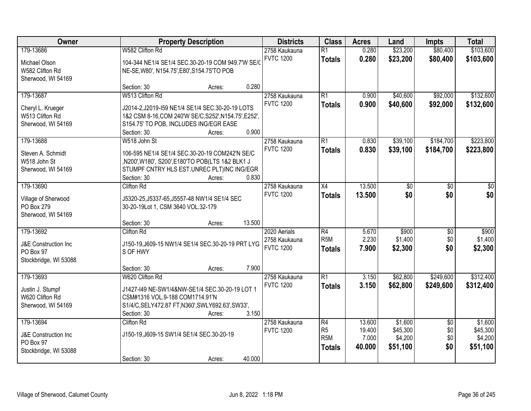| Owner                                                                              | <b>Property Description</b>                                                                                                                                                                             | <b>Districts</b>                                  | <b>Class</b>                                              | <b>Acres</b>                        | Land                                       | <b>Impts</b>                         | <b>Total</b>                               |
|------------------------------------------------------------------------------------|---------------------------------------------------------------------------------------------------------------------------------------------------------------------------------------------------------|---------------------------------------------------|-----------------------------------------------------------|-------------------------------------|--------------------------------------------|--------------------------------------|--------------------------------------------|
| 179-13686<br>Michael Olson<br>W582 Clifton Rd                                      | W582 Clifton Rd<br>104-344 NE1/4 SE1/4 SEC.30-20-19 COM 949.7'W SE/C<br>NE-SE, W80', N154.75', E80', S154.75'TO POB                                                                                     | 2758 Kaukauna<br><b>FVTC 1200</b>                 | $\overline{R1}$<br><b>Totals</b>                          | 0.280<br>0.280                      | \$23,200<br>\$23,200                       | \$80,400<br>\$80,400                 | \$103,600<br>\$103,600                     |
| Sherwood, WI 54169                                                                 | 0.280<br>Section: 30<br>Acres:                                                                                                                                                                          |                                                   |                                                           |                                     |                                            |                                      |                                            |
| 179-13687<br>Cheryl L. Krueger<br>W513 Clifton Rd<br>Sherwood, WI 54169            | W513 Clifton Rd<br>J2014-2,J2019-I59 NE1/4 SE1/4 SEC.30-20-19 LOTS<br>1&2 CSM 8-16, COM 240'W SE/C, S252', N154.75', E252',<br>S154.75' TO POB, INCLUDES ING/EGR EASE<br>0.900<br>Section: 30<br>Acres: | 2758 Kaukauna<br><b>FVTC 1200</b>                 | $\overline{R1}$<br><b>Totals</b>                          | 0.900<br>0.900                      | \$40,600<br>\$40,600                       | \$92,000<br>\$92,000                 | \$132,600<br>\$132,600                     |
| 179-13688<br>Steven A. Schmidt<br>W518 John St<br>Sherwood, WI 54169               | W518 John St<br>106-595 NE1/4 SE1/4 SEC.30-20-19 COM242'N SE/C<br>,N200',W180', S200',E180'TO POB(LTS 1&2 BLK1 J<br>STUMPF CNTRY HLS EST.UNREC PLT)INC ING/EGR<br>Section: 30<br>0.830<br>Acres:        | 2758 Kaukauna<br><b>FVTC 1200</b>                 | R1<br><b>Totals</b>                                       | 0.830<br>0.830                      | \$39,100<br>\$39,100                       | \$184,700<br>\$184,700               | \$223,800<br>\$223,800                     |
| 179-13690<br>Village of Sherwood<br>PO Box 279<br>Sherwood, WI 54169               | <b>Clifton Rd</b><br>J5320-25, J5337-65, J5557-48 NW1/4 SE1/4 SEC<br>30-20-19Lot 1, CSM 3640 VOL.32-179<br>13.500<br>Section: 30<br>Acres:                                                              | 2758 Kaukauna<br><b>FVTC 1200</b>                 | X4<br><b>Totals</b>                                       | 13.500<br>13.500                    | \$0<br>\$0                                 | $\frac{1}{20}$<br>\$0                | $\frac{1}{3}$<br>\$0                       |
| 179-13692<br><b>J&amp;E Construction Inc</b><br>PO Box 97<br>Stockbridge, WI 53088 | <b>Clifton Rd</b><br>J150-19, J609-15 NW1/4 SE1/4 SEC.30-20-19 PRT LYG<br>S OF HWY<br>7.900<br>Section: 30<br>Acres:                                                                                    | 2020 Aerials<br>2758 Kaukauna<br><b>FVTC 1200</b> | R4<br>R <sub>5</sub> M<br><b>Totals</b>                   | 5.670<br>2.230<br>7.900             | \$900<br>\$1,400<br>\$2,300                | $\overline{50}$<br>\$0<br>\$0        | \$900<br>\$1,400<br>\$2,300                |
| 179-13693<br>Justin J. Stumpf<br>W620 Clifton Rd<br>Sherwood, WI 54169             | W620 Clifton Rd<br>J1427-I49 NE-SW1/4&NW-SE1/4 SEC.30-20-19 LOT 1<br>CSM#1316 VOL.9-188 COM1714.91'N<br>S1/4/C, SELY472.87 FT, N360', SWLY692.63', SW33',<br>3.150<br>Section: 30<br>Acres:             | 2758 Kaukauna<br><b>FVTC 1200</b>                 | $\overline{R1}$<br><b>Totals</b>                          | 3.150<br>3.150                      | \$62,800<br>\$62,800                       | \$249,600<br>\$249,600               | \$312,400<br>\$312,400                     |
| 179-13694<br><b>J&amp;E Construction Inc</b><br>PO Box 97<br>Stockbridge, WI 53088 | Clifton Rd<br>J150-19, J609-15 SW1/4 SE1/4 SEC.30-20-19<br>40.000<br>Section: 30<br>Acres:                                                                                                              | 2758 Kaukauna<br><b>FVTC 1200</b>                 | R4<br>R <sub>5</sub><br>R <sub>5</sub> M<br><b>Totals</b> | 13.600<br>19.400<br>7.000<br>40.000 | \$1,600<br>\$45,300<br>\$4,200<br>\$51,100 | $\overline{50}$<br>\$0<br>\$0<br>\$0 | \$1,600<br>\$45,300<br>\$4,200<br>\$51,100 |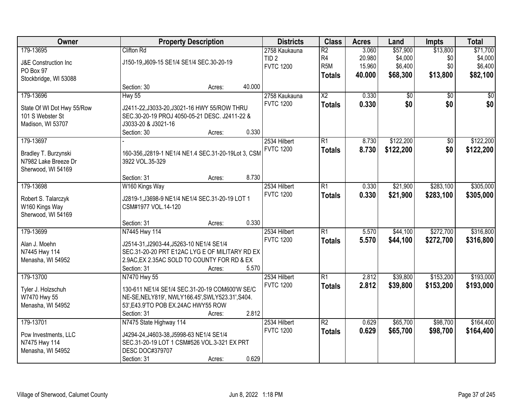| Owner                      |                                                     | <b>Property Description</b> |        | <b>Districts</b> | <b>Class</b>           | <b>Acres</b> | Land            | <b>Impts</b>    | <b>Total</b>    |
|----------------------------|-----------------------------------------------------|-----------------------------|--------|------------------|------------------------|--------------|-----------------|-----------------|-----------------|
| 179-13695                  | <b>Clifton Rd</b>                                   |                             |        | 2758 Kaukauna    | $\overline{R2}$        | 3.060        | \$57,900        | \$13,800        | \$71,700        |
| J&E Construction Inc       | J150-19, J609-15 SE1/4 SE1/4 SEC.30-20-19           |                             |        | TID <sub>2</sub> | R4                     | 20.980       | \$4,000         | \$0             | \$4,000         |
| PO Box 97                  |                                                     |                             |        | <b>FVTC 1200</b> | R <sub>5</sub> M       | 15.960       | \$6,400         | \$0             | \$6,400         |
| Stockbridge, WI 53088      |                                                     |                             |        |                  | <b>Totals</b>          | 40.000       | \$68,300        | \$13,800        | \$82,100        |
|                            | Section: 30                                         | Acres:                      | 40.000 |                  |                        |              |                 |                 |                 |
| 179-13696                  | Hwy 55                                              |                             |        | 2758 Kaukauna    | $\overline{\text{X2}}$ | 0.330        | $\overline{50}$ | $\overline{50}$ | $\overline{50}$ |
| State Of WI Dot Hwy 55/Row | J2411-22, J3033-20, J3021-16 HWY 55/ROW THRU        |                             |        | <b>FVTC 1200</b> | <b>Totals</b>          | 0.330        | \$0             | \$0             | \$0             |
| 101 S Webster St           | SEC.30-20-19 PROJ 4050-05-21 DESC. J2411-22 &       |                             |        |                  |                        |              |                 |                 |                 |
| Madison, WI 53707          | J3033-20 & J3021-16                                 |                             |        |                  |                        |              |                 |                 |                 |
|                            | Section: 30                                         | Acres:                      | 0.330  |                  |                        |              |                 |                 |                 |
| 179-13697                  |                                                     |                             |        | 2534 Hilbert     | $\overline{R1}$        | 8.730        | \$122,200       | \$0             | \$122,200       |
| Bradley T. Burzynski       | 160-356, J2819-1 NE1/4 NE1.4 SEC.31-20-19Lot 3, CSM |                             |        | <b>FVTC 1200</b> | <b>Totals</b>          | 8.730        | \$122,200       | \$0             | \$122,200       |
| N7982 Lake Breeze Dr       | 3922 VOL.35-329                                     |                             |        |                  |                        |              |                 |                 |                 |
| Sherwood, WI 54169         |                                                     |                             |        |                  |                        |              |                 |                 |                 |
|                            | Section: 31                                         | Acres:                      | 8.730  |                  |                        |              |                 |                 |                 |
| 179-13698                  | W160 Kings Way                                      |                             |        | 2534 Hilbert     | $\overline{R1}$        | 0.330        | \$21,900        | \$283,100       | \$305,000       |
| Robert S. Talarczyk        | J2819-1, J3698-9 NE1/4 NE1/4 SEC.31-20-19 LOT 1     |                             |        | <b>FVTC 1200</b> | <b>Totals</b>          | 0.330        | \$21,900        | \$283,100       | \$305,000       |
| W160 Kings Way             | CSM#1977 VOL.14-120                                 |                             |        |                  |                        |              |                 |                 |                 |
| Sherwood, WI 54169         |                                                     |                             |        |                  |                        |              |                 |                 |                 |
|                            | Section: 31                                         | Acres:                      | 0.330  |                  |                        |              |                 |                 |                 |
| 179-13699                  | N7445 Hwy 114                                       |                             |        | 2534 Hilbert     | $\overline{R1}$        | 5.570        | \$44,100        | \$272,700       | \$316,800       |
| Alan J. Moehn              | J2514-31, J2903-44, J5263-10 NE1/4 SE1/4            |                             |        | <b>FVTC 1200</b> | <b>Totals</b>          | 5.570        | \$44,100        | \$272,700       | \$316,800       |
| N7445 Hwy 114              | SEC.31-20-20 PRT E12AC LYG E OF MILITARY RD EX      |                             |        |                  |                        |              |                 |                 |                 |
| Menasha, WI 54952          | 2.9AC, EX 2.35AC SOLD TO COUNTY FOR RD & EX         |                             |        |                  |                        |              |                 |                 |                 |
|                            | Section: 31                                         | Acres:                      | 5.570  |                  |                        |              |                 |                 |                 |
| 179-13700                  | N7470 Hwy 55                                        |                             |        | 2534 Hilbert     | $\overline{R1}$        | 2.812        | \$39,800        | \$153,200       | \$193,000       |
| Tyler J. Holzschuh         | 130-611 NE1/4 SE1/4 SEC.31-20-19 COM600'W SE/C      |                             |        | <b>FVTC 1200</b> | <b>Totals</b>          | 2.812        | \$39,800        | \$153,200       | \$193,000       |
| W7470 Hwy 55               | NE-SE, NELY819', NWLY166.45', SWLY523.31', S404.    |                             |        |                  |                        |              |                 |                 |                 |
| Menasha, WI 54952          | 53', E43.9'TO POB EX.24AC HWY55 ROW                 |                             |        |                  |                        |              |                 |                 |                 |
|                            | Section: 31                                         | Acres:                      | 2.812  |                  |                        |              |                 |                 |                 |
| 179-13701                  | N7475 State Highway 114                             |                             |        | 2534 Hilbert     | $\overline{R2}$        | 0.629        | \$65,700        | \$98,700        | \$164,400       |
| Pcw Investments, LLC       | J4294-24, J4603-38, J5998-63 NE1/4 SE1/4            |                             |        | <b>FVTC 1200</b> | <b>Totals</b>          | 0.629        | \$65,700        | \$98,700        | \$164,400       |
| N7475 Hwy 114              | SEC.31-20-19 LOT 1 CSM#526 VOL.3-321 EX PRT         |                             |        |                  |                        |              |                 |                 |                 |
| Menasha, WI 54952          | <b>DESC DOC#379707</b>                              |                             |        |                  |                        |              |                 |                 |                 |
|                            | Section: 31                                         | Acres:                      | 0.629  |                  |                        |              |                 |                 |                 |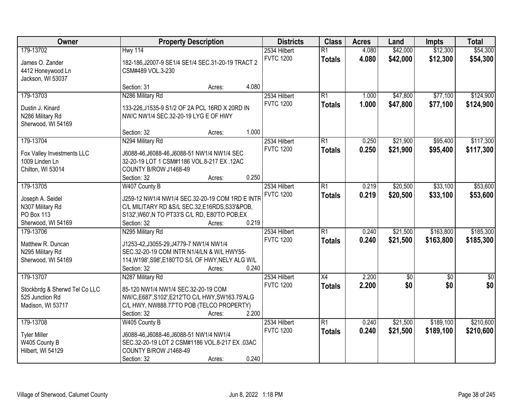| Owner                                                                              | <b>Property Description</b>                                                                                                                                                                       | <b>Districts</b>                 | <b>Class</b>                     | <b>Acres</b>   | Land                   | <b>Impts</b>           | <b>Total</b>            |
|------------------------------------------------------------------------------------|---------------------------------------------------------------------------------------------------------------------------------------------------------------------------------------------------|----------------------------------|----------------------------------|----------------|------------------------|------------------------|-------------------------|
| 179-13702<br>James O. Zander<br>4412 Honeywood Ln<br>Jackson, WI 53037             | <b>Hwy 114</b><br>182-186, J2007-9 SE1/4 SE1/4 SEC.31-20-19 TRACT 2<br>CSM#489 VOL.3-230                                                                                                          | 2534 Hilbert<br><b>FVTC 1200</b> | $\overline{R1}$<br><b>Totals</b> | 4.080<br>4.080 | \$42,000<br>\$42,000   | \$12,300<br>\$12,300   | \$54,300<br>\$54,300    |
|                                                                                    | 4.080<br>Section: 31<br>Acres:                                                                                                                                                                    |                                  |                                  |                |                        |                        |                         |
| 179-13703<br>Dustin J. Kinard<br>N286 Military Rd<br>Sherwood, WI 54169            | N286 Military Rd<br>133-226, J1535-9 S1/2 OF 2A PCL 16RD X 20RD IN<br>NW/C NW1/4 SEC.32-20-19 LYG E OF HWY                                                                                        | 2534 Hilbert<br><b>FVTC 1200</b> | $\overline{R1}$<br><b>Totals</b> | 1.000<br>1.000 | \$47,800<br>\$47,800   | \$77,100<br>\$77,100   | \$124,900<br>\$124,900  |
|                                                                                    | 1.000<br>Section: 32<br>Acres:                                                                                                                                                                    |                                  |                                  |                |                        |                        |                         |
| 179-13704<br>Fox Valley Investments LLC<br>1009 Linden Ln<br>Chilton, WI 53014     | N294 Military Rd<br>J6088-46, J6088-46, J6088-51 NW1/4 NW1/4 SEC<br>32-20-19 LOT 1 CSM#1186 VOL.8-217 EX.12AC<br>COUNTY B/ROW J1468-49<br>0.250<br>Section: 32<br>Acres:                          | 2534 Hilbert<br><b>FVTC 1200</b> | $\overline{R1}$<br><b>Totals</b> | 0.250<br>0.250 | \$21,900<br>\$21,900   | \$95,400<br>\$95,400   | \$117,300<br>\$117,300  |
| 179-13705                                                                          | W407 County B                                                                                                                                                                                     | 2534 Hilbert                     | $\overline{R1}$                  | 0.219          | \$20,500               | \$33,100               | \$53,600                |
| Joseph A. Seidel<br>N307 Military Rd<br><b>PO Box 113</b><br>Sherwood, WI 54169    | J259-12 NW1/4 NW1/4 SEC.32-20-19 COM 1RD E INTR<br>C/L MILITARY RD & S/L SEC.32, E16RDS, S33'& POB,<br>S132', W60', N TO PT33'S C/L RD, E80'TO POB, EX<br>0.219<br>Section: 32<br>Acres:          | <b>FVTC 1200</b>                 | <b>Totals</b>                    | 0.219          | \$20,500               | \$33,100               | \$53,600                |
| 179-13706<br>Matthew R. Duncan<br>N295 Military Rd<br>Sherwood, WI 54169           | N295 Military Rd<br>J1253-42, J3055-29, J4779-7 NW1/4 NW1/4<br>SEC.32-20-19 COM INTR N1/4/LN & W/L HWY55-<br>114, W198', S98', E180'TO S/L OF HWY, NELY ALG W/L<br>0.240<br>Section: 32<br>Acres: | 2534 Hilbert<br><b>FVTC 1200</b> | $\overline{R1}$<br><b>Totals</b> | 0.240<br>0.240 | \$21,500<br>\$21,500   | \$163,800<br>\$163,800 | \$185,300<br>\$185,300  |
| 179-13707<br>Stockbrdg & Sherwd Tel Co LLC<br>525 Junction Rd<br>Madison, WI 53717 | N287 Military Rd<br>85-120 NW1/4 NW1/4 SEC.32-20-19 COM<br>NW/C, E687', S102', E212'TO C/L HWY, SW163.75'ALG<br>C/L HWY, NW888.77'TO POB (TELCO PROPERTY)<br>2.200<br>Section: 32<br>Acres:       | 2534 Hilbert<br><b>FVTC 1200</b> | $\overline{X4}$<br><b>Totals</b> | 2.200<br>2.200 | $\overline{50}$<br>\$0 | $\overline{50}$<br>\$0 | $\overline{\$0}$<br>\$0 |
| 179-13708<br><b>Tyler Miller</b><br>W405 County B<br>Hilbert, WI 54129             | W405 County B<br>J6088-46, J6088-46, J6088-51 NW1/4 NW1/4<br>SEC.32-20-19 LOT 2 CSM#1186 VOL.8-217 EX .03AC<br>COUNTY B/ROW J1468-49<br>0.240<br>Section: 32<br>Acres:                            | 2534 Hilbert<br><b>FVTC 1200</b> | $\overline{R1}$<br><b>Totals</b> | 0.240<br>0.240 | \$21,500<br>\$21,500   | \$189,100<br>\$189,100 | \$210,600<br>\$210,600  |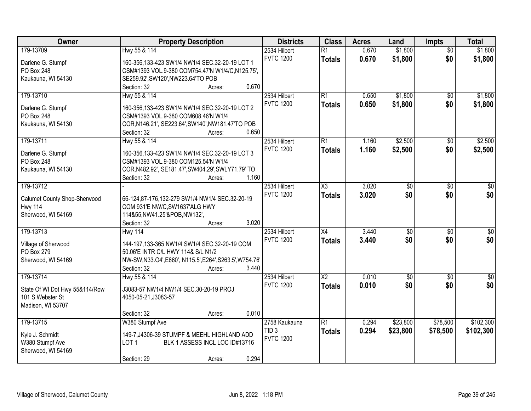| Owner                          | <b>Property Description</b>                              | <b>Districts</b> | <b>Class</b>        | <b>Acres</b> | Land            | <b>Impts</b>    | <b>Total</b> |
|--------------------------------|----------------------------------------------------------|------------------|---------------------|--------------|-----------------|-----------------|--------------|
| 179-13709                      | Hwy 55 & 114                                             | 2534 Hilbert     | $\overline{R1}$     | 0.670        | \$1,800         | $\overline{50}$ | \$1,800      |
| Darlene G. Stumpf              | 160-356,133-423 SW1/4 NW1/4 SEC.32-20-19 LOT 1           | <b>FVTC 1200</b> | <b>Totals</b>       | 0.670        | \$1,800         | \$0             | \$1,800      |
| PO Box 248                     | CSM#1393 VOL.9-380 COM754.47'N W1/4/C,N125.75',          |                  |                     |              |                 |                 |              |
| Kaukauna, WI 54130             | SE259.92', SW120', NW223.64'TO POB                       |                  |                     |              |                 |                 |              |
|                                | 0.670<br>Section: 32<br>Acres:                           |                  |                     |              |                 |                 |              |
| 179-13710                      | Hwy 55 & 114                                             | 2534 Hilbert     | R1                  | 0.650        | \$1,800         | $\overline{50}$ | \$1,800      |
|                                |                                                          | <b>FVTC 1200</b> | <b>Totals</b>       | 0.650        | \$1,800         | \$0             | \$1,800      |
| Darlene G. Stumpf              | 160-356,133-423 SW1/4 NW1/4 SEC.32-20-19 LOT 2           |                  |                     |              |                 |                 |              |
| PO Box 248                     | CSM#1393 VOL.9-380 COM608.46'N W1/4                      |                  |                     |              |                 |                 |              |
| Kaukauna, WI 54130             | COR, N146.21', SE223.64', SW140', NW181.47'TO POB        |                  |                     |              |                 |                 |              |
|                                | 0.650<br>Section: 32<br>Acres:                           |                  |                     |              |                 |                 |              |
| 179-13711                      | Hwy 55 & 114                                             | 2534 Hilbert     | $\overline{R1}$     | 1.160        | \$2,500         | \$0             | \$2,500      |
| Darlene G. Stumpf              | 160-356,133-423 SW1/4 NW1/4 SEC.32-20-19 LOT 3           | <b>FVTC 1200</b> | <b>Totals</b>       | 1.160        | \$2,500         | \$0             | \$2,500      |
| PO Box 248                     | CSM#1393 VOL.9-380 COM125.54'N W1/4                      |                  |                     |              |                 |                 |              |
| Kaukauna, WI 54130             | COR, N482.92', SE181.47', SW404.29', SWLY71.79' TO       |                  |                     |              |                 |                 |              |
|                                | 1.160<br>Section: 32<br>Acres:                           |                  |                     |              |                 |                 |              |
| 179-13712                      |                                                          | 2534 Hilbert     | $\overline{\chi_3}$ | 3.020        | $\overline{50}$ | \$0             | \$0          |
|                                |                                                          | <b>FVTC 1200</b> | <b>Totals</b>       | 3.020        | \$0             | \$0             | \$0          |
| Calumet County Shop-Sherwood   | 66-124,87-176,132-279 SW1/4 NW1/4 SEC.32-20-19           |                  |                     |              |                 |                 |              |
| <b>Hwy 114</b>                 | COM 931'E NW/C, SW1637'ALG HWY                           |                  |                     |              |                 |                 |              |
| Sherwood, WI 54169             | 114&55, NW41.25'&POB, NW132',                            |                  |                     |              |                 |                 |              |
|                                | 3.020<br>Section: 32<br>Acres:                           |                  |                     |              |                 |                 |              |
| 179-13713                      | <b>Hwy 114</b>                                           | 2534 Hilbert     | $\overline{X4}$     | 3.440        | $\overline{50}$ | $\overline{50}$ | $\sqrt{50}$  |
| Village of Sherwood            | 144-197,133-365 NW1/4 SW1/4 SEC.32-20-19 COM             | <b>FVTC 1200</b> | Totals              | 3.440        | \$0             | \$0             | \$0          |
| PO Box 279                     | 50.06'E INTR C/L HWY 114& S/L N1/2                       |                  |                     |              |                 |                 |              |
| Sherwood, WI 54169             | NW-SW, N33.O4', E660', N115.5', E264', S263.5', W754.76' |                  |                     |              |                 |                 |              |
|                                | 3.440<br>Section: 32<br>Acres:                           |                  |                     |              |                 |                 |              |
| 179-13714                      | Hwy 55 & 114                                             | 2534 Hilbert     | $\overline{X2}$     | 0.010        | $\sqrt{$0}$     | $\sqrt{6}$      | $\sqrt{50}$  |
|                                |                                                          | <b>FVTC 1200</b> | <b>Totals</b>       | 0.010        | \$0             | \$0             | \$0          |
| State Of WI Dot Hwy 55&114/Row | J3083-57 NW1/4 NW1/4 SEC.30-20-19 PROJ                   |                  |                     |              |                 |                 |              |
| 101 S Webster St               | 4050-05-21, J3083-57                                     |                  |                     |              |                 |                 |              |
| Madison, WI 53707              |                                                          |                  |                     |              |                 |                 |              |
|                                | 0.010<br>Section: 32<br>Acres:                           |                  |                     |              |                 |                 |              |
| 179-13715                      | W380 Stumpf Ave                                          | 2758 Kaukauna    | $\overline{R1}$     | 0.294        | \$23,800        | \$78,500        | \$102,300    |
| Kyle J. Schmidt                | 149-7, J4306-39 STUMPF & MEEHL HIGHLAND ADD              | TID <sub>3</sub> | <b>Totals</b>       | 0.294        | \$23,800        | \$78,500        | \$102,300    |
| W380 Stumpf Ave                | BLK 1 ASSESS INCL LOC ID#13716<br>LOT <sub>1</sub>       | <b>FVTC 1200</b> |                     |              |                 |                 |              |
| Sherwood, WI 54169             |                                                          |                  |                     |              |                 |                 |              |
|                                | 0.294<br>Section: 29<br>Acres:                           |                  |                     |              |                 |                 |              |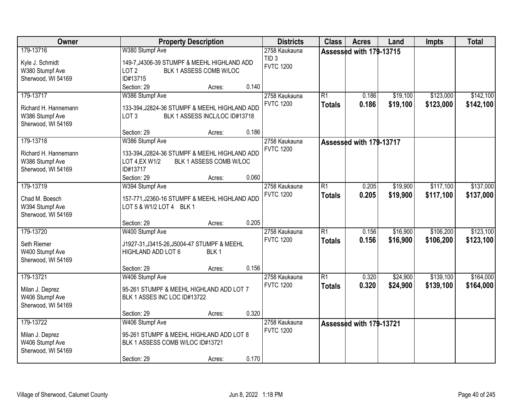| Owner                                 | <b>Property Description</b>                           |                  |       | <b>Districts</b> | <b>Class</b>    | <b>Acres</b>            | Land     | <b>Impts</b> | <b>Total</b> |
|---------------------------------------|-------------------------------------------------------|------------------|-------|------------------|-----------------|-------------------------|----------|--------------|--------------|
| 179-13716                             | W380 Stumpf Ave                                       |                  |       | 2758 Kaukauna    |                 | Assessed with 179-13715 |          |              |              |
| Kyle J. Schmidt                       | 149-7, J4306-39 STUMPF & MEEHL HIGHLAND ADD           |                  |       | TID <sub>3</sub> |                 |                         |          |              |              |
| W380 Stumpf Ave                       | LOT <sub>2</sub><br>BLK 1 ASSESS COMB W/LOC           |                  |       | <b>FVTC 1200</b> |                 |                         |          |              |              |
| Sherwood, WI 54169                    | ID#13715                                              |                  |       |                  |                 |                         |          |              |              |
|                                       | Section: 29                                           | Acres:           | 0.140 |                  |                 |                         |          |              |              |
| 179-13717                             | W386 Stumpf Ave                                       |                  |       | 2758 Kaukauna    | $\overline{R1}$ | 0.186                   | \$19,100 | \$123,000    | \$142,100    |
| Richard H. Hannemann                  | 133-394, J2824-36 STUMPF & MEEHL HIGHLAND ADD         |                  |       | <b>FVTC 1200</b> | <b>Totals</b>   | 0.186                   | \$19,100 | \$123,000    | \$142,100    |
| W386 Stumpf Ave                       | LOT <sub>3</sub><br>BLK 1 ASSESS INCL/LOC ID#13718    |                  |       |                  |                 |                         |          |              |              |
| Sherwood, WI 54169                    |                                                       |                  |       |                  |                 |                         |          |              |              |
|                                       | Section: 29                                           | Acres:           | 0.186 |                  |                 |                         |          |              |              |
| 179-13718                             | W386 Stumpf Ave                                       |                  |       | 2758 Kaukauna    |                 | Assessed with 179-13717 |          |              |              |
|                                       |                                                       |                  |       | <b>FVTC 1200</b> |                 |                         |          |              |              |
| Richard H. Hannemann                  | 133-394, J2824-36 STUMPF & MEEHL HIGHLAND ADD         |                  |       |                  |                 |                         |          |              |              |
| W386 Stumpf Ave<br>Sherwood, WI 54169 | BLK 1 ASSESS COMB W/LOC<br>LOT 4, EX W1/2<br>ID#13717 |                  |       |                  |                 |                         |          |              |              |
|                                       | Section: 29                                           | Acres:           | 0.060 |                  |                 |                         |          |              |              |
| 179-13719                             | W394 Stumpf Ave                                       |                  |       | 2758 Kaukauna    | $\overline{R1}$ | 0.205                   | \$19,900 | \$117,100    | \$137,000    |
|                                       |                                                       |                  |       | <b>FVTC 1200</b> | <b>Totals</b>   | 0.205                   | \$19,900 | \$117,100    | \$137,000    |
| Chad M. Boesch                        | 157-771, J2360-16 STUMPF & MEEHL HIGHLAND ADD         |                  |       |                  |                 |                         |          |              |              |
| W394 Stumpf Ave                       | LOT 5 & W1/2 LOT 4 BLK 1                              |                  |       |                  |                 |                         |          |              |              |
| Sherwood, WI 54169                    |                                                       |                  |       |                  |                 |                         |          |              |              |
|                                       | Section: 29                                           | Acres:           | 0.205 |                  |                 |                         |          |              |              |
| 179-13720                             | W400 Stumpf Ave                                       |                  |       | 2758 Kaukauna    | $\overline{R1}$ | 0.156                   | \$16,900 | \$106,200    | \$123,100    |
| Seth Riemer                           | J1927-31, J3415-26, J5004-47 STUMPF & MEEHL           |                  |       | <b>FVTC 1200</b> | <b>Totals</b>   | 0.156                   | \$16,900 | \$106,200    | \$123,100    |
| W400 Stumpf Ave                       | HIGHLAND ADD LOT 6                                    | BLK <sub>1</sub> |       |                  |                 |                         |          |              |              |
| Sherwood, WI 54169                    |                                                       |                  |       |                  |                 |                         |          |              |              |
|                                       | Section: 29                                           | Acres:           | 0.156 |                  |                 |                         |          |              |              |
| 179-13721                             | W406 Stumpf Ave                                       |                  |       | 2758 Kaukauna    | $\overline{R1}$ | 0.320                   | \$24,900 | \$139,100    | \$164,000    |
| Milan J. Deprez                       | 95-261 STUMPF & MEEHL HIGHLAND ADD LOT 7              |                  |       | <b>FVTC 1200</b> | <b>Totals</b>   | 0.320                   | \$24,900 | \$139,100    | \$164,000    |
| W406 Stumpf Ave                       | BLK 1 ASSES INC LOC ID#13722                          |                  |       |                  |                 |                         |          |              |              |
| Sherwood, WI 54169                    |                                                       |                  |       |                  |                 |                         |          |              |              |
|                                       | Section: 29                                           | Acres:           | 0.320 |                  |                 |                         |          |              |              |
| 179-13722                             | W406 Stumpf Ave                                       |                  |       | 2758 Kaukauna    |                 | Assessed with 179-13721 |          |              |              |
| Milan J. Deprez                       | 95-261 STUMPF & MEEHL HIGHLAND ADD LOT 8              |                  |       | <b>FVTC 1200</b> |                 |                         |          |              |              |
| W406 Stumpf Ave                       | BLK 1 ASSESS COMB W/LOC ID#13721                      |                  |       |                  |                 |                         |          |              |              |
| Sherwood, WI 54169                    |                                                       |                  |       |                  |                 |                         |          |              |              |
|                                       | Section: 29                                           | Acres:           | 0.170 |                  |                 |                         |          |              |              |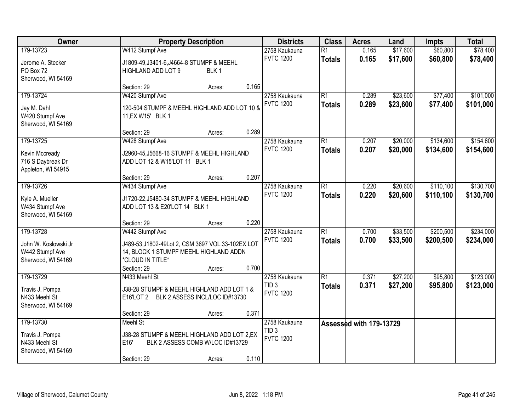| Owner                                                                      |                                                                                                                                    | <b>Property Description</b>                |       | <b>Districts</b>                                      | <b>Class</b>                     | <b>Acres</b>            | Land                 | <b>Impts</b>           | <b>Total</b>           |
|----------------------------------------------------------------------------|------------------------------------------------------------------------------------------------------------------------------------|--------------------------------------------|-------|-------------------------------------------------------|----------------------------------|-------------------------|----------------------|------------------------|------------------------|
| 179-13723                                                                  | W412 Stumpf Ave                                                                                                                    |                                            |       | 2758 Kaukauna                                         | $\overline{R1}$                  | 0.165                   | \$17,600             | \$60,800               | \$78,400               |
| Jerome A. Stecker<br>PO Box 72<br>Sherwood, WI 54169                       | J1809-49, J3401-6, J4664-8 STUMPF & MEEHL<br>HIGHLAND ADD LOT 9                                                                    | BLK <sub>1</sub>                           |       | <b>FVTC 1200</b>                                      | <b>Totals</b>                    | 0.165                   | \$17,600             | \$60,800               | \$78,400               |
|                                                                            | Section: 29                                                                                                                        | Acres:                                     | 0.165 |                                                       |                                  |                         |                      |                        |                        |
| 179-13724<br>Jay M. Dahl<br>W420 Stumpf Ave<br>Sherwood, WI 54169          | W420 Stumpf Ave<br>120-504 STUMPF & MEEHL HIGHLAND ADD LOT 10 &<br>11, EX W15' BLK 1                                               |                                            |       | 2758 Kaukauna<br><b>FVTC 1200</b>                     | $\overline{R1}$<br><b>Totals</b> | 0.289<br>0.289          | \$23,600<br>\$23,600 | \$77,400<br>\$77,400   | \$101,000<br>\$101,000 |
|                                                                            | Section: 29                                                                                                                        | Acres:                                     | 0.289 |                                                       |                                  |                         |                      |                        |                        |
| 179-13725<br>Kevin Mccready<br>716 S Daybreak Dr<br>Appleton, WI 54915     | W428 Stumpf Ave<br>J2960-45, J5668-16 STUMPF & MEEHL HIGHLAND<br>ADD LOT 12 & W15'LOT 11 BLK 1                                     |                                            |       | 2758 Kaukauna<br><b>FVTC 1200</b>                     | $\overline{R1}$<br><b>Totals</b> | 0.207<br>0.207          | \$20,000<br>\$20,000 | \$134,600<br>\$134,600 | \$154,600<br>\$154,600 |
|                                                                            | Section: 29                                                                                                                        | Acres:                                     | 0.207 |                                                       |                                  |                         |                      |                        |                        |
| 179-13726<br>Kyle A. Mueller                                               | W434 Stumpf Ave<br>J1720-22, J5480-34 STUMPF & MEEHL HIGHLAND                                                                      |                                            |       | 2758 Kaukauna<br><b>FVTC 1200</b>                     | $\overline{R1}$<br><b>Totals</b> | 0.220<br>0.220          | \$20,600<br>\$20,600 | \$110,100<br>\$110,100 | \$130,700<br>\$130,700 |
| W434 Stumpf Ave<br>Sherwood, WI 54169                                      | ADD LOT 13 & E20'LOT 14 BLK 1<br>Section: 29                                                                                       | Acres:                                     | 0.220 |                                                       |                                  |                         |                      |                        |                        |
| 179-13728<br>John W. Koslowski Jr<br>W442 Stumpf Ave<br>Sherwood, WI 54169 | W442 Stumpf Ave<br>J489-53, J1802-49Lot 2, CSM 3697 VOL.33-102EX LOT<br>14, BLOCK 1 STUMPF MEEHL HIGHLAND ADDN<br>*CLOUD IN TITLE* |                                            |       | 2758 Kaukauna<br><b>FVTC 1200</b>                     | $\overline{R1}$<br><b>Totals</b> | 0.700<br>0.700          | \$33,500<br>\$33,500 | \$200,500<br>\$200,500 | \$234,000<br>\$234,000 |
|                                                                            | Section: 29                                                                                                                        | Acres:                                     | 0.700 |                                                       |                                  |                         |                      |                        |                        |
| 179-13729<br>Travis J. Pompa<br>N433 Meehl St<br>Sherwood, WI 54169        | N433 Meehl St<br>J38-28 STUMPF & MEEHL HIGHLAND ADD LOT 1 &<br>E16'LOT 2 BLK 2 ASSESS INCL/LOC ID#13730                            |                                            |       | 2758 Kaukauna<br>TID <sub>3</sub><br><b>FVTC 1200</b> | $\overline{R1}$<br><b>Totals</b> | 0.371<br>0.371          | \$27,200<br>\$27,200 | \$95,800<br>\$95,800   | \$123,000<br>\$123,000 |
|                                                                            | Section: 29                                                                                                                        | Acres:                                     | 0.371 |                                                       |                                  |                         |                      |                        |                        |
| 179-13730<br>Travis J. Pompa<br>N433 Meehl St<br>Sherwood, WI 54169        | Meehl St<br>J38-28 STUMPF & MEEHL HIGHLAND ADD LOT 2,EX<br>E16'<br>Section: 29                                                     | BLK 2 ASSESS COMB W/LOC ID#13729<br>Acres: | 0.110 | 2758 Kaukauna<br>TID <sub>3</sub><br><b>FVTC 1200</b> |                                  | Assessed with 179-13729 |                      |                        |                        |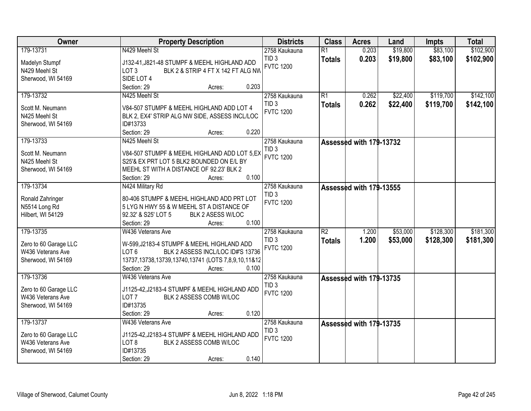| Owner                                                                         | <b>Property Description</b>                                                                                                                                                                                               | <b>Districts</b>                                      | <b>Class</b>                     | <b>Acres</b>            | Land                 | Impts                  | <b>Total</b>           |
|-------------------------------------------------------------------------------|---------------------------------------------------------------------------------------------------------------------------------------------------------------------------------------------------------------------------|-------------------------------------------------------|----------------------------------|-------------------------|----------------------|------------------------|------------------------|
| 179-13731                                                                     | N429 Meehl St                                                                                                                                                                                                             | 2758 Kaukauna                                         | $\overline{R1}$                  | 0.203                   | \$19,800             | \$83,100               | \$102,900              |
| Madelyn Stumpf<br>N429 Meehl St                                               | J132-41, J821-48 STUMPF & MEEHL HIGHLAND ADD<br>BLK 2 & STRIP 4 FT X 142 FT ALG NW<br>LOT <sub>3</sub>                                                                                                                    | TID <sub>3</sub><br><b>FVTC 1200</b>                  | <b>Totals</b>                    | 0.203                   | \$19,800             | \$83,100               | \$102,900              |
| Sherwood, WI 54169                                                            | SIDE LOT 4<br>0.203<br>Section: 29<br>Acres:                                                                                                                                                                              |                                                       |                                  |                         |                      |                        |                        |
| 179-13732                                                                     | N425 Meehl St                                                                                                                                                                                                             | 2758 Kaukauna<br>TID <sub>3</sub>                     | $\overline{R1}$                  | 0.262<br>0.262          | \$22,400<br>\$22,400 | \$119,700<br>\$119,700 | \$142,100<br>\$142,100 |
| Scott M. Neumann<br>N425 Meehl St<br>Sherwood, WI 54169                       | V84-507 STUMPF & MEEHL HIGHLAND ADD LOT 4<br>BLK 2, EX4' STRIP ALG NW SIDE, ASSESS INCL/LOC<br>ID#13733                                                                                                                   | <b>FVTC 1200</b>                                      | <b>Totals</b>                    |                         |                      |                        |                        |
| 179-13733                                                                     | Section: 29<br>0.220<br>Acres:<br>N425 Meehl St                                                                                                                                                                           | 2758 Kaukauna                                         |                                  | Assessed with 179-13732 |                      |                        |                        |
| Scott M. Neumann<br>N425 Meehl St<br>Sherwood, WI 54169                       | V84-507 STUMPF & MEEHL HIGHLAND ADD LOT 5,EX<br>S25'& EX PRT LOT 5 BLK2 BOUNDED ON E/L BY<br>MEEHL ST WITH A DISTANCE OF 92.23' BLK 2<br>0.100<br>Section: 29<br>Acres:                                                   | TID <sub>3</sub><br><b>FVTC 1200</b>                  |                                  |                         |                      |                        |                        |
| 179-13734                                                                     | N424 Military Rd                                                                                                                                                                                                          | 2758 Kaukauna                                         |                                  | Assessed with 179-13555 |                      |                        |                        |
| Ronald Zahringer<br>N5514 Long Rd<br>Hilbert, WI 54129                        | 80-406 STUMPF & MEEHL HIGHLAND ADD PRT LOT<br>5 LYG N HWY 55 & W MEEHL ST A DISTANCE OF<br>92.32' & S25' LOT 5<br>BLK 2 ASESS W/LOC<br>Section: 29<br>0.100<br>Acres:                                                     | TID <sub>3</sub><br><b>FVTC 1200</b>                  |                                  |                         |                      |                        |                        |
| 179-13735<br>Zero to 60 Garage LLC<br>W436 Veterans Ave<br>Sherwood, WI 54169 | W436 Veterans Ave<br>W-599, J2183-4 STUMPF & MEEHL HIGHLAND ADD<br>BLK 2 ASSESS INCL/LOC ID#'S 13736<br>LOT <sub>6</sub><br>13737, 13738, 13739, 13740, 13741 (LOTS 7, 8, 9, 10, 11& 12<br>Section: 29<br>0.100<br>Acres: | 2758 Kaukauna<br>TID <sub>3</sub><br><b>FVTC 1200</b> | $\overline{R2}$<br><b>Totals</b> | 1.200<br>1.200          | \$53,000<br>\$53,000 | \$128,300<br>\$128,300 | \$181,300<br>\$181,300 |
| 179-13736<br>Zero to 60 Garage LLC                                            | W436 Veterans Ave<br>J1125-42, J2183-4 STUMPF & MEEHL HIGHLAND ADD                                                                                                                                                        | 2758 Kaukauna<br>TID <sub>3</sub><br><b>FVTC 1200</b> |                                  | Assessed with 179-13735 |                      |                        |                        |
| W436 Veterans Ave<br>Sherwood, WI 54169                                       | LOT <sub>7</sub><br>BLK 2 ASSESS COMB W/LOC<br>ID#13735<br>Section: 29<br>0.120<br>Acres:                                                                                                                                 |                                                       |                                  |                         |                      |                        |                        |
| 179-13737                                                                     | W436 Veterans Ave                                                                                                                                                                                                         | 2758 Kaukauna                                         |                                  | Assessed with 179-13735 |                      |                        |                        |
| Zero to 60 Garage LLC<br>W436 Veterans Ave<br>Sherwood, WI 54169              | J1125-42, J2183-4 STUMPF & MEEHL HIGHLAND ADD<br>LOT <sub>8</sub><br>BLK 2 ASSESS COMB W/LOC<br>ID#13735<br>0.140<br>Section: 29<br>Acres:                                                                                | TID <sub>3</sub><br><b>FVTC 1200</b>                  |                                  |                         |                      |                        |                        |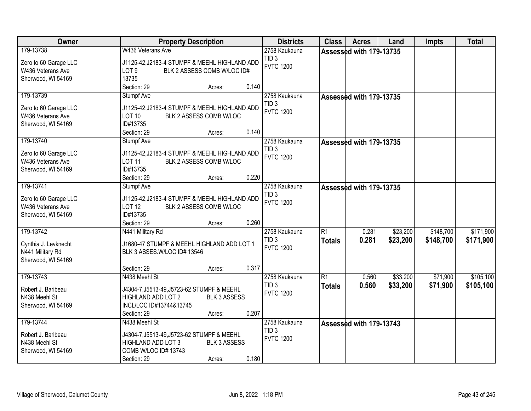| Owner                                                                  | <b>Property Description</b>                                                                                                                                           | <b>Districts</b>                                      | <b>Class</b>                     | <b>Acres</b>            | Land                 | <b>Impts</b>         | <b>Total</b>           |
|------------------------------------------------------------------------|-----------------------------------------------------------------------------------------------------------------------------------------------------------------------|-------------------------------------------------------|----------------------------------|-------------------------|----------------------|----------------------|------------------------|
| 179-13738                                                              | W436 Veterans Ave                                                                                                                                                     | 2758 Kaukauna                                         |                                  | Assessed with 179-13735 |                      |                      |                        |
| Zero to 60 Garage LLC<br>W436 Veterans Ave<br>Sherwood, WI 54169       | J1125-42, J2183-4 STUMPF & MEEHL HIGHLAND ADD<br>BLK 2 ASSESS COMB W/LOC ID#<br>LOT <sub>9</sub><br>13735                                                             | TID <sub>3</sub><br><b>FVTC 1200</b>                  |                                  |                         |                      |                      |                        |
| 179-13739                                                              | Section: 29<br>0.140<br>Acres:<br>Stumpf Ave                                                                                                                          | 2758 Kaukauna                                         |                                  |                         |                      |                      |                        |
| Zero to 60 Garage LLC<br>W436 Veterans Ave<br>Sherwood, WI 54169       | J1125-42, J2183-4 STUMPF & MEEHL HIGHLAND ADD<br><b>LOT 10</b><br>BLK 2 ASSESS COMB W/LOC<br>ID#13735<br>0.140<br>Section: 29<br>Acres:                               | TID <sub>3</sub><br><b>FVTC 1200</b>                  |                                  | Assessed with 179-13735 |                      |                      |                        |
| 179-13740                                                              | <b>Stumpf Ave</b>                                                                                                                                                     | 2758 Kaukauna                                         |                                  | Assessed with 179-13735 |                      |                      |                        |
| Zero to 60 Garage LLC<br>W436 Veterans Ave<br>Sherwood, WI 54169       | J1125-42, J2183-4 STUMPF & MEEHL HIGHLAND ADD<br><b>LOT 11</b><br>BLK 2 ASSESS COMB W/LOC<br>ID#13735<br>0.220<br>Section: 29<br>Acres:                               | TID <sub>3</sub><br><b>FVTC 1200</b>                  |                                  |                         |                      |                      |                        |
| 179-13741                                                              | Stumpf Ave                                                                                                                                                            | 2758 Kaukauna                                         |                                  | Assessed with 179-13735 |                      |                      |                        |
| Zero to 60 Garage LLC<br>W436 Veterans Ave<br>Sherwood, WI 54169       | J1125-42, J2183-4 STUMPF & MEEHL HIGHLAND ADD<br><b>LOT 12</b><br>BLK 2 ASSESS COMB W/LOC<br>ID#13735<br>0.260<br>Section: 29                                         | TID <sub>3</sub><br><b>FVTC 1200</b>                  |                                  |                         |                      |                      |                        |
| 179-13742                                                              | Acres:<br>N441 Military Rd                                                                                                                                            | 2758 Kaukauna                                         | $\overline{R1}$                  | 0.281                   | \$23,200             | \$148,700            | \$171,900              |
| Cynthia J. Levknecht<br>N441 Military Rd<br>Sherwood, WI 54169         | J1680-47 STUMPF & MEEHL HIGHLAND ADD LOT 1<br>BLK 3 ASSES.W/LOC ID# 13546                                                                                             | TID <sub>3</sub><br><b>FVTC 1200</b>                  | <b>Totals</b>                    | 0.281                   | \$23,200             | \$148,700            | \$171,900              |
|                                                                        | 0.317<br>Section: 29<br>Acres:                                                                                                                                        |                                                       |                                  |                         |                      |                      |                        |
| 179-13743<br>Robert J. Baribeau<br>N438 Meehl St<br>Sherwood, WI 54169 | N438 Meehl St<br>J4304-7, J5513-49, J5723-62 STUMPF & MEEHL<br>HIGHLAND ADD LOT 2<br><b>BLK 3 ASSESS</b><br>INCL/LOC ID#13744&13745<br>0.207<br>Section: 29<br>Acres: | 2758 Kaukauna<br>TID <sub>3</sub><br><b>FVTC 1200</b> | $\overline{R1}$<br><b>Totals</b> | 0.560<br>0.560          | \$33,200<br>\$33,200 | \$71,900<br>\$71,900 | \$105,100<br>\$105,100 |
| 179-13744                                                              | N438 Meehl St                                                                                                                                                         | 2758 Kaukauna                                         |                                  | Assessed with 179-13743 |                      |                      |                        |
| Robert J. Baribeau<br>N438 Meehl St<br>Sherwood, WI 54169              | J4304-7, J5513-49, J5723-62 STUMPF & MEEHL<br>HIGHLAND ADD LOT 3<br><b>BLK 3 ASSESS</b><br>COMB W/LOC ID# 13743<br>0.180<br>Section: 29<br>Acres:                     | TID <sub>3</sub><br><b>FVTC 1200</b>                  |                                  |                         |                      |                      |                        |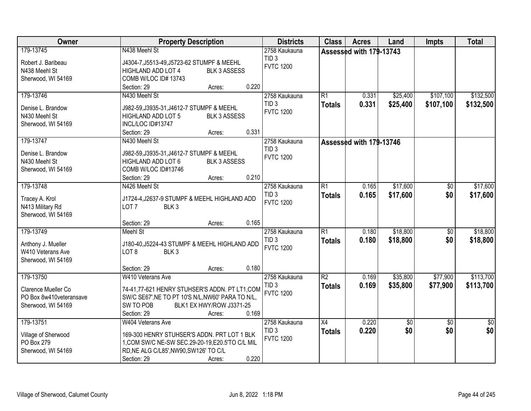| Owner                   | <b>Property Description</b>                                                            | <b>Districts</b> | <b>Class</b>    | <b>Acres</b>            | Land     | <b>Impts</b>    | <b>Total</b>    |
|-------------------------|----------------------------------------------------------------------------------------|------------------|-----------------|-------------------------|----------|-----------------|-----------------|
| 179-13745               | N438 Meehl St                                                                          | 2758 Kaukauna    |                 | Assessed with 179-13743 |          |                 |                 |
| Robert J. Baribeau      | J4304-7, J5513-49, J5723-62 STUMPF & MEEHL                                             | TID <sub>3</sub> |                 |                         |          |                 |                 |
| N438 Meehl St           | <b>HIGHLAND ADD LOT 4</b><br><b>BLK 3 ASSESS</b>                                       | <b>FVTC 1200</b> |                 |                         |          |                 |                 |
| Sherwood, WI 54169      | COMB W/LOC ID# 13743                                                                   |                  |                 |                         |          |                 |                 |
|                         | 0.220<br>Section: 29<br>Acres:                                                         |                  |                 |                         |          |                 |                 |
| 179-13746               | N430 Meehl St                                                                          | 2758 Kaukauna    | $\overline{R1}$ | 0.331                   | \$25,400 | \$107,100       | \$132,500       |
| Denise L. Brandow       |                                                                                        | TID <sub>3</sub> | <b>Totals</b>   | 0.331                   | \$25,400 | \$107,100       | \$132,500       |
| N430 Meehl St           | J982-59, J3935-31, J4612-7 STUMPF & MEEHL<br><b>BLK 3 ASSESS</b><br>HIGHLAND ADD LOT 5 | <b>FVTC 1200</b> |                 |                         |          |                 |                 |
| Sherwood, WI 54169      | INCL/LOC ID#13747                                                                      |                  |                 |                         |          |                 |                 |
|                         | 0.331<br>Section: 29<br>Acres:                                                         |                  |                 |                         |          |                 |                 |
| 179-13747               | N430 Meehl St                                                                          | 2758 Kaukauna    |                 |                         |          |                 |                 |
|                         |                                                                                        | TID <sub>3</sub> |                 | Assessed with 179-13746 |          |                 |                 |
| Denise L. Brandow       | J982-59, J3935-31, J4612-7 STUMPF & MEEHL                                              | <b>FVTC 1200</b> |                 |                         |          |                 |                 |
| N430 Meehl St           | HIGHLAND ADD LOT 6<br><b>BLK 3 ASSESS</b>                                              |                  |                 |                         |          |                 |                 |
| Sherwood, WI 54169      | COMB W/LOC ID#13746                                                                    |                  |                 |                         |          |                 |                 |
|                         | 0.210<br>Section: 29<br>Acres:                                                         |                  |                 |                         |          |                 |                 |
| 179-13748               | N426 Meehl St                                                                          | 2758 Kaukauna    | $\overline{R1}$ | 0.165                   | \$17,600 | \$0             | \$17,600        |
| Tracey A. Krol          | J1724-4, J2637-9 STUMPF & MEEHL HIGHLAND ADD                                           | TID <sub>3</sub> | <b>Totals</b>   | 0.165                   | \$17,600 | \$0             | \$17,600        |
| N413 Military Rd        | BLK <sub>3</sub><br>LOT <sub>7</sub>                                                   | <b>FVTC 1200</b> |                 |                         |          |                 |                 |
| Sherwood, WI 54169      |                                                                                        |                  |                 |                         |          |                 |                 |
|                         | 0.165<br>Section: 29<br>Acres:                                                         |                  |                 |                         |          |                 |                 |
| 179-13749               | Meehl St                                                                               | 2758 Kaukauna    | $\overline{R1}$ | 0.180                   | \$18,800 | $\overline{50}$ | \$18,800        |
|                         |                                                                                        | TID <sub>3</sub> |                 | 0.180                   | \$18,800 | \$0             | \$18,800        |
| Anthony J. Mueller      | J180-40, J5224-43 STUMPF & MEEHL HIGHLAND ADD                                          | <b>FVTC 1200</b> | <b>Totals</b>   |                         |          |                 |                 |
| W410 Veterans Ave       | LOT <sub>8</sub><br>BLK <sub>3</sub>                                                   |                  |                 |                         |          |                 |                 |
| Sherwood, WI 54169      |                                                                                        |                  |                 |                         |          |                 |                 |
|                         | 0.180<br>Section: 29<br>Acres:                                                         |                  |                 |                         |          |                 |                 |
| 179-13750               | W410 Veterans Ave                                                                      | 2758 Kaukauna    | $\overline{R2}$ | 0.169                   | \$35,800 | \$77,900        | \$113,700       |
| Clarence Mueller Co     | 74-41,77-621 HENRY STUHSER'S ADDN. PT LT1,COM                                          | TID <sub>3</sub> | <b>Totals</b>   | 0.169                   | \$35,800 | \$77,900        | \$113,700       |
| PO Box 8w410veteransave | SW/C SE67', NE TO PT 10'S N/L, NW60' PARA TO N/L,                                      | <b>FVTC 1200</b> |                 |                         |          |                 |                 |
| Sherwood, WI 54169      | SW TO POB<br>BLK1 EX HWY/ROW J3371-25                                                  |                  |                 |                         |          |                 |                 |
|                         | 0.169<br>Section: 29<br>Acres:                                                         |                  |                 |                         |          |                 |                 |
| 179-13751               | W404 Veterans Ave                                                                      | 2758 Kaukauna    | $\overline{X4}$ | 0.220                   | \$0      | $\overline{50}$ | $\overline{50}$ |
|                         |                                                                                        | TID <sub>3</sub> | <b>Totals</b>   | 0.220                   | \$0      | \$0             | \$0             |
| Village of Sherwood     | 169-300 HENRY STUHSER'S ADDN. PRT LOT 1 BLK                                            | <b>FVTC 1200</b> |                 |                         |          |                 |                 |
| PO Box 279              | 1, COM SW/C NE-SW SEC.29-20-19, E20.5'TO C/L MIL                                       |                  |                 |                         |          |                 |                 |
| Sherwood, WI 54169      | RD, NE ALG C/L85', NW90, SW126' TO C/L                                                 |                  |                 |                         |          |                 |                 |
|                         | 0.220<br>Section: 29<br>Acres:                                                         |                  |                 |                         |          |                 |                 |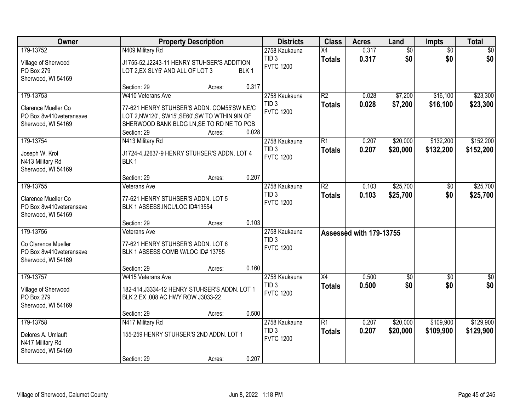| Owner                                                                             |                                                                                                                                                                                | <b>Property Description</b> |                  | <b>Districts</b>                                      | <b>Class</b>                     | <b>Acres</b>            | Land                   | <b>Impts</b>           | <b>Total</b>           |
|-----------------------------------------------------------------------------------|--------------------------------------------------------------------------------------------------------------------------------------------------------------------------------|-----------------------------|------------------|-------------------------------------------------------|----------------------------------|-------------------------|------------------------|------------------------|------------------------|
| 179-13752<br>Village of Sherwood<br>PO Box 279<br>Sherwood, WI 54169              | N409 Military Rd<br>J1755-52, J2243-11 HENRY STUHSER'S ADDITION<br>LOT 2, EX SLY5' AND ALL OF LOT 3                                                                            |                             | BLK <sub>1</sub> | 2758 Kaukauna<br>TID <sub>3</sub><br><b>FVTC 1200</b> | $\overline{X4}$<br><b>Totals</b> | 0.317<br>0.317          | $\overline{50}$<br>\$0 | $\overline{50}$<br>\$0 | $\overline{30}$<br>\$0 |
|                                                                                   | Section: 29                                                                                                                                                                    | Acres:                      | 0.317            |                                                       |                                  |                         |                        |                        |                        |
| 179-13753<br>Clarence Mueller Co<br>PO Box 8w410veteransave<br>Sherwood, WI 54169 | W410 Veterans Ave<br>77-621 HENRY STUHSER'S ADDN. COM55'SW NE/C<br>LOT 2, NW120', SW15', SE60', SW TO WTHIN 9IN OF<br>SHERWOOD BANK BLDG LN, SE TO RD NE TO POB<br>Section: 29 | Acres:                      | 0.028            | 2758 Kaukauna<br>TID <sub>3</sub><br><b>FVTC 1200</b> | R2<br><b>Totals</b>              | 0.028<br>0.028          | \$7,200<br>\$7,200     | \$16,100<br>\$16,100   | \$23,300<br>\$23,300   |
| 179-13754                                                                         | N413 Military Rd                                                                                                                                                               |                             |                  | 2758 Kaukauna                                         | R1                               | 0.207                   | \$20,000               | \$132,200              | \$152,200              |
| Joseph W. Krol<br>N413 Military Rd<br>Sherwood, WI 54169                          | J1724-4, J2637-9 HENRY STUHSER'S ADDN. LOT 4<br>BLK <sub>1</sub>                                                                                                               |                             |                  | TID <sub>3</sub><br><b>FVTC 1200</b>                  | <b>Totals</b>                    | 0.207                   | \$20,000               | \$132,200              | \$152,200              |
|                                                                                   | Section: 29                                                                                                                                                                    | Acres:                      | 0.207            |                                                       |                                  |                         |                        |                        |                        |
| 179-13755<br>Clarence Mueller Co<br>PO Box 8w410veteransave<br>Sherwood, WI 54169 | Veterans Ave<br>77-621 HENRY STUHSER'S ADDN. LOT 5<br>BLK 1 ASSESS.INCL/LOC ID#13554                                                                                           |                             |                  | 2758 Kaukauna<br>TID <sub>3</sub><br><b>FVTC 1200</b> | $\overline{R2}$<br><b>Totals</b> | 0.103<br>0.103          | \$25,700<br>\$25,700   | \$0<br>\$0             | \$25,700<br>\$25,700   |
|                                                                                   | Section: 29                                                                                                                                                                    | Acres:                      | 0.103            |                                                       |                                  |                         |                        |                        |                        |
| 179-13756<br>Co Clarence Mueller<br>PO Box 8w410veteransave<br>Sherwood, WI 54169 | Veterans Ave<br>77-621 HENRY STUHSER'S ADDN. LOT 6<br>BLK 1 ASSESS COMB W/LOC ID# 13755<br>Section: 29                                                                         | Acres:                      | 0.160            | 2758 Kaukauna<br>TID <sub>3</sub><br><b>FVTC 1200</b> |                                  | Assessed with 179-13755 |                        |                        |                        |
| 179-13757                                                                         | W415 Veterans Ave                                                                                                                                                              |                             |                  | 2758 Kaukauna                                         | X4                               | 0.500                   | $\overline{50}$        | \$0                    | $\sqrt{50}$            |
| Village of Sherwood<br>PO Box 279<br>Sherwood, WI 54169                           | 182-414, J3334-12 HENRY STUHSER'S ADDN. LOT 1<br>BLK 2 EX .008 AC HWY ROW J3033-22                                                                                             |                             |                  | TID <sub>3</sub><br><b>FVTC 1200</b>                  | <b>Totals</b>                    | 0.500                   | \$0                    | \$0                    | \$0                    |
|                                                                                   | Section: 29                                                                                                                                                                    | Acres:                      | 0.500            |                                                       |                                  |                         |                        |                        |                        |
| 179-13758<br>Delores A. Umlauft<br>N417 Military Rd<br>Sherwood, WI 54169         | N417 Military Rd<br>155-259 HENRY STUHSER'S 2ND ADDN. LOT 1<br>Section: 29                                                                                                     | Acres:                      | 0.207            | 2758 Kaukauna<br>TID <sub>3</sub><br><b>FVTC 1200</b> | $\overline{R1}$<br><b>Totals</b> | 0.207<br>0.207          | \$20,000<br>\$20,000   | \$109,900<br>\$109,900 | \$129,900<br>\$129,900 |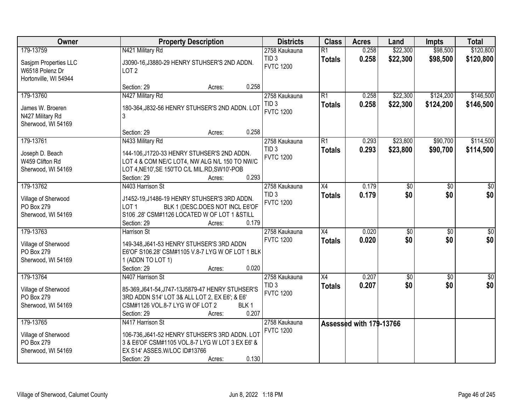| Owner                                                             | <b>Property Description</b>                                                                                                                                                                | <b>Districts</b>                     | <b>Class</b>    | <b>Acres</b>            | Land        | Impts           | <b>Total</b>     |
|-------------------------------------------------------------------|--------------------------------------------------------------------------------------------------------------------------------------------------------------------------------------------|--------------------------------------|-----------------|-------------------------|-------------|-----------------|------------------|
| 179-13759                                                         | N421 Military Rd                                                                                                                                                                           | 2758 Kaukauna                        | $\overline{R1}$ | 0.258                   | \$22,300    | \$98,500        | \$120,800        |
| Sasjpm Properties LLC<br>W6518 Polenz Dr<br>Hortonville, WI 54944 | J3090-16, J3880-29 HENRY STUHSER'S 2ND ADDN.<br>LOT <sub>2</sub>                                                                                                                           | TID <sub>3</sub><br><b>FVTC 1200</b> | <b>Totals</b>   | 0.258                   | \$22,300    | \$98,500        | \$120,800        |
|                                                                   | 0.258<br>Section: 29<br>Acres:                                                                                                                                                             |                                      |                 |                         |             |                 |                  |
| 179-13760                                                         | N427 Military Rd                                                                                                                                                                           | 2758 Kaukauna                        | $\overline{R1}$ | 0.258                   | \$22,300    | \$124,200       | \$146,500        |
| James W. Broeren<br>N427 Military Rd<br>Sherwood, WI 54169        | 180-364, J832-56 HENRY STUHSER'S 2ND ADDN. LOT<br>3                                                                                                                                        | TID <sub>3</sub><br><b>FVTC 1200</b> | <b>Totals</b>   | 0.258                   | \$22,300    | \$124,200       | \$146,500        |
|                                                                   | 0.258<br>Section: 29<br>Acres:                                                                                                                                                             |                                      |                 |                         |             |                 |                  |
| 179-13761                                                         | N433 Military Rd                                                                                                                                                                           | 2758 Kaukauna                        | $\overline{R1}$ | 0.293                   | \$23,800    | \$90,700        | \$114,500        |
| Joseph D. Beach<br>W459 Clifton Rd<br>Sherwood, WI 54169          | 144-106, J1720-33 HENRY STUHSER'S 2ND ADDN.<br>LOT 4 & COM NE/C LOT4, NW ALG N/L 150 TO NW/C<br>LOT 4, NE10', SE 150'TO C/L MIL.RD, SW10'-POB<br>0.293<br>Section: 29<br>Acres:            | TID <sub>3</sub><br><b>FVTC 1200</b> | <b>Totals</b>   | 0.293                   | \$23,800    | \$90,700        | \$114,500        |
| 179-13762                                                         | N403 Harrison St                                                                                                                                                                           | 2758 Kaukauna                        | $\overline{X4}$ | 0.179                   | \$0         | \$0             | \$0              |
| Village of Sherwood<br>PO Box 279<br>Sherwood, WI 54169           | J1452-19, J1486-19 HENRY STUHSER'S 3RD ADDN.<br>LOT <sub>1</sub><br>BLK 1 (DESC.DOES NOT INCL E6'OF<br>S106 .28' CSM#1126 LOCATED W OF LOT 1 &STILL<br>0.179<br>Section: 29<br>Acres:      | TID <sub>3</sub><br><b>FVTC 1200</b> | <b>Totals</b>   | 0.179                   | \$0         | \$0             | \$0              |
| 179-13763                                                         | <b>Harrison St</b>                                                                                                                                                                         | 2758 Kaukauna                        | $\overline{X4}$ | 0.020                   | $\sqrt{30}$ | $\overline{50}$ | $\overline{\$0}$ |
| Village of Sherwood<br>PO Box 279<br>Sherwood, WI 54169           | 149-348, J641-53 HENRY STUHSER'S 3RD ADDN<br>E6'OF S106.28' CSM#1105 V.8-7 LYG W OF LOT 1 BLK<br>1 (ADDN TO LOT 1)<br>Section: 29<br>0.020<br>Acres:                                       | <b>FVTC 1200</b>                     | <b>Totals</b>   | 0.020                   | \$0         | \$0             | \$0              |
| 179-13764                                                         | N407 Harrison St                                                                                                                                                                           | 2758 Kaukauna                        | $\overline{X4}$ | 0.207                   | \$0         | $\overline{50}$ | $\overline{50}$  |
| Village of Sherwood<br>PO Box 279<br>Sherwood, WI 54169           | 85-369, J641-54, J747-13J5879-47 HENRY STUHSER'S<br>3RD ADDN S14' LOT 3& ALL LOT 2, EX E6'; & E6'<br>CSM#1126 VOL.8-7 LYG W OF LOT 2<br>BLK <sub>1</sub><br>0.207<br>Section: 29<br>Acres: | TID <sub>3</sub><br><b>FVTC 1200</b> | <b>Totals</b>   | 0.207                   | \$0         | \$0             | \$0              |
| 179-13765                                                         | N417 Harrison St                                                                                                                                                                           | 2758 Kaukauna                        |                 | Assessed with 179-13766 |             |                 |                  |
| Village of Sherwood<br>PO Box 279<br>Sherwood, WI 54169           | 106-736, J641-52 HENRY STUHSER'S 3RD ADDN. LOT<br>3 & E6'OF CSM#1105 VOL.8-7 LYG W LOT 3 EX E6' &<br>EX S14' ASSES.W/LOC ID#13766<br>0.130<br>Section: 29<br>Acres:                        | <b>FVTC 1200</b>                     |                 |                         |             |                 |                  |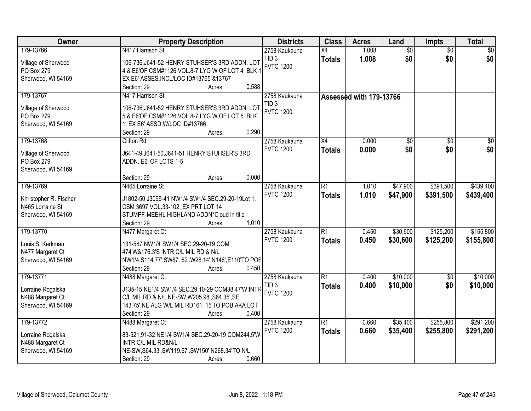| Owner                             | <b>Property Description</b>                                            | <b>Districts</b> | <b>Class</b>    | <b>Acres</b>            | Land            | <b>Impts</b>    | <b>Total</b>   |
|-----------------------------------|------------------------------------------------------------------------|------------------|-----------------|-------------------------|-----------------|-----------------|----------------|
| 179-13766                         | N417 Harrison St                                                       | 2758 Kaukauna    | $\overline{X4}$ | 1.008                   | $\overline{60}$ | $\overline{50}$ | \$0            |
| Village of Sherwood               | 106-736, J641-52 HENRY STUHSER'S 3RD ADDN. LOT                         | TID <sub>3</sub> | <b>Totals</b>   | 1.008                   | \$0             | \$0             | \$0            |
| PO Box 279                        | 4 & E6'OF CSM#1126 VOL.8-7 LYG W OF LOT 4 BLK 1                        | <b>FVTC 1200</b> |                 |                         |                 |                 |                |
| Sherwood, WI 54169                | EX E6' ASSES.INCL/LOC ID#13765 &13767                                  |                  |                 |                         |                 |                 |                |
|                                   | 0.588<br>Section: 29<br>Acres:                                         |                  |                 |                         |                 |                 |                |
| 179-13767                         | N417 Harrison St                                                       | 2758 Kaukauna    |                 | Assessed with 179-13766 |                 |                 |                |
| Village of Sherwood               | 106-736, J641-52 HENRY STUHSER'S 3RD ADDN. LOT                         | TID <sub>3</sub> |                 |                         |                 |                 |                |
| PO Box 279                        | 5 & E6'OF CSM#1126 VOL.8-7 LYG W OF LOT 5 BLK                          | <b>FVTC 1200</b> |                 |                         |                 |                 |                |
| Sherwood, WI 54169                | 1, EX E6' ASSD. W/LOC ID#13766                                         |                  |                 |                         |                 |                 |                |
|                                   | 0.290<br>Section: 29<br>Acres:                                         |                  |                 |                         |                 |                 |                |
| 179-13768                         | <b>Clifton Rd</b>                                                      | 2758 Kaukauna    | X4              | 0.000                   | \$0             | \$0             | \$0            |
|                                   |                                                                        | <b>FVTC 1200</b> | <b>Totals</b>   | 0.000                   | \$0             | \$0             | s <sub>0</sub> |
| Village of Sherwood<br>PO Box 279 | J641-49, J641-50, J641-51 HENRY STUHSER'S 3RD<br>ADDN. E6' OF LOTS 1-5 |                  |                 |                         |                 |                 |                |
|                                   |                                                                        |                  |                 |                         |                 |                 |                |
| Sherwood, WI 54169                | 0.000<br>Section: 29<br>Acres:                                         |                  |                 |                         |                 |                 |                |
| 179-13769                         | N465 Lorraine St                                                       | 2758 Kaukauna    | $\overline{R1}$ | 1.010                   | \$47,900        | \$391,500       | \$439,400      |
|                                   |                                                                        | <b>FVTC 1200</b> |                 | 1.010                   | \$47,900        |                 |                |
| Khristopher R. Fischer            | J1802-50, J3099-41 NW1/4 SW1/4 SEC.29-20-19Lot 1,                      |                  | <b>Totals</b>   |                         |                 | \$391,500       | \$439,400      |
| N465 Lorraine St                  | CSM 3697 VOL.33-102, EX PRT LOT 14                                     |                  |                 |                         |                 |                 |                |
| Sherwood, WI 54169                | STUMPF-MEEHL HIGHLAND ADDN*Cloud in title                              |                  |                 |                         |                 |                 |                |
|                                   | 1.010<br>Section: 29<br>Acres:                                         |                  |                 |                         |                 |                 |                |
| 179-13770                         | N477 Margaret Ct                                                       | 2758 Kaukauna    | $\overline{R1}$ | 0.450                   | \$30,600        | \$125,200       | \$155,800      |
| Louis S. Kerkman                  | 131-567 NW1/4 SW1/4 SEC.29-20-19 COM                                   | <b>FVTC 1200</b> | <b>Totals</b>   | 0.450                   | \$30,600        | \$125,200       | \$155,800      |
| N477 Margaret Ct                  | 474'W&176.3'S INTR C/L MIL RD & N/L                                    |                  |                 |                         |                 |                 |                |
| Sherwood, WI 54169                | NW1/4,S114.77',SW87.62'.W28.14',N146',E110'TO POE                      |                  |                 |                         |                 |                 |                |
|                                   | Section: 29<br>0.450<br>Acres:                                         |                  |                 |                         |                 |                 |                |
| 179-13771                         | N488 Margaret Ct                                                       | 2758 Kaukauna    | $\overline{R1}$ | 0.400                   | \$10,000        | $\overline{50}$ | \$10,000       |
|                                   |                                                                        | TID <sub>3</sub> | <b>Totals</b>   | 0.400                   | \$10,000        | \$0             | \$10,000       |
| Lorraine Rogalska                 | J135-15 NE1/4 SW1/4 SEC.29.10-29 COM38.47'W INTR                       | <b>FVTC 1200</b> |                 |                         |                 |                 |                |
| N488 Margaret Ct                  | C/L MIL RD & N/L NE-SW, W205.98', S64.35', SE                          |                  |                 |                         |                 |                 |                |
| Sherwood, WI 54169                | 143.75', NE ALG W/L MIL RD161. 15'TO POB, AKA LOT                      |                  |                 |                         |                 |                 |                |
|                                   | Section: 29<br>0.400<br>Acres:                                         |                  |                 |                         |                 |                 |                |
| 179-13772                         | N488 Margaret Ct                                                       | 2758 Kaukauna    | $\overline{R1}$ | 0.660                   | \$35,400        | \$255,800       | \$291,200      |
| Lorraine Rogalska                 | 83-521,91-32 NE1/4 SW1/4 SEC.29-20-19 COM244.5'W                       | <b>FVTC 1200</b> | <b>Totals</b>   | 0.660                   | \$35,400        | \$255,800       | \$291,200      |
| N488 Margaret Ct                  | INTR C/L MIL RD&N/L                                                    |                  |                 |                         |                 |                 |                |
| Sherwood, WI 54169                | NE-SW, S64.33', SW119.67', SW150' N268.34'TO N/L                       |                  |                 |                         |                 |                 |                |
|                                   | 0.660<br>Section: 29<br>Acres:                                         |                  |                 |                         |                 |                 |                |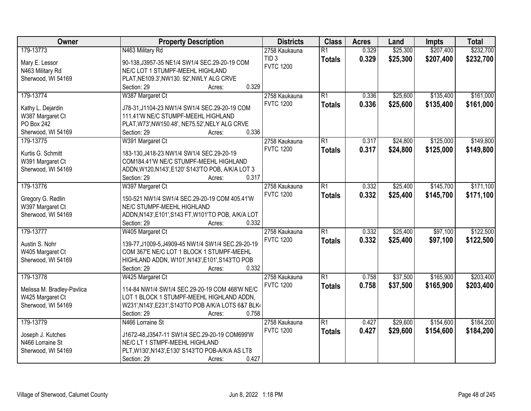| Owner                      | <b>Property Description</b>                                                                     | <b>Districts</b> | <b>Class</b>    | <b>Acres</b> | Land     | Impts     | <b>Total</b> |
|----------------------------|-------------------------------------------------------------------------------------------------|------------------|-----------------|--------------|----------|-----------|--------------|
| 179-13773                  | N463 Military Rd                                                                                | 2758 Kaukauna    | $\overline{R1}$ | 0.329        | \$25,300 | \$207,400 | \$232,700    |
| Mary E. Lessor             | 90-138, J3957-35 NE1/4 SW1/4 SEC.29-20-19 COM                                                   | TID <sub>3</sub> | <b>Totals</b>   | 0.329        | \$25,300 | \$207,400 | \$232,700    |
| N463 Military Rd           | NE/C LOT 1 STUMPF-MEEHL HIGHLAND                                                                | <b>FVTC 1200</b> |                 |              |          |           |              |
| Sherwood, WI 54169         | PLAT, NE109.3', NW130. 92', NWLY ALG CRVE                                                       |                  |                 |              |          |           |              |
|                            | 0.329<br>Section: 29<br>Acres:                                                                  |                  |                 |              |          |           |              |
| 179-13774                  | W387 Margaret Ct                                                                                | 2758 Kaukauna    | $\overline{R1}$ | 0.336        | \$25,600 | \$135,400 | \$161,000    |
|                            |                                                                                                 | <b>FVTC 1200</b> | <b>Totals</b>   | 0.336        | \$25,600 | \$135,400 | \$161,000    |
| Kathy L. Dejardin          | J78-31, J1104-23 NW1/4 SW1/4 SEC.29-20-19 COM                                                   |                  |                 |              |          |           |              |
| W387 Margaret Ct           | 111.41'W NE/C STUMPF-MEEHL HIGHLAND                                                             |                  |                 |              |          |           |              |
| PO Box 242                 | PLAT, W73', NW150.48', NE75.52', NELY ALG CRVE                                                  |                  |                 |              |          |           |              |
| Sherwood, WI 54169         | 0.336<br>Section: 29<br>Acres:                                                                  |                  |                 |              |          |           |              |
| 179-13775                  | W391 Margaret Ct                                                                                | 2758 Kaukauna    | $\overline{R1}$ | 0.317        | \$24,800 | \$125,000 | \$149,800    |
| Kurtis G. Schmitt          | 183-130, J418-23 NW1/4 SW1/4 SEC.29-20-19                                                       | <b>FVTC 1200</b> | <b>Totals</b>   | 0.317        | \$24,800 | \$125,000 | \$149,800    |
| W391 Margaret Ct           | COM184.41'W NE/C STUMPF-MEEHL HIGHLAND                                                          |                  |                 |              |          |           |              |
| Sherwood, WI 54169         | ADDN, W120, N143', E120' S143'TO POB, A/K/A LOT 3                                               |                  |                 |              |          |           |              |
|                            | Section: 29<br>0.317<br>Acres:                                                                  |                  |                 |              |          |           |              |
| 179-13776                  | W397 Margaret Ct                                                                                | 2758 Kaukauna    | $\overline{R1}$ | 0.332        | \$25,400 | \$145,700 | \$171,100    |
|                            |                                                                                                 | <b>FVTC 1200</b> |                 | 0.332        | \$25,400 | \$145,700 | \$171,100    |
| Gregory G. Redlin          | 150-521 NW1/4 SW1/4 SEC.29-20-19 COM 405.41'W                                                   |                  | <b>Totals</b>   |              |          |           |              |
| W397 Margaret Ct           | NE/C STUMPF-MEEHL HIGHLAND                                                                      |                  |                 |              |          |           |              |
| Sherwood, WI 54169         | ADDN, N143', E101', S143 FT, W101'TO POB, A/K/A LOT                                             |                  |                 |              |          |           |              |
|                            | 0.332<br>Section: 29<br>Acres:                                                                  |                  |                 |              |          |           |              |
| 179-13777                  | W405 Margaret Ct                                                                                | 2758 Kaukauna    | $\overline{R1}$ | 0.332        | \$25,400 | \$97,100  | \$122,500    |
| Austin S. Nohr             |                                                                                                 | <b>FVTC 1200</b> | <b>Totals</b>   | 0.332        | \$25,400 | \$97,100  | \$122,500    |
|                            | 139-77, J1009-5, J4909-45 NW1/4 SW1/4 SEC.29-20-19<br>COM 367'E NE/C LOT 1 BLOCK 1 STUMPF-MEEHL |                  |                 |              |          |           |              |
| W405 Margaret Ct           |                                                                                                 |                  |                 |              |          |           |              |
| Sherwood, WI 54169         | HIGHLAND ADDN, W101', N143', E101', S143'TO POB<br>0.332                                        |                  |                 |              |          |           |              |
|                            | Section: 29<br>Acres:                                                                           |                  |                 |              |          |           |              |
| 179-13778                  | W425 Margaret Ct                                                                                | 2758 Kaukauna    | $\overline{R1}$ | 0.758        | \$37,500 | \$165,900 | \$203,400    |
| Melissa M. Bradley-Pavlica | 114-84 NW1/4 SW1/4 SEC.29-20-19 COM 468'W NE/C                                                  | <b>FVTC 1200</b> | <b>Totals</b>   | 0.758        | \$37,500 | \$165,900 | \$203,400    |
| W425 Margaret Ct           | LOT 1 BLOCK 1 STUMPF-MEEHL HIGHLAND ADDN,                                                       |                  |                 |              |          |           |              |
| Sherwood, WI 54169         | W231', N143', E231', S143'TO POB A/K/A LOTS 6&7 BLK4                                            |                  |                 |              |          |           |              |
|                            | 0.758<br>Section: 29<br>Acres:                                                                  |                  |                 |              |          |           |              |
| 179-13779                  | N466 Lorraine St                                                                                | 2758 Kaukauna    | $\overline{R1}$ | 0.427        | \$29,600 | \$154,600 | \$184,200    |
|                            |                                                                                                 | <b>FVTC 1200</b> | <b>Totals</b>   | 0.427        | \$29,600 | \$154,600 | \$184,200    |
| Joseph J. Kutches          | J1672-48, J3547-11 SW1/4 SEC. 29-20-19 COM699'W                                                 |                  |                 |              |          |           |              |
| N466 Lorraine St           | NE/C LT 1 STMPF-MEEHL HIGHLAND                                                                  |                  |                 |              |          |           |              |
| Sherwood, WI 54169         | PLT, W130', N143', E130' S143'TO POB-A/K/A AS LT8                                               |                  |                 |              |          |           |              |
|                            | 0.427<br>Section: 29<br>Acres:                                                                  |                  |                 |              |          |           |              |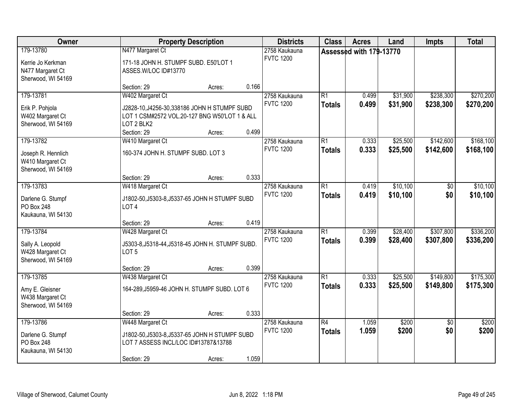| Owner                                                                     |                                                                                                                                  | <b>Property Description</b> |       | <b>Districts</b>                  | <b>Class</b>                     | <b>Acres</b>            | Land                 | Impts                  | <b>Total</b>           |
|---------------------------------------------------------------------------|----------------------------------------------------------------------------------------------------------------------------------|-----------------------------|-------|-----------------------------------|----------------------------------|-------------------------|----------------------|------------------------|------------------------|
| 179-13780<br>Kerrie Jo Kerkman<br>N477 Margaret Ct<br>Sherwood, WI 54169  | N477 Margaret Ct<br>171-18 JOHN H. STUMPF SUBD. E50'LOT 1<br>ASSES.W/LOC ID#13770                                                |                             |       | 2758 Kaukauna<br><b>FVTC 1200</b> |                                  | Assessed with 179-13770 |                      |                        |                        |
|                                                                           | Section: 29                                                                                                                      | Acres:                      | 0.166 |                                   |                                  |                         |                      |                        |                        |
| 179-13781<br>Erik P. Pohjola<br>W402 Margaret Ct<br>Sherwood, WI 54169    | W402 Margaret Ct<br>J2828-10, J4256-30, 338186 JOHN H STUMPF SUBD<br>LOT 1 CSM#2572 VOL.20-127 BNG W50'LOT 1 & ALL<br>LOT 2 BLK2 |                             |       | 2758 Kaukauna<br><b>FVTC 1200</b> | $\overline{R1}$<br><b>Totals</b> | 0.499<br>0.499          | \$31,900<br>\$31,900 | \$238,300<br>\$238,300 | \$270,200<br>\$270,200 |
|                                                                           | Section: 29                                                                                                                      | Acres:                      | 0.499 |                                   |                                  |                         |                      |                        |                        |
| 179-13782<br>Joseph R. Hennlich<br>W410 Margaret Ct<br>Sherwood, WI 54169 | W410 Margaret Ct<br>160-374 JOHN H. STUMPF SUBD. LOT 3                                                                           |                             |       | 2758 Kaukauna<br><b>FVTC 1200</b> | $\overline{R1}$<br><b>Totals</b> | 0.333<br>0.333          | \$25,500<br>\$25,500 | \$142,600<br>\$142,600 | \$168,100<br>\$168,100 |
|                                                                           | Section: 29                                                                                                                      | Acres:                      | 0.333 |                                   |                                  |                         |                      |                        |                        |
| 179-13783<br>Darlene G. Stumpf<br>PO Box 248<br>Kaukauna, WI 54130        | W418 Margaret Ct<br>J1802-50, J5303-8, J5337-65 JOHN H STUMPF SUBD<br>LOT <sub>4</sub>                                           |                             |       | 2758 Kaukauna<br><b>FVTC 1200</b> | $\overline{R1}$<br><b>Totals</b> | 0.419<br>0.419          | \$10,100<br>\$10,100 | \$0<br>\$0             | \$10,100<br>\$10,100   |
|                                                                           | Section: 29                                                                                                                      | Acres:                      | 0.419 |                                   |                                  |                         |                      |                        |                        |
| 179-13784<br>Sally A. Leopold<br>W428 Margaret Ct<br>Sherwood, WI 54169   | W428 Margaret Ct<br>J5303-8, J5318-44, J5318-45 JOHN H. STUMPF SUBD.<br>LOT <sub>5</sub>                                         |                             |       | 2758 Kaukauna<br><b>FVTC 1200</b> | $\overline{R1}$<br><b>Totals</b> | 0.399<br>0.399          | \$28,400<br>\$28,400 | \$307,800<br>\$307,800 | \$336,200<br>\$336,200 |
|                                                                           | Section: 29                                                                                                                      | Acres:                      | 0.399 |                                   |                                  |                         |                      |                        |                        |
| 179-13785<br>Amy E. Gleisner<br>W438 Margaret Ct<br>Sherwood, WI 54169    | W438 Margaret Ct<br>164-289, J5959-46 JOHN H. STUMPF SUBD. LOT 6                                                                 |                             |       | 2758 Kaukauna<br><b>FVTC 1200</b> | $\overline{R1}$<br><b>Totals</b> | 0.333<br>0.333          | \$25,500<br>\$25,500 | \$149,800<br>\$149,800 | \$175,300<br>\$175,300 |
|                                                                           | Section: 29                                                                                                                      | Acres:                      | 0.333 |                                   |                                  |                         |                      |                        |                        |
| 179-13786<br>Darlene G. Stumpf<br>PO Box 248<br>Kaukauna, WI 54130        | W448 Margaret Ct<br>J1802-50, J5303-8, J5337-65 JOHN H STUMPF SUBD<br>LOT 7 ASSESS INCL/LOC ID#13787&13788<br>Section: 29        | Acres:                      | 1.059 | 2758 Kaukauna<br><b>FVTC 1200</b> | $\overline{R4}$<br><b>Totals</b> | 1.059<br>1.059          | \$200<br>\$200       | $\overline{50}$<br>\$0 | \$200<br>\$200         |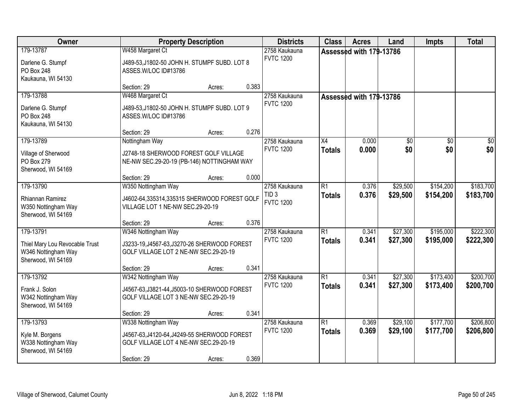| Owner                                                                                    |                                                                                                                             | <b>Property Description</b> |       | <b>Districts</b>                     | <b>Class</b>                     | <b>Acres</b>            | Land                 | <b>Impts</b>           | <b>Total</b>           |
|------------------------------------------------------------------------------------------|-----------------------------------------------------------------------------------------------------------------------------|-----------------------------|-------|--------------------------------------|----------------------------------|-------------------------|----------------------|------------------------|------------------------|
| 179-13787<br>Darlene G. Stumpf<br>PO Box 248                                             | W458 Margaret Ct<br>J489-53, J1802-50 JOHN H. STUMPF SUBD. LOT 8<br>ASSES.W/LOC ID#13786                                    |                             |       | 2758 Kaukauna<br><b>FVTC 1200</b>    |                                  | Assessed with 179-13786 |                      |                        |                        |
| Kaukauna, WI 54130                                                                       | Section: 29                                                                                                                 | Acres:                      | 0.383 |                                      |                                  |                         |                      |                        |                        |
| 179-13788                                                                                | W468 Margaret Ct                                                                                                            |                             |       | 2758 Kaukauna                        |                                  | Assessed with 179-13786 |                      |                        |                        |
| Darlene G. Stumpf<br><b>PO Box 248</b><br>Kaukauna, WI 54130                             | J489-53, J1802-50 JOHN H. STUMPF SUBD. LOT 9<br>ASSES.W/LOC ID#13786                                                        |                             |       | <b>FVTC 1200</b>                     |                                  |                         |                      |                        |                        |
|                                                                                          | Section: 29                                                                                                                 | Acres:                      | 0.276 |                                      |                                  |                         |                      |                        |                        |
| 179-13789<br>Village of Sherwood<br>PO Box 279<br>Sherwood, WI 54169                     | Nottingham Way<br>J2748-18 SHERWOOD FOREST GOLF VILLAGE<br>NE-NW SEC.29-20-19 (PB-146) NOTTINGHAM WAY                       |                             |       | 2758 Kaukauna<br><b>FVTC 1200</b>    | $\overline{X4}$<br><b>Totals</b> | 0.000<br>0.000          | \$0<br>\$0           | \$0<br>\$0             | $\sqrt{50}$<br>\$0     |
|                                                                                          | Section: 29                                                                                                                 | Acres:                      | 0.000 |                                      |                                  |                         |                      |                        |                        |
| 179-13790                                                                                | W350 Nottingham Way                                                                                                         |                             |       | 2758 Kaukauna                        | $\overline{R1}$                  | 0.376                   | \$29,500             | \$154,200              | \$183,700              |
| Rhiannan Ramirez<br>W350 Nottingham Way<br>Sherwood, WI 54169                            | J4602-64,335314,335315 SHERWOOD FOREST GOLF<br>VILLAGE LOT 1 NE-NW SEC.29-20-19                                             |                             |       | TID <sub>3</sub><br><b>FVTC 1200</b> | <b>Totals</b>                    | 0.376                   | \$29,500             | \$154,200              | \$183,700              |
|                                                                                          | Section: 29                                                                                                                 | Acres:                      | 0.376 |                                      |                                  |                         |                      |                        |                        |
| 179-13791<br>Thiel Mary Lou Revocable Trust<br>W346 Nottingham Way<br>Sherwood, WI 54169 | W346 Nottingham Way<br>J3233-19, J4567-63, J3270-26 SHERWOOD FOREST<br>GOLF VILLAGE LOT 2 NE-NW SEC.29-20-19                |                             |       | 2758 Kaukauna<br><b>FVTC 1200</b>    | $\overline{R1}$<br><b>Totals</b> | 0.341<br>0.341          | \$27,300<br>\$27,300 | \$195,000<br>\$195,000 | \$222,300<br>\$222,300 |
|                                                                                          | Section: 29                                                                                                                 | Acres:                      | 0.341 |                                      |                                  |                         |                      |                        |                        |
| 179-13792<br>Frank J. Solon<br>W342 Nottingham Way<br>Sherwood, WI 54169                 | W342 Nottingham Way<br>J4567-63, J3821-44, J5003-10 SHERWOOD FOREST<br>GOLF VILLAGE LOT 3 NE-NW SEC.29-20-19                |                             |       | 2758 Kaukauna<br><b>FVTC 1200</b>    | $\overline{R1}$<br><b>Totals</b> | 0.341<br>0.341          | \$27,300<br>\$27,300 | \$173,400<br>\$173,400 | \$200,700<br>\$200,700 |
|                                                                                          | Section: 29                                                                                                                 | Acres:                      | 0.341 |                                      |                                  |                         |                      |                        |                        |
| 179-13793<br>Kyle M. Borgens<br>W338 Nottingham Way<br>Sherwood, WI 54169                | W338 Nottingham Way<br>J4567-63, J4120-64, J4249-55 SHERWOOD FOREST<br>GOLF VILLAGE LOT 4 NE-NW SEC.29-20-19<br>Section: 29 | Acres:                      | 0.369 | 2758 Kaukauna<br><b>FVTC 1200</b>    | $\overline{R1}$<br><b>Totals</b> | 0.369<br>0.369          | \$29,100<br>\$29,100 | \$177,700<br>\$177,700 | \$206,800<br>\$206,800 |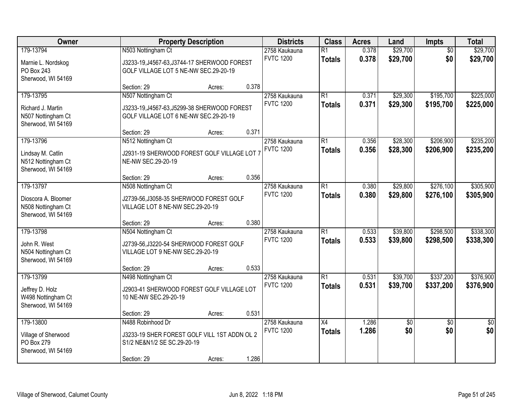| Owner                                                                        | <b>Property Description</b>                                                                                               |       | <b>Districts</b>                  | <b>Class</b>                     | <b>Acres</b>   | Land                 | Impts                  | <b>Total</b>           |
|------------------------------------------------------------------------------|---------------------------------------------------------------------------------------------------------------------------|-------|-----------------------------------|----------------------------------|----------------|----------------------|------------------------|------------------------|
| 179-13794<br>Marnie L. Nordskog<br>PO Box 243<br>Sherwood, WI 54169          | N503 Nottingham Ct<br>J3233-19, J4567-63, J3744-17 SHERWOOD FOREST<br>GOLF VILLAGE LOT 5 NE-NW SEC.29-20-19               |       | 2758 Kaukauna<br><b>FVTC 1200</b> | $\overline{R1}$<br><b>Totals</b> | 0.378<br>0.378 | \$29,700<br>\$29,700 | $\overline{50}$<br>\$0 | \$29,700<br>\$29,700   |
|                                                                              | Section: 29<br>Acres:                                                                                                     | 0.378 |                                   |                                  |                |                      |                        |                        |
| 179-13795<br>Richard J. Martin<br>N507 Nottingham Ct<br>Sherwood, WI 54169   | N507 Nottingham Ct<br>J3233-19, J4567-63, J5299-38 SHERWOOD FOREST<br>GOLF VILLAGE LOT 6 NE-NW SEC.29-20-19               |       | 2758 Kaukauna<br><b>FVTC 1200</b> | $\overline{R1}$<br><b>Totals</b> | 0.371<br>0.371 | \$29,300<br>\$29,300 | \$195,700<br>\$195,700 | \$225,000<br>\$225,000 |
|                                                                              | Section: 29<br>Acres:                                                                                                     | 0.371 |                                   |                                  |                |                      |                        |                        |
| 179-13796<br>Lindsay M. Catlin<br>N512 Nottingham Ct<br>Sherwood, WI 54169   | N512 Nottingham Ct<br>J2931-19 SHERWOOD FOREST GOLF VILLAGE LOT 7<br>NE-NW SEC.29-20-19                                   |       | 2758 Kaukauna<br><b>FVTC 1200</b> | $\overline{R1}$<br><b>Totals</b> | 0.356<br>0.356 | \$28,300<br>\$28,300 | \$206,900<br>\$206,900 | \$235,200<br>\$235,200 |
|                                                                              | Section: 29<br>Acres:                                                                                                     | 0.356 |                                   |                                  |                |                      |                        |                        |
| 179-13797<br>Dioscora A. Bloomer<br>N508 Nottingham Ct<br>Sherwood, WI 54169 | N508 Nottingham Ct<br>J2739-56, J3058-35 SHERWOOD FOREST GOLF<br>VILLAGE LOT 8 NE-NW SEC.29-20-19                         |       | 2758 Kaukauna<br><b>FVTC 1200</b> | $\overline{R1}$<br><b>Totals</b> | 0.380<br>0.380 | \$29,800<br>\$29,800 | \$276,100<br>\$276,100 | \$305,900<br>\$305,900 |
|                                                                              | Section: 29<br>Acres:                                                                                                     | 0.380 |                                   |                                  |                |                      |                        |                        |
| 179-13798<br>John R. West<br>N504 Nottingham Ct<br>Sherwood, WI 54169        | N504 Nottingham Ct<br>J2739-56, J3220-54 SHERWOOD FOREST GOLF<br>VILLAGE LOT 9 NE-NW SEC.29-20-19                         |       | 2758 Kaukauna<br><b>FVTC 1200</b> | $\overline{R1}$<br><b>Totals</b> | 0.533<br>0.533 | \$39,800<br>\$39,800 | \$298,500<br>\$298,500 | \$338,300<br>\$338,300 |
|                                                                              | Section: 29<br>Acres:                                                                                                     | 0.533 |                                   |                                  |                |                      |                        |                        |
| 179-13799<br>Jeffrey D. Holz<br>W498 Nottingham Ct<br>Sherwood, WI 54169     | N498 Nottingham Ct<br>J2903-41 SHERWOOD FOREST GOLF VILLAGE LOT<br>10 NE-NW SEC.29-20-19                                  |       | 2758 Kaukauna<br><b>FVTC 1200</b> | $\overline{R1}$<br><b>Totals</b> | 0.531<br>0.531 | \$39,700<br>\$39,700 | \$337,200<br>\$337,200 | \$376,900<br>\$376,900 |
|                                                                              | Section: 29<br>Acres:                                                                                                     | 0.531 |                                   |                                  |                |                      |                        |                        |
| 179-13800<br>Village of Sherwood<br>PO Box 279<br>Sherwood, WI 54169         | N488 Robinhood Dr<br>J3233-19 SHER FOREST GOLF VILL 1ST ADDN OL 2<br>S1/2 NE&N1/2 SE SC.29-20-19<br>Section: 29<br>Acres: | 1.286 | 2758 Kaukauna<br><b>FVTC 1200</b> | $\overline{X4}$<br><b>Totals</b> | 1.286<br>1.286 | $\sqrt{50}$<br>\$0   | $\overline{50}$<br>\$0 | $\overline{50}$<br>\$0 |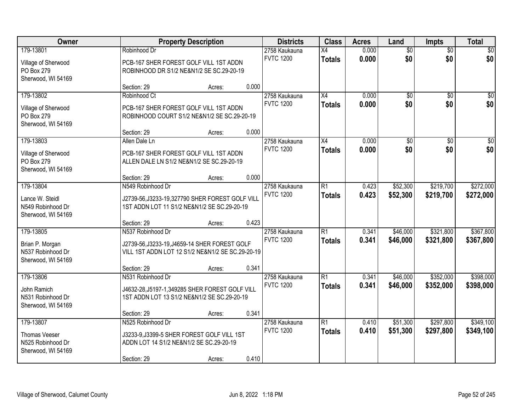| Owner                                                                        |                                                                                                                                       | <b>Property Description</b> |       | <b>Districts</b>                  | <b>Class</b>                     | <b>Acres</b>   | Land                   | <b>Impts</b>           | <b>Total</b>           |  |
|------------------------------------------------------------------------------|---------------------------------------------------------------------------------------------------------------------------------------|-----------------------------|-------|-----------------------------------|----------------------------------|----------------|------------------------|------------------------|------------------------|--|
| 179-13801<br>Village of Sherwood<br>PO Box 279<br>Sherwood, WI 54169         | Robinhood Dr<br>PCB-167 SHER FOREST GOLF VILL 1ST ADDN<br>ROBINHOOD DR S1/2 NE&N1/2 SE SC.29-20-19                                    |                             |       | 2758 Kaukauna<br><b>FVTC 1200</b> | $\overline{X4}$<br><b>Totals</b> | 0.000<br>0.000 | $\overline{50}$<br>\$0 | $\overline{50}$<br>\$0 | \$0<br>\$0             |  |
|                                                                              | Section: 29                                                                                                                           | Acres:                      | 0.000 |                                   |                                  |                |                        |                        |                        |  |
| 179-13802<br>Village of Sherwood<br>PO Box 279<br>Sherwood, WI 54169         | Robinhood Ct<br>PCB-167 SHER FOREST GOLF VILL 1ST ADDN<br>ROBINHOOD COURT S1/2 NE&N1/2 SE SC.29-20-19<br>Section: 29                  | Acres:                      | 0.000 | 2758 Kaukauna<br><b>FVTC 1200</b> | $\overline{X4}$<br><b>Totals</b> | 0.000<br>0.000 | $\overline{50}$<br>\$0 | $\overline{50}$<br>\$0 | \$0<br>\$0             |  |
| 179-13803                                                                    | Allen Dale Ln                                                                                                                         |                             |       | 2758 Kaukauna                     | X4                               | 0.000          | \$0                    | \$0                    | $\overline{50}$        |  |
| Village of Sherwood<br>PO Box 279<br>Sherwood, WI 54169                      | PCB-167 SHER FOREST GOLF VILL 1ST ADDN<br>ALLEN DALE LN S1/2 NE&N1/2 SE SC.29-20-19                                                   |                             |       | <b>FVTC 1200</b>                  | <b>Totals</b>                    | 0.000          | \$0                    | \$0                    | \$0                    |  |
| 179-13804                                                                    | Section: 29<br>N549 Robinhood Dr                                                                                                      | Acres:                      | 0.000 | 2758 Kaukauna                     | R1                               | 0.423          | \$52,300               | \$219,700              | \$272,000              |  |
| Lance W. Steidl<br>N549 Robinhood Dr<br>Sherwood, WI 54169                   | J2739-56, J3233-19, 327790 SHER FOREST GOLF VILL<br>1ST ADDN LOT 11 S1/2 NE&N1/2 SE SC.29-20-19                                       |                             |       | <b>FVTC 1200</b>                  | <b>Totals</b>                    | 0.423          | \$52,300               | \$219,700              | \$272,000              |  |
|                                                                              | Section: 29                                                                                                                           | Acres:                      | 0.423 |                                   |                                  |                |                        |                        |                        |  |
| 179-13805<br>Brian P. Morgan<br>N537 Robinhood Dr<br>Sherwood, WI 54169      | N537 Robinhood Dr<br>J2739-56, J3233-19, J4659-14 SHER FOREST GOLF<br>VILL 1ST ADDN LOT 12 S1/2 NE&N1/2 SE SC.29-20-19<br>Section: 29 | Acres:                      | 0.341 | 2758 Kaukauna<br><b>FVTC 1200</b> | $\overline{R1}$<br><b>Totals</b> | 0.341<br>0.341 | \$46,000<br>\$46,000   | \$321,800<br>\$321,800 | \$367,800<br>\$367,800 |  |
| 179-13806                                                                    | N531 Robinhood Dr                                                                                                                     |                             |       | 2758 Kaukauna                     | $\overline{R1}$                  | 0.341          | \$46,000               | \$352,000              | \$398,000              |  |
| John Ramich<br>N531 Robinhood Dr<br>Sherwood, WI 54169                       | J4632-28, J5197-1, 349285 SHER FOREST GOLF VILL<br>1ST ADDN LOT 13 S1/2 NE&N1/2 SE SC.29-20-19                                        |                             |       | <b>FVTC 1200</b>                  | <b>Totals</b>                    | 0.341          | \$46,000               | \$352,000              | \$398,000              |  |
|                                                                              | Section: 29                                                                                                                           | Acres:                      | 0.341 |                                   |                                  |                |                        |                        |                        |  |
| 179-13807<br><b>Thomas Veeser</b><br>N525 Robinhood Dr<br>Sherwood, WI 54169 | N525 Robinhood Dr<br>J3233-9, J3399-5 SHER FOREST GOLF VILL 1ST<br>ADDN LOT 14 S1/2 NE&N1/2 SE SC.29-20-19<br>Section: 29             | Acres:                      | 0.410 | 2758 Kaukauna<br><b>FVTC 1200</b> | $\overline{R1}$<br><b>Totals</b> | 0.410<br>0.410 | \$51,300<br>\$51,300   | \$297,800<br>\$297,800 | \$349,100<br>\$349,100 |  |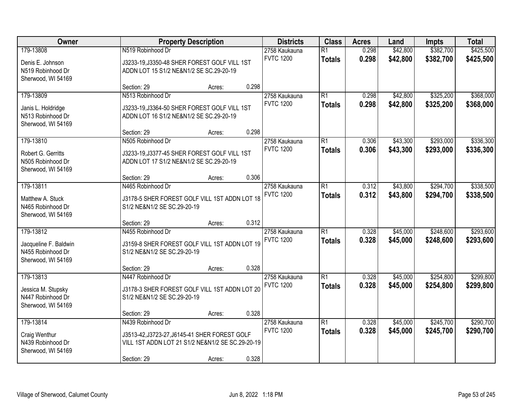| Owner                                                                         | <b>Property Description</b>                                                                                                           |        | <b>Districts</b> | <b>Class</b>                      | <b>Acres</b>                     | Land           | <b>Impts</b>         | <b>Total</b>           |                        |
|-------------------------------------------------------------------------------|---------------------------------------------------------------------------------------------------------------------------------------|--------|------------------|-----------------------------------|----------------------------------|----------------|----------------------|------------------------|------------------------|
| 179-13808<br>Denis E. Johnson<br>N519 Robinhood Dr<br>Sherwood, WI 54169      | N519 Robinhood Dr<br>J3233-19, J3350-48 SHER FOREST GOLF VILL 1ST<br>ADDN LOT 15 S1/2 NE&N1/2 SE SC.29-20-19                          |        |                  | 2758 Kaukauna<br><b>FVTC 1200</b> | $\overline{R1}$<br><b>Totals</b> | 0.298<br>0.298 | \$42,800<br>\$42,800 | \$382,700<br>\$382,700 | \$425,500<br>\$425,500 |
|                                                                               | Section: 29                                                                                                                           | Acres: | 0.298            |                                   |                                  |                |                      |                        |                        |
| 179-13809<br>Janis L. Holdridge<br>N513 Robinhood Dr<br>Sherwood, WI 54169    | N513 Robinhood Dr<br>J3233-19, J3364-50 SHER FOREST GOLF VILL 1ST<br>ADDN LOT 16 S1/2 NE&N1/2 SE SC.29-20-19                          |        |                  | 2758 Kaukauna<br><b>FVTC 1200</b> | $\overline{R1}$<br><b>Totals</b> | 0.298<br>0.298 | \$42,800<br>\$42,800 | \$325,200<br>\$325,200 | \$368,000<br>\$368,000 |
|                                                                               | Section: 29                                                                                                                           | Acres: | 0.298            |                                   |                                  |                |                      |                        |                        |
| 179-13810<br>Robert G. Gerritts<br>N505 Robinhood Dr<br>Sherwood, WI 54169    | N505 Robinhood Dr<br>J3233-19, J3377-45 SHER FOREST GOLF VILL 1ST<br>ADDN LOT 17 S1/2 NE&N1/2 SE SC.29-20-19                          |        |                  | 2758 Kaukauna<br><b>FVTC 1200</b> | $\overline{R1}$<br><b>Totals</b> | 0.306<br>0.306 | \$43,300<br>\$43,300 | \$293,000<br>\$293,000 | \$336,300<br>\$336,300 |
|                                                                               | Section: 29                                                                                                                           | Acres: | 0.306            |                                   |                                  |                |                      |                        |                        |
| 179-13811<br>Matthew A. Stuck<br>N465 Robinhood Dr<br>Sherwood, WI 54169      | N465 Robinhood Dr<br>J3178-5 SHER FOREST GOLF VILL 1ST ADDN LOT 18<br>S1/2 NE&N1/2 SE SC.29-20-19                                     |        |                  | 2758 Kaukauna<br><b>FVTC 1200</b> | $\overline{R1}$<br><b>Totals</b> | 0.312<br>0.312 | \$43,800<br>\$43,800 | \$294,700<br>\$294,700 | \$338,500<br>\$338,500 |
|                                                                               | Section: 29                                                                                                                           | Acres: | 0.312            |                                   |                                  |                |                      |                        |                        |
| 179-13812<br>Jacqueline F. Baldwin<br>N455 Robinhood Dr<br>Sherwood, WI 54169 | N455 Robinhood Dr<br>J3159-8 SHER FOREST GOLF VILL 1ST ADDN LOT 19<br>S1/2 NE&N1/2 SE SC.29-20-19                                     |        |                  | 2758 Kaukauna<br><b>FVTC 1200</b> | $\overline{R1}$<br><b>Totals</b> | 0.328<br>0.328 | \$45,000<br>\$45,000 | \$248,600<br>\$248,600 | \$293,600<br>\$293,600 |
|                                                                               | Section: 29                                                                                                                           | Acres: | 0.328            |                                   |                                  |                |                      |                        |                        |
| 179-13813<br>Jessica M. Stupsky<br>N447 Robinhood Dr<br>Sherwood, WI 54169    | N447 Robinhood Dr<br>J3178-3 SHER FOREST GOLF VILL 1ST ADDN LOT 20<br>S1/2 NE&N1/2 SE SC.29-20-19                                     |        |                  | 2758 Kaukauna<br><b>FVTC 1200</b> | $\overline{R1}$<br><b>Totals</b> | 0.328<br>0.328 | \$45,000<br>\$45,000 | \$254,800<br>\$254,800 | \$299,800<br>\$299,800 |
|                                                                               | Section: 29                                                                                                                           | Acres: | 0.328            |                                   |                                  |                |                      |                        |                        |
| 179-13814<br>Craig Wenthur<br>N439 Robinhood Dr<br>Sherwood, WI 54169         | N439 Robinhood Dr<br>J3513-42, J3723-27, J6145-41 SHER FOREST GOLF<br>VILL 1ST ADDN LOT 21 S1/2 NE&N1/2 SE SC.29-20-19<br>Section: 29 | Acres: | 0.328            | 2758 Kaukauna<br><b>FVTC 1200</b> | $\overline{R1}$<br><b>Totals</b> | 0.328<br>0.328 | \$45,000<br>\$45,000 | \$245,700<br>\$245,700 | \$290,700<br>\$290,700 |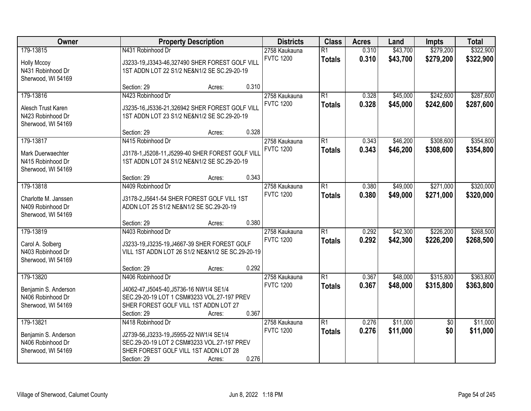| Owner                | <b>Property Description</b>                         | <b>Districts</b>                  | <b>Class</b>    | <b>Acres</b>   | Land                 | <b>Impts</b>    | <b>Total</b> |
|----------------------|-----------------------------------------------------|-----------------------------------|-----------------|----------------|----------------------|-----------------|--------------|
| 179-13815            | N431 Robinhood Dr                                   | 2758 Kaukauna                     | $\overline{R1}$ | 0.310          | \$43,700             | \$279,200       | \$322,900    |
| <b>Holly Mccoy</b>   | J3233-19, J3343-46, 327490 SHER FOREST GOLF VILL    | <b>FVTC 1200</b>                  | <b>Totals</b>   | 0.310          | \$43,700             | \$279,200       | \$322,900    |
| N431 Robinhood Dr    | 1ST ADDN LOT 22 S1/2 NE&N1/2 SE SC.29-20-19         |                                   |                 |                |                      |                 |              |
| Sherwood, WI 54169   |                                                     |                                   |                 |                |                      |                 |              |
|                      | 0.310<br>Section: 29<br>Acres:                      |                                   |                 |                |                      |                 |              |
| 179-13816            | N423 Robinhood Dr                                   | 2758 Kaukauna                     | $\overline{R1}$ | 0.328          | \$45,000             | \$242,600       | \$287,600    |
| Alesch Trust Karen   | J3235-16, J5336-21, 326942 SHER FOREST GOLF VILL    | <b>FVTC 1200</b>                  | <b>Totals</b>   | 0.328          | \$45,000             | \$242,600       | \$287,600    |
| N423 Robinhood Dr    | 1ST ADDN LOT 23 S1/2 NE&N1/2 SE SC.29-20-19         |                                   |                 |                |                      |                 |              |
| Sherwood, WI 54169   |                                                     |                                   |                 |                |                      |                 |              |
|                      | 0.328<br>Section: 29<br>Acres:                      |                                   |                 |                |                      |                 |              |
| 179-13817            | N415 Robinhood Dr                                   | 2758 Kaukauna<br><b>FVTC 1200</b> | $\overline{R1}$ | 0.343          | \$46,200             | \$308,600       | \$354,800    |
| Mark Duerwaechter    | J3178-1, J5208-11, J5299-40 SHER FOREST GOLF VILL   |                                   | <b>Totals</b>   | 0.343          | \$46,200             | \$308,600       | \$354,800    |
| N415 Robinhood Dr    | 1ST ADDN LOT 24 S1/2 NE&N1/2 SE SC.29-20-19         |                                   |                 |                |                      |                 |              |
| Sherwood, WI 54169   |                                                     |                                   |                 |                |                      |                 |              |
|                      | 0.343<br>Section: 29<br>Acres:                      |                                   | $\overline{R1}$ |                |                      |                 |              |
| 179-13818            | N409 Robinhood Dr                                   | 2758 Kaukauna<br><b>FVTC 1200</b> |                 | 0.380<br>0.380 | \$49,000             | \$271,000       | \$320,000    |
| Charlotte M. Janssen | J3178-2, J5641-54 SHER FOREST GOLF VILL 1ST         |                                   | <b>Totals</b>   |                | \$49,000             | \$271,000       | \$320,000    |
| N409 Robinhood Dr    | ADDN LOT 25 S1/2 NE&N1/2 SE SC.29-20-19             |                                   |                 |                |                      |                 |              |
| Sherwood, WI 54169   |                                                     |                                   |                 |                |                      |                 |              |
| 179-13819            | 0.380<br>Section: 29<br>Acres:<br>N403 Robinhood Dr |                                   | $\overline{R1}$ | 0.292          |                      | \$226,200       | \$268,500    |
|                      |                                                     | 2758 Kaukauna<br><b>FVTC 1200</b> |                 | 0.292          | \$42,300<br>\$42,300 | \$226,200       |              |
| Carol A. Solberg     | J3233-19, J3235-19, J4667-39 SHER FOREST GOLF       |                                   | <b>Totals</b>   |                |                      |                 | \$268,500    |
| N403 Robinhood Dr    | VILL 1ST ADDN LOT 26 S1/2 NE&N1/2 SE SC.29-20-19    |                                   |                 |                |                      |                 |              |
| Sherwood, WI 54169   |                                                     |                                   |                 |                |                      |                 |              |
| 179-13820            | 0.292<br>Section: 29<br>Acres:<br>N406 Robinhood Dr |                                   | $\overline{R1}$ | 0.367          | \$48,000             | \$315,800       | \$363,800    |
|                      |                                                     | 2758 Kaukauna<br><b>FVTC 1200</b> | <b>Totals</b>   | 0.367          | \$48,000             | \$315,800       | \$363,800    |
| Benjamin S. Anderson | J4062-47, J5045-40, J5736-16 NW1/4 SE1/4            |                                   |                 |                |                      |                 |              |
| N406 Robinhood Dr    | SEC.29-20-19 LOT 1 CSM#3233 VOL.27-197 PREV         |                                   |                 |                |                      |                 |              |
| Sherwood, WI 54169   | SHER FOREST GOLF VILL 1ST ADDN LOT 27<br>0.367      |                                   |                 |                |                      |                 |              |
| 179-13821            | Section: 29<br>Acres:<br>N418 Robinhood Dr          | 2758 Kaukauna                     | $\overline{R1}$ | 0.276          | \$11,000             | $\overline{50}$ | \$11,000     |
|                      |                                                     | <b>FVTC 1200</b>                  | <b>Totals</b>   | 0.276          | \$11,000             | \$0             | \$11,000     |
| Benjamin S. Anderson | J2739-56, J3233-19, J5955-22 NW1/4 SE1/4            |                                   |                 |                |                      |                 |              |
| N406 Robinhood Dr    | SEC.29-20-19 LOT 2 CSM#3233 VOL.27-197 PREV         |                                   |                 |                |                      |                 |              |
| Sherwood, WI 54169   | SHER FOREST GOLF VILL 1ST ADDN LOT 28               |                                   |                 |                |                      |                 |              |
|                      | 0.276<br>Section: 29<br>Acres:                      |                                   |                 |                |                      |                 |              |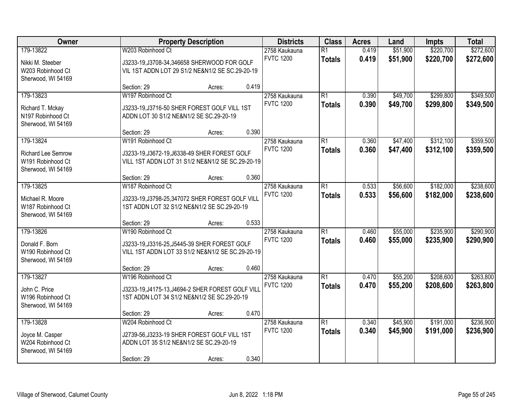| Owner                                                                      | <b>Property Description</b>                                                                                                           |                                                                                                 | <b>Districts</b> | <b>Class</b>                      | <b>Acres</b>                     | Land           | <b>Impts</b>         | <b>Total</b>           |                        |
|----------------------------------------------------------------------------|---------------------------------------------------------------------------------------------------------------------------------------|-------------------------------------------------------------------------------------------------|------------------|-----------------------------------|----------------------------------|----------------|----------------------|------------------------|------------------------|
| 179-13822<br>Nikki M. Steeber<br>W203 Robinhood Ct<br>Sherwood, WI 54169   | W203 Robinhood Ct                                                                                                                     | J3233-19, J3708-34, 346658 SHERWOOD FOR GOLF<br>VIL 1ST ADDN LOT 29 S1/2 NE&N1/2 SE SC.29-20-19 |                  |                                   | $\overline{R1}$<br><b>Totals</b> | 0.419<br>0.419 | \$51,900<br>\$51,900 | \$220,700<br>\$220,700 | \$272,600<br>\$272,600 |
|                                                                            | Section: 29                                                                                                                           | Acres:                                                                                          | 0.419            |                                   |                                  |                |                      |                        |                        |
| 179-13823<br>Richard T. Mckay<br>N197 Robinhood Ct<br>Sherwood, WI 54169   | W197 Robinhood Ct<br>J3233-19, J3716-50 SHER FOREST GOLF VILL 1ST<br>ADDN LOT 30 S1/2 NE&N1/2 SE SC.29-20-19                          |                                                                                                 |                  | 2758 Kaukauna<br><b>FVTC 1200</b> | $\overline{R1}$<br><b>Totals</b> | 0.390<br>0.390 | \$49,700<br>\$49,700 | \$299,800<br>\$299,800 | \$349,500<br>\$349,500 |
|                                                                            | Section: 29                                                                                                                           | Acres:                                                                                          | 0.390            |                                   |                                  |                |                      |                        |                        |
| 179-13824<br>Richard Lee Semrow<br>W191 Robinhood Ct<br>Sherwood, WI 54169 | W191 Robinhood Ct<br>J3233-19, J3672-19, J6338-49 SHER FOREST GOLF<br>VILL 1ST ADDN LOT 31 S1/2 NE&N1/2 SE SC.29-20-19                |                                                                                                 |                  | 2758 Kaukauna<br><b>FVTC 1200</b> | $\overline{R1}$<br><b>Totals</b> | 0.360<br>0.360 | \$47,400<br>\$47,400 | \$312,100<br>\$312,100 | \$359,500<br>\$359,500 |
|                                                                            | Section: 29                                                                                                                           | Acres:                                                                                          | 0.360            |                                   |                                  |                |                      |                        |                        |
| 179-13825<br>Michael R. Moore<br>W187 Robinhood Ct<br>Sherwood, WI 54169   | W187 Robinhood Ct<br>J3233-19, J3798-25, 347072 SHER FOREST GOLF VILL<br>1ST ADDN LOT 32 S1/2 NE&N1/2 SE SC.29-20-19                  |                                                                                                 |                  | 2758 Kaukauna<br><b>FVTC 1200</b> | $\overline{R1}$<br><b>Totals</b> | 0.533<br>0.533 | \$56,600<br>\$56,600 | \$182,000<br>\$182,000 | \$238,600<br>\$238,600 |
|                                                                            | Section: 29                                                                                                                           | Acres:                                                                                          | 0.533            |                                   |                                  |                |                      |                        |                        |
| 179-13826<br>Donald F. Born<br>W190 Robinhood Ct<br>Sherwood, WI 54169     | W190 Robinhood Ct<br>J3233-19, J3316-25, J5445-39 SHER FOREST GOLF<br>VILL 1ST ADDN LOT 33 S1/2 NE&N1/2 SE SC.29-20-19<br>Section: 29 | Acres:                                                                                          | 0.460            | 2758 Kaukauna<br><b>FVTC 1200</b> | $\overline{R1}$<br><b>Totals</b> | 0.460<br>0.460 | \$55,000<br>\$55,000 | \$235,900<br>\$235,900 | \$290,900<br>\$290,900 |
| 179-13827                                                                  | W196 Robinhood Ct                                                                                                                     |                                                                                                 |                  | 2758 Kaukauna                     | $\overline{R1}$                  | 0.470          | \$55,200             | \$208,600              | \$263,800              |
| John C. Price<br>W196 Robinhood Ct<br>Sherwood, WI 54169                   | J3233-19, J4175-13, J4694-2 SHER FOREST GOLF VILL<br>1ST ADDN LOT 34 S1/2 NE&N1/2 SE SC.29-20-19<br>Section: 29                       | Acres:                                                                                          | 0.470            | <b>FVTC 1200</b>                  | <b>Totals</b>                    | 0.470          | \$55,200             | \$208,600              | \$263,800              |
| 179-13828                                                                  | W204 Robinhood Ct                                                                                                                     |                                                                                                 |                  | 2758 Kaukauna                     | $\overline{R1}$                  | 0.340          | \$45,900             | \$191,000              | \$236,900              |
| Joyce M. Casper<br>W204 Robinhood Ct<br>Sherwood, WI 54169                 | J2739-56, J3233-19 SHER FOREST GOLF VILL 1ST<br>ADDN LOT 35 S1/2 NE&N1/2 SE SC.29-20-19<br>Section: 29                                | Acres:                                                                                          | 0.340            | <b>FVTC 1200</b>                  | <b>Totals</b>                    | 0.340          | \$45,900             | \$191,000              | \$236,900              |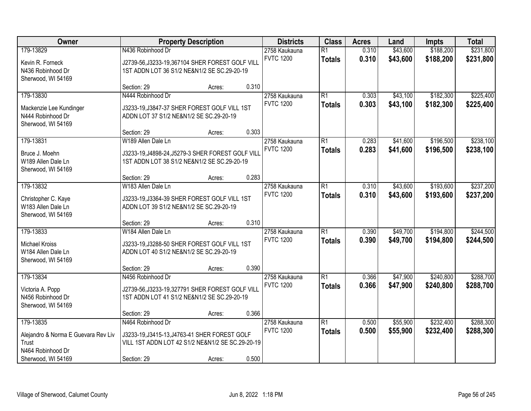| Owner                                                                           | <b>Property Description</b>                                                                                                           |        | <b>Districts</b> | <b>Class</b>                      | <b>Acres</b>                     | Land           | <b>Impts</b>         | <b>Total</b>           |                        |
|---------------------------------------------------------------------------------|---------------------------------------------------------------------------------------------------------------------------------------|--------|------------------|-----------------------------------|----------------------------------|----------------|----------------------|------------------------|------------------------|
| 179-13829<br>Kevin R. Forneck                                                   | N436 Robinhood Dr<br>J2739-56, J3233-19, 367104 SHER FOREST GOLF VILL                                                                 |        |                  | 2758 Kaukauna<br><b>FVTC 1200</b> | $\overline{R1}$<br><b>Totals</b> | 0.310<br>0.310 | \$43,600<br>\$43,600 | \$188,200<br>\$188,200 | \$231,800<br>\$231,800 |
| N436 Robinhood Dr<br>Sherwood, WI 54169                                         | 1ST ADDN LOT 36 S1/2 NE&N1/2 SE SC.29-20-19<br>Section: 29                                                                            | Acres: | 0.310            |                                   |                                  |                |                      |                        |                        |
| 179-13830<br>Mackenzie Lee Kundinger<br>N444 Robinhood Dr<br>Sherwood, WI 54169 | N444 Robinhood Dr<br>J3233-19, J3847-37 SHER FOREST GOLF VILL 1ST<br>ADDN LOT 37 S1/2 NE&N1/2 SE SC.29-20-19                          |        |                  | 2758 Kaukauna<br><b>FVTC 1200</b> | $\overline{R1}$<br><b>Totals</b> | 0.303<br>0.303 | \$43,100<br>\$43,100 | \$182,300<br>\$182,300 | \$225,400<br>\$225,400 |
| 179-13831<br>Bruce J. Moehn<br>W189 Allen Dale Ln                               | Section: 29<br>W189 Allen Dale Ln<br>J3233-19, J4898-24, J5279-3 SHER FOREST GOLF VILL<br>1ST ADDN LOT 38 S1/2 NE&N1/2 SE SC.29-20-19 | Acres: | 0.303            | 2758 Kaukauna<br><b>FVTC 1200</b> | $\overline{R1}$<br><b>Totals</b> | 0.283<br>0.283 | \$41,600<br>\$41,600 | \$196,500<br>\$196,500 | \$238,100<br>\$238,100 |
| Sherwood, WI 54169<br>179-13832                                                 | Section: 29<br>W183 Allen Dale Ln                                                                                                     | Acres: | 0.283            | 2758 Kaukauna                     | $\overline{R1}$                  | 0.310          | \$43,600             | \$193,600              | \$237,200              |
| Christopher C. Kaye<br>W183 Allen Dale Ln<br>Sherwood, WI 54169                 | J3233-19, J3364-39 SHER FOREST GOLF VILL 1ST<br>ADDN LOT 39 S1/2 NE&N1/2 SE SC.29-20-19                                               |        |                  | <b>FVTC 1200</b>                  | <b>Totals</b>                    | 0.310          | \$43,600             | \$193,600              | \$237,200              |
| 179-13833<br><b>Michael Kroiss</b>                                              | Section: 29<br>W184 Allen Dale Ln<br>J3233-19, J3288-50 SHER FOREST GOLF VILL 1ST                                                     | Acres: | 0.310            | 2758 Kaukauna<br><b>FVTC 1200</b> | $\overline{R1}$<br><b>Totals</b> | 0.390<br>0.390 | \$49,700<br>\$49,700 | \$194,800<br>\$194,800 | \$244,500<br>\$244,500 |
| W184 Allen Dale Ln<br>Sherwood, WI 54169                                        | ADDN LOT 40 S1/2 NE&N1/2 SE SC.29-20-19<br>Section: 29                                                                                | Acres: | 0.390            |                                   |                                  |                |                      |                        |                        |
| 179-13834<br>Victoria A. Popp<br>N456 Robinhood Dr<br>Sherwood, WI 54169        | N456 Robinhood Dr<br>J2739-56, J3233-19, 327791 SHER FOREST GOLF VILL<br>1ST ADDN LOT 41 S1/2 NE&N1/2 SE SC.29-20-19                  |        |                  | 2758 Kaukauna<br><b>FVTC 1200</b> | $\overline{R1}$<br><b>Totals</b> | 0.366<br>0.366 | \$47,900<br>\$47,900 | \$240,800<br>\$240,800 | \$288,700<br>\$288,700 |
| 179-13835                                                                       | Section: 29<br>N464 Robinhood Dr                                                                                                      | Acres: | 0.366            | 2758 Kaukauna<br><b>FVTC 1200</b> | $\overline{R1}$                  | 0.500          | \$55,900             | \$232,400              | \$288,300              |
| Alejandro & Norma E Guevara Rev Liv<br>Trust<br>N464 Robinhood Dr               | J3233-19, J3415-13, J4763-41 SHER FOREST GOLF<br>VILL 1ST ADDN LOT 42 S1/2 NE&N1/2 SE SC.29-20-19                                     |        |                  |                                   | <b>Totals</b>                    | 0.500          | \$55,900             | \$232,400              | \$288,300              |
| Sherwood, WI 54169                                                              | Section: 29                                                                                                                           | Acres: | 0.500            |                                   |                                  |                |                      |                        |                        |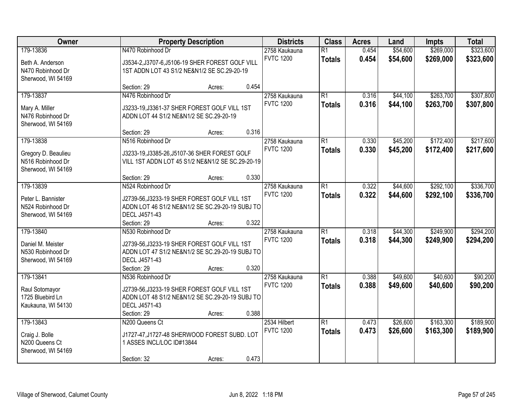| Owner                                                          | <b>Property Description</b>                                                                       |        | <b>Districts</b> | <b>Class</b>                      | <b>Acres</b>                     | Land           | <b>Impts</b>         | <b>Total</b>           |                        |
|----------------------------------------------------------------|---------------------------------------------------------------------------------------------------|--------|------------------|-----------------------------------|----------------------------------|----------------|----------------------|------------------------|------------------------|
| 179-13836<br>Beth A. Anderson                                  | N470 Robinhood Dr<br>J3534-2,J3707-6,J5106-19 SHER FOREST GOLF VILL                               |        |                  | 2758 Kaukauna<br><b>FVTC 1200</b> | $\overline{R1}$<br><b>Totals</b> | 0.454<br>0.454 | \$54,600<br>\$54,600 | \$269,000<br>\$269,000 | \$323,600<br>\$323,600 |
| N470 Robinhood Dr<br>Sherwood, WI 54169                        | 1ST ADDN LOT 43 S1/2 NE&N1/2 SE SC.29-20-19                                                       |        |                  |                                   |                                  |                |                      |                        |                        |
|                                                                | Section: 29                                                                                       | Acres: | 0.454            |                                   |                                  |                |                      |                        |                        |
| 179-13837                                                      | N476 Robinhood Dr                                                                                 |        |                  | 2758 Kaukauna                     | $\overline{R1}$                  | 0.316          | \$44,100             | \$263,700              | \$307,800              |
| Mary A. Miller<br>N476 Robinhood Dr<br>Sherwood, WI 54169      | J3233-19, J3361-37 SHER FOREST GOLF VILL 1ST<br>ADDN LOT 44 S1/2 NE&N1/2 SE SC.29-20-19           |        |                  | <b>FVTC 1200</b>                  | <b>Totals</b>                    | 0.316          | \$44,100             | \$263,700              | \$307,800              |
|                                                                | Section: 29                                                                                       | Acres: | 0.316            |                                   |                                  |                |                      |                        |                        |
| 179-13838                                                      | N516 Robinhood Dr                                                                                 |        |                  | 2758 Kaukauna                     | $\overline{R1}$                  | 0.330          | \$45,200             | \$172,400              | \$217,600              |
| Gregory D. Beaulieu<br>N516 Robinhood Dr<br>Sherwood, WI 54169 | J3233-19, J3385-26, J5107-36 SHER FOREST GOLF<br>VILL 1ST ADDN LOT 45 S1/2 NE&N1/2 SE SC.29-20-19 |        |                  | <b>FVTC 1200</b>                  | <b>Totals</b>                    | 0.330          | \$45,200             | \$172,400              | \$217,600              |
|                                                                | Section: 29                                                                                       | Acres: | 0.330            |                                   |                                  |                |                      |                        |                        |
| 179-13839                                                      | N524 Robinhood Dr                                                                                 |        |                  | 2758 Kaukauna                     | $\overline{R1}$                  | 0.322          | \$44,600             | \$292,100              | \$336,700              |
| Peter L. Bannister                                             | J2739-56, J3233-19 SHER FOREST GOLF VILL 1ST                                                      |        |                  | <b>FVTC 1200</b>                  | <b>Totals</b>                    | 0.322          | \$44,600             | \$292,100              | \$336,700              |
| N524 Robinhood Dr                                              | ADDN LOT 46 S1/2 NE&N1/2 SE SC.29-20-19 SUBJ TO                                                   |        |                  |                                   |                                  |                |                      |                        |                        |
| Sherwood, WI 54169                                             | DECL J4571-43                                                                                     |        |                  |                                   |                                  |                |                      |                        |                        |
|                                                                | Section: 29                                                                                       | Acres: | 0.322            |                                   |                                  |                |                      |                        |                        |
| 179-13840                                                      | N530 Robinhood Dr                                                                                 |        |                  | 2758 Kaukauna                     | $\overline{R1}$                  | 0.318          | \$44,300             | \$249,900              | \$294,200              |
| Daniel M. Meister                                              | J2739-56, J3233-19 SHER FOREST GOLF VILL 1ST                                                      |        |                  | <b>FVTC 1200</b>                  | <b>Totals</b>                    | 0.318          | \$44,300             | \$249,900              | \$294,200              |
| N530 Robinhood Dr                                              | ADDN LOT 47 S1/2 NE&N1/2 SE SC.29-20-19 SUBJ TO                                                   |        |                  |                                   |                                  |                |                      |                        |                        |
| Sherwood, WI 54169                                             | DECL J4571-43                                                                                     |        |                  |                                   |                                  |                |                      |                        |                        |
|                                                                | Section: 29                                                                                       | Acres: | 0.320            |                                   |                                  |                |                      |                        |                        |
| 179-13841                                                      | N536 Robinhood Dr                                                                                 |        |                  | 2758 Kaukauna                     | $\overline{R1}$                  | 0.388          | \$49,600             | \$40,600               | \$90,200               |
| Raul Sotomayor                                                 | J2739-56, J3233-19 SHER FOREST GOLF VILL 1ST                                                      |        |                  | <b>FVTC 1200</b>                  | <b>Totals</b>                    | 0.388          | \$49,600             | \$40,600               | \$90,200               |
| 1725 Bluebird Ln                                               | ADDN LOT 48 S1/2 NE&N1/2 SE SC.29-20-19 SUBJ TO                                                   |        |                  |                                   |                                  |                |                      |                        |                        |
| Kaukauna, WI 54130                                             | DECL J4571-43                                                                                     |        |                  |                                   |                                  |                |                      |                        |                        |
|                                                                | Section: 29                                                                                       | Acres: | 0.388            |                                   |                                  |                |                      |                        |                        |
| 179-13843                                                      | N200 Queens Ct                                                                                    |        |                  | 2534 Hilbert                      | $\overline{R1}$                  | 0.473          | \$26,600             | \$163,300              | \$189,900              |
|                                                                |                                                                                                   |        |                  | <b>FVTC 1200</b>                  | <b>Totals</b>                    | 0.473          | \$26,600             | \$163,300              | \$189,900              |
| Craig J. Bolle                                                 | J1727-47, J1727-48 SHERWOOD FOREST SUBD. LOT                                                      |        |                  |                                   |                                  |                |                      |                        |                        |
| N200 Queens Ct                                                 | 1 ASSES INCL/LOC ID#13844                                                                         |        |                  |                                   |                                  |                |                      |                        |                        |
| Sherwood, WI 54169                                             | Section: 32                                                                                       | Acres: | 0.473            |                                   |                                  |                |                      |                        |                        |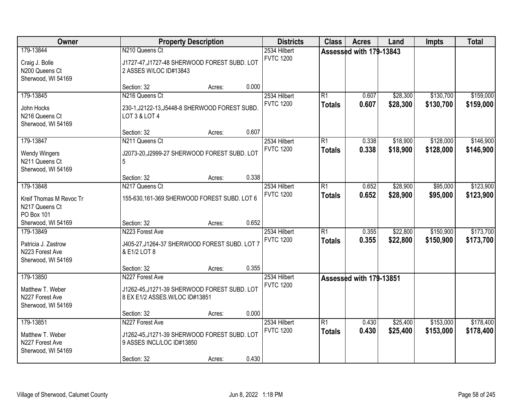| Owner                                                        |                                                                                 | <b>Property Description</b> |       | <b>Districts</b>                 | <b>Class</b>    | <b>Acres</b>            | Land     | <b>Impts</b> | <b>Total</b> |
|--------------------------------------------------------------|---------------------------------------------------------------------------------|-----------------------------|-------|----------------------------------|-----------------|-------------------------|----------|--------------|--------------|
| 179-13844                                                    | N210 Queens Ct                                                                  |                             |       | 2534 Hilbert<br><b>FVTC 1200</b> |                 | Assessed with 179-13843 |          |              |              |
| Craig J. Bolle<br>N200 Queens Ct                             | J1727-47, J1727-48 SHERWOOD FOREST SUBD. LOT<br>2 ASSES W/LOC ID#13843          |                             |       |                                  |                 |                         |          |              |              |
| Sherwood, WI 54169                                           | Section: 32                                                                     | Acres:                      | 0.000 |                                  |                 |                         |          |              |              |
| 179-13845                                                    | N216 Queens Ct                                                                  |                             |       | 2534 Hilbert                     | $\overline{R1}$ | 0.607                   | \$28,300 | \$130,700    | \$159,000    |
| John Hocks<br>N216 Queens Ct<br>Sherwood, WI 54169           | 230-1, J2122-13, J5448-8 SHERWOOD FOREST SUBD.<br>LOT 3 & LOT 4                 |                             |       | <b>FVTC 1200</b>                 | <b>Totals</b>   | 0.607                   | \$28,300 | \$130,700    | \$159,000    |
|                                                              | Section: 32                                                                     | Acres:                      | 0.607 |                                  |                 |                         |          |              |              |
| 179-13847                                                    | N211 Queens Ct                                                                  |                             |       | 2534 Hilbert                     | R1              | 0.338                   | \$18,900 | \$128,000    | \$146,900    |
| <b>Wendy Wingers</b><br>N211 Queens Ct<br>Sherwood, WI 54169 | J2073-20, J2999-27 SHERWOOD FOREST SUBD. LOT<br>5                               |                             |       | <b>FVTC 1200</b>                 | <b>Totals</b>   | 0.338                   | \$18,900 | \$128,000    | \$146,900    |
|                                                              | Section: 32                                                                     | Acres:                      | 0.338 |                                  |                 |                         |          |              |              |
| 179-13848                                                    | N217 Queens Ct                                                                  |                             |       | 2534 Hilbert                     | $\overline{R1}$ | 0.652                   | \$28,900 | \$95,000     | \$123,900    |
| Kreif Thomas M Revoc Tr<br>N217 Queens Ct<br>PO Box 101      | 155-630, 161-369 SHERWOOD FOREST SUBD. LOT 6                                    |                             |       | <b>FVTC 1200</b>                 | <b>Totals</b>   | 0.652                   | \$28,900 | \$95,000     | \$123,900    |
| Sherwood, WI 54169                                           | Section: 32                                                                     | Acres:                      | 0.652 |                                  |                 |                         |          |              |              |
| 179-13849                                                    | N223 Forest Ave                                                                 |                             |       | 2534 Hilbert                     | $\overline{R1}$ | 0.355                   | \$22,800 | \$150,900    | \$173,700    |
| Patricia J. Zastrow<br>N223 Forest Ave<br>Sherwood, WI 54169 | J405-27, J1264-37 SHERWOOD FOREST SUBD. LOT 7<br>& E1/2 LOT 8                   |                             |       | <b>FVTC 1200</b>                 | <b>Totals</b>   | 0.355                   | \$22,800 | \$150,900    | \$173,700    |
|                                                              | Section: 32                                                                     | Acres:                      | 0.355 |                                  |                 |                         |          |              |              |
| 179-13850                                                    | N227 Forest Ave                                                                 |                             |       | 2534 Hilbert                     |                 | Assessed with 179-13851 |          |              |              |
| Matthew T. Weber<br>N227 Forest Ave<br>Sherwood, WI 54169    | J1262-45, J1271-39 SHERWOOD FOREST SUBD. LOT<br>8 EX E1/2 ASSES. W/LOC ID#13851 |                             |       | <b>FVTC 1200</b>                 |                 |                         |          |              |              |
|                                                              | Section: 32                                                                     | Acres:                      | 0.000 |                                  |                 |                         |          |              |              |
| 179-13851                                                    | N227 Forest Ave                                                                 |                             |       | 2534 Hilbert                     | $\overline{R1}$ | 0.430                   | \$25,400 | \$153,000    | \$178,400    |
| Matthew T. Weber<br>N227 Forest Ave<br>Sherwood, WI 54169    | J1262-45, J1271-39 SHERWOOD FOREST SUBD. LOT<br>9 ASSES INCL/LOC ID#13850       |                             |       | <b>FVTC 1200</b>                 | <b>Totals</b>   | 0.430                   | \$25,400 | \$153,000    | \$178,400    |
|                                                              | Section: 32                                                                     | Acres:                      | 0.430 |                                  |                 |                         |          |              |              |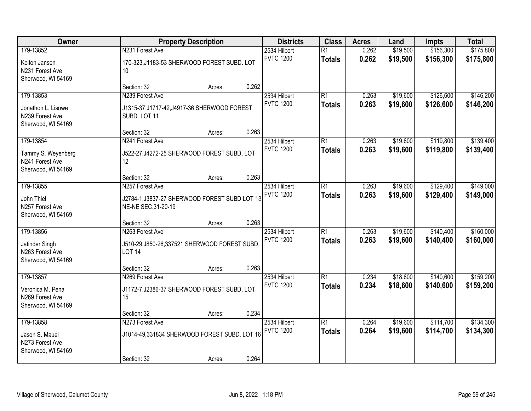| Owner                                                                    |                                                                                        | <b>Property Description</b> |       | <b>Districts</b>                 | <b>Class</b>                     | <b>Acres</b>   | Land                 | <b>Impts</b>           | <b>Total</b>           |
|--------------------------------------------------------------------------|----------------------------------------------------------------------------------------|-----------------------------|-------|----------------------------------|----------------------------------|----------------|----------------------|------------------------|------------------------|
| 179-13852<br>Kolton Jansen<br>N231 Forest Ave                            | N231 Forest Ave<br>170-323, J1183-53 SHERWOOD FOREST SUBD. LOT<br>10                   |                             |       | 2534 Hilbert<br><b>FVTC 1200</b> | $\overline{R1}$<br><b>Totals</b> | 0.262<br>0.262 | \$19,500<br>\$19,500 | \$156,300<br>\$156,300 | \$175,800<br>\$175,800 |
| Sherwood, WI 54169                                                       | Section: 32                                                                            | Acres:                      | 0.262 |                                  |                                  |                |                      |                        |                        |
| 179-13853<br>Jonathon L. Lisowe<br>N239 Forest Ave<br>Sherwood, WI 54169 | N239 Forest Ave<br>J1315-37, J1717-42, J4917-36 SHERWOOD FOREST<br>SUBD. LOT 11        |                             |       | 2534 Hilbert<br><b>FVTC 1200</b> | $\overline{R1}$<br><b>Totals</b> | 0.263<br>0.263 | \$19,600<br>\$19,600 | \$126,600<br>\$126,600 | \$146,200<br>\$146,200 |
| 179-13854                                                                | Section: 32<br>N241 Forest Ave                                                         | Acres:                      | 0.263 | 2534 Hilbert                     | $\overline{R1}$                  | 0.263          | \$19,600             | \$119,800              | \$139,400              |
| Tammy S. Weyenberg<br>N241 Forest Ave<br>Sherwood, WI 54169              | J522-27, J4272-25 SHERWOOD FOREST SUBD. LOT<br>12                                      |                             |       | <b>FVTC 1200</b>                 | <b>Totals</b>                    | 0.263          | \$19,600             | \$119,800              | \$139,400              |
|                                                                          | Section: 32                                                                            | Acres:                      | 0.263 |                                  |                                  |                |                      |                        |                        |
| 179-13855<br>John Thiel<br>N257 Forest Ave<br>Sherwood, WI 54169         | N257 Forest Ave<br>J2784-1, J3837-27 SHERWOOD FOREST SUBD LOT 13<br>NE-NE SEC.31-20-19 |                             |       | 2534 Hilbert<br><b>FVTC 1200</b> | $\overline{R1}$<br><b>Totals</b> | 0.263<br>0.263 | \$19,600<br>\$19,600 | \$129,400<br>\$129,400 | \$149,000<br>\$149,000 |
|                                                                          | Section: 32                                                                            | Acres:                      | 0.263 |                                  |                                  |                |                      |                        |                        |
| 179-13856<br>Jatinder Singh<br>N263 Forest Ave<br>Sherwood, WI 54169     | N263 Forest Ave<br>J510-29, J850-26, 337521 SHERWOOD FOREST SUBD.<br><b>LOT 14</b>     |                             |       | 2534 Hilbert<br><b>FVTC 1200</b> | $\overline{R1}$<br><b>Totals</b> | 0.263<br>0.263 | \$19,600<br>\$19,600 | \$140,400<br>\$140,400 | \$160,000<br>\$160,000 |
|                                                                          | Section: 32                                                                            | Acres:                      | 0.263 |                                  |                                  |                |                      |                        |                        |
| 179-13857<br>Veronica M. Pena<br>N269 Forest Ave<br>Sherwood, WI 54169   | N269 Forest Ave<br>J1172-7, J2386-37 SHERWOOD FOREST SUBD. LOT<br>15                   |                             |       | 2534 Hilbert<br><b>FVTC 1200</b> | $\overline{R1}$<br><b>Totals</b> | 0.234<br>0.234 | \$18,600<br>\$18,600 | \$140,600<br>\$140,600 | \$159,200<br>\$159,200 |
|                                                                          | Section: 32                                                                            | Acres:                      | 0.234 |                                  |                                  |                |                      |                        |                        |
| 179-13858<br>Jason S. Mauel<br>N273 Forest Ave<br>Sherwood, WI 54169     | N273 Forest Ave<br>J1014-49,331834 SHERWOOD FOREST SUBD. LOT 16<br>Section: 32         | Acres:                      | 0.264 | 2534 Hilbert<br><b>FVTC 1200</b> | $\overline{R1}$<br><b>Totals</b> | 0.264<br>0.264 | \$19,600<br>\$19,600 | \$114,700<br>\$114,700 | \$134,300<br>\$134,300 |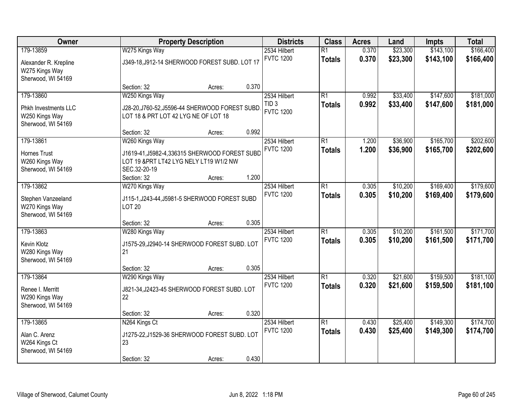| Owner                                                               | <b>Property Description</b>                                                                               |        | <b>Districts</b> | <b>Class</b>                     | <b>Acres</b>                     | Land           | <b>Impts</b>         | <b>Total</b>           |                        |
|---------------------------------------------------------------------|-----------------------------------------------------------------------------------------------------------|--------|------------------|----------------------------------|----------------------------------|----------------|----------------------|------------------------|------------------------|
| 179-13859                                                           | W275 Kings Way                                                                                            |        |                  | 2534 Hilbert                     | $\overline{R1}$                  | 0.370          | \$23,300             | \$143,100              | \$166,400              |
| Alexander R. Krepline<br>W275 Kings Way<br>Sherwood, WI 54169       | J349-18, J912-14 SHERWOOD FOREST SUBD. LOT 17                                                             |        |                  | <b>FVTC 1200</b>                 | <b>Totals</b>                    | 0.370          | \$23,300             | \$143,100              | \$166,400              |
|                                                                     | Section: 32                                                                                               | Acres: | 0.370            |                                  |                                  |                |                      |                        |                        |
| 179-13860                                                           | W250 Kings Way                                                                                            |        |                  | 2534 Hilbert<br>TID <sub>3</sub> | $\overline{R1}$<br><b>Totals</b> | 0.992<br>0.992 | \$33,400<br>\$33,400 | \$147,600<br>\$147,600 | \$181,000<br>\$181,000 |
| <b>Phkh Investments LLC</b><br>W250 Kings Way<br>Sherwood, WI 54169 | J28-20, J760-52, J5596-44 SHERWOOD FOREST SUBD.<br>LOT 18 & PRT LOT 42 LYG NE OF LOT 18                   |        |                  | <b>FVTC 1200</b>                 |                                  |                |                      |                        |                        |
|                                                                     | Section: 32                                                                                               | Acres: | 0.992            |                                  |                                  |                |                      |                        |                        |
| 179-13861                                                           | W260 Kings Way                                                                                            |        |                  | 2534 Hilbert                     | $\overline{R1}$                  | 1.200          | \$36,900             | \$165,700              | \$202,600              |
| <b>Hornes Trust</b><br>W260 Kings Way<br>Sherwood, WI 54169         | J1619-41, J5982-4, 336315 SHERWOOD FOREST SUBD<br>LOT 19 & PRT LT42 LYG NELY LT19 W1/2 NW<br>SEC.32-20-19 |        |                  | <b>FVTC 1200</b>                 | <b>Totals</b>                    | 1.200          | \$36,900             | \$165,700              | \$202,600              |
|                                                                     | Section: 32                                                                                               | Acres: | 1.200            |                                  |                                  |                |                      |                        |                        |
| 179-13862                                                           | W270 Kings Way                                                                                            |        |                  | 2534 Hilbert                     | $\overline{R1}$                  | 0.305          | \$10,200             | \$169,400              | \$179,600              |
| Stephen Vanzeeland<br>W270 Kings Way<br>Sherwood, WI 54169          | J115-1, J243-44, J5981-5 SHERWOOD FOREST SUBD<br><b>LOT 20</b>                                            |        |                  | <b>FVTC 1200</b>                 | <b>Totals</b>                    | 0.305          | \$10,200             | \$169,400              | \$179,600              |
|                                                                     | Section: 32                                                                                               | Acres: | 0.305            |                                  |                                  |                |                      |                        |                        |
| 179-13863                                                           | W280 Kings Way                                                                                            |        |                  | 2534 Hilbert                     | $\overline{R1}$                  | 0.305          | \$10,200             | \$161,500              | \$171,700              |
| Kevin Klotz<br>W280 Kings Way<br>Sherwood, WI 54169                 | J1575-29, J2940-14 SHERWOOD FOREST SUBD. LOT<br>21                                                        |        |                  | <b>FVTC 1200</b>                 | <b>Totals</b>                    | 0.305          | \$10,200             | \$161,500              | \$171,700              |
|                                                                     | Section: 32                                                                                               | Acres: | 0.305            |                                  |                                  |                |                      |                        |                        |
| 179-13864                                                           | W290 Kings Way                                                                                            |        |                  | 2534 Hilbert                     | $\overline{R1}$                  | 0.320          | \$21,600             | \$159,500              | \$181,100              |
| Renee I. Merritt<br>W290 Kings Way<br>Sherwood, WI 54169            | J821-34, J2423-45 SHERWOOD FOREST SUBD. LOT<br>22                                                         |        |                  | <b>FVTC 1200</b>                 | <b>Totals</b>                    | 0.320          | \$21,600             | \$159,500              | \$181,100              |
|                                                                     | Section: 32                                                                                               | Acres: | 0.320            |                                  |                                  |                |                      |                        |                        |
| 179-13865                                                           | N264 Kings Ct                                                                                             |        |                  | 2534 Hilbert                     | $\overline{R1}$                  | 0.430          | \$25,400             | \$149,300              | \$174,700              |
| Alan C. Arenz<br>W264 Kings Ct<br>Sherwood, WI 54169                | J1275-22, J1529-36 SHERWOOD FOREST SUBD. LOT<br>23                                                        |        |                  | <b>FVTC 1200</b>                 | <b>Totals</b>                    | 0.430          | \$25,400             | \$149,300              | \$174,700              |
|                                                                     | Section: 32                                                                                               | Acres: | 0.430            |                                  |                                  |                |                      |                        |                        |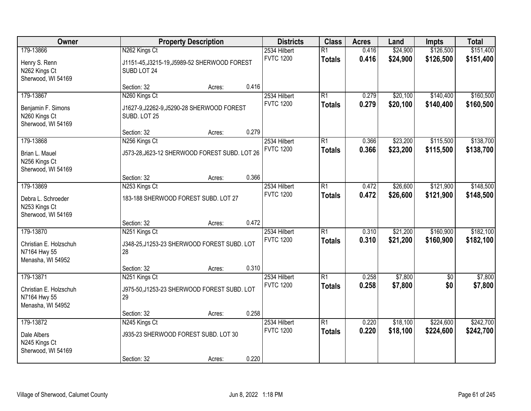| Owner                                                       |                                                                              | <b>Property Description</b> |       | <b>Districts</b>                 | <b>Class</b>                     | <b>Acres</b>   | Land                 | Impts                  | <b>Total</b>           |
|-------------------------------------------------------------|------------------------------------------------------------------------------|-----------------------------|-------|----------------------------------|----------------------------------|----------------|----------------------|------------------------|------------------------|
| 179-13866<br>Henry S. Renn<br>N262 Kings Ct                 | N262 Kings Ct<br>J1151-45, J3215-19, J5989-52 SHERWOOD FOREST<br>SUBD LOT 24 |                             |       | 2534 Hilbert<br><b>FVTC 1200</b> | $\overline{R1}$<br><b>Totals</b> | 0.416<br>0.416 | \$24,900<br>\$24,900 | \$126,500<br>\$126,500 | \$151,400<br>\$151,400 |
| Sherwood, WI 54169                                          | Section: 32                                                                  | Acres:                      | 0.416 |                                  |                                  |                |                      |                        |                        |
| 179-13867                                                   | N260 Kings Ct                                                                |                             |       | 2534 Hilbert                     | $\overline{R1}$                  | 0.279          | \$20,100             | \$140,400              | \$160,500              |
| Benjamin F. Simons<br>N260 Kings Ct<br>Sherwood, WI 54169   | J1627-9, J2262-9, J5290-28 SHERWOOD FOREST<br>SUBD. LOT 25                   |                             |       | <b>FVTC 1200</b>                 | <b>Totals</b>                    | 0.279          | \$20,100             | \$140,400              | \$160,500              |
|                                                             | Section: 32                                                                  | Acres:                      | 0.279 |                                  |                                  |                |                      |                        |                        |
| 179-13868                                                   | N256 Kings Ct                                                                |                             |       | 2534 Hilbert                     | $\overline{R1}$                  | 0.366          | \$23,200             | \$115,500              | \$138,700              |
| Brian L. Mauel<br>N256 Kings Ct<br>Sherwood, WI 54169       | J573-28, J623-12 SHERWOOD FOREST SUBD. LOT 26                                |                             |       | <b>FVTC 1200</b>                 | <b>Totals</b>                    | 0.366          | \$23,200             | \$115,500              | \$138,700              |
|                                                             | Section: 32                                                                  | Acres:                      | 0.366 |                                  |                                  |                |                      |                        |                        |
| 179-13869                                                   | N253 Kings Ct                                                                |                             |       | 2534 Hilbert                     | $\overline{R1}$                  | 0.472          | \$26,600             | \$121,900              | \$148,500              |
| Debra L. Schroeder<br>N253 Kings Ct<br>Sherwood, WI 54169   | 183-188 SHERWOOD FOREST SUBD. LOT 27                                         |                             |       | <b>FVTC 1200</b>                 | <b>Totals</b>                    | 0.472          | \$26,600             | \$121,900              | \$148,500              |
|                                                             | Section: 32                                                                  | Acres:                      | 0.472 |                                  |                                  |                |                      |                        |                        |
| 179-13870                                                   | N251 Kings Ct                                                                |                             |       | 2534 Hilbert                     | $\overline{R1}$                  | 0.310          | \$21,200             | \$160,900              | \$182,100              |
| Christian E. Holzschuh<br>N7164 Hwy 55<br>Menasha, WI 54952 | J348-25, J1253-23 SHERWOOD FOREST SUBD. LOT<br>28                            |                             |       | <b>FVTC 1200</b>                 | <b>Totals</b>                    | 0.310          | \$21,200             | \$160,900              | \$182,100              |
|                                                             | Section: 32                                                                  | Acres:                      | 0.310 |                                  |                                  |                |                      |                        |                        |
| 179-13871                                                   | N251 Kings Ct                                                                |                             |       | 2534 Hilbert                     | $\overline{R1}$                  | 0.258          | \$7,800              | $\sqrt{6}$             | \$7,800                |
| Christian E. Holzschuh<br>N7164 Hwy 55<br>Menasha, WI 54952 | J975-50, J1253-23 SHERWOOD FOREST SUBD. LOT<br>29                            |                             |       | <b>FVTC 1200</b>                 | <b>Totals</b>                    | 0.258          | \$7,800              | \$0                    | \$7,800                |
|                                                             | Section: 32                                                                  | Acres:                      | 0.258 |                                  |                                  |                |                      |                        |                        |
| 179-13872                                                   | N245 Kings Ct                                                                |                             |       | 2534 Hilbert                     | $\overline{R1}$                  | 0.220          | \$18,100             | \$224,600              | \$242,700              |
| Dale Albers<br>N245 Kings Ct<br>Sherwood, WI 54169          | J935-23 SHERWOOD FOREST SUBD. LOT 30                                         |                             |       | <b>FVTC 1200</b>                 | <b>Totals</b>                    | 0.220          | \$18,100             | \$224,600              | \$242,700              |
|                                                             | Section: 32                                                                  | Acres:                      | 0.220 |                                  |                                  |                |                      |                        |                        |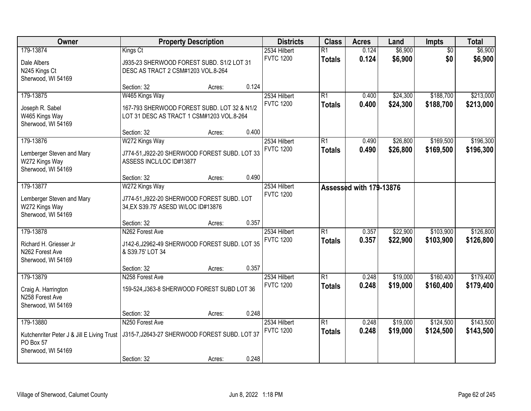| Owner                                                                                      |                                                                                                            | <b>Property Description</b> |       | <b>Districts</b>                 | <b>Class</b>                     | <b>Acres</b>            | Land                 | <b>Impts</b>           | <b>Total</b>           |
|--------------------------------------------------------------------------------------------|------------------------------------------------------------------------------------------------------------|-----------------------------|-------|----------------------------------|----------------------------------|-------------------------|----------------------|------------------------|------------------------|
| 179-13874<br>Dale Albers<br>N245 Kings Ct<br>Sherwood, WI 54169                            | Kings Ct<br>J935-23 SHERWOOD FOREST SUBD. S1/2 LOT 31<br>DESC AS TRACT 2 CSM#1203 VOL.8-264                |                             |       | 2534 Hilbert<br><b>FVTC 1200</b> | $\overline{R1}$<br><b>Totals</b> | 0.124<br>0.124          | \$6,900<br>\$6,900   | $\overline{50}$<br>\$0 | \$6,900<br>\$6,900     |
|                                                                                            | Section: 32                                                                                                | Acres:                      | 0.124 |                                  |                                  |                         |                      |                        |                        |
| 179-13875<br>Joseph R. Sabel<br>W465 Kings Way<br>Sherwood, WI 54169                       | W465 Kings Way<br>167-793 SHERWOOD FOREST SUBD. LOT 32 & N1/2<br>LOT 31 DESC AS TRACT 1 CSM#1203 VOL.8-264 |                             |       | 2534 Hilbert<br><b>FVTC 1200</b> | R1<br>Totals                     | 0.400<br>0.400          | \$24,300<br>\$24,300 | \$188,700<br>\$188,700 | \$213,000<br>\$213,000 |
|                                                                                            | Section: 32                                                                                                | Acres:                      | 0.400 |                                  |                                  |                         |                      |                        |                        |
| 179-13876<br>Lemberger Steven and Mary<br>W272 Kings Way<br>Sherwood, WI 54169             | W272 Kings Way<br>J774-51, J922-20 SHERWOOD FOREST SUBD. LOT 33<br>ASSESS INCL/LOC ID#13877                |                             |       | 2534 Hilbert<br><b>FVTC 1200</b> | $\overline{R1}$<br><b>Totals</b> | 0.490<br>0.490          | \$26,800<br>\$26,800 | \$169,500<br>\$169,500 | \$196,300<br>\$196,300 |
|                                                                                            | Section: 32                                                                                                | Acres:                      | 0.490 |                                  |                                  |                         |                      |                        |                        |
| 179-13877<br>Lemberger Steven and Mary<br>W272 Kings Way<br>Sherwood, WI 54169             | W272 Kings Way<br>J774-51, J922-20 SHERWOOD FOREST SUBD. LOT<br>34, EX S39.75' ASESD W/LOC ID#13876        |                             |       | 2534 Hilbert<br><b>FVTC 1200</b> |                                  | Assessed with 179-13876 |                      |                        |                        |
|                                                                                            | Section: 32                                                                                                | Acres:                      | 0.357 |                                  |                                  |                         |                      |                        |                        |
| 179-13878<br>Richard H. Griesser Jr<br>N262 Forest Ave<br>Sherwood, WI 54169               | N262 Forest Ave<br>J142-6, J2962-49 SHERWOOD FOREST SUBD. LOT 35<br>& S39.75' LOT 34                       |                             |       | 2534 Hilbert<br><b>FVTC 1200</b> | $\overline{R1}$<br><b>Totals</b> | 0.357<br>0.357          | \$22,900<br>\$22,900 | \$103,900<br>\$103,900 | \$126,800<br>\$126,800 |
|                                                                                            | Section: 32                                                                                                | Acres:                      | 0.357 |                                  |                                  |                         |                      |                        |                        |
| 179-13879<br>Craig A. Harrington<br>N258 Forest Ave<br>Sherwood, WI 54169                  | N258 Forest Ave<br>159-524, J363-8 SHERWOOD FOREST SUBD LOT 36                                             |                             |       | 2534 Hilbert<br><b>FVTC 1200</b> | R1<br><b>Totals</b>              | 0.248<br>0.248          | \$19,000<br>\$19,000 | \$160,400<br>\$160,400 | \$179,400<br>\$179,400 |
|                                                                                            | Section: 32                                                                                                | Acres:                      | 0.248 |                                  |                                  |                         |                      |                        |                        |
| 179-13880<br>Kutchenriter Peter J & Jill E Living Trust<br>PO Box 57<br>Sherwood, WI 54169 | N250 Forest Ave<br>J315-7, J2643-27 SHERWOOD FOREST SUBD. LOT 37<br>Section: 32                            | Acres:                      | 0.248 | 2534 Hilbert<br><b>FVTC 1200</b> | $\overline{R1}$<br><b>Totals</b> | 0.248<br>0.248          | \$19,000<br>\$19,000 | \$124,500<br>\$124,500 | \$143,500<br>\$143,500 |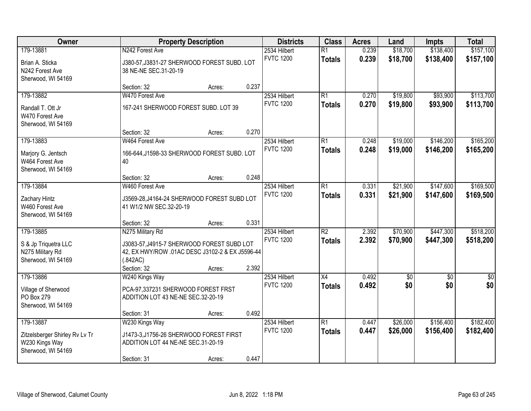| Owner                                                                               |                                                                                                           | <b>Property Description</b> |       | <b>Districts</b>                 | <b>Class</b>                     | <b>Acres</b>   | Land                 | <b>Impts</b>           | <b>Total</b>           |
|-------------------------------------------------------------------------------------|-----------------------------------------------------------------------------------------------------------|-----------------------------|-------|----------------------------------|----------------------------------|----------------|----------------------|------------------------|------------------------|
| 179-13881                                                                           | N242 Forest Ave                                                                                           |                             |       | 2534 Hilbert<br><b>FVTC 1200</b> | $\overline{R1}$<br><b>Totals</b> | 0.239<br>0.239 | \$18,700<br>\$18,700 | \$138,400<br>\$138,400 | \$157,100<br>\$157,100 |
| Brian A. Sticka<br>N242 Forest Ave<br>Sherwood, WI 54169                            | J380-57, J3831-27 SHERWOOD FOREST SUBD. LOT<br>38 NE-NE SEC.31-20-19                                      |                             |       |                                  |                                  |                |                      |                        |                        |
|                                                                                     | Section: 32                                                                                               | Acres:                      | 0.237 |                                  |                                  |                |                      |                        |                        |
| 179-13882                                                                           | W470 Forest Ave                                                                                           |                             |       | 2534 Hilbert                     | $\overline{R1}$                  | 0.270          | \$19,800             | \$93,900               | \$113,700              |
| Randall T. Ott Jr<br>W470 Forest Ave<br>Sherwood, WI 54169                          | 167-241 SHERWOOD FOREST SUBD. LOT 39                                                                      |                             |       | <b>FVTC 1200</b>                 | <b>Totals</b>                    | 0.270          | \$19,800             | \$93,900               | \$113,700              |
|                                                                                     | Section: 32                                                                                               | Acres:                      | 0.270 |                                  |                                  |                |                      |                        |                        |
| 179-13883                                                                           | W464 Forest Ave                                                                                           |                             |       | 2534 Hilbert                     | $\overline{R1}$                  | 0.248          | \$19,000             | \$146,200              | \$165,200              |
| Marjory G. Jentsch<br>W464 Forest Ave<br>Sherwood, WI 54169                         | 166-644, J1598-33 SHERWOOD FOREST SUBD. LOT<br>40                                                         |                             |       | <b>FVTC 1200</b>                 | <b>Totals</b>                    | 0.248          | \$19,000             | \$146,200              | \$165,200              |
|                                                                                     | Section: 32                                                                                               | Acres:                      | 0.248 |                                  |                                  |                |                      |                        |                        |
| 179-13884                                                                           | W460 Forest Ave                                                                                           |                             |       | 2534 Hilbert                     | $\overline{R1}$                  | 0.331          | \$21,900             | \$147,600              | \$169,500              |
| Zachary Hintz<br>W460 Forest Ave<br>Sherwood, WI 54169                              | J3569-28, J4164-24 SHERWOOD FOREST SUBD LOT<br>41 W1/2 NW SEC.32-20-19                                    |                             |       | <b>FVTC 1200</b>                 | <b>Totals</b>                    | 0.331          | \$21,900             | \$147,600              | \$169,500              |
|                                                                                     | Section: 32                                                                                               | Acres:                      | 0.331 |                                  |                                  |                |                      |                        |                        |
| 179-13885                                                                           | N275 Military Rd                                                                                          |                             |       | 2534 Hilbert                     | $\overline{R2}$                  | 2.392          | \$70,900             | \$447,300              | \$518,200              |
| S & Jp Triquetra LLC<br>N275 Military Rd<br>Sherwood, WI 54169                      | J3083-57, J4915-7 SHERWOOD FOREST SUBD LOT<br>42, EX HWY/ROW .01AC DESC J3102-2 & EX J5596-44<br>(.842AC) |                             |       | <b>FVTC 1200</b>                 | <b>Totals</b>                    | 2.392          | \$70,900             | \$447,300              | \$518,200              |
|                                                                                     | Section: 32                                                                                               | Acres:                      | 2.392 |                                  |                                  |                |                      |                        |                        |
| 179-13886                                                                           | W240 Kings Way                                                                                            |                             |       | 2534 Hilbert                     | $\overline{X4}$                  | 0.492          | $\overline{50}$      | $\overline{50}$        | $\overline{\$0}$       |
| Village of Sherwood<br>PO Box 279<br>Sherwood, WI 54169                             | PCA-97,337231 SHERWOOD FOREST FRST<br>ADDITION LOT 43 NE-NE SEC.32-20-19                                  |                             |       | <b>FVTC 1200</b>                 | <b>Totals</b>                    | 0.492          | \$0                  | \$0                    | \$0                    |
|                                                                                     | Section: 31                                                                                               | Acres:                      | 0.492 |                                  |                                  |                |                      |                        |                        |
| 179-13887<br>Zitzelsberger Shirley Rv Lv Tr<br>W230 Kings Way<br>Sherwood, WI 54169 | W230 Kings Way<br>J1473-3, J1756-26 SHERWOOD FOREST FIRST<br>ADDITION LOT 44 NE-NE SEC.31-20-19           |                             |       | 2534 Hilbert<br><b>FVTC 1200</b> | $\overline{R1}$<br><b>Totals</b> | 0.447<br>0.447 | \$26,000<br>\$26,000 | \$156,400<br>\$156,400 | \$182,400<br>\$182,400 |
|                                                                                     | Section: 31                                                                                               | Acres:                      | 0.447 |                                  |                                  |                |                      |                        |                        |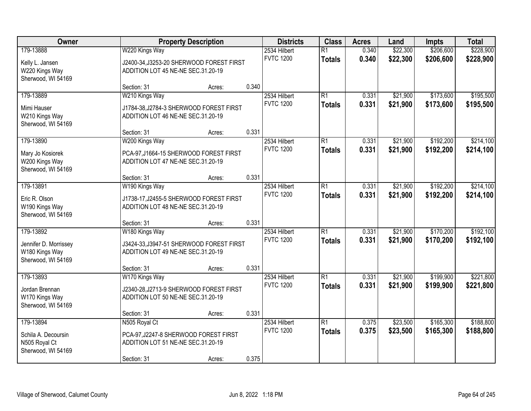| Owner                                                               |                                                                                                 | <b>Property Description</b> |       | <b>Districts</b>                 | <b>Class</b>                     | <b>Acres</b>   | Land                 | <b>Impts</b>           | <b>Total</b>           |
|---------------------------------------------------------------------|-------------------------------------------------------------------------------------------------|-----------------------------|-------|----------------------------------|----------------------------------|----------------|----------------------|------------------------|------------------------|
| 179-13888                                                           | W220 Kings Way                                                                                  |                             |       | 2534 Hilbert<br><b>FVTC 1200</b> | $\overline{R1}$<br><b>Totals</b> | 0.340<br>0.340 | \$22,300<br>\$22,300 | \$206,600<br>\$206,600 | \$228,900<br>\$228,900 |
| Kelly L. Jansen<br>W220 Kings Way<br>Sherwood, WI 54169             | J2400-34, J3253-20 SHERWOOD FOREST FIRST<br>ADDITION LOT 45 NE-NE SEC.31.20-19                  |                             |       |                                  |                                  |                |                      |                        |                        |
|                                                                     | Section: 31                                                                                     | Acres:                      | 0.340 |                                  |                                  |                |                      |                        |                        |
| 179-13889                                                           | W210 Kings Way                                                                                  |                             |       | 2534 Hilbert                     | $\overline{R1}$                  | 0.331          | \$21,900             | \$173,600              | \$195,500              |
| Mimi Hauser<br>W210 Kings Way<br>Sherwood, WI 54169                 | J1784-38, J2784-3 SHERWOOD FOREST FIRST<br>ADDITION LOT 46 NE-NE SEC.31.20-19                   |                             |       | <b>FVTC 1200</b>                 | <b>Totals</b>                    | 0.331          | \$21,900             | \$173,600              | \$195,500              |
|                                                                     | Section: 31                                                                                     | Acres:                      | 0.331 |                                  |                                  |                |                      |                        |                        |
| 179-13890                                                           | W200 Kings Way                                                                                  |                             |       | 2534 Hilbert                     | $\overline{R1}$                  | 0.331          | \$21,900             | \$192,200              | \$214,100              |
| Mary Jo Kosiorek<br>W200 Kings Way<br>Sherwood, WI 54169            | PCA-97, J1664-15 SHERWOOD FOREST FIRST<br>ADDITION LOT 47 NE-NE SEC.31.20-19                    |                             |       | <b>FVTC 1200</b>                 | <b>Totals</b>                    | 0.331          | \$21,900             | \$192,200              | \$214,100              |
|                                                                     | Section: 31                                                                                     | Acres:                      | 0.331 |                                  |                                  |                |                      |                        |                        |
| 179-13891                                                           | W190 Kings Way                                                                                  |                             |       | 2534 Hilbert                     | $\overline{R1}$                  | 0.331          | \$21,900             | \$192,200              | \$214,100              |
| Eric R. Olson<br>W190 Kings Way<br>Sherwood, WI 54169               | J1738-17, J2455-5 SHERWOOD FOREST FIRST<br>ADDITION LOT 48 NE-NE SEC.31.20-19                   |                             |       | <b>FVTC 1200</b>                 | <b>Totals</b>                    | 0.331          | \$21,900             | \$192,200              | \$214,100              |
|                                                                     | Section: 31                                                                                     | Acres:                      | 0.331 |                                  |                                  |                |                      |                        |                        |
| 179-13892                                                           | W180 Kings Way                                                                                  |                             |       | 2534 Hilbert                     | $\overline{R1}$                  | 0.331          | \$21,900             | \$170,200              | \$192,100              |
| Jennifer D. Morrissey<br>W180 Kings Way<br>Sherwood, WI 54169       | J3424-33, J3947-51 SHERWOOD FOREST FIRST<br>ADDITION LOT 49 NE-NE SEC.31.20-19                  |                             |       | <b>FVTC 1200</b>                 | <b>Totals</b>                    | 0.331          | \$21,900             | \$170,200              | \$192,100              |
|                                                                     | Section: 31                                                                                     | Acres:                      | 0.331 |                                  |                                  |                |                      |                        |                        |
| 179-13893<br>Jordan Brennan<br>W170 Kings Way<br>Sherwood, WI 54169 | W170 Kings Way<br>J2340-28, J2713-9 SHERWOOD FOREST FIRST<br>ADDITION LOT 50 NE-NE SEC.31.20-19 |                             |       | 2534 Hilbert<br><b>FVTC 1200</b> | R1<br><b>Totals</b>              | 0.331<br>0.331 | \$21,900<br>\$21,900 | \$199,900<br>\$199,900 | \$221,800<br>\$221,800 |
|                                                                     | Section: 31                                                                                     | Acres:                      | 0.331 |                                  |                                  |                |                      |                        |                        |
| 179-13894                                                           | N505 Royal Ct                                                                                   |                             |       | 2534 Hilbert                     | R1                               | 0.375          | \$23,500             | \$165,300              | \$188,800              |
| Schila A. Decoursin<br>N505 Royal Ct<br>Sherwood, WI 54169          | PCA-97, J2247-8 SHERWOOD FOREST FIRST<br>ADDITION LOT 51 NE-NE SEC.31.20-19                     |                             |       | <b>FVTC 1200</b>                 | <b>Totals</b>                    | 0.375          | \$23,500             | \$165,300              | \$188,800              |
|                                                                     | Section: 31                                                                                     | Acres:                      | 0.375 |                                  |                                  |                |                      |                        |                        |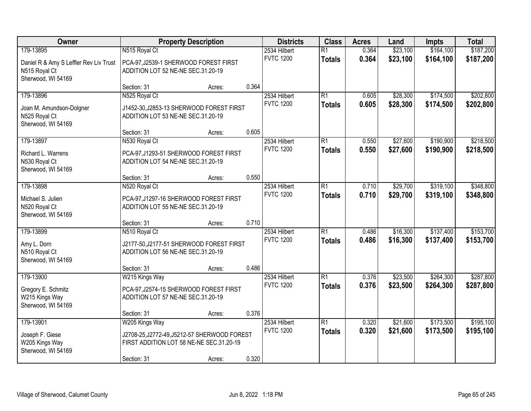| Owner                                                                         |                                                                                                                           | <b>Property Description</b> |       | <b>Districts</b>                 | <b>Class</b>                     | <b>Acres</b>   | Land                 | <b>Impts</b>           | <b>Total</b>           |
|-------------------------------------------------------------------------------|---------------------------------------------------------------------------------------------------------------------------|-----------------------------|-------|----------------------------------|----------------------------------|----------------|----------------------|------------------------|------------------------|
| 179-13895                                                                     | N515 Royal Ct                                                                                                             |                             |       | 2534 Hilbert                     | $\overline{R1}$                  | 0.364          | \$23,100             | \$164,100              | \$187,200              |
| Daniel R & Amy S Leffler Rev Liv Trust<br>N515 Royal Ct<br>Sherwood, WI 54169 | PCA-97, J2539-1 SHERWOOD FOREST FIRST<br>ADDITION LOT 52 NE-NE SEC.31.20-19                                               |                             |       | <b>FVTC 1200</b>                 | <b>Totals</b>                    | 0.364          | \$23,100             | \$164,100              | \$187,200              |
|                                                                               | Section: 31                                                                                                               | Acres:                      | 0.364 |                                  |                                  |                |                      |                        |                        |
| 179-13896<br>Joan M. Amundson-Dolgner<br>N525 Royal Ct<br>Sherwood, WI 54169  | N525 Royal Ct<br>J1452-30, J2853-13 SHERWOOD FOREST FIRST<br>ADDITION LOT 53 NE-NE SEC.31.20-19                           |                             |       | 2534 Hilbert<br><b>FVTC 1200</b> | R1<br><b>Totals</b>              | 0.605<br>0.605 | \$28,300<br>\$28,300 | \$174,500<br>\$174,500 | \$202,800<br>\$202,800 |
|                                                                               | Section: 31                                                                                                               | Acres:                      | 0.605 |                                  |                                  |                |                      |                        |                        |
| 179-13897<br>Richard L. Warrens<br>N530 Royal Ct<br>Sherwood, WI 54169        | N530 Royal Ct<br>PCA-97, J1293-51 SHERWOOD FOREST FIRST<br>ADDITION LOT 54 NE-NE SEC.31.20-19                             |                             |       | 2534 Hilbert<br><b>FVTC 1200</b> | R1<br><b>Totals</b>              | 0.550<br>0.550 | \$27,600<br>\$27,600 | \$190,900<br>\$190,900 | \$218,500<br>\$218,500 |
|                                                                               | Section: 31                                                                                                               | Acres:                      | 0.550 |                                  |                                  |                |                      |                        |                        |
| 179-13898<br>Michael S. Julien<br>N520 Royal Ct                               | N520 Royal Ct<br>PCA-97, J1297-16 SHERWOOD FOREST FIRST<br>ADDITION LOT 55 NE-NE SEC.31.20-19                             |                             |       | 2534 Hilbert<br><b>FVTC 1200</b> | R1<br><b>Totals</b>              | 0.710<br>0.710 | \$29,700<br>\$29,700 | \$319,100<br>\$319,100 | \$348,800<br>\$348,800 |
| Sherwood, WI 54169                                                            | Section: 31                                                                                                               | Acres:                      | 0.710 |                                  |                                  |                |                      |                        |                        |
| 179-13899<br>Amy L. Dorn<br>N510 Royal Ct<br>Sherwood, WI 54169               | N510 Royal Ct<br>J2177-50, J2177-51 SHERWOOD FOREST FIRST<br>ADDITION LOT 56 NE-NE SEC.31.20-19                           |                             |       | 2534 Hilbert<br><b>FVTC 1200</b> | $\overline{R1}$<br><b>Totals</b> | 0.486<br>0.486 | \$16,300<br>\$16,300 | \$137,400<br>\$137,400 | \$153,700<br>\$153,700 |
|                                                                               | Section: 31                                                                                                               | Acres:                      | 0.486 |                                  |                                  |                |                      |                        |                        |
| 179-13900<br>Gregory E. Schmitz<br>W215 Kings Way<br>Sherwood, WI 54169       | W215 Kings Way<br>PCA-97, J2574-15 SHERWOOD FOREST FIRST<br>ADDITION LOT 57 NE-NE SEC.31.20-19                            |                             |       | 2534 Hilbert<br><b>FVTC 1200</b> | $\overline{R1}$<br><b>Totals</b> | 0.376<br>0.376 | \$23,500<br>\$23,500 | \$264,300<br>\$264,300 | \$287,800<br>\$287,800 |
|                                                                               | Section: 31                                                                                                               | Acres:                      | 0.376 |                                  |                                  |                |                      |                        |                        |
| 179-13901<br>Joseph F. Giese<br>W205 Kings Way<br>Sherwood, WI 54169          | W205 Kings Way<br>J2708-25, J2772-49, J5212-57 SHERWOOD FOREST<br>FIRST ADDITION LOT 58 NE-NE SEC.31.20-19<br>Section: 31 | Acres:                      | 0.320 | 2534 Hilbert<br><b>FVTC 1200</b> | R1<br><b>Totals</b>              | 0.320<br>0.320 | \$21,600<br>\$21,600 | \$173,500<br>\$173,500 | \$195,100<br>\$195,100 |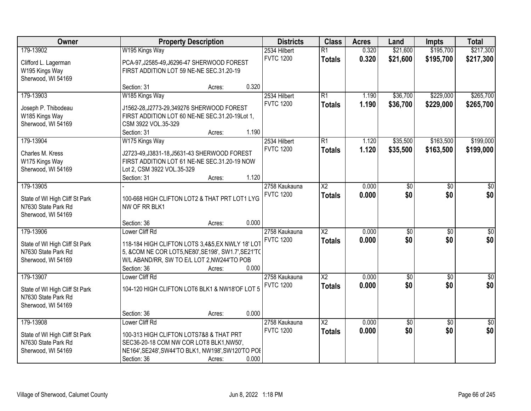| Owner                          |                                                     | <b>Property Description</b> |       | <b>Districts</b>                  | <b>Class</b>           | <b>Acres</b>   | Land               | <b>Impts</b>           | <b>Total</b>           |
|--------------------------------|-----------------------------------------------------|-----------------------------|-------|-----------------------------------|------------------------|----------------|--------------------|------------------------|------------------------|
| 179-13902                      | W195 Kings Way                                      |                             |       | 2534 Hilbert                      | $\overline{R1}$        | 0.320          | \$21,600           | \$195,700              | \$217,300              |
| Clifford L. Lagerman           | PCA-97, J2585-49, J6296-47 SHERWOOD FOREST          |                             |       | <b>FVTC 1200</b>                  | <b>Totals</b>          | 0.320          | \$21,600           | \$195,700              | \$217,300              |
| W195 Kings Way                 | FIRST ADDITION LOT 59 NE-NE SEC.31.20-19            |                             |       |                                   |                        |                |                    |                        |                        |
| Sherwood, WI 54169             |                                                     |                             |       |                                   |                        |                |                    |                        |                        |
|                                | Section: 31                                         | Acres:                      | 0.320 |                                   |                        |                |                    |                        |                        |
| 179-13903                      | W185 Kings Way                                      |                             |       | 2534 Hilbert                      | $\overline{R1}$        | 1.190          | \$36,700           | \$229,000              | \$265,700              |
| Joseph P. Thibodeau            | J1562-28, J2773-29, 349276 SHERWOOD FOREST          |                             |       | <b>FVTC 1200</b>                  | <b>Totals</b>          | 1.190          | \$36,700           | \$229,000              | \$265,700              |
| W185 Kings Way                 | FIRST ADDITION LOT 60 NE-NE SEC.31.20-19Lot 1,      |                             |       |                                   |                        |                |                    |                        |                        |
| Sherwood, WI 54169             | CSM 3922 VOL.35-329                                 |                             |       |                                   |                        |                |                    |                        |                        |
|                                | Section: 31                                         | Acres:                      | 1.190 |                                   |                        |                |                    |                        |                        |
| 179-13904                      | W175 Kings Way                                      |                             |       | 2534 Hilbert                      | $\overline{R1}$        | 1.120          | \$35,500           | \$163,500              | \$199,000              |
| Charles M. Kress               | J2723-49, J3831-18, J5631-43 SHERWOOD FOREST        |                             |       | <b>FVTC 1200</b>                  | <b>Totals</b>          | 1.120          | \$35,500           | \$163,500              | \$199,000              |
| W175 Kings Way                 | FIRST ADDITION LOT 61 NE-NE SEC.31.20-19 NOW        |                             |       |                                   |                        |                |                    |                        |                        |
| Sherwood, WI 54169             | Lot 2, CSM 3922 VOL.35-329                          |                             |       |                                   |                        |                |                    |                        |                        |
|                                | Section: 31                                         | Acres:                      | 1.120 |                                   |                        |                |                    |                        |                        |
| 179-13905                      |                                                     |                             |       | 2758 Kaukauna                     | $\overline{\text{X2}}$ | 0.000          | \$0                | \$0                    | \$0                    |
| State of WI High Cliff St Park | 100-668 HIGH CLIFTON LOT2 & THAT PRT LOT1 LYG       |                             |       | <b>FVTC 1200</b>                  | <b>Totals</b>          | 0.000          | \$0                | \$0                    | \$0                    |
| N7630 State Park Rd            | NW OF RR BLK1                                       |                             |       |                                   |                        |                |                    |                        |                        |
| Sherwood, WI 54169             |                                                     |                             |       |                                   |                        |                |                    |                        |                        |
|                                | Section: 36                                         | Acres:                      | 0.000 |                                   |                        |                |                    |                        |                        |
| 179-13906                      | Lower Cliff Rd                                      |                             |       | 2758 Kaukauna                     | $\overline{\text{X2}}$ | 0.000          | $\overline{50}$    | $\overline{50}$        | $\overline{\$0}$       |
| State of WI High Cliff St Park | 118-184 HIGH CLIFTON LOTS 3,4&5, EX NWLY 18' LOT    |                             |       | <b>FVTC 1200</b>                  | <b>Totals</b>          | 0.000          | \$0                | \$0                    | \$0                    |
| N7630 State Park Rd            | 5, &COM NE COR LOT5, NE80', SE198', SW1.7', SE21'TO |                             |       |                                   |                        |                |                    |                        |                        |
| Sherwood, WI 54169             | W/L ABAND/RR, SW TO E/L LOT 2, NW244'TO POB         |                             |       |                                   |                        |                |                    |                        |                        |
|                                | Section: 36                                         | Acres:                      | 0.000 |                                   |                        |                |                    |                        |                        |
| 179-13907                      | Lower Cliff Rd                                      |                             |       | 2758 Kaukauna<br><b>FVTC 1200</b> | $\overline{X2}$        | 0.000          | $\sqrt{30}$<br>\$0 | $\overline{50}$<br>\$0 | $\frac{1}{6}$<br>\$0   |
| State of WI High Cliff St Park | 104-120 HIGH CLIFTON LOT6 BLK1 & NW18'OF LOT 5      |                             |       |                                   | <b>Totals</b>          | 0.000          |                    |                        |                        |
| N7630 State Park Rd            |                                                     |                             |       |                                   |                        |                |                    |                        |                        |
| Sherwood, WI 54169             |                                                     |                             |       |                                   |                        |                |                    |                        |                        |
|                                | Section: 36                                         | Acres:                      | 0.000 |                                   |                        |                |                    |                        |                        |
| 179-13908                      | Lower Cliff Rd                                      |                             |       | 2758 Kaukauna<br><b>FVTC 1200</b> | $\overline{\text{X2}}$ | 0.000<br>0.000 | \$0<br>\$0         | $\overline{50}$<br>\$0 | $\overline{50}$<br>\$0 |
| State of WI High Cliff St Park | 100-313 HIGH CLIFTON LOTS7&8 & THAT PRT             |                             |       |                                   | <b>Totals</b>          |                |                    |                        |                        |
| N7630 State Park Rd            | SEC36-20-18 COM NW COR LOT8 BLK1, NW50',            |                             |       |                                   |                        |                |                    |                        |                        |
| Sherwood, WI 54169             | NE164', SE248', SW44'TO BLK1, NW198', SW120'TO POI  |                             |       |                                   |                        |                |                    |                        |                        |
|                                | Section: 36                                         | Acres:                      | 0.000 |                                   |                        |                |                    |                        |                        |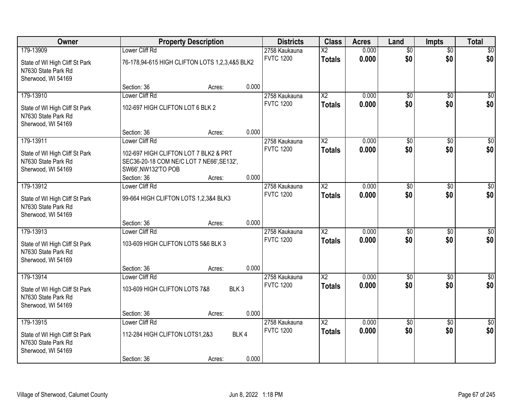| Owner                                                                       |                                                                                                                          | <b>Property Description</b> |       | <b>Districts</b> | <b>Class</b>           | <b>Acres</b> | Land            | <b>Impts</b>    | <b>Total</b>    |
|-----------------------------------------------------------------------------|--------------------------------------------------------------------------------------------------------------------------|-----------------------------|-------|------------------|------------------------|--------------|-----------------|-----------------|-----------------|
| 179-13909                                                                   | Lower Cliff Rd                                                                                                           |                             |       | 2758 Kaukauna    | $\overline{\text{X2}}$ | 0.000        | $\overline{50}$ | $\overline{60}$ | \$0             |
| State of WI High Cliff St Park<br>N7630 State Park Rd<br>Sherwood, WI 54169 | 76-178,94-615 HIGH CLIFTON LOTS 1,2,3,4&5 BLK2                                                                           |                             |       | <b>FVTC 1200</b> | <b>Totals</b>          | 0.000        | \$0             | \$0             | \$0             |
|                                                                             | Section: 36                                                                                                              | Acres:                      | 0.000 |                  |                        |              |                 |                 |                 |
| 179-13910                                                                   | Lower Cliff Rd                                                                                                           |                             |       | 2758 Kaukauna    | $\overline{\text{X2}}$ | 0.000        | \$0             | \$0             | \$0             |
| State of WI High Cliff St Park<br>N7630 State Park Rd<br>Sherwood, WI 54169 | 102-697 HIGH CLIFTON LOT 6 BLK 2                                                                                         |                             |       | <b>FVTC 1200</b> | <b>Totals</b>          | 0.000        | \$0             | \$0             | \$0             |
|                                                                             | Section: 36                                                                                                              | Acres:                      | 0.000 |                  |                        |              |                 |                 |                 |
| 179-13911                                                                   | Lower Cliff Rd                                                                                                           |                             |       | 2758 Kaukauna    | $\overline{X2}$        | 0.000        | $\overline{50}$ | \$0             | $\overline{50}$ |
| State of WI High Cliff St Park<br>N7630 State Park Rd<br>Sherwood, WI 54169 | 102-697 HIGH CLIFTON LOT 7 BLK2 & PRT<br>SEC36-20-18 COM NE/C LOT 7 NE66', SE132',<br>SW66', NW132'TO POB<br>Section: 36 |                             | 0.000 | <b>FVTC 1200</b> | <b>Totals</b>          | 0.000        | \$0             | \$0             | \$0             |
| 179-13912                                                                   | Lower Cliff Rd                                                                                                           | Acres:                      |       | 2758 Kaukauna    | X <sub>2</sub>         | 0.000        | \$0             | $\sqrt[6]{}$    | \$0             |
| State of WI High Cliff St Park<br>N7630 State Park Rd<br>Sherwood, WI 54169 | 99-664 HIGH CLIFTON LOTS 1,2,3&4 BLK3                                                                                    |                             |       | <b>FVTC 1200</b> | <b>Totals</b>          | 0.000        | \$0             | \$0             | \$0             |
|                                                                             | Section: 36                                                                                                              | Acres:                      | 0.000 |                  |                        |              |                 |                 |                 |
| 179-13913                                                                   | Lower Cliff Rd                                                                                                           |                             |       | 2758 Kaukauna    | $\overline{\text{X2}}$ | 0.000        | $\overline{50}$ | $\overline{30}$ | $\overline{50}$ |
| State of WI High Cliff St Park<br>N7630 State Park Rd<br>Sherwood, WI 54169 | 103-609 HIGH CLIFTON LOTS 5&6 BLK 3<br>Section: 36                                                                       | Acres:                      | 0.000 | <b>FVTC 1200</b> | <b>Totals</b>          | 0.000        | \$0             | \$0             | \$0             |
| 179-13914                                                                   | Lower Cliff Rd                                                                                                           |                             |       | 2758 Kaukauna    | $\overline{X2}$        | 0.000        | $\overline{50}$ | $\overline{50}$ | $\sqrt{30}$     |
| State of WI High Cliff St Park<br>N7630 State Park Rd<br>Sherwood, WI 54169 | 103-609 HIGH CLIFTON LOTS 7&8                                                                                            | BLK <sub>3</sub>            |       | <b>FVTC 1200</b> | <b>Totals</b>          | 0.000        | \$0             | \$0             | \$0             |
|                                                                             | Section: 36                                                                                                              | Acres:                      | 0.000 |                  |                        |              |                 |                 |                 |
| 179-13915                                                                   | Lower Cliff Rd                                                                                                           |                             |       | 2758 Kaukauna    | $\overline{\text{X2}}$ | 0.000        | $\overline{50}$ | $\overline{50}$ | $\overline{50}$ |
| State of WI High Cliff St Park<br>N7630 State Park Rd<br>Sherwood, WI 54169 | 112-284 HIGH CLIFTON LOTS1,2&3                                                                                           |                             | BLK4  | <b>FVTC 1200</b> | <b>Totals</b>          | 0.000        | \$0             | \$0             | \$0             |
|                                                                             | Section: 36                                                                                                              | Acres:                      | 0.000 |                  |                        |              |                 |                 |                 |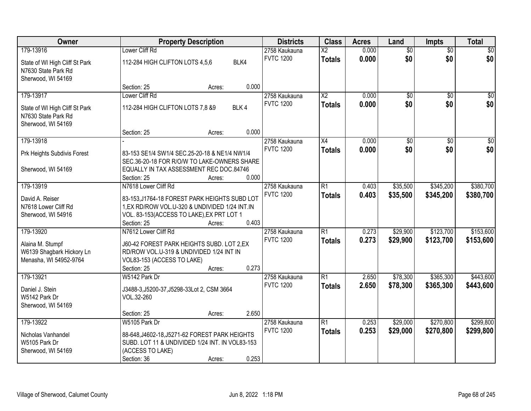| Owner                                                                       |                                                                                              | <b>Property Description</b> |       | <b>Districts</b> | <b>Class</b>           | <b>Acres</b> | Land            | <b>Impts</b>    | <b>Total</b>    |
|-----------------------------------------------------------------------------|----------------------------------------------------------------------------------------------|-----------------------------|-------|------------------|------------------------|--------------|-----------------|-----------------|-----------------|
| 179-13916                                                                   | Lower Cliff Rd                                                                               |                             |       | 2758 Kaukauna    | $\overline{\text{X2}}$ | 0.000        | $\overline{60}$ | $\overline{50}$ | \$0             |
| State of WI High Cliff St Park<br>N7630 State Park Rd<br>Sherwood, WI 54169 | 112-284 HIGH CLIFTON LOTS 4,5,6                                                              |                             | BLK4  | <b>FVTC 1200</b> | <b>Totals</b>          | 0.000        | \$0             | \$0             | \$0             |
|                                                                             | Section: 25                                                                                  | Acres:                      | 0.000 |                  |                        |              |                 |                 |                 |
| 179-13917                                                                   | Lower Cliff Rd                                                                               |                             |       | 2758 Kaukauna    | $\overline{\text{X2}}$ | 0.000        | $\overline{50}$ | $\overline{50}$ | \$0             |
| State of WI High Cliff St Park<br>N7630 State Park Rd<br>Sherwood, WI 54169 | 112-284 HIGH CLIFTON LOTS 7,8 &9                                                             |                             | BLK4  | <b>FVTC 1200</b> | <b>Totals</b>          | 0.000        | \$0             | \$0             | \$0             |
|                                                                             | Section: 25                                                                                  | Acres:                      | 0.000 |                  |                        |              |                 |                 |                 |
| 179-13918                                                                   |                                                                                              |                             |       | 2758 Kaukauna    | X4                     | 0.000        | $\overline{50}$ | \$0             | $\overline{50}$ |
| Prk Heights Subdivis Forest                                                 | 83-153 SE1/4 SW1/4 SEC.25-20-18 & NE1/4 NW1/4<br>SEC.36-20-18 FOR R/O/W TO LAKE-OWNERS SHARE |                             |       | <b>FVTC 1200</b> | <b>Totals</b>          | 0.000        | \$0             | \$0             | \$0             |
| Sherwood, WI 54169                                                          | EQUALLY IN TAX ASSESSMENT REC DOC.84746                                                      |                             |       |                  |                        |              |                 |                 |                 |
|                                                                             | Section: 25                                                                                  | Acres:                      | 0.000 |                  |                        |              |                 |                 |                 |
| 179-13919                                                                   | N7618 Lower Cliff Rd                                                                         |                             |       | 2758 Kaukauna    | R1                     | 0.403        | \$35,500        | \$345,200       | \$380,700       |
| David A. Reiser                                                             | 83-153, J1764-18 FOREST PARK HEIGHTS SUBD LOT                                                |                             |       | <b>FVTC 1200</b> | <b>Totals</b>          | 0.403        | \$35,500        | \$345,200       | \$380,700       |
| N7618 Lower Cliff Rd                                                        | 1,EX RD/ROW VOL.U-320 & UNDIVIDED 1/24 INT.IN                                                |                             |       |                  |                        |              |                 |                 |                 |
| Sherwood, WI 54916                                                          | VOL. 83-153(ACCESS TO LAKE), EX PRT LOT 1                                                    |                             |       |                  |                        |              |                 |                 |                 |
|                                                                             | Section: 25                                                                                  | Acres:                      | 0.403 |                  |                        |              |                 |                 |                 |
| 179-13920                                                                   | N7612 Lower Cliff Rd                                                                         |                             |       | 2758 Kaukauna    | $\overline{R1}$        | 0.273        | \$29,900        | \$123,700       | \$153,600       |
| Alaina M. Stumpf                                                            | J60-42 FOREST PARK HEIGHTS SUBD. LOT 2,EX                                                    |                             |       | <b>FVTC 1200</b> | <b>Totals</b>          | 0.273        | \$29,900        | \$123,700       | \$153,600       |
| W6139 Shagbark Hickory Ln                                                   | RD/ROW VOL.U-319 & UNDIVIDED 1/24 INT IN                                                     |                             |       |                  |                        |              |                 |                 |                 |
| Menasha, WI 54952-9764                                                      | VOL83-153 (ACCESS TO LAKE)                                                                   |                             |       |                  |                        |              |                 |                 |                 |
|                                                                             | Section: 25                                                                                  | Acres:                      | 0.273 |                  |                        |              |                 |                 |                 |
| 179-13921                                                                   | W5142 Park Dr                                                                                |                             |       | 2758 Kaukauna    | $\overline{R1}$        | 2.650        | \$78,300        | \$365,300       | \$443,600       |
| Daniel J. Stein                                                             | J3488-3, J5200-37, J5298-33Lot 2, CSM 3664                                                   |                             |       | <b>FVTC 1200</b> | <b>Totals</b>          | 2.650        | \$78,300        | \$365,300       | \$443,600       |
| W5142 Park Dr                                                               | VOL.32-260                                                                                   |                             |       |                  |                        |              |                 |                 |                 |
| Sherwood, WI 54169                                                          |                                                                                              |                             |       |                  |                        |              |                 |                 |                 |
|                                                                             | Section: 25                                                                                  | Acres:                      | 2.650 |                  |                        |              |                 |                 |                 |
| 179-13922                                                                   | W5105 Park Dr                                                                                |                             |       | 2758 Kaukauna    | $\overline{R1}$        | 0.253        | \$29,000        | \$270,800       | \$299,800       |
| Nicholas Vanhandel                                                          | 88-648, J4602-18, J5271-62 FOREST PARK HEIGHTS                                               |                             |       | <b>FVTC 1200</b> | <b>Totals</b>          | 0.253        | \$29,000        | \$270,800       | \$299,800       |
| W5105 Park Dr                                                               | SUBD. LOT 11 & UNDIVIDED 1/24 INT. IN VOL83-153                                              |                             |       |                  |                        |              |                 |                 |                 |
| Sherwood, WI 54169                                                          | (ACCESS TO LAKE)                                                                             |                             |       |                  |                        |              |                 |                 |                 |
|                                                                             | Section: 36                                                                                  | Acres:                      | 0.253 |                  |                        |              |                 |                 |                 |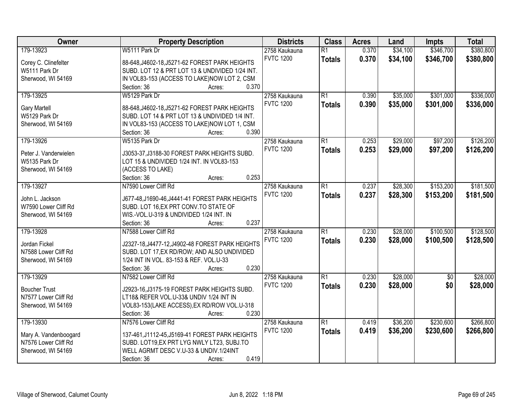| Owner                                   | <b>Property Description</b>                                                               | <b>Districts</b> | <b>Class</b>    | <b>Acres</b> | Land     | <b>Impts</b>    | <b>Total</b> |
|-----------------------------------------|-------------------------------------------------------------------------------------------|------------------|-----------------|--------------|----------|-----------------|--------------|
| 179-13923                               | W5111 Park Dr                                                                             | 2758 Kaukauna    | $\overline{R1}$ | 0.370        | \$34,100 | \$346,700       | \$380,800    |
| Corey C. Clinefelter                    | 88-648, J4602-18, J5271-62 FOREST PARK HEIGHTS                                            | <b>FVTC 1200</b> | <b>Totals</b>   | 0.370        | \$34,100 | \$346,700       | \$380,800    |
| W5111 Park Dr                           | SUBD. LOT 12 & PRT LOT 13 & UNDIVIDED 1/24 INT.                                           |                  |                 |              |          |                 |              |
| Sherwood, WI 54169                      | IN VOL83-153 (ACCESS TO LAKE)NOW LOT 2, CSM                                               |                  |                 |              |          |                 |              |
|                                         | 0.370<br>Section: 36<br>Acres:                                                            |                  |                 |              |          |                 |              |
| 179-13925                               | W5129 Park Dr                                                                             | 2758 Kaukauna    | $\overline{R1}$ | 0.390        | \$35,000 | \$301,000       | \$336,000    |
|                                         |                                                                                           | <b>FVTC 1200</b> | <b>Totals</b>   | 0.390        | \$35,000 | \$301,000       | \$336,000    |
| <b>Gary Martell</b>                     | 88-648, J4602-18, J5271-62 FOREST PARK HEIGHTS                                            |                  |                 |              |          |                 |              |
| W5129 Park Dr                           | SUBD. LOT 14 & PRT LOT 13 & UNDIVIDED 1/4 INT.                                            |                  |                 |              |          |                 |              |
| Sherwood, WI 54169                      | IN VOL83-153 (ACCESS TO LAKE)NOW LOT 1, CSM                                               |                  |                 |              |          |                 |              |
|                                         | 0.390<br>Section: 36<br>Acres:                                                            |                  |                 |              |          |                 |              |
| 179-13926                               | W5135 Park Dr                                                                             | 2758 Kaukauna    | R1              | 0.253        | \$29,000 | \$97,200        | \$126,200    |
| Peter J. Vanderwielen                   | J3053-37, J3188-30 FOREST PARK HEIGHTS SUBD.                                              | <b>FVTC 1200</b> | <b>Totals</b>   | 0.253        | \$29,000 | \$97,200        | \$126,200    |
| W5135 Park Dr                           | LOT 15 & UNDIVIDED 1/24 INT. IN VOL83-153                                                 |                  |                 |              |          |                 |              |
| Sherwood, WI 54169                      | (ACCESS TO LAKE)                                                                          |                  |                 |              |          |                 |              |
|                                         | 0.253<br>Section: 36<br>Acres:                                                            |                  |                 |              |          |                 |              |
| 179-13927                               | N7590 Lower Cliff Rd                                                                      | 2758 Kaukauna    | $\overline{R1}$ | 0.237        | \$28,300 | \$153,200       | \$181,500    |
|                                         |                                                                                           | <b>FVTC 1200</b> | <b>Totals</b>   | 0.237        | \$28,300 | \$153,200       | \$181,500    |
| John L. Jackson<br>W7590 Lower Cliff Rd | J677-48, J1690-46, J4441-41 FOREST PARK HEIGHTS<br>SUBD. LOT 16, EX PRT CONV. TO STATE OF |                  |                 |              |          |                 |              |
| Sherwood, WI 54169                      | WIS.-VOL.U-319 & UNDIVIDED 1/24 INT. IN                                                   |                  |                 |              |          |                 |              |
|                                         | 0.237<br>Section: 36<br>Acres:                                                            |                  |                 |              |          |                 |              |
| 179-13928                               | N7588 Lower Cliff Rd                                                                      | 2758 Kaukauna    | $\overline{R1}$ | 0.230        | \$28,000 | \$100,500       | \$128,500    |
|                                         |                                                                                           | <b>FVTC 1200</b> |                 | 0.230        | \$28,000 | \$100,500       | \$128,500    |
| Jordan Fickel                           | J2327-18, J4477-12, J4902-48 FOREST PARK HEIGHTS                                          |                  | <b>Totals</b>   |              |          |                 |              |
| N7588 Lower Cliff Rd                    | SUBD. LOT 17, EX RD/ROW; AND ALSO UNDIVIDED                                               |                  |                 |              |          |                 |              |
| Sherwood, WI 54169                      | 1/24 INT IN VOL. 83-153 & REF. VOL.U-33                                                   |                  |                 |              |          |                 |              |
|                                         | 0.230<br>Section: 36<br>Acres:                                                            |                  |                 |              |          |                 |              |
| 179-13929                               | N7582 Lower Cliff Rd                                                                      | 2758 Kaukauna    | $\overline{R1}$ | 0.230        | \$28,000 | $\overline{60}$ | \$28,000     |
| <b>Boucher Trust</b>                    | J2923-16, J3175-19 FOREST PARK HEIGHTS SUBD.                                              | <b>FVTC 1200</b> | <b>Totals</b>   | 0.230        | \$28,000 | \$0             | \$28,000     |
| N7577 Lower Cliff Rd                    | LT18& REFER VOL.U-33& UNDIV 1/24 INT IN                                                   |                  |                 |              |          |                 |              |
| Sherwood, WI 54169                      | VOL83-153(LAKE ACCESS), EX RD/ROW VOL.U-318                                               |                  |                 |              |          |                 |              |
|                                         | Section: 36<br>0.230<br>Acres:                                                            |                  |                 |              |          |                 |              |
| 179-13930                               | N7576 Lower Cliff Rd                                                                      | 2758 Kaukauna    | $\overline{R1}$ | 0.419        | \$36,200 | \$230,600       | \$266,800    |
|                                         |                                                                                           | <b>FVTC 1200</b> | <b>Totals</b>   | 0.419        | \$36,200 | \$230,600       | \$266,800    |
| Mary A. Vandenboogard                   | 137-461, J1112-45, J5169-41 FOREST PARK HEIGHTS                                           |                  |                 |              |          |                 |              |
| N7576 Lower Cliff Rd                    | SUBD. LOT19, EX PRT LYG NWLY LT23, SUBJ.TO                                                |                  |                 |              |          |                 |              |
| Sherwood, WI 54169                      | WELL AGRMT DESC V.U-33 & UNDIV.1/24INT                                                    |                  |                 |              |          |                 |              |
|                                         | 0.419<br>Section: 36<br>Acres:                                                            |                  |                 |              |          |                 |              |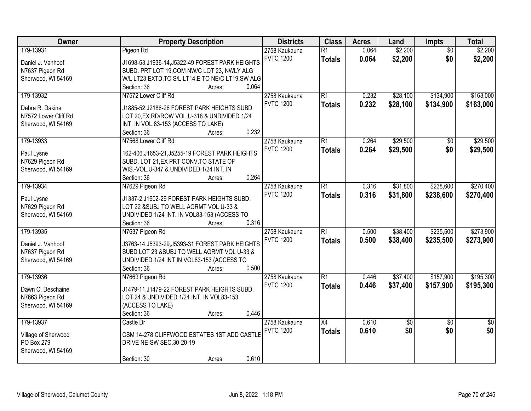| Owner                | <b>Property Description</b>                      | <b>Districts</b> | <b>Class</b>    | <b>Acres</b> | Land        | Impts           | <b>Total</b>    |
|----------------------|--------------------------------------------------|------------------|-----------------|--------------|-------------|-----------------|-----------------|
| 179-13931            | Pigeon Rd                                        | 2758 Kaukauna    | $\overline{R1}$ | 0.064        | \$2,200     | $\overline{50}$ | \$2,200         |
| Daniel J. Vanhoof    | J1698-53, J1936-14, J5322-49 FOREST PARK HEIGHTS | <b>FVTC 1200</b> | <b>Totals</b>   | 0.064        | \$2,200     | \$0             | \$2,200         |
| N7637 Pigeon Rd      | SUBD. PRT LOT 19, COM NW/C LOT 23, NWLY ALG      |                  |                 |              |             |                 |                 |
| Sherwood, WI 54169   | W/L LT23 EXTD.TO S/L LT14,E TO NE/C LT19,SW ALG  |                  |                 |              |             |                 |                 |
|                      | 0.064<br>Section: 36<br>Acres:                   |                  |                 |              |             |                 |                 |
| 179-13932            | N7572 Lower Cliff Rd                             | 2758 Kaukauna    | $\overline{R1}$ | 0.232        | \$28,100    | \$134,900       | \$163,000       |
|                      |                                                  | <b>FVTC 1200</b> | <b>Totals</b>   | 0.232        | \$28,100    | \$134,900       | \$163,000       |
| Debra R. Dakins      | J1885-52, J2186-26 FOREST PARK HEIGHTS SUBD      |                  |                 |              |             |                 |                 |
| N7572 Lower Cliff Rd | LOT 20, EX RD/ROW VOL.U-318 & UNDIVIDED 1/24     |                  |                 |              |             |                 |                 |
| Sherwood, WI 54169   | INT. IN VOL.83-153 (ACCESS TO LAKE)              |                  |                 |              |             |                 |                 |
|                      | 0.232<br>Section: 36<br>Acres:                   |                  |                 |              |             |                 |                 |
| 179-13933            | N7568 Lower Cliff Rd                             | 2758 Kaukauna    | R1              | 0.264        | \$29,500    | \$0             | \$29,500        |
| Paul Lysne           | 162-406, J1653-21, J5255-19 FOREST PARK HEIGHTS  | <b>FVTC 1200</b> | <b>Totals</b>   | 0.264        | \$29,500    | \$0             | \$29,500        |
| N7629 Pigeon Rd      | SUBD. LOT 21, EX PRT CONV. TO STATE OF           |                  |                 |              |             |                 |                 |
| Sherwood, WI 54169   | WIS.-VOL.U-347 & UNDIVIDED 1/24 INT. IN          |                  |                 |              |             |                 |                 |
|                      | 0.264<br>Section: 36<br>Acres:                   |                  |                 |              |             |                 |                 |
| 179-13934            | N7629 Pigeon Rd                                  | 2758 Kaukauna    | $\overline{R1}$ | 0.316        | \$31,800    | \$238,600       | \$270,400       |
|                      |                                                  | <b>FVTC 1200</b> | <b>Totals</b>   | 0.316        | \$31,800    | \$238,600       | \$270,400       |
| Paul Lysne           | J1337-2,J1602-29 FOREST PARK HEIGHTS SUBD.       |                  |                 |              |             |                 |                 |
| N7629 Pigeon Rd      | LOT 22 &SUBJ TO WELL AGRMT VOL U-33 &            |                  |                 |              |             |                 |                 |
| Sherwood, WI 54169   | UNDIVIDED 1/24 INT. IN VOL83-153 (ACCESS TO      |                  |                 |              |             |                 |                 |
|                      | 0.316<br>Section: 36<br>Acres:                   |                  |                 |              |             |                 |                 |
| 179-13935            | N7637 Pigeon Rd                                  | 2758 Kaukauna    | $\overline{R1}$ | 0.500        | \$38,400    | \$235,500       | \$273,900       |
| Daniel J. Vanhoof    | J3763-14, J5393-29, J5393-31 FOREST PARK HEIGHTS | <b>FVTC 1200</b> | <b>Totals</b>   | 0.500        | \$38,400    | \$235,500       | \$273,900       |
| N7637 Pigeon Rd      | SUBD LOT 23 & SUBJ TO WELL AGRMT VOL U-33 &      |                  |                 |              |             |                 |                 |
| Sherwood, WI 54169   | UNDIVIDED 1/24 INT IN VOL83-153 (ACCESS TO       |                  |                 |              |             |                 |                 |
|                      | 0.500<br>Section: 36<br>Acres:                   |                  |                 |              |             |                 |                 |
| 179-13936            | N7663 Pigeon Rd                                  | 2758 Kaukauna    | $\overline{R1}$ | 0.446        | \$37,400    | \$157,900       | \$195,300       |
|                      |                                                  | <b>FVTC 1200</b> | <b>Totals</b>   | 0.446        | \$37,400    | \$157,900       | \$195,300       |
| Dawn C. Deschaine    | J1479-11, J1479-22 FOREST PARK HEIGHTS SUBD.     |                  |                 |              |             |                 |                 |
| N7663 Pigeon Rd      | LOT 24 & UNDIVIDED 1/24 INT. IN VOL83-153        |                  |                 |              |             |                 |                 |
| Sherwood, WI 54169   | (ACCESS TO LAKE)                                 |                  |                 |              |             |                 |                 |
|                      | 0.446<br>Section: 36<br>Acres:                   |                  |                 |              |             |                 |                 |
| 179-13937            | Castle Dr                                        | 2758 Kaukauna    | $\overline{X4}$ | 0.610        | $\sqrt{50}$ | $\overline{50}$ | $\overline{50}$ |
| Village of Sherwood  | CSM 14-278 CLIFFWOOD ESTATES 1ST ADD CASTLE      | <b>FVTC 1200</b> | <b>Totals</b>   | 0.610        | \$0         | \$0             | \$0             |
| PO Box 279           | DRIVE NE-SW SEC.30-20-19                         |                  |                 |              |             |                 |                 |
| Sherwood, WI 54169   |                                                  |                  |                 |              |             |                 |                 |
|                      | 0.610<br>Section: 30<br>Acres:                   |                  |                 |              |             |                 |                 |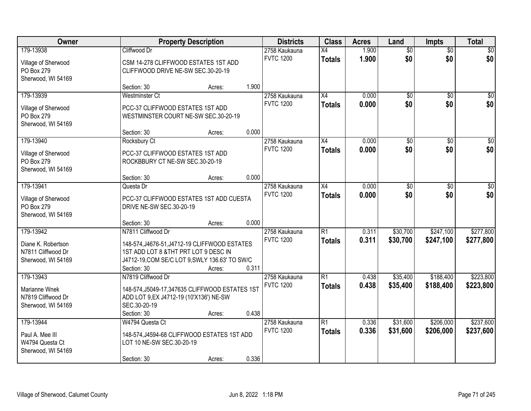| <b>Owner</b>                      |                                                                     | <b>Property Description</b> |       | <b>Districts</b> | <b>Class</b>    | <b>Acres</b> | Land            | <b>Impts</b>    | <b>Total</b>     |
|-----------------------------------|---------------------------------------------------------------------|-----------------------------|-------|------------------|-----------------|--------------|-----------------|-----------------|------------------|
| 179-13938                         | Cliffwood Dr                                                        |                             |       | 2758 Kaukauna    | $\overline{X4}$ | 1.900        | $\overline{50}$ | $\overline{50}$ | \$0              |
| Village of Sherwood               | CSM 14-278 CLIFFWOOD ESTATES 1ST ADD                                |                             |       | <b>FVTC 1200</b> | <b>Totals</b>   | 1.900        | \$0             | \$0             | \$0              |
| PO Box 279                        | CLIFFWOOD DRIVE NE-SW SEC.30-20-19                                  |                             |       |                  |                 |              |                 |                 |                  |
| Sherwood, WI 54169                |                                                                     |                             |       |                  |                 |              |                 |                 |                  |
|                                   | Section: 30                                                         | Acres:                      | 1.900 |                  |                 |              |                 |                 |                  |
| 179-13939                         | Westminster Ct                                                      |                             |       | 2758 Kaukauna    | $\overline{X4}$ | 0.000        | $\overline{50}$ | $\overline{50}$ | \$0              |
| Village of Sherwood               | PCC-37 CLIFFWOOD ESTATES 1ST ADD                                    |                             |       | <b>FVTC 1200</b> | <b>Totals</b>   | 0.000        | \$0             | \$0             | \$0              |
| PO Box 279                        | WESTMINSTER COURT NE-SW SEC.30-20-19                                |                             |       |                  |                 |              |                 |                 |                  |
| Sherwood, WI 54169                |                                                                     |                             |       |                  |                 |              |                 |                 |                  |
|                                   | Section: 30                                                         | Acres:                      | 0.000 |                  |                 |              |                 |                 |                  |
| 179-13940                         | Rocksbury Ct                                                        |                             |       | 2758 Kaukauna    | X4              | 0.000        | $\overline{50}$ | \$0             | $\overline{\$0}$ |
| Village of Sherwood               | PCC-37 CLIFFWOOD ESTATES 1ST ADD                                    |                             |       | <b>FVTC 1200</b> | <b>Totals</b>   | 0.000        | \$0             | \$0             | \$0              |
| PO Box 279                        | ROCKBBURY CT NE-SW SEC.30-20-19                                     |                             |       |                  |                 |              |                 |                 |                  |
| Sherwood, WI 54169                |                                                                     |                             |       |                  |                 |              |                 |                 |                  |
|                                   | Section: 30                                                         | Acres:                      | 0.000 |                  |                 |              |                 |                 |                  |
| 179-13941                         | Questa Dr                                                           |                             |       | 2758 Kaukauna    | X4              | 0.000        | \$0             | $\sqrt[6]{}$    | $\sqrt{50}$      |
|                                   |                                                                     |                             |       | <b>FVTC 1200</b> | <b>Totals</b>   | 0.000        | \$0             | \$0             | \$0              |
| Village of Sherwood<br>PO Box 279 | PCC-37 CLIFFWOOD ESTATES 1ST ADD CUESTA<br>DRIVE NE-SW SEC.30-20-19 |                             |       |                  |                 |              |                 |                 |                  |
| Sherwood, WI 54169                |                                                                     |                             |       |                  |                 |              |                 |                 |                  |
|                                   | Section: 30                                                         | Acres:                      | 0.000 |                  |                 |              |                 |                 |                  |
| 179-13942                         | N7811 Cliffwood Dr                                                  |                             |       | 2758 Kaukauna    | $\overline{R1}$ | 0.311        | \$30,700        | \$247,100       | \$277,800        |
|                                   |                                                                     |                             |       | <b>FVTC 1200</b> | <b>Totals</b>   | 0.311        | \$30,700        | \$247,100       | \$277,800        |
| Diane K. Robertson                | 148-574, J4676-51, J4712-19 CLIFFWOOD ESTATES                       |                             |       |                  |                 |              |                 |                 |                  |
| N7811 Cliffwood Dr                | 1ST ADD LOT 8 & THT PRT LOT 9 DESC IN                               |                             |       |                  |                 |              |                 |                 |                  |
| Sherwood, WI 54169                | J4712-19, COM SE/C LOT 9, SWLY 136.63' TO SW/C<br>Section: 30       |                             | 0.311 |                  |                 |              |                 |                 |                  |
| 179-13943                         | N7819 Cliffwood Dr                                                  | Acres:                      |       | 2758 Kaukauna    | R1              | 0.438        | \$35,400        | \$188,400       | \$223,800        |
|                                   |                                                                     |                             |       | <b>FVTC 1200</b> | <b>Totals</b>   | 0.438        | \$35,400        | \$188,400       | \$223,800        |
| Marianne Wnek                     | 148-574, J5049-17, 347635 CLIFFWOOD ESTATES 1ST                     |                             |       |                  |                 |              |                 |                 |                  |
| N7819 Cliffwood Dr                | ADD LOT 9, EX J4712-19 (10'X136') NE-SW                             |                             |       |                  |                 |              |                 |                 |                  |
| Sherwood, WI 54169                | SEC.30-20-19                                                        |                             |       |                  |                 |              |                 |                 |                  |
|                                   | Section: 30                                                         | Acres:                      | 0.438 |                  |                 |              |                 |                 |                  |
| 179-13944                         | W4794 Questa Ct                                                     |                             |       | 2758 Kaukauna    | $\overline{R1}$ | 0.336        | \$31,600        | \$206,000       | \$237,600        |
| Paul A. Mee III                   | 148-574, J4594-68 CLIFFWOOD ESTATES 1ST ADD                         |                             |       | <b>FVTC 1200</b> | <b>Totals</b>   | 0.336        | \$31,600        | \$206,000       | \$237,600        |
| W4794 Questa Ct                   | LOT 10 NE-SW SEC.30-20-19                                           |                             |       |                  |                 |              |                 |                 |                  |
| Sherwood, WI 54169                |                                                                     |                             |       |                  |                 |              |                 |                 |                  |
|                                   | Section: 30                                                         | Acres:                      | 0.336 |                  |                 |              |                 |                 |                  |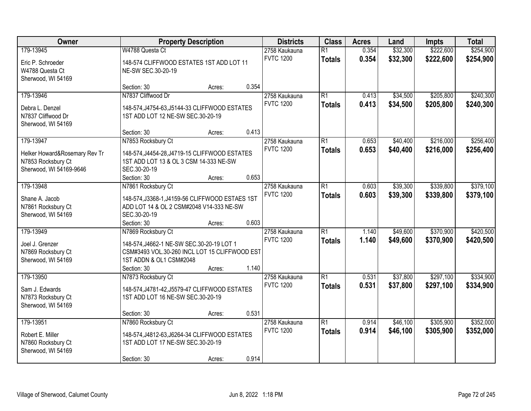| Owner                         |                                                 | <b>Property Description</b> |       | <b>Districts</b> | <b>Class</b>    | <b>Acres</b> | Land     | <b>Impts</b> | <b>Total</b> |
|-------------------------------|-------------------------------------------------|-----------------------------|-------|------------------|-----------------|--------------|----------|--------------|--------------|
| 179-13945                     | W4788 Questa Ct                                 |                             |       | 2758 Kaukauna    | $\overline{R1}$ | 0.354        | \$32,300 | \$222,600    | \$254,900    |
| Eric P. Schroeder             | 148-574 CLIFFWOOD ESTATES 1ST ADD LOT 11        |                             |       | <b>FVTC 1200</b> | <b>Totals</b>   | 0.354        | \$32,300 | \$222,600    | \$254,900    |
| W4788 Questa Ct               | NE-SW SEC.30-20-19                              |                             |       |                  |                 |              |          |              |              |
| Sherwood, WI 54169            |                                                 |                             |       |                  |                 |              |          |              |              |
|                               | Section: 30                                     | Acres:                      | 0.354 |                  |                 |              |          |              |              |
| 179-13946                     | N7837 Cliffwood Dr                              |                             |       | 2758 Kaukauna    | $\overline{R1}$ | 0.413        | \$34,500 | \$205,800    | \$240,300    |
| Debra L. Denzel               | 148-574, J4754-63, J5144-33 CLIFFWOOD ESTATES   |                             |       | <b>FVTC 1200</b> | <b>Totals</b>   | 0.413        | \$34,500 | \$205,800    | \$240,300    |
| N7837 Cliffwood Dr            | 1ST ADD LOT 12 NE-SW SEC.30-20-19               |                             |       |                  |                 |              |          |              |              |
| Sherwood, WI 54169            |                                                 |                             |       |                  |                 |              |          |              |              |
|                               | Section: 30                                     | Acres:                      | 0.413 |                  |                 |              |          |              |              |
| 179-13947                     | N7853 Rocksbury Ct                              |                             |       | 2758 Kaukauna    | $\overline{R1}$ | 0.653        | \$40,400 | \$216,000    | \$256,400    |
| Helker Howard&Rosemary Rev Tr | 148-574, J4454-28, J4719-15 CLIFFWOOD ESTATES   |                             |       | <b>FVTC 1200</b> | <b>Totals</b>   | 0.653        | \$40,400 | \$216,000    | \$256,400    |
| N7853 Rocksbury Ct            | 1ST ADD LOT 13 & OL 3 CSM 14-333 NE-SW          |                             |       |                  |                 |              |          |              |              |
| Sherwood, WI 54169-9646       | SEC.30-20-19                                    |                             |       |                  |                 |              |          |              |              |
|                               | Section: 30                                     | Acres:                      | 0.653 |                  |                 |              |          |              |              |
| 179-13948                     | N7861 Rocksbury Ct                              |                             |       | 2758 Kaukauna    | $\overline{R1}$ | 0.603        | \$39,300 | \$339,800    | \$379,100    |
| Shane A. Jacob                | 148-574, J3368-1, J4159-56 CLIFFWOOD ESTAES 1ST |                             |       | <b>FVTC 1200</b> | <b>Totals</b>   | 0.603        | \$39,300 | \$339,800    | \$379,100    |
| N7861 Rocksbury Ct            | ADD LOT 14 & OL 2 CSM#2048 V14-333 NE-SW        |                             |       |                  |                 |              |          |              |              |
| Sherwood, WI 54169            | SEC.30-20-19                                    |                             |       |                  |                 |              |          |              |              |
|                               | Section: 30                                     | Acres:                      | 0.603 |                  |                 |              |          |              |              |
| 179-13949                     | N7869 Rocksbury Ct                              |                             |       | 2758 Kaukauna    | $\overline{R1}$ | 1.140        | \$49,600 | \$370,900    | \$420,500    |
| Joel J. Grenzer               | 148-574, J4662-1 NE-SW SEC.30-20-19 LOT 1       |                             |       | <b>FVTC 1200</b> | <b>Totals</b>   | 1.140        | \$49,600 | \$370,900    | \$420,500    |
| N7869 Rocksbury Ct            | CSM#3493 VOL.30-260 INCL LOT 15 CLIFFWOOD EST   |                             |       |                  |                 |              |          |              |              |
| Sherwood, WI 54169            | 1ST ADDN & OL1 CSM#2048                         |                             |       |                  |                 |              |          |              |              |
|                               | Section: 30                                     | Acres:                      | 1.140 |                  |                 |              |          |              |              |
| 179-13950                     | N7873 Rocksbury Ct                              |                             |       | 2758 Kaukauna    | $\overline{R1}$ | 0.531        | \$37,800 | \$297,100    | \$334,900    |
| Sam J. Edwards                | 148-574, J4781-42, J5579-47 CLIFFWOOD ESTATES   |                             |       | <b>FVTC 1200</b> | <b>Totals</b>   | 0.531        | \$37,800 | \$297,100    | \$334,900    |
| N7873 Rocksbury Ct            | 1ST ADD LOT 16 NE-SW SEC.30-20-19               |                             |       |                  |                 |              |          |              |              |
| Sherwood, WI 54169            |                                                 |                             |       |                  |                 |              |          |              |              |
|                               | Section: 30                                     | Acres:                      | 0.531 |                  |                 |              |          |              |              |
| 179-13951                     | N7860 Rocksbury Ct                              |                             |       | 2758 Kaukauna    | $\overline{R1}$ | 0.914        | \$46,100 | \$305,900    | \$352,000    |
| Robert E. Miller              | 148-574, J4812-63, J6264-34 CLIFFWOOD ESTATES   |                             |       | <b>FVTC 1200</b> | <b>Totals</b>   | 0.914        | \$46,100 | \$305,900    | \$352,000    |
| N7860 Rocksbury Ct            | 1ST ADD LOT 17 NE-SW SEC.30-20-19               |                             |       |                  |                 |              |          |              |              |
| Sherwood, WI 54169            |                                                 |                             |       |                  |                 |              |          |              |              |
|                               | Section: 30                                     | Acres:                      | 0.914 |                  |                 |              |          |              |              |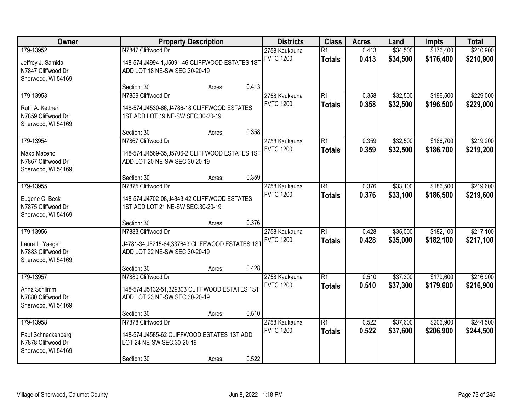| Owner                                                                       |                                                                                                               | <b>Property Description</b> |       |                                   | <b>Class</b>                     | <b>Acres</b>   | Land                 | <b>Impts</b>           | <b>Total</b>           |
|-----------------------------------------------------------------------------|---------------------------------------------------------------------------------------------------------------|-----------------------------|-------|-----------------------------------|----------------------------------|----------------|----------------------|------------------------|------------------------|
| 179-13952<br>Jeffrey J. Samida<br>N7847 Cliffwood Dr<br>Sherwood, WI 54169  | N7847 Cliffwood Dr<br>148-574, J4994-1, J5091-46 CLIFFWOOD ESTATES 1ST<br>ADD LOT 18 NE-SW SEC.30-20-19       |                             |       | 2758 Kaukauna<br><b>FVTC 1200</b> | $\overline{R1}$<br><b>Totals</b> | 0.413<br>0.413 | \$34,500<br>\$34,500 | \$176,400<br>\$176,400 | \$210,900<br>\$210,900 |
|                                                                             | Section: 30                                                                                                   | Acres:                      | 0.413 |                                   |                                  |                |                      |                        |                        |
| 179-13953<br>Ruth A. Kettner<br>N7859 Cliffwood Dr<br>Sherwood, WI 54169    | N7859 Cliffwood Dr<br>148-574, J4530-66, J4786-18 CLIFFWOOD ESTATES<br>1ST ADD LOT 19 NE-SW SEC.30-20-19      |                             |       | 2758 Kaukauna<br><b>FVTC 1200</b> | $\overline{R1}$<br><b>Totals</b> | 0.358<br>0.358 | \$32,500<br>\$32,500 | \$196,500<br>\$196,500 | \$229,000<br>\$229,000 |
|                                                                             | Section: 30                                                                                                   | Acres:                      | 0.358 |                                   |                                  |                |                      |                        |                        |
| 179-13954<br>Maxo Maceno<br>N7867 Cliffwood Dr<br>Sherwood, WI 54169        | N7867 Cliffwood Dr<br>148-574, J4569-35, J5706-2 CLIFFWOOD ESTATES 1ST<br>ADD LOT 20 NE-SW SEC.30-20-19       |                             |       | 2758 Kaukauna<br><b>FVTC 1200</b> | $\overline{R1}$<br><b>Totals</b> | 0.359<br>0.359 | \$32,500<br>\$32,500 | \$186,700<br>\$186,700 | \$219,200<br>\$219,200 |
|                                                                             | Section: 30                                                                                                   | Acres:                      | 0.359 |                                   |                                  |                |                      |                        |                        |
| 179-13955<br>Eugene C. Beck<br>N7875 Cliffwood Dr<br>Sherwood, WI 54169     | N7875 Cliffwood Dr<br>148-574, J4702-08, J4843-42 CLIFFWOOD ESTATES<br>1ST ADD LOT 21 NE-SW SEC.30-20-19      |                             |       | 2758 Kaukauna<br><b>FVTC 1200</b> | $\overline{R1}$<br><b>Totals</b> | 0.376<br>0.376 | \$33,100<br>\$33,100 | \$186,500<br>\$186,500 | \$219,600<br>\$219,600 |
|                                                                             | Section: 30                                                                                                   | Acres:                      | 0.376 |                                   |                                  |                |                      |                        |                        |
| 179-13956<br>Laura L. Yaeger<br>N7883 Cliffwood Dr<br>Sherwood, WI 54169    | N7883 Cliffwood Dr<br>J4781-34, J5215-64, 337643 CLIFFWOOD ESTATES 1ST<br>ADD LOT 22 NE-SW SEC.30-20-19       |                             |       | 2758 Kaukauna<br><b>FVTC 1200</b> | $\overline{R1}$<br><b>Totals</b> | 0.428<br>0.428 | \$35,000<br>\$35,000 | \$182,100<br>\$182,100 | \$217,100<br>\$217,100 |
|                                                                             | Section: 30                                                                                                   | Acres:                      | 0.428 |                                   |                                  |                |                      |                        |                        |
| 179-13957<br>Anna Schlimm<br>N7880 Cliffwood Dr<br>Sherwood, WI 54169       | N7880 Cliffwood Dr<br>148-574, J5132-51, 329303 CLIFFWOOD ESTATES 1ST<br>ADD LOT 23 NE-SW SEC.30-20-19        |                             |       | 2758 Kaukauna<br><b>FVTC 1200</b> | $\overline{R1}$<br><b>Totals</b> | 0.510<br>0.510 | \$37,300<br>\$37,300 | \$179,600<br>\$179,600 | \$216,900<br>\$216,900 |
|                                                                             | Section: 30                                                                                                   | Acres:                      | 0.510 |                                   |                                  |                |                      |                        |                        |
| 179-13958<br>Paul Schneckenberg<br>N7878 Cliffwood Dr<br>Sherwood, WI 54169 | N7878 Cliffwood Dr<br>148-574, J4585-62 CLIFFWOOD ESTATES 1ST ADD<br>LOT 24 NE-SW SEC.30-20-19<br>Section: 30 | Acres:                      | 0.522 | 2758 Kaukauna<br><b>FVTC 1200</b> | $\overline{R1}$<br><b>Totals</b> | 0.522<br>0.522 | \$37,600<br>\$37,600 | \$206,900<br>\$206,900 | \$244,500<br>\$244,500 |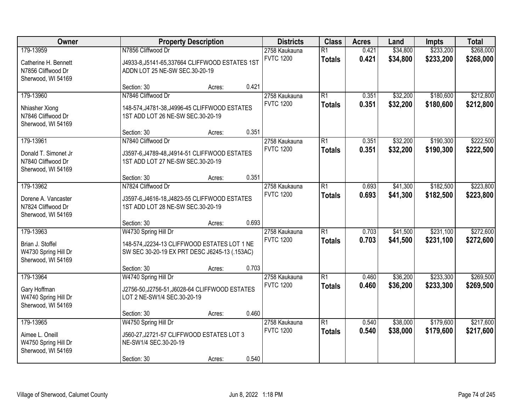| Owner                                                                         |                                                                                                                       | <b>Property Description</b> |       |                                   | <b>Districts</b><br><b>Class</b> | <b>Acres</b>   | Land                 | <b>Impts</b>           | <b>Total</b>           |
|-------------------------------------------------------------------------------|-----------------------------------------------------------------------------------------------------------------------|-----------------------------|-------|-----------------------------------|----------------------------------|----------------|----------------------|------------------------|------------------------|
| 179-13959<br>Catherine H. Bennett<br>N7856 Cliffwood Dr<br>Sherwood, WI 54169 | N7856 Cliffwood Dr<br>J4933-8, J5141-65, 337664 CLIFFWOOD ESTATES 1ST<br>ADDN LOT 25 NE-SW SEC.30-20-19               |                             |       | 2758 Kaukauna<br><b>FVTC 1200</b> | $\overline{R1}$<br><b>Totals</b> | 0.421<br>0.421 | \$34,800<br>\$34,800 | \$233,200<br>\$233,200 | \$268,000<br>\$268,000 |
|                                                                               | Section: 30                                                                                                           | Acres:                      | 0.421 |                                   |                                  |                |                      |                        |                        |
| 179-13960<br>Nhiasher Xiong<br>N7846 Cliffwood Dr<br>Sherwood, WI 54169       | N7846 Cliffwood Dr<br>148-574, J4781-38, J4996-45 CLIFFWOOD ESTATES<br>1ST ADD LOT 26 NE-SW SEC.30-20-19              |                             |       | 2758 Kaukauna<br><b>FVTC 1200</b> | $\overline{R1}$<br><b>Totals</b> | 0.351<br>0.351 | \$32,200<br>\$32,200 | \$180,600<br>\$180,600 | \$212,800<br>\$212,800 |
|                                                                               | Section: 30                                                                                                           | Acres:                      | 0.351 |                                   |                                  |                |                      |                        |                        |
| 179-13961<br>Donald T. Simonet Jr<br>N7840 Cliffwood Dr<br>Sherwood, WI 54169 | N7840 Cliffwood Dr<br>J3597-6, J4789-48, J4914-51 CLIFFWOOD ESTATES<br>1ST ADD LOT 27 NE-SW SEC.30-20-19              |                             |       | 2758 Kaukauna<br><b>FVTC 1200</b> | $\overline{R1}$<br><b>Totals</b> | 0.351<br>0.351 | \$32,200<br>\$32,200 | \$190,300<br>\$190,300 | \$222,500<br>\$222,500 |
|                                                                               | Section: 30                                                                                                           | Acres:                      | 0.351 |                                   |                                  |                |                      |                        |                        |
| 179-13962<br>Dorene A. Vancaster<br>N7824 Cliffwood Dr<br>Sherwood, WI 54169  | N7824 Cliffwood Dr<br>J3597-6, J4616-18, J4823-55 CLIFFWOOD ESTATES<br>1ST ADD LOT 28 NE-SW SEC.30-20-19              |                             |       | 2758 Kaukauna<br><b>FVTC 1200</b> | $\overline{R1}$<br><b>Totals</b> | 0.693<br>0.693 | \$41,300<br>\$41,300 | \$182,500<br>\$182,500 | \$223,800<br>\$223,800 |
|                                                                               | Section: 30                                                                                                           | Acres:                      | 0.693 |                                   |                                  |                |                      |                        |                        |
| 179-13963<br>Brian J. Stoffel<br>W4730 Spring Hill Dr<br>Sherwood, WI 54169   | W4730 Spring Hill Dr<br>148-574, J2234-13 CLIFFWOOD ESTATES LOT 1 NE<br>SW SEC 30-20-19 EX PRT DESC J6245-13 (.153AC) |                             |       | 2758 Kaukauna<br><b>FVTC 1200</b> | $\overline{R1}$<br><b>Totals</b> | 0.703<br>0.703 | \$41,500<br>\$41,500 | \$231,100<br>\$231,100 | \$272,600<br>\$272,600 |
|                                                                               | Section: 30                                                                                                           | Acres:                      | 0.703 |                                   |                                  |                |                      |                        |                        |
| 179-13964<br>Gary Hoffman<br>W4740 Spring Hill Dr<br>Sherwood, WI 54169       | W4740 Spring Hill Dr<br>J2756-50, J2756-51, J6028-64 CLIFFWOOD ESTATES<br>LOT 2 NE-SW1/4 SEC.30-20-19                 |                             |       | 2758 Kaukauna<br><b>FVTC 1200</b> | $\overline{R1}$<br><b>Totals</b> | 0.460<br>0.460 | \$36,200<br>\$36,200 | \$233,300<br>\$233,300 | \$269,500<br>\$269,500 |
|                                                                               | Section: 30                                                                                                           | Acres:                      | 0.460 |                                   |                                  |                |                      |                        |                        |
| 179-13965<br>Aimee L. Oneill<br>W4750 Spring Hill Dr<br>Sherwood, WI 54169    | W4750 Spring Hill Dr<br>J560-27, J2721-57 CLIFFWOOD ESTATES LOT 3<br>NE-SW1/4 SEC.30-20-19<br>Section: 30             | Acres:                      | 0.540 | 2758 Kaukauna<br><b>FVTC 1200</b> | $\overline{R1}$<br><b>Totals</b> | 0.540<br>0.540 | \$38,000<br>\$38,000 | \$179,600<br>\$179,600 | \$217,600<br>\$217,600 |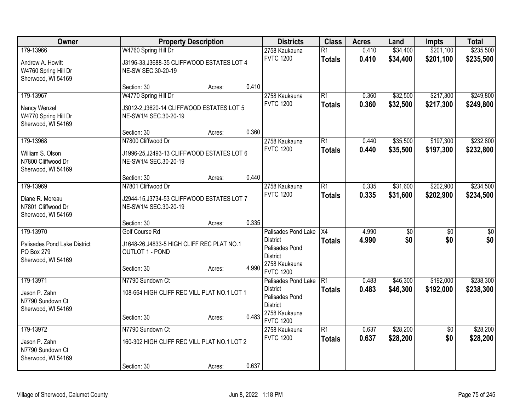| Owner                                                                         |                                                                                                       | <b>Property Description</b> |       | <b>Districts</b>                                                                                                 | <b>Class</b>                     | <b>Acres</b>   | Land                   | <b>Impts</b>           | <b>Total</b>           |
|-------------------------------------------------------------------------------|-------------------------------------------------------------------------------------------------------|-----------------------------|-------|------------------------------------------------------------------------------------------------------------------|----------------------------------|----------------|------------------------|------------------------|------------------------|
| 179-13966<br>Andrew A. Howitt<br>W4760 Spring Hill Dr<br>Sherwood, WI 54169   | W4760 Spring Hill Dr<br>J3196-33, J3688-35 CLIFFWOOD ESTATES LOT 4<br>NE-SW SEC.30-20-19              |                             |       | 2758 Kaukauna<br><b>FVTC 1200</b>                                                                                | $\overline{R1}$<br><b>Totals</b> | 0.410<br>0.410 | \$34,400<br>\$34,400   | \$201,100<br>\$201,100 | \$235,500<br>\$235,500 |
|                                                                               | Section: 30                                                                                           | Acres:                      | 0.410 |                                                                                                                  |                                  |                |                        |                        |                        |
| 179-13967<br>Nancy Wenzel<br>W4770 Spring Hill Dr<br>Sherwood, WI 54169       | W4770 Spring Hill Dr<br>J3012-2, J3620-14 CLIFFWOOD ESTATES LOT 5<br>NE-SW1/4 SEC.30-20-19            |                             |       | 2758 Kaukauna<br><b>FVTC 1200</b>                                                                                | $\overline{R1}$<br><b>Totals</b> | 0.360<br>0.360 | \$32,500<br>\$32,500   | \$217,300<br>\$217,300 | \$249,800<br>\$249,800 |
|                                                                               | Section: 30                                                                                           | Acres:                      | 0.360 |                                                                                                                  |                                  |                |                        |                        |                        |
| 179-13968<br>William S. Olson<br>N7800 Cliffwood Dr<br>Sherwood, WI 54169     | N7800 Cliffwood Dr<br>J1996-25, J2493-13 CLIFFWOOD ESTATES LOT 6<br>NE-SW1/4 SEC.30-20-19             |                             |       | 2758 Kaukauna<br><b>FVTC 1200</b>                                                                                | $\overline{R1}$<br><b>Totals</b> | 0.440<br>0.440 | \$35,500<br>\$35,500   | \$197,300<br>\$197,300 | \$232,800<br>\$232,800 |
|                                                                               | Section: 30                                                                                           | Acres:                      | 0.440 |                                                                                                                  |                                  |                |                        |                        |                        |
| 179-13969<br>Diane R. Moreau<br>N7801 Cliffwood Dr<br>Sherwood, WI 54169      | N7801 Cliffwood Dr<br>J2944-15, J3734-53 CLIFFWOOD ESTATES LOT 7<br>NE-SW1/4 SEC.30-20-19             |                             |       | 2758 Kaukauna<br><b>FVTC 1200</b>                                                                                | $\overline{R1}$<br><b>Totals</b> | 0.335<br>0.335 | \$31,600<br>\$31,600   | \$202,900<br>\$202,900 | \$234,500<br>\$234,500 |
|                                                                               | Section: 30                                                                                           | Acres:                      | 0.335 |                                                                                                                  |                                  |                |                        |                        |                        |
| 179-13970<br>Palisades Pond Lake District<br>PO Box 279<br>Sherwood, WI 54169 | Golf Course Rd<br>J1648-26, J4833-5 HIGH CLIFF REC PLAT NO.1<br><b>OUTLOT 1 - POND</b><br>Section: 30 | Acres:                      | 4.990 | Palisades Pond Lake<br><b>District</b><br>Palisades Pond<br><b>District</b><br>2758 Kaukauna<br><b>FVTC 1200</b> | $\overline{X4}$<br><b>Totals</b> | 4.990<br>4.990 | $\overline{50}$<br>\$0 | $\overline{50}$<br>\$0 | $\overline{50}$<br>\$0 |
| 179-13971<br>Jason P. Zahn<br>N7790 Sundown Ct<br>Sherwood, WI 54169          | N7790 Sundown Ct<br>108-664 HIGH CLIFF REC VILL PLAT NO.1 LOT 1<br>Section: 30                        | Acres:                      | 0.483 | Palisades Pond Lake<br><b>District</b><br>Palisades Pond<br><b>District</b><br>2758 Kaukauna<br><b>FVTC 1200</b> | $\overline{R1}$<br><b>Totals</b> | 0.483<br>0.483 | \$46,300<br>\$46,300   | \$192,000<br>\$192,000 | \$238,300<br>\$238,300 |
| 179-13972<br>Jason P. Zahn<br>N7790 Sundown Ct                                | N7790 Sundown Ct<br>160-302 HIGH CLIFF REC VILL PLAT NO.1 LOT 2                                       |                             |       | 2758 Kaukauna<br><b>FVTC 1200</b>                                                                                | $\overline{R1}$<br><b>Totals</b> | 0.637<br>0.637 | \$28,200<br>\$28,200   | $\overline{50}$<br>\$0 | \$28,200<br>\$28,200   |
| Sherwood, WI 54169                                                            | Section: 30                                                                                           | Acres:                      | 0.637 |                                                                                                                  |                                  |                |                        |                        |                        |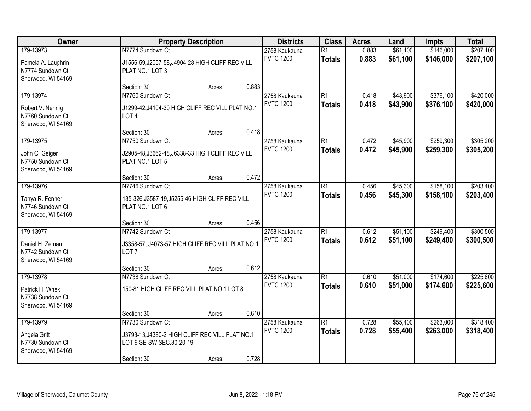| Owner                                                                     |                                                                                                                | <b>Property Description</b> |       |                                   | <b>Class</b><br><b>Acres</b>     |                | Land                 | <b>Impts</b>           | <b>Total</b>           |
|---------------------------------------------------------------------------|----------------------------------------------------------------------------------------------------------------|-----------------------------|-------|-----------------------------------|----------------------------------|----------------|----------------------|------------------------|------------------------|
| 179-13973<br>Pamela A. Laughrin<br>N7774 Sundown Ct<br>Sherwood, WI 54169 | N7774 Sundown Ct<br>J1556-59, J2057-58, J4904-28 HIGH CLIFF REC VILL<br>PLAT NO.1 LOT 3                        |                             |       | 2758 Kaukauna<br><b>FVTC 1200</b> | $\overline{R1}$<br><b>Totals</b> | 0.883<br>0.883 | \$61,100<br>\$61,100 | \$146,000<br>\$146,000 | \$207,100<br>\$207,100 |
|                                                                           | Section: 30                                                                                                    | Acres:                      | 0.883 |                                   |                                  |                |                      |                        |                        |
| 179-13974<br>Robert V. Nennig<br>N7760 Sundown Ct<br>Sherwood, WI 54169   | N7760 Sundown Ct<br>J1299-42, J4104-30 HIGH CLIFF REC VILL PLAT NO.1<br>LOT <sub>4</sub>                       |                             |       | 2758 Kaukauna<br><b>FVTC 1200</b> | $\overline{R1}$<br><b>Totals</b> | 0.418<br>0.418 | \$43,900<br>\$43,900 | \$376,100<br>\$376,100 | \$420,000<br>\$420,000 |
|                                                                           | Section: 30                                                                                                    | Acres:                      | 0.418 |                                   |                                  |                |                      |                        |                        |
| 179-13975<br>John C. Geiger<br>N7750 Sundown Ct<br>Sherwood, WI 54169     | N7750 Sundown Ct<br>J2905-48, J3662-48, J6338-33 HIGH CLIFF REC VILL<br>PLAT NO.1 LOT 5                        |                             |       | 2758 Kaukauna<br><b>FVTC 1200</b> | $\overline{R1}$<br><b>Totals</b> | 0.472<br>0.472 | \$45,900<br>\$45,900 | \$259,300<br>\$259,300 | \$305,200<br>\$305,200 |
|                                                                           | Section: 30                                                                                                    | Acres:                      | 0.472 |                                   |                                  |                |                      |                        |                        |
| 179-13976<br>Tanya R. Fenner<br>N7746 Sundown Ct<br>Sherwood, WI 54169    | N7746 Sundown Ct<br>135-326, J3587-19, J5255-46 HIGH CLIFF REC VILL<br>PLAT NO.1 LOT 6                         |                             |       | 2758 Kaukauna<br><b>FVTC 1200</b> | $\overline{R1}$<br><b>Totals</b> | 0.456<br>0.456 | \$45,300<br>\$45,300 | \$158,100<br>\$158,100 | \$203,400<br>\$203,400 |
|                                                                           | Section: 30                                                                                                    | Acres:                      | 0.456 |                                   |                                  |                |                      |                        |                        |
| 179-13977<br>Daniel H. Zeman<br>N7742 Sundown Ct<br>Sherwood, WI 54169    | N7742 Sundown Ct<br>J3358-57, J4073-57 HIGH CLIFF REC VILL PLAT NO.1<br>LOT <sub>7</sub>                       |                             |       | 2758 Kaukauna<br><b>FVTC 1200</b> | $\overline{R1}$<br><b>Totals</b> | 0.612<br>0.612 | \$51,100<br>\$51,100 | \$249,400<br>\$249,400 | \$300,500<br>\$300,500 |
|                                                                           | Section: 30                                                                                                    | Acres:                      | 0.612 |                                   |                                  |                |                      |                        |                        |
| 179-13978<br>Patrick H. Wnek<br>N7738 Sundown Ct<br>Sherwood, WI 54169    | N7738 Sundown Ct<br>150-81 HIGH CLIFF REC VILL PLAT NO.1 LOT 8                                                 |                             |       | 2758 Kaukauna<br><b>FVTC 1200</b> | $\overline{R1}$<br><b>Totals</b> | 0.610<br>0.610 | \$51,000<br>\$51,000 | \$174,600<br>\$174,600 | \$225,600<br>\$225,600 |
|                                                                           | Section: 30                                                                                                    | Acres:                      | 0.610 |                                   |                                  |                |                      |                        |                        |
| 179-13979<br>Angela Gritt<br>N7730 Sundown Ct<br>Sherwood, WI 54169       | N7730 Sundown Ct<br>J3793-13, J4380-2 HIGH CLIFF REC VILL PLAT NO.1<br>LOT 9 SE-SW SEC.30-20-19<br>Section: 30 | Acres:                      | 0.728 | 2758 Kaukauna<br><b>FVTC 1200</b> | $\overline{R1}$<br><b>Totals</b> | 0.728<br>0.728 | \$55,400<br>\$55,400 | \$263,000<br>\$263,000 | \$318,400<br>\$318,400 |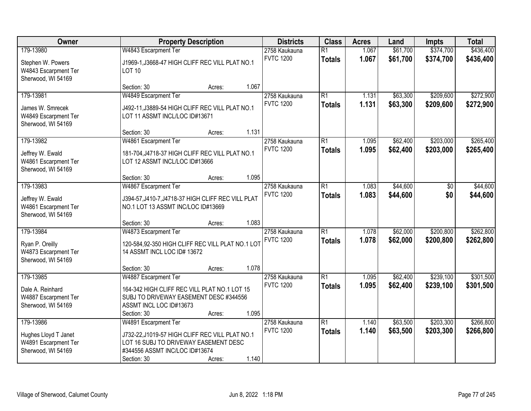| Owner                                                                           | <b>Property Description</b>                                                                                                                                                         | <b>Districts</b>                  | <b>Class</b>                     | <b>Acres</b>   | Land                 | <b>Impts</b>           | <b>Total</b>           |
|---------------------------------------------------------------------------------|-------------------------------------------------------------------------------------------------------------------------------------------------------------------------------------|-----------------------------------|----------------------------------|----------------|----------------------|------------------------|------------------------|
| 179-13980<br>Stephen W. Powers<br>W4843 Escarpment Ter                          | W4843 Escarpment Ter<br>J1969-1, J3668-47 HIGH CLIFF REC VILL PLAT NO.1<br><b>LOT 10</b>                                                                                            | 2758 Kaukauna<br><b>FVTC 1200</b> | $\overline{R1}$<br><b>Totals</b> | 1.067<br>1.067 | \$61,700<br>\$61,700 | \$374,700<br>\$374,700 | \$436,400<br>\$436,400 |
| Sherwood, WI 54169                                                              | 1.067<br>Section: 30<br>Acres:                                                                                                                                                      |                                   |                                  |                |                      |                        |                        |
| 179-13981<br>James W. Smrecek<br>W4849 Escarpment Ter<br>Sherwood, WI 54169     | W4849 Escarpment Ter<br>J492-11, J3889-54 HIGH CLIFF REC VILL PLAT NO.1<br>LOT 11 ASSMT INCL/LOC ID#13671                                                                           | 2758 Kaukauna<br><b>FVTC 1200</b> | $\overline{R1}$<br><b>Totals</b> | 1.131<br>1.131 | \$63,300<br>\$63,300 | \$209,600<br>\$209,600 | \$272,900<br>\$272,900 |
| 179-13982                                                                       | 1.131<br>Section: 30<br>Acres:<br>W4861 Escarpment Ter                                                                                                                              | 2758 Kaukauna                     | $\overline{R1}$                  | 1.095          | \$62,400             | \$203,000              | \$265,400              |
| Jeffrey W. Ewald<br>W4861 Escarpment Ter<br>Sherwood, WI 54169                  | 181-704, J4718-37 HIGH CLIFF REC VILL PLAT NO.1<br>LOT 12 ASSMT INCL/LOC ID#13666                                                                                                   | <b>FVTC 1200</b>                  | <b>Totals</b>                    | 1.095          | \$62,400             | \$203,000              | \$265,400              |
|                                                                                 | 1.095<br>Section: 30<br>Acres:                                                                                                                                                      |                                   |                                  |                |                      |                        |                        |
| 179-13983<br>Jeffrey W. Ewald<br>W4861 Escarpment Ter<br>Sherwood, WI 54169     | W4867 Escarpment Ter<br>J394-57, J410-7, J4718-37 HIGH CLIFF REC VILL PLAT<br>NO.1 LOT 13 ASSMT INC/LOC ID#13669                                                                    | 2758 Kaukauna<br><b>FVTC 1200</b> | $\overline{R1}$<br><b>Totals</b> | 1.083<br>1.083 | \$44,600<br>\$44,600 | \$0<br>\$0             | \$44,600<br>\$44,600   |
|                                                                                 | 1.083<br>Section: 30<br>Acres:                                                                                                                                                      |                                   |                                  |                |                      |                        |                        |
| 179-13984<br>Ryan P. Oreilly<br>W4873 Escarpment Ter<br>Sherwood, WI 54169      | W4873 Escarpment Ter<br>120-584,92-350 HIGH CLIFF REC VILL PLAT NO.1 LOT<br>14 ASSMT INCL LOC ID# 13672                                                                             | 2758 Kaukauna<br><b>FVTC 1200</b> | $\overline{R1}$<br><b>Totals</b> | 1.078<br>1.078 | \$62,000<br>\$62,000 | \$200,800<br>\$200,800 | \$262,800<br>\$262,800 |
|                                                                                 | 1.078<br>Section: 30<br>Acres:                                                                                                                                                      |                                   |                                  |                |                      |                        |                        |
| 179-13985<br>Dale A. Reinhard<br>W4887 Escarpment Ter<br>Sherwood, WI 54169     | W4887 Escarpment Ter<br>164-342 HIGH CLIFF REC VILL PLAT NO.1 LOT 15<br>SUBJ TO DRIVEWAY EASEMENT DESC #344556<br>ASSMT INCL LOC ID#13673<br>1.095<br>Section: 30<br>Acres:         | 2758 Kaukauna<br><b>FVTC 1200</b> | $\overline{R1}$<br><b>Totals</b> | 1.095<br>1.095 | \$62,400<br>\$62,400 | \$239,100<br>\$239,100 | \$301,500<br>\$301,500 |
| 179-13986<br>Hughes Lloyd T Janet<br>W4891 Escarpment Ter<br>Sherwood, WI 54169 | W4891 Escarpment Ter<br>J732-22,J1019-57 HIGH CLIFF REC VILL PLAT NO.1<br>LOT 16 SUBJ TO DRIVEWAY EASEMENT DESC<br>#344556 ASSMT INC/LOC ID#13674<br>1.140<br>Section: 30<br>Acres: | 2758 Kaukauna<br><b>FVTC 1200</b> | $\overline{R1}$<br><b>Totals</b> | 1.140<br>1.140 | \$63,500<br>\$63,500 | \$203,300<br>\$203,300 | \$266,800<br>\$266,800 |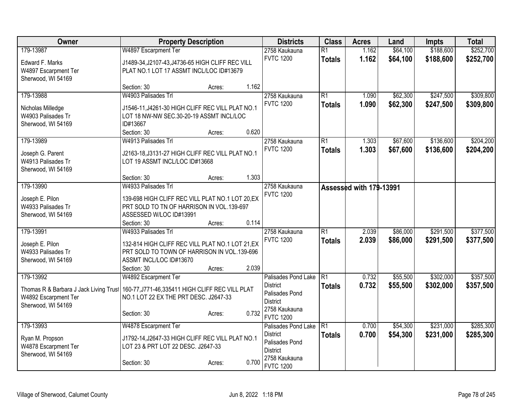| Owner                                  | <b>Property Description</b>                      |        | <b>Districts</b>                  | <b>Class</b>    | <b>Acres</b>            | Land     | <b>Impts</b> | <b>Total</b> |
|----------------------------------------|--------------------------------------------------|--------|-----------------------------------|-----------------|-------------------------|----------|--------------|--------------|
| 179-13987                              | W4897 Escarpment Ter                             |        | 2758 Kaukauna                     | $\overline{R1}$ | 1.162                   | \$64,100 | \$188,600    | \$252,700    |
| Edward F. Marks                        | J1489-34, J2107-43, J4736-65 HIGH CLIFF REC VILL |        | <b>FVTC 1200</b>                  | <b>Totals</b>   | 1.162                   | \$64,100 | \$188,600    | \$252,700    |
| W4897 Escarpment Ter                   | PLAT NO.1 LOT 17 ASSMT INCL/LOC ID#13679         |        |                                   |                 |                         |          |              |              |
| Sherwood, WI 54169                     |                                                  |        |                                   |                 |                         |          |              |              |
|                                        | Section: 30                                      | Acres: | 1.162                             |                 |                         |          |              |              |
| 179-13988                              | W4903 Palisades Trl                              |        | 2758 Kaukauna                     | $\overline{R1}$ | 1.090                   | \$62,300 | \$247,500    | \$309,800    |
| Nicholas Milledge                      | J1546-11, J4261-30 HIGH CLIFF REC VILL PLAT NO.1 |        | <b>FVTC 1200</b>                  | <b>Totals</b>   | 1.090                   | \$62,300 | \$247,500    | \$309,800    |
| W4903 Palisades Tr                     | LOT 18 NW-NW SEC.30-20-19 ASSMT INCL/LOC         |        |                                   |                 |                         |          |              |              |
| Sherwood, WI 54169                     | ID#13667                                         |        |                                   |                 |                         |          |              |              |
|                                        | Section: 30                                      | Acres: | 0.620                             |                 |                         |          |              |              |
| 179-13989                              | W4913 Palisades Trl                              |        | 2758 Kaukauna                     | $\overline{R1}$ | 1.303                   | \$67,600 | \$136,600    | \$204,200    |
| Joseph G. Parent                       | J2163-18, J3131-27 HIGH CLIFF REC VILL PLAT NO.1 |        | <b>FVTC 1200</b>                  | <b>Totals</b>   | 1.303                   | \$67,600 | \$136,600    | \$204,200    |
| W4913 Palisades Tr                     | LOT 19 ASSMT INCL/LOC ID#13668                   |        |                                   |                 |                         |          |              |              |
| Sherwood, WI 54169                     |                                                  |        |                                   |                 |                         |          |              |              |
|                                        | Section: 30                                      | Acres: | 1.303                             |                 |                         |          |              |              |
| 179-13990                              | W4933 Palisades Trl                              |        | 2758 Kaukauna                     |                 | Assessed with 179-13991 |          |              |              |
| Joseph E. Pilon                        | 139-698 HIGH CLIFF REC VILL PLAT NO.1 LOT 20, EX |        | <b>FVTC 1200</b>                  |                 |                         |          |              |              |
| W4933 Palisades Tr                     | PRT SOLD TO TN OF HARRISON IN VOL.139-697        |        |                                   |                 |                         |          |              |              |
| Sherwood, WI 54169                     | ASSESSED W/LOC ID#13991                          |        |                                   |                 |                         |          |              |              |
|                                        | Section: 30                                      | Acres: | 0.114                             |                 |                         |          |              |              |
| 179-13991                              | W4933 Palisades Trl                              |        | 2758 Kaukauna                     | $\overline{R1}$ | 2.039                   | \$86,000 | \$291,500    | \$377,500    |
| Joseph E. Pilon                        | 132-814 HIGH CLIFF REC VILL PLAT NO.1 LOT 21, EX |        | <b>FVTC 1200</b>                  | <b>Totals</b>   | 2.039                   | \$86,000 | \$291,500    | \$377,500    |
| W4933 Palisades Tr                     | PRT SOLD TO TOWN OF HARRISON IN VOL.139-696      |        |                                   |                 |                         |          |              |              |
| Sherwood, WI 54169                     | ASSMT INCL/LOC ID#13670                          |        |                                   |                 |                         |          |              |              |
|                                        | Section: 30                                      | Acres: | 2.039                             |                 |                         |          |              |              |
| 179-13992                              | W4892 Escarpment Ter                             |        | Palisades Pond Lake               | R <sub>1</sub>  | 0.732                   | \$55,500 | \$302,000    | \$357,500    |
| Thomas R & Barbara J Jack Living Trust | 160-77, J771-46, 335411 HIGH CLIFF REC VILL PLAT |        | <b>District</b>                   | <b>Totals</b>   | 0.732                   | \$55,500 | \$302,000    | \$357,500    |
| W4892 Escarpment Ter                   | NO.1 LOT 22 EX THE PRT DESC. J2647-33            |        | Palisades Pond<br><b>District</b> |                 |                         |          |              |              |
| Sherwood, WI 54169                     |                                                  |        | 2758 Kaukauna                     |                 |                         |          |              |              |
|                                        | Section: 30                                      | Acres: | 0.732<br><b>FVTC 1200</b>         |                 |                         |          |              |              |
| 179-13993                              | W4878 Escarpment Ter                             |        | Palisades Pond Lake               | TR1             | 0.700                   | \$54,300 | \$231,000    | \$285,300    |
| Ryan M. Propson                        | J1792-14, J2647-33 HIGH CLIFF REC VILL PLAT NO.1 |        | <b>District</b>                   | <b>Totals</b>   | 0.700                   | \$54,300 | \$231,000    | \$285,300    |
| W4878 Escarpment Ter                   | LOT 23 & PRT LOT 22 DESC. J2647-33               |        | Palisades Pond                    |                 |                         |          |              |              |
| Sherwood, WI 54169                     |                                                  |        | <b>District</b>                   |                 |                         |          |              |              |
|                                        | Section: 30                                      | Acres: | 2758 Kaukauna<br>0.700            |                 |                         |          |              |              |
|                                        |                                                  |        | <b>FVTC 1200</b>                  |                 |                         |          |              |              |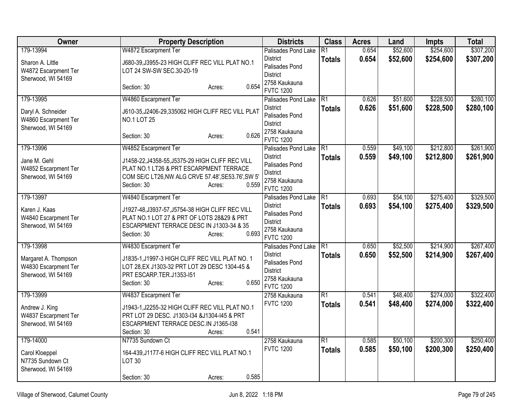| Owner                                                              | <b>Property Description</b>                                                                                                                                                         | <b>Districts</b>                                                                          | <b>Class</b>    | <b>Acres</b> | Land     | <b>Impts</b> | <b>Total</b> |
|--------------------------------------------------------------------|-------------------------------------------------------------------------------------------------------------------------------------------------------------------------------------|-------------------------------------------------------------------------------------------|-----------------|--------------|----------|--------------|--------------|
| 179-13994                                                          | W4872 Escarpment Ter                                                                                                                                                                | Palisades Pond Lake                                                                       | R1              | 0.654        | \$52,600 | \$254,600    | \$307,200    |
| Sharon A. Little<br>W4872 Escarpment Ter<br>Sherwood, WI 54169     | J680-39, J3955-23 HIGH CLIFF REC VILL PLAT NO.1<br>LOT 24 SW-SW SEC.30-20-19                                                                                                        | <b>District</b><br>Palisades Pond<br><b>District</b>                                      | <b>Totals</b>   | 0.654        | \$52,600 | \$254,600    | \$307,200    |
|                                                                    | 0.654<br>Section: 30<br>Acres:                                                                                                                                                      | 2758 Kaukauna<br><b>FVTC 1200</b>                                                         |                 |              |          |              |              |
| 179-13995                                                          | W4860 Escarpment Ter                                                                                                                                                                | Palisades Pond Lake                                                                       | R1              | 0.626        | \$51,600 | \$228,500    | \$280,100    |
| Daryl A. Schneider<br>W4860 Escarpment Ter                         | J610-35, J2406-29, 335062 HIGH CLIFF REC VILL PLAT<br><b>NO.1 LOT 25</b>                                                                                                            | <b>District</b><br>Palisades Pond<br><b>District</b>                                      | <b>Totals</b>   | 0.626        | \$51,600 | \$228,500    | \$280,100    |
| Sherwood, WI 54169                                                 | 0.626<br>Section: 30<br>Acres:                                                                                                                                                      | 2758 Kaukauna<br><b>FVTC 1200</b>                                                         |                 |              |          |              |              |
| 179-13996                                                          | W4852 Escarpment Ter                                                                                                                                                                | Palisades Pond Lake                                                                       | $\overline{R1}$ | 0.559        | \$49,100 | \$212,800    | \$261,900    |
| Jane M. Gehl<br>W4852 Escarpment Ter<br>Sherwood, WI 54169         | J1458-22, J4358-55, J5375-29 HIGH CLIFF REC VILL<br>PLAT NO.1 LT26 & PRT ESCARPMENT TERRACE<br>COM SE/C LT26, NW ALG CRVE 57.48', SE53.76', SW 5'<br>0.559<br>Section: 30<br>Acres: | <b>District</b><br>Palisades Pond<br><b>District</b><br>2758 Kaukauna<br><b>FVTC 1200</b> | <b>Totals</b>   | 0.559        | \$49,100 | \$212,800    | \$261,900    |
| 179-13997                                                          | W4840 Escarpment Ter                                                                                                                                                                | Palisades Pond Lake                                                                       | R <sub>1</sub>  | 0.693        | \$54,100 | \$275,400    | \$329,500    |
| Karen J. Kaas<br>W4840 Escarpment Ter<br>Sherwood, WI 54169        | J1927-48, J3937-57, J5754-38 HIGH CLIFF REC VILL<br>PLAT NO.1 LOT 27 & PRT OF LOTS 28&29 & PRT<br>ESCARPMENT TERRACE DESC IN J1303-34 & 35<br>0.693<br>Section: 30<br>Acres:        | <b>District</b><br>Palisades Pond<br><b>District</b><br>2758 Kaukauna<br><b>FVTC 1200</b> | <b>Totals</b>   | 0.693        | \$54,100 | \$275,400    | \$329,500    |
| 179-13998                                                          | W4830 Escarpment Ter                                                                                                                                                                | Palisades Pond Lake                                                                       | R1              | 0.650        | \$52,500 | \$214,900    | \$267,400    |
| Margaret A. Thompson<br>W4830 Escarpment Ter<br>Sherwood, WI 54169 | J1835-1, J1997-3 HIGH CLIFF REC VILL PLAT NO. 1<br>LOT 28, EX J1303-32 PRT LOT 29 DESC 1304-45 &<br>PRT ESCARP.TER.J1353-I51<br>0.650<br>Section: 30<br>Acres:                      | <b>District</b><br>Palisades Pond<br><b>District</b><br>2758 Kaukauna<br><b>FVTC 1200</b> | <b>Totals</b>   | 0.650        | \$52,500 | \$214,900    | \$267,400    |
| 179-13999                                                          | W4837 Escarpment Ter                                                                                                                                                                | 2758 Kaukauna                                                                             | $\overline{R1}$ | 0.541        | \$48,400 | \$274,000    | \$322,400    |
| Andrew J. King<br>W4837 Escarpment Ter<br>Sherwood, WI 54169       | J1943-1, J2255-32 HIGH CLIFF REC VILL PLAT NO.1<br>PRT LOT 29 DESC. J1303-I34 & J1304-I45 & PRT<br>ESCARPMENT TERRACE DESC.IN J1365-138<br>0.541<br>Section: 30<br>Acres:           | <b>FVTC 1200</b>                                                                          | <b>Totals</b>   | 0.541        | \$48,400 | \$274,000    | \$322,400    |
| 179-14000                                                          | N7735 Sundown Ct                                                                                                                                                                    | 2758 Kaukauna                                                                             | $\overline{R1}$ | 0.585        | \$50,100 | \$200,300    | \$250,400    |
| Carol Kloeppel<br>N7735 Sundown Ct<br>Sherwood, WI 54169           | 164-439, J1177-6 HIGH CLIFF REC VILL PLAT NO.1<br><b>LOT 30</b>                                                                                                                     | <b>FVTC 1200</b>                                                                          | <b>Totals</b>   | 0.585        | \$50,100 | \$200,300    | \$250,400    |
|                                                                    | 0.585<br>Section: 30<br>Acres:                                                                                                                                                      |                                                                                           |                 |              |          |              |              |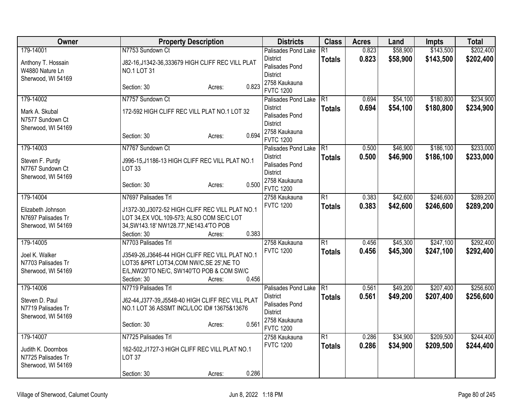| Owner                                                          | <b>Property Description</b>                                      |                 | <b>Districts</b>                                     | <b>Class</b>    | <b>Acres</b> | Land     | <b>Impts</b> | <b>Total</b> |
|----------------------------------------------------------------|------------------------------------------------------------------|-----------------|------------------------------------------------------|-----------------|--------------|----------|--------------|--------------|
| 179-14001                                                      | N7753 Sundown Ct                                                 |                 | Palisades Pond Lake                                  | $\overline{R1}$ | 0.823        | \$58,900 | \$143,500    | \$202,400    |
| Anthony T. Hossain<br>W4880 Nature Ln<br>Sherwood, WI 54169    | J82-16, J1342-36, 333679 HIGH CLIFF REC VILL PLAT<br>NO.1 LOT 31 |                 | <b>District</b><br>Palisades Pond<br><b>District</b> | <b>Totals</b>   | 0.823        | \$58,900 | \$143,500    | \$202,400    |
|                                                                | Section: 30                                                      | 0.823<br>Acres: | 2758 Kaukauna<br><b>FVTC 1200</b>                    |                 |              |          |              |              |
| 179-14002                                                      | N7757 Sundown Ct                                                 |                 | Palisades Pond Lake                                  | TR1             | 0.694        | \$54,100 | \$180,800    | \$234,900    |
| Mark A. Skubal<br>N7577 Sundown Ct                             | 172-592 HIGH CLIFF REC VILL PLAT NO.1 LOT 32                     |                 | <b>District</b><br>Palisades Pond<br><b>District</b> | <b>Totals</b>   | 0.694        | \$54,100 | \$180,800    | \$234,900    |
| Sherwood, WI 54169                                             | Section: 30                                                      | 0.694<br>Acres: | 2758 Kaukauna<br><b>FVTC 1200</b>                    |                 |              |          |              |              |
| 179-14003                                                      | N7767 Sundown Ct                                                 |                 | Palisades Pond Lake                                  | $\overline{R1}$ | 0.500        | \$46,900 | \$186,100    | \$233,000    |
| Steven F. Purdy<br>N7767 Sundown Ct<br>Sherwood, WI 54169      | J996-15, J1186-13 HIGH CLIFF REC VILL PLAT NO.1<br>LOT 33        |                 | <b>District</b><br>Palisades Pond<br><b>District</b> | <b>Totals</b>   | 0.500        | \$46,900 | \$186,100    | \$233,000    |
|                                                                | Section: 30                                                      | 0.500<br>Acres: | 2758 Kaukauna<br><b>FVTC 1200</b>                    |                 |              |          |              |              |
| 179-14004                                                      | N7697 Palisades Trl                                              |                 | 2758 Kaukauna                                        | $\overline{R1}$ | 0.383        | \$42,600 | \$246,600    | \$289,200    |
| Elizabeth Johnson                                              | J1372-30, J3072-52 HIGH CLIFF REC VILL PLAT NO.1                 |                 | <b>FVTC 1200</b>                                     | <b>Totals</b>   | 0.383        | \$42,600 | \$246,600    | \$289,200    |
| N7697 Palisades Tr                                             | LOT 34, EX VOL.109-573; ALSO COM SE/C LOT                        |                 |                                                      |                 |              |          |              |              |
| Sherwood, WI 54169                                             | 34, SW143.18' NW128.77', NE143.4'TO POB                          |                 |                                                      |                 |              |          |              |              |
|                                                                | Section: 30                                                      | 0.383<br>Acres: |                                                      |                 |              |          |              |              |
| 179-14005                                                      | N7703 Palisades Trl                                              |                 | 2758 Kaukauna                                        | $\overline{R1}$ | 0.456        | \$45,300 | \$247,100    | \$292,400    |
| Joel K. Walker                                                 | J3549-26, J3646-44 HIGH CLIFF REC VILL PLAT NO.1                 |                 | <b>FVTC 1200</b>                                     | <b>Totals</b>   | 0.456        | \$45,300 | \$247,100    | \$292,400    |
| N7703 Palisades Tr                                             | LOT35 &PRT LOT34, COM NW/C, SE 25', NE TO                        |                 |                                                      |                 |              |          |              |              |
| Sherwood, WI 54169                                             | E/L, NW20'TO NE/C, SW140'TO POB & COM SW/C                       |                 |                                                      |                 |              |          |              |              |
|                                                                | Section: 30                                                      | 0.456<br>Acres: |                                                      |                 |              |          |              |              |
| 179-14006                                                      | N7719 Palisades Trl                                              |                 | Palisades Pond Lake                                  | TR <sub>1</sub> | 0.561        | \$49,200 | \$207,400    | \$256,600    |
| Steven D. Paul                                                 | J62-44, J377-39, J5548-40 HIGH CLIFF REC VILL PLAT               |                 | <b>District</b><br>Palisades Pond                    | <b>Totals</b>   | 0.561        | \$49,200 | \$207,400    | \$256,600    |
| N7719 Palisades Tr                                             | NO.1 LOT 36 ASSMT INCL/LOC ID# 13675&13676                       |                 | <b>District</b>                                      |                 |              |          |              |              |
| Sherwood, WI 54169                                             | Section: 30                                                      | 0.561<br>Acres: | 2758 Kaukauna<br><b>FVTC 1200</b>                    |                 |              |          |              |              |
| 179-14007                                                      | N7725 Palisades Trl                                              |                 | 2758 Kaukauna                                        | $\overline{R1}$ | 0.286        | \$34,900 | \$209,500    | \$244,400    |
| Judith K. Doornbos<br>N7725 Palisades Tr<br>Sherwood, WI 54169 | 162-502, J1727-3 HIGH CLIFF REC VILL PLAT NO.1<br><b>LOT 37</b>  |                 | <b>FVTC 1200</b>                                     | <b>Totals</b>   | 0.286        | \$34,900 | \$209,500    | \$244,400    |
|                                                                | Section: 30                                                      | 0.286<br>Acres: |                                                      |                 |              |          |              |              |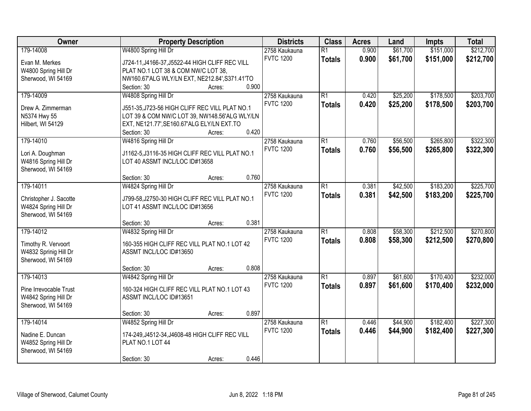| Owner                  | <b>Property Description</b>                     | <b>Districts</b>                  | <b>Class</b>    | <b>Acres</b> | Land     | <b>Impts</b> | <b>Total</b> |
|------------------------|-------------------------------------------------|-----------------------------------|-----------------|--------------|----------|--------------|--------------|
| 179-14008              | W4800 Spring Hill Dr                            | 2758 Kaukauna                     | $\overline{R1}$ | 0.900        | \$61,700 | \$151,000    | \$212,700    |
| Evan M. Merkes         | J724-11, J4166-37, J5522-44 HIGH CLIFF REC VILL | <b>FVTC 1200</b>                  | <b>Totals</b>   | 0.900        | \$61,700 | \$151,000    | \$212,700    |
| W4800 Spring Hill Dr   | PLAT NO.1 LOT 38 & COM NW/C LOT 38,             |                                   |                 |              |          |              |              |
| Sherwood, WI 54169     | NW160.67'ALG WLY/LN EXT, NE212.84', S371.41'TO  |                                   |                 |              |          |              |              |
|                        | 0.900<br>Section: 30<br>Acres:                  |                                   |                 |              |          |              |              |
| 179-14009              | W4808 Spring Hill Dr                            | 2758 Kaukauna                     | $\overline{R1}$ | 0.420        | \$25,200 | \$178,500    | \$203,700    |
| Drew A. Zimmerman      | J551-35, J723-56 HIGH CLIFF REC VILL PLAT NO.1  | <b>FVTC 1200</b>                  | <b>Totals</b>   | 0.420        | \$25,200 | \$178,500    | \$203,700    |
| N5374 Hwy 55           | LOT 39 & COM NW/C LOT 39, NW148.56'ALG WLY/LN   |                                   |                 |              |          |              |              |
| Hilbert, WI 54129      | EXT, NE121.77', SE160.67'ALG ELY/LN EXT.TO      |                                   |                 |              |          |              |              |
|                        | 0.420<br>Section: 30<br>Acres:                  |                                   |                 |              |          |              |              |
| 179-14010              | W4816 Spring Hill Dr                            | 2758 Kaukauna                     | $\overline{R1}$ | 0.760        | \$56,500 | \$265,800    | \$322,300    |
|                        |                                                 | <b>FVTC 1200</b>                  | <b>Totals</b>   | 0.760        | \$56,500 | \$265,800    | \$322,300    |
| Lori A. Doughman       | J1162-5, J3116-35 HIGH CLIFF REC VILL PLAT NO.1 |                                   |                 |              |          |              |              |
| W4816 Spring Hill Dr   | LOT 40 ASSMT INCL/LOC ID#13658                  |                                   |                 |              |          |              |              |
| Sherwood, WI 54169     |                                                 |                                   |                 |              |          |              |              |
|                        | 0.760<br>Section: 30<br>Acres:                  |                                   |                 |              |          |              |              |
| 179-14011              | W4824 Spring Hill Dr                            | 2758 Kaukauna<br><b>FVTC 1200</b> | $\overline{R1}$ | 0.381        | \$42,500 | \$183,200    | \$225,700    |
| Christopher J. Sacotte | J799-58, J2750-30 HIGH CLIFF REC VILL PLAT NO.1 |                                   | <b>Totals</b>   | 0.381        | \$42,500 | \$183,200    | \$225,700    |
| W4824 Spring Hill Dr   | LOT 41 ASSMT INCL/LOC ID#13656                  |                                   |                 |              |          |              |              |
| Sherwood, WI 54169     |                                                 |                                   |                 |              |          |              |              |
|                        | 0.381<br>Section: 30<br>Acres:                  |                                   |                 |              |          |              |              |
| 179-14012              | W4832 Spring Hill Dr                            | 2758 Kaukauna                     | $\overline{R1}$ | 0.808        | \$58,300 | \$212,500    | \$270,800    |
| Timothy R. Vervoort    | 160-355 HIGH CLIFF REC VILL PLAT NO.1 LOT 42    | <b>FVTC 1200</b>                  | <b>Totals</b>   | 0.808        | \$58,300 | \$212,500    | \$270,800    |
| W4832 Sprinig Hill Dr  | ASSMT INCL/LOC ID#13650                         |                                   |                 |              |          |              |              |
| Sherwood, WI 54169     |                                                 |                                   |                 |              |          |              |              |
|                        | 0.808<br>Section: 30<br>Acres:                  |                                   |                 |              |          |              |              |
| 179-14013              | W4842 Spring Hill Dr                            | 2758 Kaukauna                     | $\overline{R1}$ | 0.897        | \$61,600 | \$170,400    | \$232,000    |
| Pine Irrevocable Trust | 160-324 HIGH CLIFF REC VILL PLAT NO.1 LOT 43    | <b>FVTC 1200</b>                  | <b>Totals</b>   | 0.897        | \$61,600 | \$170,400    | \$232,000    |
| W4842 Spring Hill Dr   | ASSMT INCL/LOC ID#13651                         |                                   |                 |              |          |              |              |
| Sherwood, WI 54169     |                                                 |                                   |                 |              |          |              |              |
|                        | 0.897<br>Section: 30<br>Acres:                  |                                   |                 |              |          |              |              |
| 179-14014              | W4852 Spring Hill Dr                            | 2758 Kaukauna                     | $\overline{R1}$ | 0.446        | \$44,900 | \$182,400    | \$227,300    |
|                        |                                                 | <b>FVTC 1200</b>                  | <b>Totals</b>   | 0.446        | \$44,900 | \$182,400    | \$227,300    |
| Nadine E. Duncan       | 174-249, J4512-34, J4608-48 HIGH CLIFF REC VILL |                                   |                 |              |          |              |              |
| W4852 Spring Hill Dr   | PLAT NO.1 LOT 44                                |                                   |                 |              |          |              |              |
| Sherwood, WI 54169     |                                                 |                                   |                 |              |          |              |              |
|                        | 0.446<br>Section: 30<br>Acres:                  |                                   |                 |              |          |              |              |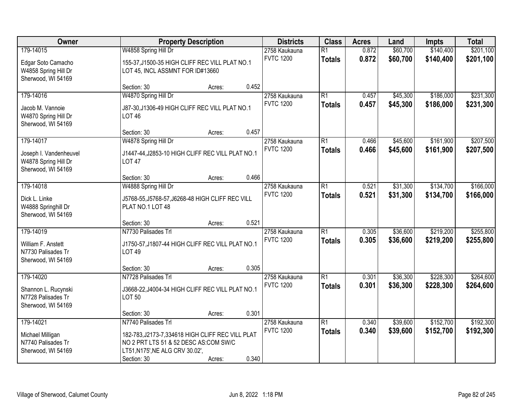| Owner                                                                             |                                                                                                                                                                     | <b>Property Description</b> |       | <b>Districts</b>                  | <b>Class</b>                     | <b>Acres</b>   | Land                 | <b>Impts</b>           | <b>Total</b>           |
|-----------------------------------------------------------------------------------|---------------------------------------------------------------------------------------------------------------------------------------------------------------------|-----------------------------|-------|-----------------------------------|----------------------------------|----------------|----------------------|------------------------|------------------------|
| 179-14015<br>Edgar Soto Camacho<br>W4858 Spring Hill Dr<br>Sherwood, WI 54169     | W4858 Spring Hill Dr<br>155-37, J1500-35 HIGH CLIFF REC VILL PLAT NO.1<br>LOT 45, INCL ASSMNT FOR ID#13660                                                          |                             |       | 2758 Kaukauna<br><b>FVTC 1200</b> | $\overline{R1}$<br><b>Totals</b> | 0.872<br>0.872 | \$60,700<br>\$60,700 | \$140,400<br>\$140,400 | \$201,100<br>\$201,100 |
|                                                                                   | Section: 30                                                                                                                                                         | Acres:                      | 0.452 |                                   |                                  |                |                      |                        |                        |
| 179-14016<br>Jacob M. Vannoie<br>W4870 Spring Hill Dr<br>Sherwood, WI 54169       | W4870 Spring Hill Dr<br>J87-30, J1306-49 HIGH CLIFF REC VILL PLAT NO.1<br><b>LOT 46</b>                                                                             |                             |       | 2758 Kaukauna<br><b>FVTC 1200</b> | $\overline{R1}$<br><b>Totals</b> | 0.457<br>0.457 | \$45,300<br>\$45,300 | \$186,000<br>\$186,000 | \$231,300<br>\$231,300 |
|                                                                                   | Section: 30                                                                                                                                                         | Acres:                      | 0.457 |                                   |                                  |                |                      |                        |                        |
| 179-14017<br>Joseph I. Vandenheuvel<br>W4878 Spring Hill Dr<br>Sherwood, WI 54169 | W4878 Spring Hill Dr<br>J1447-44, J2853-10 HIGH CLIFF REC VILL PLAT NO.1<br><b>LOT 47</b>                                                                           |                             |       | 2758 Kaukauna<br><b>FVTC 1200</b> | $\overline{R1}$<br><b>Totals</b> | 0.466<br>0.466 | \$45,600<br>\$45,600 | \$161,900<br>\$161,900 | \$207,500<br>\$207,500 |
|                                                                                   | Section: 30                                                                                                                                                         | Acres:                      | 0.466 |                                   |                                  |                |                      |                        |                        |
| 179-14018<br>Dick L. Linke<br>W4888 Springhill Dr<br>Sherwood, WI 54169           | W4888 Spring Hill Dr<br>J5768-55, J5768-57, J6268-48 HIGH CLIFF REC VILL<br>PLAT NO.1 LOT 48                                                                        |                             |       | 2758 Kaukauna<br><b>FVTC 1200</b> | $\overline{R1}$<br><b>Totals</b> | 0.521<br>0.521 | \$31,300<br>\$31,300 | \$134,700<br>\$134,700 | \$166,000<br>\$166,000 |
|                                                                                   | Section: 30                                                                                                                                                         | Acres:                      | 0.521 |                                   |                                  |                |                      |                        |                        |
| 179-14019<br>William F. Anstett<br>N7730 Palisades Tr<br>Sherwood, WI 54169       | N7730 Palisades Trl<br>J1750-57, J1807-44 HIGH CLIFF REC VILL PLAT NO.1<br><b>LOT 49</b>                                                                            |                             |       | 2758 Kaukauna<br><b>FVTC 1200</b> | $\overline{R1}$<br><b>Totals</b> | 0.305<br>0.305 | \$36,600<br>\$36,600 | \$219,200<br>\$219,200 | \$255,800<br>\$255,800 |
|                                                                                   | Section: 30                                                                                                                                                         | Acres:                      | 0.305 |                                   |                                  |                |                      |                        |                        |
| 179-14020<br>Shannon L. Rucynski<br>N7728 Palisades Tr<br>Sherwood, WI 54169      | N7728 Palisades Trl<br>J3668-22, J4004-34 HIGH CLIFF REC VILL PLAT NO.1<br><b>LOT 50</b>                                                                            |                             |       | 2758 Kaukauna<br><b>FVTC 1200</b> | $\overline{R1}$<br><b>Totals</b> | 0.301<br>0.301 | \$36,300<br>\$36,300 | \$228,300<br>\$228,300 | \$264,600<br>\$264,600 |
|                                                                                   | Section: 30                                                                                                                                                         | Acres:                      | 0.301 |                                   |                                  |                |                      |                        |                        |
| 179-14021<br>Michael Milligan<br>N7740 Palisades Tr<br>Sherwood, WI 54169         | N7740 Palisades Trl<br>182-783, J2173-7, 334618 HIGH CLIFF REC VILL PLAT<br>NO 2 PRT LTS 51 & 52 DESC AS:COM SW/C<br>LT51, N175', NE ALG CRV 30.02',<br>Section: 30 | Acres:                      | 0.340 | 2758 Kaukauna<br><b>FVTC 1200</b> | $\overline{R1}$<br><b>Totals</b> | 0.340<br>0.340 | \$39,600<br>\$39,600 | \$152,700<br>\$152,700 | \$192,300<br>\$192,300 |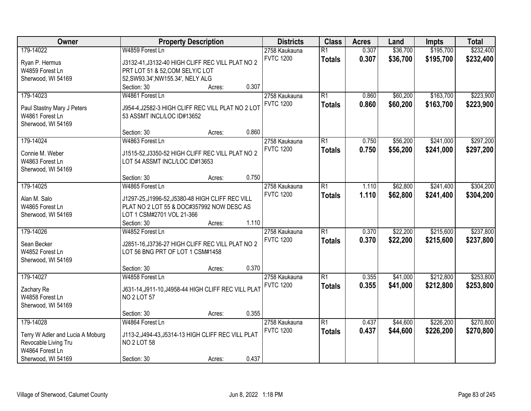| Owner                            | <b>Property Description</b>                         |                 | <b>Districts</b> | <b>Class</b>    | <b>Acres</b> | Land     | <b>Impts</b> | <b>Total</b> |
|----------------------------------|-----------------------------------------------------|-----------------|------------------|-----------------|--------------|----------|--------------|--------------|
| 179-14022                        | W4859 Forest Ln                                     |                 | 2758 Kaukauna    | $\overline{R1}$ | 0.307        | \$36,700 | \$195,700    | \$232,400    |
| Ryan P. Hermus                   | J3132-41, J3132-40 HIGH CLIFF REC VILL PLAT NO 2    |                 | <b>FVTC 1200</b> | <b>Totals</b>   | 0.307        | \$36,700 | \$195,700    | \$232,400    |
| W4859 Forest Ln                  | PRT LOT 51 & 52, COM SELY/C LOT                     |                 |                  |                 |              |          |              |              |
| Sherwood, WI 54169               | 52, SW93.34', NW155.34', NELY ALG                   |                 |                  |                 |              |          |              |              |
|                                  | Section: 30                                         | 0.307<br>Acres: |                  |                 |              |          |              |              |
| 179-14023                        | W4861 Forest Ln                                     |                 | 2758 Kaukauna    | $\overline{R1}$ | 0.860        | \$60,200 | \$163,700    | \$223,900    |
|                                  |                                                     |                 | <b>FVTC 1200</b> | <b>Totals</b>   | 0.860        | \$60,200 | \$163,700    | \$223,900    |
| Paul Stastny Mary J Peters       | J954-4, J2582-3 HIGH CLIFF REC VILL PLAT NO 2 LOT   |                 |                  |                 |              |          |              |              |
| W4861 Forest Ln                  | 53 ASSMT INCL/LOC ID#13652                          |                 |                  |                 |              |          |              |              |
| Sherwood, WI 54169               |                                                     |                 |                  |                 |              |          |              |              |
|                                  | Section: 30                                         | 0.860<br>Acres: |                  |                 |              |          |              |              |
| 179-14024                        | W4863 Forest Ln                                     |                 | 2758 Kaukauna    | $\overline{R1}$ | 0.750        | \$56,200 | \$241,000    | \$297,200    |
| Connie M. Weber                  | J1515-52, J3350-52 HIGH CLIFF REC VILL PLAT NO 2    |                 | <b>FVTC 1200</b> | <b>Totals</b>   | 0.750        | \$56,200 | \$241,000    | \$297,200    |
| W4863 Forest Ln                  | LOT 54 ASSMT INCL/LOC ID#13653                      |                 |                  |                 |              |          |              |              |
| Sherwood, WI 54169               |                                                     |                 |                  |                 |              |          |              |              |
|                                  | Section: 30                                         | 0.750<br>Acres: |                  |                 |              |          |              |              |
| 179-14025                        | W4865 Forest Ln                                     |                 | 2758 Kaukauna    | $\overline{R1}$ | 1.110        | \$62,800 | \$241,400    | \$304,200    |
|                                  |                                                     |                 | <b>FVTC 1200</b> | <b>Totals</b>   | 1.110        | \$62,800 | \$241,400    | \$304,200    |
| Alan M. Salo                     | J1297-25, J1996-52, J5380-48 HIGH CLIFF REC VILL    |                 |                  |                 |              |          |              |              |
| W4865 Forest Ln                  | PLAT NO 2 LOT 55 & DOC#357992 NOW DESC AS           |                 |                  |                 |              |          |              |              |
| Sherwood, WI 54169               | LOT 1 CSM#2701 VOL 21-366                           |                 |                  |                 |              |          |              |              |
|                                  | Section: 30                                         | 1.110<br>Acres: |                  |                 |              |          |              |              |
| 179-14026                        | W4852 Forest Ln                                     |                 | 2758 Kaukauna    | $\overline{R1}$ | 0.370        | \$22,200 | \$215,600    | \$237,800    |
| Sean Becker                      | J2851-16, J3736-27 HIGH CLIFF REC VILL PLAT NO 2    |                 | <b>FVTC 1200</b> | <b>Totals</b>   | 0.370        | \$22,200 | \$215,600    | \$237,800    |
| W4852 Forest Ln                  | LOT 56 BNG PRT OF LOT 1 CSM#1458                    |                 |                  |                 |              |          |              |              |
| Sherwood, WI 54169               |                                                     |                 |                  |                 |              |          |              |              |
|                                  | Section: 30                                         | 0.370<br>Acres: |                  |                 |              |          |              |              |
| 179-14027                        | W4858 Forest Ln                                     |                 | 2758 Kaukauna    | $\overline{R1}$ | 0.355        | \$41,000 | \$212,800    | \$253,800    |
|                                  | J631-14, J911-10, J4958-44 HIGH CLIFF REC VILL PLAT |                 | <b>FVTC 1200</b> | <b>Totals</b>   | 0.355        | \$41,000 | \$212,800    | \$253,800    |
| Zachary Re<br>W4858 Forest Ln    | <b>NO 2 LOT 57</b>                                  |                 |                  |                 |              |          |              |              |
|                                  |                                                     |                 |                  |                 |              |          |              |              |
| Sherwood, WI 54169               | Section: 30                                         | 0.355<br>Acres: |                  |                 |              |          |              |              |
| 179-14028                        | W4864 Forest Ln                                     |                 | 2758 Kaukauna    | $\overline{R1}$ | 0.437        | \$44,600 | \$226,200    | \$270,800    |
|                                  |                                                     |                 | <b>FVTC 1200</b> |                 |              |          |              |              |
| Terry W Adler and Lucia A Moburg | J113-2, J494-43, J5314-13 HIGH CLIFF REC VILL PLAT  |                 |                  | <b>Totals</b>   | 0.437        | \$44,600 | \$226,200    | \$270,800    |
| Revocable Living Tru             | <b>NO 2 LOT 58</b>                                  |                 |                  |                 |              |          |              |              |
| W4864 Forest Ln                  |                                                     |                 |                  |                 |              |          |              |              |
| Sherwood, WI 54169               | Section: 30                                         | 0.437<br>Acres: |                  |                 |              |          |              |              |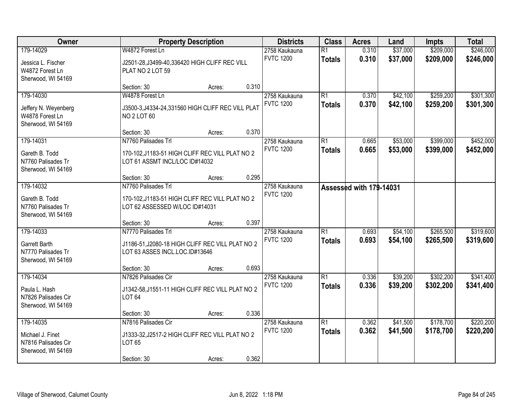| Owner                                                                      | <b>Property Description</b>                                                                                        | <b>Districts</b>                  | <b>Class</b>                     | <b>Acres</b>            | Land                 | <b>Impts</b>           | <b>Total</b>           |
|----------------------------------------------------------------------------|--------------------------------------------------------------------------------------------------------------------|-----------------------------------|----------------------------------|-------------------------|----------------------|------------------------|------------------------|
| 179-14029<br>Jessica L. Fischer<br>W4872 Forest Ln<br>Sherwood, WI 54169   | W4872 Forest Ln<br>J2501-28, J3499-40, 336420 HIGH CLIFF REC VILL<br>PLAT NO 2 LOT 59                              | 2758 Kaukauna<br><b>FVTC 1200</b> | $\overline{R1}$<br><b>Totals</b> | 0.310<br>0.310          | \$37,000<br>\$37,000 | \$209,000<br>\$209,000 | \$246,000<br>\$246,000 |
|                                                                            | 0.310<br>Section: 30<br>Acres:                                                                                     |                                   |                                  |                         |                      |                        |                        |
| 179-14030<br>Jeffery N. Weyenberg<br>W4878 Forest Ln<br>Sherwood, WI 54169 | W4878 Forest Ln<br>J3500-3, J4334-24, 331560 HIGH CLIFF REC VILL PLAT<br><b>NO 2 LOT 60</b>                        | 2758 Kaukauna<br><b>FVTC 1200</b> | $\overline{R1}$<br><b>Totals</b> | 0.370<br>0.370          | \$42,100<br>\$42,100 | \$259,200<br>\$259,200 | \$301,300<br>\$301,300 |
| 179-14031                                                                  | 0.370<br>Section: 30<br>Acres:<br>N7760 Palisades Trl                                                              | 2758 Kaukauna                     | $\overline{R1}$                  | 0.665                   | \$53,000             | \$399,000              | \$452,000              |
| Gareth B. Todd<br>N7760 Palisades Tr<br>Sherwood, WI 54169                 | 170-102, J1183-51 HIGH CLIFF REC VILL PLAT NO 2<br>LOT 61 ASSMT INCL/LOC ID#14032                                  | <b>FVTC 1200</b>                  | <b>Totals</b>                    | 0.665                   | \$53,000             | \$399,000              | \$452,000              |
|                                                                            | 0.295<br>Section: 30<br>Acres:                                                                                     |                                   |                                  |                         |                      |                        |                        |
| 179-14032<br>Gareth B. Todd<br>N7760 Palisades Tr<br>Sherwood, WI 54169    | N7760 Palisades Trl<br>170-102, J1183-51 HIGH CLIFF REC VILL PLAT NO 2<br>LOT 62 ASSESSED W/LOC ID#14031           | 2758 Kaukauna<br><b>FVTC 1200</b> |                                  | Assessed with 179-14031 |                      |                        |                        |
|                                                                            | 0.397<br>Section: 30<br>Acres:                                                                                     |                                   |                                  |                         |                      |                        |                        |
| 179-14033<br>Garrett Barth<br>N7770 Palisades Tr<br>Sherwood, WI 54169     | N7770 Palisades Trl<br>J1186-51, J2080-18 HIGH CLIFF REC VILL PLAT NO 2<br>LOT 63 ASSES INCL.LOC.ID#13646          | 2758 Kaukauna<br><b>FVTC 1200</b> | $\overline{R1}$<br><b>Totals</b> | 0.693<br>0.693          | \$54,100<br>\$54,100 | \$265,500<br>\$265,500 | \$319,600<br>\$319,600 |
|                                                                            | 0.693<br>Section: 30<br>Acres:                                                                                     |                                   |                                  |                         |                      |                        |                        |
| 179-14034<br>Paula L. Hash<br>N7826 Palisades Cir<br>Sherwood, WI 54169    | N7826 Palisades Cir<br>J1342-58, J1551-11 HIGH CLIFF REC VILL PLAT NO 2<br>LOT 64                                  | 2758 Kaukauna<br><b>FVTC 1200</b> | $\overline{R1}$<br><b>Totals</b> | 0.336<br>0.336          | \$39,200<br>\$39,200 | \$302,200<br>\$302,200 | \$341,400<br>\$341,400 |
|                                                                            | 0.336<br>Section: 30<br>Acres:                                                                                     |                                   |                                  |                         |                      |                        |                        |
| 179-14035<br>Michael J. Finet<br>N7816 Palisades Cir<br>Sherwood, WI 54169 | N7816 Palisades Cir<br>J1333-32, J2517-2 HIGH CLIFF REC VILL PLAT NO 2<br>LOT 65<br>0.362<br>Section: 30<br>Acres: | 2758 Kaukauna<br><b>FVTC 1200</b> | $\overline{R1}$<br><b>Totals</b> | 0.362<br>0.362          | \$41,500<br>\$41,500 | \$178,700<br>\$178,700 | \$220,200<br>\$220,200 |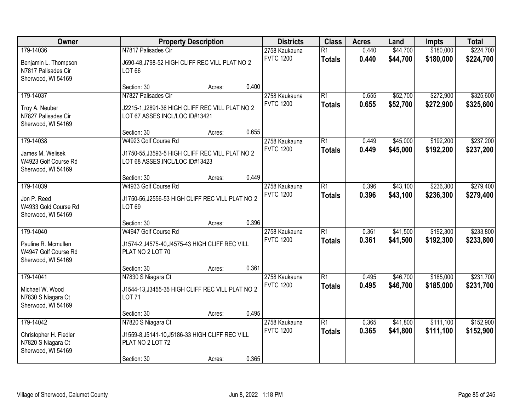| Owner                                                                           |                                                                                                           | <b>Property Description</b> |       | <b>Districts</b>                  | <b>Class</b>                     | <b>Acres</b>   | Land                 | <b>Impts</b>           | <b>Total</b>           |
|---------------------------------------------------------------------------------|-----------------------------------------------------------------------------------------------------------|-----------------------------|-------|-----------------------------------|----------------------------------|----------------|----------------------|------------------------|------------------------|
| 179-14036<br>Benjamin L. Thompson<br>N7817 Palisades Cir<br>Sherwood, WI 54169  | N7817 Palisades Cir<br>J690-48, J798-52 HIGH CLIFF REC VILL PLAT NO 2<br>LOT 66                           |                             |       | 2758 Kaukauna<br><b>FVTC 1200</b> | $\overline{R1}$<br><b>Totals</b> | 0.440<br>0.440 | \$44,700<br>\$44,700 | \$180,000<br>\$180,000 | \$224,700<br>\$224,700 |
|                                                                                 | Section: 30                                                                                               | Acres:                      | 0.400 |                                   |                                  |                |                      |                        |                        |
| 179-14037<br>Troy A. Neuber<br>N7827 Palisades Cir<br>Sherwood, WI 54169        | N7827 Palisades Cir<br>J2215-1, J2891-36 HIGH CLIFF REC VILL PLAT NO 2<br>LOT 67 ASSES INCL/LOC ID#13421  |                             |       | 2758 Kaukauna<br><b>FVTC 1200</b> | $\overline{R1}$<br><b>Totals</b> | 0.655<br>0.655 | \$52,700<br>\$52,700 | \$272,900<br>\$272,900 | \$325,600<br>\$325,600 |
|                                                                                 | Section: 30                                                                                               | Acres:                      | 0.655 |                                   |                                  |                |                      |                        |                        |
| 179-14038<br>James M. Welisek<br>W4923 Golf Course Rd<br>Sherwood, WI 54169     | W4923 Golf Course Rd<br>J1750-55, J3593-5 HIGH CLIFF REC VILL PLAT NO 2<br>LOT 68 ASSES.INCL/LOC ID#13423 |                             |       | 2758 Kaukauna<br><b>FVTC 1200</b> | $\overline{R1}$<br><b>Totals</b> | 0.449<br>0.449 | \$45,000<br>\$45,000 | \$192,200<br>\$192,200 | \$237,200<br>\$237,200 |
|                                                                                 | Section: 30                                                                                               | Acres:                      | 0.449 |                                   |                                  |                |                      |                        |                        |
| 179-14039<br>Jon P. Reed<br>W4933 Gold Course Rd<br>Sherwood, WI 54169          | W4933 Golf Course Rd<br>J1750-56, J2556-53 HIGH CLIFF REC VILL PLAT NO 2<br>LOT 69                        |                             |       | 2758 Kaukauna<br><b>FVTC 1200</b> | $\overline{R1}$<br><b>Totals</b> | 0.396<br>0.396 | \$43,100<br>\$43,100 | \$236,300<br>\$236,300 | \$279,400<br>\$279,400 |
|                                                                                 | Section: 30                                                                                               | Acres:                      | 0.396 |                                   |                                  |                |                      |                        |                        |
| 179-14040<br>Pauline R. Mcmullen<br>W4947 Golf Course Rd<br>Sherwood, WI 54169  | W4947 Golf Course Rd<br>J1574-2, J4575-40, J4575-43 HIGH CLIFF REC VILL<br>PLAT NO 2 LOT 70               |                             |       | 2758 Kaukauna<br><b>FVTC 1200</b> | $\overline{R1}$<br><b>Totals</b> | 0.361<br>0.361 | \$41,500<br>\$41,500 | \$192,300<br>\$192,300 | \$233,800<br>\$233,800 |
|                                                                                 | Section: 30                                                                                               | Acres:                      | 0.361 |                                   |                                  |                |                      |                        |                        |
| 179-14041<br>Michael W. Wood<br>N7830 S Niagara Ct<br>Sherwood, WI 54169        | N7830 S Niagara Ct<br>J1544-13, J3455-35 HIGH CLIFF REC VILL PLAT NO 2<br><b>LOT 71</b>                   |                             |       | 2758 Kaukauna<br><b>FVTC 1200</b> | $\overline{R1}$<br><b>Totals</b> | 0.495<br>0.495 | \$46,700<br>\$46,700 | \$185,000<br>\$185,000 | \$231,700<br>\$231,700 |
|                                                                                 | Section: 30                                                                                               | Acres:                      | 0.495 |                                   |                                  |                |                      |                        |                        |
| 179-14042<br>Christopher H. Fiedler<br>N7820 S Niagara Ct<br>Sherwood, WI 54169 | N7820 S Niagara Ct<br>J1559-8, J5141-10, J5186-33 HIGH CLIFF REC VILL<br>PLAT NO 2 LOT 72<br>Section: 30  | Acres:                      | 0.365 | 2758 Kaukauna<br><b>FVTC 1200</b> | $\overline{R1}$<br><b>Totals</b> | 0.365<br>0.365 | \$41,800<br>\$41,800 | \$111,100<br>\$111,100 | \$152,900<br>\$152,900 |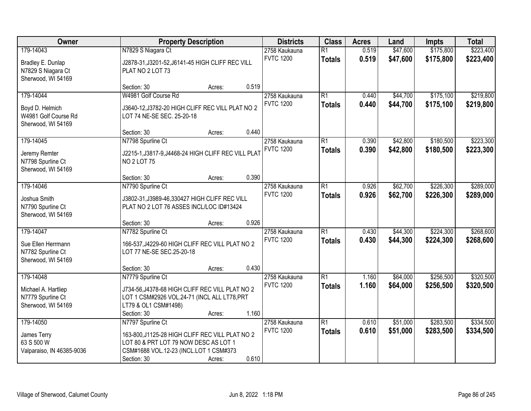| Owner                     | <b>Property Description</b>                         |        |       | <b>Districts</b> | <b>Class</b>    | <b>Acres</b> | Land     | <b>Impts</b> | <b>Total</b> |
|---------------------------|-----------------------------------------------------|--------|-------|------------------|-----------------|--------------|----------|--------------|--------------|
| 179-14043                 | N7829 S Niagara Ct                                  |        |       | 2758 Kaukauna    | $\overline{R1}$ | 0.519        | \$47,600 | \$175,800    | \$223,400    |
| Bradley E. Dunlap         | J2878-31, J3201-52, J6141-45 HIGH CLIFF REC VILL    |        |       | <b>FVTC 1200</b> | <b>Totals</b>   | 0.519        | \$47,600 | \$175,800    | \$223,400    |
| N7829 S Niagara Ct        | PLAT NO 2 LOT 73                                    |        |       |                  |                 |              |          |              |              |
| Sherwood, WI 54169        |                                                     |        |       |                  |                 |              |          |              |              |
|                           | Section: 30                                         | Acres: | 0.519 |                  |                 |              |          |              |              |
| 179-14044                 | W4981 Golf Course Rd                                |        |       | 2758 Kaukauna    | $\overline{R1}$ | 0.440        | \$44,700 | \$175,100    | \$219,800    |
| Boyd D. Helmich           | J3640-12, J3782-20 HIGH CLIFF REC VILL PLAT NO 2    |        |       | <b>FVTC 1200</b> | <b>Totals</b>   | 0.440        | \$44,700 | \$175,100    | \$219,800    |
| W4981 Golf Course Rd      | LOT 74 NE-SE SEC. 25-20-18                          |        |       |                  |                 |              |          |              |              |
| Sherwood, WI 54169        |                                                     |        |       |                  |                 |              |          |              |              |
|                           | Section: 30                                         | Acres: | 0.440 |                  |                 |              |          |              |              |
| 179-14045                 | N7798 Spurline Ct                                   |        |       | 2758 Kaukauna    | $\overline{R1}$ | 0.390        | \$42,800 | \$180,500    | \$223,300    |
| Jeremy Remter             | J2215-1, J3817-9, J4468-24 HIGH CLIFF REC VILL PLAT |        |       | <b>FVTC 1200</b> | <b>Totals</b>   | 0.390        | \$42,800 | \$180,500    | \$223,300    |
| N7798 Spurline Ct         | <b>NO 2 LOT 75</b>                                  |        |       |                  |                 |              |          |              |              |
| Sherwood, WI 54169        |                                                     |        |       |                  |                 |              |          |              |              |
|                           | Section: 30                                         | Acres: | 0.390 |                  |                 |              |          |              |              |
| 179-14046                 | N7790 Spurline Ct                                   |        |       | 2758 Kaukauna    | $\overline{R1}$ | 0.926        | \$62,700 | \$226,300    | \$289,000    |
| Joshua Smith              | J3802-31, J3989-46, 330427 HIGH CLIFF REC VILL      |        |       | <b>FVTC 1200</b> | <b>Totals</b>   | 0.926        | \$62,700 | \$226,300    | \$289,000    |
| N7790 Spurline Ct         | PLAT NO 2 LOT 76 ASSES INCL/LOC ID#13424            |        |       |                  |                 |              |          |              |              |
| Sherwood, WI 54169        |                                                     |        |       |                  |                 |              |          |              |              |
|                           | Section: 30                                         | Acres: | 0.926 |                  |                 |              |          |              |              |
| 179-14047                 | N7782 Spurline Ct                                   |        |       | 2758 Kaukauna    | $\overline{R1}$ | 0.430        | \$44,300 | \$224,300    | \$268,600    |
| Sue Ellen Herrmann        | 166-537, J4229-60 HIGH CLIFF REC VILL PLAT NO 2     |        |       | <b>FVTC 1200</b> | <b>Totals</b>   | 0.430        | \$44,300 | \$224,300    | \$268,600    |
| N7782 Spurline Ct         | LOT 77 NE-SE SEC.25-20-18                           |        |       |                  |                 |              |          |              |              |
| Sherwood, WI 54169        |                                                     |        |       |                  |                 |              |          |              |              |
|                           | Section: 30                                         | Acres: | 0.430 |                  |                 |              |          |              |              |
| 179-14048                 | N7779 Spurline Ct                                   |        |       | 2758 Kaukauna    | $\overline{R1}$ | 1.160        | \$64,000 | \$256,500    | \$320,500    |
| Michael A. Hartliep       | J734-56, J4378-68 HIGH CLIFF REC VILL PLAT NO 2     |        |       | <b>FVTC 1200</b> | <b>Totals</b>   | 1.160        | \$64,000 | \$256,500    | \$320,500    |
| N7779 Spurline Ct         | LOT 1 CSM#2926 VOL.24-71 (INCL ALL LT78, PRT        |        |       |                  |                 |              |          |              |              |
| Sherwood, WI 54169        | LT79 & OL1 CSM#1498)                                |        |       |                  |                 |              |          |              |              |
|                           | Section: 30                                         | Acres: | 1.160 |                  |                 |              |          |              |              |
| 179-14050                 | N7797 Spurline Ct                                   |        |       | 2758 Kaukauna    | $\overline{R1}$ | 0.610        | \$51,000 | \$283,500    | \$334,500    |
| James Terry               | 163-800, J1125-28 HIGH CLIFF REC VILL PLAT NO 2     |        |       | <b>FVTC 1200</b> | <b>Totals</b>   | 0.610        | \$51,000 | \$283,500    | \$334,500    |
| 63 S 500 W                | LOT 80 & PRT LOT 79 NOW DESC AS LOT 1               |        |       |                  |                 |              |          |              |              |
| Valparaiso, IN 46385-9036 | CSM#1688 VOL.12-23 (INCL.LOT 1 CSM#373              |        |       |                  |                 |              |          |              |              |
|                           | Section: 30                                         | Acres: | 0.610 |                  |                 |              |          |              |              |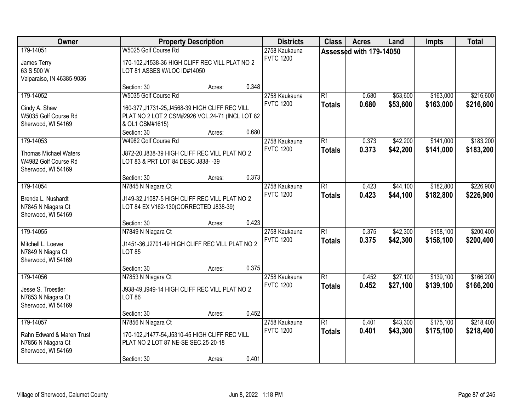| Owner                                                                                   |                                                                                                                                                              | <b>Property Description</b> |       | <b>Districts</b>                  | <b>Class</b>                     | <b>Acres</b>            | Land                 | <b>Impts</b>           | <b>Total</b>           |
|-----------------------------------------------------------------------------------------|--------------------------------------------------------------------------------------------------------------------------------------------------------------|-----------------------------|-------|-----------------------------------|----------------------------------|-------------------------|----------------------|------------------------|------------------------|
| 179-14051<br>James Terry<br>63 S 500 W<br>Valparaiso, IN 46385-9036                     | W5025 Golf Course Rd<br>170-102, J1538-36 HIGH CLIFF REC VILL PLAT NO 2<br>LOT 81 ASSES W/LOC ID#14050                                                       |                             |       | 2758 Kaukauna<br><b>FVTC 1200</b> |                                  | Assessed with 179-14050 |                      |                        |                        |
|                                                                                         | Section: 30                                                                                                                                                  | Acres:                      | 0.348 |                                   |                                  |                         |                      |                        |                        |
| 179-14052<br>Cindy A. Shaw<br>W5035 Golf Course Rd<br>Sherwood, WI 54169                | W5035 Golf Course Rd<br>160-377, J1731-25, J4568-39 HIGH CLIFF REC VILL<br>PLAT NO 2 LOT 2 CSM#2926 VOL.24-71 (INCL LOT 82<br>& OL1 CSM#1615)<br>Section: 30 | Acres:                      | 0.680 | 2758 Kaukauna<br><b>FVTC 1200</b> | $\overline{R1}$<br><b>Totals</b> | 0.680<br>0.680          | \$53,600<br>\$53,600 | \$163,000<br>\$163,000 | \$216,600<br>\$216,600 |
| 179-14053<br><b>Thomas Michael Waters</b><br>W4982 Golf Course Rd<br>Sherwood, WI 54169 | W4982 Golf Course Rd<br>J872-20, J838-39 HIGH CLIFF REC VILL PLAT NO 2<br>LOT 83 & PRT LOT 84 DESC J838-39                                                   |                             |       | 2758 Kaukauna<br><b>FVTC 1200</b> | $\overline{R1}$<br><b>Totals</b> | 0.373<br>0.373          | \$42,200<br>\$42,200 | \$141,000<br>\$141,000 | \$183,200<br>\$183,200 |
|                                                                                         | Section: 30                                                                                                                                                  | Acres:                      | 0.373 |                                   |                                  |                         |                      |                        |                        |
| 179-14054<br>Brenda L. Nushardt<br>N7845 N Niagara Ct<br>Sherwood, WI 54169             | N7845 N Niagara Ct<br>J149-32, J1087-5 HIGH CLIFF REC VILL PLAT NO 2<br>LOT 84 EX V162-130(CORRECTED J838-39)                                                |                             |       | 2758 Kaukauna<br><b>FVTC 1200</b> | $\overline{R1}$<br><b>Totals</b> | 0.423<br>0.423          | \$44,100<br>\$44,100 | \$182,800<br>\$182,800 | \$226,900<br>\$226,900 |
|                                                                                         | Section: 30                                                                                                                                                  | Acres:                      | 0.423 |                                   |                                  |                         |                      |                        |                        |
| 179-14055<br>Mitchell L. Loewe<br>N7849 N Niagra Ct<br>Sherwood, WI 54169               | N7849 N Niagara Ct<br>J1451-36, J2701-49 HIGH CLIFF REC VILL PLAT NO 2<br><b>LOT 85</b>                                                                      |                             |       | 2758 Kaukauna<br><b>FVTC 1200</b> | $\overline{R1}$<br><b>Totals</b> | 0.375<br>0.375          | \$42,300<br>\$42,300 | \$158,100<br>\$158,100 | \$200,400<br>\$200,400 |
|                                                                                         | Section: 30                                                                                                                                                  | Acres:                      | 0.375 |                                   |                                  |                         |                      |                        |                        |
| 179-14056<br>Jesse S. Troestler<br>N7853 N Niagara Ct<br>Sherwood, WI 54169             | N7853 N Niagara Ct<br>J938-49, J949-14 HIGH CLIFF REC VILL PLAT NO 2<br><b>LOT 86</b>                                                                        |                             |       | 2758 Kaukauna<br><b>FVTC 1200</b> | $\overline{R1}$<br><b>Totals</b> | 0.452<br>0.452          | \$27,100<br>\$27,100 | \$139,100<br>\$139,100 | \$166,200<br>\$166,200 |
|                                                                                         | Section: 30                                                                                                                                                  | Acres:                      | 0.452 |                                   |                                  |                         |                      |                        |                        |
| 179-14057<br>Rahn Edward & Maren Trust<br>N7856 N Niagara Ct<br>Sherwood, WI 54169      | N7856 N Niagara Ct<br>170-102, J1477-54, J5310-45 HIGH CLIFF REC VILL<br>PLAT NO 2 LOT 87 NE-SE SEC.25-20-18<br>Section: 30                                  | Acres:                      | 0.401 | 2758 Kaukauna<br><b>FVTC 1200</b> | $\overline{R1}$<br><b>Totals</b> | 0.401<br>0.401          | \$43,300<br>\$43,300 | \$175,100<br>\$175,100 | \$218,400<br>\$218,400 |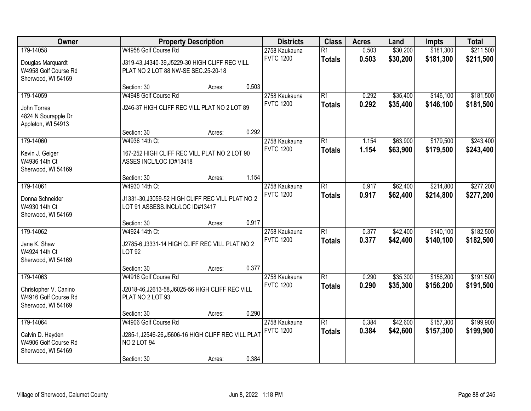| Owner                                                               |                                                                                          | <b>Property Description</b> |       | <b>Districts</b>                  | <b>Class</b>                     | <b>Acres</b>   | Land                 | <b>Impts</b>           | <b>Total</b>           |
|---------------------------------------------------------------------|------------------------------------------------------------------------------------------|-----------------------------|-------|-----------------------------------|----------------------------------|----------------|----------------------|------------------------|------------------------|
| 179-14058                                                           | W4958 Golf Course Rd                                                                     |                             |       | 2758 Kaukauna<br><b>FVTC 1200</b> | $\overline{R1}$<br><b>Totals</b> | 0.503<br>0.503 | \$30,200<br>\$30,200 | \$181,300<br>\$181,300 | \$211,500<br>\$211,500 |
| Douglas Marquardt<br>W4958 Golf Course Rd<br>Sherwood, WI 54169     | J319-43, J4340-39, J5229-30 HIGH CLIFF REC VILL<br>PLAT NO 2 LOT 88 NW-SE SEC.25-20-18   |                             |       |                                   |                                  |                |                      |                        |                        |
|                                                                     | Section: 30                                                                              | Acres:                      | 0.503 |                                   |                                  |                |                      |                        |                        |
| 179-14059                                                           | W4948 Golf Course Rd                                                                     |                             |       | 2758 Kaukauna                     | $\overline{R1}$                  | 0.292          | \$35,400             | \$146,100              | \$181,500              |
| John Torres<br>4824 N Sourapple Dr<br>Appleton, WI 54913            | J246-37 HIGH CLIFF REC VILL PLAT NO 2 LOT 89                                             |                             |       | <b>FVTC 1200</b>                  | <b>Totals</b>                    | 0.292          | \$35,400             | \$146,100              | \$181,500              |
|                                                                     | Section: 30                                                                              | Acres:                      | 0.292 |                                   |                                  |                |                      |                        |                        |
| 179-14060                                                           | W4936 14th Ct                                                                            |                             |       | 2758 Kaukauna                     | $\overline{R1}$                  | 1.154          | \$63,900             | \$179,500              | \$243,400              |
| Kevin J. Geiger<br>W4936 14th Ct<br>Sherwood, WI 54169              | 167-252 HIGH CLIFF REC VILL PLAT NO 2 LOT 90<br>ASSES INCL/LOC ID#13418                  |                             |       | <b>FVTC 1200</b>                  | <b>Totals</b>                    | 1.154          | \$63,900             | \$179,500              | \$243,400              |
|                                                                     | Section: 30                                                                              | Acres:                      | 1.154 |                                   |                                  |                |                      |                        |                        |
| 179-14061                                                           | W4930 14th Ct                                                                            |                             |       | 2758 Kaukauna                     | $\overline{R1}$                  | 0.917          | \$62,400             | \$214,800              | \$277,200              |
| Donna Schneider<br>W4930 14th Ct<br>Sherwood, WI 54169              | J1331-30, J3059-52 HIGH CLIFF REC VILL PLAT NO 2<br>LOT 91 ASSESS.INCL/LOC ID#13417      |                             |       | <b>FVTC 1200</b>                  | <b>Totals</b>                    | 0.917          | \$62,400             | \$214,800              | \$277,200              |
|                                                                     | Section: 30                                                                              | Acres:                      | 0.917 |                                   |                                  |                |                      |                        |                        |
| 179-14062                                                           | W4924 14th Ct                                                                            |                             |       | 2758 Kaukauna                     | $\overline{R1}$                  | 0.377          | \$42,400             | \$140,100              | \$182,500              |
| Jane K. Shaw<br>W4924 14th Ct<br>Sherwood, WI 54169                 | J2785-6, J3331-14 HIGH CLIFF REC VILL PLAT NO 2<br><b>LOT 92</b>                         |                             |       | <b>FVTC 1200</b>                  | <b>Totals</b>                    | 0.377          | \$42,400             | \$140,100              | \$182,500              |
|                                                                     | Section: 30                                                                              | Acres:                      | 0.377 |                                   |                                  |                |                      |                        |                        |
| 179-14063                                                           | W4916 Golf Course Rd                                                                     |                             |       | 2758 Kaukauna                     | $\overline{R1}$                  | 0.290          | \$35,300             | \$156,200              | \$191,500              |
| Christopher V. Canino<br>W4916 Golf Course Rd<br>Sherwood, WI 54169 | J2018-46, J2613-58, J6025-56 HIGH CLIFF REC VILL<br>PLAT NO 2 LOT 93                     |                             |       | <b>FVTC 1200</b>                  | <b>Totals</b>                    | 0.290          | \$35,300             | \$156,200              | \$191,500              |
|                                                                     | Section: 30                                                                              | Acres:                      | 0.290 |                                   |                                  |                |                      |                        |                        |
| 179-14064                                                           | W4906 Golf Course Rd                                                                     |                             |       | 2758 Kaukauna                     | $\overline{R1}$                  | 0.384          | \$42,600             | \$157,300              | \$199,900              |
| Calvin D. Hayden<br>W4906 Golf Course Rd<br>Sherwood, WI 54169      | J285-1, J2546-26, J5606-16 HIGH CLIFF REC VILL PLAT<br>NO <sub>2</sub> LOT <sub>94</sub> |                             |       | <b>FVTC 1200</b>                  | <b>Totals</b>                    | 0.384          | \$42,600             | \$157,300              | \$199,900              |
|                                                                     | Section: 30                                                                              | Acres:                      | 0.384 |                                   |                                  |                |                      |                        |                        |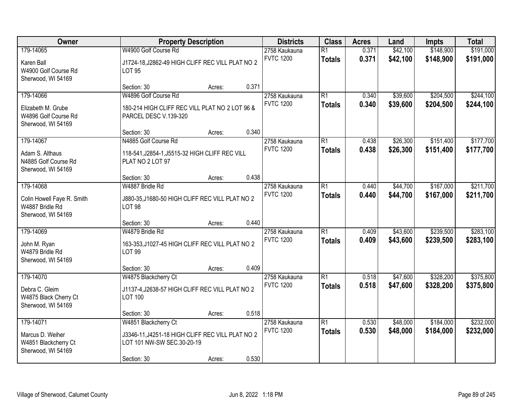| Owner                                                               |                                                                                | <b>Property Description</b> |       | <b>Districts</b>                  | <b>Class</b>                     | <b>Acres</b>   | Land                 | <b>Impts</b>           | <b>Total</b>           |
|---------------------------------------------------------------------|--------------------------------------------------------------------------------|-----------------------------|-------|-----------------------------------|----------------------------------|----------------|----------------------|------------------------|------------------------|
| 179-14065<br>Karen Ball                                             | W4900 Golf Course Rd<br>J1724-18, J2862-49 HIGH CLIFF REC VILL PLAT NO 2       |                             |       | 2758 Kaukauna<br><b>FVTC 1200</b> | $\overline{R1}$<br><b>Totals</b> | 0.371<br>0.371 | \$42,100<br>\$42,100 | \$148,900<br>\$148,900 | \$191,000<br>\$191,000 |
| W4900 Golf Course Rd<br>Sherwood, WI 54169                          | <b>LOT 95</b><br>Section: 30                                                   | Acres:                      | 0.371 |                                   |                                  |                |                      |                        |                        |
| 179-14066                                                           | W4896 Golf Course Rd                                                           |                             |       | 2758 Kaukauna                     | $\overline{R1}$                  | 0.340          | \$39,600             | \$204,500              | \$244,100              |
| Elizabeth M. Grube<br>W4896 Golf Course Rd<br>Sherwood, WI 54169    | 180-214 HIGH CLIFF REC VILL PLAT NO 2 LOT 96 &<br>PARCEL DESC V.139-320        |                             |       | <b>FVTC 1200</b>                  | <b>Totals</b>                    | 0.340          | \$39,600             | \$204,500              | \$244,100              |
|                                                                     | Section: 30                                                                    | Acres:                      | 0.340 |                                   |                                  |                |                      |                        |                        |
| 179-14067                                                           | N4885 Golf Course Rd                                                           |                             |       | 2758 Kaukauna                     | $\overline{R1}$                  | 0.438          | \$26,300             | \$151,400              | \$177,700              |
| Adam S. Althaus<br>N4885 Golf Course Rd<br>Sherwood, WI 54169       | 118-541, J2854-1, J5515-32 HIGH CLIFF REC VILL<br>PLAT NO 2 LOT 97             |                             |       | <b>FVTC 1200</b>                  | <b>Totals</b>                    | 0.438          | \$26,300             | \$151,400              | \$177,700              |
|                                                                     | Section: 30                                                                    | Acres:                      | 0.438 |                                   |                                  |                |                      |                        |                        |
| 179-14068                                                           | W4887 Bridle Rd                                                                |                             |       | 2758 Kaukauna                     | $\overline{R1}$                  | 0.440          | \$44,700             | \$167,000              | \$211,700              |
| Colin Howell Faye R. Smith<br>W4887 Bridle Rd<br>Sherwood, WI 54169 | J880-35, J1680-50 HIGH CLIFF REC VILL PLAT NO 2<br><b>LOT 98</b>               |                             |       | <b>FVTC 1200</b>                  | <b>Totals</b>                    | 0.440          | \$44,700             | \$167,000              | \$211,700              |
|                                                                     | Section: 30                                                                    | Acres:                      | 0.440 |                                   |                                  |                |                      |                        |                        |
| 179-14069                                                           | W4879 Bridle Rd                                                                |                             |       | 2758 Kaukauna                     | $\overline{R1}$                  | 0.409          | \$43,600             | \$239,500              | \$283,100              |
| John M. Ryan<br>W4879 Bridle Rd<br>Sherwood, WI 54169               | 163-353, J1027-45 HIGH CLIFF REC VILL PLAT NO 2<br><b>LOT 99</b>               |                             |       | <b>FVTC 1200</b>                  | <b>Totals</b>                    | 0.409          | \$43,600             | \$239,500              | \$283,100              |
|                                                                     | Section: 30                                                                    | Acres:                      | 0.409 |                                   |                                  |                |                      |                        |                        |
| 179-14070                                                           | W4875 Blackcherry Ct                                                           |                             |       | 2758 Kaukauna                     | $\overline{R1}$                  | 0.518          | \$47,600             | \$328,200              | \$375,800              |
| Debra C. Gleim<br>W4875 Black Cherry Ct<br>Sherwood, WI 54169       | J1137-4, J2638-57 HIGH CLIFF REC VILL PLAT NO 2<br><b>LOT 100</b>              |                             |       | <b>FVTC 1200</b>                  | <b>Totals</b>                    | 0.518          | \$47,600             | \$328,200              | \$375,800              |
|                                                                     | Section: 30                                                                    | Acres:                      | 0.518 |                                   |                                  |                |                      |                        |                        |
| 179-14071                                                           | W4851 Blackcherry Ct                                                           |                             |       | 2758 Kaukauna                     | $\overline{R1}$                  | 0.530          | \$48,000             | \$184,000              | \$232,000              |
| Marcus D. Weiher<br>W4851 Blackcherry Ct<br>Sherwood, WI 54169      | J3346-11, J4251-18 HIGH CLIFF REC VILL PLAT NO 2<br>LOT 101 NW-SW SEC.30-20-19 |                             |       | <b>FVTC 1200</b>                  | <b>Totals</b>                    | 0.530          | \$48,000             | \$184,000              | \$232,000              |
|                                                                     | Section: 30                                                                    | Acres:                      | 0.530 |                                   |                                  |                |                      |                        |                        |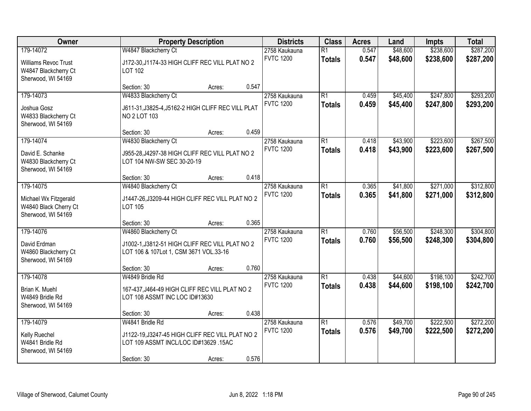| Owner                                                                                  |                                                                                                                             | <b>Property Description</b> |       | <b>Districts</b>                  | <b>Class</b>                     | <b>Acres</b>   | Land                 | <b>Impts</b>           | <b>Total</b>           |
|----------------------------------------------------------------------------------------|-----------------------------------------------------------------------------------------------------------------------------|-----------------------------|-------|-----------------------------------|----------------------------------|----------------|----------------------|------------------------|------------------------|
| 179-14072<br><b>Williams Revoc Trust</b><br>W4847 Blackcherry Ct<br>Sherwood, WI 54169 | W4847 Blackcherry Ct<br>J172-30, J1174-33 HIGH CLIFF REC VILL PLAT NO 2<br>LOT 102                                          |                             |       | 2758 Kaukauna<br><b>FVTC 1200</b> | $\overline{R1}$<br><b>Totals</b> | 0.547<br>0.547 | \$48,600<br>\$48,600 | \$238,600<br>\$238,600 | \$287,200<br>\$287,200 |
|                                                                                        | Section: 30                                                                                                                 | Acres:                      | 0.547 |                                   |                                  |                |                      |                        |                        |
| 179-14073<br>Joshua Gosz<br>W4833 Blackcherry Ct<br>Sherwood, WI 54169                 | W4833 Blackcherry Ct<br>J611-31, J3825-4, J5162-2 HIGH CLIFF REC VILL PLAT<br><b>NO 2 LOT 103</b>                           |                             |       | 2758 Kaukauna<br><b>FVTC 1200</b> | $\overline{R1}$<br><b>Totals</b> | 0.459<br>0.459 | \$45,400<br>\$45,400 | \$247,800<br>\$247,800 | \$293,200<br>\$293,200 |
|                                                                                        | Section: 30                                                                                                                 | Acres:                      | 0.459 |                                   |                                  |                |                      |                        |                        |
| 179-14074<br>David E. Schanke<br>W4830 Blackcherry Ct<br>Sherwood, WI 54169            | W4830 Blackcherry Ct<br>J955-28, J4297-38 HIGH CLIFF REC VILL PLAT NO 2<br>LOT 104 NW-SW SEC 30-20-19                       |                             |       | 2758 Kaukauna<br><b>FVTC 1200</b> | $\overline{R1}$<br><b>Totals</b> | 0.418<br>0.418 | \$43,900<br>\$43,900 | \$223,600<br>\$223,600 | \$267,500<br>\$267,500 |
|                                                                                        | Section: 30                                                                                                                 | Acres:                      | 0.418 |                                   |                                  |                |                      |                        |                        |
| 179-14075<br>Michael Wx Fitzgerald<br>W4840 Black Cherry Ct<br>Sherwood, WI 54169      | W4840 Blackcherry Ct<br>J1447-26, J3209-44 HIGH CLIFF REC VILL PLAT NO 2<br><b>LOT 105</b>                                  |                             |       | 2758 Kaukauna<br><b>FVTC 1200</b> | $\overline{R1}$<br><b>Totals</b> | 0.365<br>0.365 | \$41,800<br>\$41,800 | \$271,000<br>\$271,000 | \$312,800<br>\$312,800 |
|                                                                                        | Section: 30                                                                                                                 | Acres:                      | 0.365 |                                   |                                  |                |                      |                        |                        |
| 179-14076<br>David Erdman<br>W4860 Blackcherry Ct<br>Sherwood, WI 54169                | W4860 Blackcherry Ct<br>J1002-1, J3812-51 HIGH CLIFF REC VILL PLAT NO 2<br>LOT 106 & 107Lot 1, CSM 3671 VOL.33-16           |                             |       | 2758 Kaukauna<br><b>FVTC 1200</b> | $\overline{R1}$<br><b>Totals</b> | 0.760<br>0.760 | \$56,500<br>\$56,500 | \$248,300<br>\$248,300 | \$304,800<br>\$304,800 |
|                                                                                        | Section: 30                                                                                                                 | Acres:                      | 0.760 |                                   |                                  |                |                      |                        |                        |
| 179-14078<br>Brian K. Muehl<br>W4849 Bridle Rd<br>Sherwood, WI 54169                   | W4849 Bridle Rd<br>167-437, J464-49 HIGH CLIFF REC VILL PLAT NO 2<br>LOT 108 ASSMT INC LOC ID#13630                         |                             |       | 2758 Kaukauna<br><b>FVTC 1200</b> | $\overline{R1}$<br><b>Totals</b> | 0.438<br>0.438 | \$44,600<br>\$44,600 | \$198,100<br>\$198,100 | \$242,700<br>\$242,700 |
|                                                                                        | Section: 30                                                                                                                 | Acres:                      | 0.438 |                                   |                                  |                |                      |                        |                        |
| 179-14079<br>Kelly Ruechel<br>W4841 Bridle Rd<br>Sherwood, WI 54169                    | W4841 Bridle Rd<br>J1122-19, J3247-45 HIGH CLIFF REC VILL PLAT NO 2<br>LOT 109 ASSMT INCL/LOC ID#13629 .15AC<br>Section: 30 | Acres:                      | 0.576 | 2758 Kaukauna<br><b>FVTC 1200</b> | $\overline{R1}$<br><b>Totals</b> | 0.576<br>0.576 | \$49,700<br>\$49,700 | \$222,500<br>\$222,500 | \$272,200<br>\$272,200 |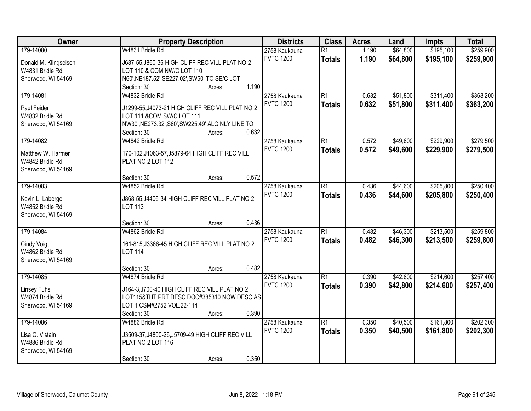| Owner                               | <b>Property Description</b>                                       | <b>Districts</b> | <b>Class</b>    | <b>Acres</b> | Land     | <b>Impts</b> | <b>Total</b> |
|-------------------------------------|-------------------------------------------------------------------|------------------|-----------------|--------------|----------|--------------|--------------|
| 179-14080                           | W4831 Bridle Rd                                                   | 2758 Kaukauna    | $\overline{R1}$ | 1.190        | \$64,800 | \$195,100    | \$259,900    |
| Donald M. Klingseisen               | J687-55, J860-36 HIGH CLIFF REC VILL PLAT NO 2                    | <b>FVTC 1200</b> | <b>Totals</b>   | 1.190        | \$64,800 | \$195,100    | \$259,900    |
| W4831 Bridle Rd                     | LOT 110 & COM NW/C LOT 110                                        |                  |                 |              |          |              |              |
| Sherwood, WI 54169                  | N60', NE187.52', SE227.02', SW50' TO SE/C LOT                     |                  |                 |              |          |              |              |
|                                     | 1.190<br>Section: 30<br>Acres:                                    |                  |                 |              |          |              |              |
| 179-14081                           | W4832 Bridle Rd                                                   | 2758 Kaukauna    | $\overline{R1}$ | 0.632        | \$51,800 | \$311,400    | \$363,200    |
|                                     |                                                                   | <b>FVTC 1200</b> | <b>Totals</b>   | 0.632        | \$51,800 | \$311,400    | \$363,200    |
| Paul Feider                         | J1299-55, J4073-21 HIGH CLIFF REC VILL PLAT NO 2                  |                  |                 |              |          |              |              |
| W4832 Bridle Rd                     | LOT 111 &COM SW/C LOT 111                                         |                  |                 |              |          |              |              |
| Sherwood, WI 54169                  | NW30', NE273.32', S60', SW225.49' ALG NLY LINE TO                 |                  |                 |              |          |              |              |
|                                     | 0.632<br>Section: 30<br>Acres:                                    |                  |                 |              |          |              |              |
| 179-14082                           | W4842 Bridle Rd                                                   | 2758 Kaukauna    | $\overline{R1}$ | 0.572        | \$49,600 | \$229,900    | \$279,500    |
| Matthew W. Harmer                   | 170-102, J1063-57, J5879-64 HIGH CLIFF REC VILL                   | <b>FVTC 1200</b> | <b>Totals</b>   | 0.572        | \$49,600 | \$229,900    | \$279,500    |
| W4842 Bridle Rd                     | PLAT NO 2 LOT 112                                                 |                  |                 |              |          |              |              |
| Sherwood, WI 54169                  |                                                                   |                  |                 |              |          |              |              |
|                                     | 0.572<br>Section: 30<br>Acres:                                    |                  |                 |              |          |              |              |
| 179-14083                           | W4852 Bridle Rd                                                   | 2758 Kaukauna    | $\overline{R1}$ | 0.436        | \$44,600 | \$205,800    | \$250,400    |
|                                     |                                                                   | <b>FVTC 1200</b> | <b>Totals</b>   | 0.436        | \$44,600 | \$205,800    | \$250,400    |
| Kevin L. Laberge<br>W4852 Bridle Rd | J868-55, J4406-34 HIGH CLIFF REC VILL PLAT NO 2<br><b>LOT 113</b> |                  |                 |              |          |              |              |
| Sherwood, WI 54169                  |                                                                   |                  |                 |              |          |              |              |
|                                     | 0.436<br>Section: 30                                              |                  |                 |              |          |              |              |
| 179-14084                           | Acres:<br>W4862 Bridle Rd                                         | 2758 Kaukauna    | $\overline{R1}$ | 0.482        | \$46,300 | \$213,500    | \$259,800    |
|                                     |                                                                   | <b>FVTC 1200</b> |                 |              |          |              |              |
| Cindy Voigt                         | 161-815, J3366-45 HIGH CLIFF REC VILL PLAT NO 2                   |                  | <b>Totals</b>   | 0.482        | \$46,300 | \$213,500    | \$259,800    |
| W4862 Bridle Rd                     | <b>LOT 114</b>                                                    |                  |                 |              |          |              |              |
| Sherwood, WI 54169                  |                                                                   |                  |                 |              |          |              |              |
|                                     | 0.482<br>Section: 30<br>Acres:                                    |                  |                 |              |          |              |              |
| 179-14085                           | W4874 Bridle Rd                                                   | 2758 Kaukauna    | $\overline{R1}$ | 0.390        | \$42,800 | \$214,600    | \$257,400    |
| Linsey Fuhs                         | J164-3, J700-40 HIGH CLIFF REC VILL PLAT NO 2                     | <b>FVTC 1200</b> | <b>Totals</b>   | 0.390        | \$42,800 | \$214,600    | \$257,400    |
| W4874 Bridle Rd                     | LOT115&THT PRT DESC DOC#385310 NOW DESC AS                        |                  |                 |              |          |              |              |
| Sherwood, WI 54169                  | LOT 1 CSM#2752 VOL.22-114                                         |                  |                 |              |          |              |              |
|                                     | 0.390<br>Section: 30<br>Acres:                                    |                  |                 |              |          |              |              |
| 179-14086                           | W4886 Bridle Rd                                                   | 2758 Kaukauna    | $\overline{R1}$ | 0.350        | \$40,500 | \$161,800    | \$202,300    |
|                                     |                                                                   | <b>FVTC 1200</b> | <b>Totals</b>   | 0.350        | \$40,500 | \$161,800    | \$202,300    |
| Lisa C. Vistain                     | J3509-37, J4800-26, J5709-49 HIGH CLIFF REC VILL                  |                  |                 |              |          |              |              |
| W4886 Bridle Rd                     | PLAT NO 2 LOT 116                                                 |                  |                 |              |          |              |              |
| Sherwood, WI 54169                  |                                                                   |                  |                 |              |          |              |              |
|                                     | 0.350<br>Section: 30<br>Acres:                                    |                  |                 |              |          |              |              |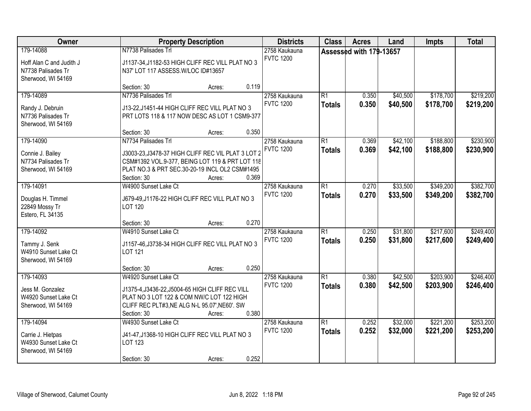| Owner                                                                             | <b>Property Description</b>                                                                                                                                                      |       | <b>Districts</b>                  | <b>Class</b>                     | <b>Acres</b>            | Land                 | <b>Impts</b>           | <b>Total</b>           |
|-----------------------------------------------------------------------------------|----------------------------------------------------------------------------------------------------------------------------------------------------------------------------------|-------|-----------------------------------|----------------------------------|-------------------------|----------------------|------------------------|------------------------|
| 179-14088<br>Hoff Alan C and Judith J<br>N7738 Palisades Tr<br>Sherwood, WI 54169 | N7738 Palisades Trl<br>J1137-34, J1182-53 HIGH CLIFF REC VILL PLAT NO 3<br>N37' LOT 117 ASSESS.W/LOC ID#13657                                                                    |       | 2758 Kaukauna<br><b>FVTC 1200</b> |                                  | Assessed with 179-13657 |                      |                        |                        |
|                                                                                   | Section: 30<br>Acres:                                                                                                                                                            | 0.119 |                                   |                                  |                         |                      |                        |                        |
| 179-14089<br>Randy J. Debruin<br>N7736 Palisades Tr<br>Sherwood, WI 54169         | N7736 Palisades Trl<br>J13-22, J1451-44 HIGH CLIFF REC VILL PLAT NO 3<br>PRT LOTS 118 & 117 NOW DESC AS LOT 1 CSM9-377<br>Section: 30<br>Acres:                                  | 0.350 | 2758 Kaukauna<br><b>FVTC 1200</b> | $\overline{R1}$<br><b>Totals</b> | 0.350<br>0.350          | \$40,500<br>\$40,500 | \$178,700<br>\$178,700 | \$219,200<br>\$219,200 |
| 179-14090                                                                         | N7734 Palisades Trl                                                                                                                                                              |       | 2758 Kaukauna                     | R1                               | 0.369                   | \$42,100             | \$188,800              | \$230,900              |
| Connie J. Bailey<br>N7734 Palisades Tr<br>Sherwood, WI 54169                      | J3003-23, J3478-37 HIGH CLIFF REC VIL PLAT 3 LOT 2<br>CSM#1392 VOL.9-377, BEING LOT 119 & PRT LOT 118<br>PLAT NO.3 & PRT SEC.30-20-19 INCL OL2 CSM#1495<br>Section: 30<br>Acres: | 0.369 | <b>FVTC 1200</b>                  | <b>Totals</b>                    | 0.369                   | \$42,100             | \$188,800              | \$230,900              |
| 179-14091                                                                         | W4900 Sunset Lake Ct                                                                                                                                                             |       | 2758 Kaukauna                     | $\overline{R1}$                  | 0.270                   | \$33,500             | \$349,200              | \$382,700              |
| Douglas H. Timmel<br>22849 Mossy Tr<br>Estero, FL 34135                           | J679-49, J1176-22 HIGH CLIFF REC VILL PLAT NO 3<br><b>LOT 120</b>                                                                                                                |       | <b>FVTC 1200</b>                  | <b>Totals</b>                    | 0.270                   | \$33,500             | \$349,200              | \$382,700              |
|                                                                                   | Section: 30<br>Acres:                                                                                                                                                            | 0.270 |                                   |                                  |                         |                      |                        |                        |
| 179-14092<br>Tammy J. Senk<br>W4910 Sunset Lake Ct<br>Sherwood, WI 54169          | W4910 Sunset Lake Ct<br>J1157-46, J3738-34 HIGH CLIFF REC VILL PLAT NO 3<br><b>LOT 121</b><br>Section: 30<br>Acres:                                                              | 0.250 | 2758 Kaukauna<br><b>FVTC 1200</b> | $\overline{R1}$<br><b>Totals</b> | 0.250<br>0.250          | \$31,800<br>\$31,800 | \$217,600<br>\$217,600 | \$249,400<br>\$249,400 |
| 179-14093                                                                         | W4920 Sunset Lake Ct                                                                                                                                                             |       | 2758 Kaukauna                     | $\overline{R1}$                  | 0.380                   | \$42,500             | \$203,900              | \$246,400              |
| Jess M. Gonzalez<br>W4920 Sunset Lake Ct<br>Sherwood, WI 54169                    | J1375-4, J3436-22, J5004-65 HIGH CLIFF REC VILL<br>PLAT NO 3 LOT 122 & COM NW/C LOT 122 HIGH<br>CLIFF REC PLT#3, NE ALG N-L 95.07', NE60'. SW<br>Section: 30<br>Acres:           | 0.380 | <b>FVTC 1200</b>                  | <b>Totals</b>                    | 0.380                   | \$42,500             | \$203,900              | \$246,400              |
| 179-14094                                                                         | W4930 Sunset Lake Ct                                                                                                                                                             |       | 2758 Kaukauna                     | $\overline{R1}$                  | 0.252                   | \$32,000             | \$221,200              | \$253,200              |
| Carrie J. Hietpas<br>W4930 Sunset Lake Ct<br>Sherwood, WI 54169                   | J41-47, J1368-10 HIGH CLIFF REC VILL PLAT NO 3<br>LOT 123<br>Section: 30                                                                                                         | 0.252 | <b>FVTC 1200</b>                  | <b>Totals</b>                    | 0.252                   | \$32,000             | \$221,200              | \$253,200              |
|                                                                                   | Acres:                                                                                                                                                                           |       |                                   |                                  |                         |                      |                        |                        |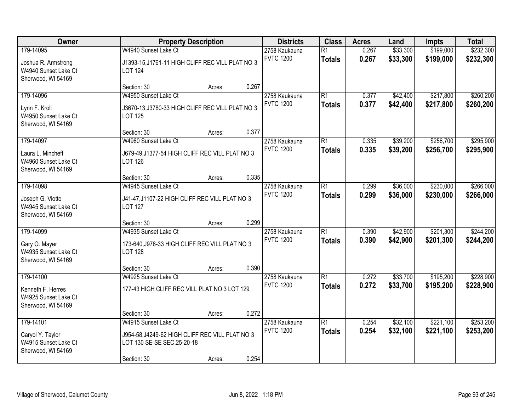| Owner                                                           |                                                                               | <b>Property Description</b> |       | <b>Districts</b>                  | <b>Class</b>                     | <b>Acres</b>   | Land                 | <b>Impts</b>           | <b>Total</b>           |
|-----------------------------------------------------------------|-------------------------------------------------------------------------------|-----------------------------|-------|-----------------------------------|----------------------------------|----------------|----------------------|------------------------|------------------------|
| 179-14095<br>Joshua R. Armstrong                                | W4940 Sunset Lake Ct<br>J1393-15, J1761-11 HIGH CLIFF REC VILL PLAT NO 3      |                             |       | 2758 Kaukauna<br><b>FVTC 1200</b> | $\overline{R1}$<br><b>Totals</b> | 0.267<br>0.267 | \$33,300<br>\$33,300 | \$199,000<br>\$199,000 | \$232,300<br>\$232,300 |
| W4940 Sunset Lake Ct<br>Sherwood, WI 54169                      | <b>LOT 124</b>                                                                |                             |       |                                   |                                  |                |                      |                        |                        |
|                                                                 | Section: 30                                                                   | Acres:                      | 0.267 |                                   |                                  |                |                      |                        |                        |
| 179-14096                                                       | W4950 Sunset Lake Ct                                                          |                             |       | 2758 Kaukauna                     | $\overline{R1}$                  | 0.377          | \$42,400             | \$217,800              | \$260,200              |
| Lynn F. Kroll<br>W4950 Sunset Lake Ct<br>Sherwood, WI 54169     | J3670-13, J3780-33 HIGH CLIFF REC VILL PLAT NO 3<br><b>LOT 125</b>            |                             |       | <b>FVTC 1200</b>                  | <b>Totals</b>                    | 0.377          | \$42,400             | \$217,800              | \$260,200              |
|                                                                 | Section: 30                                                                   | Acres:                      | 0.377 |                                   |                                  |                |                      |                        |                        |
| 179-14097                                                       | W4960 Sunset Lake Ct                                                          |                             |       | 2758 Kaukauna                     | $\overline{R1}$                  | 0.335          | \$39,200             | \$256,700              | \$295,900              |
| Laura L. Mincheff<br>W4960 Sunset Lake Ct<br>Sherwood, WI 54169 | J679-49, J1377-54 HIGH CLIFF REC VILL PLAT NO 3<br><b>LOT 126</b>             |                             |       | <b>FVTC 1200</b>                  | <b>Totals</b>                    | 0.335          | \$39,200             | \$256,700              | \$295,900              |
|                                                                 | Section: 30                                                                   | Acres:                      | 0.335 |                                   |                                  |                |                      |                        |                        |
| 179-14098                                                       | W4945 Sunset Lake Ct                                                          |                             |       | 2758 Kaukauna                     | $\overline{R1}$                  | 0.299          | \$36,000             | \$230,000              | \$266,000              |
| Joseph G. Viotto<br>W4945 Sunset Lake Ct<br>Sherwood, WI 54169  | J41-47, J1107-22 HIGH CLIFF REC VILL PLAT NO 3<br><b>LOT 127</b>              |                             |       | <b>FVTC 1200</b>                  | <b>Totals</b>                    | 0.299          | \$36,000             | \$230,000              | \$266,000              |
|                                                                 | Section: 30                                                                   | Acres:                      | 0.299 |                                   |                                  |                |                      |                        |                        |
| 179-14099                                                       | W4935 Sunset Lake Ct                                                          |                             |       | 2758 Kaukauna                     | $\overline{R1}$                  | 0.390          | \$42,900             | \$201,300              | \$244,200              |
| Gary O. Mayer<br>W4935 Sunset Lake Ct<br>Sherwood, WI 54169     | 173-640, J976-33 HIGH CLIFF REC VILL PLAT NO 3<br><b>LOT 128</b>              |                             |       | <b>FVTC 1200</b>                  | <b>Totals</b>                    | 0.390          | \$42,900             | \$201,300              | \$244,200              |
|                                                                 | Section: 30                                                                   | Acres:                      | 0.390 |                                   |                                  |                |                      |                        |                        |
| 179-14100                                                       | W4925 Sunset Lake Ct                                                          |                             |       | 2758 Kaukauna                     | $\overline{R1}$                  | 0.272          | \$33,700             | \$195,200              | \$228,900              |
| Kenneth F. Herres<br>W4925 Sunset Lake Ct<br>Sherwood, WI 54169 | 177-43 HIGH CLIFF REC VILL PLAT NO 3 LOT 129                                  |                             |       | <b>FVTC 1200</b>                  | <b>Totals</b>                    | 0.272          | \$33,700             | \$195,200              | \$228,900              |
|                                                                 | Section: 30                                                                   | Acres:                      | 0.272 |                                   |                                  |                |                      |                        |                        |
| 179-14101                                                       | W4915 Sunset Lake Ct                                                          |                             |       | 2758 Kaukauna                     | $\overline{R1}$                  | 0.254          | \$32,100             | \$221,100              | \$253,200              |
| Caryol Y. Taylor<br>W4915 Sunset Lake Ct<br>Sherwood, WI 54169  | J954-58, J4249-62 HIGH CLIFF REC VILL PLAT NO 3<br>LOT 130 SE-SE SEC.25-20-18 |                             |       | <b>FVTC 1200</b>                  | <b>Totals</b>                    | 0.254          | \$32,100             | \$221,100              | \$253,200              |
|                                                                 | Section: 30                                                                   | Acres:                      | 0.254 |                                   |                                  |                |                      |                        |                        |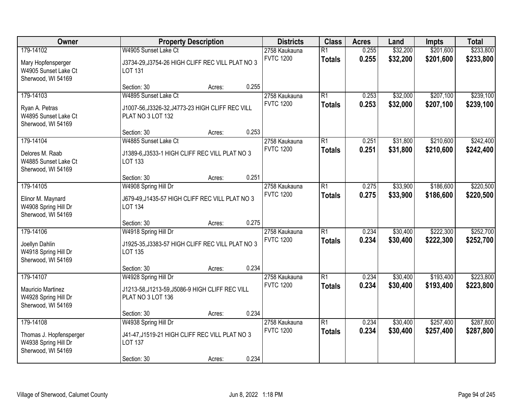| Owner                                                                               |                                                                                                         | <b>Property Description</b> |       | <b>Districts</b>                  | <b>Class</b>                     | <b>Acres</b>   | Land                 | <b>Impts</b>           | <b>Total</b>           |
|-------------------------------------------------------------------------------------|---------------------------------------------------------------------------------------------------------|-----------------------------|-------|-----------------------------------|----------------------------------|----------------|----------------------|------------------------|------------------------|
| 179-14102<br>Mary Hopfensperger<br>W4905 Sunset Lake Ct<br>Sherwood, WI 54169       | W4905 Sunset Lake Ct<br>J3734-29, J3754-26 HIGH CLIFF REC VILL PLAT NO 3<br>LOT 131                     |                             |       | 2758 Kaukauna<br><b>FVTC 1200</b> | $\overline{R1}$<br><b>Totals</b> | 0.255<br>0.255 | \$32,200<br>\$32,200 | \$201,600<br>\$201,600 | \$233,800<br>\$233,800 |
|                                                                                     | Section: 30                                                                                             | Acres:                      | 0.255 |                                   |                                  |                |                      |                        |                        |
| 179-14103<br>Ryan A. Petras<br>W4895 Sunset Lake Ct<br>Sherwood, WI 54169           | W4895 Sunset Lake Ct<br>J1007-56, J3326-32, J4773-23 HIGH CLIFF REC VILL<br>PLAT NO 3 LOT 132           |                             |       | 2758 Kaukauna<br><b>FVTC 1200</b> | $\overline{R1}$<br><b>Totals</b> | 0.253<br>0.253 | \$32,000<br>\$32,000 | \$207,100<br>\$207,100 | \$239,100<br>\$239,100 |
|                                                                                     | Section: 30                                                                                             | Acres:                      | 0.253 |                                   |                                  |                |                      |                        |                        |
| 179-14104<br>Delores M. Raab<br>W4885 Sunset Lake Ct<br>Sherwood, WI 54169          | W4885 Sunset Lake Ct<br>J1389-6, J3533-1 HIGH CLIFF REC VILL PLAT NO 3<br>LOT 133                       |                             |       | 2758 Kaukauna<br><b>FVTC 1200</b> | $\overline{R1}$<br><b>Totals</b> | 0.251<br>0.251 | \$31,800<br>\$31,800 | \$210,600<br>\$210,600 | \$242,400<br>\$242,400 |
|                                                                                     | Section: 30                                                                                             | Acres:                      | 0.251 |                                   |                                  |                |                      |                        |                        |
| 179-14105<br>Elinor M. Maynard<br>W4908 Spring Hill Dr<br>Sherwood, WI 54169        | W4908 Spring Hill Dr<br>J679-49, J1435-57 HIGH CLIFF REC VILL PLAT NO 3<br><b>LOT 134</b>               |                             |       | 2758 Kaukauna<br><b>FVTC 1200</b> | $\overline{R1}$<br><b>Totals</b> | 0.275<br>0.275 | \$33,900<br>\$33,900 | \$186,600<br>\$186,600 | \$220,500<br>\$220,500 |
|                                                                                     | Section: 30                                                                                             | Acres:                      | 0.275 |                                   |                                  |                |                      |                        |                        |
| 179-14106<br>Joellyn Dahlin<br>W4918 Spring Hill Dr<br>Sherwood, WI 54169           | W4918 Spring Hill Dr<br>J1925-35, J3383-57 HIGH CLIFF REC VILL PLAT NO 3<br><b>LOT 135</b>              |                             |       | 2758 Kaukauna<br><b>FVTC 1200</b> | $\overline{R1}$<br><b>Totals</b> | 0.234<br>0.234 | \$30,400<br>\$30,400 | \$222,300<br>\$222,300 | \$252,700<br>\$252,700 |
|                                                                                     | Section: 30                                                                                             | Acres:                      | 0.234 |                                   |                                  |                |                      |                        |                        |
| 179-14107<br><b>Mauricio Martinez</b><br>W4928 Spring Hill Dr<br>Sherwood, WI 54169 | W4928 Spring Hill Dr<br>J1213-58, J1213-59, J5086-9 HIGH CLIFF REC VILL<br>PLAT NO 3 LOT 136            |                             |       | 2758 Kaukauna<br><b>FVTC 1200</b> | $\overline{R1}$<br><b>Totals</b> | 0.234<br>0.234 | \$30,400<br>\$30,400 | \$193,400<br>\$193,400 | \$223,800<br>\$223,800 |
|                                                                                     | Section: 30                                                                                             | Acres:                      | 0.234 |                                   |                                  |                |                      |                        |                        |
| 179-14108<br>Thomas J. Hopfensperger<br>W4938 Spring Hill Dr<br>Sherwood, WI 54169  | W4938 Spring Hill Dr<br>J41-47, J1519-21 HIGH CLIFF REC VILL PLAT NO 3<br><b>LOT 137</b><br>Section: 30 | Acres:                      | 0.234 | 2758 Kaukauna<br><b>FVTC 1200</b> | $\overline{R1}$<br><b>Totals</b> | 0.234<br>0.234 | \$30,400<br>\$30,400 | \$257,400<br>\$257,400 | \$287,800<br>\$287,800 |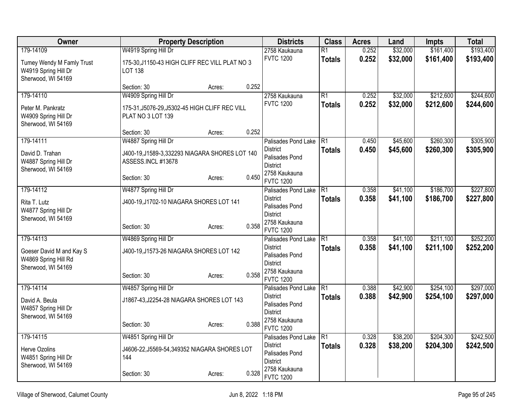| Owner                                                                   | <b>Property Description</b>                                           |        |       | <b>Districts</b>                                                      | <b>Class</b>    | <b>Acres</b> | Land     | <b>Impts</b> | <b>Total</b> |
|-------------------------------------------------------------------------|-----------------------------------------------------------------------|--------|-------|-----------------------------------------------------------------------|-----------------|--------------|----------|--------------|--------------|
| 179-14109                                                               | W4919 Spring Hill Dr                                                  |        |       | 2758 Kaukauna                                                         | $\overline{R1}$ | 0.252        | \$32,000 | \$161,400    | \$193,400    |
| Tumey Wendy M Famly Trust<br>W4919 Spring Hill Dr<br>Sherwood, WI 54169 | 175-30, J1150-43 HIGH CLIFF REC VILL PLAT NO 3<br><b>LOT 138</b>      |        |       | <b>FVTC 1200</b>                                                      | <b>Totals</b>   | 0.252        | \$32,000 | \$161,400    | \$193,400    |
|                                                                         | Section: 30                                                           | Acres: | 0.252 |                                                                       |                 |              |          |              |              |
| 179-14110                                                               | W4909 Spring Hill Dr                                                  |        |       | 2758 Kaukauna                                                         | $\overline{R1}$ | 0.252        | \$32,000 | \$212,600    | \$244,600    |
| Peter M. Pankratz<br>W4909 Spring Hill Dr<br>Sherwood, WI 54169         | 175-31, J5076-29, J5302-45 HIGH CLIFF REC VILL<br>PLAT NO 3 LOT 139   |        |       | <b>FVTC 1200</b>                                                      | <b>Totals</b>   | 0.252        | \$32,000 | \$212,600    | \$244,600    |
|                                                                         | Section: 30                                                           | Acres: | 0.252 |                                                                       |                 |              |          |              |              |
| 179-14111                                                               | W4887 Spring Hill Dr                                                  |        |       | Palisades Pond Lake                                                   | $\overline{R1}$ | 0.450        | \$45,600 | \$260,300    | \$305,900    |
| David D. Trahan<br>W4887 Spring Hill Dr<br>Sherwood, WI 54169           | J400-19, J1589-3, 332293 NIAGARA SHORES LOT 140<br>ASSESS.INCL #13678 |        |       | <b>District</b><br>Palisades Pond<br><b>District</b><br>2758 Kaukauna | <b>Totals</b>   | 0.450        | \$45,600 | \$260,300    | \$305,900    |
|                                                                         | Section: 30                                                           | Acres: | 0.450 | <b>FVTC 1200</b>                                                      |                 |              |          |              |              |
| 179-14112                                                               | W4877 Spring Hill Dr                                                  |        |       | Palisades Pond Lake                                                   | $\overline{R1}$ | 0.358        | \$41,100 | \$186,700    | \$227,800    |
| Rita T. Lutz<br>W4877 Spring Hill Dr<br>Sherwood, WI 54169              | J400-19, J1702-10 NIAGARA SHORES LOT 141                              |        |       | <b>District</b><br>Palisades Pond<br><b>District</b><br>2758 Kaukauna | <b>Totals</b>   | 0.358        | \$41,100 | \$186,700    | \$227,800    |
|                                                                         | Section: 30                                                           | Acres: | 0.358 | <b>FVTC 1200</b>                                                      |                 |              |          |              |              |
| 179-14113                                                               | W4869 Spring Hill Dr                                                  |        |       | Palisades Pond Lake                                                   | R <sub>1</sub>  | 0.358        | \$41,100 | \$211,100    | \$252,200    |
| Goeser David M and Kay S<br>W4869 Spring Hill Rd<br>Sherwood, WI 54169  | J400-19, J1573-26 NIAGARA SHORES LOT 142                              |        |       | <b>District</b><br>Palisades Pond<br><b>District</b>                  | <b>Totals</b>   | 0.358        | \$41,100 | \$211,100    | \$252,200    |
|                                                                         | Section: 30                                                           | Acres: | 0.358 | 2758 Kaukauna<br><b>FVTC 1200</b>                                     |                 |              |          |              |              |
| 179-14114                                                               | W4857 Spring Hill Dr                                                  |        |       | Palisades Pond Lake                                                   | $\overline{R1}$ | 0.388        | \$42,900 | \$254,100    | \$297,000    |
| David A. Beula<br>W4857 Spring Hill Dr                                  | J1867-43, J2254-28 NIAGARA SHORES LOT 143                             |        |       | <b>District</b><br>Palisades Pond<br><b>District</b>                  | <b>Totals</b>   | 0.388        | \$42,900 | \$254,100    | \$297,000    |
| Sherwood, WI 54169                                                      | Section: 30                                                           | Acres: | 0.388 | 2758 Kaukauna<br><b>FVTC 1200</b>                                     |                 |              |          |              |              |
| 179-14115                                                               | W4851 Spring Hill Dr                                                  |        |       | Palisades Pond Lake                                                   | R1              | 0.328        | \$38,200 | \$204,300    | \$242,500    |
| Herve Ozolins<br>W4851 Spring Hill Dr<br>Sherwood, WI 54169             | J4606-22, J5569-54, 349352 NIAGARA SHORES LOT<br>144                  |        |       | <b>District</b><br>Palisades Pond<br><b>District</b>                  | <b>Totals</b>   | 0.328        | \$38,200 | \$204,300    | \$242,500    |
|                                                                         | Section: 30                                                           | Acres: | 0.328 | 2758 Kaukauna<br><b>FVTC 1200</b>                                     |                 |              |          |              |              |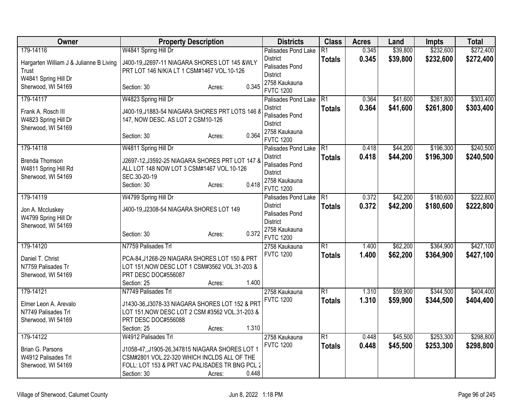| Owner                                                                    | <b>Property Description</b>                                                                                                                                | <b>Districts</b>                                     | <b>Class</b>   | <b>Acres</b> | Land     | <b>Impts</b> | <b>Total</b> |
|--------------------------------------------------------------------------|------------------------------------------------------------------------------------------------------------------------------------------------------------|------------------------------------------------------|----------------|--------------|----------|--------------|--------------|
| 179-14116                                                                | W4841 Spring Hill Dr                                                                                                                                       | Palisades Pond Lake                                  | R1             | 0.345        | \$39,800 | \$232,600    | \$272,400    |
| Hargarten William J & Julianne B Living<br>Trust<br>W4841 Spring Hill Dr | J400-19, J2697-11 NIAGARA SHORES LOT 145 &WLY<br>PRT LOT 146 N/K/A LT 1 CSM#1467 VOL.10-126                                                                | <b>District</b><br>Palisades Pond<br><b>District</b> | <b>Totals</b>  | 0.345        | \$39,800 | \$232,600    | \$272,400    |
| Sherwood, WI 54169                                                       | 0.345<br>Section: 30<br>Acres:                                                                                                                             | 2758 Kaukauna<br><b>FVTC 1200</b>                    |                |              |          |              |              |
| 179-14117                                                                | W4823 Spring Hill Dr                                                                                                                                       | Palisades Pond Lake                                  | R <sub>1</sub> | 0.364        | \$41,600 | \$261,800    | \$303,400    |
| Frank A. Rosch III<br>W4823 Spring Hill Dr<br>Sherwood, WI 54169         | J400-19, J1883-54 NIAGARA SHORES PRT LOTS 146 8<br>147, NOW DESC. AS LOT 2 CSM10-126                                                                       | <b>District</b><br>Palisades Pond<br><b>District</b> | <b>Totals</b>  | 0.364        | \$41,600 | \$261,800    | \$303,400    |
|                                                                          | 0.364<br>Section: 30<br>Acres:                                                                                                                             | 2758 Kaukauna<br><b>FVTC 1200</b>                    |                |              |          |              |              |
| 179-14118                                                                | W4811 Spring Hill Dr                                                                                                                                       | Palisades Pond Lake                                  | R1             | 0.418        | \$44,200 | \$196,300    | \$240,500    |
| <b>Brenda Thomson</b><br>W4811 Spring Hill Rd<br>Sherwood, WI 54169      | J2697-12, J3592-25 NIAGARA SHORES PRT LOT 147 &<br>ALL LOT 148 NOW LOT 3 CSM#1467 VOL.10-126<br>SEC.30-20-19                                               | <b>District</b><br>Palisades Pond<br><b>District</b> | <b>Totals</b>  | 0.418        | \$44,200 | \$196,300    | \$240,500    |
|                                                                          | 0.418<br>Section: 30<br>Acres:                                                                                                                             | 2758 Kaukauna<br><b>FVTC 1200</b>                    |                |              |          |              |              |
| 179-14119                                                                | W4799 Spring Hill Dr                                                                                                                                       | Palisades Pond Lake                                  | R1             | 0.372        | \$42,200 | \$180,600    | \$222,800    |
| Jon A. Mccluskey<br>W4799 Spring Hill Dr                                 | J400-19, J2308-54 NIAGARA SHORES LOT 149                                                                                                                   | <b>District</b><br>Palisades Pond<br><b>District</b> | <b>Totals</b>  | 0.372        | \$42,200 | \$180,600    | \$222,800    |
| Sherwood, WI 54169                                                       | 0.372<br>Section: 30<br>Acres:                                                                                                                             | 2758 Kaukauna<br><b>FVTC 1200</b>                    |                |              |          |              |              |
| 179-14120                                                                | N7759 Palisades Trl                                                                                                                                        | 2758 Kaukauna                                        | R1             | 1.400        | \$62,200 | \$364,900    | \$427,100    |
| Daniel T. Christ<br>N7759 Palisades Tr<br>Sherwood, WI 54169             | PCA-84, J1268-29 NIAGARA SHORES LOT 150 & PRT<br>LOT 151, NOW DESC LOT 1 CSM#3562 VOL.31-203 &<br>PRT DESC DOC#556087                                      | <b>FVTC 1200</b>                                     | <b>Totals</b>  | 1.400        | \$62,200 | \$364,900    | \$427,100    |
| 179-14121                                                                | 1.400<br>Section: 25<br>Acres:<br>N7749 Palisades Trl                                                                                                      | 2758 Kaukauna                                        | R1             | 1.310        | \$59,900 | \$344,500    | \$404,400    |
| Elmer Leon A. Arevalo<br>N7749 Palisades Trl<br>Sherwood, WI 54169       | J1430-36, J3078-33 NIAGARA SHORES LOT 152 & PRT<br>LOT 151, NOW DESC LOT 2 CSM #3562 VOL.31-203 &<br>PRT DESC DOC#556088<br>1.310<br>Section: 25<br>Acres: | <b>FVTC 1200</b>                                     | <b>Totals</b>  | 1.310        | \$59,900 | \$344,500    | \$404,400    |
| 179-14122                                                                | W4912 Palisades Trl                                                                                                                                        | 2758 Kaukauna                                        | R1             | 0.448        | \$45,500 | \$253,300    | \$298,800    |
| Brian G. Parsons<br>W4912 Palisades Trl<br>Sherwood, WI 54169            | J1058-47,,J1905-26,347815 NIAGARA SHORES LOT 1<br>CSM#2801 VOL.22-320 WHICH INCLDS ALL OF THE<br>FOLL: LOT 153 & PRT VAC PALISADES TR BNG PCL 2            | <b>FVTC 1200</b>                                     | <b>Totals</b>  | 0.448        | \$45,500 | \$253,300    | \$298,800    |
|                                                                          | 0.448<br>Section: 30<br>Acres:                                                                                                                             |                                                      |                |              |          |              |              |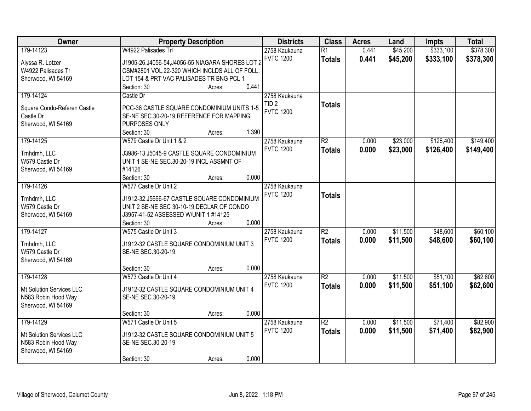| Owner                       | <b>Property Description</b>                       | <b>Districts</b> | <b>Class</b>    | <b>Acres</b> | Land     | Impts     | <b>Total</b> |
|-----------------------------|---------------------------------------------------|------------------|-----------------|--------------|----------|-----------|--------------|
| 179-14123                   | W4922 Palisades Trl                               | 2758 Kaukauna    | $\overline{R1}$ | 0.441        | \$45,200 | \$333,100 | \$378,300    |
| Alyssa R. Lotzer            | J1905-26, J4056-54, J4056-55 NIAGARA SHORES LOT 2 | <b>FVTC 1200</b> | <b>Totals</b>   | 0.441        | \$45,200 | \$333,100 | \$378,300    |
| W4922 Palisades Tr          | CSM#2801 VOL.22-320 WHICH INCLDS ALL OF FOLL:     |                  |                 |              |          |           |              |
| Sherwood, WI 54169          | LOT 154 & PRT VAC PALISADES TR BNG PCL 1          |                  |                 |              |          |           |              |
|                             | 0.441<br>Section: 30<br>Acres:                    |                  |                 |              |          |           |              |
| 179-14124                   | Castle Dr                                         | 2758 Kaukauna    |                 |              |          |           |              |
|                             |                                                   | TID <sub>2</sub> | <b>Totals</b>   |              |          |           |              |
| Square Condo-Referen Castle | PCC-38 CASTLE SQUARE CONDOMINIUM UNITS 1-5        | <b>FVTC 1200</b> |                 |              |          |           |              |
| Castle Dr                   | SE-NE SEC.30-20-19 REFERENCE FOR MAPPING          |                  |                 |              |          |           |              |
| Sherwood, WI 54169          | PURPOSES ONLY                                     |                  |                 |              |          |           |              |
|                             | 1.390<br>Section: 30<br>Acres:                    |                  |                 |              |          |           |              |
| 179-14125                   | W579 Castle Dr Unit 1 & 2                         | 2758 Kaukauna    | R2              | 0.000        | \$23,000 | \$126,400 | \$149,400    |
| Tmhdmh, LLC                 | J3986-13, J5045-9 CASTLE SQUARE CONDOMINIUM       | <b>FVTC 1200</b> | <b>Totals</b>   | 0.000        | \$23,000 | \$126,400 | \$149,400    |
| W579 Castle Dr              | UNIT 1 SE-NE SEC.30-20-19 INCL ASSMNT OF          |                  |                 |              |          |           |              |
| Sherwood, WI 54169          | #14126                                            |                  |                 |              |          |           |              |
|                             | 0.000<br>Section: 30<br>Acres:                    |                  |                 |              |          |           |              |
| 179-14126                   | W577 Castle Dr Unit 2                             | 2758 Kaukauna    |                 |              |          |           |              |
|                             |                                                   | <b>FVTC 1200</b> | <b>Totals</b>   |              |          |           |              |
| Tmhdmh, LLC                 | J1912-32, J5666-67 CASTLE SQUARE CONDOMINIUM      |                  |                 |              |          |           |              |
| W579 Castle Dr              | UNIT 2 SE-NE SEC 30-10-19 DECLAR OF CONDO         |                  |                 |              |          |           |              |
| Sherwood, WI 54169          | J3957-41-52 ASSESSED W/UNIT 1 #14125              |                  |                 |              |          |           |              |
|                             | 0.000<br>Section: 30<br>Acres:                    |                  |                 |              |          |           |              |
| 179-14127                   | W575 Castle Dr Unit 3                             | 2758 Kaukauna    | $\overline{R2}$ | 0.000        | \$11,500 | \$48,600  | \$60,100     |
| Tmhdmh, LLC                 | J1912-32 CASTLE SQUARE CONDOMINIUM UNIT 3         | <b>FVTC 1200</b> | <b>Totals</b>   | 0.000        | \$11,500 | \$48,600  | \$60,100     |
| W579 Castle Dr              | SE-NE SEC.30-20-19                                |                  |                 |              |          |           |              |
| Sherwood, WI 54169          |                                                   |                  |                 |              |          |           |              |
|                             | 0.000<br>Section: 30<br>Acres:                    |                  |                 |              |          |           |              |
| 179-14128                   | W573 Castle Dr Unit 4                             | 2758 Kaukauna    | $\overline{R2}$ | 0.000        | \$11,500 | \$51,100  | \$62,600     |
|                             |                                                   | <b>FVTC 1200</b> | <b>Totals</b>   | 0.000        | \$11,500 | \$51,100  | \$62,600     |
| Mt Solution Services LLC    | J1912-32 CASTLE SQUARE CONDOMINIUM UNIT 4         |                  |                 |              |          |           |              |
| N583 Robin Hood Way         | SE-NE SEC.30-20-19                                |                  |                 |              |          |           |              |
| Sherwood, WI 54169          | 0.000                                             |                  |                 |              |          |           |              |
|                             | Section: 30<br>Acres:                             |                  |                 |              |          |           |              |
| 179-14129                   | W571 Castle Dr Unit 5                             | 2758 Kaukauna    | $\overline{R2}$ | 0.000        | \$11,500 | \$71,400  | \$82,900     |
| Mt Solution Services LLC    | J1912-32 CASTLE SQUARE CONDOMINIUM UNIT 5         | <b>FVTC 1200</b> | <b>Totals</b>   | 0.000        | \$11,500 | \$71,400  | \$82,900     |
| N583 Robin Hood Way         | SE-NE SEC.30-20-19                                |                  |                 |              |          |           |              |
| Sherwood, WI 54169          |                                                   |                  |                 |              |          |           |              |
|                             | 0.000<br>Section: 30<br>Acres:                    |                  |                 |              |          |           |              |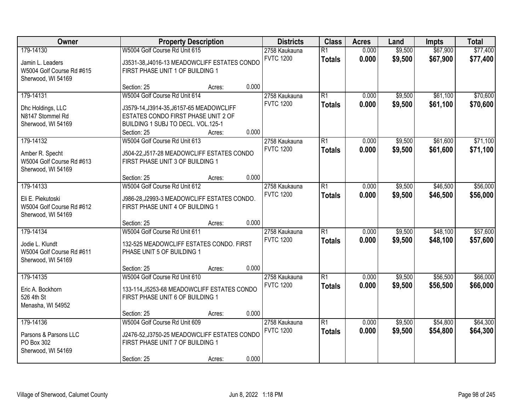| Owner                                                                             |                                                                                                                                                                       | <b>Property Description</b> |                                   | <b>Districts</b>                  | <b>Class</b>                     | <b>Acres</b>       | Land                 | <b>Impts</b>         | <b>Total</b>         |
|-----------------------------------------------------------------------------------|-----------------------------------------------------------------------------------------------------------------------------------------------------------------------|-----------------------------|-----------------------------------|-----------------------------------|----------------------------------|--------------------|----------------------|----------------------|----------------------|
| 179-14130<br>Jamin L. Leaders<br>W5004 Golf Course Rd #615<br>Sherwood, WI 54169  | W5004 Golf Course Rd Unit 615<br>J3531-38, J4016-13 MEADOWCLIFF ESTATES CONDO<br>FIRST PHASE UNIT 1 OF BUILDING 1                                                     |                             | 2758 Kaukauna<br><b>FVTC 1200</b> | $\overline{R1}$<br><b>Totals</b>  | 0.000<br>0.000                   | \$9,500<br>\$9,500 | \$67,900<br>\$67,900 | \$77,400<br>\$77,400 |                      |
|                                                                                   | Section: 25                                                                                                                                                           | Acres:                      | 0.000                             |                                   |                                  |                    |                      |                      |                      |
| 179-14131<br>Dhc Holdings, LLC<br>N8147 Stommel Rd<br>Sherwood, WI 54169          | W5004 Golf Course Rd Unit 614<br>J3579-14, J3914-35, J6157-65 MEADOWCLIFF<br>ESTATES CONDO FIRST PHASE UNIT 2 OF<br>BUILDING 1 SUBJ TO DECL. VOL.125-1<br>Section: 25 | Acres:                      | 0.000                             | 2758 Kaukauna<br><b>FVTC 1200</b> | R1<br><b>Totals</b>              | 0.000<br>0.000     | \$9,500<br>\$9,500   | \$61,100<br>\$61,100 | \$70,600<br>\$70,600 |
| 179-14132<br>Amber R. Specht<br>W5004 Golf Course Rd #613<br>Sherwood, WI 54169   | W5004 Golf Course Rd Unit 613<br>J504-22, J517-28 MEADOWCLIFF ESTATES CONDO<br>FIRST PHASE UNIT 3 OF BUILDING 1<br>Section: 25                                        | Acres:                      | 0.000                             | 2758 Kaukauna<br><b>FVTC 1200</b> | R1<br><b>Totals</b>              | 0.000<br>0.000     | \$9,500<br>\$9,500   | \$61,600<br>\$61,600 | \$71,100<br>\$71,100 |
| 179-14133<br>Eli E. Piekutoski<br>W5004 Golf Course Rd #612<br>Sherwood, WI 54169 | W5004 Golf Course Rd Unit 612<br>J986-28, J2993-3 MEADOWCLIFF ESTATES CONDO.<br>FIRST PHASE UNIT 4 OF BUILDING 1<br>Section: 25                                       | Acres:                      | 0.000                             | 2758 Kaukauna<br><b>FVTC 1200</b> | R1<br><b>Totals</b>              | 0.000<br>0.000     | \$9,500<br>\$9,500   | \$46,500<br>\$46,500 | \$56,000<br>\$56,000 |
| 179-14134<br>Jodie L. Klundt<br>W5004 Golf Course Rd #611<br>Sherwood, WI 54169   | W5004 Golf Course Rd Unit 611<br>132-525 MEADOWCLIFF ESTATES CONDO. FIRST<br>PHASE UNIT 5 OF BUILDING 1<br>Section: 25                                                | Acres:                      | 0.000                             | 2758 Kaukauna<br><b>FVTC 1200</b> | $\overline{R1}$<br><b>Totals</b> | 0.000<br>0.000     | \$9,500<br>\$9,500   | \$48,100<br>\$48,100 | \$57,600<br>\$57,600 |
| 179-14135<br>Eric A. Bockhorn<br>526 4th St<br>Menasha, WI 54952                  | W5004 Golf Course Rd Unit 610<br>133-114, J5253-68 MEADOWCLIFF ESTATES CONDO<br>FIRST PHASE UNIT 6 OF BUILDING 1<br>Section: 25                                       | Acres:                      | 0.000                             | 2758 Kaukauna<br><b>FVTC 1200</b> | $\overline{R1}$<br><b>Totals</b> | 0.000<br>0.000     | \$9,500<br>\$9,500   | \$56,500<br>\$56,500 | \$66,000<br>\$66,000 |
| 179-14136<br>Parsons & Parsons LLC<br>PO Box 302<br>Sherwood, WI 54169            | W5004 Golf Course Rd Unit 609<br>J2476-52, J3750-25 MEADOWCLIFF ESTATES CONDO<br>FIRST PHASE UNIT 7 OF BUILDING 1<br>Section: 25                                      | Acres:                      | 0.000                             | 2758 Kaukauna<br><b>FVTC 1200</b> | $\overline{R1}$<br><b>Totals</b> | 0.000<br>0.000     | \$9,500<br>\$9,500   | \$54,800<br>\$54,800 | \$64,300<br>\$64,300 |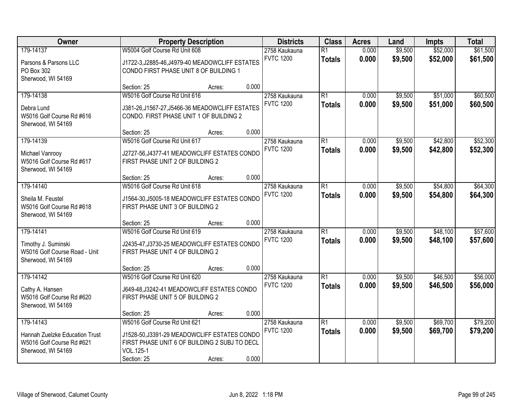| Owner                                                                             |                                                                                                            | <b>Property Description</b> |       | <b>Districts</b>                  | <b>Class</b>                     | <b>Acres</b>   | Land               | <b>Impts</b>         | <b>Total</b>         |
|-----------------------------------------------------------------------------------|------------------------------------------------------------------------------------------------------------|-----------------------------|-------|-----------------------------------|----------------------------------|----------------|--------------------|----------------------|----------------------|
| 179-14137                                                                         | W5004 Golf Course Rd Unit 608                                                                              |                             |       | 2758 Kaukauna<br><b>FVTC 1200</b> | $\overline{R1}$<br><b>Totals</b> | 0.000<br>0.000 | \$9,500<br>\$9,500 | \$52,000<br>\$52,000 | \$61,500<br>\$61,500 |
| Parsons & Parsons LLC<br>PO Box 302                                               | J1722-3, J2885-46, J4979-40 MEADOWCLIFF ESTATES<br>CONDO FIRST PHASE UNIT 8 OF BUILDING 1                  |                             |       |                                   |                                  |                |                    |                      |                      |
| Sherwood, WI 54169                                                                | Section: 25                                                                                                | Acres:                      | 0.000 |                                   |                                  |                |                    |                      |                      |
| 179-14138                                                                         | W5016 Golf Course Rd Unit 616                                                                              |                             |       | 2758 Kaukauna                     | $\overline{R1}$                  | 0.000          | \$9,500            | \$51,000             | \$60,500             |
| Debra Lund<br>W5016 Golf Course Rd #616<br>Sherwood, WI 54169                     | J381-26, J1567-27, J5466-36 MEADOWCLIFF ESTATES<br>CONDO. FIRST PHASE UNIT 1 OF BUILDING 2                 |                             |       | <b>FVTC 1200</b>                  | <b>Totals</b>                    | 0.000          | \$9,500            | \$51,000             | \$60,500             |
|                                                                                   | Section: 25                                                                                                | Acres:                      | 0.000 |                                   |                                  |                |                    |                      |                      |
| 179-14139                                                                         | W5016 Golf Course Rd Unit 617                                                                              |                             |       | 2758 Kaukauna                     | $\overline{R1}$                  | 0.000          | \$9,500            | \$42,800             | \$52,300             |
| Michael Vanrooy<br>W5016 Golf Course Rd #617<br>Sherwood, WI 54169                | J2727-56, J4377-41 MEADOWCLIFF ESTATES CONDO<br>FIRST PHASE UNIT 2 OF BUILDING 2                           |                             |       | <b>FVTC 1200</b>                  | <b>Totals</b>                    | 0.000          | \$9,500            | \$42,800             | \$52,300             |
|                                                                                   | Section: 25                                                                                                | Acres:                      | 0.000 |                                   |                                  |                |                    |                      |                      |
| 179-14140                                                                         | W5016 Golf Course Rd Unit 618                                                                              |                             |       | 2758 Kaukauna                     | $\overline{R1}$                  | 0.000          | \$9,500            | \$54,800             | \$64,300             |
| Sheila M. Feustel<br>W5016 Golf Course Rd #618<br>Sherwood, WI 54169              | J1564-30, J5005-18 MEADOWCLIFF ESTATES CONDO<br>FIRST PHASE UNIT 3 OF BUILDING 2                           |                             |       | <b>FVTC 1200</b>                  | <b>Totals</b>                    | 0.000          | \$9,500            | \$54,800             | \$64,300             |
|                                                                                   | Section: 25                                                                                                | Acres:                      | 0.000 |                                   |                                  |                |                    |                      |                      |
| 179-14141                                                                         | W5016 Golf Course Rd Unit 619                                                                              |                             |       | 2758 Kaukauna                     | R1                               | 0.000          | \$9,500            | \$48,100             | \$57,600             |
| Timothy J. Suminski<br>W5016 Golf Course Road - Unit                              | J2435-47, J3730-25 MEADOWCLIFF ESTATES CONDO<br>FIRST PHASE UNIT 4 OF BUILDING 2                           |                             |       | <b>FVTC 1200</b>                  | <b>Totals</b>                    | 0.000          | \$9,500            | \$48,100             | \$57,600             |
| Sherwood, WI 54169                                                                |                                                                                                            |                             |       |                                   |                                  |                |                    |                      |                      |
| 179-14142                                                                         | Section: 25<br>W5016 Golf Course Rd Unit 620                                                               | Acres:                      | 0.000 | 2758 Kaukauna                     | $\overline{R1}$                  | 0.000          | \$9,500            | \$46,500             | \$56,000             |
|                                                                                   |                                                                                                            |                             |       | <b>FVTC 1200</b>                  | <b>Totals</b>                    | 0.000          | \$9,500            | \$46,500             | \$56,000             |
| Cathy A. Hansen<br>W5016 Golf Course Rd #620<br>Sherwood, WI 54169                | J649-48, J3242-41 MEADOWCLIFF ESTATES CONDO<br>FIRST PHASE UNIT 5 OF BUILDING 2                            |                             |       |                                   |                                  |                |                    |                      |                      |
|                                                                                   | Section: 25                                                                                                | Acres:                      | 0.000 |                                   |                                  |                |                    |                      |                      |
| 179-14143                                                                         | W5016 Golf Course Rd Unit 621                                                                              |                             |       | 2758 Kaukauna                     | $\overline{R1}$                  | 0.000          | \$9,500            | \$69,700             | \$79,200             |
| Hannah Zuelzke Education Trust<br>W5016 Golf Course Rd #621<br>Sherwood, WI 54169 | J1528-50, J3391-29 MEADOWCLIFF ESTATES CONDO<br>FIRST PHASE UNIT 6 OF BUILDING 2 SUBJ TO DECL<br>VOL.125-1 |                             |       | <b>FVTC 1200</b>                  | <b>Totals</b>                    | 0.000          | \$9,500            | \$69,700             | \$79,200             |
|                                                                                   | Section: 25                                                                                                | Acres:                      | 0.000 |                                   |                                  |                |                    |                      |                      |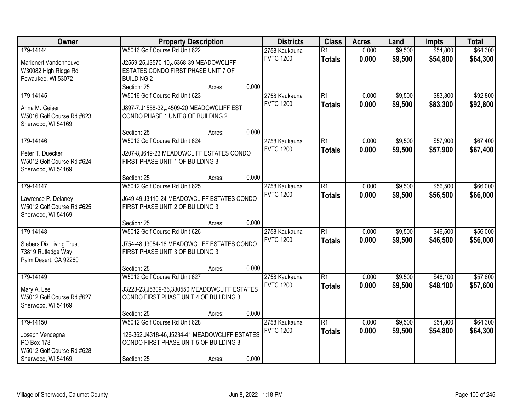| Owner                     |                                                 | <b>Property Description</b> |       | <b>Districts</b>                  | <b>Class</b>    | <b>Acres</b> | Land    | <b>Impts</b> | <b>Total</b> |
|---------------------------|-------------------------------------------------|-----------------------------|-------|-----------------------------------|-----------------|--------------|---------|--------------|--------------|
| 179-14144                 | W5016 Golf Course Rd Unit 622                   |                             |       | 2758 Kaukauna                     | $\overline{R1}$ | 0.000        | \$9,500 | \$54,800     | \$64,300     |
| Marlenert Vandenheuvel    | J2559-25, J3570-10, J5368-39 MEADOWCLIFF        |                             |       | <b>FVTC 1200</b>                  | <b>Totals</b>   | 0.000        | \$9,500 | \$54,800     | \$64,300     |
| W30082 High Ridge Rd      | ESTATES CONDO FIRST PHASE UNIT 7 OF             |                             |       |                                   |                 |              |         |              |              |
| Pewaukee, WI 53072        | <b>BUILDING 2</b>                               |                             |       |                                   |                 |              |         |              |              |
|                           | Section: 25                                     | Acres:                      | 0.000 |                                   |                 |              |         |              |              |
| 179-14145                 | W5016 Golf Course Rd Unit 623                   |                             |       | 2758 Kaukauna                     | R1              | 0.000        | \$9,500 | \$83,300     | \$92,800     |
|                           |                                                 |                             |       | <b>FVTC 1200</b>                  | <b>Totals</b>   | 0.000        | \$9,500 | \$83,300     | \$92,800     |
| Anna M. Geiser            | J897-7, J1558-32, J4509-20 MEADOWCLIFF EST      |                             |       |                                   |                 |              |         |              |              |
| W5016 Golf Course Rd #623 | CONDO PHASE 1 UNIT 8 OF BUILDING 2              |                             |       |                                   |                 |              |         |              |              |
| Sherwood, WI 54169        | Section: 25                                     |                             | 0.000 |                                   |                 |              |         |              |              |
|                           | W5012 Golf Course Rd Unit 624                   | Acres:                      |       |                                   | R1              | 0.000        |         | \$57,900     | \$67,400     |
| 179-14146                 |                                                 |                             |       | 2758 Kaukauna                     |                 |              | \$9,500 |              |              |
| Peter T. Duecker          | J207-8, J649-23 MEADOWCLIFF ESTATES CONDO       |                             |       | <b>FVTC 1200</b>                  | <b>Totals</b>   | 0.000        | \$9,500 | \$57,900     | \$67,400     |
| W5012 Golf Course Rd #624 | FIRST PHASE UNIT 1 OF BUILDING 3                |                             |       |                                   |                 |              |         |              |              |
| Sherwood, WI 54169        |                                                 |                             |       |                                   |                 |              |         |              |              |
|                           | Section: 25                                     | Acres:                      | 0.000 |                                   |                 |              |         |              |              |
| 179-14147                 | W5012 Golf Course Rd Unit 625                   |                             |       | 2758 Kaukauna                     | $\overline{R1}$ | 0.000        | \$9,500 | \$56,500     | \$66,000     |
| Lawrence P. Delaney       | J649-49, J3110-24 MEADOWCLIFF ESTATES CONDO     |                             |       | <b>FVTC 1200</b>                  | <b>Totals</b>   | 0.000        | \$9,500 | \$56,500     | \$66,000     |
| W5012 Golf Course Rd #625 | FIRST PHASE UNIT 2 OF BUILDING 3                |                             |       |                                   |                 |              |         |              |              |
| Sherwood, WI 54169        |                                                 |                             |       |                                   |                 |              |         |              |              |
|                           | Section: 25                                     | Acres:                      | 0.000 |                                   |                 |              |         |              |              |
| 179-14148                 | W5012 Golf Course Rd Unit 626                   |                             |       | 2758 Kaukauna                     | $\overline{R1}$ | 0.000        | \$9,500 | \$46,500     | \$56,000     |
|                           |                                                 |                             |       | <b>FVTC 1200</b>                  | <b>Totals</b>   | 0.000        | \$9,500 | \$46,500     | \$56,000     |
| Siebers Dix Living Trust  | J754-48, J3054-18 MEADOWCLIFF ESTATES CONDO     |                             |       |                                   |                 |              |         |              |              |
| 73819 Rutledge Way        | FIRST PHASE UNIT 3 OF BUILDING 3                |                             |       |                                   |                 |              |         |              |              |
| Palm Desert, CA 92260     | Section: 25                                     |                             | 0.000 |                                   |                 |              |         |              |              |
| 179-14149                 | W5012 Golf Course Rd Unit 627                   | Acres:                      |       |                                   | R1              | 0.000        | \$9,500 | \$48,100     | \$57,600     |
|                           |                                                 |                             |       | 2758 Kaukauna<br><b>FVTC 1200</b> |                 |              |         |              |              |
| Mary A. Lee               | J3223-23, J5309-36, 330550 MEADOWCLIFF ESTATES  |                             |       |                                   | <b>Totals</b>   | 0.000        | \$9,500 | \$48,100     | \$57,600     |
| W5012 Golf Course Rd #627 | CONDO FIRST PHASE UNIT 4 OF BUILDING 3          |                             |       |                                   |                 |              |         |              |              |
| Sherwood, WI 54169        |                                                 |                             |       |                                   |                 |              |         |              |              |
|                           | Section: 25                                     | Acres:                      | 0.000 |                                   |                 |              |         |              |              |
| 179-14150                 | W5012 Golf Course Rd Unit 628                   |                             |       | 2758 Kaukauna                     | $\overline{R1}$ | 0.000        | \$9,500 | \$54,800     | \$64,300     |
| Joseph Vendegna           | 126-362, J4318-46, J5234-41 MEADOWCLIFF ESTATES |                             |       | <b>FVTC 1200</b>                  | <b>Totals</b>   | 0.000        | \$9,500 | \$54,800     | \$64,300     |
| PO Box 178                | CONDO FIRST PHASE UNIT 5 OF BUILDING 3          |                             |       |                                   |                 |              |         |              |              |
| W5012 Golf Course Rd #628 |                                                 |                             |       |                                   |                 |              |         |              |              |
| Sherwood, WI 54169        | Section: 25                                     | Acres:                      | 0.000 |                                   |                 |              |         |              |              |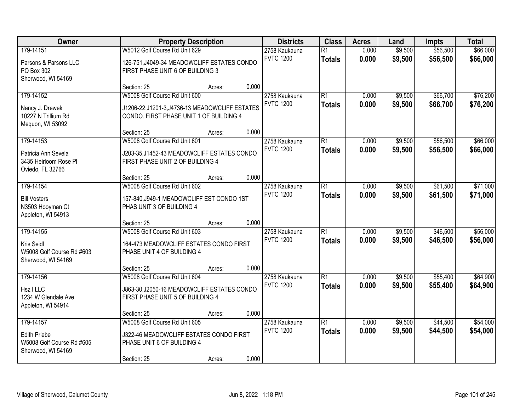| Owner                                           |                                                 | <b>Property Description</b> |       | <b>Districts</b>                  | <b>Class</b>        | <b>Acres</b>   | Land               | <b>Impts</b>         | <b>Total</b>         |
|-------------------------------------------------|-------------------------------------------------|-----------------------------|-------|-----------------------------------|---------------------|----------------|--------------------|----------------------|----------------------|
| 179-14151                                       | W5012 Golf Course Rd Unit 629                   |                             |       | 2758 Kaukauna                     | $\overline{R1}$     | 0.000          | \$9,500            | \$56,500             | \$66,000             |
| Parsons & Parsons LLC                           | 126-751, J4049-34 MEADOWCLIFF ESTATES CONDO     |                             |       | <b>FVTC 1200</b>                  | <b>Totals</b>       | 0.000          | \$9,500            | \$56,500             | \$66,000             |
| PO Box 302<br>Sherwood, WI 54169                | FIRST PHASE UNIT 6 OF BUILDING 3                |                             |       |                                   |                     |                |                    |                      |                      |
|                                                 | Section: 25                                     | Acres:                      | 0.000 |                                   |                     |                |                    |                      |                      |
| 179-14152                                       | W5008 Golf Course Rd Unit 600                   |                             |       | 2758 Kaukauna                     | $\overline{R1}$     | 0.000          | \$9,500            | \$66,700             | \$76,200             |
| Nancy J. Drewek                                 | J1206-22, J1201-3, J4736-13 MEADOWCLIFF ESTATES |                             |       | <b>FVTC 1200</b>                  | <b>Totals</b>       | 0.000          | \$9,500            | \$66,700             | \$76,200             |
| 10227 N Trillium Rd<br>Mequon, WI 53092         | CONDO. FIRST PHASE UNIT 1 OF BUILDING 4         |                             |       |                                   |                     |                |                    |                      |                      |
|                                                 | Section: 25                                     | Acres:                      | 0.000 |                                   |                     |                |                    |                      |                      |
| 179-14153                                       | W5008 Golf Course Rd Unit 601                   |                             |       | 2758 Kaukauna                     | R1                  | 0.000          | \$9,500            | \$56,500             | \$66,000             |
| Patricia Ann Sevela                             | J203-35, J1452-43 MEADOWCLIFF ESTATES CONDO     |                             |       | <b>FVTC 1200</b>                  | <b>Totals</b>       | 0.000          | \$9,500            | \$56,500             | \$66,000             |
| 3435 Heirloom Rose Pl                           | FIRST PHASE UNIT 2 OF BUILDING 4                |                             |       |                                   |                     |                |                    |                      |                      |
| Oviedo, FL 32766                                | Section: 25                                     | Acres:                      | 0.000 |                                   |                     |                |                    |                      |                      |
| 179-14154                                       | W5008 Golf Course Rd Unit 602                   |                             |       | 2758 Kaukauna                     | $\overline{R1}$     | 0.000          | \$9,500            | \$61,500             | \$71,000             |
| <b>Bill Vosters</b>                             | 157-840, J949-1 MEADOWCLIFF EST CONDO 1ST       |                             |       | <b>FVTC 1200</b>                  | <b>Totals</b>       | 0.000          | \$9,500            | \$61,500             | \$71,000             |
| N3503 Hooyman Ct                                | PHAS UNIT 3 OF BUILDING 4                       |                             |       |                                   |                     |                |                    |                      |                      |
| Appleton, WI 54913                              |                                                 |                             |       |                                   |                     |                |                    |                      |                      |
|                                                 | Section: 25                                     | Acres:                      | 0.000 |                                   |                     |                |                    |                      |                      |
| 179-14155                                       | W5008 Golf Course Rd Unit 603                   |                             |       | 2758 Kaukauna<br><b>FVTC 1200</b> | $\overline{R1}$     | 0.000<br>0.000 | \$9,500            | \$46,500             | \$56,000             |
| Kris Seidl                                      | 164-473 MEADOWCLIFF ESTATES CONDO FIRST         |                             |       |                                   | <b>Totals</b>       |                | \$9,500            | \$46,500             | \$56,000             |
| W5008 Golf Course Rd #603<br>Sherwood, WI 54169 | PHASE UNIT 4 OF BUILDING 4                      |                             |       |                                   |                     |                |                    |                      |                      |
|                                                 | Section: 25                                     | Acres:                      | 0.000 |                                   |                     |                |                    |                      |                      |
| 179-14156                                       | W5008 Golf Course Rd Unit 604                   |                             |       | 2758 Kaukauna                     | R1                  | 0.000          | \$9,500            | \$55,400             | \$64,900             |
| Hsz I LLC                                       | J863-30, J2050-16 MEADOWCLIFF ESTATES CONDO     |                             |       | <b>FVTC 1200</b>                  | <b>Totals</b>       | 0.000          | \$9,500            | \$55,400             | \$64,900             |
| 1234 W Glendale Ave                             | FIRST PHASE UNIT 5 OF BUILDING 4                |                             |       |                                   |                     |                |                    |                      |                      |
| Appleton, WI 54914                              |                                                 |                             |       |                                   |                     |                |                    |                      |                      |
|                                                 | Section: 25                                     | Acres:                      | 0.000 |                                   |                     |                |                    |                      |                      |
| 179-14157                                       | W5008 Golf Course Rd Unit 605                   |                             |       | 2758 Kaukauna<br><b>FVTC 1200</b> | R1<br><b>Totals</b> | 0.000<br>0.000 | \$9,500<br>\$9,500 | \$44,500<br>\$44,500 | \$54,000<br>\$54,000 |
| <b>Edith Priebe</b>                             | J322-46 MEADOWCLIFF ESTATES CONDO FIRST         |                             |       |                                   |                     |                |                    |                      |                      |
| W5008 Golf Course Rd #605<br>Sherwood, WI 54169 | PHASE UNIT 6 OF BUILDING 4                      |                             |       |                                   |                     |                |                    |                      |                      |
|                                                 | Section: 25                                     | Acres:                      | 0.000 |                                   |                     |                |                    |                      |                      |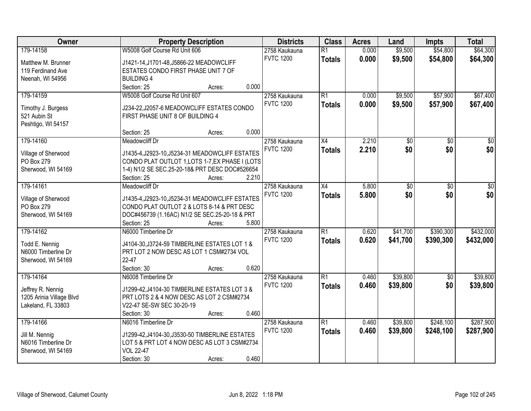| Owner                             | <b>Property Description</b>                                                                   | <b>Districts</b> | <b>Class</b>    | <b>Acres</b> | Land            | <b>Impts</b> | <b>Total</b>    |
|-----------------------------------|-----------------------------------------------------------------------------------------------|------------------|-----------------|--------------|-----------------|--------------|-----------------|
| 179-14158                         | W5008 Golf Course Rd Unit 606                                                                 | 2758 Kaukauna    | $\overline{R1}$ | 0.000        | \$9,500         | \$54,800     | \$64,300        |
| Matthew M. Brunner                | J1421-14, J1701-48, J5866-22 MEADOWCLIFF                                                      | <b>FVTC 1200</b> | <b>Totals</b>   | 0.000        | \$9,500         | \$54,800     | \$64,300        |
| 119 Ferdinand Ave                 | ESTATES CONDO FIRST PHASE UNIT 7 OF                                                           |                  |                 |              |                 |              |                 |
| Neenah, WI 54956                  | <b>BUILDING 4</b>                                                                             |                  |                 |              |                 |              |                 |
|                                   | 0.000<br>Section: 25<br>Acres:                                                                |                  |                 |              |                 |              |                 |
| 179-14159                         | W5008 Golf Course Rd Unit 607                                                                 | 2758 Kaukauna    | R1              | 0.000        | \$9,500         | \$57,900     | \$67,400        |
|                                   |                                                                                               | <b>FVTC 1200</b> | <b>Totals</b>   | 0.000        | \$9,500         | \$57,900     | \$67,400        |
| Timothy J. Burgess                | J234-22, J2057-6 MEADOWCLIFF ESTATES CONDO                                                    |                  |                 |              |                 |              |                 |
| 521 Aubin St                      | FIRST PHASE UNIT 8 OF BUILDING 4                                                              |                  |                 |              |                 |              |                 |
| Peshtigo, WI 54157                |                                                                                               |                  |                 |              |                 |              |                 |
|                                   | 0.000<br>Section: 25<br>Acres:                                                                |                  |                 |              |                 |              |                 |
| 179-14160                         | <b>Meadowcliff Dr</b>                                                                         | 2758 Kaukauna    | X4              | 2.210        | $\overline{50}$ | \$0          | $\overline{30}$ |
| Village of Sherwood               | J1435-4, J2923-10, J5234-31 MEADOWCLIFF ESTATES                                               | <b>FVTC 1200</b> | <b>Totals</b>   | 2.210        | \$0             | \$0          | \$0             |
| PO Box 279                        | CONDO PLAT OUTLOT 1, LOTS 1-7, EX PHASE I (LOTS                                               |                  |                 |              |                 |              |                 |
| Sherwood, WI 54169                | 1-4) N1/2 SE SEC.25-20-18& PRT DESC DOC#526654                                                |                  |                 |              |                 |              |                 |
|                                   | Section: 25<br>2.210<br>Acres:                                                                |                  |                 |              |                 |              |                 |
| 179-14161                         | <b>Meadowcliff Dr</b>                                                                         | 2758 Kaukauna    | X4              | 5.800        | \$0             | \$0          | \$0             |
|                                   |                                                                                               | <b>FVTC 1200</b> | <b>Totals</b>   | 5.800        | \$0             | \$0          | \$0             |
| Village of Sherwood<br>PO Box 279 | J1435-4, J2923-10, J5234-31 MEADOWCLIFF ESTATES<br>CONDO PLAT OUTLOT 2 & LOTS 8-14 & PRT DESC |                  |                 |              |                 |              |                 |
|                                   |                                                                                               |                  |                 |              |                 |              |                 |
| Sherwood, WI 54169                | DOC#456739 (1.16AC) N1/2 SE SEC.25-20-18 & PRT<br>5.800<br>Section: 25                        |                  |                 |              |                 |              |                 |
| 179-14162                         | Acres:<br>N6000 Timberline Dr                                                                 | 2758 Kaukauna    | $\overline{R1}$ | 0.620        | \$41,700        | \$390,300    | \$432,000       |
|                                   |                                                                                               | <b>FVTC 1200</b> |                 |              |                 |              |                 |
| Todd E. Nennig                    | J4104-30, J3724-59 TIMBERLINE ESTATES LOT 1 &                                                 |                  | <b>Totals</b>   | 0.620        | \$41,700        | \$390,300    | \$432,000       |
| N6000 Timberline Dr               | PRT LOT 2 NOW DESC AS LOT 1 CSM#2734 VOL                                                      |                  |                 |              |                 |              |                 |
| Sherwood, WI 54169                | 22-47                                                                                         |                  |                 |              |                 |              |                 |
|                                   | Section: 30<br>0.620<br>Acres:                                                                |                  |                 |              |                 |              |                 |
| 179-14164                         | N6008 Timberline Dr                                                                           | 2758 Kaukauna    | R1              | 0.460        | \$39,800        | \$0          | \$39,800        |
| Jeffrey R. Nennig                 | J1299-42, J4104-30 TIMBERLINE ESTATES LOT 3 &                                                 | <b>FVTC 1200</b> | <b>Totals</b>   | 0.460        | \$39,800        | \$0          | \$39,800        |
| 1205 Arinia Village Blvd          | PRT LOTS 2 & 4 NOW DESC AS LOT 2 CSM#2734                                                     |                  |                 |              |                 |              |                 |
| Lakeland, FL 33803                | V22-47 SE-SW SEC 30-20-19                                                                     |                  |                 |              |                 |              |                 |
|                                   | 0.460<br>Section: 30<br>Acres:                                                                |                  |                 |              |                 |              |                 |
| 179-14166                         | N6016 Timberline Dr                                                                           | 2758 Kaukauna    | R1              | 0.460        | \$39,800        | \$248,100    | \$287,900       |
|                                   |                                                                                               | <b>FVTC 1200</b> | <b>Totals</b>   | 0.460        | \$39,800        | \$248,100    | \$287,900       |
| Jill M. Nennig                    | J1299-42, J4104-30, J3530-50 TIMBERLINE ESTATES                                               |                  |                 |              |                 |              |                 |
| N6016 Timberline Dr               | LOT 5 & PRT LOT 4 NOW DESC AS LOT 3 CSM#2734                                                  |                  |                 |              |                 |              |                 |
| Sherwood, WI 54169                | <b>VOL 22-47</b>                                                                              |                  |                 |              |                 |              |                 |
|                                   | 0.460<br>Section: 30<br>Acres:                                                                |                  |                 |              |                 |              |                 |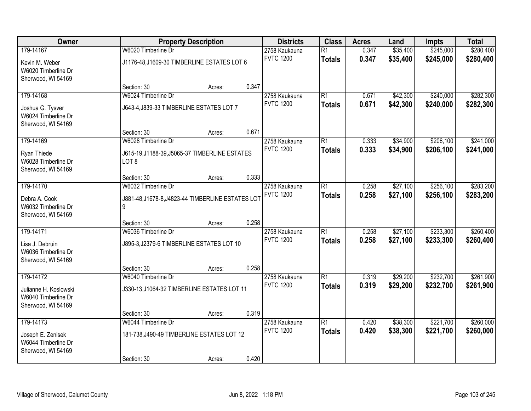| Owner                                  |                                                   | <b>Property Description</b> |       | <b>Districts</b>                  | <b>Class</b>    | <b>Acres</b> | Land     | <b>Impts</b> | <b>Total</b> |
|----------------------------------------|---------------------------------------------------|-----------------------------|-------|-----------------------------------|-----------------|--------------|----------|--------------|--------------|
| 179-14167                              | W6020 Timberline Dr                               |                             |       | 2758 Kaukauna                     | $\overline{R1}$ | 0.347        | \$35,400 | \$245,000    | \$280,400    |
| Kevin M. Weber                         | J1176-48, J1609-30 TIMBERLINE ESTATES LOT 6       |                             |       | <b>FVTC 1200</b>                  | <b>Totals</b>   | 0.347        | \$35,400 | \$245,000    | \$280,400    |
| W6020 Timberline Dr                    |                                                   |                             |       |                                   |                 |              |          |              |              |
| Sherwood, WI 54169                     |                                                   |                             |       |                                   |                 |              |          |              |              |
|                                        | Section: 30                                       | Acres:                      | 0.347 |                                   |                 |              |          |              |              |
| 179-14168                              | W6024 Timberline Dr                               |                             |       | 2758 Kaukauna                     | $\overline{R1}$ | 0.671        | \$42,300 | \$240,000    | \$282,300    |
| Joshua G. Tysver                       | J643-4, J839-33 TIMBERLINE ESTATES LOT 7          |                             |       | <b>FVTC 1200</b>                  | <b>Totals</b>   | 0.671        | \$42,300 | \$240,000    | \$282,300    |
| W6024 Timberline Dr                    |                                                   |                             |       |                                   |                 |              |          |              |              |
| Sherwood, WI 54169                     |                                                   |                             |       |                                   |                 |              |          |              |              |
|                                        | Section: 30                                       | Acres:                      | 0.671 |                                   |                 |              |          |              |              |
| 179-14169                              | W6028 Timberline Dr                               |                             |       | 2758 Kaukauna<br><b>FVTC 1200</b> | $\overline{R1}$ | 0.333        | \$34,900 | \$206,100    | \$241,000    |
| Ryan Thiede                            | J615-19, J1188-39, J5065-37 TIMBERLINE ESTATES    |                             |       |                                   | <b>Totals</b>   | 0.333        | \$34,900 | \$206,100    | \$241,000    |
| W6028 Timberline Dr                    | LOT <sub>8</sub>                                  |                             |       |                                   |                 |              |          |              |              |
| Sherwood, WI 54169                     |                                                   |                             | 0.333 |                                   |                 |              |          |              |              |
| 179-14170                              | Section: 30<br>W6032 Timberline Dr                | Acres:                      |       | 2758 Kaukauna                     | $\overline{R1}$ | 0.258        | \$27,100 | \$256,100    | \$283,200    |
|                                        |                                                   |                             |       | <b>FVTC 1200</b>                  | <b>Totals</b>   | 0.258        | \$27,100 | \$256,100    | \$283,200    |
| Debra A. Cook                          | J881-48, J1678-8, J4823-44 TIMBERLINE ESTATES LOT |                             |       |                                   |                 |              |          |              |              |
| W6032 Timberline Dr                    | 9                                                 |                             |       |                                   |                 |              |          |              |              |
| Sherwood, WI 54169                     | Section: 30                                       | Acres:                      | 0.258 |                                   |                 |              |          |              |              |
| 179-14171                              | W6036 Timberline Dr                               |                             |       | 2758 Kaukauna                     | $\overline{R1}$ | 0.258        | \$27,100 | \$233,300    | \$260,400    |
|                                        |                                                   |                             |       | <b>FVTC 1200</b>                  | <b>Totals</b>   | 0.258        | \$27,100 | \$233,300    | \$260,400    |
| Lisa J. Debruin<br>W6036 Timberline Dr | J895-3, J2379-6 TIMBERLINE ESTATES LOT 10         |                             |       |                                   |                 |              |          |              |              |
| Sherwood, WI 54169                     |                                                   |                             |       |                                   |                 |              |          |              |              |
|                                        | Section: 30                                       | Acres:                      | 0.258 |                                   |                 |              |          |              |              |
| 179-14172                              | W6040 Timberline Dr                               |                             |       | 2758 Kaukauna                     | $\overline{R1}$ | 0.319        | \$29,200 | \$232,700    | \$261,900    |
| Julianne H. Koslowski                  | J330-13, J1064-32 TIMBERLINE ESTATES LOT 11       |                             |       | <b>FVTC 1200</b>                  | <b>Totals</b>   | 0.319        | \$29,200 | \$232,700    | \$261,900    |
| W6040 Timberline Dr                    |                                                   |                             |       |                                   |                 |              |          |              |              |
| Sherwood, WI 54169                     |                                                   |                             |       |                                   |                 |              |          |              |              |
|                                        | Section: 30                                       | Acres:                      | 0.319 |                                   |                 |              |          |              |              |
| 179-14173                              | W6044 Timberline Dr                               |                             |       | 2758 Kaukauna                     | $\overline{R1}$ | 0.420        | \$38,300 | \$221,700    | \$260,000    |
| Joseph E. Zenisek                      | 181-738, J490-49 TIMBERLINE ESTATES LOT 12        |                             |       | <b>FVTC 1200</b>                  | <b>Totals</b>   | 0.420        | \$38,300 | \$221,700    | \$260,000    |
| W6044 Timberline Dr                    |                                                   |                             |       |                                   |                 |              |          |              |              |
| Sherwood, WI 54169                     |                                                   |                             |       |                                   |                 |              |          |              |              |
|                                        | Section: 30                                       | Acres:                      | 0.420 |                                   |                 |              |          |              |              |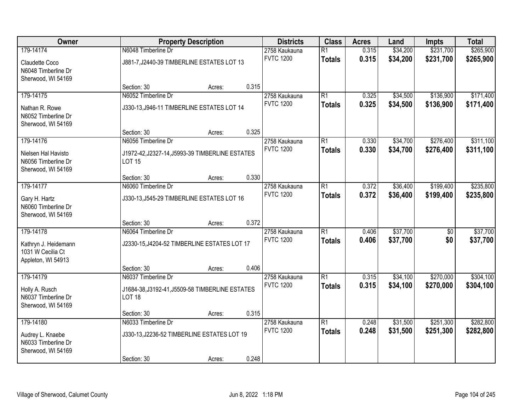| Owner                                                            |                                                                  | <b>Property Description</b> |       | <b>Districts</b>                  | <b>Class</b>    | <b>Acres</b> | Land     | <b>Impts</b>    | <b>Total</b> |
|------------------------------------------------------------------|------------------------------------------------------------------|-----------------------------|-------|-----------------------------------|-----------------|--------------|----------|-----------------|--------------|
| 179-14174                                                        | N6048 Timberline Dr                                              |                             |       | 2758 Kaukauna                     | $\overline{R1}$ | 0.315        | \$34,200 | \$231,700       | \$265,900    |
| Claudette Coco<br>N6048 Timberline Dr                            | J881-7, J2440-39 TIMBERLINE ESTATES LOT 13                       |                             |       | <b>FVTC 1200</b>                  | <b>Totals</b>   | 0.315        | \$34,200 | \$231,700       | \$265,900    |
| Sherwood, WI 54169                                               |                                                                  |                             |       |                                   |                 |              |          |                 |              |
|                                                                  | Section: 30                                                      | Acres:                      | 0.315 |                                   |                 |              |          |                 |              |
| 179-14175                                                        | N6052 Timberline Dr                                              |                             |       | 2758 Kaukauna<br><b>FVTC 1200</b> | $\overline{R1}$ | 0.325        | \$34,500 | \$136,900       | \$171,400    |
| Nathan R. Rowe<br>N6052 Timberline Dr<br>Sherwood, WI 54169      | J330-13, J946-11 TIMBERLINE ESTATES LOT 14                       |                             |       |                                   | <b>Totals</b>   | 0.325        | \$34,500 | \$136,900       | \$171,400    |
|                                                                  | Section: 30                                                      | Acres:                      | 0.325 |                                   |                 |              |          |                 |              |
| 179-14176                                                        | N6056 Timberline Dr                                              |                             |       | 2758 Kaukauna                     | $\overline{R1}$ | 0.330        | \$34,700 | \$276,400       | \$311,100    |
| Nielsen Hal Havisto<br>N6056 Timberline Dr<br>Sherwood, WI 54169 | J1972-42, J2327-14, J5993-39 TIMBERLINE ESTATES<br><b>LOT 15</b> |                             |       | <b>FVTC 1200</b>                  | <b>Totals</b>   | 0.330        | \$34,700 | \$276,400       | \$311,100    |
|                                                                  | Section: 30                                                      | Acres:                      | 0.330 |                                   |                 |              |          |                 |              |
| 179-14177                                                        | N6060 Timberline Dr                                              |                             |       | 2758 Kaukauna                     | $\overline{R1}$ | 0.372        | \$36,400 | \$199,400       | \$235,800    |
| Gary H. Hartz<br>N6060 Timberline Dr<br>Sherwood, WI 54169       | J330-13, J545-29 TIMBERLINE ESTATES LOT 16                       |                             |       | <b>FVTC 1200</b>                  | <b>Totals</b>   | 0.372        | \$36,400 | \$199,400       | \$235,800    |
|                                                                  | Section: 30                                                      | Acres:                      | 0.372 |                                   |                 |              |          |                 |              |
| 179-14178                                                        | N6064 Timberline Dr                                              |                             |       | 2758 Kaukauna                     | $\overline{R1}$ | 0.406        | \$37,700 | $\overline{60}$ | \$37,700     |
| Kathryn J. Heidemann<br>1031 W Cecilia Ct<br>Appleton, WI 54913  | J2330-15, J4204-52 TIMBERLINE ESTATES LOT 17                     |                             |       | <b>FVTC 1200</b>                  | <b>Totals</b>   | 0.406        | \$37,700 | \$0             | \$37,700     |
|                                                                  | Section: 30                                                      | Acres:                      | 0.406 |                                   |                 |              |          |                 |              |
| 179-14179                                                        | N6037 Timberline Dr                                              |                             |       | 2758 Kaukauna                     | $\overline{R1}$ | 0.315        | \$34,100 | \$270,000       | \$304,100    |
| Holly A. Rusch<br>N6037 Timberline Dr<br>Sherwood, WI 54169      | J1684-38, J3192-41, J5509-58 TIMBERLINE ESTATES<br><b>LOT 18</b> |                             |       | <b>FVTC 1200</b>                  | <b>Totals</b>   | 0.315        | \$34,100 | \$270,000       | \$304,100    |
|                                                                  | Section: 30                                                      | Acres:                      | 0.315 |                                   |                 |              |          |                 |              |
| 179-14180                                                        | N6033 Timberline Dr                                              |                             |       | 2758 Kaukauna                     | $\overline{R1}$ | 0.248        | \$31,500 | \$251,300       | \$282,800    |
| Audrey L. Knaebe<br>N6033 Timberline Dr<br>Sherwood, WI 54169    | J330-13, J2236-52 TIMBERLINE ESTATES LOT 19                      |                             |       | <b>FVTC 1200</b>                  | <b>Totals</b>   | 0.248        | \$31,500 | \$251,300       | \$282,800    |
|                                                                  | Section: 30                                                      | Acres:                      | 0.248 |                                   |                 |              |          |                 |              |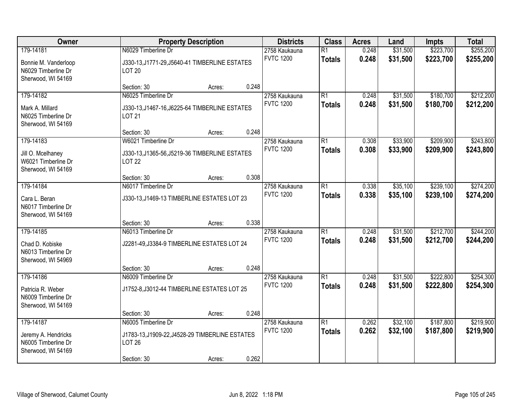| Owner                                                                         | <b>Property Description</b>                                                                                               | <b>Districts</b>                  | <b>Class</b>                     | <b>Acres</b>   | Land                 | <b>Impts</b>           | <b>Total</b>           |
|-------------------------------------------------------------------------------|---------------------------------------------------------------------------------------------------------------------------|-----------------------------------|----------------------------------|----------------|----------------------|------------------------|------------------------|
| 179-14181                                                                     | N6029 Timberline Dr                                                                                                       | 2758 Kaukauna                     | $\overline{R1}$                  | 0.248          | \$31,500             | \$223,700              | \$255,200              |
| Bonnie M. Vanderloop<br>N6029 Timberline Dr<br>Sherwood, WI 54169             | J330-13, J1771-29, J5640-41 TIMBERLINE ESTATES<br><b>LOT 20</b>                                                           | <b>FVTC 1200</b>                  | <b>Totals</b>                    | 0.248          | \$31,500             | \$223,700              | \$255,200              |
|                                                                               | 0.248<br>Section: 30<br>Acres:                                                                                            |                                   |                                  |                |                      |                        |                        |
| 179-14182<br>Mark A. Millard<br>N6025 Timberline Dr<br>Sherwood, WI 54169     | N6025 Timberline Dr<br>J330-13, J1467-16, J6225-64 TIMBERLINE ESTATES<br><b>LOT 21</b>                                    | 2758 Kaukauna<br><b>FVTC 1200</b> | $\overline{R1}$<br><b>Totals</b> | 0.248<br>0.248 | \$31,500<br>\$31,500 | \$180,700<br>\$180,700 | \$212,200<br>\$212,200 |
|                                                                               | 0.248<br>Section: 30<br>Acres:                                                                                            |                                   |                                  |                |                      |                        |                        |
| 179-14183<br>Jill O. Mcelhaney<br>W6021 Timberline Dr<br>Sherwood, WI 54169   | W6021 Timberline Dr<br>J330-13, J1365-56, J5219-36 TIMBERLINE ESTATES<br><b>LOT 22</b>                                    | 2758 Kaukauna<br><b>FVTC 1200</b> | $\overline{R1}$<br><b>Totals</b> | 0.308<br>0.308 | \$33,900<br>\$33,900 | \$209,900<br>\$209,900 | \$243,800<br>\$243,800 |
|                                                                               | 0.308<br>Section: 30<br>Acres:                                                                                            |                                   |                                  |                |                      |                        |                        |
| 179-14184<br>Cara L. Beran<br>N6017 Timberline Dr                             | N6017 Timberline Dr<br>J330-13, J1469-13 TIMBERLINE ESTATES LOT 23                                                        | 2758 Kaukauna<br><b>FVTC 1200</b> | $\overline{R1}$<br><b>Totals</b> | 0.338<br>0.338 | \$35,100<br>\$35,100 | \$239,100<br>\$239,100 | \$274,200<br>\$274,200 |
| Sherwood, WI 54169                                                            | 0.338<br>Section: 30<br>Acres:                                                                                            |                                   |                                  |                |                      |                        |                        |
| 179-14185<br>Chad D. Kobiske<br>N6013 Timberline Dr<br>Sherwood, WI 54969     | N6013 Timberline Dr<br>J2281-49, J3384-9 TIMBERLINE ESTATES LOT 24                                                        | 2758 Kaukauna<br><b>FVTC 1200</b> | $\overline{R1}$<br><b>Totals</b> | 0.248<br>0.248 | \$31,500<br>\$31,500 | \$212,700<br>\$212,700 | \$244,200<br>\$244,200 |
|                                                                               | 0.248<br>Section: 30<br>Acres:                                                                                            |                                   |                                  |                |                      |                        |                        |
| 179-14186<br>Patricia R. Weber<br>N6009 Timberline Dr<br>Sherwood, WI 54169   | N6009 Timberline Dr<br>J1752-8, J3012-44 TIMBERLINE ESTATES LOT 25                                                        | 2758 Kaukauna<br><b>FVTC 1200</b> | $\overline{R1}$<br><b>Totals</b> | 0.248<br>0.248 | \$31,500<br>\$31,500 | \$222,800<br>\$222,800 | \$254,300<br>\$254,300 |
|                                                                               | 0.248<br>Section: 30<br>Acres:                                                                                            |                                   |                                  |                |                      |                        |                        |
| 179-14187<br>Jeremy A. Hendricks<br>N6005 Timberline Dr<br>Sherwood, WI 54169 | N6005 Timberline Dr<br>J1783-13, J1909-22, J4528-29 TIMBERLINE ESTATES<br><b>LOT 26</b><br>0.262<br>Section: 30<br>Acres: | 2758 Kaukauna<br><b>FVTC 1200</b> | $\overline{R1}$<br><b>Totals</b> | 0.262<br>0.262 | \$32,100<br>\$32,100 | \$187,800<br>\$187,800 | \$219,900<br>\$219,900 |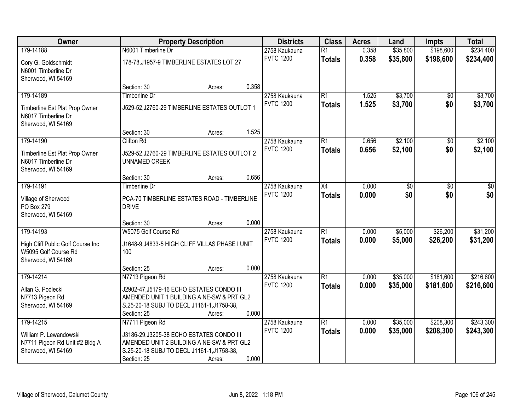| Owner                             |                                                 | <b>Property Description</b> |       | <b>Districts</b> | <b>Class</b>    | <b>Acres</b> | Land     | <b>Impts</b>    | <b>Total</b> |
|-----------------------------------|-------------------------------------------------|-----------------------------|-------|------------------|-----------------|--------------|----------|-----------------|--------------|
| 179-14188                         | N6001 Timberline Dr                             |                             |       | 2758 Kaukauna    | $\overline{R1}$ | 0.358        | \$35,800 | \$198,600       | \$234,400    |
| Cory G. Goldschmidt               | 178-78, J1957-9 TIMBERLINE ESTATES LOT 27       |                             |       | <b>FVTC 1200</b> | <b>Totals</b>   | 0.358        | \$35,800 | \$198,600       | \$234,400    |
| N6001 Timberline Dr               |                                                 |                             |       |                  |                 |              |          |                 |              |
| Sherwood, WI 54169                |                                                 |                             |       |                  |                 |              |          |                 |              |
|                                   | Section: 30                                     | Acres:                      | 0.358 |                  |                 |              |          |                 |              |
| 179-14189                         | <b>Timberline Dr</b>                            |                             |       | 2758 Kaukauna    | $\overline{R1}$ | 1.525        | \$3,700  | $\overline{50}$ | \$3,700      |
| Timberline Est Plat Prop Owner    | J529-52, J2760-29 TIMBERLINE ESTATES OUTLOT 1   |                             |       | <b>FVTC 1200</b> | <b>Totals</b>   | 1.525        | \$3,700  | \$0             | \$3,700      |
| N6017 Timberline Dr               |                                                 |                             |       |                  |                 |              |          |                 |              |
| Sherwood, WI 54169                |                                                 |                             |       |                  |                 |              |          |                 |              |
|                                   | Section: 30                                     | Acres:                      | 1.525 |                  |                 |              |          |                 |              |
| 179-14190                         | Clifton Rd                                      |                             |       | 2758 Kaukauna    | R1              | 0.656        | \$2,100  | \$0             | \$2,100      |
| Timberline Est Plat Prop Owner    | J529-52, J2760-29 TIMBERLINE ESTATES OUTLOT 2   |                             |       | <b>FVTC 1200</b> | <b>Totals</b>   | 0.656        | \$2,100  | \$0             | \$2,100      |
| N6017 Timberline Dr               | <b>UNNAMED CREEK</b>                            |                             |       |                  |                 |              |          |                 |              |
| Sherwood, WI 54169                |                                                 |                             |       |                  |                 |              |          |                 |              |
|                                   | Section: 30                                     | Acres:                      | 0.656 |                  |                 |              |          |                 |              |
| 179-14191                         | <b>Timberline Dr</b>                            |                             |       | 2758 Kaukauna    | X4              | 0.000        | \$0      | \$0             | \$0          |
| Village of Sherwood               | PCA-70 TIMBERLINE ESTATES ROAD - TIMBERLINE     |                             |       | <b>FVTC 1200</b> | <b>Totals</b>   | 0.000        | \$0      | \$0             | \$0          |
| PO Box 279                        | <b>DRIVE</b>                                    |                             |       |                  |                 |              |          |                 |              |
| Sherwood, WI 54169                |                                                 |                             |       |                  |                 |              |          |                 |              |
|                                   | Section: 30                                     | Acres:                      | 0.000 |                  |                 |              |          |                 |              |
| 179-14193                         | W5075 Golf Course Rd                            |                             |       | 2758 Kaukauna    | $\overline{R1}$ | 0.000        | \$5,000  | \$26,200        | \$31,200     |
| High Cliff Public Golf Course Inc | J1648-9, J4833-5 HIGH CLIFF VILLAS PHASE I UNIT |                             |       | <b>FVTC 1200</b> | <b>Totals</b>   | 0.000        | \$5,000  | \$26,200        | \$31,200     |
| W5095 Golf Course Rd              | 100                                             |                             |       |                  |                 |              |          |                 |              |
| Sherwood, WI 54169                |                                                 |                             |       |                  |                 |              |          |                 |              |
|                                   | Section: 25                                     | Acres:                      | 0.000 |                  |                 |              |          |                 |              |
| 179-14214                         | N7713 Pigeon Rd                                 |                             |       | 2758 Kaukauna    | R1              | 0.000        | \$35,000 | \$181,600       | \$216,600    |
| Allan G. Podlecki                 | J2902-47, J5179-16 ECHO ESTATES CONDO III       |                             |       | <b>FVTC 1200</b> | <b>Totals</b>   | 0.000        | \$35,000 | \$181,600       | \$216,600    |
| N7713 Pigeon Rd                   | AMENDED UNIT 1 BUILDING A NE-SW & PRT GL2       |                             |       |                  |                 |              |          |                 |              |
| Sherwood, WI 54169                | S.25-20-18 SUBJ TO DECL J1161-1, J1758-38,      |                             |       |                  |                 |              |          |                 |              |
|                                   | Section: 25                                     | Acres:                      | 0.000 |                  |                 |              |          |                 |              |
| 179-14215                         | N7711 Pigeon Rd                                 |                             |       | 2758 Kaukauna    | R1              | 0.000        | \$35,000 | \$208,300       | \$243,300    |
| William P. Lewandowski            | J3186-29, J3205-38 ECHO ESTATES CONDO III       |                             |       | <b>FVTC 1200</b> | <b>Totals</b>   | 0.000        | \$35,000 | \$208,300       | \$243,300    |
| N7711 Pigeon Rd Unit #2 Bldg A    | AMENDED UNIT 2 BUILDING A NE-SW & PRT GL2       |                             |       |                  |                 |              |          |                 |              |
| Sherwood, WI 54169                | S.25-20-18 SUBJ TO DECL J1161-1, J1758-38,      |                             |       |                  |                 |              |          |                 |              |
|                                   | Section: 25                                     | Acres:                      | 0.000 |                  |                 |              |          |                 |              |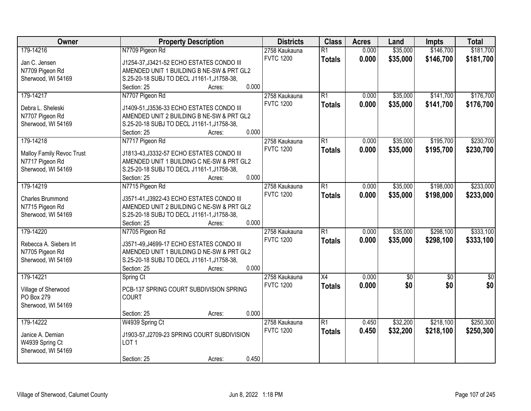| <b>Owner</b>                     | <b>Property Description</b>                 | <b>Districts</b> | <b>Class</b>    | <b>Acres</b> | Land        | <b>Impts</b>    | <b>Total</b> |
|----------------------------------|---------------------------------------------|------------------|-----------------|--------------|-------------|-----------------|--------------|
| 179-14216                        | N7709 Pigeon Rd                             | 2758 Kaukauna    | $\overline{R1}$ | 0.000        | \$35,000    | \$146,700       | \$181,700    |
| Jan C. Jensen                    | J1254-37, J3421-52 ECHO ESTATES CONDO III   | <b>FVTC 1200</b> | <b>Totals</b>   | 0.000        | \$35,000    | \$146,700       | \$181,700    |
| N7709 Pigeon Rd                  | AMENDED UNIT 1 BUILDING B NE-SW & PRT GL2   |                  |                 |              |             |                 |              |
| Sherwood, WI 54169               | S.25-20-18 SUBJ TO DECL J1161-1, J1758-38,  |                  |                 |              |             |                 |              |
|                                  | 0.000<br>Section: 25<br>Acres:              |                  |                 |              |             |                 |              |
| 179-14217                        | N7707 Pigeon Rd                             | 2758 Kaukauna    | $\overline{R1}$ | 0.000        | \$35,000    | \$141,700       | \$176,700    |
|                                  |                                             | <b>FVTC 1200</b> | <b>Totals</b>   | 0.000        | \$35,000    | \$141,700       | \$176,700    |
| Debra L. Sheleski                | J1409-51, J3536-33 ECHO ESTATES CONDO III   |                  |                 |              |             |                 |              |
| N7707 Pigeon Rd                  | AMENDED UNIT 2 BUILDING B NE-SW & PRT GL2   |                  |                 |              |             |                 |              |
| Sherwood, WI 54169               | S.25-20-18 SUBJ TO DECL J1161-1, J1758-38,  |                  |                 |              |             |                 |              |
|                                  | 0.000<br>Section: 25<br>Acres:              |                  |                 |              |             |                 |              |
| 179-14218                        | N7717 Pigeon Rd                             | 2758 Kaukauna    | $\overline{R1}$ | 0.000        | \$35,000    | \$195,700       | \$230,700    |
| <b>Malloy Family Revoc Trust</b> | J1813-43, J3332-57 ECHO ESTATES CONDO III   | <b>FVTC 1200</b> | <b>Totals</b>   | 0.000        | \$35,000    | \$195,700       | \$230,700    |
| N7717 Pigeon Rd                  | AMENDED UNIT 1 BUILDING C NE-SW & PRT GL2   |                  |                 |              |             |                 |              |
| Sherwood, WI 54169               | S.25-20-18 SUBJ TO DECL J1161-1, J1758-38,  |                  |                 |              |             |                 |              |
|                                  | 0.000<br>Section: 25<br>Acres:              |                  |                 |              |             |                 |              |
| 179-14219                        | N7715 Pigeon Rd                             | 2758 Kaukauna    | $\overline{R1}$ | 0.000        | \$35,000    | \$198,000       | \$233,000    |
|                                  |                                             | <b>FVTC 1200</b> | <b>Totals</b>   | 0.000        | \$35,000    | \$198,000       | \$233,000    |
| Charles Brummond                 | J3571-41, J3922-43 ECHO ESTATES CONDO III   |                  |                 |              |             |                 |              |
| N7715 Pigeon Rd                  | AMENDED UNIT 2 BUILDING C NE-SW & PRT GL2   |                  |                 |              |             |                 |              |
| Sherwood, WI 54169               | S.25-20-18 SUBJ TO DECL J1161-1, J1758-38,  |                  |                 |              |             |                 |              |
|                                  | 0.000<br>Section: 25<br>Acres:              |                  |                 |              |             |                 |              |
| 179-14220                        | N7705 Pigeon Rd                             | 2758 Kaukauna    | $\overline{R1}$ | 0.000        | \$35,000    | \$298,100       | \$333,100    |
| Rebecca A. Siebers Irt           | J3571-49, J4699-17 ECHO ESTATES CONDO III   | <b>FVTC 1200</b> | <b>Totals</b>   | 0.000        | \$35,000    | \$298,100       | \$333,100    |
| N7705 Pigeon Rd                  | AMENDED UNIT 1 BUILDING D NE-SW & PRT GL2   |                  |                 |              |             |                 |              |
| Sherwood, WI 54169               | S.25-20-18 SUBJ TO DECL J1161-1, J1758-38,  |                  |                 |              |             |                 |              |
|                                  | 0.000<br>Section: 25<br>Acres:              |                  |                 |              |             |                 |              |
| 179-14221                        | Spring Ct                                   | 2758 Kaukauna    | $\overline{X4}$ | 0.000        | $\sqrt{50}$ | $\overline{60}$ | \$0          |
|                                  |                                             | <b>FVTC 1200</b> | <b>Totals</b>   | 0.000        | \$0         | \$0             | \$0          |
| Village of Sherwood              | PCB-137 SPRING COURT SUBDIVISION SPRING     |                  |                 |              |             |                 |              |
| PO Box 279                       | <b>COURT</b>                                |                  |                 |              |             |                 |              |
| Sherwood, WI 54169               |                                             |                  |                 |              |             |                 |              |
|                                  | 0.000<br>Section: 25<br>Acres:              |                  |                 |              |             |                 |              |
| 179-14222                        | W4939 Spring Ct                             | 2758 Kaukauna    | $\overline{R1}$ | 0.450        | \$32,200    | \$218,100       | \$250,300    |
| Janice A. Demian                 | J1903-57, J2709-23 SPRING COURT SUBDIVISION | <b>FVTC 1200</b> | <b>Totals</b>   | 0.450        | \$32,200    | \$218,100       | \$250,300    |
| W4939 Spring Ct                  | LOT <sub>1</sub>                            |                  |                 |              |             |                 |              |
| Sherwood, WI 54169               |                                             |                  |                 |              |             |                 |              |
|                                  | 0.450<br>Section: 25<br>Acres:              |                  |                 |              |             |                 |              |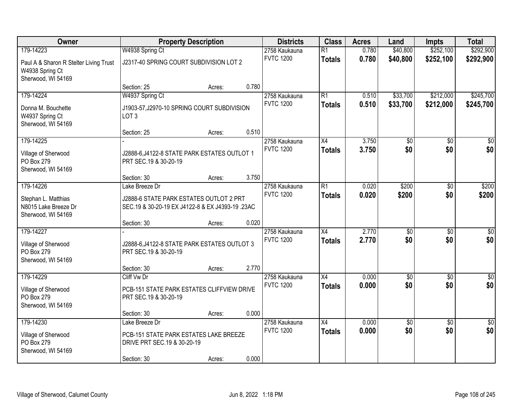| Owner                                  |                                                                       | <b>Property Description</b> |       | <b>Districts</b>                  | <b>Class</b>    | <b>Acres</b>   | Land            | <b>Impts</b>      | <b>Total</b>     |
|----------------------------------------|-----------------------------------------------------------------------|-----------------------------|-------|-----------------------------------|-----------------|----------------|-----------------|-------------------|------------------|
| 179-14223                              | W4938 Spring Ct                                                       |                             |       | 2758 Kaukauna                     | $\overline{R1}$ | 0.780          | \$40,800        | \$252,100         | \$292,900        |
| Paul A & Sharon R Stelter Living Trust | J2317-40 SPRING COURT SUBDIVISION LOT 2                               |                             |       | <b>FVTC 1200</b>                  | <b>Totals</b>   | 0.780          | \$40,800        | \$252,100         | \$292,900        |
| W4938 Spring Ct                        |                                                                       |                             |       |                                   |                 |                |                 |                   |                  |
| Sherwood, WI 54169                     |                                                                       |                             |       |                                   |                 |                |                 |                   |                  |
|                                        | Section: 25                                                           | Acres:                      | 0.780 |                                   |                 |                |                 |                   |                  |
| 179-14224                              | W4937 Spring Ct                                                       |                             |       | 2758 Kaukauna                     | $\overline{R1}$ | 0.510          | \$33,700        | \$212,000         | \$245,700        |
| Donna M. Bouchette                     | J1903-57, J2970-10 SPRING COURT SUBDIVISION                           |                             |       | <b>FVTC 1200</b>                  | <b>Totals</b>   | 0.510          | \$33,700        | \$212,000         | \$245,700        |
| W4937 Spring Ct                        | LOT <sub>3</sub>                                                      |                             |       |                                   |                 |                |                 |                   |                  |
| Sherwood, WI 54169                     |                                                                       |                             |       |                                   |                 |                |                 |                   |                  |
|                                        | Section: 25                                                           | Acres:                      | 0.510 |                                   |                 |                |                 |                   |                  |
| 179-14225                              |                                                                       |                             |       | 2758 Kaukauna                     | X4              | 3.750          | \$0             | \$0               | $\overline{50}$  |
| Village of Sherwood                    | J2888-6, J4122-8 STATE PARK ESTATES OUTLOT 1                          |                             |       | <b>FVTC 1200</b>                  | <b>Totals</b>   | 3.750          | \$0             | \$0               | \$0              |
| PO Box 279                             | PRT SEC.19 & 30-20-19                                                 |                             |       |                                   |                 |                |                 |                   |                  |
| Sherwood, WI 54169                     |                                                                       |                             |       |                                   |                 |                |                 |                   |                  |
|                                        | Section: 30                                                           | Acres:                      | 3.750 |                                   |                 |                |                 |                   |                  |
| 179-14226                              | Lake Breeze Dr                                                        |                             |       | 2758 Kaukauna<br><b>FVTC 1200</b> | R1              | 0.020<br>0.020 | \$200<br>\$200  | $\sqrt{6}$<br>\$0 | \$200<br>\$200   |
| Stephan L. Matthias                    | J2888-6 STATE PARK ESTATES OUTLOT 2 PRT                               |                             |       |                                   | <b>Totals</b>   |                |                 |                   |                  |
| N8015 Lake Breeze Dr                   | SEC.19 & 30-20-19 EX J4122-8 & EX J4393-19 .23AC                      |                             |       |                                   |                 |                |                 |                   |                  |
| Sherwood, WI 54169                     |                                                                       |                             | 0.020 |                                   |                 |                |                 |                   |                  |
| 179-14227                              | Section: 30                                                           | Acres:                      |       | 2758 Kaukauna                     | $\overline{X4}$ | 2.770          | $\overline{50}$ | $\overline{50}$   | $\overline{50}$  |
|                                        |                                                                       |                             |       | <b>FVTC 1200</b>                  | <b>Totals</b>   | 2.770          | \$0             | \$0               | \$0              |
| Village of Sherwood                    | J2888-6, J4122-8 STATE PARK ESTATES OUTLOT 3                          |                             |       |                                   |                 |                |                 |                   |                  |
| PO Box 279<br>Sherwood, WI 54169       | PRT SEC.19 & 30-20-19                                                 |                             |       |                                   |                 |                |                 |                   |                  |
|                                        | Section: 30                                                           | Acres:                      | 2.770 |                                   |                 |                |                 |                   |                  |
| 179-14229                              | Cliff Vw Dr                                                           |                             |       | 2758 Kaukauna                     | $\overline{X4}$ | 0.000          | $\overline{50}$ | $\overline{50}$   | $\overline{\$0}$ |
|                                        |                                                                       |                             |       | <b>FVTC 1200</b>                  | <b>Totals</b>   | 0.000          | \$0             | \$0               | \$0              |
| Village of Sherwood<br>PO Box 279      | PCB-151 STATE PARK ESTATES CLIFFVIEW DRIVE                            |                             |       |                                   |                 |                |                 |                   |                  |
| Sherwood, WI 54169                     | PRT SEC.19 & 30-20-19                                                 |                             |       |                                   |                 |                |                 |                   |                  |
|                                        | Section: 30                                                           | Acres:                      | 0.000 |                                   |                 |                |                 |                   |                  |
| 179-14230                              | Lake Breeze Dr                                                        |                             |       | 2758 Kaukauna                     | $\overline{X4}$ | 0.000          | $\overline{50}$ | $\overline{50}$   | $\overline{30}$  |
|                                        |                                                                       |                             |       | <b>FVTC 1200</b>                  | <b>Totals</b>   | 0.000          | \$0             | \$0               | \$0              |
| Village of Sherwood<br>PO Box 279      | PCB-151 STATE PARK ESTATES LAKE BREEZE<br>DRIVE PRT SEC.19 & 30-20-19 |                             |       |                                   |                 |                |                 |                   |                  |
| Sherwood, WI 54169                     |                                                                       |                             |       |                                   |                 |                |                 |                   |                  |
|                                        | Section: 30                                                           | Acres:                      | 0.000 |                                   |                 |                |                 |                   |                  |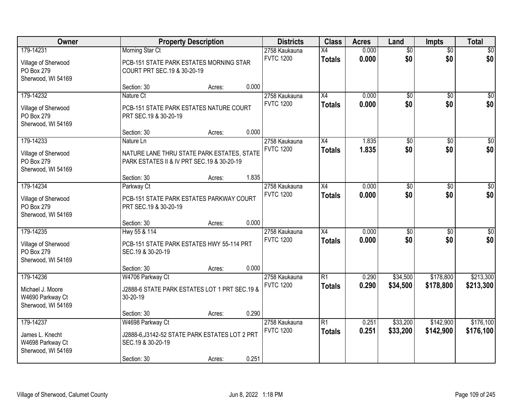| Owner               |                                                | <b>Property Description</b> |       | <b>Districts</b> | <b>Class</b>    | <b>Acres</b> | Land            | <b>Impts</b>    | <b>Total</b>    |
|---------------------|------------------------------------------------|-----------------------------|-------|------------------|-----------------|--------------|-----------------|-----------------|-----------------|
| 179-14231           | <b>Morning Star Ct</b>                         |                             |       | 2758 Kaukauna    | $\overline{X4}$ | 0.000        | $\overline{60}$ | $\overline{50}$ | \$0             |
| Village of Sherwood | PCB-151 STATE PARK ESTATES MORNING STAR        |                             |       | <b>FVTC 1200</b> | <b>Totals</b>   | 0.000        | \$0             | \$0             | \$0             |
| PO Box 279          | COURT PRT SEC.19 & 30-20-19                    |                             |       |                  |                 |              |                 |                 |                 |
| Sherwood, WI 54169  |                                                |                             |       |                  |                 |              |                 |                 |                 |
|                     | Section: 30                                    | Acres:                      | 0.000 |                  |                 |              |                 |                 |                 |
| 179-14232           | Nature Ct                                      |                             |       | 2758 Kaukauna    | X4              | 0.000        | $\overline{50}$ | $\overline{50}$ | \$0             |
| Village of Sherwood | PCB-151 STATE PARK ESTATES NATURE COURT        |                             |       | <b>FVTC 1200</b> | <b>Totals</b>   | 0.000        | \$0             | \$0             | \$0             |
| PO Box 279          | PRT SEC.19 & 30-20-19                          |                             |       |                  |                 |              |                 |                 |                 |
| Sherwood, WI 54169  |                                                |                             |       |                  |                 |              |                 |                 |                 |
|                     | Section: 30                                    | Acres:                      | 0.000 |                  |                 |              |                 |                 |                 |
| 179-14233           | Nature Ln                                      |                             |       | 2758 Kaukauna    | X4              | 1.835        | \$0             | \$0             | $\overline{50}$ |
| Village of Sherwood | NATURE LANE THRU STATE PARK ESTATES, STATE     |                             |       | <b>FVTC 1200</b> | <b>Totals</b>   | 1.835        | \$0             | \$0             | \$0             |
| PO Box 279          | PARK ESTATES II & IV PRT SEC.19 & 30-20-19     |                             |       |                  |                 |              |                 |                 |                 |
| Sherwood, WI 54169  |                                                |                             |       |                  |                 |              |                 |                 |                 |
|                     | Section: 30                                    | Acres:                      | 1.835 |                  |                 |              |                 |                 |                 |
| 179-14234           | Parkway Ct                                     |                             |       | 2758 Kaukauna    | X4              | 0.000        | \$0             | $\sqrt{6}$      | $\sqrt{50}$     |
| Village of Sherwood | PCB-151 STATE PARK ESTATES PARKWAY COURT       |                             |       | <b>FVTC 1200</b> | <b>Totals</b>   | 0.000        | \$0             | \$0             | \$0             |
| PO Box 279          | PRT SEC.19 & 30-20-19                          |                             |       |                  |                 |              |                 |                 |                 |
| Sherwood, WI 54169  |                                                |                             |       |                  |                 |              |                 |                 |                 |
|                     | Section: 30                                    | Acres:                      | 0.000 |                  |                 |              |                 |                 |                 |
| 179-14235           | Hwy 55 & 114                                   |                             |       | 2758 Kaukauna    | $\overline{X4}$ | 0.000        | $\overline{50}$ | $\overline{30}$ | $\overline{50}$ |
| Village of Sherwood | PCB-151 STATE PARK ESTATES HWY 55-114 PRT      |                             |       | <b>FVTC 1200</b> | <b>Totals</b>   | 0.000        | \$0             | \$0             | \$0             |
| PO Box 279          | SEC.19 & 30-20-19                              |                             |       |                  |                 |              |                 |                 |                 |
| Sherwood, WI 54169  |                                                |                             |       |                  |                 |              |                 |                 |                 |
|                     | Section: 30                                    | Acres:                      | 0.000 |                  |                 |              |                 |                 |                 |
| 179-14236           | W4706 Parkway Ct                               |                             |       | 2758 Kaukauna    | $\overline{R1}$ | 0.290        | \$34,500        | \$178,800       | \$213,300       |
| Michael J. Moore    | J2888-6 STATE PARK ESTATES LOT 1 PRT SEC.19 &  |                             |       | <b>FVTC 1200</b> | <b>Totals</b>   | 0.290        | \$34,500        | \$178,800       | \$213,300       |
| W4690 Parkway Ct    | 30-20-19                                       |                             |       |                  |                 |              |                 |                 |                 |
| Sherwood, WI 54169  |                                                |                             |       |                  |                 |              |                 |                 |                 |
|                     | Section: 30                                    | Acres:                      | 0.290 |                  |                 |              |                 |                 |                 |
| 179-14237           | W4698 Parkway Ct                               |                             |       | 2758 Kaukauna    | $\overline{R1}$ | 0.251        | \$33,200        | \$142,900       | \$176,100       |
| James L. Knecht     | J2888-6, J3142-52 STATE PARK ESTATES LOT 2 PRT |                             |       | <b>FVTC 1200</b> | <b>Totals</b>   | 0.251        | \$33,200        | \$142,900       | \$176,100       |
| W4698 Parkway Ct    | SEC.19 & 30-20-19                              |                             |       |                  |                 |              |                 |                 |                 |
| Sherwood, WI 54169  |                                                |                             |       |                  |                 |              |                 |                 |                 |
|                     | Section: 30                                    | Acres:                      | 0.251 |                  |                 |              |                 |                 |                 |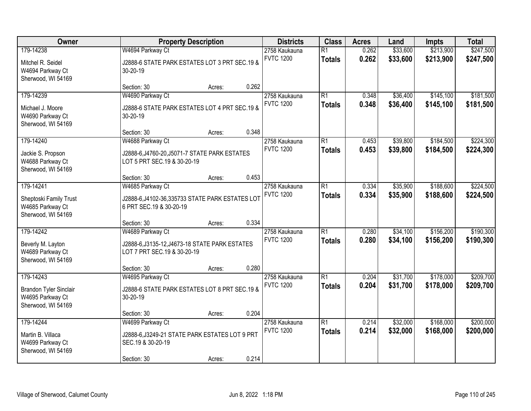| Owner                                                                                | <b>Property Description</b>                                                                            |        |       | <b>Districts</b>                  | <b>Class</b>                     | <b>Acres</b>   | Land                 | <b>Impts</b>           | <b>Total</b>           |
|--------------------------------------------------------------------------------------|--------------------------------------------------------------------------------------------------------|--------|-------|-----------------------------------|----------------------------------|----------------|----------------------|------------------------|------------------------|
| 179-14238<br>Mitchel R. Seidel<br>W4694 Parkway Ct<br>Sherwood, WI 54169             | W4694 Parkway Ct<br>J2888-6 STATE PARK ESTATES LOT 3 PRT SEC.19 &<br>30-20-19                          |        |       | 2758 Kaukauna<br><b>FVTC 1200</b> | $\overline{R1}$<br><b>Totals</b> | 0.262<br>0.262 | \$33,600<br>\$33,600 | \$213,900<br>\$213,900 | \$247,500<br>\$247,500 |
|                                                                                      | Section: 30                                                                                            | Acres: | 0.262 |                                   |                                  |                |                      |                        |                        |
| 179-14239<br>Michael J. Moore<br>W4690 Parkway Ct<br>Sherwood, WI 54169              | W4690 Parkway Ct<br>J2888-6 STATE PARK ESTATES LOT 4 PRT SEC.19 &<br>30-20-19                          |        |       | 2758 Kaukauna<br><b>FVTC 1200</b> | $\overline{R1}$<br><b>Totals</b> | 0.348<br>0.348 | \$36,400<br>\$36,400 | \$145,100<br>\$145,100 | \$181,500<br>\$181,500 |
|                                                                                      | Section: 30                                                                                            | Acres: | 0.348 |                                   |                                  |                |                      |                        |                        |
| 179-14240<br>Jackie S. Propson<br>W4688 Parkway Ct<br>Sherwood, WI 54169             | W4688 Parkway Ct<br>J2888-6, J4760-20, J5071-7 STATE PARK ESTATES<br>LOT 5 PRT SEC.19 & 30-20-19       |        |       | 2758 Kaukauna<br><b>FVTC 1200</b> | $\overline{R1}$<br><b>Totals</b> | 0.453<br>0.453 | \$39,800<br>\$39,800 | \$184,500<br>\$184,500 | \$224,300<br>\$224,300 |
|                                                                                      | Section: 30                                                                                            | Acres: | 0.453 |                                   |                                  |                |                      |                        |                        |
| 179-14241<br>Sheptoski Family Trust<br>W4685 Parkway Ct<br>Sherwood, WI 54169        | W4685 Parkway Ct<br>J2888-6, J4102-36, 335733 STATE PARK ESTATES LOT<br>6 PRT SEC.19 & 30-20-19        |        |       | 2758 Kaukauna<br><b>FVTC 1200</b> | $\overline{R1}$<br><b>Totals</b> | 0.334<br>0.334 | \$35,900<br>\$35,900 | \$188,600<br>\$188,600 | \$224,500<br>\$224,500 |
|                                                                                      | Section: 30                                                                                            | Acres: | 0.334 |                                   |                                  |                |                      |                        |                        |
| 179-14242<br>Beverly M. Layton<br>W4689 Parkway Ct<br>Sherwood, WI 54169             | W4689 Parkway Ct<br>J2888-6, J3135-12, J4673-18 STATE PARK ESTATES<br>LOT 7 PRT SEC.19 & 30-20-19      |        |       | 2758 Kaukauna<br><b>FVTC 1200</b> | $\overline{R1}$<br><b>Totals</b> | 0.280<br>0.280 | \$34,100<br>\$34,100 | \$156,200<br>\$156,200 | \$190,300<br>\$190,300 |
|                                                                                      | Section: 30                                                                                            | Acres: | 0.280 |                                   |                                  |                |                      |                        |                        |
| 179-14243<br><b>Brandon Tyler Sinclair</b><br>W4695 Parkway Ct<br>Sherwood, WI 54169 | W4695 Parkway Ct<br>J2888-6 STATE PARK ESTATES LOT 8 PRT SEC.19 &<br>30-20-19                          |        |       | 2758 Kaukauna<br><b>FVTC 1200</b> | $\overline{R1}$<br><b>Totals</b> | 0.204<br>0.204 | \$31,700<br>\$31,700 | \$178,000<br>\$178,000 | \$209,700<br>\$209,700 |
|                                                                                      | Section: 30                                                                                            | Acres: | 0.204 |                                   |                                  |                |                      |                        |                        |
| 179-14244<br>Martin B. Villaca<br>W4699 Parkway Ct<br>Sherwood, WI 54169             | W4699 Parkway Ct<br>J2888-6, J3249-21 STATE PARK ESTATES LOT 9 PRT<br>SEC.19 & 30-20-19<br>Section: 30 | Acres: | 0.214 | 2758 Kaukauna<br><b>FVTC 1200</b> | $\overline{R1}$<br><b>Totals</b> | 0.214<br>0.214 | \$32,000<br>\$32,000 | \$168,000<br>\$168,000 | \$200,000<br>\$200,000 |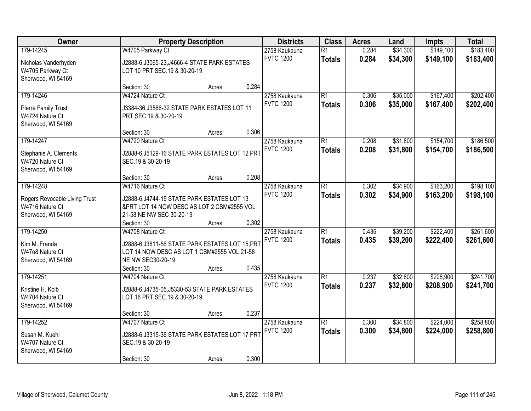| Owner                                                                               |                                                                                                                                          | <b>Property Description</b> |       | <b>Districts</b>                  | <b>Class</b>                     | <b>Acres</b>   | Land                 | <b>Impts</b>           | <b>Total</b>           |
|-------------------------------------------------------------------------------------|------------------------------------------------------------------------------------------------------------------------------------------|-----------------------------|-------|-----------------------------------|----------------------------------|----------------|----------------------|------------------------|------------------------|
| 179-14245<br>Nicholas Vanderhyden<br>W4705 Parkway Ct<br>Sherwood, WI 54169         | W4705 Parkway Ct<br>J2888-6, J3065-23, J4666-4 STATE PARK ESTATES<br>LOT 10 PRT SEC.19 & 30-20-19                                        |                             |       | 2758 Kaukauna<br><b>FVTC 1200</b> | $\overline{R1}$<br><b>Totals</b> | 0.284<br>0.284 | \$34,300<br>\$34,300 | \$149,100<br>\$149,100 | \$183,400<br>\$183,400 |
|                                                                                     | Section: 30                                                                                                                              | Acres:                      | 0.284 |                                   |                                  |                |                      |                        |                        |
| 179-14246<br>Pierre Family Trust<br>W4724 Nature Ct<br>Sherwood, WI 54169           | W4724 Nature Ct<br>J3384-36, J3566-32 STATE PARK ESTATES LOT 11<br>PRT SEC.19 & 30-20-19                                                 |                             |       | 2758 Kaukauna<br><b>FVTC 1200</b> | $\overline{R1}$<br><b>Totals</b> | 0.306<br>0.306 | \$35,000<br>\$35,000 | \$167,400<br>\$167,400 | \$202,400<br>\$202,400 |
|                                                                                     | Section: 30                                                                                                                              | Acres:                      | 0.306 |                                   |                                  |                |                      |                        |                        |
| 179-14247<br>Stephanie A. Clements<br>W4720 Nature Ct<br>Sherwood, WI 54169         | W4720 Nature Ct<br>J2888-6, J5129-16 STATE PARK ESTATES LOT 12 PRT<br>SEC.19 & 30-20-19                                                  |                             |       | 2758 Kaukauna<br><b>FVTC 1200</b> | $\overline{R1}$<br><b>Totals</b> | 0.208<br>0.208 | \$31,800<br>\$31,800 | \$154,700<br>\$154,700 | \$186,500<br>\$186,500 |
|                                                                                     | Section: 30                                                                                                                              | Acres:                      | 0.208 |                                   |                                  |                |                      |                        |                        |
| 179-14248<br>Rogers Revocable Living Trust<br>W4716 Nature Ct<br>Sherwood, WI 54169 | W4716 Nature Ct<br>J2888-6, J4744-19 STATE PARK ESTATES LOT 13<br>&PRT LOT 14 NOW DESC AS LOT 2 CSM#2555 VOL<br>21-58 NE NW SEC 30-20-19 |                             |       | 2758 Kaukauna<br><b>FVTC 1200</b> | $\overline{R1}$<br><b>Totals</b> | 0.302<br>0.302 | \$34,900<br>\$34,900 | \$163,200<br>\$163,200 | \$198,100<br>\$198,100 |
|                                                                                     | Section: 30                                                                                                                              | Acres:                      | 0.302 |                                   |                                  |                |                      |                        |                        |
| 179-14250<br>Kim M. Franda<br>W47o8 Nature Ct<br>Sherwood, WI 54169                 | W4708 Nature Ct<br>J2888-6, J3611-56 STATE PARK ESTATES LOT 15, PRT<br>LOT 14 NOW DESC AS LOT 1 CSM#2555 VOL.21-58<br>NE NW SEC30-20-19  |                             |       | 2758 Kaukauna<br><b>FVTC 1200</b> | $\overline{R1}$<br><b>Totals</b> | 0.435<br>0.435 | \$39,200<br>\$39,200 | \$222,400<br>\$222,400 | \$261,600<br>\$261,600 |
|                                                                                     | Section: 30                                                                                                                              | Acres:                      | 0.435 |                                   |                                  |                |                      |                        |                        |
| 179-14251<br>Kristine H. Kolb<br>W4704 Nature Ct<br>Sherwood, WI 54169              | W4704 Nature Ct<br>J2888-6, J4735-05, J5330-53 STATE PARK ESTATES<br>LOT 16 PRT SEC.19 & 30-20-19                                        |                             |       | 2758 Kaukauna<br><b>FVTC 1200</b> | $\overline{R1}$<br><b>Totals</b> | 0.237<br>0.237 | \$32,800<br>\$32,800 | \$208,900<br>\$208,900 | \$241,700<br>\$241,700 |
|                                                                                     | Section: 30                                                                                                                              | Acres:                      | 0.237 |                                   |                                  |                |                      |                        |                        |
| 179-14252<br>Susan M. Kuehl<br>W4707 Nature Ct<br>Sherwood, WI 54169                | W4707 Nature Ct<br>J2888-6, J3315-36 STATE PARK ESTATES LOT 17 PRT<br>SEC.19 & 30-20-19<br>Section: 30                                   | Acres:                      | 0.300 | 2758 Kaukauna<br><b>FVTC 1200</b> | $\overline{R1}$<br><b>Totals</b> | 0.300<br>0.300 | \$34,800<br>\$34,800 | \$224,000<br>\$224,000 | \$258,800<br>\$258,800 |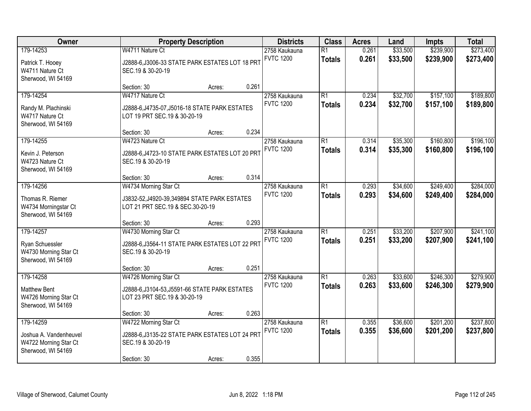| Owner                                                                              |                                                                                                              | <b>Property Description</b> |       | <b>Districts</b>                  | <b>Class</b>                     | <b>Acres</b>   | Land                 | <b>Impts</b>           | <b>Total</b>           |
|------------------------------------------------------------------------------------|--------------------------------------------------------------------------------------------------------------|-----------------------------|-------|-----------------------------------|----------------------------------|----------------|----------------------|------------------------|------------------------|
| 179-14253<br>Patrick T. Hooey<br>W4711 Nature Ct<br>Sherwood, WI 54169             | W4711 Nature Ct<br>J2888-6, J3006-33 STATE PARK ESTATES LOT 18 PRT<br>SEC.19 & 30-20-19                      |                             |       | 2758 Kaukauna<br><b>FVTC 1200</b> | $\overline{R1}$<br><b>Totals</b> | 0.261<br>0.261 | \$33,500<br>\$33,500 | \$239,900<br>\$239,900 | \$273,400<br>\$273,400 |
|                                                                                    | Section: 30                                                                                                  | Acres:                      | 0.261 |                                   |                                  |                |                      |                        |                        |
| 179-14254<br>Randy M. Plachinski<br>W4717 Nature Ct<br>Sherwood, WI 54169          | W4717 Nature Ct<br>J2888-6, J4735-07, J5016-18 STATE PARK ESTATES<br>LOT 19 PRT SEC.19 & 30-20-19            |                             |       | 2758 Kaukauna<br><b>FVTC 1200</b> | $\overline{R1}$<br><b>Totals</b> | 0.234<br>0.234 | \$32,700<br>\$32,700 | \$157,100<br>\$157,100 | \$189,800<br>\$189,800 |
|                                                                                    | Section: 30                                                                                                  | Acres:                      | 0.234 |                                   |                                  |                |                      |                        |                        |
| 179-14255<br>Kevin J. Peterson<br>W4723 Nature Ct<br>Sherwood, WI 54169            | W4723 Nature Ct<br>J2888-6, J4723-10 STATE PARK ESTATES LOT 20 PRT<br>SEC.19 & 30-20-19                      |                             |       | 2758 Kaukauna<br><b>FVTC 1200</b> | $\overline{R1}$<br><b>Totals</b> | 0.314<br>0.314 | \$35,300<br>\$35,300 | \$160,800<br>\$160,800 | \$196,100<br>\$196,100 |
|                                                                                    | Section: 30                                                                                                  | Acres:                      | 0.314 |                                   |                                  |                |                      |                        |                        |
| 179-14256<br>Thomas R. Riemer<br>W4734 Morningstar Ct<br>Sherwood, WI 54169        | W4734 Morning Star Ct<br>J3832-52, J4920-39, 349894 STATE PARK ESTATES<br>LOT 21 PRT SEC.19 & SEC.30-20-19   |                             |       | 2758 Kaukauna<br><b>FVTC 1200</b> | $\overline{R1}$<br><b>Totals</b> | 0.293<br>0.293 | \$34,600<br>\$34,600 | \$249,400<br>\$249,400 | \$284,000<br>\$284,000 |
|                                                                                    | Section: 30                                                                                                  | Acres:                      | 0.293 |                                   |                                  |                |                      |                        |                        |
| 179-14257<br>Ryan Schuessler<br>W4730 Morning Star Ct<br>Sherwood, WI 54169        | W4730 Morning Star Ct<br>J2888-6, J3564-11 STATE PARK ESTATES LOT 22 PRT<br>SEC.19 & 30-20-19                |                             |       | 2758 Kaukauna<br><b>FVTC 1200</b> | $\overline{R1}$<br><b>Totals</b> | 0.251<br>0.251 | \$33,200<br>\$33,200 | \$207,900<br>\$207,900 | \$241,100<br>\$241,100 |
|                                                                                    | Section: 30                                                                                                  | Acres:                      | 0.251 |                                   |                                  |                |                      |                        |                        |
| 179-14258<br><b>Matthew Bent</b><br>W4726 Morning Star Ct<br>Sherwood, WI 54169    | W4726 Morning Star Ct<br>J2888-6, J3104-53, J5591-66 STATE PARK ESTATES<br>LOT 23 PRT SEC.19 & 30-20-19      |                             |       | 2758 Kaukauna<br><b>FVTC 1200</b> | $\overline{R1}$<br><b>Totals</b> | 0.263<br>0.263 | \$33,600<br>\$33,600 | \$246,300<br>\$246,300 | \$279,900<br>\$279,900 |
|                                                                                    | Section: 30                                                                                                  | Acres:                      | 0.263 |                                   |                                  |                |                      |                        |                        |
| 179-14259<br>Joshua A. Vandenheuvel<br>W4722 Morning Star Ct<br>Sherwood, WI 54169 | W4722 Morning Star Ct<br>J2888-6, J3135-22 STATE PARK ESTATES LOT 24 PRT<br>SEC.19 & 30-20-19<br>Section: 30 | Acres:                      | 0.355 | 2758 Kaukauna<br><b>FVTC 1200</b> | $\overline{R1}$<br><b>Totals</b> | 0.355<br>0.355 | \$36,600<br>\$36,600 | \$201,200<br>\$201,200 | \$237,800<br>\$237,800 |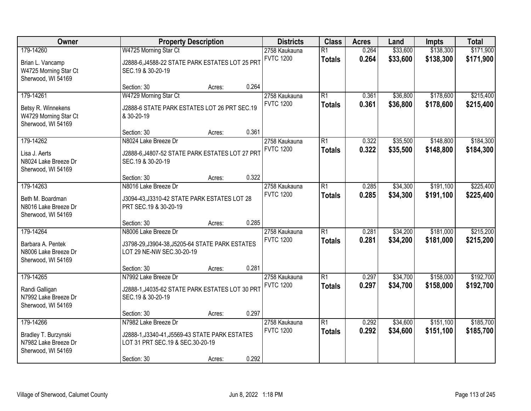| Owner                                                                           | <b>Property Description</b>                                                                                |        |       | <b>Districts</b>                  | <b>Class</b>                     | <b>Acres</b>   | Land                 | <b>Impts</b>           | <b>Total</b>           |
|---------------------------------------------------------------------------------|------------------------------------------------------------------------------------------------------------|--------|-------|-----------------------------------|----------------------------------|----------------|----------------------|------------------------|------------------------|
| 179-14260                                                                       | W4725 Morning Star Ct                                                                                      |        |       | 2758 Kaukauna                     | $\overline{R1}$                  | 0.264          | \$33,600             | \$138,300              | \$171,900              |
| Brian L. Vancamp<br>W4725 Morning Star Ct<br>Sherwood, WI 54169                 | J2888-6, J4588-22 STATE PARK ESTATES LOT 25 PRT<br>SEC.19 & 30-20-19                                       |        |       | <b>FVTC 1200</b>                  | <b>Totals</b>                    | 0.264          | \$33,600             | \$138,300              | \$171,900              |
|                                                                                 | Section: 30                                                                                                | Acres: | 0.264 |                                   |                                  |                |                      |                        |                        |
| 179-14261                                                                       | W4729 Morning Star Ct                                                                                      |        |       | 2758 Kaukauna                     | $\overline{R1}$                  | 0.361          | \$36,800             | \$178,600              | \$215,400              |
| Betsy R. Winnekens<br>W4729 Morning Star Ct<br>Sherwood, WI 54169               | J2888-6 STATE PARK ESTATES LOT 26 PRT SEC.19<br>& 30-20-19                                                 |        |       | <b>FVTC 1200</b>                  | <b>Totals</b>                    | 0.361          | \$36,800             | \$178,600              | \$215,400              |
|                                                                                 | Section: 30                                                                                                | Acres: | 0.361 |                                   |                                  |                |                      |                        |                        |
| 179-14262                                                                       | N8024 Lake Breeze Dr                                                                                       |        |       | 2758 Kaukauna                     | $\overline{R1}$                  | 0.322          | \$35,500             | \$148,800              | \$184,300              |
| Lisa J. Aerts<br>N8024 Lake Breeze Dr<br>Sherwood, WI 54169                     | J2888-6, J4807-52 STATE PARK ESTATES LOT 27 PRT<br>SEC.19 & 30-20-19                                       |        |       | <b>FVTC 1200</b>                  | <b>Totals</b>                    | 0.322          | \$35,500             | \$148,800              | \$184,300              |
|                                                                                 | Section: 30                                                                                                | Acres: | 0.322 |                                   |                                  |                |                      |                        |                        |
| 179-14263                                                                       | N8016 Lake Breeze Dr                                                                                       |        |       | 2758 Kaukauna                     | $\overline{R1}$                  | 0.285          | \$34,300             | \$191,100              | \$225,400              |
| Beth M. Boardman<br>N8016 Lake Breeze Dr<br>Sherwood, WI 54169                  | J3094-43, J3310-42 STATE PARK ESTATES LOT 28<br>PRT SEC.19 & 30-20-19                                      |        |       | <b>FVTC 1200</b>                  | <b>Totals</b>                    | 0.285          | \$34,300             | \$191,100              | \$225,400              |
|                                                                                 | Section: 30                                                                                                | Acres: | 0.285 |                                   |                                  |                |                      |                        |                        |
| 179-14264                                                                       | N8006 Lake Breeze Dr                                                                                       |        |       | 2758 Kaukauna                     | $\overline{R1}$                  | 0.281          | \$34,200             | \$181,000              | \$215,200              |
| Barbara A. Pentek<br>N8006 Lake Breeze Dr<br>Sherwood, WI 54169                 | J3798-29, J3904-38, J5205-64 STATE PARK ESTATES<br>LOT 29 NE-NW SEC.30-20-19                               |        |       | <b>FVTC 1200</b>                  | <b>Totals</b>                    | 0.281          | \$34,200             | \$181,000              | \$215,200              |
|                                                                                 | Section: 30                                                                                                | Acres: | 0.281 |                                   |                                  |                |                      |                        |                        |
| 179-14265                                                                       | N7992 Lake Breeze Dr                                                                                       |        |       | 2758 Kaukauna                     | $\overline{R1}$                  | 0.297          | \$34,700             | \$158,000              | \$192,700              |
| Randi Galligan<br>N7992 Lake Breeze Dr<br>Sherwood, WI 54169                    | J2888-1, J4035-62 STATE PARK ESTATES LOT 30 PRT<br>SEC.19 & 30-20-19                                       |        |       | <b>FVTC 1200</b>                  | <b>Totals</b>                    | 0.297          | \$34,700             | \$158,000              | \$192,700              |
|                                                                                 | Section: 30                                                                                                | Acres: | 0.297 |                                   |                                  |                |                      |                        |                        |
| 179-14266<br>Bradley T. Burzynski<br>N7982 Lake Breeze Dr<br>Sherwood, WI 54169 | N7982 Lake Breeze Dr<br>J2888-1, J3340-41, J5569-43 STATE PARK ESTATES<br>LOT 31 PRT SEC.19 & SEC.30-20-19 |        |       | 2758 Kaukauna<br><b>FVTC 1200</b> | $\overline{R1}$<br><b>Totals</b> | 0.292<br>0.292 | \$34,600<br>\$34,600 | \$151,100<br>\$151,100 | \$185,700<br>\$185,700 |
|                                                                                 | Section: 30                                                                                                | Acres: | 0.292 |                                   |                                  |                |                      |                        |                        |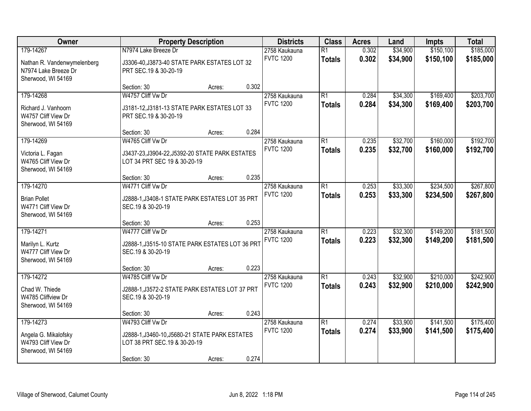| Owner                                                                                  |                                                                                                                    | <b>Property Description</b> |       | <b>Districts</b>                  | <b>Class</b>                     | <b>Acres</b>   | Land                 | <b>Impts</b>           | <b>Total</b>           |
|----------------------------------------------------------------------------------------|--------------------------------------------------------------------------------------------------------------------|-----------------------------|-------|-----------------------------------|----------------------------------|----------------|----------------------|------------------------|------------------------|
| 179-14267<br>Nathan R. Vandenwymelenberg<br>N7974 Lake Breeze Dr<br>Sherwood, WI 54169 | N7974 Lake Breeze Dr<br>J3306-40, J3873-40 STATE PARK ESTATES LOT 32<br>PRT SEC.19 & 30-20-19                      |                             |       | 2758 Kaukauna<br><b>FVTC 1200</b> | $\overline{R1}$<br><b>Totals</b> | 0.302<br>0.302 | \$34,900<br>\$34,900 | \$150,100<br>\$150,100 | \$185,000<br>\$185,000 |
|                                                                                        | Section: 30                                                                                                        | Acres:                      | 0.302 |                                   |                                  |                |                      |                        |                        |
| 179-14268<br>Richard J. Vanhoorn<br>W4757 Cliff View Dr<br>Sherwood, WI 54169          | W4757 Cliff Vw Dr<br>J3181-12, J3181-13 STATE PARK ESTATES LOT 33<br>PRT SEC.19 & 30-20-19                         |                             |       | 2758 Kaukauna<br><b>FVTC 1200</b> | R1<br><b>Totals</b>              | 0.284<br>0.284 | \$34,300<br>\$34,300 | \$169,400<br>\$169,400 | \$203,700<br>\$203,700 |
|                                                                                        | Section: 30                                                                                                        | Acres:                      | 0.284 |                                   |                                  |                |                      |                        |                        |
| 179-14269<br>Victoria L. Fagan<br>W4765 Cliff View Dr<br>Sherwood, WI 54169            | W4765 Cliff Vw Dr<br>J3437-23, J3904-22, J5392-20 STATE PARK ESTATES<br>LOT 34 PRT SEC 19 & 30-20-19               |                             |       | 2758 Kaukauna<br><b>FVTC 1200</b> | $\overline{R1}$<br><b>Totals</b> | 0.235<br>0.235 | \$32,700<br>\$32,700 | \$160,000<br>\$160,000 | \$192,700<br>\$192,700 |
|                                                                                        | Section: 30                                                                                                        | Acres:                      | 0.235 |                                   |                                  |                |                      |                        |                        |
| 179-14270<br><b>Brian Pollet</b><br>W4771 Cliff View Dr<br>Sherwood, WI 54169          | W4771 Cliff Vw Dr<br>J2888-1, J3408-1 STATE PARK ESTATES LOT 35 PRT<br>SEC.19 & 30-20-19                           |                             |       | 2758 Kaukauna<br><b>FVTC 1200</b> | $\overline{R1}$<br><b>Totals</b> | 0.253<br>0.253 | \$33,300<br>\$33,300 | \$234,500<br>\$234,500 | \$267,800<br>\$267,800 |
|                                                                                        | Section: 30                                                                                                        | Acres:                      | 0.253 |                                   |                                  |                |                      |                        |                        |
| 179-14271<br>Marilyn L. Kurtz<br>W4777 Cliff View Dr<br>Sherwood, WI 54169             | W4777 Cliff Vw Dr<br>J2888-1, J3515-10 STATE PARK ESTATES LOT 36 PRT<br>SEC.19 & 30-20-19                          |                             |       | 2758 Kaukauna<br><b>FVTC 1200</b> | $\overline{R1}$<br><b>Totals</b> | 0.223<br>0.223 | \$32,300<br>\$32,300 | \$149,200<br>\$149,200 | \$181,500<br>\$181,500 |
|                                                                                        | Section: 30                                                                                                        | Acres:                      | 0.223 |                                   |                                  |                |                      |                        |                        |
| 179-14272<br>Chad W. Thiede<br>W4785 Cliffview Dr<br>Sherwood, WI 54169                | W4785 Cliff Vw Dr<br>J2888-1, J3572-2 STATE PARK ESTATES LOT 37 PRT<br>SEC.19 & 30-20-19                           |                             |       | 2758 Kaukauna<br><b>FVTC 1200</b> | R1<br><b>Totals</b>              | 0.243<br>0.243 | \$32,900<br>\$32,900 | \$210,000<br>\$210,000 | \$242,900<br>\$242,900 |
|                                                                                        | Section: 30                                                                                                        | Acres:                      | 0.243 |                                   |                                  |                |                      |                        |                        |
| 179-14273<br>Angela G. Mikalofsky<br>W4793 Cliff View Dr<br>Sherwood, WI 54169         | W4793 Cliff Vw Dr<br>J2888-1, J3460-10, J5680-21 STATE PARK ESTATES<br>LOT 38 PRT SEC.19 & 30-20-19<br>Section: 30 | Acres:                      | 0.274 | 2758 Kaukauna<br><b>FVTC 1200</b> | R1<br><b>Totals</b>              | 0.274<br>0.274 | \$33,900<br>\$33,900 | \$141,500<br>\$141,500 | \$175,400<br>\$175,400 |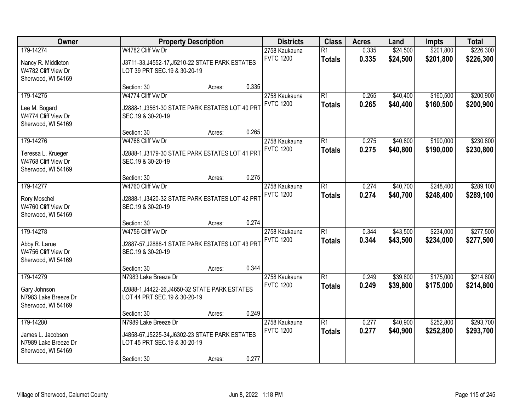| Owner                                                                        |                                                                                                                        | <b>Property Description</b> |       | <b>Districts</b>                  | <b>Class</b>                     | <b>Acres</b>   | Land                 | <b>Impts</b>           | <b>Total</b>           |
|------------------------------------------------------------------------------|------------------------------------------------------------------------------------------------------------------------|-----------------------------|-------|-----------------------------------|----------------------------------|----------------|----------------------|------------------------|------------------------|
| 179-14274<br>Nancy R. Middleton<br>W4782 Cliff View Dr<br>Sherwood, WI 54169 | W4782 Cliff Vw Dr<br>J3711-33, J4552-17, J5210-22 STATE PARK ESTATES<br>LOT 39 PRT SEC.19 & 30-20-19                   |                             |       | 2758 Kaukauna<br><b>FVTC 1200</b> | $\overline{R1}$<br><b>Totals</b> | 0.335<br>0.335 | \$24,500<br>\$24,500 | \$201,800<br>\$201,800 | \$226,300<br>\$226,300 |
|                                                                              | Section: 30                                                                                                            | Acres:                      | 0.335 |                                   |                                  |                |                      |                        |                        |
| 179-14275<br>Lee M. Bogard<br>W4774 Cliff View Dr<br>Sherwood, WI 54169      | W4774 Cliff Vw Dr<br>J2888-1, J3561-30 STATE PARK ESTATES LOT 40 PRT<br>SEC.19 & 30-20-19                              |                             |       | 2758 Kaukauna<br><b>FVTC 1200</b> | $\overline{R1}$<br><b>Totals</b> | 0.265<br>0.265 | \$40,400<br>\$40,400 | \$160,500<br>\$160,500 | \$200,900<br>\$200,900 |
|                                                                              | Section: 30                                                                                                            | Acres:                      | 0.265 |                                   |                                  |                |                      |                        |                        |
| 179-14276<br>Teressa L. Krueger<br>W4768 Cliff View Dr<br>Sherwood, WI 54169 | W4768 Cliff Vw Dr<br>J2888-1, J3179-30 STATE PARK ESTATES LOT 41 PRT<br>SEC.19 & 30-20-19                              |                             |       | 2758 Kaukauna<br><b>FVTC 1200</b> | $\overline{R1}$<br><b>Totals</b> | 0.275<br>0.275 | \$40,800<br>\$40,800 | \$190,000<br>\$190,000 | \$230,800<br>\$230,800 |
|                                                                              | Section: 30                                                                                                            | Acres:                      | 0.275 |                                   |                                  |                |                      |                        |                        |
| 179-14277<br>Rory Moschel<br>W4760 Cliff View Dr<br>Sherwood, WI 54169       | W4760 Cliff Vw Dr<br>J2888-1, J3420-32 STATE PARK ESTATES LOT 42 PRT<br>SEC.19 & 30-20-19                              |                             |       | 2758 Kaukauna<br><b>FVTC 1200</b> | $\overline{R1}$<br><b>Totals</b> | 0.274<br>0.274 | \$40,700<br>\$40,700 | \$248,400<br>\$248,400 | \$289,100<br>\$289,100 |
|                                                                              | Section: 30                                                                                                            | Acres:                      | 0.274 |                                   |                                  |                |                      |                        |                        |
| 179-14278<br>Abby R. Larue<br>W4756 Cliff View Dr<br>Sherwood, WI 54169      | W4756 Cliff Vw Dr<br>J2887-57, J2888-1 STATE PARK ESTATES LOT 43 PRT<br>SEC.19 & 30-20-19                              |                             |       | 2758 Kaukauna<br><b>FVTC 1200</b> | $\overline{R1}$<br><b>Totals</b> | 0.344<br>0.344 | \$43,500<br>\$43,500 | \$234,000<br>\$234,000 | \$277,500<br>\$277,500 |
|                                                                              | Section: 30                                                                                                            | Acres:                      | 0.344 |                                   |                                  |                |                      |                        |                        |
| 179-14279<br>Gary Johnson<br>N7983 Lake Breeze Dr<br>Sherwood, WI 54169      | N7983 Lake Breeze Dr<br>J2888-1, J4422-26, J4650-32 STATE PARK ESTATES<br>LOT 44 PRT SEC.19 & 30-20-19                 |                             |       | 2758 Kaukauna<br><b>FVTC 1200</b> | $\overline{R1}$<br><b>Totals</b> | 0.249<br>0.249 | \$39,800<br>\$39,800 | \$175,000<br>\$175,000 | \$214,800<br>\$214,800 |
|                                                                              | Section: 30                                                                                                            | Acres:                      | 0.249 |                                   |                                  |                |                      |                        |                        |
| 179-14280<br>James L. Jacobson<br>N7989 Lake Breeze Dr<br>Sherwood, WI 54169 | N7989 Lake Breeze Dr<br>J4858-67, J5225-34, J6302-23 STATE PARK ESTATES<br>LOT 45 PRT SEC.19 & 30-20-19<br>Section: 30 | Acres:                      | 0.277 | 2758 Kaukauna<br><b>FVTC 1200</b> | $\overline{R1}$<br><b>Totals</b> | 0.277<br>0.277 | \$40,900<br>\$40,900 | \$252,800<br>\$252,800 | \$293,700<br>\$293,700 |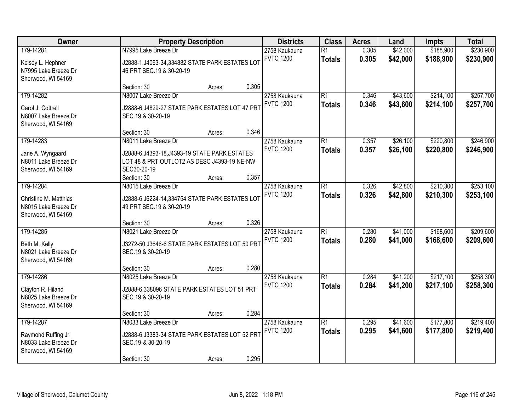| Owner                                                                         | <b>Property Description</b>                                                                                                                         |        |       | <b>Districts</b>                  | <b>Class</b>                     | <b>Acres</b>   | Land                 | <b>Impts</b>           | <b>Total</b>           |
|-------------------------------------------------------------------------------|-----------------------------------------------------------------------------------------------------------------------------------------------------|--------|-------|-----------------------------------|----------------------------------|----------------|----------------------|------------------------|------------------------|
| 179-14281<br>Kelsey L. Hephner<br>N7995 Lake Breeze Dr<br>Sherwood, WI 54169  | N7995 Lake Breeze Dr<br>J2888-1, J4063-34, 334882 STATE PARK ESTATES LOT<br>46 PRT SEC.19 & 30-20-19                                                |        |       | 2758 Kaukauna<br><b>FVTC 1200</b> | $\overline{R1}$<br><b>Totals</b> | 0.305<br>0.305 | \$42,000<br>\$42,000 | \$188,900<br>\$188,900 | \$230,900<br>\$230,900 |
|                                                                               | Section: 30                                                                                                                                         | Acres: | 0.305 |                                   |                                  |                |                      |                        |                        |
| 179-14282<br>Carol J. Cottrell<br>N8007 Lake Breeze Dr<br>Sherwood, WI 54169  | N8007 Lake Breeze Dr<br>J2888-6, J4829-27 STATE PARK ESTATES LOT 47 PRT<br>SEC.19 & 30-20-19                                                        |        |       | 2758 Kaukauna<br><b>FVTC 1200</b> | $\overline{R1}$<br><b>Totals</b> | 0.346<br>0.346 | \$43,600<br>\$43,600 | \$214,100<br>\$214,100 | \$257,700<br>\$257,700 |
|                                                                               | Section: 30                                                                                                                                         | Acres: | 0.346 |                                   |                                  |                |                      |                        |                        |
| 179-14283<br>Jane A. Wyngaard<br>N8011 Lake Breeze Dr<br>Sherwood, WI 54169   | N8011 Lake Breeze Dr<br>J2888-6, J4393-18, J4393-19 STATE PARK ESTATES<br>LOT 48 & PRT OUTLOT2 AS DESC J4393-19 NE-NW<br>SEC30-20-19<br>Section: 30 | Acres: | 0.357 | 2758 Kaukauna<br><b>FVTC 1200</b> | $\overline{R1}$<br><b>Totals</b> | 0.357<br>0.357 | \$26,100<br>\$26,100 | \$220,800<br>\$220,800 | \$246,900<br>\$246,900 |
| 179-14284                                                                     | N8015 Lake Breeze Dr                                                                                                                                |        |       | 2758 Kaukauna                     | $\overline{R1}$                  | 0.326          | \$42,800             | \$210,300              | \$253,100              |
| Christine M. Matthias<br>N8015 Lake Breeze Dr<br>Sherwood, WI 54169           | J2888-6, J6224-14, 334754 STATE PARK ESTATES LOT<br>49 PRT SEC.19 & 30-20-19                                                                        |        |       | <b>FVTC 1200</b>                  | <b>Totals</b>                    | 0.326          | \$42,800             | \$210,300              | \$253,100              |
|                                                                               | Section: 30                                                                                                                                         | Acres: | 0.326 |                                   |                                  |                |                      |                        |                        |
| 179-14285<br>Beth M. Kelly<br>N8021 Lake Breeze Dr<br>Sherwood, WI 54169      | N8021 Lake Breeze Dr<br>J3272-50, J3646-6 STATE PARK ESTATES LOT 50 PRT<br>SEC.19 & 30-20-19                                                        |        |       | 2758 Kaukauna<br><b>FVTC 1200</b> | $\overline{R1}$<br><b>Totals</b> | 0.280<br>0.280 | \$41,000<br>\$41,000 | \$168,600<br>\$168,600 | \$209,600<br>\$209,600 |
|                                                                               | Section: 30                                                                                                                                         | Acres: | 0.280 |                                   |                                  |                |                      |                        |                        |
| 179-14286<br>Clayton R. Hiland<br>N8025 Lake Breeze Dr<br>Sherwood, WI 54169  | N8025 Lake Breeze Dr<br>J2888-6,338096 STATE PARK ESTATES LOT 51 PRT<br>SEC.19 & 30-20-19                                                           |        |       | 2758 Kaukauna<br><b>FVTC 1200</b> | $\overline{R1}$<br><b>Totals</b> | 0.284<br>0.284 | \$41,200<br>\$41,200 | \$217,100<br>\$217,100 | \$258,300<br>\$258,300 |
|                                                                               | Section: 30                                                                                                                                         | Acres: | 0.284 |                                   |                                  |                |                      |                        |                        |
| 179-14287<br>Raymond Ruffing Jr<br>N8033 Lake Breeze Dr<br>Sherwood, WI 54169 | N8033 Lake Breeze Dr<br>J2888-6, J3383-34 STATE PARK ESTATES LOT 52 PRT<br>SEC.19-& 30-20-19<br>Section: 30                                         | Acres: | 0.295 | 2758 Kaukauna<br><b>FVTC 1200</b> | $\overline{R1}$<br><b>Totals</b> | 0.295<br>0.295 | \$41,600<br>\$41,600 | \$177,800<br>\$177,800 | \$219,400<br>\$219,400 |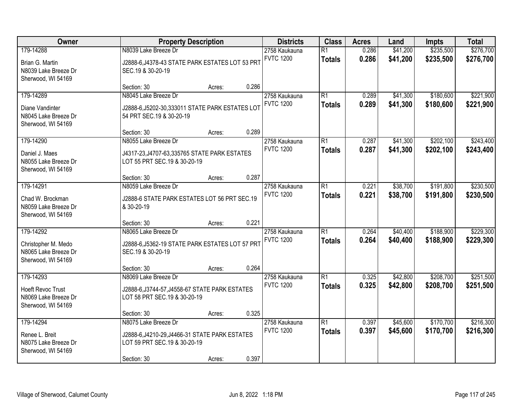| Owner                                                                               | <b>Property Description</b>                                                                                           |        |       | <b>Districts</b>                  | <b>Class</b>                     | <b>Acres</b>   | Land                 | <b>Impts</b>           | <b>Total</b>           |
|-------------------------------------------------------------------------------------|-----------------------------------------------------------------------------------------------------------------------|--------|-------|-----------------------------------|----------------------------------|----------------|----------------------|------------------------|------------------------|
| 179-14288<br>Brian G. Martin<br>N8039 Lake Breeze Dr<br>Sherwood, WI 54169          | N8039 Lake Breeze Dr<br>J2888-6, J4378-43 STATE PARK ESTATES LOT 53 PRT<br>SEC.19 & 30-20-19                          |        |       | 2758 Kaukauna<br><b>FVTC 1200</b> | $\overline{R1}$<br><b>Totals</b> | 0.286<br>0.286 | \$41,200<br>\$41,200 | \$235,500<br>\$235,500 | \$276,700<br>\$276,700 |
|                                                                                     | Section: 30                                                                                                           | Acres: | 0.286 |                                   |                                  |                |                      |                        |                        |
| 179-14289<br>Diane Vandinter<br>N8045 Lake Breeze Dr<br>Sherwood, WI 54169          | N8045 Lake Breeze Dr<br>J2888-6, J5202-30, 333011 STATE PARK ESTATES LOT<br>54 PRT SEC.19 & 30-20-19                  |        |       | 2758 Kaukauna<br><b>FVTC 1200</b> | $\overline{R1}$<br><b>Totals</b> | 0.289<br>0.289 | \$41,300<br>\$41,300 | \$180,600<br>\$180,600 | \$221,900<br>\$221,900 |
|                                                                                     | Section: 30                                                                                                           | Acres: | 0.289 |                                   |                                  |                |                      |                        |                        |
| 179-14290<br>Daniel J. Maes<br>N8055 Lake Breeze Dr<br>Sherwood, WI 54169           | N8055 Lake Breeze Dr<br>J4317-23, J4707-63, 335765 STATE PARK ESTATES<br>LOT 55 PRT SEC.19 & 30-20-19                 |        |       | 2758 Kaukauna<br><b>FVTC 1200</b> | $\overline{R1}$<br><b>Totals</b> | 0.287<br>0.287 | \$41,300<br>\$41,300 | \$202,100<br>\$202,100 | \$243,400<br>\$243,400 |
|                                                                                     | Section: 30                                                                                                           | Acres: | 0.287 |                                   |                                  |                |                      |                        |                        |
| 179-14291<br>Chad W. Brockman<br>N8059 Lake Breeze Dr<br>Sherwood, WI 54169         | N8059 Lake Breeze Dr<br>J2888-6 STATE PARK ESTATES LOT 56 PRT SEC.19<br>& 30-20-19                                    |        |       | 2758 Kaukauna<br><b>FVTC 1200</b> | $\overline{R1}$<br><b>Totals</b> | 0.221<br>0.221 | \$38,700<br>\$38,700 | \$191,800<br>\$191,800 | \$230,500<br>\$230,500 |
|                                                                                     | Section: 30                                                                                                           | Acres: | 0.221 |                                   |                                  |                |                      |                        |                        |
| 179-14292<br>Christopher M. Medo<br>N8065 Lake Breeze Dr<br>Sherwood, WI 54169      | N8065 Lake Breeze Dr<br>J2888-6, J5362-19 STATE PARK ESTATES LOT 57 PRT<br>SEC.19 & 30-20-19                          |        |       | 2758 Kaukauna<br><b>FVTC 1200</b> | $\overline{R1}$<br><b>Totals</b> | 0.264<br>0.264 | \$40,400<br>\$40,400 | \$188,900<br>\$188,900 | \$229,300<br>\$229,300 |
|                                                                                     | Section: 30                                                                                                           | Acres: | 0.264 |                                   |                                  |                |                      |                        |                        |
| 179-14293<br><b>Hoeft Revoc Trust</b><br>N8069 Lake Breeze Dr<br>Sherwood, WI 54169 | N8069 Lake Breeze Dr<br>J2888-6, J3744-57, J4558-67 STATE PARK ESTATES<br>LOT 58 PRT SEC.19 & 30-20-19                |        |       | 2758 Kaukauna<br><b>FVTC 1200</b> | $\overline{R1}$<br><b>Totals</b> | 0.325<br>0.325 | \$42,800<br>\$42,800 | \$208,700<br>\$208,700 | \$251,500<br>\$251,500 |
|                                                                                     | Section: 30                                                                                                           | Acres: | 0.325 |                                   |                                  |                |                      |                        |                        |
| 179-14294<br>Renee L. Breit<br>N8075 Lake Breeze Dr<br>Sherwood, WI 54169           | N8075 Lake Breeze Dr<br>J2888-6, J4210-29, J4466-31 STATE PARK ESTATES<br>LOT 59 PRT SEC.19 & 30-20-19<br>Section: 30 | Acres: | 0.397 | 2758 Kaukauna<br><b>FVTC 1200</b> | $\overline{R1}$<br><b>Totals</b> | 0.397<br>0.397 | \$45,600<br>\$45,600 | \$170,700<br>\$170,700 | \$216,300<br>\$216,300 |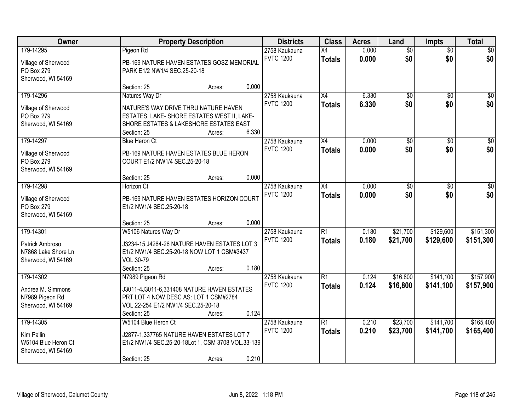| Owner                             |                                                                      | <b>Property Description</b> |       | <b>Districts</b>                  | <b>Class</b>    | <b>Acres</b>   | Land            | Impts           | <b>Total</b>     |
|-----------------------------------|----------------------------------------------------------------------|-----------------------------|-------|-----------------------------------|-----------------|----------------|-----------------|-----------------|------------------|
| 179-14295                         | Pigeon Rd                                                            |                             |       | 2758 Kaukauna                     | $\overline{X4}$ | 0.000          | $\overline{50}$ | $\overline{50}$ | \$0              |
| Village of Sherwood               | PB-169 NATURE HAVEN ESTATES GOSZ MEMORIAL                            |                             |       | <b>FVTC 1200</b>                  | <b>Totals</b>   | 0.000          | \$0             | \$0             | \$0              |
| PO Box 279                        | PARK E1/2 NW1/4 SEC.25-20-18                                         |                             |       |                                   |                 |                |                 |                 |                  |
| Sherwood, WI 54169                |                                                                      |                             |       |                                   |                 |                |                 |                 |                  |
|                                   | Section: 25                                                          | Acres:                      | 0.000 |                                   |                 |                |                 |                 |                  |
| 179-14296                         | Natures Way Dr                                                       |                             |       | 2758 Kaukauna                     | $\overline{X4}$ | 6.330          | $\overline{50}$ | $\overline{50}$ | \$0              |
| Village of Sherwood               | NATURE'S WAY DRIVE THRU NATURE HAVEN                                 |                             |       | <b>FVTC 1200</b>                  | <b>Totals</b>   | 6.330          | \$0             | \$0             | \$0              |
| PO Box 279                        | ESTATES, LAKE-SHORE ESTATES WEST II, LAKE-                           |                             |       |                                   |                 |                |                 |                 |                  |
| Sherwood, WI 54169                | SHORE ESTATES & LAKESHORE ESTATES EAST                               |                             |       |                                   |                 |                |                 |                 |                  |
|                                   | Section: 25                                                          | Acres:                      | 6.330 |                                   |                 |                |                 |                 |                  |
| 179-14297                         | <b>Blue Heron Ct</b>                                                 |                             |       | 2758 Kaukauna                     | X4              | 0.000          | $\overline{50}$ | \$0             | $\overline{\$0}$ |
| Village of Sherwood               | PB-169 NATURE HAVEN ESTATES BLUE HERON                               |                             |       | <b>FVTC 1200</b>                  | <b>Totals</b>   | 0.000          | \$0             | \$0             | \$0              |
| PO Box 279                        | COURT E1/2 NW1/4 SEC.25-20-18                                        |                             |       |                                   |                 |                |                 |                 |                  |
| Sherwood, WI 54169                |                                                                      |                             |       |                                   |                 |                |                 |                 |                  |
|                                   | Section: 25                                                          | Acres:                      | 0.000 |                                   |                 |                |                 |                 |                  |
| 179-14298                         | Horizon Ct                                                           |                             |       | 2758 Kaukauna                     | X4              | 0.000          | \$0             | $\sqrt{6}$      | $\sqrt{50}$      |
|                                   |                                                                      |                             |       | <b>FVTC 1200</b>                  | <b>Totals</b>   | 0.000          | \$0             | \$0             | \$0              |
| Village of Sherwood<br>PO Box 279 | PB-169 NATURE HAVEN ESTATES HORIZON COURT<br>E1/2 NW1/4 SEC.25-20-18 |                             |       |                                   |                 |                |                 |                 |                  |
| Sherwood, WI 54169                |                                                                      |                             |       |                                   |                 |                |                 |                 |                  |
|                                   | Section: 25                                                          | Acres:                      | 0.000 |                                   |                 |                |                 |                 |                  |
| 179-14301                         | W5106 Natures Way Dr                                                 |                             |       | 2758 Kaukauna                     | $\overline{R1}$ | 0.180          | \$21,700        | \$129,600       | \$151,300        |
|                                   |                                                                      |                             |       | <b>FVTC 1200</b>                  | <b>Totals</b>   | 0.180          | \$21,700        | \$129,600       | \$151,300        |
| Patrick Ambroso                   | J3234-15, J4264-26 NATURE HAVEN ESTATES LOT 3                        |                             |       |                                   |                 |                |                 |                 |                  |
| N7868 Lake Shore Ln               | E1/2 NW1/4 SEC.25-20-18 NOW LOT 1 CSM#3437<br>VOL.30-79              |                             |       |                                   |                 |                |                 |                 |                  |
| Sherwood, WI 54169                | Section: 25                                                          | Acres:                      | 0.180 |                                   |                 |                |                 |                 |                  |
| 179-14302                         | N7989 Pigeon Rd                                                      |                             |       | 2758 Kaukauna                     | $\overline{R1}$ | 0.124          | \$16,800        | \$141,100       | \$157,900        |
|                                   |                                                                      |                             |       | <b>FVTC 1200</b>                  | <b>Totals</b>   | 0.124          | \$16,800        | \$141,100       | \$157,900        |
| Andrea M. Simmons                 | J3011-4J3011-6,331408 NATURE HAVEN ESTATES                           |                             |       |                                   |                 |                |                 |                 |                  |
| N7989 Pigeon Rd                   | PRT LOT 4 NOW DESC AS: LOT 1 CSM#2784                                |                             |       |                                   |                 |                |                 |                 |                  |
| Sherwood, WI 54169                | VOL.22-254 E1/2 NW1/4 SEC.25-20-18                                   |                             | 0.124 |                                   |                 |                |                 |                 |                  |
|                                   | Section: 25                                                          | Acres:                      |       |                                   | $\overline{R1}$ |                |                 |                 |                  |
| 179-14305                         | W5104 Blue Heron Ct                                                  |                             |       | 2758 Kaukauna<br><b>FVTC 1200</b> |                 | 0.210<br>0.210 | \$23,700        | \$141,700       | \$165,400        |
| Kim Pallin                        | J2877-1,337765 NATURE HAVEN ESTATES LOT 7                            |                             |       |                                   | <b>Totals</b>   |                | \$23,700        | \$141,700       | \$165,400        |
| W5104 Blue Heron Ct               | E1/2 NW1/4 SEC.25-20-18Lot 1, CSM 3708 VOL.33-139                    |                             |       |                                   |                 |                |                 |                 |                  |
| Sherwood, WI 54169                |                                                                      |                             |       |                                   |                 |                |                 |                 |                  |
|                                   | Section: 25                                                          | Acres:                      | 0.210 |                                   |                 |                |                 |                 |                  |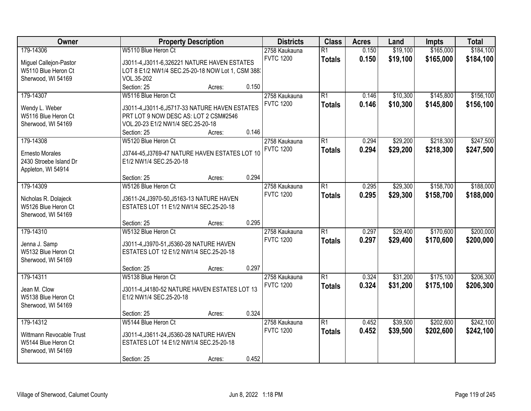| Owner                                       | <b>Property Description</b>                                                         | <b>Districts</b> | <b>Class</b>    | <b>Acres</b> | Land     | <b>Impts</b> | <b>Total</b> |
|---------------------------------------------|-------------------------------------------------------------------------------------|------------------|-----------------|--------------|----------|--------------|--------------|
| 179-14306                                   | W5110 Blue Heron Ct                                                                 | 2758 Kaukauna    | $\overline{R1}$ | 0.150        | \$19,100 | \$165,000    | \$184,100    |
| Miguel Callejon-Pastor                      | J3011-4, J3011-6, 326221 NATURE HAVEN ESTATES                                       | <b>FVTC 1200</b> | <b>Totals</b>   | 0.150        | \$19,100 | \$165,000    | \$184,100    |
| W5110 Blue Heron Ct                         | LOT 8 E1/2 NW1/4 SEC.25-20-18 NOW Lot 1, CSM 388.                                   |                  |                 |              |          |              |              |
| Sherwood, WI 54169                          | VOL.35-202                                                                          |                  |                 |              |          |              |              |
|                                             | Section: 25<br>0.150<br>Acres:                                                      |                  |                 |              |          |              |              |
| 179-14307                                   | W5116 Blue Heron Ct                                                                 | 2758 Kaukauna    | $\overline{R1}$ | 0.146        | \$10,300 | \$145,800    | \$156,100    |
|                                             |                                                                                     | <b>FVTC 1200</b> | <b>Totals</b>   | 0.146        | \$10,300 | \$145,800    | \$156,100    |
| Wendy L. Weber                              | J3011-4, J3011-6, J5717-33 NATURE HAVEN ESTATES                                     |                  |                 |              |          |              |              |
| W5116 Blue Heron Ct                         | PRT LOT 9 NOW DESC AS: LOT 2 CSM#2546                                               |                  |                 |              |          |              |              |
| Sherwood, WI 54169                          | VOL.20-23 E1/2 NW1/4 SEC.25-20-18                                                   |                  |                 |              |          |              |              |
|                                             | 0.146<br>Section: 25<br>Acres:                                                      |                  |                 |              |          |              |              |
| 179-14308                                   | W5120 Blue Heron Ct                                                                 | 2758 Kaukauna    | $\overline{R1}$ | 0.294        | \$29,200 | \$218,300    | \$247,500    |
| <b>Ernesto Morales</b>                      | J3744-45, J3769-47 NATURE HAVEN ESTATES LOT 10                                      | <b>FVTC 1200</b> | <b>Totals</b>   | 0.294        | \$29,200 | \$218,300    | \$247,500    |
| 2430 Stroebe Island Dr                      | E1/2 NW1/4 SEC.25-20-18                                                             |                  |                 |              |          |              |              |
| Appleton, WI 54914                          |                                                                                     |                  |                 |              |          |              |              |
|                                             | 0.294<br>Section: 25<br>Acres:                                                      |                  |                 |              |          |              |              |
| 179-14309                                   | W5126 Blue Heron Ct                                                                 | 2758 Kaukauna    | $\overline{R1}$ | 0.295        | \$29,300 | \$158,700    | \$188,000    |
|                                             |                                                                                     | <b>FVTC 1200</b> | <b>Totals</b>   | 0.295        | \$29,300 | \$158,700    | \$188,000    |
| Nicholas R. Dolajeck<br>W5126 Blue Heron Ct | J3611-24, J3970-50, J5163-13 NATURE HAVEN<br>ESTATES LOT 11 E1/2 NW1/4 SEC.25-20-18 |                  |                 |              |          |              |              |
| Sherwood, WI 54169                          |                                                                                     |                  |                 |              |          |              |              |
|                                             | 0.295<br>Section: 25<br>Acres:                                                      |                  |                 |              |          |              |              |
| 179-14310                                   | W5132 Blue Heron Ct                                                                 | 2758 Kaukauna    | $\overline{R1}$ | 0.297        | \$29,400 | \$170,600    | \$200,000    |
|                                             |                                                                                     | <b>FVTC 1200</b> | <b>Totals</b>   | 0.297        | \$29,400 | \$170,600    | \$200,000    |
| Jenna J. Samp                               | J3011-4, J3970-51, J5360-28 NATURE HAVEN                                            |                  |                 |              |          |              |              |
| W5132 Blue Heron Ct                         | ESTATES LOT 12 E1/2 NW1/4 SEC.25-20-18                                              |                  |                 |              |          |              |              |
| Sherwood, WI 54169                          |                                                                                     |                  |                 |              |          |              |              |
|                                             | 0.297<br>Section: 25<br>Acres:                                                      |                  |                 |              |          |              |              |
| 179-14311                                   | W5138 Blue Heron Ct                                                                 | 2758 Kaukauna    | $\overline{R1}$ | 0.324        | \$31,200 | \$175,100    | \$206,300    |
| Jean M. Clow                                | J3011-4, J4180-52 NATURE HAVEN ESTATES LOT 13                                       | <b>FVTC 1200</b> | <b>Totals</b>   | 0.324        | \$31,200 | \$175,100    | \$206,300    |
| W5138 Blue Heron Ct                         | E1/2 NW1/4 SEC.25-20-18                                                             |                  |                 |              |          |              |              |
| Sherwood, WI 54169                          |                                                                                     |                  |                 |              |          |              |              |
|                                             | 0.324<br>Section: 25<br>Acres:                                                      |                  |                 |              |          |              |              |
| 179-14312                                   | W5144 Blue Heron Ct                                                                 | 2758 Kaukauna    | $\overline{R1}$ | 0.452        | \$39,500 | \$202,600    | \$242,100    |
|                                             |                                                                                     | <b>FVTC 1200</b> | <b>Totals</b>   | 0.452        | \$39,500 | \$202,600    | \$242,100    |
| Wittmann Revocable Trust                    | J3011-4, J3611-24, J5360-28 NATURE HAVEN                                            |                  |                 |              |          |              |              |
| W5144 Blue Heron Ct                         | ESTATES LOT 14 E1/2 NW1/4 SEC.25-20-18                                              |                  |                 |              |          |              |              |
| Sherwood, WI 54169                          |                                                                                     |                  |                 |              |          |              |              |
|                                             | 0.452<br>Section: 25<br>Acres:                                                      |                  |                 |              |          |              |              |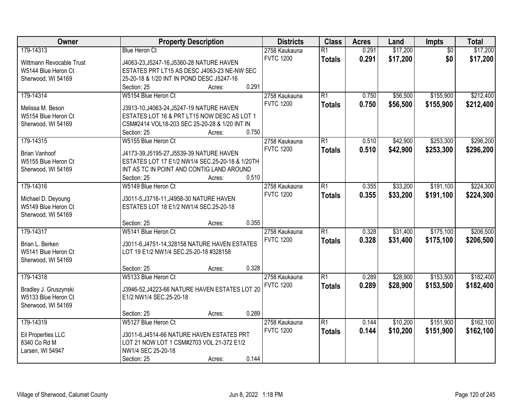| Owner                    | <b>Property Description</b>                     | <b>Districts</b> | <b>Class</b>    | <b>Acres</b> | Land     | Impts           | <b>Total</b> |
|--------------------------|-------------------------------------------------|------------------|-----------------|--------------|----------|-----------------|--------------|
| 179-14313                | <b>Blue Heron Ct</b>                            | 2758 Kaukauna    | $\overline{R1}$ | 0.291        | \$17,200 | $\overline{50}$ | \$17,200     |
| Wittmann Revocable Trust | J4063-23, J5247-16, J5360-28 NATURE HAVEN       | <b>FVTC 1200</b> | <b>Totals</b>   | 0.291        | \$17,200 | \$0             | \$17,200     |
| W5144 Blue Heron Ct      | ESTATES PRT LT15 AS DESC J4063-23 NE-NW SEC     |                  |                 |              |          |                 |              |
| Sherwood, WI 54169       | 25-20-18 & 1/20 INT IN POND DESC J5247-16       |                  |                 |              |          |                 |              |
|                          | 0.291<br>Section: 25<br>Acres:                  |                  |                 |              |          |                 |              |
| 179-14314                | W5154 Blue Heron Ct                             | 2758 Kaukauna    | $\overline{R1}$ | 0.750        | \$56,500 | \$155,900       | \$212,400    |
|                          |                                                 | <b>FVTC 1200</b> | <b>Totals</b>   | 0.750        | \$56,500 | \$155,900       | \$212,400    |
| Melissa M. Beson         | J3913-10, J4063-24, J5247-19 NATURE HAVEN       |                  |                 |              |          |                 |              |
| W5154 Blue Heron Ct      | ESTATES LOT 16 & PRT LT15 NOW DESC AS LOT 1     |                  |                 |              |          |                 |              |
| Sherwood, WI 54169       | CSM#2414 VOL18-203 SEC 25-20-28 & 1/20 INT IN   |                  |                 |              |          |                 |              |
|                          | 0.750<br>Section: 25<br>Acres:                  |                  |                 |              |          |                 |              |
| 179-14315                | W5155 Blue Heron Ct                             | 2758 Kaukauna    | $\overline{R1}$ | 0.510        | \$42,900 | \$253,300       | \$296,200    |
| <b>Brian Vanhoof</b>     | J4173-39, J5195-27, J5539-39 NATURE HAVEN       | <b>FVTC 1200</b> | <b>Totals</b>   | 0.510        | \$42,900 | \$253,300       | \$296,200    |
| W5155 Blue Heron Ct      | ESTATES LOT 17 E1/2 NW1/4 SEC.25-20-18 & 1/20TH |                  |                 |              |          |                 |              |
| Sherwood, WI 54169       | INT AS TC IN POINT AND CONTIG LAND AROUND       |                  |                 |              |          |                 |              |
|                          | 0.510<br>Section: 25<br>Acres:                  |                  |                 |              |          |                 |              |
| 179-14316                | W5149 Blue Heron Ct                             | 2758 Kaukauna    | $\overline{R1}$ | 0.355        | \$33,200 | \$191,100       | \$224,300    |
|                          |                                                 | <b>FVTC 1200</b> | <b>Totals</b>   | 0.355        | \$33,200 | \$191,100       | \$224,300    |
| Michael D. Deyoung       | J3011-5, J3716-11, J4958-30 NATURE HAVEN        |                  |                 |              |          |                 |              |
| W5149 Blue Heron Ct      | ESTATES LOT 18 E1/2 NW1/4 SEC.25-20-18          |                  |                 |              |          |                 |              |
| Sherwood, WI 54169       |                                                 |                  |                 |              |          |                 |              |
|                          | 0.355<br>Section: 25<br>Acres:                  |                  |                 |              |          |                 |              |
| 179-14317                | W5141 Blue Heron Ct                             | 2758 Kaukauna    | $\overline{R1}$ | 0.328        | \$31,400 | \$175,100       | \$206,500    |
| Brian L. Berken          | J3011-6, J4751-14, 328158 NATURE HAVEN ESTATES  | <b>FVTC 1200</b> | <b>Totals</b>   | 0.328        | \$31,400 | \$175,100       | \$206,500    |
| W5141 Blue Heron Ct      | LOT 19 E1/2 NW1/4 SEC.25-20-18 #328158          |                  |                 |              |          |                 |              |
| Sherwood, WI 54169       |                                                 |                  |                 |              |          |                 |              |
|                          | 0.328<br>Section: 25<br>Acres:                  |                  |                 |              |          |                 |              |
| 179-14318                | W5133 Blue Heron Ct                             | 2758 Kaukauna    | $\overline{R1}$ | 0.289        | \$28,900 | \$153,500       | \$182,400    |
|                          |                                                 | <b>FVTC 1200</b> | <b>Totals</b>   | 0.289        | \$28,900 | \$153,500       | \$182,400    |
| Bradley J. Gruszynski    | J3946-52, J4223-66 NATURE HAVEN ESTATES LOT 20  |                  |                 |              |          |                 |              |
| W5133 Blue Heron Ct      | E1/2 NW1/4 SEC.25-20-18                         |                  |                 |              |          |                 |              |
| Sherwood, WI 54169       |                                                 |                  |                 |              |          |                 |              |
|                          | 0.289<br>Section: 25<br>Acres:                  |                  |                 |              |          |                 |              |
| 179-14319                | W5127 Blue Heron Ct                             | 2758 Kaukauna    | $\overline{R1}$ | 0.144        | \$10,200 | \$151,900       | \$162,100    |
| Eil Properties LLC       | J3011-6, J4514-66 NATURE HAVEN ESTATES PRT      | <b>FVTC 1200</b> | <b>Totals</b>   | 0.144        | \$10,200 | \$151,900       | \$162,100    |
| 8340 Co Rd M             | LOT 21 NOW LOT 1 CSM#2703 VOL 21-372 E1/2       |                  |                 |              |          |                 |              |
| Larsen, WI 54947         | NW1/4 SEC 25-20-18                              |                  |                 |              |          |                 |              |
|                          | 0.144<br>Section: 25<br>Acres:                  |                  |                 |              |          |                 |              |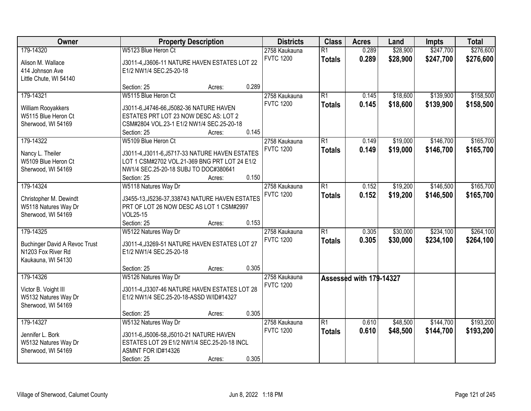| Owner                                                                                         |                                                                                                                                                      | <b>Property Description</b> |       | <b>Districts</b>                  | <b>Class</b>                     | <b>Acres</b>            | Land                 | <b>Impts</b>           | <b>Total</b>           |
|-----------------------------------------------------------------------------------------------|------------------------------------------------------------------------------------------------------------------------------------------------------|-----------------------------|-------|-----------------------------------|----------------------------------|-------------------------|----------------------|------------------------|------------------------|
| 179-14320                                                                                     | W5123 Blue Heron Ct                                                                                                                                  |                             |       | 2758 Kaukauna<br><b>FVTC 1200</b> | $\overline{R1}$<br><b>Totals</b> | 0.289<br>0.289          | \$28,900<br>\$28,900 | \$247,700<br>\$247,700 | \$276,600<br>\$276,600 |
| Alison M. Wallace<br>414 Johnson Ave<br>Little Chute, WI 54140                                | J3011-4, J3606-11 NATURE HAVEN ESTATES LOT 22<br>E1/2 NW1/4 SEC.25-20-18                                                                             |                             |       |                                   |                                  |                         |                      |                        |                        |
|                                                                                               | Section: 25                                                                                                                                          | Acres:                      | 0.289 |                                   |                                  |                         |                      |                        |                        |
| 179-14321                                                                                     | W5115 Blue Heron Ct                                                                                                                                  |                             |       | 2758 Kaukauna<br><b>FVTC 1200</b> | $\overline{R1}$<br><b>Totals</b> | 0.145<br>0.145          | \$18,600<br>\$18,600 | \$139,900<br>\$139,900 | \$158,500<br>\$158,500 |
| William Rooyakkers<br>W5115 Blue Heron Ct<br>Sherwood, WI 54169                               | J3011-6, J4746-66, J5082-36 NATURE HAVEN<br>ESTATES PRT LOT 23 NOW DESC AS: LOT 2<br>CSM#2804 VOL.23-1 E1/2 NW1/4 SEC.25-20-18<br>Section: 25        |                             | 0.145 |                                   |                                  |                         |                      |                        |                        |
| 179-14322                                                                                     | W5109 Blue Heron Ct                                                                                                                                  | Acres:                      |       | 2758 Kaukauna                     | $\overline{R1}$                  | 0.149                   | \$19,000             | \$146,700              | \$165,700              |
| Nancy L. Theiler<br>W5109 Blue Heron Ct<br>Sherwood, WI 54169                                 | J3011-4, J3011-6, J5717-33 NATURE HAVEN ESTATES<br>LOT 1 CSM#2702 VOL.21-369 BNG PRT LOT 24 E1/2<br>NW1/4 SEC.25-20-18 SUBJ TO DOC#380641            |                             |       | <b>FVTC 1200</b>                  | <b>Totals</b>                    | 0.149                   | \$19,000             | \$146,700              | \$165,700              |
| 179-14324                                                                                     | Section: 25                                                                                                                                          | Acres:                      | 0.150 |                                   | $\overline{R1}$                  | 0.152                   | \$19,200             | \$146,500              | \$165,700              |
| Christopher M. Dewindt<br>W5118 Natures Way Dr<br>Sherwood, WI 54169                          | W5118 Natures Way Dr<br>J3455-13, J5236-37, 338743 NATURE HAVEN ESTATES<br>PRT OF LOT 26 NOW DESC AS LOT 1 CSM#2997<br><b>VOL25-15</b>               |                             |       | 2758 Kaukauna<br><b>FVTC 1200</b> | <b>Totals</b>                    | 0.152                   | \$19,200             | \$146,500              | \$165,700              |
|                                                                                               | Section: 25                                                                                                                                          | Acres:                      | 0.153 |                                   |                                  |                         |                      |                        |                        |
| 179-14325<br><b>Buchinger David A Revoc Trust</b><br>N1203 Fox River Rd<br>Kaukauna, WI 54130 | W5122 Natures Way Dr<br>J3011-4, J3269-51 NATURE HAVEN ESTATES LOT 27<br>E1/2 NW1/4 SEC.25-20-18                                                     |                             |       | 2758 Kaukauna<br><b>FVTC 1200</b> | $\overline{R1}$<br><b>Totals</b> | 0.305<br>0.305          | \$30,000<br>\$30,000 | \$234,100<br>\$234,100 | \$264,100<br>\$264,100 |
|                                                                                               | Section: 25                                                                                                                                          | Acres:                      | 0.305 |                                   |                                  |                         |                      |                        |                        |
| 179-14326<br>Victor B. Voight III<br>W5132 Natures Way Dr<br>Sherwood, WI 54169               | W5126 Natures Way Dr<br>J3011-4, J3307-46 NATURE HAVEN ESTATES LOT 28<br>E1/2 NW1/4 SEC.25-20-18-ASSD W/ID#14327                                     |                             |       | 2758 Kaukauna<br><b>FVTC 1200</b> |                                  | Assessed with 179-14327 |                      |                        |                        |
|                                                                                               | Section: 25                                                                                                                                          | Acres:                      | 0.305 |                                   |                                  |                         |                      |                        |                        |
| 179-14327<br>Jennifer L. Bork<br>W5132 Natures Way Dr<br>Sherwood, WI 54169                   | W5132 Natures Way Dr<br>J3011-6, J5006-58, J5010-21 NATURE HAVEN<br>ESTATES LOT 29 E1/2 NW1/4 SEC.25-20-18 INCL<br>ASMNT FOR ID#14326<br>Section: 25 | Acres:                      | 0.305 | 2758 Kaukauna<br><b>FVTC 1200</b> | $\overline{R1}$<br><b>Totals</b> | 0.610<br>0.610          | \$48,500<br>\$48,500 | \$144,700<br>\$144,700 | \$193,200<br>\$193,200 |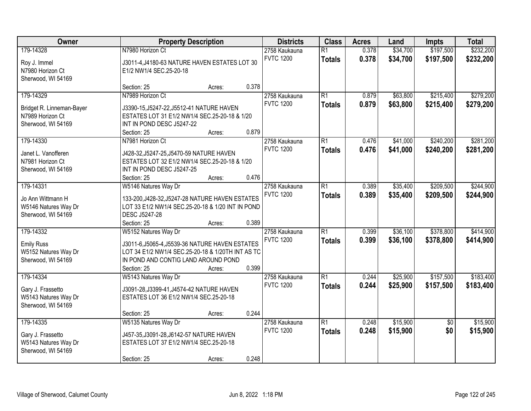| Owner                     |                                                   | <b>Property Description</b> |       | <b>Districts</b> | <b>Class</b>    | <b>Acres</b> | Land     | <b>Impts</b>    | <b>Total</b> |
|---------------------------|---------------------------------------------------|-----------------------------|-------|------------------|-----------------|--------------|----------|-----------------|--------------|
| 179-14328                 | N7980 Horizon Ct                                  |                             |       | 2758 Kaukauna    | $\overline{R1}$ | 0.378        | \$34,700 | \$197,500       | \$232,200    |
| Roy J. Immel              | J3011-4, J4180-63 NATURE HAVEN ESTATES LOT 30     |                             |       | <b>FVTC 1200</b> | <b>Totals</b>   | 0.378        | \$34,700 | \$197,500       | \$232,200    |
| N7980 Horizon Ct          | E1/2 NW1/4 SEC.25-20-18                           |                             |       |                  |                 |              |          |                 |              |
| Sherwood, WI 54169        |                                                   |                             |       |                  |                 |              |          |                 |              |
|                           | Section: 25                                       | Acres:                      | 0.378 |                  |                 |              |          |                 |              |
| 179-14329                 | N7989 Horizon Ct                                  |                             |       | 2758 Kaukauna    | $\overline{R1}$ | 0.879        | \$63,800 | \$215,400       | \$279,200    |
| Bridget R. Linneman-Bayer | J3390-15, J5247-22, J5512-41 NATURE HAVEN         |                             |       | <b>FVTC 1200</b> | <b>Totals</b>   | 0.879        | \$63,800 | \$215,400       | \$279,200    |
| N7989 Horizon Ct          | ESTATES LOT 31 E1/2 NW1/4 SEC.25-20-18 & 1/20     |                             |       |                  |                 |              |          |                 |              |
| Sherwood, WI 54169        | INT IN POND DESC J5247-22                         |                             |       |                  |                 |              |          |                 |              |
|                           | Section: 25                                       | Acres:                      | 0.879 |                  |                 |              |          |                 |              |
| 179-14330                 | N7981 Horizon Ct                                  |                             |       | 2758 Kaukauna    | $\overline{R1}$ | 0.476        | \$41,000 | \$240,200       | \$281,200    |
|                           |                                                   |                             |       | <b>FVTC 1200</b> | <b>Totals</b>   | 0.476        | \$41,000 | \$240,200       | \$281,200    |
| Janet L. Vanofferen       | J428-32, J5247-25, J5470-59 NATURE HAVEN          |                             |       |                  |                 |              |          |                 |              |
| N7981 Horizon Ct          | ESTATES LOT 32 E1/2 NW1/4 SEC.25-20-18 & 1/20     |                             |       |                  |                 |              |          |                 |              |
| Sherwood, WI 54169        | INT IN POND DESC J5247-25<br>Section: 25          |                             | 0.476 |                  |                 |              |          |                 |              |
| 179-14331                 | W5146 Natures Way Dr                              | Acres:                      |       | 2758 Kaukauna    | $\overline{R1}$ | 0.389        | \$35,400 | \$209,500       | \$244,900    |
|                           |                                                   |                             |       | <b>FVTC 1200</b> |                 |              |          |                 |              |
| Jo Ann Wittmann H         | 133-200, J428-32, J5247-28 NATURE HAVEN ESTATES   |                             |       |                  | <b>Totals</b>   | 0.389        | \$35,400 | \$209,500       | \$244,900    |
| W5146 Natures Way Dr      | LOT 33 E1/2 NW1/4 SEC.25-20-18 & 1/20 INT IN POND |                             |       |                  |                 |              |          |                 |              |
| Sherwood, WI 54169        | DESC J5247-28                                     |                             |       |                  |                 |              |          |                 |              |
|                           | Section: 25                                       | Acres:                      | 0.389 |                  |                 |              |          |                 |              |
| 179-14332                 | W5152 Natures Way Dr                              |                             |       | 2758 Kaukauna    | $\overline{R1}$ | 0.399        | \$36,100 | \$378,800       | \$414,900    |
| <b>Emily Russ</b>         | J3011-6, J5065-4, J5539-36 NATURE HAVEN ESTATES   |                             |       | <b>FVTC 1200</b> | <b>Totals</b>   | 0.399        | \$36,100 | \$378,800       | \$414,900    |
| W5152 Natures Way Dr      | LOT 34 E1/2 NW1/4 SEC.25-20-18 & 1/20TH INT AS TC |                             |       |                  |                 |              |          |                 |              |
| Sherwood, WI 54169        | IN POND AND CONTIG LAND AROUND POND               |                             |       |                  |                 |              |          |                 |              |
|                           | Section: 25                                       | Acres:                      | 0.399 |                  |                 |              |          |                 |              |
| 179-14334                 | W5143 Natures Way Dr                              |                             |       | 2758 Kaukauna    | $\overline{R1}$ | 0.244        | \$25,900 | \$157,500       | \$183,400    |
| Gary J. Frassetto         | J3091-28, J3399-41, J4574-42 NATURE HAVEN         |                             |       | <b>FVTC 1200</b> | <b>Totals</b>   | 0.244        | \$25,900 | \$157,500       | \$183,400    |
| W5143 Natures Way Dr      | ESTATES LOT 36 E1/2 NW1/4 SEC.25-20-18            |                             |       |                  |                 |              |          |                 |              |
| Sherwood, WI 54169        |                                                   |                             |       |                  |                 |              |          |                 |              |
|                           | Section: 25                                       | Acres:                      | 0.244 |                  |                 |              |          |                 |              |
| 179-14335                 | W5135 Natures Way Dr                              |                             |       | 2758 Kaukauna    | $\overline{R1}$ | 0.248        | \$15,900 | $\overline{50}$ | \$15,900     |
|                           |                                                   |                             |       | <b>FVTC 1200</b> | <b>Totals</b>   | 0.248        | \$15,900 | \$0             | \$15,900     |
| Gary J. Frassetto         | J457-35, J3091-28, J6142-57 NATURE HAVEN          |                             |       |                  |                 |              |          |                 |              |
| W5143 Natures Way Dr      | ESTATES LOT 37 E1/2 NW1/4 SEC.25-20-18            |                             |       |                  |                 |              |          |                 |              |
| Sherwood, WI 54169        |                                                   |                             |       |                  |                 |              |          |                 |              |
|                           | Section: 25                                       | Acres:                      | 0.248 |                  |                 |              |          |                 |              |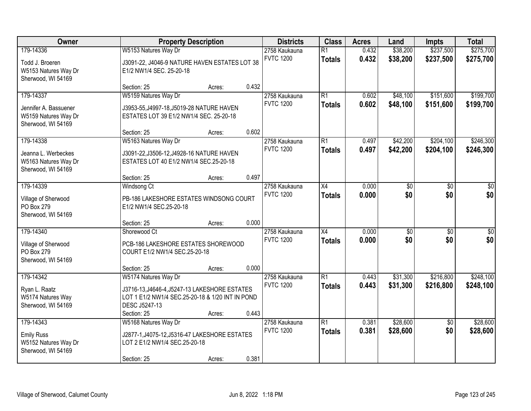| Owner                                                                            | <b>Property Description</b>                                                                                                                                              |                  | <b>Districts</b> | <b>Class</b>                      | <b>Acres</b>                     | Land           | <b>Impts</b>         | <b>Total</b>           |                         |
|----------------------------------------------------------------------------------|--------------------------------------------------------------------------------------------------------------------------------------------------------------------------|------------------|------------------|-----------------------------------|----------------------------------|----------------|----------------------|------------------------|-------------------------|
| 179-14336<br>Todd J. Broeren<br>W5153 Natures Way Dr                             | W5153 Natures Way Dr<br>J3091-22, J4046-9 NATURE HAVEN ESTATES LOT 38<br>E1/2 NW1/4 SEC. 25-20-18                                                                        |                  |                  | 2758 Kaukauna<br><b>FVTC 1200</b> | $\overline{R1}$<br><b>Totals</b> | 0.432<br>0.432 | \$38,200<br>\$38,200 | \$237,500<br>\$237,500 | \$275,700<br>\$275,700  |
| Sherwood, WI 54169                                                               | Section: 25                                                                                                                                                              | Acres:           | 0.432            |                                   |                                  |                |                      |                        |                         |
| 179-14337<br>Jennifer A. Bassuener<br>W5159 Natures Way Dr<br>Sherwood, WI 54169 | W5159 Natures Way Dr<br>J3953-55, J4997-18, J5019-28 NATURE HAVEN<br>ESTATES LOT 39 E1/2 NW1/4 SEC. 25-20-18                                                             |                  |                  | 2758 Kaukauna<br><b>FVTC 1200</b> | $\overline{R1}$<br><b>Totals</b> | 0.602<br>0.602 | \$48,100<br>\$48,100 | \$151,600<br>\$151,600 | \$199,700<br>\$199,700  |
| 179-14338<br>Jeanna L. Werbeckes<br>W5163 Natures Way Dr<br>Sherwood, WI 54169   | Section: 25<br>W5163 Natures Way Dr<br>J3091-22, J3506-12, J4928-16 NATURE HAVEN<br>ESTATES LOT 40 E1/2 NW1/4 SEC.25-20-18                                               | Acres:           | 0.602            | 2758 Kaukauna<br><b>FVTC 1200</b> | $\overline{R1}$<br><b>Totals</b> | 0.497<br>0.497 | \$42,200<br>\$42,200 | \$204,100<br>\$204,100 | \$246,300<br>\$246,300  |
| 179-14339<br>Village of Sherwood<br>PO Box 279<br>Sherwood, WI 54169             | Section: 25<br>Windsong Ct<br>PB-186 LAKESHORE ESTATES WINDSONG COURT<br>E1/2 NW1/4 SEC.25-20-18                                                                         | Acres:           | 0.497            | 2758 Kaukauna<br><b>FVTC 1200</b> | $\overline{X4}$<br><b>Totals</b> | 0.000<br>0.000 | \$0<br>\$0           | \$0<br>\$0             | \$0<br>\$0              |
| 179-14340<br>Village of Sherwood<br>PO Box 279<br>Sherwood, WI 54169             | Section: 25<br>Shorewood Ct<br>PCB-186 LAKESHORE ESTATES SHOREWOOD<br>COURT E1/2 NW1/4 SEC.25-20-18                                                                      | Acres:           | 0.000            | 2758 Kaukauna<br><b>FVTC 1200</b> | $\overline{X4}$<br><b>Totals</b> | 0.000<br>0.000 | $\sqrt{30}$<br>\$0   | $\overline{50}$<br>\$0 | $\overline{\$0}$<br>\$0 |
| 179-14342<br>Ryan L. Raatz<br>W5174 Natures Way<br>Sherwood, WI 54169            | Section: 25<br>W5174 Natures Way Dr<br>J3716-13, J4646-4, J5247-13 LAKESHORE ESTATES<br>LOT 1 E1/2 NW1/4 SEC.25-20-18 & 1/20 INT IN POND<br>DESC J5247-13<br>Section: 25 | Acres:<br>Acres: | 0.000<br>0.443   | 2758 Kaukauna<br><b>FVTC 1200</b> | $\overline{R1}$<br><b>Totals</b> | 0.443<br>0.443 | \$31,300<br>\$31,300 | \$216,800<br>\$216,800 | \$248,100<br>\$248,100  |
| 179-14343<br><b>Emily Russ</b><br>W5152 Natures Way Dr<br>Sherwood, WI 54169     | W5168 Natures Way Dr<br>J2877-1, J4075-12, J5316-47 LAKESHORE ESTATES<br>LOT 2 E1/2 NW1/4 SEC.25-20-18<br>Section: 25                                                    | Acres:           | 0.381            | 2758 Kaukauna<br><b>FVTC 1200</b> | $\overline{R1}$<br><b>Totals</b> | 0.381<br>0.381 | \$28,600<br>\$28,600 | $\overline{50}$<br>\$0 | \$28,600<br>\$28,600    |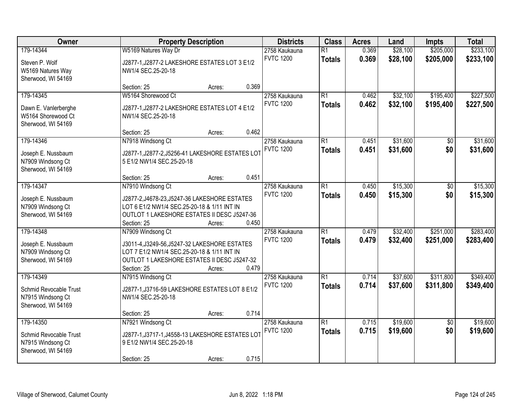| Owner                                                            |                                                                               | <b>Property Description</b> |       | <b>Districts</b>                  | <b>Class</b>                     | <b>Acres</b>   | Land                 | <b>Impts</b>           | <b>Total</b>           |
|------------------------------------------------------------------|-------------------------------------------------------------------------------|-----------------------------|-------|-----------------------------------|----------------------------------|----------------|----------------------|------------------------|------------------------|
| 179-14344<br>Steven P. Wolf                                      | W5169 Natures Way Dr<br>J2877-1, J2877-2 LAKESHORE ESTATES LOT 3 E1/2         |                             |       | 2758 Kaukauna<br><b>FVTC 1200</b> | $\overline{R1}$<br><b>Totals</b> | 0.369<br>0.369 | \$28,100<br>\$28,100 | \$205,000<br>\$205,000 | \$233,100<br>\$233,100 |
| W5169 Natures Way<br>Sherwood, WI 54169                          | NW1/4 SEC.25-20-18                                                            |                             |       |                                   |                                  |                |                      |                        |                        |
|                                                                  | Section: 25                                                                   | Acres:                      | 0.369 |                                   |                                  |                |                      |                        |                        |
| 179-14345                                                        | W5164 Shorewood Ct                                                            |                             |       | 2758 Kaukauna                     | $\overline{R1}$                  | 0.462          | \$32,100             | \$195,400              | \$227,500              |
| Dawn E. Vanlerberghe<br>W5164 Shorewood Ct<br>Sherwood, WI 54169 | J2877-1, J2877-2 LAKESHORE ESTATES LOT 4 E1/2<br>NW1/4 SEC.25-20-18           |                             |       | <b>FVTC 1200</b>                  | <b>Totals</b>                    | 0.462          | \$32,100             | \$195,400              | \$227,500              |
|                                                                  | Section: 25                                                                   | Acres:                      | 0.462 |                                   |                                  |                |                      |                        |                        |
| 179-14346                                                        | N7918 Windsong Ct                                                             |                             |       | 2758 Kaukauna                     | $\overline{R1}$                  | 0.451          | \$31,600             | \$0                    | \$31,600               |
| Joseph E. Nussbaum<br>N7909 Windsong Ct                          | J2877-1, J2877-2, J5256-41 LAKESHORE ESTATES LOT<br>5 E1/2 NW1/4 SEC.25-20-18 |                             |       | <b>FVTC 1200</b>                  | <b>Totals</b>                    | 0.451          | \$31,600             | \$0                    | \$31,600               |
| Sherwood, WI 54169                                               |                                                                               |                             |       |                                   |                                  |                |                      |                        |                        |
|                                                                  | Section: 25                                                                   | Acres:                      | 0.451 |                                   |                                  |                |                      |                        |                        |
| 179-14347                                                        | N7910 Windsong Ct                                                             |                             |       | 2758 Kaukauna                     | $\overline{R1}$                  | 0.450          | \$15,300             | \$0                    | \$15,300               |
| Joseph E. Nussbaum                                               | J2877-2, J4678-23, J5247-36 LAKESHORE ESTATES                                 |                             |       | <b>FVTC 1200</b>                  | <b>Totals</b>                    | 0.450          | \$15,300             | \$0                    | \$15,300               |
| N7909 Windsong Ct                                                | LOT 6 E1/2 NW1/4 SEC.25-20-18 & 1/11 INT IN                                   |                             |       |                                   |                                  |                |                      |                        |                        |
| Sherwood, WI 54169                                               | OUTLOT 1 LAKESHORE ESTATES II DESC J5247-36                                   |                             |       |                                   |                                  |                |                      |                        |                        |
|                                                                  | Section: 25                                                                   | Acres:                      | 0.450 |                                   |                                  |                |                      |                        |                        |
| 179-14348                                                        | N7909 Windsong Ct                                                             |                             |       | 2758 Kaukauna                     | $\overline{R1}$                  | 0.479          | \$32,400             | \$251,000              | \$283,400              |
| Joseph E. Nussbaum                                               | J3011-4, J3249-56, J5247-32 LAKESHORE ESTATES                                 |                             |       | <b>FVTC 1200</b>                  | <b>Totals</b>                    | 0.479          | \$32,400             | \$251,000              | \$283,400              |
| N7909 Windsong Ct                                                | LOT 7 E1/2 NW1/4 SEC.25-20-18 & 1/11 INT IN                                   |                             |       |                                   |                                  |                |                      |                        |                        |
| Sherwood, WI 54169                                               | OUTLOT 1 LAKESHORE ESTATES II DESC J5247-32                                   |                             |       |                                   |                                  |                |                      |                        |                        |
|                                                                  | Section: 25                                                                   | Acres:                      | 0.479 |                                   |                                  |                |                      |                        |                        |
| 179-14349                                                        | N7915 Windsong Ct                                                             |                             |       | 2758 Kaukauna                     | $\overline{R1}$                  | 0.714          | \$37,600             | \$311,800              | \$349,400              |
| Schmid Revocable Trust                                           | J2877-1, J3716-59 LAKESHORE ESTATES LOT 8 E1/2                                |                             |       | <b>FVTC 1200</b>                  | <b>Totals</b>                    | 0.714          | \$37,600             | \$311,800              | \$349,400              |
| N7915 Windsong Ct                                                | NW1/4 SEC.25-20-18                                                            |                             |       |                                   |                                  |                |                      |                        |                        |
| Sherwood, WI 54169                                               |                                                                               |                             |       |                                   |                                  |                |                      |                        |                        |
|                                                                  | Section: 25                                                                   | Acres:                      | 0.714 |                                   |                                  |                |                      |                        |                        |
| 179-14350                                                        | N7921 Windsong Ct                                                             |                             |       | 2758 Kaukauna                     | $\overline{R1}$                  | 0.715          | \$19,600             | $\overline{50}$        | \$19,600               |
|                                                                  |                                                                               |                             |       | <b>FVTC 1200</b>                  | <b>Totals</b>                    | 0.715          | \$19,600             | \$0                    | \$19,600               |
| Schmid Revocable Trust                                           | J2877-1, J3717-1, J4558-13 LAKESHORE ESTATES LOT                              |                             |       |                                   |                                  |                |                      |                        |                        |
| N7915 Windsong Ct                                                | 9 E1/2 NW1/4 SEC.25-20-18                                                     |                             |       |                                   |                                  |                |                      |                        |                        |
| Sherwood, WI 54169                                               | Section: 25                                                                   | Acres:                      | 0.715 |                                   |                                  |                |                      |                        |                        |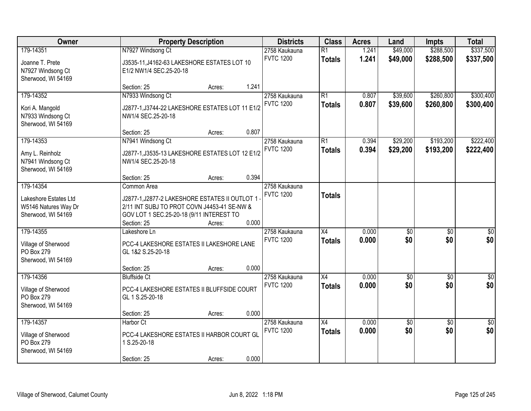| Owner                                                                            |                                                                                                                                                                         | <b>Property Description</b> |       | <b>Districts</b>                  | <b>Class</b>                     | <b>Acres</b>   | Land                   | <b>Impts</b>           | <b>Total</b>           |
|----------------------------------------------------------------------------------|-------------------------------------------------------------------------------------------------------------------------------------------------------------------------|-----------------------------|-------|-----------------------------------|----------------------------------|----------------|------------------------|------------------------|------------------------|
| 179-14351<br>Joanne T. Prete<br>N7927 Windsong Ct<br>Sherwood, WI 54169          | N7927 Windsong Ct<br>J3535-11, J4162-63 LAKESHORE ESTATES LOT 10<br>E1/2 NW1/4 SEC.25-20-18                                                                             |                             |       | 2758 Kaukauna<br><b>FVTC 1200</b> | $\overline{R1}$<br><b>Totals</b> | 1.241<br>1.241 | \$49,000<br>\$49,000   | \$288,500<br>\$288,500 | \$337,500<br>\$337,500 |
|                                                                                  | Section: 25                                                                                                                                                             | Acres:                      | 1.241 |                                   |                                  |                |                        |                        |                        |
| 179-14352<br>Kori A. Mangold<br>N7933 Windsong Ct<br>Sherwood, WI 54169          | N7933 Windsong Ct<br>J2877-1, J3744-22 LAKESHORE ESTATES LOT 11 E1/2<br>NW1/4 SEC.25-20-18                                                                              |                             |       | 2758 Kaukauna<br><b>FVTC 1200</b> | $\overline{R1}$<br><b>Totals</b> | 0.807<br>0.807 | \$39,600<br>\$39,600   | \$260,800<br>\$260,800 | \$300,400<br>\$300,400 |
|                                                                                  | Section: 25                                                                                                                                                             | Acres:                      | 0.807 |                                   |                                  |                |                        |                        |                        |
| 179-14353<br>Amy L. Reinholz<br>N7941 Windsong Ct<br>Sherwood, WI 54169          | N7941 Windsong Ct<br>J2877-1, J3535-13 LAKESHORE ESTATES LOT 12 E1/2<br>NW1/4 SEC.25-20-18                                                                              |                             |       | 2758 Kaukauna<br><b>FVTC 1200</b> | $\overline{R1}$<br><b>Totals</b> | 0.394<br>0.394 | \$29,200<br>\$29,200   | \$193,200<br>\$193,200 | \$222,400<br>\$222,400 |
|                                                                                  | Section: 25                                                                                                                                                             | Acres:                      | 0.394 |                                   |                                  |                |                        |                        |                        |
| 179-14354<br>Lakeshore Estates Ltd<br>W5146 Natures Way Dr<br>Sherwood, WI 54169 | Common Area<br>J2877-1, J2877-2 LAKESHORE ESTATES II OUTLOT 1<br>2/11 INT SUBJ TO PROT COVN J4453-41 SE-NW &<br>GOV LOT 1 SEC.25-20-18 (9/11 INTEREST TO<br>Section: 25 | Acres:                      | 0.000 | 2758 Kaukauna<br><b>FVTC 1200</b> | <b>Totals</b>                    |                |                        |                        |                        |
| 179-14355<br>Village of Sherwood<br>PO Box 279<br>Sherwood, WI 54169             | Lakeshore Ln<br>PCC-4 LAKESHORE ESTATES II LAKESHORE LANE<br>GL 1&2 S.25-20-18                                                                                          |                             |       | 2758 Kaukauna<br><b>FVTC 1200</b> | $\overline{X4}$<br><b>Totals</b> | 0.000<br>0.000 | $\overline{50}$<br>\$0 | $\overline{50}$<br>\$0 | $\overline{50}$<br>\$0 |
| 179-14356                                                                        | Section: 25<br><b>Bluffside Ct</b>                                                                                                                                      | Acres:                      | 0.000 | 2758 Kaukauna                     | $\overline{X4}$                  | 0.000          | $\sqrt{50}$            | $\overline{50}$        | $\overline{\$0}$       |
| Village of Sherwood<br>PO Box 279<br>Sherwood, WI 54169                          | PCC-4 LAKESHORE ESTATES II BLUFFSIDE COURT<br>GL 1 S.25-20-18                                                                                                           |                             |       | <b>FVTC 1200</b>                  | <b>Totals</b>                    | 0.000          | \$0                    | \$0                    | \$0                    |
|                                                                                  | Section: 25                                                                                                                                                             | Acres:                      | 0.000 |                                   |                                  |                |                        |                        |                        |
| 179-14357<br>Village of Sherwood<br>PO Box 279<br>Sherwood, WI 54169             | Harbor Ct<br>PCC-4 LAKESHORE ESTATES II HARBOR COURT GL<br>1 S.25-20-18<br>Section: 25                                                                                  | Acres:                      | 0.000 | 2758 Kaukauna<br><b>FVTC 1200</b> | $\overline{X4}$<br><b>Totals</b> | 0.000<br>0.000 | $\sqrt{50}$<br>\$0     | $\overline{30}$<br>\$0 | $\overline{50}$<br>\$0 |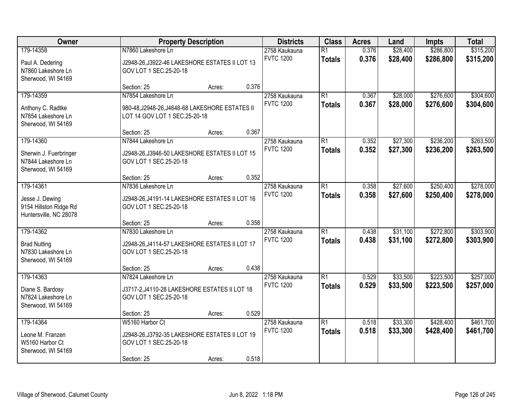| Owner                                                                            | <b>Property Description</b>                                                                                |        | <b>Districts</b> | <b>Class</b>                      | <b>Acres</b>                     | Land           | <b>Impts</b>         | <b>Total</b>           |                        |
|----------------------------------------------------------------------------------|------------------------------------------------------------------------------------------------------------|--------|------------------|-----------------------------------|----------------------------------|----------------|----------------------|------------------------|------------------------|
| 179-14358<br>Paul A. Dedering<br>N7860 Lakeshore Ln<br>Sherwood, WI 54169        | N7860 Lakeshore Ln<br>J2948-26, J3922-46 LAKESHORE ESTATES II LOT 13<br>GOV LOT 1 SEC.25-20-18             |        |                  | 2758 Kaukauna<br><b>FVTC 1200</b> | $\overline{R1}$<br><b>Totals</b> | 0.376<br>0.376 | \$28,400<br>\$28,400 | \$286,800<br>\$286,800 | \$315,200<br>\$315,200 |
|                                                                                  | Section: 25                                                                                                | Acres: | 0.376            |                                   |                                  |                |                      |                        |                        |
| 179-14359<br>Anthony C. Radtke<br>N7854 Lakeshore Ln<br>Sherwood, WI 54169       | N7854 Lakeshore Ln<br>980-48, J2948-26, J4648-68 LAKESHORE ESTATES II<br>LOT 14 GOV LOT 1 SEC.25-20-18     |        |                  | 2758 Kaukauna<br><b>FVTC 1200</b> | $\overline{R1}$<br><b>Totals</b> | 0.367<br>0.367 | \$28,000<br>\$28,000 | \$276,600<br>\$276,600 | \$304,600<br>\$304,600 |
|                                                                                  | Section: 25                                                                                                | Acres: | 0.367            |                                   |                                  |                |                      |                        |                        |
| 179-14360<br>Sherwin J. Fuerbringer<br>N7844 Lakeshore Ln<br>Sherwood, WI 54169  | N7844 Lakeshore Ln<br>J2948-26, J3946-50 LAKESHORE ESTATES II LOT 15<br>GOV LOT 1 SEC.25-20-18             |        |                  | 2758 Kaukauna<br><b>FVTC 1200</b> | $\overline{R1}$<br><b>Totals</b> | 0.352<br>0.352 | \$27,300<br>\$27,300 | \$236,200<br>\$236,200 | \$263,500<br>\$263,500 |
|                                                                                  | Section: 25                                                                                                | Acres: | 0.352            |                                   |                                  |                |                      |                        |                        |
| 179-14361<br>Jesse J. Dewing<br>9154 Hillston Ridge Rd<br>Huntersville, NC 28078 | N7836 Lakeshore Ln<br>J2948-26, J4191-14 LAKESHORE ESTATES II LOT 16<br>GOV LOT 1 SEC.25-20-18             |        |                  | 2758 Kaukauna<br><b>FVTC 1200</b> | $\overline{R1}$<br><b>Totals</b> | 0.358<br>0.358 | \$27,600<br>\$27,600 | \$250,400<br>\$250,400 | \$278,000<br>\$278,000 |
|                                                                                  | Section: 25                                                                                                | Acres: | 0.358            |                                   |                                  |                |                      |                        |                        |
| 179-14362<br><b>Brad Nutting</b><br>N7830 Lakeshore Ln<br>Sherwood, WI 54169     | N7830 Lakeshore Ln<br>J2948-26, J4114-57 LAKESHORE ESTATES II LOT 17<br>GOV LOT 1 SEC.25-20-18             |        |                  | 2758 Kaukauna<br><b>FVTC 1200</b> | $\overline{R1}$<br><b>Totals</b> | 0.438<br>0.438 | \$31,100<br>\$31,100 | \$272,800<br>\$272,800 | \$303,900<br>\$303,900 |
|                                                                                  | Section: 25                                                                                                | Acres: | 0.438            |                                   |                                  |                |                      |                        |                        |
| 179-14363<br>Diane S. Bardosy<br>N7824 Lakeshore Ln<br>Sherwood, WI 54169        | N7824 Lakeshore Ln<br>J3717-2, J4110-28 LAKESHORE ESTATES II LOT 18<br>GOV LOT 1 SEC.25-20-18              |        |                  | 2758 Kaukauna<br><b>FVTC 1200</b> | $\overline{R1}$<br><b>Totals</b> | 0.529<br>0.529 | \$33,500<br>\$33,500 | \$223,500<br>\$223,500 | \$257,000<br>\$257,000 |
|                                                                                  | Section: 25                                                                                                | Acres: | 0.529            |                                   |                                  |                |                      |                        |                        |
| 179-14364<br>Leone M. Franzen<br>W5160 Harbor Ct<br>Sherwood, WI 54169           | W5160 Harbor Ct<br>J2948-26, J3792-35 LAKESHORE ESTATES II LOT 19<br>GOV LOT 1 SEC.25-20-18<br>Section: 25 | Acres: | 0.518            | 2758 Kaukauna<br><b>FVTC 1200</b> | $\overline{R1}$<br><b>Totals</b> | 0.518<br>0.518 | \$33,300<br>\$33,300 | \$428,400<br>\$428,400 | \$461,700<br>\$461,700 |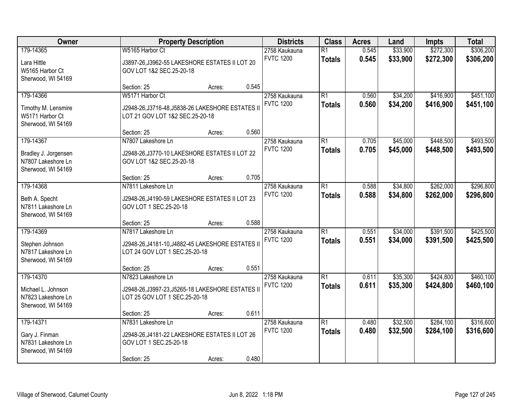| Owner                                                                         | <b>Property Description</b>                                                                                   | <b>Districts</b> | <b>Class</b>                      | <b>Acres</b>                      | Land                             | <b>Impts</b>         | <b>Total</b>           |                        |                        |
|-------------------------------------------------------------------------------|---------------------------------------------------------------------------------------------------------------|------------------|-----------------------------------|-----------------------------------|----------------------------------|----------------------|------------------------|------------------------|------------------------|
| 179-14365<br>Lara Hittle<br>W5165 Harbor Ct<br>Sherwood, WI 54169             | W5165 Harbor Ct<br>J3897-26, J3962-55 LAKESHORE ESTATES II LOT 20<br>GOV LOT 1&2 SEC.25-20-18                 |                  | 2758 Kaukauna<br><b>FVTC 1200</b> | $\overline{R1}$<br><b>Totals</b>  | 0.545<br>0.545                   | \$33,900<br>\$33,900 | \$272,300<br>\$272,300 | \$306,200<br>\$306,200 |                        |
|                                                                               | Section: 25                                                                                                   | Acres:           | 0.545                             |                                   |                                  |                      |                        |                        |                        |
| 179-14366<br>Timothy M. Lensmire<br>W5171 Harbor Ct<br>Sherwood, WI 54169     | W5171 Harbor Ct<br>J2948-26, J3716-48, J5838-26 LAKESHORE ESTATES II<br>LOT 21 GOV LOT 1&2 SEC.25-20-18       |                  |                                   | 2758 Kaukauna<br><b>FVTC 1200</b> | $\overline{R1}$<br><b>Totals</b> | 0.560<br>0.560       | \$34,200<br>\$34,200   | \$416,900<br>\$416,900 | \$451,100<br>\$451,100 |
|                                                                               | Section: 25                                                                                                   | Acres:           | 0.560                             |                                   |                                  |                      |                        |                        |                        |
| 179-14367<br>Bradley J. Jorgensen<br>N7807 Lakeshore Ln<br>Sherwood, WI 54169 | N7807 Lakeshore Ln<br>J2948-26, J3770-10 LAKESHORE ESTATES II LOT 22<br>GOV LOT 1&2 SEC.25-20-18              |                  |                                   | 2758 Kaukauna<br><b>FVTC 1200</b> | $\overline{R1}$<br><b>Totals</b> | 0.705<br>0.705       | \$45,000<br>\$45,000   | \$448,500<br>\$448,500 | \$493,500<br>\$493,500 |
|                                                                               | Section: 25                                                                                                   | Acres:           | 0.705                             |                                   |                                  |                      |                        |                        |                        |
| 179-14368<br>Beth A. Specht<br>N7811 Lakeshore Ln<br>Sherwood, WI 54169       | N7811 Lakeshore Ln<br>J2948-26, J4190-59 LAKESHORE ESTATES II LOT 23<br>GOV LOT 1 SEC.25-20-18                |                  |                                   | 2758 Kaukauna<br><b>FVTC 1200</b> | $\overline{R1}$<br><b>Totals</b> | 0.588<br>0.588       | \$34,800<br>\$34,800   | \$262,000<br>\$262,000 | \$296,800<br>\$296,800 |
|                                                                               | Section: 25                                                                                                   | Acres:           | 0.588                             |                                   |                                  |                      |                        |                        |                        |
| 179-14369<br>Stephen Johnson<br>N7817 Lakeshore Ln<br>Sherwood, WI 54169      | N7817 Lakeshore Ln<br>J2948-26, J4181-10, J4882-45 LAKESHORE ESTATES II<br>LOT 24 GOV LOT 1 SEC.25-20-18      |                  |                                   | 2758 Kaukauna<br><b>FVTC 1200</b> | $\overline{R1}$<br><b>Totals</b> | 0.551<br>0.551       | \$34,000<br>\$34,000   | \$391,500<br>\$391,500 | \$425,500<br>\$425,500 |
|                                                                               | Section: 25                                                                                                   | Acres:           | 0.551                             |                                   |                                  |                      |                        |                        |                        |
| 179-14370<br>Michael L. Johnson<br>N7823 Lakeshore Ln<br>Sherwood, WI 54169   | N7823 Lakeshore Ln<br>J2948-26, J3997-23, J5265-18 LAKESHORE ESTATES II<br>LOT 25 GOV LOT 1 SEC.25-20-18      |                  |                                   | 2758 Kaukauna<br><b>FVTC 1200</b> | $\overline{R1}$<br><b>Totals</b> | 0.611<br>0.611       | \$35,300<br>\$35,300   | \$424,800<br>\$424,800 | \$460,100<br>\$460,100 |
|                                                                               | Section: 25                                                                                                   | Acres:           | 0.611                             |                                   |                                  |                      |                        |                        |                        |
| 179-14371<br>Gary J. Finman<br>N7831 Lakeshore Ln<br>Sherwood, WI 54169       | N7831 Lakeshore Ln<br>J2948-26, J4181-22 LAKESHORE ESTATES II LOT 26<br>GOV LOT 1 SEC.25-20-18<br>Section: 25 | Acres:           | 0.480                             | 2758 Kaukauna<br><b>FVTC 1200</b> | $\overline{R1}$<br><b>Totals</b> | 0.480<br>0.480       | \$32,500<br>\$32,500   | \$284,100<br>\$284,100 | \$316,600<br>\$316,600 |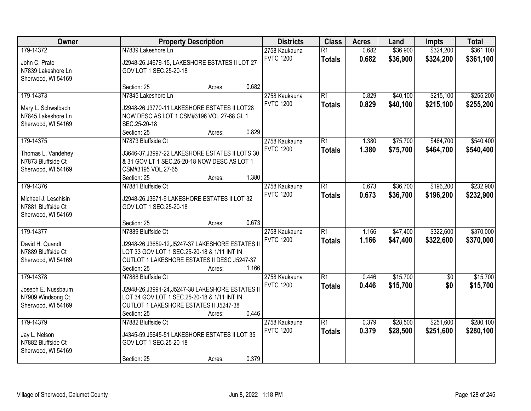| Owner<br><b>Property Description</b>                                          |                                                                                                                                                                                      |        | <b>Districts</b> | <b>Class</b>                      | <b>Acres</b>                     | Land           | <b>Impts</b>         | <b>Total</b>           |                        |
|-------------------------------------------------------------------------------|--------------------------------------------------------------------------------------------------------------------------------------------------------------------------------------|--------|------------------|-----------------------------------|----------------------------------|----------------|----------------------|------------------------|------------------------|
| 179-14372<br>John C. Prato<br>N7839 Lakeshore Ln<br>Sherwood, WI 54169        | N7839 Lakeshore Ln<br>J2948-26, J4679-15, LAKESHORE ESTATES II LOT 27<br>GOV LOT 1 SEC.25-20-18                                                                                      |        |                  | 2758 Kaukauna<br><b>FVTC 1200</b> | $\overline{R1}$<br><b>Totals</b> | 0.682<br>0.682 | \$36,900<br>\$36,900 | \$324,200<br>\$324,200 | \$361,100<br>\$361,100 |
|                                                                               | Section: 25                                                                                                                                                                          | Acres: | 0.682            |                                   |                                  |                |                      |                        |                        |
| 179-14373<br>Mary L. Schwalbach<br>N7845 Lakeshore Ln<br>Sherwood, WI 54169   | N7845 Lakeshore Ln<br>J2948-26, J3770-11 LAKESHORE ESTATES II LOT28<br>NOW DESC AS LOT 1 CSM#3196 VOL.27-68 GL 1<br>SEC.25-20-18<br>Section: 25                                      | Acres: | 0.829            | 2758 Kaukauna<br><b>FVTC 1200</b> | $\overline{R1}$<br><b>Totals</b> | 0.829<br>0.829 | \$40,100<br>\$40,100 | \$215,100<br>\$215,100 | \$255,200<br>\$255,200 |
| 179-14375<br>Thomas L. Vandehey<br>N7873 Bluffside Ct                         | N7873 Bluffside Ct<br>J3646-37, J3997-22 LAKESHORE ESTATES II LOTS 30<br>& 31 GOV LT 1 SEC.25-20-18 NOW DESC AS LOT 1                                                                |        |                  | 2758 Kaukauna<br><b>FVTC 1200</b> | $\overline{R1}$<br><b>Totals</b> | 1.380<br>1.380 | \$75,700<br>\$75,700 | \$464,700<br>\$464,700 | \$540,400<br>\$540,400 |
| Sherwood, WI 54169                                                            | CSM#3195 VOL.27-65<br>Section: 25                                                                                                                                                    | Acres: | 1.380            |                                   |                                  |                |                      |                        |                        |
| 179-14376<br>Michael J. Leschisin<br>N7881 Bluffside Ct<br>Sherwood, WI 54169 | N7881 Bluffside Ct<br>J2948-26, J3671-9 LAKESHORE ESTATES II LOT 32<br>GOV LOT 1 SEC.25-20-18                                                                                        |        |                  | 2758 Kaukauna<br><b>FVTC 1200</b> | $\overline{R1}$<br><b>Totals</b> | 0.673<br>0.673 | \$36,700<br>\$36,700 | \$196,200<br>\$196,200 | \$232,900<br>\$232,900 |
|                                                                               | Section: 25                                                                                                                                                                          | Acres: | 0.673            |                                   |                                  |                |                      |                        |                        |
| 179-14377<br>David H. Quandt<br>N7889 Bluffside Ct<br>Sherwood, WI 54169      | N7889 Bluffside Ct<br>J2948-26, J3659-12, J5247-37 LAKESHORE ESTATES II<br>LOT 33 GOV LOT 1 SEC.25-20-18 & 1/11 INT IN<br>OUTLOT 1 LAKESHORE ESTATES II DESC J5247-37<br>Section: 25 | Acres: | 1.166            | 2758 Kaukauna<br><b>FVTC 1200</b> | $\overline{R1}$<br><b>Totals</b> | 1.166<br>1.166 | \$47,400<br>\$47,400 | \$322,600<br>\$322,600 | \$370,000<br>\$370,000 |
| 179-14378<br>Joseph E. Nussbaum<br>N7909 Windsong Ct<br>Sherwood, WI 54169    | N7888 Bluffside Ct<br>J2948-26, J3991-24, J5247-38 LAKESHORE ESTATES II<br>LOT 34 GOV LOT 1 SEC.25-20-18 & 1/11 INT IN<br>OUTLOT 1 LAKESHORE ESTATES II J5247-38<br>Section: 25      | Acres: | 0.446            | 2758 Kaukauna<br><b>FVTC 1200</b> | $\overline{R1}$<br><b>Totals</b> | 0.446<br>0.446 | \$15,700<br>\$15,700 | $\overline{50}$<br>\$0 | \$15,700<br>\$15,700   |
| 179-14379<br>Jay L. Nelson<br>N7882 Bluffside Ct<br>Sherwood, WI 54169        | N7882 Bluffside Ct<br>J4345-59, J5645-51 LAKESHORE ESTATES II LOT 35<br>GOV LOT 1 SEC.25-20-18<br>Section: 25                                                                        | Acres: | 0.379            | 2758 Kaukauna<br><b>FVTC 1200</b> | $\overline{R1}$<br><b>Totals</b> | 0.379<br>0.379 | \$28,500<br>\$28,500 | \$251,600<br>\$251,600 | \$280,100<br>\$280,100 |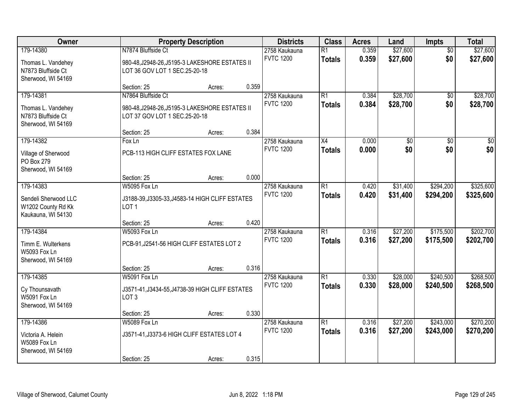| Owner                                                                         | <b>Property Description</b>                                                                           |                                   | <b>Districts</b>                 | <b>Class</b>                      | <b>Acres</b>                     | Land                   | <b>Impts</b>         | <b>Total</b>           |                         |
|-------------------------------------------------------------------------------|-------------------------------------------------------------------------------------------------------|-----------------------------------|----------------------------------|-----------------------------------|----------------------------------|------------------------|----------------------|------------------------|-------------------------|
| 179-14380<br>Thomas L. Vandehey<br>N7873 Bluffside Ct<br>Sherwood, WI 54169   | N7874 Bluffside Ct<br>980-48, J2948-26, J5195-3 LAKESHORE ESTATES II<br>LOT 36 GOV LOT 1 SEC.25-20-18 | 2758 Kaukauna<br><b>FVTC 1200</b> | $\overline{R1}$<br><b>Totals</b> | 0.359<br>0.359                    | \$27,600<br>\$27,600             | $\overline{50}$<br>\$0 | \$27,600<br>\$27,600 |                        |                         |
|                                                                               | Section: 25                                                                                           | Acres:                            | 0.359                            |                                   |                                  |                        |                      |                        |                         |
| 179-14381<br>Thomas L. Vandehey<br>N7873 Bluffside Ct<br>Sherwood, WI 54169   | N7864 Bluffside Ct<br>980-48, J2948-26, J5195-3 LAKESHORE ESTATES II<br>LOT 37 GOV LOT 1 SEC.25-20-18 |                                   |                                  | 2758 Kaukauna<br><b>FVTC 1200</b> | R1<br><b>Totals</b>              | 0.384<br>0.384         | \$28,700<br>\$28,700 | $\overline{50}$<br>\$0 | \$28,700<br>\$28,700    |
|                                                                               | Section: 25                                                                                           | Acres:                            | 0.384                            |                                   |                                  |                        |                      |                        |                         |
| 179-14382<br>Village of Sherwood<br>PO Box 279<br>Sherwood, WI 54169          | Fox Ln<br>PCB-113 HIGH CLIFF ESTATES FOX LANE                                                         |                                   |                                  | 2758 Kaukauna<br><b>FVTC 1200</b> | X4<br><b>Totals</b>              | 0.000<br>0.000         | \$0<br>\$0           | \$0<br>\$0             | $\overline{\$0}$<br>\$0 |
|                                                                               | Section: 25                                                                                           | Acres:                            | 0.000                            |                                   |                                  |                        |                      |                        |                         |
| 179-14383<br>Sendeli Sherwood LLC<br>W1202 County Rd Kk<br>Kaukauna, WI 54130 | W5095 Fox Ln<br>J3188-39, J3305-33, J4583-14 HIGH CLIFF ESTATES<br>LOT <sub>1</sub>                   |                                   |                                  | 2758 Kaukauna<br><b>FVTC 1200</b> | $\overline{R1}$<br><b>Totals</b> | 0.420<br>0.420         | \$31,400<br>\$31,400 | \$294,200<br>\$294,200 | \$325,600<br>\$325,600  |
|                                                                               | Section: 25                                                                                           | Acres:                            | 0.420                            |                                   |                                  |                        |                      |                        |                         |
| 179-14384<br>Timm E. Wulterkens<br><b>W5093 Fox Ln</b><br>Sherwood, WI 54169  | <b>W5093 Fox Ln</b><br>PCB-91, J2541-56 HIGH CLIFF ESTATES LOT 2                                      |                                   |                                  | 2758 Kaukauna<br><b>FVTC 1200</b> | $\overline{R1}$<br><b>Totals</b> | 0.316<br>0.316         | \$27,200<br>\$27,200 | \$175,500<br>\$175,500 | \$202,700<br>\$202,700  |
|                                                                               | Section: 25                                                                                           | Acres:                            | 0.316                            |                                   |                                  |                        |                      |                        |                         |
| 179-14385<br>Cy Thounsavath<br>W5091 Fox Ln<br>Sherwood, WI 54169             | W5091 Fox Ln<br>J3571-41, J3434-55, J4738-39 HIGH CLIFF ESTATES<br>LOT <sub>3</sub>                   |                                   |                                  | 2758 Kaukauna<br><b>FVTC 1200</b> | $\overline{R1}$<br><b>Totals</b> | 0.330<br>0.330         | \$28,000<br>\$28,000 | \$240,500<br>\$240,500 | \$268,500<br>\$268,500  |
|                                                                               | Section: 25                                                                                           | Acres:                            | 0.330                            |                                   |                                  |                        |                      |                        |                         |
| 179-14386<br>Victoria A. Helein<br><b>W5089 Fox Ln</b><br>Sherwood, WI 54169  | W5089 Fox Ln<br>J3571-41, J3373-6 HIGH CLIFF ESTATES LOT 4<br>Section: 25                             | Acres:                            | 0.315                            | 2758 Kaukauna<br><b>FVTC 1200</b> | $\overline{R1}$<br><b>Totals</b> | 0.316<br>0.316         | \$27,200<br>\$27,200 | \$243,000<br>\$243,000 | \$270,200<br>\$270,200  |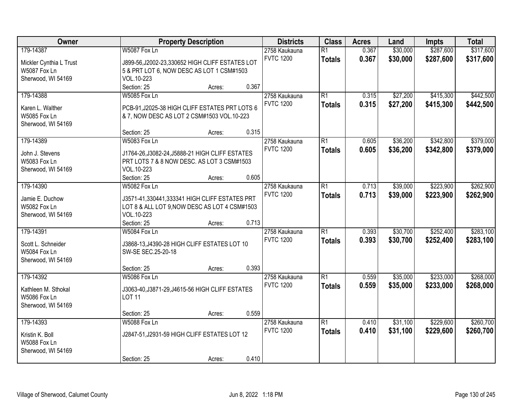| Owner                                   |                                                                                               | <b>Property Description</b> |       | <b>Districts</b>                  | <b>Class</b>    | <b>Acres</b> | Land     | <b>Impts</b> | <b>Total</b> |
|-----------------------------------------|-----------------------------------------------------------------------------------------------|-----------------------------|-------|-----------------------------------|-----------------|--------------|----------|--------------|--------------|
| 179-14387                               | W5087 Fox Ln                                                                                  |                             |       | 2758 Kaukauna                     | $\overline{R1}$ | 0.367        | \$30,000 | \$287,600    | \$317,600    |
| Mickler Cynthia L Trust                 | J899-56, J2002-23, 330652 HIGH CLIFF ESTATES LOT                                              |                             |       | <b>FVTC 1200</b>                  | <b>Totals</b>   | 0.367        | \$30,000 | \$287,600    | \$317,600    |
| W5087 Fox Ln                            | 5 & PRT LOT 6, NOW DESC AS LOT 1 CSM#1503                                                     |                             |       |                                   |                 |              |          |              |              |
| Sherwood, WI 54169                      | VOL.10-223                                                                                    |                             |       |                                   |                 |              |          |              |              |
|                                         | Section: 25                                                                                   | Acres:                      | 0.367 |                                   |                 |              |          |              |              |
| 179-14388                               | W5085 Fox Ln                                                                                  |                             |       | 2758 Kaukauna                     | $\overline{R1}$ | 0.315        | \$27,200 | \$415,300    | \$442,500    |
|                                         |                                                                                               |                             |       | <b>FVTC 1200</b>                  | <b>Totals</b>   | 0.315        | \$27,200 | \$415,300    | \$442,500    |
| Karen L. Walther<br><b>W5085 Fox Ln</b> | PCB-91, J2025-38 HIGH CLIFF ESTATES PRT LOTS 6<br>& 7, NOW DESC AS LOT 2 CSM#1503 VOL.10-223  |                             |       |                                   |                 |              |          |              |              |
| Sherwood, WI 54169                      |                                                                                               |                             |       |                                   |                 |              |          |              |              |
|                                         | Section: 25                                                                                   | Acres:                      | 0.315 |                                   |                 |              |          |              |              |
| 179-14389                               | W5083 Fox Ln                                                                                  |                             |       | 2758 Kaukauna                     | $\overline{R1}$ | 0.605        | \$36,200 | \$342,800    | \$379,000    |
|                                         |                                                                                               |                             |       | <b>FVTC 1200</b>                  | <b>Totals</b>   | 0.605        | \$36,200 | \$342,800    | \$379,000    |
| John J. Stevens<br>W5083 Fox Ln         | J1764-26, J3082-24, J5888-21 HIGH CLIFF ESTATES<br>PRT LOTS 7 & 8 NOW DESC. AS LOT 3 CSM#1503 |                             |       |                                   |                 |              |          |              |              |
| Sherwood, WI 54169                      | VOL.10-223                                                                                    |                             |       |                                   |                 |              |          |              |              |
|                                         | Section: 25                                                                                   | Acres:                      | 0.605 |                                   |                 |              |          |              |              |
| 179-14390                               | W5082 Fox Ln                                                                                  |                             |       | 2758 Kaukauna                     | $\overline{R1}$ | 0.713        | \$39,000 | \$223,900    | \$262,900    |
|                                         |                                                                                               |                             |       | <b>FVTC 1200</b>                  | <b>Totals</b>   | 0.713        | \$39,000 | \$223,900    | \$262,900    |
| Jamie E. Duchow                         | J3571-41,330441,333341 HIGH CLIFF ESTATES PRT                                                 |                             |       |                                   |                 |              |          |              |              |
| <b>W5082 Fox Ln</b>                     | LOT 8 & ALL LOT 9, NOW DESC AS LOT 4 CSM#1503                                                 |                             |       |                                   |                 |              |          |              |              |
| Sherwood, WI 54169                      | VOL.10-223                                                                                    |                             | 0.713 |                                   |                 |              |          |              |              |
| 179-14391                               | Section: 25<br>W5084 Fox Ln                                                                   | Acres:                      |       |                                   | $\overline{R1}$ | 0.393        | \$30,700 | \$252,400    | \$283,100    |
|                                         |                                                                                               |                             |       | 2758 Kaukauna<br><b>FVTC 1200</b> |                 |              |          |              |              |
| Scott L. Schneider                      | J3868-13, J4390-28 HIGH CLIFF ESTATES LOT 10                                                  |                             |       |                                   | <b>Totals</b>   | 0.393        | \$30,700 | \$252,400    | \$283,100    |
| W5084 Fox Ln                            | SW-SE SEC.25-20-18                                                                            |                             |       |                                   |                 |              |          |              |              |
| Sherwood, WI 54169                      |                                                                                               |                             |       |                                   |                 |              |          |              |              |
|                                         | Section: 25                                                                                   | Acres:                      | 0.393 |                                   |                 |              |          |              |              |
| 179-14392                               | W5086 Fox Ln                                                                                  |                             |       | 2758 Kaukauna                     | $\overline{R1}$ | 0.559        | \$35,000 | \$233,000    | \$268,000    |
| Kathleen M. Sthokal                     | J3063-40, J3871-29, J4615-56 HIGH CLIFF ESTATES                                               |                             |       | <b>FVTC 1200</b>                  | <b>Totals</b>   | 0.559        | \$35,000 | \$233,000    | \$268,000    |
| <b>W5086 Fox Ln</b>                     | <b>LOT 11</b>                                                                                 |                             |       |                                   |                 |              |          |              |              |
| Sherwood, WI 54169                      |                                                                                               |                             |       |                                   |                 |              |          |              |              |
|                                         | Section: 25                                                                                   | Acres:                      | 0.559 |                                   |                 |              |          |              |              |
| 179-14393                               | W5088 Fox Ln                                                                                  |                             |       | 2758 Kaukauna                     | $\overline{R1}$ | 0.410        | \$31,100 | \$229,600    | \$260,700    |
| Kristin K. Boll                         | J2847-51, J2931-59 HIGH CLIFF ESTATES LOT 12                                                  |                             |       | <b>FVTC 1200</b>                  | <b>Totals</b>   | 0.410        | \$31,100 | \$229,600    | \$260,700    |
| <b>W5088 Fox Ln</b>                     |                                                                                               |                             |       |                                   |                 |              |          |              |              |
| Sherwood, WI 54169                      |                                                                                               |                             |       |                                   |                 |              |          |              |              |
|                                         | Section: 25                                                                                   | Acres:                      | 0.410 |                                   |                 |              |          |              |              |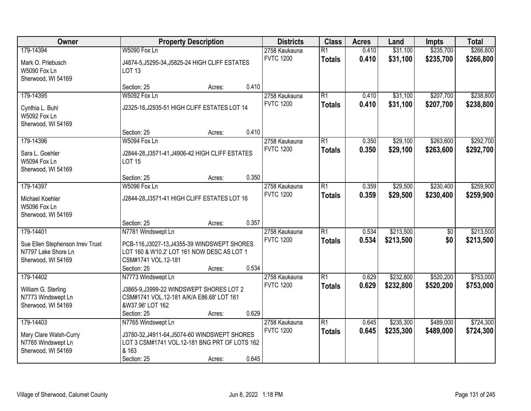| Owner                                                                                      |                                                                                                                                         | <b>Property Description</b> |       | <b>Districts</b>                  | <b>Class</b>                     | <b>Acres</b>   | Land                   | <b>Impts</b>           | <b>Total</b>           |
|--------------------------------------------------------------------------------------------|-----------------------------------------------------------------------------------------------------------------------------------------|-----------------------------|-------|-----------------------------------|----------------------------------|----------------|------------------------|------------------------|------------------------|
| 179-14394<br>Mark O. Priebusch<br>W5090 Fox Ln<br>Sherwood, WI 54169                       | W5090 Fox Ln<br>J4874-5, J5295-34, J5825-24 HIGH CLIFF ESTATES<br><b>LOT 13</b>                                                         |                             |       | 2758 Kaukauna<br><b>FVTC 1200</b> | $\overline{R1}$<br><b>Totals</b> | 0.410<br>0.410 | \$31,100<br>\$31,100   | \$235,700<br>\$235,700 | \$266,800<br>\$266,800 |
|                                                                                            | Section: 25                                                                                                                             | Acres:                      | 0.410 |                                   |                                  |                |                        |                        |                        |
| 179-14395<br>Cynthia L. Buhl<br><b>W5092 Fox Ln</b><br>Sherwood, WI 54169                  | <b>W5092 Fox Ln</b><br>J2325-16, J2935-51 HIGH CLIFF ESTATES LOT 14<br>Section: 25                                                      | Acres:                      | 0.410 | 2758 Kaukauna<br><b>FVTC 1200</b> | $\overline{R1}$<br><b>Totals</b> | 0.410<br>0.410 | \$31,100<br>\$31,100   | \$207,700<br>\$207,700 | \$238,800<br>\$238,800 |
| 179-14396                                                                                  | W5094 Fox Ln                                                                                                                            |                             |       | 2758 Kaukauna                     | $\overline{R1}$                  | 0.350          | \$29,100               | \$263,600              | \$292,700              |
| Sara L. Goehler<br>W5094 Fox Ln<br>Sherwood, WI 54169                                      | J2844-28, J3571-41, J4906-42 HIGH CLIFF ESTATES<br><b>LOT 15</b>                                                                        |                             |       | <b>FVTC 1200</b>                  | <b>Totals</b>                    | 0.350          | \$29,100               | \$263,600              | \$292,700              |
|                                                                                            | Section: 25                                                                                                                             | Acres:                      | 0.350 |                                   |                                  |                |                        |                        |                        |
| 179-14397<br>Michael Koehler<br>W5096 Fox Ln<br>Sherwood, WI 54169                         | W5096 Fox Ln<br>J2844-28, J3571-41 HIGH CLIFF ESTATES LOT 16                                                                            |                             |       | 2758 Kaukauna<br><b>FVTC 1200</b> | $\overline{R1}$<br><b>Totals</b> | 0.359<br>0.359 | \$29,500<br>\$29,500   | \$230,400<br>\$230,400 | \$259,900<br>\$259,900 |
|                                                                                            | Section: 25                                                                                                                             | Acres:                      | 0.357 |                                   |                                  |                |                        |                        |                        |
| 179-14401<br>Sue Ellen Stephenson Irrev Trust<br>N7797 Lake Shore Ln<br>Sherwood, WI 54169 | N7781 Windswept Ln<br>PCB-116, J3027-13, J4355-39 WINDSWEPT SHORES<br>LOT 160 & W10.2' LOT 161 NOW DESC AS LOT 1<br>CSM#1741 VOL.12-181 |                             |       | 2758 Kaukauna<br><b>FVTC 1200</b> | $\overline{R1}$<br><b>Totals</b> | 0.534<br>0.534 | \$213,500<br>\$213,500 | $\overline{50}$<br>\$0 | \$213,500<br>\$213,500 |
| 179-14402                                                                                  | Section: 25<br>N7773 Windswept Ln                                                                                                       | Acres:                      | 0.534 | 2758 Kaukauna                     | $\overline{R1}$                  | 0.629          | \$232,800              | \$520,200              | \$753,000              |
| William G. Sterling<br>N7773 Windswept Ln<br>Sherwood, WI 54169                            | J3865-9, J3999-22 WINDSWEPT SHORES LOT 2<br>CSM#1741 VOL.12-181 A/K/A E86.68' LOT 161<br>&W37.96' LOT 162<br>Section: 25                | Acres:                      | 0.629 | <b>FVTC 1200</b>                  | <b>Totals</b>                    | 0.629          | \$232,800              | \$520,200              | \$753,000              |
| 179-14403                                                                                  | N7765 Windswept Ln                                                                                                                      |                             |       | 2758 Kaukauna                     | $\overline{R1}$                  | 0.645          | \$235,300              | \$489,000              | \$724,300              |
| Mary Clare Walsh-Curry<br>N7765 Windswept Ln<br>Sherwood, WI 54169                         | J3780-32, J4911-64, J5074-60 WINDSWEPT SHORES<br>LOT 3 CSM#1741 VOL.12-181 BNG PRT OF LOTS 162<br>& 163<br>Section: 25                  | Acres:                      | 0.645 | <b>FVTC 1200</b>                  | <b>Totals</b>                    | 0.645          | \$235,300              | \$489,000              | \$724,300              |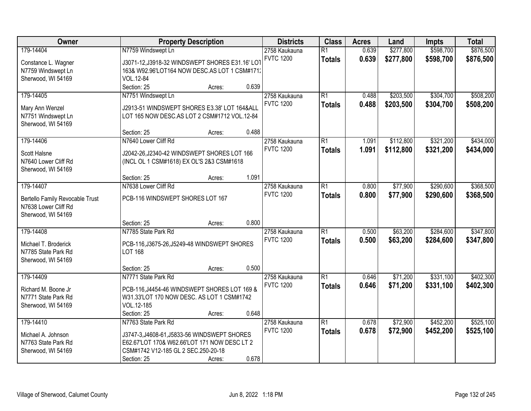| \$598,700<br>\$876,500<br>179-14404<br>N7759 Windswept Ln<br>$\overline{R1}$<br>0.639<br>\$277,800<br>2758 Kaukauna<br>0.639<br><b>FVTC 1200</b><br>\$277,800<br>\$598,700<br>\$876,500<br><b>Totals</b><br>J3071-12, J3918-32 WINDSWEPT SHORES E31.16' LOT<br>Constance L. Wagner<br>163& W92.96'LOT164 NOW DESC.AS LOT 1 CSM#171.<br>N7759 Windswept Ln<br>VOL.12-84<br>Sherwood, WI 54169<br>0.639<br>Section: 25<br>Acres:<br>\$508,200<br>179-14405<br>N7751 Windswept Ln<br>2758 Kaukauna<br>$\overline{R1}$<br>\$203,500<br>\$304,700<br>0.488<br><b>FVTC 1200</b><br>0.488<br>\$203,500<br>\$304,700<br>\$508,200<br><b>Totals</b><br>Mary Ann Wenzel<br>J2913-51 WINDSWEPT SHORES E3.38' LOT 164&ALL<br>N7751 Windswept Ln<br>LOT 165 NOW DESC.AS LOT 2 CSM#1712 VOL.12-84<br>Sherwood, WI 54169<br>0.488<br>Section: 25<br>Acres:<br>\$321,200<br>\$434,000<br>179-14406<br>N7640 Lower Cliff Rd<br>$\overline{R1}$<br>\$112,800<br>2758 Kaukauna<br>1.091<br><b>FVTC 1200</b><br>1.091<br>\$112,800<br>\$321,200<br><b>Totals</b><br>\$434,000<br>Scott Halsne<br>J2042-26, J2340-42 WINDSWEPT SHORES LOT 166<br>N7640 Lower Cliff Rd<br>(INCL OL 1 CSM#1618) EX OL'S 2&3 CSM#1618<br>Sherwood, WI 54169<br>1.091<br>Section: 25<br>Acres:<br>179-14407<br>N7638 Lower Cliff Rd<br>$\overline{R1}$<br>\$77,900<br>\$290,600<br>\$368,500<br>2758 Kaukauna<br>0.800<br><b>FVTC 1200</b><br>0.800<br>\$77,900<br>\$290,600<br>\$368,500<br><b>Totals</b><br><b>Bertello Family Revocable Trust</b><br>PCB-116 WINDSWEPT SHORES LOT 167<br>N7638 Lower Cliff Rd<br>Sherwood, WI 54169<br>0.800<br>Section: 25<br>Acres:<br>$\overline{R1}$<br>\$63,200<br>\$284,600<br>\$347,800<br>179-14408<br>N7785 State Park Rd<br>0.500<br>2758 Kaukauna<br><b>FVTC 1200</b><br>0.500<br>\$63,200<br>\$284,600<br>\$347,800<br><b>Totals</b><br>Michael T. Broderick<br>PCB-116, J3675-26, J5249-48 WINDSWEPT SHORES<br><b>LOT 168</b><br>N7785 State Park Rd<br>Sherwood, WI 54169<br>0.500<br>Section: 25<br>Acres:<br>$\overline{R1}$<br>\$71,200<br>\$331,100<br>\$402,300<br>179-14409<br>N7771 State Park Rd<br>0.646<br>2758 Kaukauna<br><b>FVTC 1200</b><br>0.646<br>\$71,200<br>\$331,100<br>\$402,300<br><b>Totals</b><br>PCB-116, J4454-46 WINDSWEPT SHORES LOT 169 &<br>Richard M. Boone Jr<br>W31.33'LOT 170 NOW DESC. AS LOT 1 CSM#1742<br>N7771 State Park Rd<br>VOL.12-185<br>Sherwood, WI 54169<br>0.648<br>Section: 25<br>Acres:<br>\$452,200<br>179-14410<br>N7763 State Park Rd<br>$\overline{R1}$<br>\$72,900<br>\$525,100<br>2758 Kaukauna<br>0.678<br>0.678<br><b>FVTC 1200</b><br>\$72,900<br>\$452,200<br>\$525,100<br><b>Totals</b><br>Michael A. Johnson<br>J3747-3,J4608-61,J5833-56 WINDSWEPT SHORES<br>N7763 State Park Rd<br>E62.67'LOT 170& W62.66'LOT 171 NOW DESC LT 2<br>CSM#1742 V12-185 GL 2 SEC.250-20-18<br>Sherwood, WI 54169 | Owner | <b>Property Description</b> | <b>Districts</b> | <b>Class</b> | <b>Acres</b> | Land | <b>Impts</b> | <b>Total</b> |
|---------------------------------------------------------------------------------------------------------------------------------------------------------------------------------------------------------------------------------------------------------------------------------------------------------------------------------------------------------------------------------------------------------------------------------------------------------------------------------------------------------------------------------------------------------------------------------------------------------------------------------------------------------------------------------------------------------------------------------------------------------------------------------------------------------------------------------------------------------------------------------------------------------------------------------------------------------------------------------------------------------------------------------------------------------------------------------------------------------------------------------------------------------------------------------------------------------------------------------------------------------------------------------------------------------------------------------------------------------------------------------------------------------------------------------------------------------------------------------------------------------------------------------------------------------------------------------------------------------------------------------------------------------------------------------------------------------------------------------------------------------------------------------------------------------------------------------------------------------------------------------------------------------------------------------------------------------------------------------------------------------------------------------------------------------------------------------------------------------------------------------------------------------------------------------------------------------------------------------------------------------------------------------------------------------------------------------------------------------------------------------------------------------------------------------------------------------------------------------------------------------------------------------------------------------------------------------------------------------------------------------------------------------------------------------------------------------------------------------------------------------------------------------------------------------------------------------------------------------------------|-------|-----------------------------|------------------|--------------|--------------|------|--------------|--------------|
|                                                                                                                                                                                                                                                                                                                                                                                                                                                                                                                                                                                                                                                                                                                                                                                                                                                                                                                                                                                                                                                                                                                                                                                                                                                                                                                                                                                                                                                                                                                                                                                                                                                                                                                                                                                                                                                                                                                                                                                                                                                                                                                                                                                                                                                                                                                                                                                                                                                                                                                                                                                                                                                                                                                                                                                                                                                                     |       |                             |                  |              |              |      |              |              |
|                                                                                                                                                                                                                                                                                                                                                                                                                                                                                                                                                                                                                                                                                                                                                                                                                                                                                                                                                                                                                                                                                                                                                                                                                                                                                                                                                                                                                                                                                                                                                                                                                                                                                                                                                                                                                                                                                                                                                                                                                                                                                                                                                                                                                                                                                                                                                                                                                                                                                                                                                                                                                                                                                                                                                                                                                                                                     |       |                             |                  |              |              |      |              |              |
|                                                                                                                                                                                                                                                                                                                                                                                                                                                                                                                                                                                                                                                                                                                                                                                                                                                                                                                                                                                                                                                                                                                                                                                                                                                                                                                                                                                                                                                                                                                                                                                                                                                                                                                                                                                                                                                                                                                                                                                                                                                                                                                                                                                                                                                                                                                                                                                                                                                                                                                                                                                                                                                                                                                                                                                                                                                                     |       |                             |                  |              |              |      |              |              |
|                                                                                                                                                                                                                                                                                                                                                                                                                                                                                                                                                                                                                                                                                                                                                                                                                                                                                                                                                                                                                                                                                                                                                                                                                                                                                                                                                                                                                                                                                                                                                                                                                                                                                                                                                                                                                                                                                                                                                                                                                                                                                                                                                                                                                                                                                                                                                                                                                                                                                                                                                                                                                                                                                                                                                                                                                                                                     |       |                             |                  |              |              |      |              |              |
|                                                                                                                                                                                                                                                                                                                                                                                                                                                                                                                                                                                                                                                                                                                                                                                                                                                                                                                                                                                                                                                                                                                                                                                                                                                                                                                                                                                                                                                                                                                                                                                                                                                                                                                                                                                                                                                                                                                                                                                                                                                                                                                                                                                                                                                                                                                                                                                                                                                                                                                                                                                                                                                                                                                                                                                                                                                                     |       |                             |                  |              |              |      |              |              |
|                                                                                                                                                                                                                                                                                                                                                                                                                                                                                                                                                                                                                                                                                                                                                                                                                                                                                                                                                                                                                                                                                                                                                                                                                                                                                                                                                                                                                                                                                                                                                                                                                                                                                                                                                                                                                                                                                                                                                                                                                                                                                                                                                                                                                                                                                                                                                                                                                                                                                                                                                                                                                                                                                                                                                                                                                                                                     |       |                             |                  |              |              |      |              |              |
|                                                                                                                                                                                                                                                                                                                                                                                                                                                                                                                                                                                                                                                                                                                                                                                                                                                                                                                                                                                                                                                                                                                                                                                                                                                                                                                                                                                                                                                                                                                                                                                                                                                                                                                                                                                                                                                                                                                                                                                                                                                                                                                                                                                                                                                                                                                                                                                                                                                                                                                                                                                                                                                                                                                                                                                                                                                                     |       |                             |                  |              |              |      |              |              |
|                                                                                                                                                                                                                                                                                                                                                                                                                                                                                                                                                                                                                                                                                                                                                                                                                                                                                                                                                                                                                                                                                                                                                                                                                                                                                                                                                                                                                                                                                                                                                                                                                                                                                                                                                                                                                                                                                                                                                                                                                                                                                                                                                                                                                                                                                                                                                                                                                                                                                                                                                                                                                                                                                                                                                                                                                                                                     |       |                             |                  |              |              |      |              |              |
|                                                                                                                                                                                                                                                                                                                                                                                                                                                                                                                                                                                                                                                                                                                                                                                                                                                                                                                                                                                                                                                                                                                                                                                                                                                                                                                                                                                                                                                                                                                                                                                                                                                                                                                                                                                                                                                                                                                                                                                                                                                                                                                                                                                                                                                                                                                                                                                                                                                                                                                                                                                                                                                                                                                                                                                                                                                                     |       |                             |                  |              |              |      |              |              |
|                                                                                                                                                                                                                                                                                                                                                                                                                                                                                                                                                                                                                                                                                                                                                                                                                                                                                                                                                                                                                                                                                                                                                                                                                                                                                                                                                                                                                                                                                                                                                                                                                                                                                                                                                                                                                                                                                                                                                                                                                                                                                                                                                                                                                                                                                                                                                                                                                                                                                                                                                                                                                                                                                                                                                                                                                                                                     |       |                             |                  |              |              |      |              |              |
|                                                                                                                                                                                                                                                                                                                                                                                                                                                                                                                                                                                                                                                                                                                                                                                                                                                                                                                                                                                                                                                                                                                                                                                                                                                                                                                                                                                                                                                                                                                                                                                                                                                                                                                                                                                                                                                                                                                                                                                                                                                                                                                                                                                                                                                                                                                                                                                                                                                                                                                                                                                                                                                                                                                                                                                                                                                                     |       |                             |                  |              |              |      |              |              |
|                                                                                                                                                                                                                                                                                                                                                                                                                                                                                                                                                                                                                                                                                                                                                                                                                                                                                                                                                                                                                                                                                                                                                                                                                                                                                                                                                                                                                                                                                                                                                                                                                                                                                                                                                                                                                                                                                                                                                                                                                                                                                                                                                                                                                                                                                                                                                                                                                                                                                                                                                                                                                                                                                                                                                                                                                                                                     |       |                             |                  |              |              |      |              |              |
|                                                                                                                                                                                                                                                                                                                                                                                                                                                                                                                                                                                                                                                                                                                                                                                                                                                                                                                                                                                                                                                                                                                                                                                                                                                                                                                                                                                                                                                                                                                                                                                                                                                                                                                                                                                                                                                                                                                                                                                                                                                                                                                                                                                                                                                                                                                                                                                                                                                                                                                                                                                                                                                                                                                                                                                                                                                                     |       |                             |                  |              |              |      |              |              |
|                                                                                                                                                                                                                                                                                                                                                                                                                                                                                                                                                                                                                                                                                                                                                                                                                                                                                                                                                                                                                                                                                                                                                                                                                                                                                                                                                                                                                                                                                                                                                                                                                                                                                                                                                                                                                                                                                                                                                                                                                                                                                                                                                                                                                                                                                                                                                                                                                                                                                                                                                                                                                                                                                                                                                                                                                                                                     |       |                             |                  |              |              |      |              |              |
|                                                                                                                                                                                                                                                                                                                                                                                                                                                                                                                                                                                                                                                                                                                                                                                                                                                                                                                                                                                                                                                                                                                                                                                                                                                                                                                                                                                                                                                                                                                                                                                                                                                                                                                                                                                                                                                                                                                                                                                                                                                                                                                                                                                                                                                                                                                                                                                                                                                                                                                                                                                                                                                                                                                                                                                                                                                                     |       |                             |                  |              |              |      |              |              |
|                                                                                                                                                                                                                                                                                                                                                                                                                                                                                                                                                                                                                                                                                                                                                                                                                                                                                                                                                                                                                                                                                                                                                                                                                                                                                                                                                                                                                                                                                                                                                                                                                                                                                                                                                                                                                                                                                                                                                                                                                                                                                                                                                                                                                                                                                                                                                                                                                                                                                                                                                                                                                                                                                                                                                                                                                                                                     |       |                             |                  |              |              |      |              |              |
|                                                                                                                                                                                                                                                                                                                                                                                                                                                                                                                                                                                                                                                                                                                                                                                                                                                                                                                                                                                                                                                                                                                                                                                                                                                                                                                                                                                                                                                                                                                                                                                                                                                                                                                                                                                                                                                                                                                                                                                                                                                                                                                                                                                                                                                                                                                                                                                                                                                                                                                                                                                                                                                                                                                                                                                                                                                                     |       |                             |                  |              |              |      |              |              |
|                                                                                                                                                                                                                                                                                                                                                                                                                                                                                                                                                                                                                                                                                                                                                                                                                                                                                                                                                                                                                                                                                                                                                                                                                                                                                                                                                                                                                                                                                                                                                                                                                                                                                                                                                                                                                                                                                                                                                                                                                                                                                                                                                                                                                                                                                                                                                                                                                                                                                                                                                                                                                                                                                                                                                                                                                                                                     |       |                             |                  |              |              |      |              |              |
|                                                                                                                                                                                                                                                                                                                                                                                                                                                                                                                                                                                                                                                                                                                                                                                                                                                                                                                                                                                                                                                                                                                                                                                                                                                                                                                                                                                                                                                                                                                                                                                                                                                                                                                                                                                                                                                                                                                                                                                                                                                                                                                                                                                                                                                                                                                                                                                                                                                                                                                                                                                                                                                                                                                                                                                                                                                                     |       |                             |                  |              |              |      |              |              |
|                                                                                                                                                                                                                                                                                                                                                                                                                                                                                                                                                                                                                                                                                                                                                                                                                                                                                                                                                                                                                                                                                                                                                                                                                                                                                                                                                                                                                                                                                                                                                                                                                                                                                                                                                                                                                                                                                                                                                                                                                                                                                                                                                                                                                                                                                                                                                                                                                                                                                                                                                                                                                                                                                                                                                                                                                                                                     |       |                             |                  |              |              |      |              |              |
|                                                                                                                                                                                                                                                                                                                                                                                                                                                                                                                                                                                                                                                                                                                                                                                                                                                                                                                                                                                                                                                                                                                                                                                                                                                                                                                                                                                                                                                                                                                                                                                                                                                                                                                                                                                                                                                                                                                                                                                                                                                                                                                                                                                                                                                                                                                                                                                                                                                                                                                                                                                                                                                                                                                                                                                                                                                                     |       |                             |                  |              |              |      |              |              |
|                                                                                                                                                                                                                                                                                                                                                                                                                                                                                                                                                                                                                                                                                                                                                                                                                                                                                                                                                                                                                                                                                                                                                                                                                                                                                                                                                                                                                                                                                                                                                                                                                                                                                                                                                                                                                                                                                                                                                                                                                                                                                                                                                                                                                                                                                                                                                                                                                                                                                                                                                                                                                                                                                                                                                                                                                                                                     |       |                             |                  |              |              |      |              |              |
|                                                                                                                                                                                                                                                                                                                                                                                                                                                                                                                                                                                                                                                                                                                                                                                                                                                                                                                                                                                                                                                                                                                                                                                                                                                                                                                                                                                                                                                                                                                                                                                                                                                                                                                                                                                                                                                                                                                                                                                                                                                                                                                                                                                                                                                                                                                                                                                                                                                                                                                                                                                                                                                                                                                                                                                                                                                                     |       |                             |                  |              |              |      |              |              |
|                                                                                                                                                                                                                                                                                                                                                                                                                                                                                                                                                                                                                                                                                                                                                                                                                                                                                                                                                                                                                                                                                                                                                                                                                                                                                                                                                                                                                                                                                                                                                                                                                                                                                                                                                                                                                                                                                                                                                                                                                                                                                                                                                                                                                                                                                                                                                                                                                                                                                                                                                                                                                                                                                                                                                                                                                                                                     |       |                             |                  |              |              |      |              |              |
|                                                                                                                                                                                                                                                                                                                                                                                                                                                                                                                                                                                                                                                                                                                                                                                                                                                                                                                                                                                                                                                                                                                                                                                                                                                                                                                                                                                                                                                                                                                                                                                                                                                                                                                                                                                                                                                                                                                                                                                                                                                                                                                                                                                                                                                                                                                                                                                                                                                                                                                                                                                                                                                                                                                                                                                                                                                                     |       |                             |                  |              |              |      |              |              |
|                                                                                                                                                                                                                                                                                                                                                                                                                                                                                                                                                                                                                                                                                                                                                                                                                                                                                                                                                                                                                                                                                                                                                                                                                                                                                                                                                                                                                                                                                                                                                                                                                                                                                                                                                                                                                                                                                                                                                                                                                                                                                                                                                                                                                                                                                                                                                                                                                                                                                                                                                                                                                                                                                                                                                                                                                                                                     |       |                             |                  |              |              |      |              |              |
|                                                                                                                                                                                                                                                                                                                                                                                                                                                                                                                                                                                                                                                                                                                                                                                                                                                                                                                                                                                                                                                                                                                                                                                                                                                                                                                                                                                                                                                                                                                                                                                                                                                                                                                                                                                                                                                                                                                                                                                                                                                                                                                                                                                                                                                                                                                                                                                                                                                                                                                                                                                                                                                                                                                                                                                                                                                                     |       |                             |                  |              |              |      |              |              |
|                                                                                                                                                                                                                                                                                                                                                                                                                                                                                                                                                                                                                                                                                                                                                                                                                                                                                                                                                                                                                                                                                                                                                                                                                                                                                                                                                                                                                                                                                                                                                                                                                                                                                                                                                                                                                                                                                                                                                                                                                                                                                                                                                                                                                                                                                                                                                                                                                                                                                                                                                                                                                                                                                                                                                                                                                                                                     |       |                             |                  |              |              |      |              |              |
|                                                                                                                                                                                                                                                                                                                                                                                                                                                                                                                                                                                                                                                                                                                                                                                                                                                                                                                                                                                                                                                                                                                                                                                                                                                                                                                                                                                                                                                                                                                                                                                                                                                                                                                                                                                                                                                                                                                                                                                                                                                                                                                                                                                                                                                                                                                                                                                                                                                                                                                                                                                                                                                                                                                                                                                                                                                                     |       |                             |                  |              |              |      |              |              |
|                                                                                                                                                                                                                                                                                                                                                                                                                                                                                                                                                                                                                                                                                                                                                                                                                                                                                                                                                                                                                                                                                                                                                                                                                                                                                                                                                                                                                                                                                                                                                                                                                                                                                                                                                                                                                                                                                                                                                                                                                                                                                                                                                                                                                                                                                                                                                                                                                                                                                                                                                                                                                                                                                                                                                                                                                                                                     |       |                             |                  |              |              |      |              |              |
|                                                                                                                                                                                                                                                                                                                                                                                                                                                                                                                                                                                                                                                                                                                                                                                                                                                                                                                                                                                                                                                                                                                                                                                                                                                                                                                                                                                                                                                                                                                                                                                                                                                                                                                                                                                                                                                                                                                                                                                                                                                                                                                                                                                                                                                                                                                                                                                                                                                                                                                                                                                                                                                                                                                                                                                                                                                                     |       |                             |                  |              |              |      |              |              |
|                                                                                                                                                                                                                                                                                                                                                                                                                                                                                                                                                                                                                                                                                                                                                                                                                                                                                                                                                                                                                                                                                                                                                                                                                                                                                                                                                                                                                                                                                                                                                                                                                                                                                                                                                                                                                                                                                                                                                                                                                                                                                                                                                                                                                                                                                                                                                                                                                                                                                                                                                                                                                                                                                                                                                                                                                                                                     |       |                             |                  |              |              |      |              |              |
|                                                                                                                                                                                                                                                                                                                                                                                                                                                                                                                                                                                                                                                                                                                                                                                                                                                                                                                                                                                                                                                                                                                                                                                                                                                                                                                                                                                                                                                                                                                                                                                                                                                                                                                                                                                                                                                                                                                                                                                                                                                                                                                                                                                                                                                                                                                                                                                                                                                                                                                                                                                                                                                                                                                                                                                                                                                                     |       |                             |                  |              |              |      |              |              |
|                                                                                                                                                                                                                                                                                                                                                                                                                                                                                                                                                                                                                                                                                                                                                                                                                                                                                                                                                                                                                                                                                                                                                                                                                                                                                                                                                                                                                                                                                                                                                                                                                                                                                                                                                                                                                                                                                                                                                                                                                                                                                                                                                                                                                                                                                                                                                                                                                                                                                                                                                                                                                                                                                                                                                                                                                                                                     |       |                             |                  |              |              |      |              |              |
|                                                                                                                                                                                                                                                                                                                                                                                                                                                                                                                                                                                                                                                                                                                                                                                                                                                                                                                                                                                                                                                                                                                                                                                                                                                                                                                                                                                                                                                                                                                                                                                                                                                                                                                                                                                                                                                                                                                                                                                                                                                                                                                                                                                                                                                                                                                                                                                                                                                                                                                                                                                                                                                                                                                                                                                                                                                                     |       |                             |                  |              |              |      |              |              |
|                                                                                                                                                                                                                                                                                                                                                                                                                                                                                                                                                                                                                                                                                                                                                                                                                                                                                                                                                                                                                                                                                                                                                                                                                                                                                                                                                                                                                                                                                                                                                                                                                                                                                                                                                                                                                                                                                                                                                                                                                                                                                                                                                                                                                                                                                                                                                                                                                                                                                                                                                                                                                                                                                                                                                                                                                                                                     |       |                             |                  |              |              |      |              |              |
| 0.678<br>Section: 25<br>Acres:                                                                                                                                                                                                                                                                                                                                                                                                                                                                                                                                                                                                                                                                                                                                                                                                                                                                                                                                                                                                                                                                                                                                                                                                                                                                                                                                                                                                                                                                                                                                                                                                                                                                                                                                                                                                                                                                                                                                                                                                                                                                                                                                                                                                                                                                                                                                                                                                                                                                                                                                                                                                                                                                                                                                                                                                                                      |       |                             |                  |              |              |      |              |              |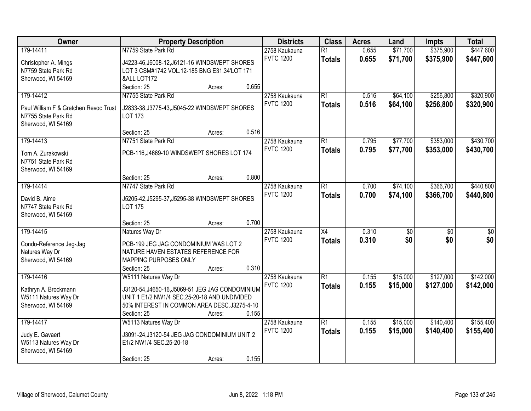| Owner                                        | <b>Property Description</b>                                                                      | <b>Districts</b> | <b>Class</b> | <b>Acres</b>     | Land            | <b>Impts</b> | <b>Total</b> |           |                 |
|----------------------------------------------|--------------------------------------------------------------------------------------------------|------------------|--------------|------------------|-----------------|--------------|--------------|-----------|-----------------|
| 179-14411                                    | N7759 State Park Rd                                                                              |                  |              | 2758 Kaukauna    | $\overline{R1}$ | 0.655        | \$71,700     | \$375,900 | \$447,600       |
| Christopher A. Mings                         | J4223-46, J6008-12, J6121-16 WINDSWEPT SHORES                                                    |                  |              | <b>FVTC 1200</b> | <b>Totals</b>   | 0.655        | \$71,700     | \$375,900 | \$447,600       |
| N7759 State Park Rd                          | LOT 3 CSM#1742 VOL.12-185 BNG E31.34'LOT 171                                                     |                  |              |                  |                 |              |              |           |                 |
| Sherwood, WI 54169                           | &ALL LOT172                                                                                      |                  |              |                  |                 |              |              |           |                 |
|                                              | Section: 25                                                                                      | Acres:           | 0.655        |                  |                 |              |              |           |                 |
| 179-14412                                    | N7755 State Park Rd                                                                              |                  |              | 2758 Kaukauna    | $\overline{R1}$ | 0.516        | \$64,100     | \$256,800 | \$320,900       |
| Paul William F & Gretchen Revoc Trust        | J2833-38, J3775-43, J5045-22 WINDSWEPT SHORES                                                    |                  |              | <b>FVTC 1200</b> | <b>Totals</b>   | 0.516        | \$64,100     | \$256,800 | \$320,900       |
| N7755 State Park Rd                          | <b>LOT 173</b>                                                                                   |                  |              |                  |                 |              |              |           |                 |
| Sherwood, WI 54169                           |                                                                                                  |                  |              |                  |                 |              |              |           |                 |
|                                              | Section: 25                                                                                      | Acres:           | 0.516        |                  |                 |              |              |           |                 |
| 179-14413                                    | N7751 State Park Rd                                                                              |                  |              | 2758 Kaukauna    | $\overline{R1}$ | 0.795        | \$77,700     | \$353,000 | \$430,700       |
| Tom A. Zurakowski                            | PCB-116, J4669-10 WINDSWEPT SHORES LOT 174                                                       |                  |              | <b>FVTC 1200</b> | <b>Totals</b>   | 0.795        | \$77,700     | \$353,000 | \$430,700       |
| N7751 State Park Rd                          |                                                                                                  |                  |              |                  |                 |              |              |           |                 |
| Sherwood, WI 54169                           |                                                                                                  |                  |              |                  |                 |              |              |           |                 |
|                                              | Section: 25                                                                                      | Acres:           | 0.800        |                  |                 |              |              |           |                 |
| 179-14414                                    | N7747 State Park Rd                                                                              |                  |              | 2758 Kaukauna    | $\overline{R1}$ | 0.700        | \$74,100     | \$366,700 | \$440,800       |
| David B. Aime                                | J5205-42, J5295-37, J5295-38 WINDSWEPT SHORES                                                    |                  |              | <b>FVTC 1200</b> | <b>Totals</b>   | 0.700        | \$74,100     | \$366,700 | \$440,800       |
| N7747 State Park Rd                          | <b>LOT 175</b>                                                                                   |                  |              |                  |                 |              |              |           |                 |
| Sherwood, WI 54169                           |                                                                                                  |                  |              |                  |                 |              |              |           |                 |
|                                              | Section: 25                                                                                      | Acres:           | 0.700        |                  |                 |              |              |           |                 |
| 179-14415                                    | Natures Way Dr                                                                                   |                  |              | 2758 Kaukauna    | $\overline{X4}$ | 0.310        | \$0          | \$0       | $\overline{50}$ |
|                                              | PCB-199 JEG JAG CONDOMINIUM WAS LOT 2                                                            |                  |              | <b>FVTC 1200</b> | <b>Totals</b>   | 0.310        | \$0          | \$0       | \$0             |
| Condo-Reference Jeg-Jag<br>Natures Way Dr    | NATURE HAVEN ESTATES REFERENCE FOR                                                               |                  |              |                  |                 |              |              |           |                 |
| Sherwood, WI 54169                           | MAPPING PURPOSES ONLY                                                                            |                  |              |                  |                 |              |              |           |                 |
|                                              | Section: 25                                                                                      | Acres:           | 0.310        |                  |                 |              |              |           |                 |
| 179-14416                                    | W5111 Natures Way Dr                                                                             |                  |              | 2758 Kaukauna    | $\overline{R1}$ | 0.155        | \$15,000     | \$127,000 | \$142,000       |
|                                              |                                                                                                  |                  |              | <b>FVTC 1200</b> | <b>Totals</b>   | 0.155        | \$15,000     | \$127,000 | \$142,000       |
| Kathryn A. Brockmann<br>W5111 Natures Way Dr | J3120-54, J4650-16, J5069-51 JEG JAG CONDOMINIUM<br>UNIT 1 E1/2 NW1/4 SEC.25-20-18 AND UNDIVIDED |                  |              |                  |                 |              |              |           |                 |
| Sherwood, WI 54169                           | 50% INTEREST IN COMMON AREA DESC.J3275-4-10                                                      |                  |              |                  |                 |              |              |           |                 |
|                                              | Section: 25                                                                                      | Acres:           | 0.155        |                  |                 |              |              |           |                 |
| 179-14417                                    | W5113 Natures Way Dr                                                                             |                  |              | 2758 Kaukauna    | $\overline{R1}$ | 0.155        | \$15,000     | \$140,400 | \$155,400       |
|                                              |                                                                                                  |                  |              | <b>FVTC 1200</b> | <b>Totals</b>   | 0.155        | \$15,000     | \$140,400 | \$155,400       |
| Judy E. Gavaert                              | J3091-24, J3120-54 JEG JAG CONDOMINIUM UNIT 2                                                    |                  |              |                  |                 |              |              |           |                 |
| W5113 Natures Way Dr<br>Sherwood, WI 54169   | E1/2 NW1/4 SEC.25-20-18                                                                          |                  |              |                  |                 |              |              |           |                 |
|                                              | Section: 25                                                                                      | Acres:           | 0.155        |                  |                 |              |              |           |                 |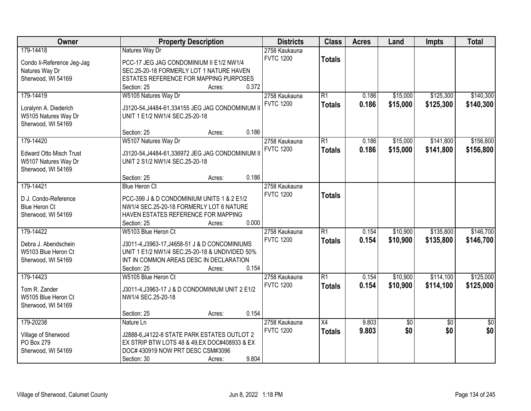| Owner                          | <b>Property Description</b>                       | <b>Districts</b>                  | <b>Class</b>    | <b>Acres</b> | Land            | <b>Impts</b>    | <b>Total</b>    |
|--------------------------------|---------------------------------------------------|-----------------------------------|-----------------|--------------|-----------------|-----------------|-----------------|
| 179-14418                      | Natures Way Dr                                    | 2758 Kaukauna<br><b>FVTC 1200</b> | <b>Totals</b>   |              |                 |                 |                 |
| Condo li-Reference Jeg-Jag     | PCC-17 JEG JAG CONDOMINIUM II E1/2 NW1/4          |                                   |                 |              |                 |                 |                 |
| Natures Way Dr                 | SEC.25-20-18 FORMERLY LOT 1 NATURE HAVEN          |                                   |                 |              |                 |                 |                 |
| Sherwood, WI 54169             | ESTATES REFERENCE FOR MAPPING PURPOSES            |                                   |                 |              |                 |                 |                 |
|                                | 0.372<br>Section: 25<br>Acres:                    |                                   |                 |              |                 |                 |                 |
| 179-14419                      | W5105 Natures Way Dr                              | 2758 Kaukauna                     | $\overline{R1}$ | 0.186        | \$15,000        | \$125,300       | \$140,300       |
| Loralynn A. Diederich          | J3120-54, J4484-61, 334155 JEG JAG CONDOMINIUM II | <b>FVTC 1200</b>                  | <b>Totals</b>   | 0.186        | \$15,000        | \$125,300       | \$140,300       |
| W5105 Natures Way Dr           | UNIT 1 E1/2 NW1/4 SEC.25-20-18                    |                                   |                 |              |                 |                 |                 |
| Sherwood, WI 54169             |                                                   |                                   |                 |              |                 |                 |                 |
|                                | 0.186<br>Section: 25<br>Acres:                    |                                   |                 |              |                 |                 |                 |
| 179-14420                      | W5107 Natures Way Dr                              | 2758 Kaukauna                     | $\overline{R1}$ | 0.186        | \$15,000        | \$141,800       | \$156,800       |
|                                |                                                   | <b>FVTC 1200</b>                  | <b>Totals</b>   | 0.186        | \$15,000        | \$141,800       | \$156,800       |
| <b>Edward Otto Misch Trust</b> | J3120-54, J4484-61, 336972 JEG JAG CONDOMINIUM II |                                   |                 |              |                 |                 |                 |
| W5107 Natures Way Dr           | UNIT 2 S1/2 NW1/4 SEC.25-20-18                    |                                   |                 |              |                 |                 |                 |
| Sherwood, WI 54169             | 0.186                                             |                                   |                 |              |                 |                 |                 |
|                                | Section: 25<br>Acres:                             |                                   |                 |              |                 |                 |                 |
| 179-14421                      | <b>Blue Heron Ct</b>                              | 2758 Kaukauna                     |                 |              |                 |                 |                 |
| D J. Condo-Reference           | PCC-399 J & D CONDOMINIUM UNITS 1 & 2 E1/2        | <b>FVTC 1200</b>                  | <b>Totals</b>   |              |                 |                 |                 |
| <b>Blue Heron Ct</b>           | NW1/4 SEC.25-20-18 FORMERLY LOT 6 NATURE          |                                   |                 |              |                 |                 |                 |
| Sherwood, WI 54169             | HAVEN ESTATES REFERENCE FOR MAPPING               |                                   |                 |              |                 |                 |                 |
|                                | 0.000<br>Section: 25<br>Acres:                    |                                   |                 |              |                 |                 |                 |
| 179-14422                      | W5103 Blue Heron Ct                               | 2758 Kaukauna                     | $\overline{R1}$ | 0.154        | \$10,900        | \$135,800       | \$146,700       |
|                                |                                                   | <b>FVTC 1200</b>                  | <b>Totals</b>   | 0.154        | \$10,900        | \$135,800       | \$146,700       |
| Debra J. Abendschein           | J3011-4, J3963-17, J4658-51 J & D CONCOMINIUMS    |                                   |                 |              |                 |                 |                 |
| W5103 Blue Heron Ct            | UNIT 1 E1/2 NW1/4 SEC.25-20-18 & UNDIVIDED 50%    |                                   |                 |              |                 |                 |                 |
| Sherwood, WI 54169             | INT IN COMMON AREAS DESC IN DECLARATION           |                                   |                 |              |                 |                 |                 |
|                                | 0.154<br>Section: 25<br>Acres:                    |                                   |                 |              |                 |                 |                 |
| 179-14423                      | W5105 Blue Heron Ct                               | 2758 Kaukauna                     | $\overline{R1}$ | 0.154        | \$10,900        | \$114,100       | \$125,000       |
| Tom R. Zander                  | J3011-4, J3963-17 J & D CONDOMINIUM UNIT 2 E1/2   | <b>FVTC 1200</b>                  | <b>Totals</b>   | 0.154        | \$10,900        | \$114,100       | \$125,000       |
| W5105 Blue Heron Ct            | NW1/4 SEC.25-20-18                                |                                   |                 |              |                 |                 |                 |
| Sherwood, WI 54169             |                                                   |                                   |                 |              |                 |                 |                 |
|                                | 0.154<br>Section: 25<br>Acres:                    |                                   |                 |              |                 |                 |                 |
| 179-20238                      | Nature Ln                                         | 2758 Kaukauna                     | X4              | 9.803        | $\overline{50}$ | $\overline{50}$ | $\overline{50}$ |
| Village of Sherwood            | J2888-6, J4122-8 STATE PARK ESTATES OUTLOT 2      | <b>FVTC 1200</b>                  | <b>Totals</b>   | 9.803        | \$0             | \$0             | \$0             |
| PO Box 279                     | EX STRIP BTW LOTS 48 & 49, EX DOC#408933 & EX     |                                   |                 |              |                 |                 |                 |
| Sherwood, WI 54169             | DOC# 430919 NOW PRT DESC CSM#3096                 |                                   |                 |              |                 |                 |                 |
|                                | 9.804<br>Section: 30<br>Acres:                    |                                   |                 |              |                 |                 |                 |
|                                |                                                   |                                   |                 |              |                 |                 |                 |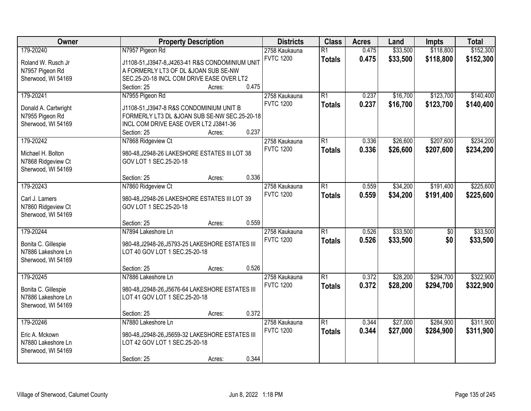| Owner                | <b>Property Description</b>                      | <b>Districts</b>                  | <b>Class</b>    | <b>Acres</b> | Land     | <b>Impts</b>    | <b>Total</b> |
|----------------------|--------------------------------------------------|-----------------------------------|-----------------|--------------|----------|-----------------|--------------|
| 179-20240            | N7957 Pigeon Rd                                  | 2758 Kaukauna                     | $\overline{R1}$ | 0.475        | \$33,500 | \$118,800       | \$152,300    |
| Roland W. Rusch Jr   | J1108-51, J3947-8, J4263-41 R&S CONDOMINIUM UNIT | <b>FVTC 1200</b>                  | <b>Totals</b>   | 0.475        | \$33,500 | \$118,800       | \$152,300    |
| N7957 Pigeon Rd      | A FORMERLY LT3 OF DL &JOAN SUB SE-NW             |                                   |                 |              |          |                 |              |
| Sherwood, WI 54169   | SEC.25-20-18 INCL COM DRIVE EASE OVER LT2        |                                   |                 |              |          |                 |              |
|                      | 0.475<br>Section: 25<br>Acres:                   |                                   |                 |              |          |                 |              |
| 179-20241            | N7955 Pigeon Rd                                  | 2758 Kaukauna                     | $\overline{R1}$ | 0.237        | \$16,700 | \$123,700       | \$140,400    |
|                      |                                                  | <b>FVTC 1200</b>                  | <b>Totals</b>   | 0.237        | \$16,700 | \$123,700       | \$140,400    |
| Donald A. Cartwright | J1108-51, J3947-8 R&S CONDOMINIUM UNIT B         |                                   |                 |              |          |                 |              |
| N7955 Pigeon Rd      | FORMERLY LT3 DL &JOAN SUB SE-NW SEC.25-20-18     |                                   |                 |              |          |                 |              |
| Sherwood, WI 54169   | INCL COM DRIVE EASE OVER LT2 J3841-36            |                                   |                 |              |          |                 |              |
|                      | 0.237<br>Section: 25<br>Acres:                   |                                   |                 |              |          |                 |              |
| 179-20242            | N7868 Ridgeview Ct                               | 2758 Kaukauna                     | $\overline{R1}$ | 0.336        | \$26,600 | \$207,600       | \$234,200    |
| Michael H. Bolton    | 980-48, J2948-26 LAKESHORE ESTATES III LOT 38    | <b>FVTC 1200</b>                  | <b>Totals</b>   | 0.336        | \$26,600 | \$207,600       | \$234,200    |
| N7868 Ridgeview Ct   | GOV LOT 1 SEC.25-20-18                           |                                   |                 |              |          |                 |              |
| Sherwood, WI 54169   |                                                  |                                   |                 |              |          |                 |              |
|                      | 0.336<br>Section: 25<br>Acres:                   |                                   |                 |              |          |                 |              |
| 179-20243            | N7860 Ridgeview Ct                               | 2758 Kaukauna                     | $\overline{R1}$ | 0.559        | \$34,200 | \$191,400       | \$225,600    |
|                      |                                                  | <b>FVTC 1200</b>                  | <b>Totals</b>   | 0.559        | \$34,200 | \$191,400       | \$225,600    |
| Carl J. Lamers       | 980-48, J2948-26 LAKESHORE ESTATES III LOT 39    |                                   |                 |              |          |                 |              |
| N7860 Ridgeview Ct   | GOV LOT 1 SEC.25-20-18                           |                                   |                 |              |          |                 |              |
| Sherwood, WI 54169   | 0.559                                            |                                   |                 |              |          |                 |              |
| 179-20244            | Section: 25<br>Acres:<br>N7894 Lakeshore Ln      |                                   | $\overline{R1}$ | 0.526        | \$33,500 | $\overline{50}$ | \$33,500     |
|                      |                                                  | 2758 Kaukauna<br><b>FVTC 1200</b> |                 |              |          |                 |              |
| Bonita C. Gillespie  | 980-48, J2948-26, J5793-25 LAKESHORE ESTATES III |                                   | <b>Totals</b>   | 0.526        | \$33,500 | \$0             | \$33,500     |
| N7886 Lakeshore Ln   | LOT 40 GOV LOT 1 SEC.25-20-18                    |                                   |                 |              |          |                 |              |
| Sherwood, WI 54169   |                                                  |                                   |                 |              |          |                 |              |
|                      | 0.526<br>Section: 25<br>Acres:                   |                                   |                 |              |          |                 |              |
| 179-20245            | N7886 Lakeshore Ln                               | 2758 Kaukauna                     | $\overline{R1}$ | 0.372        | \$28,200 | \$294,700       | \$322,900    |
| Bonita C. Gillespie  | 980-48, J2948-26, J5676-64 LAKESHORE ESTATES III | <b>FVTC 1200</b>                  | <b>Totals</b>   | 0.372        | \$28,200 | \$294,700       | \$322,900    |
| N7886 Lakeshore Ln   | LOT 41 GOV LOT 1 SEC.25-20-18                    |                                   |                 |              |          |                 |              |
| Sherwood, WI 54169   |                                                  |                                   |                 |              |          |                 |              |
|                      | 0.372<br>Section: 25<br>Acres:                   |                                   |                 |              |          |                 |              |
| 179-20246            | N7880 Lakeshore Ln                               | 2758 Kaukauna                     | $\overline{R1}$ | 0.344        | \$27,000 | \$284,900       | \$311,900    |
|                      |                                                  | <b>FVTC 1200</b>                  |                 | 0.344        | \$27,000 | \$284,900       | \$311,900    |
| Eric A. Mckown       | 980-48, J2948-26, J5659-32 LAKESHORE ESTATES III |                                   | <b>Totals</b>   |              |          |                 |              |
| N7880 Lakeshore Ln   | LOT 42 GOV LOT 1 SEC.25-20-18                    |                                   |                 |              |          |                 |              |
| Sherwood, WI 54169   |                                                  |                                   |                 |              |          |                 |              |
|                      | 0.344<br>Section: 25<br>Acres:                   |                                   |                 |              |          |                 |              |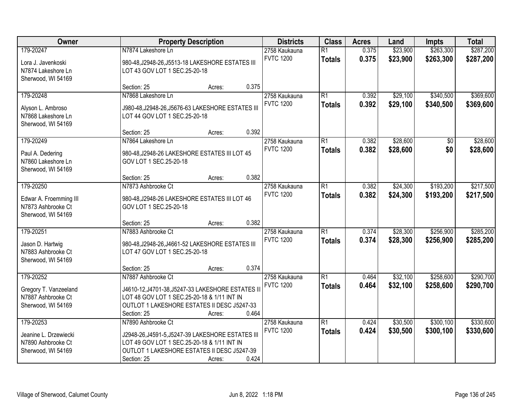| Owner                                                                           | <b>Property Description</b>                                                                                                                                                                             | <b>Districts</b>                  | <b>Class</b>                     | <b>Acres</b>   | Land                 | <b>Impts</b>           | <b>Total</b>           |
|---------------------------------------------------------------------------------|---------------------------------------------------------------------------------------------------------------------------------------------------------------------------------------------------------|-----------------------------------|----------------------------------|----------------|----------------------|------------------------|------------------------|
| 179-20247<br>Lora J. Javenkoski<br>N7874 Lakeshore Ln<br>Sherwood, WI 54169     | N7874 Lakeshore Ln<br>980-48, J2948-26, J5513-18 LAKESHORE ESTATES III<br>LOT 43 GOV LOT 1 SEC.25-20-18                                                                                                 | 2758 Kaukauna<br><b>FVTC 1200</b> | $\overline{R1}$<br><b>Totals</b> | 0.375<br>0.375 | \$23,900<br>\$23,900 | \$263,300<br>\$263,300 | \$287,200<br>\$287,200 |
|                                                                                 | 0.375<br>Section: 25<br>Acres:                                                                                                                                                                          |                                   |                                  |                |                      |                        |                        |
| 179-20248<br>Alyson L. Ambroso<br>N7868 Lakeshore Ln<br>Sherwood, WI 54169      | N7868 Lakeshore Ln<br>J980-48, J2948-26, J5676-63 LAKESHORE ESTATES III<br>LOT 44 GOV LOT 1 SEC.25-20-18                                                                                                | 2758 Kaukauna<br><b>FVTC 1200</b> | $\overline{R1}$<br><b>Totals</b> | 0.392<br>0.392 | \$29,100<br>\$29,100 | \$340,500<br>\$340,500 | \$369,600<br>\$369,600 |
|                                                                                 | 0.392<br>Section: 25<br>Acres:                                                                                                                                                                          |                                   |                                  |                |                      |                        |                        |
| 179-20249<br>Paul A. Dedering<br>N7860 Lakeshore Ln<br>Sherwood, WI 54169       | N7864 Lakeshore Ln<br>980-48, J2948-26 LAKESHORE ESTATES III LOT 45<br>GOV LOT 1 SEC.25-20-18                                                                                                           | 2758 Kaukauna<br><b>FVTC 1200</b> | $\overline{R1}$<br><b>Totals</b> | 0.382<br>0.382 | \$28,600<br>\$28,600 | \$0<br>\$0             | \$28,600<br>\$28,600   |
|                                                                                 | 0.382<br>Section: 25<br>Acres:                                                                                                                                                                          |                                   |                                  |                |                      |                        |                        |
| 179-20250<br>Edwar A. Froemming III<br>N7873 Ashbrooke Ct<br>Sherwood, WI 54169 | N7873 Ashbrooke Ct<br>980-48, J2948-26 LAKESHORE ESTATES III LOT 46<br>GOV LOT 1 SEC.25-20-18                                                                                                           | 2758 Kaukauna<br><b>FVTC 1200</b> | $\overline{R1}$<br><b>Totals</b> | 0.382<br>0.382 | \$24,300<br>\$24,300 | \$193,200<br>\$193,200 | \$217,500<br>\$217,500 |
|                                                                                 | 0.382<br>Section: 25<br>Acres:                                                                                                                                                                          |                                   |                                  |                |                      |                        |                        |
| 179-20251<br>Jason D. Hartwig<br>N7883 Ashbrooke Ct<br>Sherwood, WI 54169       | N7883 Ashbrooke Ct<br>980-48, J2948-26, J4661-52 LAKESHORE ESTATES III<br>LOT 47 GOV LOT 1 SEC.25-20-18<br>0.374<br>Section: 25<br>Acres:                                                               | 2758 Kaukauna<br><b>FVTC 1200</b> | $\overline{R1}$<br><b>Totals</b> | 0.374<br>0.374 | \$28,300<br>\$28,300 | \$256,900<br>\$256,900 | \$285,200<br>\$285,200 |
| 179-20252                                                                       | N7887 Ashbrooke Ct                                                                                                                                                                                      | 2758 Kaukauna                     | $\overline{R1}$                  | 0.464          | \$32,100             | \$258,600              | \$290,700              |
| Gregory T. Vanzeeland<br>N7887 Ashbrooke Ct<br>Sherwood, WI 54169               | J4610-12, J4701-38, J5247-33 LAKESHORE ESTATES II<br>LOT 48 GOV LOT 1 SEC.25-20-18 & 1/11 INT IN<br>OUTLOT 1 LAKESHORE ESTATES II DESC J5247-33<br>0.464<br>Section: 25<br>Acres:                       | <b>FVTC 1200</b>                  | <b>Totals</b>                    | 0.464          | \$32,100             | \$258,600              | \$290,700              |
| 179-20253<br>Jeanine L. Drzewiecki<br>N7890 Ashbrooke Ct<br>Sherwood, WI 54169  | N7890 Ashbrooke Ct<br>J2948-26, J4591-5, J5247-39 LAKESHORE ESTATES III<br>LOT 49 GOV LOT 1 SEC.25-20-18 & 1/11 INT IN<br>OUTLOT 1 LAKESHORE ESTATES II DESC J5247-39<br>0.424<br>Section: 25<br>Acres: | 2758 Kaukauna<br><b>FVTC 1200</b> | $\overline{R1}$<br><b>Totals</b> | 0.424<br>0.424 | \$30,500<br>\$30,500 | \$300,100<br>\$300,100 | \$330,600<br>\$330,600 |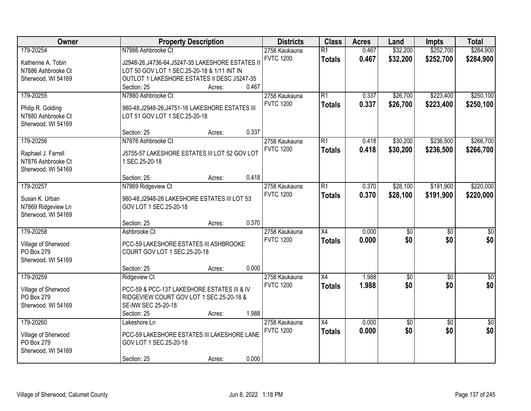| Owner                                    | <b>Property Description</b>                                     | <b>Districts</b>                  | <b>Class</b>    | <b>Acres</b> | Land            | <b>Impts</b>    | <b>Total</b>     |
|------------------------------------------|-----------------------------------------------------------------|-----------------------------------|-----------------|--------------|-----------------|-----------------|------------------|
| 179-20254                                | N7886 Ashbrooke Ct                                              | 2758 Kaukauna<br><b>FVTC 1200</b> | $\overline{R1}$ | 0.467        | \$32,200        | \$252,700       | \$284,900        |
| Katherine A. Tobin                       | J2948-26, J4736-64, J5247-35 LAKESHORE ESTATES II               |                                   | <b>Totals</b>   | 0.467        | \$32,200        | \$252,700       | \$284,900        |
| N7886 Ashbrooke Ct                       | LOT 50 GOV LOT 1 SEC.25-20-18 & 1/11 INT IN                     |                                   |                 |              |                 |                 |                  |
| Sherwood, WI 54169                       | OUTLOT 1 LAKESHORE ESTATES II DESC J5247-35                     |                                   |                 |              |                 |                 |                  |
|                                          | 0.467<br>Section: 25<br>Acres:                                  |                                   |                 |              |                 |                 |                  |
| 179-20255                                | N7880 Ashbrooke Ct                                              | 2758 Kaukauna                     | $\overline{R1}$ | 0.337        | \$26,700        | \$223,400       | \$250,100        |
| Philip R. Golding                        | 980-48, J2948-26, J4751-16 LAKESHORE ESTATES III                | <b>FVTC 1200</b>                  | <b>Totals</b>   | 0.337        | \$26,700        | \$223,400       | \$250,100        |
| N7880 Ashbrooke Ct                       | LOT 51 GOV LOT 1 SEC.25-20-18                                   |                                   |                 |              |                 |                 |                  |
| Sherwood, WI 54169                       |                                                                 |                                   |                 |              |                 |                 |                  |
|                                          | 0.337<br>Section: 25<br>Acres:                                  |                                   |                 |              |                 |                 |                  |
| 179-20256                                | N7876 Ashbrooke Ct                                              | 2758 Kaukauna                     | $\overline{R1}$ | 0.418        | \$30,200        | \$236,500       | \$266,700        |
|                                          |                                                                 | <b>FVTC 1200</b>                  | <b>Totals</b>   | 0.418        | \$30,200        | \$236,500       | \$266,700        |
| Raphael J. Farrell<br>N7876 Ashbrooke Ct | J5755-57 LAKESHORE ESTATES III LOT 52 GOV LOT<br>1 SEC.25-20-18 |                                   |                 |              |                 |                 |                  |
|                                          |                                                                 |                                   |                 |              |                 |                 |                  |
| Sherwood, WI 54169                       | 0.418<br>Section: 25<br>Acres:                                  |                                   |                 |              |                 |                 |                  |
| 179-20257                                |                                                                 | 2758 Kaukauna                     | $\overline{R1}$ | 0.370        | \$28,100        | \$191,900       | \$220,000        |
|                                          | N7869 Ridgeview Ct                                              | <b>FVTC 1200</b>                  |                 |              |                 |                 |                  |
| Susan K. Urban                           | 980-48, J2948-26 LAKESHORE ESTATES III LOT 53                   |                                   | <b>Totals</b>   | 0.370        | \$28,100        | \$191,900       | \$220,000        |
| N7869 Ridgeview Ln                       | GOV LOT 1 SEC.25-20-18                                          |                                   |                 |              |                 |                 |                  |
| Sherwood, WI 54169                       |                                                                 |                                   |                 |              |                 |                 |                  |
|                                          | 0.370<br>Section: 25<br>Acres:                                  |                                   |                 |              |                 |                 |                  |
| 179-20258                                | Ashbrooke Ct                                                    | 2758 Kaukauna                     | $\overline{X4}$ | 0.000        | $\overline{50}$ | $\overline{50}$ | $\overline{50}$  |
| Village of Sherwood                      | PCC-59 LAKESHORE ESTATES III ASHBROOKE                          | <b>FVTC 1200</b>                  | <b>Totals</b>   | 0.000        | \$0             | \$0             | \$0              |
| PO Box 279                               | COURT GOV LOT 1 SEC.25-20-18                                    |                                   |                 |              |                 |                 |                  |
| Sherwood, WI 54169                       |                                                                 |                                   |                 |              |                 |                 |                  |
|                                          | 0.000<br>Section: 25<br>Acres:                                  |                                   |                 |              |                 |                 |                  |
| 179-20259                                | <b>Ridgeview Ct</b>                                             | 2758 Kaukauna                     | $\overline{X4}$ | 1.988        | $\overline{50}$ | $\overline{50}$ | $\overline{\$0}$ |
|                                          |                                                                 | <b>FVTC 1200</b>                  | <b>Totals</b>   | 1.988        | \$0             | \$0             | \$0              |
| Village of Sherwood                      | PCC-59 & PCC-137 LAKESHORE ESTATES III & IV                     |                                   |                 |              |                 |                 |                  |
| PO Box 279                               | RIDGEVIEW COURT GOV LOT 1 SEC.25-20-18 &                        |                                   |                 |              |                 |                 |                  |
| Sherwood, WI 54169                       | SE-NW SEC 25-20-18                                              |                                   |                 |              |                 |                 |                  |
|                                          | 1.988<br>Section: 25<br>Acres:                                  |                                   |                 |              |                 |                 |                  |
| 179-20260                                | Lakeshore Ln                                                    | 2758 Kaukauna                     | $\overline{X4}$ | 0.000        | \$0             | $\overline{30}$ | $\overline{50}$  |
| Village of Sherwood                      | PCC-59 LAKESHORE ESTATES III LAKESHORE LANE                     | <b>FVTC 1200</b>                  | <b>Totals</b>   | 0.000        | \$0             | \$0             | \$0              |
| PO Box 279                               | GOV LOT 1 SEC.25-20-18                                          |                                   |                 |              |                 |                 |                  |
| Sherwood, WI 54169                       |                                                                 |                                   |                 |              |                 |                 |                  |
|                                          | 0.000<br>Section: 25<br>Acres:                                  |                                   |                 |              |                 |                 |                  |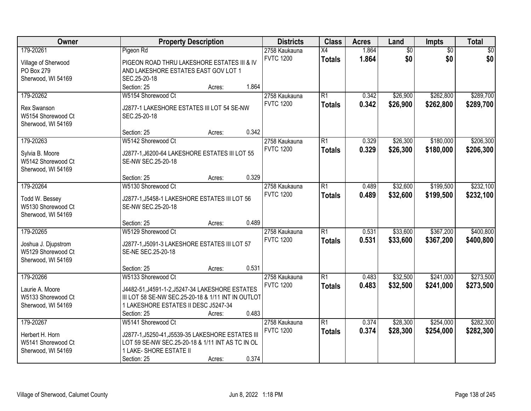| Owner                                 | <b>Property Description</b>                                                                           | <b>Districts</b> | <b>Class</b>    | <b>Acres</b> | Land            | Impts           | <b>Total</b> |
|---------------------------------------|-------------------------------------------------------------------------------------------------------|------------------|-----------------|--------------|-----------------|-----------------|--------------|
| 179-20261                             | Pigeon Rd                                                                                             | 2758 Kaukauna    | X4              | 1.864        | $\overline{60}$ | $\overline{50}$ | \$0          |
| Village of Sherwood                   | PIGEON ROAD THRU LAKESHORE ESTATES III & IV                                                           | <b>FVTC 1200</b> | <b>Totals</b>   | 1.864        | \$0             | \$0             | \$0          |
| PO Box 279                            | AND LAKESHORE ESTATES EAST GOV LOT 1                                                                  |                  |                 |              |                 |                 |              |
| Sherwood, WI 54169                    | SEC.25-20-18                                                                                          |                  |                 |              |                 |                 |              |
|                                       | 1.864<br>Section: 25<br>Acres:                                                                        |                  |                 |              |                 |                 |              |
| 179-20262                             | W5154 Shorewood Ct                                                                                    | 2758 Kaukauna    | $\overline{R1}$ | 0.342        | \$26,900        | \$262,800       | \$289,700    |
|                                       |                                                                                                       | <b>FVTC 1200</b> | <b>Totals</b>   | 0.342        | \$26,900        | \$262,800       | \$289,700    |
| <b>Rex Swanson</b>                    | J2877-1 LAKESHORE ESTATES III LOT 54 SE-NW                                                            |                  |                 |              |                 |                 |              |
| W5154 Shorewood Ct                    | SEC.25-20-18                                                                                          |                  |                 |              |                 |                 |              |
| Sherwood, WI 54169                    | 0.342<br>Section: 25                                                                                  |                  |                 |              |                 |                 |              |
| 179-20263                             | Acres:<br>W5142 Shorewood Ct                                                                          | 2758 Kaukauna    | $\overline{R1}$ | 0.329        | \$26,300        | \$180,000       | \$206,300    |
|                                       |                                                                                                       | <b>FVTC 1200</b> |                 |              |                 |                 |              |
| Sylvia B. Moore                       | J2877-1, J6200-64 LAKESHORE ESTATES III LOT 55                                                        |                  | <b>Totals</b>   | 0.329        | \$26,300        | \$180,000       | \$206,300    |
| W5142 Shorewood Ct                    | SE-NW SEC.25-20-18                                                                                    |                  |                 |              |                 |                 |              |
| Sherwood, WI 54169                    |                                                                                                       |                  |                 |              |                 |                 |              |
|                                       | 0.329<br>Section: 25<br>Acres:                                                                        |                  |                 |              |                 |                 |              |
| 179-20264                             | W5130 Shorewood Ct                                                                                    | 2758 Kaukauna    | $\overline{R1}$ | 0.489        | \$32,600        | \$199,500       | \$232,100    |
| Todd W. Bessey                        | J2877-1, J5458-1 LAKESHORE ESTATES III LOT 56                                                         | <b>FVTC 1200</b> | <b>Totals</b>   | 0.489        | \$32,600        | \$199,500       | \$232,100    |
| W5130 Shorewood Ct                    | SE-NW SEC.25-20-18                                                                                    |                  |                 |              |                 |                 |              |
| Sherwood, WI 54169                    |                                                                                                       |                  |                 |              |                 |                 |              |
|                                       | 0.489<br>Section: 25<br>Acres:                                                                        |                  |                 |              |                 |                 |              |
| 179-20265                             | W5129 Shorewood Ct                                                                                    | 2758 Kaukauna    | $\overline{R1}$ | 0.531        | \$33,600        | \$367,200       | \$400,800    |
|                                       |                                                                                                       | <b>FVTC 1200</b> | <b>Totals</b>   | 0.531        | \$33,600        | \$367,200       | \$400,800    |
| Joshua J. Djupstrom                   | J2877-1, J5091-3 LAKESHORE ESTATES III LOT 57                                                         |                  |                 |              |                 |                 |              |
| W5129 Shorewood Ct                    | SE-NE SEC.25-20-18                                                                                    |                  |                 |              |                 |                 |              |
| Sherwood, WI 54169                    |                                                                                                       |                  |                 |              |                 |                 |              |
|                                       | 0.531<br>Section: 25<br>Acres:                                                                        |                  |                 |              |                 |                 |              |
| 179-20266                             | W5133 Shorewood Ct                                                                                    | 2758 Kaukauna    | $\overline{R1}$ | 0.483        | \$32,500        | \$241,000       | \$273,500    |
| Laurie A. Moore                       | J4482-51, J4591-1-2, J5247-34 LAKESHORE ESTATES                                                       | <b>FVTC 1200</b> | <b>Totals</b>   | 0.483        | \$32,500        | \$241,000       | \$273,500    |
| W5133 Shorewood Ct                    | III LOT 58 SE-NW SEC.25-20-18 & 1/11 INT IN OUTLOT                                                    |                  |                 |              |                 |                 |              |
| Sherwood, WI 54169                    | 1 LAKESHORE ESTATES II DESC J5247-34                                                                  |                  |                 |              |                 |                 |              |
|                                       | 0.483<br>Section: 25<br>Acres:                                                                        |                  |                 |              |                 |                 |              |
| 179-20267                             | W5141 Shorewood Ct                                                                                    | 2758 Kaukauna    | $\overline{R1}$ | 0.374        | \$28,300        | \$254,000       | \$282,300    |
|                                       |                                                                                                       | <b>FVTC 1200</b> | <b>Totals</b>   | 0.374        | \$28,300        | \$254,000       | \$282,300    |
| Herbert H. Horn<br>W5141 Shorewood Ct | J2877-1, J5250-41, J5539-35 LAKESHORE ESTATES III<br>LOT 59 SE-NW SEC.25-20-18 & 1/11 INT AS TC IN OL |                  |                 |              |                 |                 |              |
| Sherwood, WI 54169                    | 1 LAKE- SHORE ESTATE II                                                                               |                  |                 |              |                 |                 |              |
|                                       | 0.374                                                                                                 |                  |                 |              |                 |                 |              |
|                                       | Section: 25<br>Acres:                                                                                 |                  |                 |              |                 |                 |              |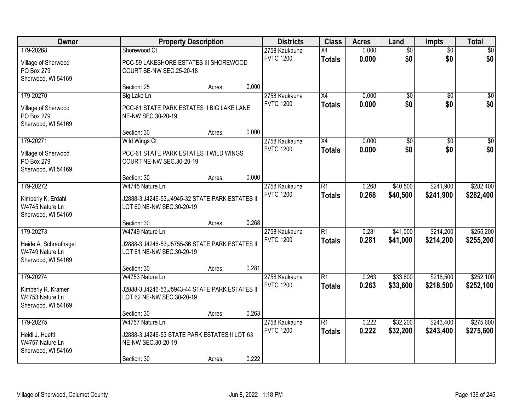| Owner                                                          |                                                                                | <b>Property Description</b> | <b>Districts</b> | <b>Class</b>     | <b>Acres</b>    | Land  | <b>Impts</b>    | <b>Total</b>    |                 |
|----------------------------------------------------------------|--------------------------------------------------------------------------------|-----------------------------|------------------|------------------|-----------------|-------|-----------------|-----------------|-----------------|
| 179-20268                                                      | Shorewood Ct                                                                   |                             |                  | 2758 Kaukauna    | $\overline{X4}$ | 0.000 | $\overline{60}$ | $\overline{60}$ | \$0             |
| Village of Sherwood<br>PO Box 279<br>Sherwood, WI 54169        | PCC-59 LAKESHORE ESTATES III SHOREWOOD<br>COURT SE-NW SEC.25-20-18             |                             |                  | <b>FVTC 1200</b> | <b>Totals</b>   | 0.000 | \$0             | \$0             | \$0             |
|                                                                | Section: 25                                                                    | Acres:                      | 0.000            |                  |                 |       |                 |                 |                 |
| 179-20270                                                      | <b>Big Lake Ln</b>                                                             |                             |                  | 2758 Kaukauna    | X4              | 0.000 | \$0             | $\overline{50}$ | \$0             |
| Village of Sherwood<br>PO Box 279<br>Sherwood, WI 54169        | PCC-61 STATE PARK ESTATES II BIG LAKE LANE<br>NE-NW SEC.30-20-19               |                             |                  | <b>FVTC 1200</b> | <b>Totals</b>   | 0.000 | \$0             | \$0             | \$0             |
|                                                                | Section: 30                                                                    | Acres:                      | 0.000            |                  |                 |       |                 |                 |                 |
| 179-20271                                                      | Wild Wings Ct                                                                  |                             |                  | 2758 Kaukauna    | X4              | 0.000 | $\overline{50}$ | \$0             | $\overline{50}$ |
| Village of Sherwood<br>PO Box 279<br>Sherwood, WI 54169        | PCC-61 STATE PARK ESTATES II WILD WINGS<br>COURT NE-NW SEC.30-20-19            |                             |                  | <b>FVTC 1200</b> | <b>Totals</b>   | 0.000 | \$0             | \$0             | \$0             |
|                                                                | Section: 30                                                                    | Acres:                      | 0.000            |                  |                 |       |                 |                 |                 |
| 179-20272                                                      | W4745 Nature Ln                                                                |                             |                  | 2758 Kaukauna    | $\overline{R1}$ | 0.268 | \$40,500        | \$241,900       | \$282,400       |
| Kimberly K. Erdahl<br>W4745 Nature Ln<br>Sherwood, WI 54169    | J2888-3, J4246-53, J4945-32 STATE PARK ESTATES II<br>LOT 60 NE-NW SEC.30-20-19 |                             |                  | <b>FVTC 1200</b> | <b>Totals</b>   | 0.268 | \$40,500        | \$241,900       | \$282,400       |
|                                                                | Section: 30                                                                    | Acres:                      | 0.268            |                  |                 |       |                 |                 |                 |
| 179-20273                                                      | W4749 Nature Ln                                                                |                             |                  | 2758 Kaukauna    | $\overline{R1}$ | 0.281 | \$41,000        | \$214,200       | \$255,200       |
| Heide A. Schraufnagel<br>W4749 Nature Ln<br>Sherwood, WI 54169 | J2888-3, J4246-53, J5755-36 STATE PARK ESTATES II<br>LOT 61 NE-NW SEC.30-20-19 |                             |                  | <b>FVTC 1200</b> | <b>Totals</b>   | 0.281 | \$41,000        | \$214,200       | \$255,200       |
|                                                                | Section: 30                                                                    | Acres:                      | 0.281            |                  |                 |       |                 |                 |                 |
| 179-20274                                                      | W4753 Nature Ln                                                                |                             |                  | 2758 Kaukauna    | $\overline{R1}$ | 0.263 | \$33,600        | \$218,500       | \$252,100       |
| Kimberly R. Kramer<br>W4753 Nature Ln<br>Sherwood, WI 54169    | J2888-3, J4246-53, J5943-44 STATE PARK ESTATES II<br>LOT 62 NE-NW SEC.30-20-19 |                             |                  | <b>FVTC 1200</b> | <b>Totals</b>   | 0.263 | \$33,600        | \$218,500       | \$252,100       |
|                                                                | Section: 30                                                                    | Acres:                      | 0.263            |                  |                 |       |                 |                 |                 |
| 179-20275                                                      | W4757 Nature Ln                                                                |                             |                  | 2758 Kaukauna    | $\overline{R1}$ | 0.222 | \$32,200        | \$243,400       | \$275,600       |
| Heidi J. Huettl<br>W4757 Nature Ln<br>Sherwood, WI 54169       | J2888-3, J4246-53 STATE PARK ESTATES II LOT 63<br>NE-NW SEC.30-20-19           |                             |                  | <b>FVTC 1200</b> | <b>Totals</b>   | 0.222 | \$32,200        | \$243,400       | \$275,600       |
|                                                                | Section: 30                                                                    | Acres:                      | 0.222            |                  |                 |       |                 |                 |                 |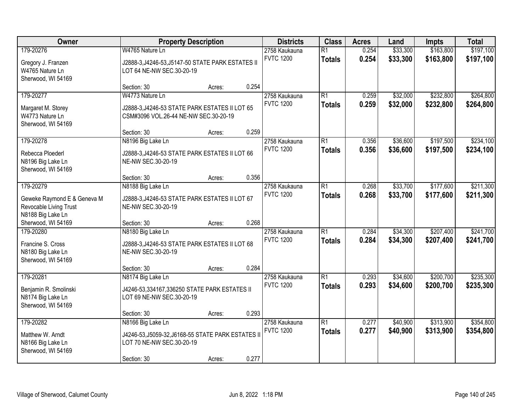| Owner                                                                                   | <b>Property Description</b>                                                                                         |        | <b>Districts</b> | <b>Class</b>                      | <b>Acres</b>                     | Land           | <b>Impts</b>         | <b>Total</b>           |                        |
|-----------------------------------------------------------------------------------------|---------------------------------------------------------------------------------------------------------------------|--------|------------------|-----------------------------------|----------------------------------|----------------|----------------------|------------------------|------------------------|
| 179-20276<br>Gregory J. Franzen<br>W4765 Nature Ln<br>Sherwood, WI 54169                | W4765 Nature Ln<br>J2888-3, J4246-53, J5147-50 STATE PARK ESTATES II<br>LOT 64 NE-NW SEC.30-20-19                   |        |                  | 2758 Kaukauna<br><b>FVTC 1200</b> | $\overline{R1}$<br><b>Totals</b> | 0.254<br>0.254 | \$33,300<br>\$33,300 | \$163,800<br>\$163,800 | \$197,100<br>\$197,100 |
|                                                                                         | Section: 30                                                                                                         | Acres: | 0.254            |                                   |                                  |                |                      |                        |                        |
| 179-20277<br>Margaret M. Storey<br>W4773 Nature Ln<br>Sherwood, WI 54169                | W4773 Nature Ln<br>J2888-3, J4246-53 STATE PARK ESTATES II LOT 65<br>CSM#3096 VOL.26-44 NE-NW SEC.30-20-19          |        |                  | 2758 Kaukauna<br><b>FVTC 1200</b> | $\overline{R1}$<br><b>Totals</b> | 0.259<br>0.259 | \$32,000<br>\$32,000 | \$232,800<br>\$232,800 | \$264,800<br>\$264,800 |
|                                                                                         | Section: 30                                                                                                         | Acres: | 0.259            |                                   |                                  |                |                      |                        |                        |
| 179-20278<br>Rebecca Ploederl<br>N8196 Big Lake Ln<br>Sherwood, WI 54169                | N8196 Big Lake Ln<br>J2888-3, J4246-53 STATE PARK ESTATES II LOT 66<br>NE-NW SEC.30-20-19                           |        |                  | 2758 Kaukauna<br><b>FVTC 1200</b> | $\overline{R1}$<br><b>Totals</b> | 0.356<br>0.356 | \$36,600<br>\$36,600 | \$197,500<br>\$197,500 | \$234,100<br>\$234,100 |
|                                                                                         | Section: 30                                                                                                         | Acres: | 0.356            |                                   |                                  |                |                      |                        |                        |
| 179-20279<br>Geweke Raymond E & Geneva M<br>Revocable Living Trust<br>N8188 Big Lake Ln | N8188 Big Lake Ln<br>J2888-3, J4246-53 STATE PARK ESTATES II LOT 67<br>NE-NW SEC.30-20-19                           |        |                  | 2758 Kaukauna<br><b>FVTC 1200</b> | $\overline{R1}$<br><b>Totals</b> | 0.268<br>0.268 | \$33,700<br>\$33,700 | \$177,600<br>\$177,600 | \$211,300<br>\$211,300 |
| Sherwood, WI 54169                                                                      | Section: 30                                                                                                         | Acres: | 0.268            |                                   |                                  |                |                      |                        |                        |
| 179-20280<br>Francine S. Cross<br>N8180 Big Lake Ln<br>Sherwood, WI 54169               | N8180 Big Lake Ln<br>J2888-3, J4246-53 STATE PARK ESTATES II LOT 68<br>NE-NW SEC.30-20-19                           |        |                  | 2758 Kaukauna<br><b>FVTC 1200</b> | $\overline{R1}$<br><b>Totals</b> | 0.284<br>0.284 | \$34,300<br>\$34,300 | \$207,400<br>\$207,400 | \$241,700<br>\$241,700 |
|                                                                                         | Section: 30                                                                                                         | Acres: | 0.284            |                                   |                                  |                |                      |                        |                        |
| 179-20281<br>Benjamin R. Smolinski<br>N8174 Big Lake Ln<br>Sherwood, WI 54169           | N8174 Big Lake Ln<br>J4246-53,334167,336250 STATE PARK ESTATES II<br>LOT 69 NE-NW SEC.30-20-19                      |        |                  | 2758 Kaukauna<br><b>FVTC 1200</b> | $\overline{R1}$<br><b>Totals</b> | 0.293<br>0.293 | \$34,600<br>\$34,600 | \$200,700<br>\$200,700 | \$235,300<br>\$235,300 |
|                                                                                         | Section: 30                                                                                                         | Acres: | 0.293            |                                   |                                  |                |                      |                        |                        |
| 179-20282<br>Matthew W. Arndt<br>N8166 Big Lake Ln<br>Sherwood, WI 54169                | N8166 Big Lake Ln<br>J4246-53, J5059-32, J6168-55 STATE PARK ESTATES II<br>LOT 70 NE-NW SEC.30-20-19<br>Section: 30 | Acres: | 0.277            | 2758 Kaukauna<br><b>FVTC 1200</b> | $\overline{R1}$<br><b>Totals</b> | 0.277<br>0.277 | \$40,900<br>\$40,900 | \$313,900<br>\$313,900 | \$354,800<br>\$354,800 |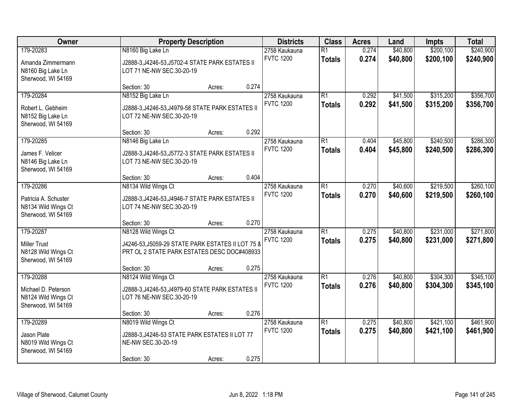| Owner                                                                          |                                                                                                                                        | <b>Property Description</b> | <b>Districts</b> | <b>Class</b>                      | <b>Acres</b>                     | Land           | <b>Impts</b>         | <b>Total</b>           |                        |
|--------------------------------------------------------------------------------|----------------------------------------------------------------------------------------------------------------------------------------|-----------------------------|------------------|-----------------------------------|----------------------------------|----------------|----------------------|------------------------|------------------------|
| 179-20283<br>Amanda Zimmermann<br>N8160 Big Lake Ln<br>Sherwood, WI 54169      | N8160 Big Lake Ln<br>J2888-3, J4246-53, J5702-4 STATE PARK ESTATES II<br>LOT 71 NE-NW SEC.30-20-19                                     |                             |                  | 2758 Kaukauna<br><b>FVTC 1200</b> | $\overline{R1}$<br><b>Totals</b> | 0.274<br>0.274 | \$40,800<br>\$40,800 | \$200,100<br>\$200,100 | \$240,900<br>\$240,900 |
|                                                                                | Section: 30                                                                                                                            | Acres:                      | 0.274            |                                   |                                  |                |                      |                        |                        |
| 179-20284<br>Robert L. Gebheim<br>N8152 Big Lake Ln<br>Sherwood, WI 54169      | N8152 Big Lake Ln<br>J2888-3, J4246-53, J4979-58 STATE PARK ESTATES II<br>LOT 72 NE-NW SEC.30-20-19                                    |                             |                  | 2758 Kaukauna<br><b>FVTC 1200</b> | $\overline{R1}$<br><b>Totals</b> | 0.292<br>0.292 | \$41,500<br>\$41,500 | \$315,200<br>\$315,200 | \$356,700<br>\$356,700 |
|                                                                                | Section: 30                                                                                                                            | Acres:                      | 0.292            |                                   |                                  |                |                      |                        |                        |
| 179-20285<br>James F. Velicer<br>N8146 Big Lake Ln<br>Sherwood, WI 54169       | N8146 Big Lake Ln<br>J2888-3, J4246-53, J5772-3 STATE PARK ESTATES II<br>LOT 73 NE-NW SEC.30-20-19                                     |                             |                  | 2758 Kaukauna<br><b>FVTC 1200</b> | $\overline{R1}$<br><b>Totals</b> | 0.404<br>0.404 | \$45,800<br>\$45,800 | \$240,500<br>\$240,500 | \$286,300<br>\$286,300 |
|                                                                                | Section: 30                                                                                                                            | Acres:                      | 0.404            |                                   |                                  |                |                      |                        |                        |
| 179-20286<br>Patricia A. Schuster<br>N8134 Wild Wings Ct<br>Sherwood, WI 54169 | N8134 Wild Wings Ct<br>J2888-3, J4246-53, J4946-7 STATE PARK ESTATES II<br>LOT 74 NE-NW SEC.30-20-19                                   |                             |                  | 2758 Kaukauna<br><b>FVTC 1200</b> | $\overline{R1}$<br><b>Totals</b> | 0.270<br>0.270 | \$40,600<br>\$40,600 | \$219,500<br>\$219,500 | \$260,100<br>\$260,100 |
|                                                                                | Section: 30                                                                                                                            | Acres:                      | 0.270            |                                   |                                  |                |                      |                        |                        |
| 179-20287<br><b>Miller Trust</b><br>N8128 Wild Wings Ct<br>Sherwood, WI 54169  | N8128 Wild Wings Ct<br>J4246-53, J5059-29 STATE PARK ESTATES II LOT 75 8<br>PRT OL 2 STATE PARK ESTATES DESC DOC#408933<br>Section: 30 | Acres:                      | 0.275            | 2758 Kaukauna<br><b>FVTC 1200</b> | $\overline{R1}$<br><b>Totals</b> | 0.275<br>0.275 | \$40,800<br>\$40,800 | \$231,000<br>\$231,000 | \$271,800<br>\$271,800 |
| 179-20288                                                                      | N8124 Wild Wings Ct                                                                                                                    |                             |                  | 2758 Kaukauna                     | $\overline{R1}$                  | 0.276          | \$40,800             | \$304,300              | \$345,100              |
| Michael D. Peterson<br>N8124 Wild Wings Ct<br>Sherwood, WI 54169               | J2888-3, J4246-53, J4979-60 STATE PARK ESTATES II<br>LOT 76 NE-NW SEC.30-20-19                                                         |                             |                  | <b>FVTC 1200</b>                  | <b>Totals</b>                    | 0.276          | \$40,800             | \$304,300              | \$345,100              |
|                                                                                | Section: 30                                                                                                                            | Acres:                      | 0.276            |                                   |                                  |                |                      |                        |                        |
| 179-20289<br>Jason Plate<br>N8019 Wild Wings Ct<br>Sherwood, WI 54169          | N8019 Wild Wings Ct<br>J2888-3, J4246-53 STATE PARK ESTATES II LOT 77<br>NE-NW SEC.30-20-19<br>Section: 30                             | Acres:                      | 0.275            | 2758 Kaukauna<br><b>FVTC 1200</b> | $\overline{R1}$<br><b>Totals</b> | 0.275<br>0.275 | \$40,800<br>\$40,800 | \$421,100<br>\$421,100 | \$461,900<br>\$461,900 |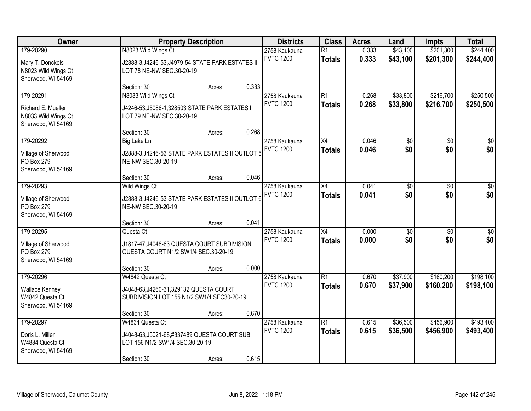| Owner                                                           |                                                                                                       | <b>Property Description</b> |       | <b>Districts</b>                  | <b>Class</b>                     | <b>Acres</b>   | Land                 | <b>Impts</b>           | <b>Total</b>           |
|-----------------------------------------------------------------|-------------------------------------------------------------------------------------------------------|-----------------------------|-------|-----------------------------------|----------------------------------|----------------|----------------------|------------------------|------------------------|
| 179-20290<br>Mary T. Donckels<br>N8023 Wild Wings Ct            | N8023 Wild Wings Ct<br>J2888-3, J4246-53, J4979-54 STATE PARK ESTATES II<br>LOT 78 NE-NW SEC.30-20-19 |                             |       | 2758 Kaukauna<br><b>FVTC 1200</b> | $\overline{R1}$<br><b>Totals</b> | 0.333<br>0.333 | \$43,100<br>\$43,100 | \$201,300<br>\$201,300 | \$244,400<br>\$244,400 |
| Sherwood, WI 54169                                              | Section: 30                                                                                           | Acres:                      | 0.333 |                                   |                                  |                |                      |                        |                        |
| 179-20291                                                       | N8033 Wild Wings Ct                                                                                   |                             |       | 2758 Kaukauna                     | $\overline{R1}$                  | 0.268          | \$33,800             | \$216,700              | \$250,500              |
| Richard E. Mueller<br>N8033 Wild Wings Ct<br>Sherwood, WI 54169 | J4246-53, J5086-1, 328503 STATE PARK ESTATES II<br>LOT 79 NE-NW SEC.30-20-19                          |                             |       | <b>FVTC 1200</b>                  | <b>Totals</b>                    | 0.268          | \$33,800             | \$216,700              | \$250,500              |
|                                                                 | Section: 30                                                                                           | Acres:                      | 0.268 |                                   |                                  |                |                      |                        |                        |
| 179-20292                                                       | <b>Big Lake Ln</b>                                                                                    |                             |       | 2758 Kaukauna                     | X4                               | 0.046          | $\overline{50}$      | \$0                    | $\overline{50}$        |
| Village of Sherwood<br>PO Box 279<br>Sherwood, WI 54169         | J2888-3, J4246-53 STATE PARK ESTATES II OUTLOT 5<br>NE-NW SEC.30-20-19                                |                             |       | <b>FVTC 1200</b>                  | <b>Totals</b>                    | 0.046          | \$0                  | \$0                    | \$0                    |
|                                                                 | Section: 30                                                                                           | Acres:                      | 0.046 |                                   |                                  |                |                      |                        |                        |
| 179-20293                                                       | Wild Wings Ct                                                                                         |                             |       | 2758 Kaukauna                     | X4                               | 0.041          | \$0                  | \$0                    | $\sqrt{50}$            |
| Village of Sherwood<br>PO Box 279<br>Sherwood, WI 54169         | J2888-3, J4246-53 STATE PARK ESTATES II OUTLOT 6<br>NE-NW SEC.30-20-19                                |                             |       | <b>FVTC 1200</b>                  | <b>Totals</b>                    | 0.041          | \$0                  | \$0                    | \$0                    |
|                                                                 | Section: 30                                                                                           | Acres:                      | 0.041 |                                   |                                  |                |                      |                        |                        |
| 179-20295                                                       | Questa Ct                                                                                             |                             |       | 2758 Kaukauna                     | $\overline{X4}$                  | 0.000          | $\overline{50}$      | \$0                    | $\overline{50}$        |
| Village of Sherwood                                             | J1817-47, J4048-63 QUESTA COURT SUBDIVISION                                                           |                             |       | <b>FVTC 1200</b>                  | <b>Totals</b>                    | 0.000          | \$0                  | \$0                    | \$0                    |
| PO Box 279                                                      | QUESTA COURT N1/2 SW1/4 SEC.30-20-19                                                                  |                             |       |                                   |                                  |                |                      |                        |                        |
| Sherwood, WI 54169                                              |                                                                                                       |                             |       |                                   |                                  |                |                      |                        |                        |
|                                                                 | Section: 30                                                                                           | Acres:                      | 0.000 |                                   |                                  |                |                      |                        |                        |
| 179-20296                                                       | W4842 Questa Ct                                                                                       |                             |       | 2758 Kaukauna                     | $\overline{R1}$                  | 0.670          | \$37,900             | \$160,200              | \$198,100              |
| <b>Wallace Kenney</b>                                           | J4048-63, J4260-31, 329132 QUESTA COURT                                                               |                             |       | <b>FVTC 1200</b>                  | <b>Totals</b>                    | 0.670          | \$37,900             | \$160,200              | \$198,100              |
| W4842 Questa Ct                                                 | SUBDIVISION LOT 155 N1/2 SW1/4 SEC30-20-19                                                            |                             |       |                                   |                                  |                |                      |                        |                        |
| Sherwood, WI 54169                                              |                                                                                                       |                             |       |                                   |                                  |                |                      |                        |                        |
|                                                                 | Section: 30                                                                                           | Acres:                      | 0.670 |                                   |                                  |                |                      |                        |                        |
| 179-20297                                                       | W4834 Questa Ct                                                                                       |                             |       | 2758 Kaukauna<br><b>FVTC 1200</b> | $\overline{R1}$                  | 0.615          | \$36,500             | \$456,900              | \$493,400              |
| Doris L. Miller<br>W4834 Questa Ct                              | J4048-63, J5021-68, #337489 QUESTA COURT SUB<br>LOT 156 N1/2 SW1/4 SEC.30-20-19                       |                             |       |                                   | <b>Totals</b>                    | 0.615          | \$36,500             | \$456,900              | \$493,400              |
| Sherwood, WI 54169                                              | Section: 30                                                                                           | Acres:                      | 0.615 |                                   |                                  |                |                      |                        |                        |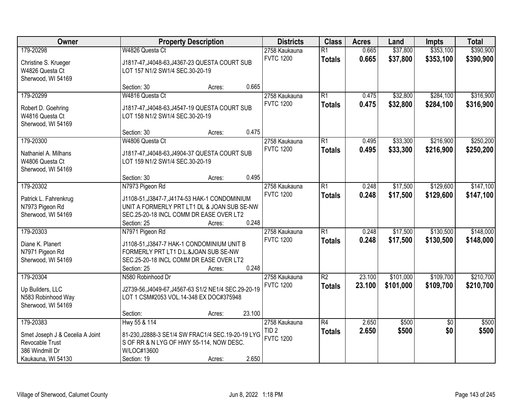| Owner                                                                                                    |                                                                                                                                                                           | <b>Property Description</b> |        |                                                       | <b>Class</b>                     | <b>Acres</b>     | Land                   | <b>Impts</b>           | <b>Total</b>           |
|----------------------------------------------------------------------------------------------------------|---------------------------------------------------------------------------------------------------------------------------------------------------------------------------|-----------------------------|--------|-------------------------------------------------------|----------------------------------|------------------|------------------------|------------------------|------------------------|
| 179-20298<br>Christine S. Krueger<br>W4826 Questa Ct<br>Sherwood, WI 54169                               | W4826 Questa Ct<br>J1817-47, J4048-63, J4367-23 QUESTA COURT SUB<br>LOT 157 N1/2 SW1/4 SEC.30-20-19                                                                       |                             |        | 2758 Kaukauna<br><b>FVTC 1200</b>                     | $\overline{R1}$<br><b>Totals</b> | 0.665<br>0.665   | \$37,800<br>\$37,800   | \$353,100<br>\$353,100 | \$390,900<br>\$390,900 |
|                                                                                                          | Section: 30                                                                                                                                                               | Acres:                      | 0.665  |                                                       |                                  |                  |                        |                        |                        |
| 179-20299<br>Robert D. Goehring<br>W4816 Questa Ct<br>Sherwood, WI 54169                                 | W4816 Questa Ct<br>J1817-47, J4048-63, J4547-19 QUESTA COURT SUB<br>LOT 158 N1/2 SW1/4 SEC.30-20-19                                                                       |                             |        | 2758 Kaukauna<br><b>FVTC 1200</b>                     | $\overline{R1}$<br><b>Totals</b> | 0.475<br>0.475   | \$32,800<br>\$32,800   | \$284,100<br>\$284,100 | \$316,900<br>\$316,900 |
|                                                                                                          | Section: 30                                                                                                                                                               | Acres:                      | 0.475  |                                                       |                                  |                  |                        |                        |                        |
| 179-20300<br>Nathaniel A. Milhans<br>W4806 Questa Ct<br>Sherwood, WI 54169                               | W4806 Questa Ct<br>J1817-47, J4048-63, J4904-37 QUESTA COURT SUB<br>LOT 159 N1/2 SW1/4 SEC.30-20-19                                                                       |                             |        | 2758 Kaukauna<br><b>FVTC 1200</b>                     | $\overline{R1}$<br><b>Totals</b> | 0.495<br>0.495   | \$33,300<br>\$33,300   | \$216,900<br>\$216,900 | \$250,200<br>\$250,200 |
|                                                                                                          | Section: 30                                                                                                                                                               | Acres:                      | 0.495  |                                                       |                                  |                  |                        |                        |                        |
| 179-20302<br>Patrick L. Fahrenkrug<br>N7973 Pigeon Rd<br>Sherwood, WI 54169                              | N7973 Pigeon Rd<br>J1108-51, J3847-7, J4174-53 HAK-1 CONDOMINIUM<br>UNIT A FORMERLY PRT LT1 DL & JOAN SUB SE-NW<br>SEC.25-20-18 INCL COMM DR EASE OVER LT2<br>Section: 25 | Acres:                      | 0.248  | 2758 Kaukauna<br><b>FVTC 1200</b>                     | $\overline{R1}$<br><b>Totals</b> | 0.248<br>0.248   | \$17,500<br>\$17,500   | \$129,600<br>\$129,600 | \$147,100<br>\$147,100 |
| 179-20303<br>Diane K. Planert<br>N7971 Pigeon Rd<br>Sherwood, WI 54169                                   | N7971 Pigeon Rd<br>J1108-51, J3847-7 HAK-1 CONDOMINIUM UNIT B<br>FORMERLY PRT LT1 D.L.&JOAN SUB SE-NW<br>SEC.25-20-18 INCL COMM DR EASE OVER LT2<br>Section: 25           | Acres:                      | 0.248  | 2758 Kaukauna<br><b>FVTC 1200</b>                     | $\overline{R1}$<br><b>Totals</b> | 0.248<br>0.248   | \$17,500<br>\$17,500   | \$130,500<br>\$130,500 | \$148,000<br>\$148,000 |
| 179-20304<br>Up Builders, LLC<br>N583 Robinhood Way<br>Sherwood, WI 54169                                | N580 Robinhood Dr<br>J2739-56, J4049-67, J4567-63 S1/2 NE1/4 SEC.29-20-19<br>LOT 1 CSM#2053 VOL.14-348 EX DOC#375948<br>Section:                                          | Acres:                      | 23.100 | 2758 Kaukauna<br><b>FVTC 1200</b>                     | $\overline{R2}$<br><b>Totals</b> | 23.100<br>23.100 | \$101,000<br>\$101,000 | \$109,700<br>\$109,700 | \$210,700<br>\$210,700 |
| 179-20383<br>Smet Joseph J & Cecelia A Joint<br>Revocable Trust<br>386 Windmill Dr<br>Kaukauna, WI 54130 | Hwy 55 & 114<br>81-230, J2888-3 SE1/4 SW FRAC1/4 SEC. 19-20-19 LYG<br>S OF RR & N LYG OF HWY 55-114, NOW DESC.<br>W/LOC#13600<br>Section: 19                              | Acres:                      | 2.650  | 2758 Kaukauna<br>TID <sub>2</sub><br><b>FVTC 1200</b> | $\overline{R4}$<br><b>Totals</b> | 2.650<br>2.650   | \$500<br>\$500         | $\overline{50}$<br>\$0 | \$500<br>\$500         |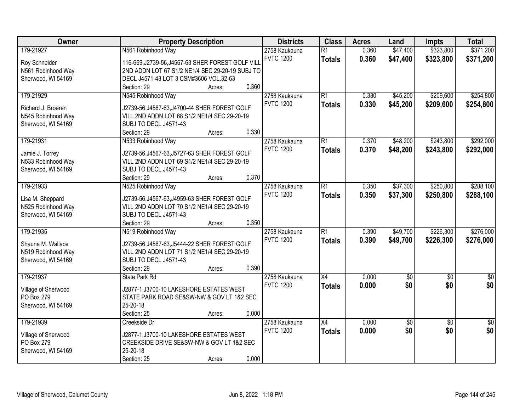| Owner               | <b>Property Description</b>                       | <b>Districts</b> | <b>Class</b>     | <b>Acres</b>    | Land  | <b>Impts</b> | <b>Total</b>    |                 |
|---------------------|---------------------------------------------------|------------------|------------------|-----------------|-------|--------------|-----------------|-----------------|
| 179-21927           | N561 Robinhood Way                                |                  | 2758 Kaukauna    | $\overline{R1}$ | 0.360 | \$47,400     | \$323,800       | \$371,200       |
| Roy Schneider       | 116-669, J2739-56, J4567-63 SHER FOREST GOLF VILL |                  | <b>FVTC 1200</b> | <b>Totals</b>   | 0.360 | \$47,400     | \$323,800       | \$371,200       |
| N561 Robinhood Way  | 2ND ADDN LOT 67 S1/2 NE1/4 SEC 29-20-19 SUBJ TO   |                  |                  |                 |       |              |                 |                 |
| Sherwood, WI 54169  | DECL J4571-43 LOT 3 CSM#3606 VOL.32-63            |                  |                  |                 |       |              |                 |                 |
|                     | Section: 29                                       | 0.360<br>Acres:  |                  |                 |       |              |                 |                 |
| 179-21929           | N545 Robinhood Way                                |                  | 2758 Kaukauna    | $\overline{R1}$ | 0.330 | \$45,200     | \$209,600       | \$254,800       |
|                     |                                                   |                  | <b>FVTC 1200</b> | <b>Totals</b>   | 0.330 | \$45,200     | \$209,600       | \$254,800       |
| Richard J. Broeren  | J2739-56, J4567-63, J4700-44 SHER FOREST GOLF     |                  |                  |                 |       |              |                 |                 |
| N545 Robinhood Way  | VILL 2ND ADDN LOT 68 S1/2 NE1/4 SEC 29-20-19      |                  |                  |                 |       |              |                 |                 |
| Sherwood, WI 54169  | SUBJ TO DECL J4571-43                             |                  |                  |                 |       |              |                 |                 |
|                     | Section: 29                                       | 0.330<br>Acres:  |                  |                 |       |              |                 |                 |
| 179-21931           | N533 Robinhood Way                                |                  | 2758 Kaukauna    | $\overline{R1}$ | 0.370 | \$48,200     | \$243,800       | \$292,000       |
| Jamie J. Torrey     | J2739-56, J4567-63, J5727-63 SHER FOREST GOLF     |                  | <b>FVTC 1200</b> | <b>Totals</b>   | 0.370 | \$48,200     | \$243,800       | \$292,000       |
| N533 Robinhood Way  | VILL 2ND ADDN LOT 69 S1/2 NE1/4 SEC 29-20-19      |                  |                  |                 |       |              |                 |                 |
| Sherwood, WI 54169  | SUBJ TO DECL J4571-43                             |                  |                  |                 |       |              |                 |                 |
|                     | Section: 29                                       | 0.370<br>Acres:  |                  |                 |       |              |                 |                 |
| 179-21933           | N525 Robinhood Way                                |                  | 2758 Kaukauna    | $\overline{R1}$ | 0.350 | \$37,300     | \$250,800       | \$288,100       |
|                     |                                                   |                  | <b>FVTC 1200</b> | <b>Totals</b>   | 0.350 | \$37,300     | \$250,800       | \$288,100       |
| Lisa M. Sheppard    | J2739-56, J4567-63, J4959-63 SHER FOREST GOLF     |                  |                  |                 |       |              |                 |                 |
| N525 Robinhood Way  | VILL 2ND ADDN LOT 70 S1/2 NE1/4 SEC 29-20-19      |                  |                  |                 |       |              |                 |                 |
| Sherwood, WI 54169  | SUBJ TO DECL J4571-43                             |                  |                  |                 |       |              |                 |                 |
|                     | Section: 29                                       | 0.350<br>Acres:  |                  |                 |       |              |                 |                 |
| 179-21935           | N519 Robinhood Way                                |                  | 2758 Kaukauna    | $\overline{R1}$ | 0.390 | \$49,700     | \$226,300       | \$276,000       |
| Shauna M. Wallace   | J2739-56, J4567-63, J5444-22 SHER FOREST GOLF     |                  | <b>FVTC 1200</b> | <b>Totals</b>   | 0.390 | \$49,700     | \$226,300       | \$276,000       |
| N519 Robinhood Way  | VILL 2ND ADDN LOT 71 S1/2 NE1/4 SEC 29-20-19      |                  |                  |                 |       |              |                 |                 |
| Sherwood, WI 54169  | SUBJ TO DECL J4571-43                             |                  |                  |                 |       |              |                 |                 |
|                     | Section: 29                                       | 0.390<br>Acres:  |                  |                 |       |              |                 |                 |
| 179-21937           | State Park Rd                                     |                  | 2758 Kaukauna    | $\overline{X4}$ | 0.000 | $\sqrt{50}$  | $\overline{50}$ | $\sqrt{30}$     |
|                     |                                                   |                  | <b>FVTC 1200</b> | <b>Totals</b>   | 0.000 | \$0          | \$0             | \$0             |
| Village of Sherwood | J2877-1, J3700-10 LAKESHORE ESTATES WEST          |                  |                  |                 |       |              |                 |                 |
| PO Box 279          | STATE PARK ROAD SE&SW-NW & GOV LT 1&2 SEC         |                  |                  |                 |       |              |                 |                 |
| Sherwood, WI 54169  | 25-20-18                                          |                  |                  |                 |       |              |                 |                 |
|                     | Section: 25                                       | 0.000<br>Acres:  |                  |                 |       |              |                 |                 |
| 179-21939           | Creekside Dr                                      |                  | 2758 Kaukauna    | $\overline{X4}$ | 0.000 | \$0          | $\overline{50}$ | $\overline{50}$ |
| Village of Sherwood | J2877-1, J3700-10 LAKESHORE ESTATES WEST          |                  | <b>FVTC 1200</b> | <b>Totals</b>   | 0.000 | \$0          | \$0             | \$0             |
| PO Box 279          | CREEKSIDE DRIVE SE&SW-NW & GOV LT 1&2 SEC         |                  |                  |                 |       |              |                 |                 |
| Sherwood, WI 54169  | 25-20-18                                          |                  |                  |                 |       |              |                 |                 |
|                     | Section: 25                                       | 0.000<br>Acres:  |                  |                 |       |              |                 |                 |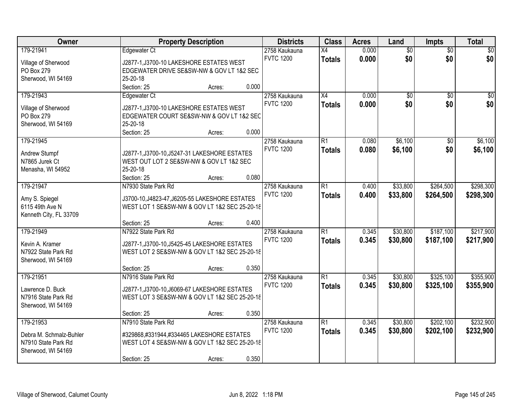| Owner                                                                             | <b>Property Description</b>                                                                                                                                                           | <b>Districts</b>                  | <b>Class</b>                     | <b>Acres</b>   | Land                   | Impts                  | <b>Total</b>           |
|-----------------------------------------------------------------------------------|---------------------------------------------------------------------------------------------------------------------------------------------------------------------------------------|-----------------------------------|----------------------------------|----------------|------------------------|------------------------|------------------------|
| 179-21941<br>Village of Sherwood<br>PO Box 279<br>Sherwood, WI 54169              | Edgewater Ct<br>J2877-1, J3700-10 LAKESHORE ESTATES WEST<br>EDGEWATER DRIVE SE&SW-NW & GOV LT 1&2 SEC<br>25-20-18                                                                     | 2758 Kaukauna<br><b>FVTC 1200</b> | $\overline{X4}$<br><b>Totals</b> | 0.000<br>0.000 | $\overline{60}$<br>\$0 | $\overline{30}$<br>\$0 | $\overline{50}$<br>\$0 |
| 179-21943<br>Village of Sherwood<br>PO Box 279<br>Sherwood, WI 54169              | 0.000<br>Section: 25<br>Acres:<br>Edgewater Ct<br>J2877-1, J3700-10 LAKESHORE ESTATES WEST<br>EDGEWATER COURT SE&SW-NW & GOV LT 1&2 SEC<br>25-20-18<br>0.000<br>Section: 25<br>Acres: | 2758 Kaukauna<br><b>FVTC 1200</b> | $\overline{X4}$<br><b>Totals</b> | 0.000<br>0.000 | \$0<br>\$0             | $\overline{50}$<br>\$0 | \$0<br>\$0             |
| 179-21945<br>Andrew Stumpf<br>N7865 Jurek Ct<br>Menasha, WI 54952                 | J2877-1, J3700-10, J5247-31 LAKESHORE ESTATES<br>WEST OUT LOT 2 SE&SW-NW & GOV LT 1&2 SEC<br>25-20-18<br>Section: 25<br>0.080<br>Acres:                                               | 2758 Kaukauna<br><b>FVTC 1200</b> | $\overline{R1}$<br><b>Totals</b> | 0.080<br>0.080 | \$6,100<br>\$6,100     | $\overline{50}$<br>\$0 | \$6,100<br>\$6,100     |
| 179-21947<br>Amy S. Spiegel<br>6115 49th Ave N<br>Kenneth City, FL 33709          | N7930 State Park Rd<br>J3700-10, J4823-47, J6205-55 LAKESHORE ESTATES<br>WEST LOT 1 SE&SW-NW & GOV LT 1&2 SEC 25-20-18<br>0.400<br>Section: 25<br>Acres:                              | 2758 Kaukauna<br><b>FVTC 1200</b> | $\overline{R1}$<br><b>Totals</b> | 0.400<br>0.400 | \$33,800<br>\$33,800   | \$264,500<br>\$264,500 | \$298,300<br>\$298,300 |
| 179-21949<br>Kevin A. Kramer<br>N7922 State Park Rd<br>Sherwood, WI 54169         | N7922 State Park Rd<br>J2877-1, J3700-10, J5425-45 LAKESHORE ESTATES<br>WEST LOT 2 SE&SW-NW & GOV LT 1&2 SEC 25-20-18<br>0.350<br>Section: 25<br>Acres:                               | 2758 Kaukauna<br><b>FVTC 1200</b> | $\overline{R1}$<br><b>Totals</b> | 0.345<br>0.345 | \$30,800<br>\$30,800   | \$187,100<br>\$187,100 | \$217,900<br>\$217,900 |
| 179-21951<br>Lawrence D. Buck<br>N7916 State Park Rd<br>Sherwood, WI 54169        | N7916 State Park Rd<br>J2877-1, J3700-10, J6069-67 LAKESHORE ESTATES<br>WEST LOT 3 SE&SW-NW & GOV LT 1&2 SEC 25-20-18<br>0.350<br>Section: 25<br>Acres:                               | 2758 Kaukauna<br><b>FVTC 1200</b> | $\overline{R1}$<br><b>Totals</b> | 0.345<br>0.345 | \$30,800<br>\$30,800   | \$325,100<br>\$325,100 | \$355,900<br>\$355,900 |
| 179-21953<br>Debra M. Schmalz-Buhler<br>N7910 State Park Rd<br>Sherwood, WI 54169 | N7910 State Park Rd<br>#329868,#331944,#334465 LAKESHORE ESTATES<br>WEST LOT 4 SE&SW-NW & GOV LT 1&2 SEC 25-20-18<br>0.350<br>Section: 25<br>Acres:                                   | 2758 Kaukauna<br><b>FVTC 1200</b> | $\overline{R1}$<br><b>Totals</b> | 0.345<br>0.345 | \$30,800<br>\$30,800   | \$202,100<br>\$202,100 | \$232,900<br>\$232,900 |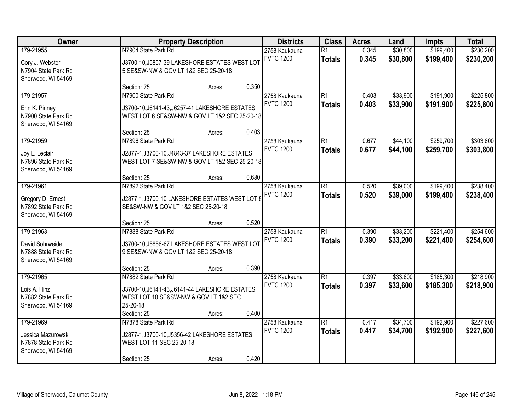| Owner               | <b>Property Description</b>                    |                  | <b>Class</b>    | <b>Acres</b> | Land     | <b>Impts</b> | <b>Total</b> |
|---------------------|------------------------------------------------|------------------|-----------------|--------------|----------|--------------|--------------|
| 179-21955           | N7904 State Park Rd                            | 2758 Kaukauna    | $\overline{R1}$ | 0.345        | \$30,800 | \$199,400    | \$230,200    |
| Cory J. Webster     | J3700-10, J5857-39 LAKESHORE ESTATES WEST LOT  | <b>FVTC 1200</b> | <b>Totals</b>   | 0.345        | \$30,800 | \$199,400    | \$230,200    |
| N7904 State Park Rd | 5 SE&SW-NW & GOV LT 1&2 SEC 25-20-18           |                  |                 |              |          |              |              |
| Sherwood, WI 54169  |                                                |                  |                 |              |          |              |              |
|                     | 0.350<br>Section: 25<br>Acres:                 |                  |                 |              |          |              |              |
| 179-21957           | N7900 State Park Rd                            | 2758 Kaukauna    | $\overline{R1}$ | 0.403        | \$33,900 | \$191,900    | \$225,800    |
| Erin K. Pinney      | J3700-10, J6141-43, J6257-41 LAKESHORE ESTATES | <b>FVTC 1200</b> | <b>Totals</b>   | 0.403        | \$33,900 | \$191,900    | \$225,800    |
| N7900 State Park Rd | WEST LOT 6 SE&SW-NW & GOV LT 1&2 SEC 25-20-18  |                  |                 |              |          |              |              |
| Sherwood, WI 54169  |                                                |                  |                 |              |          |              |              |
|                     | 0.403<br>Section: 25<br>Acres:                 |                  |                 |              |          |              |              |
| 179-21959           | N7896 State Park Rd                            | 2758 Kaukauna    | $\overline{R1}$ | 0.677        | \$44,100 | \$259,700    | \$303,800    |
| Joy L. Leclair      | J2877-1, J3700-10, J4843-37 LAKESHORE ESTATES  | <b>FVTC 1200</b> | <b>Totals</b>   | 0.677        | \$44,100 | \$259,700    | \$303,800    |
| N7896 State Park Rd | WEST LOT 7 SE&SW-NW & GOV LT 1&2 SEC 25-20-18  |                  |                 |              |          |              |              |
| Sherwood, WI 54169  |                                                |                  |                 |              |          |              |              |
|                     | 0.680<br>Section: 25<br>Acres:                 |                  |                 |              |          |              |              |
| 179-21961           | N7892 State Park Rd                            | 2758 Kaukauna    | $\overline{R1}$ | 0.520        | \$39,000 | \$199,400    | \$238,400    |
| Gregory D. Ernest   | J2877-1,J3700-10 LAKESHORE ESTATES WEST LOT {  | <b>FVTC 1200</b> | <b>Totals</b>   | 0.520        | \$39,000 | \$199,400    | \$238,400    |
| N7892 State Park Rd | SE&SW-NW & GOV LT 1&2 SEC 25-20-18             |                  |                 |              |          |              |              |
| Sherwood, WI 54169  |                                                |                  |                 |              |          |              |              |
|                     | 0.520<br>Section: 25<br>Acres:                 |                  |                 |              |          |              |              |
| 179-21963           | N7888 State Park Rd                            | 2758 Kaukauna    | $\overline{R1}$ | 0.390        | \$33,200 | \$221,400    | \$254,600    |
| David Sohrweide     | J3700-10, J5856-67 LAKESHORE ESTATES WEST LOT  | <b>FVTC 1200</b> | <b>Totals</b>   | 0.390        | \$33,200 | \$221,400    | \$254,600    |
| N7888 State Park Rd | 9 SE&SW-NW & GOV LT 1&2 SEC 25-20-18           |                  |                 |              |          |              |              |
| Sherwood, WI 54169  |                                                |                  |                 |              |          |              |              |
|                     | 0.390<br>Section: 25<br>Acres:                 |                  |                 |              |          |              |              |
| 179-21965           | N7882 State Park Rd                            | 2758 Kaukauna    | $\overline{R1}$ | 0.397        | \$33,600 | \$185,300    | \$218,900    |
| Lois A. Hinz        | J3700-10, J6141-43, J6141-44 LAKESHORE ESTATES | <b>FVTC 1200</b> | <b>Totals</b>   | 0.397        | \$33,600 | \$185,300    | \$218,900    |
| N7882 State Park Rd | WEST LOT 10 SE&SW-NW & GOV LT 1&2 SEC          |                  |                 |              |          |              |              |
| Sherwood, WI 54169  | 25-20-18                                       |                  |                 |              |          |              |              |
|                     | 0.400<br>Section: 25<br>Acres:                 |                  |                 |              |          |              |              |
| 179-21969           | N7878 State Park Rd                            | 2758 Kaukauna    | $\overline{R1}$ | 0.417        | \$34,700 | \$192,900    | \$227,600    |
| Jessica Mazurowski  | J2877-1, J3700-10, J5356-42 LAKESHORE ESTATES  | <b>FVTC 1200</b> | <b>Totals</b>   | 0.417        | \$34,700 | \$192,900    | \$227,600    |
| N7878 State Park Rd | WEST LOT 11 SEC 25-20-18                       |                  |                 |              |          |              |              |
| Sherwood, WI 54169  |                                                |                  |                 |              |          |              |              |
|                     | 0.420<br>Section: 25<br>Acres:                 |                  |                 |              |          |              |              |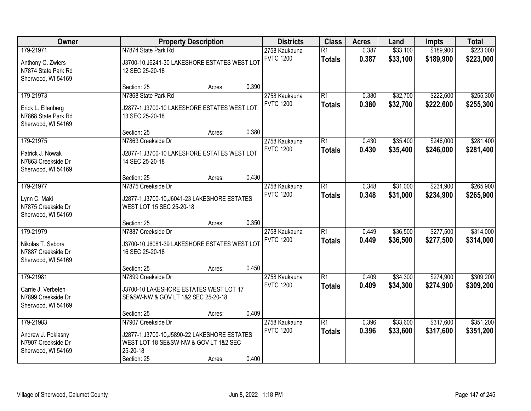| Owner                                                           |                                                                                                    | <b>Property Description</b> |       | <b>Districts</b> | <b>Class</b>    | <b>Acres</b> | Land     | <b>Impts</b> | <b>Total</b> |
|-----------------------------------------------------------------|----------------------------------------------------------------------------------------------------|-----------------------------|-------|------------------|-----------------|--------------|----------|--------------|--------------|
| 179-21971                                                       | N7874 State Park Rd                                                                                |                             |       | 2758 Kaukauna    | $\overline{R1}$ | 0.387        | \$33,100 | \$189,900    | \$223,000    |
| Anthony C. Zwiers<br>N7874 State Park Rd<br>Sherwood, WI 54169  | J3700-10, J6241-30 LAKESHORE ESTATES WEST LOT<br>12 SEC 25-20-18                                   |                             |       | <b>FVTC 1200</b> | <b>Totals</b>   | 0.387        | \$33,100 | \$189,900    | \$223,000    |
|                                                                 | Section: 25                                                                                        | Acres:                      | 0.390 |                  |                 |              |          |              |              |
| 179-21973                                                       | N7868 State Park Rd                                                                                |                             |       | 2758 Kaukauna    | $\overline{R1}$ | 0.380        | \$32,700 | \$222,600    | \$255,300    |
| Erick L. Ellenberg<br>N7868 State Park Rd<br>Sherwood, WI 54169 | J2877-1, J3700-10 LAKESHORE ESTATES WEST LOT<br>13 SEC 25-20-18                                    |                             |       | <b>FVTC 1200</b> | <b>Totals</b>   | 0.380        | \$32,700 | \$222,600    | \$255,300    |
|                                                                 | Section: 25                                                                                        | Acres:                      | 0.380 |                  |                 |              |          |              |              |
| 179-21975                                                       | N7863 Creekside Dr                                                                                 |                             |       | 2758 Kaukauna    | $\overline{R1}$ | 0.430        | \$35,400 | \$246,000    | \$281,400    |
| Patrick J. Nowak<br>N7863 Creekside Dr<br>Sherwood, WI 54169    | J2877-1, J3700-10 LAKESHORE ESTATES WEST LOT<br>14 SEC 25-20-18                                    |                             |       | <b>FVTC 1200</b> | <b>Totals</b>   | 0.430        | \$35,400 | \$246,000    | \$281,400    |
|                                                                 | Section: 25                                                                                        | Acres:                      | 0.430 |                  |                 |              |          |              |              |
| 179-21977                                                       | N7875 Creekside Dr                                                                                 |                             |       | 2758 Kaukauna    | $\overline{R1}$ | 0.348        | \$31,000 | \$234,900    | \$265,900    |
| Lynn C. Maki<br>N7875 Creekside Dr<br>Sherwood, WI 54169        | J2877-1, J3700-10, J6041-23 LAKESHORE ESTATES<br>WEST LOT 15 SEC 25-20-18                          |                             |       | <b>FVTC 1200</b> | <b>Totals</b>   | 0.348        | \$31,000 | \$234,900    | \$265,900    |
|                                                                 | Section: 25                                                                                        | Acres:                      | 0.350 |                  |                 |              |          |              |              |
| 179-21979                                                       | N7887 Creekside Dr                                                                                 |                             |       | 2758 Kaukauna    | $\overline{R1}$ | 0.449        | \$36,500 | \$277,500    | \$314,000    |
| Nikolas T. Sebora<br>N7887 Creekside Dr<br>Sherwood, WI 54169   | J3700-10, J6081-39 LAKESHORE ESTATES WEST LOT<br>16 SEC 25-20-18                                   |                             |       | <b>FVTC 1200</b> | <b>Totals</b>   | 0.449        | \$36,500 | \$277,500    | \$314,000    |
|                                                                 | Section: 25                                                                                        | Acres:                      | 0.450 |                  |                 |              |          |              |              |
| 179-21981                                                       | N7899 Creekside Dr                                                                                 |                             |       | 2758 Kaukauna    | $\overline{R1}$ | 0.409        | \$34,300 | \$274,900    | \$309,200    |
| Carrie J. Verbeten<br>N7899 Creekside Dr<br>Sherwood, WI 54169  | J3700-10 LAKESHORE ESTATES WEST LOT 17<br>SE&SW-NW & GOV LT 1&2 SEC 25-20-18                       |                             |       | <b>FVTC 1200</b> | <b>Totals</b>   | 0.409        | \$34,300 | \$274,900    | \$309,200    |
|                                                                 | Section: 25                                                                                        | Acres:                      | 0.409 |                  |                 |              |          |              |              |
| 179-21983                                                       | N7907 Creekside Dr                                                                                 |                             |       | 2758 Kaukauna    | $\overline{R1}$ | 0.396        | \$33,600 | \$317,600    | \$351,200    |
| Andrew J. Poklasny<br>N7907 Creekside Dr<br>Sherwood, WI 54169  | J2877-1, J3700-10, J5890-22 LAKESHORE ESTATES<br>WEST LOT 18 SE&SW-NW & GOV LT 1&2 SEC<br>25-20-18 |                             |       | <b>FVTC 1200</b> | <b>Totals</b>   | 0.396        | \$33,600 | \$317,600    | \$351,200    |
|                                                                 | Section: 25                                                                                        | Acres:                      | 0.400 |                  |                 |              |          |              |              |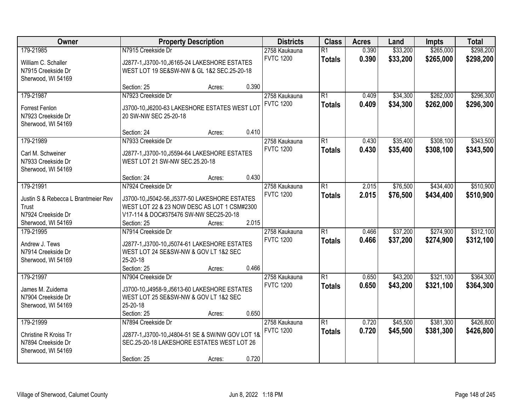| Owner                                    | <b>Property Description</b>                                                            |        |       | <b>Districts</b> | <b>Class</b>    | <b>Acres</b> | Land     | <b>Impts</b> | <b>Total</b> |
|------------------------------------------|----------------------------------------------------------------------------------------|--------|-------|------------------|-----------------|--------------|----------|--------------|--------------|
| 179-21985                                | N7915 Creekside Dr                                                                     |        |       | 2758 Kaukauna    | $\overline{R1}$ | 0.390        | \$33,200 | \$265,000    | \$298,200    |
| William C. Schaller                      | J2877-1, J3700-10, J6165-24 LAKESHORE ESTATES                                          |        |       | <b>FVTC 1200</b> | <b>Totals</b>   | 0.390        | \$33,200 | \$265,000    | \$298,200    |
| N7915 Creekside Dr                       | WEST LOT 19 SE&SW-NW & GL 1&2 SEC.25-20-18                                             |        |       |                  |                 |              |          |              |              |
| Sherwood, WI 54169                       |                                                                                        |        |       |                  |                 |              |          |              |              |
|                                          | Section: 25                                                                            | Acres: | 0.390 |                  |                 |              |          |              |              |
| 179-21987                                | N7923 Creekside Dr                                                                     |        |       | 2758 Kaukauna    | $\overline{R1}$ | 0.409        | \$34,300 | \$262,000    | \$296,300    |
|                                          |                                                                                        |        |       | <b>FVTC 1200</b> | <b>Totals</b>   | 0.409        | \$34,300 | \$262,000    | \$296,300    |
| Forrest Fenlon                           | J3700-10, J6200-63 LAKESHORE ESTATES WEST LOT                                          |        |       |                  |                 |              |          |              |              |
| N7923 Creekside Dr<br>Sherwood, WI 54169 | 20 SW-NW SEC 25-20-18                                                                  |        |       |                  |                 |              |          |              |              |
|                                          | Section: 24                                                                            | Acres: | 0.410 |                  |                 |              |          |              |              |
| 179-21989                                | N7933 Creekside Dr                                                                     |        |       | 2758 Kaukauna    | $\overline{R1}$ | 0.430        | \$35,400 | \$308,100    | \$343,500    |
|                                          |                                                                                        |        |       | <b>FVTC 1200</b> | <b>Totals</b>   | 0.430        | \$35,400 | \$308,100    | \$343,500    |
| Carl M. Schweiner                        | J2877-1, J3700-10, J5594-64 LAKESHORE ESTATES                                          |        |       |                  |                 |              |          |              |              |
| N7933 Creekside Dr                       | WEST LOT 21 SW-NW SEC.25.20-18                                                         |        |       |                  |                 |              |          |              |              |
| Sherwood, WI 54169                       |                                                                                        |        |       |                  |                 |              |          |              |              |
|                                          | Section: 24                                                                            | Acres: | 0.430 |                  |                 |              |          |              |              |
| 179-21991                                | N7924 Creekside Dr                                                                     |        |       | 2758 Kaukauna    | $\overline{R1}$ | 2.015        | \$76,500 | \$434,400    | \$510,900    |
| Justin S & Rebecca L Brantmeier Rev      | J3700-10, J5042-56, J5377-50 LAKESHORE ESTATES                                         |        |       | <b>FVTC 1200</b> | <b>Totals</b>   | 2.015        | \$76,500 | \$434,400    | \$510,900    |
| Trust                                    | WEST LOT 22 & 23 NOW DESC AS LOT 1 CSM#2300                                            |        |       |                  |                 |              |          |              |              |
| N7924 Creekside Dr                       | V17-114 & DOC#375476 SW-NW SEC25-20-18                                                 |        |       |                  |                 |              |          |              |              |
| Sherwood, WI 54169                       | Section: 25                                                                            | Acres: | 2.015 |                  |                 |              |          |              |              |
| 179-21995                                | N7914 Creekside Dr                                                                     |        |       | 2758 Kaukauna    | $\overline{R1}$ | 0.466        | \$37,200 | \$274,900    | \$312,100    |
|                                          |                                                                                        |        |       | <b>FVTC 1200</b> | <b>Totals</b>   | 0.466        | \$37,200 | \$274,900    | \$312,100    |
| Andrew J. Tews<br>N7914 Creekside Dr     | J2877-1, J3700-10, J5074-61 LAKESHORE ESTATES<br>WEST LOT 24 SE&SW-NW & GOV LT 1&2 SEC |        |       |                  |                 |              |          |              |              |
| Sherwood, WI 54169                       | 25-20-18                                                                               |        |       |                  |                 |              |          |              |              |
|                                          | Section: 25                                                                            | Acres: | 0.466 |                  |                 |              |          |              |              |
| 179-21997                                | N7904 Creekside Dr                                                                     |        |       | 2758 Kaukauna    | $\overline{R1}$ | 0.650        | \$43,200 | \$321,100    | \$364,300    |
|                                          |                                                                                        |        |       | <b>FVTC 1200</b> | <b>Totals</b>   | 0.650        | \$43,200 | \$321,100    | \$364,300    |
| James M. Zuidema                         | J3700-10, J4958-9, J5613-60 LAKESHORE ESTATES                                          |        |       |                  |                 |              |          |              |              |
| N7904 Creekside Dr                       | WEST LOT 25 SE&SW-NW & GOV LT 1&2 SEC                                                  |        |       |                  |                 |              |          |              |              |
| Sherwood, WI 54169                       | 25-20-18                                                                               |        |       |                  |                 |              |          |              |              |
|                                          | Section: 25                                                                            | Acres: | 0.650 |                  |                 |              |          |              |              |
| 179-21999                                | N7894 Creekside Dr                                                                     |        |       | 2758 Kaukauna    | $\overline{R1}$ | 0.720        | \$45,500 | \$381,300    | \$426,800    |
| Christine R Kroiss Tr                    | J2877-1,J3700-10,J4804-51 SE & SW/NW GOV LOT 1&                                        |        |       | <b>FVTC 1200</b> | <b>Totals</b>   | 0.720        | \$45,500 | \$381,300    | \$426,800    |
| N7894 Creekside Dr                       | SEC.25-20-18 LAKESHORE ESTATES WEST LOT 26                                             |        |       |                  |                 |              |          |              |              |
| Sherwood, WI 54169                       |                                                                                        |        |       |                  |                 |              |          |              |              |
|                                          | Section: 25                                                                            | Acres: | 0.720 |                  |                 |              |          |              |              |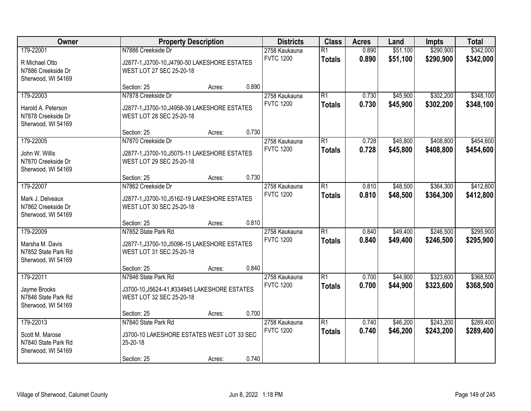| Owner                                                                     | <b>Property Description</b>                                                                      |        | <b>Districts</b> | <b>Class</b>                      | <b>Acres</b>                     | Land           | <b>Impts</b>         | <b>Total</b>           |                        |
|---------------------------------------------------------------------------|--------------------------------------------------------------------------------------------------|--------|------------------|-----------------------------------|----------------------------------|----------------|----------------------|------------------------|------------------------|
| 179-22001                                                                 | N7886 Creekside Dr                                                                               |        |                  | 2758 Kaukauna<br><b>FVTC 1200</b> | $\overline{R1}$<br><b>Totals</b> | 0.890<br>0.890 | \$51,100<br>\$51,100 | \$290,900<br>\$290,900 | \$342,000<br>\$342,000 |
| R Michael Otto<br>N7886 Creekside Dr<br>Sherwood, WI 54169                | J2877-1, J3700-10, J4790-50 LAKESHORE ESTATES<br>WEST LOT 27 SEC 25-20-18                        |        |                  |                                   |                                  |                |                      |                        |                        |
|                                                                           | Section: 25                                                                                      | Acres: | 0.890            |                                   |                                  |                |                      |                        |                        |
| 179-22003                                                                 | N7878 Creekside Dr                                                                               |        |                  | 2758 Kaukauna                     | R1                               | 0.730          | \$45,900             | \$302,200              | \$348,100              |
| Harold A. Peterson<br>N7878 Creekside Dr<br>Sherwood, WI 54169            | J2877-1, J3700-10, J4958-39 LAKESHORE ESTATES<br>WEST LOT 28 SEC 25-20-18                        |        |                  | <b>FVTC 1200</b>                  | <b>Totals</b>                    | 0.730          | \$45,900             | \$302,200              | \$348,100              |
|                                                                           | Section: 25                                                                                      | Acres: | 0.730            |                                   |                                  |                |                      |                        |                        |
| 179-22005                                                                 | N7870 Creekside Dr                                                                               |        |                  | 2758 Kaukauna                     | R1                               | 0.728          | \$45,800             | \$408,800              | \$454,600              |
| John W. Willis<br>N7870 Creekside Dr<br>Sherwood, WI 54169                | J2877-1, J3700-10, J5075-11 LAKESHORE ESTATES<br>WEST LOT 29 SEC 25-20-18                        |        |                  | <b>FVTC 1200</b>                  | <b>Totals</b>                    | 0.728          | \$45,800             | \$408,800              | \$454,600              |
|                                                                           | Section: 25                                                                                      | Acres: | 0.730            |                                   |                                  |                |                      |                        |                        |
| 179-22007                                                                 | N7862 Creekside Dr                                                                               |        |                  | 2758 Kaukauna                     | R1                               | 0.810          | \$48,500             | \$364,300              | \$412,800              |
| Mark J. Delveaux<br>N7862 Creekside Dr<br>Sherwood, WI 54169              | J2877-1, J3700-10, J5162-19 LAKESHORE ESTATES<br>WEST LOT 30 SEC 25-20-18                        |        |                  | <b>FVTC 1200</b>                  | <b>Totals</b>                    | 0.810          | \$48,500             | \$364,300              | \$412,800              |
|                                                                           | Section: 25                                                                                      | Acres: | 0.810            |                                   |                                  |                |                      |                        |                        |
| 179-22009                                                                 | N7852 State Park Rd                                                                              |        |                  | 2758 Kaukauna                     | $\overline{R1}$                  | 0.840          | \$49,400             | \$246,500              | \$295,900              |
| Marsha M. Davis<br>N7852 State Park Rd<br>Sherwood, WI 54169              | J2877-1, J3700-10, J5096-15 LAKESHORE ESTATES<br>WEST LOT 31 SEC 25-20-18                        |        |                  | <b>FVTC 1200</b>                  | <b>Totals</b>                    | 0.840          | \$49,400             | \$246,500              | \$295,900              |
|                                                                           | Section: 25                                                                                      | Acres: | 0.840            |                                   |                                  |                |                      |                        |                        |
| 179-22011<br>Jayme Brooks<br>N7846 State Park Rd<br>Sherwood, WI 54169    | N7846 State Park Rd<br>J3700-10, J5624-41, #334945 LAKESHORE ESTATES<br>WEST LOT 32 SEC 25-20-18 |        |                  | 2758 Kaukauna<br><b>FVTC 1200</b> | R1<br><b>Totals</b>              | 0.700<br>0.700 | \$44,900<br>\$44,900 | \$323,600<br>\$323,600 | \$368,500<br>\$368,500 |
|                                                                           | Section: 25                                                                                      | Acres: | 0.700            |                                   |                                  |                |                      |                        |                        |
| 179-22013<br>Scott M. Marose<br>N7840 State Park Rd<br>Sherwood, WI 54169 | N7840 State Park Rd<br>J3700-10 LAKESHORE ESTATES WEST LOT 33 SEC<br>25-20-18                    |        |                  | 2758 Kaukauna<br><b>FVTC 1200</b> | R1<br><b>Totals</b>              | 0.740<br>0.740 | \$46,200<br>\$46,200 | \$243,200<br>\$243,200 | \$289,400<br>\$289,400 |
|                                                                           | Section: 25                                                                                      | Acres: | 0.740            |                                   |                                  |                |                      |                        |                        |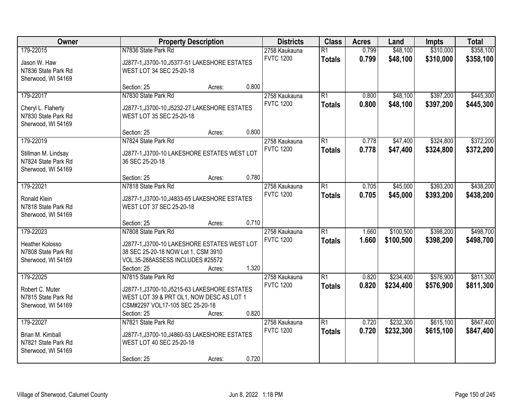| Owner                                                                         | <b>Property Description</b>                                                                                                                                        |                                                                           |       | <b>Districts</b>                  | <b>Class</b>                     | <b>Acres</b>   | Land                   | <b>Impts</b>           | <b>Total</b>           |
|-------------------------------------------------------------------------------|--------------------------------------------------------------------------------------------------------------------------------------------------------------------|---------------------------------------------------------------------------|-------|-----------------------------------|----------------------------------|----------------|------------------------|------------------------|------------------------|
| 179-22015<br>Jason W. Haw<br>N7836 State Park Rd<br>Sherwood, WI 54169        | N7836 State Park Rd                                                                                                                                                | J2877-1, J3700-10, J5377-51 LAKESHORE ESTATES<br>WEST LOT 34 SEC 25-20-18 |       |                                   | $\overline{R1}$<br><b>Totals</b> | 0.799<br>0.799 | \$48,100<br>\$48,100   | \$310,000<br>\$310,000 | \$358,100<br>\$358,100 |
|                                                                               | Section: 25                                                                                                                                                        | Acres:                                                                    | 0.800 |                                   |                                  |                |                        |                        |                        |
| 179-22017<br>Cheryl L. Flaherty<br>N7830 State Park Rd<br>Sherwood, WI 54169  | N7830 State Park Rd<br>J2877-1, J3700-10, J5232-27 LAKESHORE ESTATES<br>WEST LOT 35 SEC 25-20-18                                                                   |                                                                           |       | 2758 Kaukauna<br><b>FVTC 1200</b> | $\overline{R1}$<br><b>Totals</b> | 0.800<br>0.800 | \$48,100<br>\$48,100   | \$397,200<br>\$397,200 | \$445,300<br>\$445,300 |
|                                                                               | Section: 25                                                                                                                                                        | Acres:                                                                    | 0.800 |                                   |                                  |                |                        |                        |                        |
| 179-22019<br>Stillman M. Lindsay<br>N7824 State Park Rd<br>Sherwood, WI 54169 | N7824 State Park Rd<br>J2877-1, J3700-10 LAKESHORE ESTATES WEST LOT<br>36 SEC 25-20-18                                                                             |                                                                           |       | 2758 Kaukauna<br><b>FVTC 1200</b> | $\overline{R1}$<br><b>Totals</b> | 0.778<br>0.778 | \$47,400<br>\$47,400   | \$324,800<br>\$324,800 | \$372,200<br>\$372,200 |
|                                                                               | Section: 25                                                                                                                                                        | Acres:                                                                    | 0.780 |                                   |                                  |                |                        |                        |                        |
| 179-22021<br>Ronald Klein<br>N7818 State Park Rd<br>Sherwood, WI 54169        | N7818 State Park Rd<br>J2877-1, J3700-10, J4833-65 LAKESHORE ESTATES<br>WEST LOT 37 SEC 25-20-18                                                                   |                                                                           |       | 2758 Kaukauna<br><b>FVTC 1200</b> | $\overline{R1}$<br><b>Totals</b> | 0.705<br>0.705 | \$45,000<br>\$45,000   | \$393,200<br>\$393,200 | \$438,200<br>\$438,200 |
|                                                                               | Section: 25                                                                                                                                                        | Acres:                                                                    | 0.710 |                                   |                                  |                |                        |                        |                        |
| 179-22023<br>Heather Kolosso<br>N7808 State Park Rd<br>Sherwood, WI 54169     | N7808 State Park Rd<br>J2877-1, J3700-10 LAKESHORE ESTATES WEST LOT<br>38 SEC 25-20-18 NOW Lot 1, CSM 3910<br>VOL.35-288ASSESS INCLUDES #25572                     |                                                                           |       | 2758 Kaukauna<br><b>FVTC 1200</b> | $\overline{R1}$<br><b>Totals</b> | 1.660<br>1.660 | \$100,500<br>\$100,500 | \$398,200<br>\$398,200 | \$498,700<br>\$498,700 |
|                                                                               | Section: 25                                                                                                                                                        | Acres:                                                                    | 1.320 |                                   |                                  |                |                        |                        |                        |
| 179-22025<br>Robert C. Muter<br>N7815 State Park Rd<br>Sherwood, WI 54169     | N7815 State Park Rd<br>J2877-1, J3700-10, J5215-63 LAKESHORE ESTATES<br>WEST LOT 39 & PRT OL1, NOW DESC AS LOT 1<br>CSM#2297 VOL17-105 SEC 25-20-18<br>Section: 25 | Acres:                                                                    | 0.820 | 2758 Kaukauna<br><b>FVTC 1200</b> | $\overline{R1}$<br><b>Totals</b> | 0.820<br>0.820 | \$234,400<br>\$234,400 | \$576,900<br>\$576,900 | \$811,300<br>\$811,300 |
| 179-22027<br>Brian M. Kimball<br>N7821 State Park Rd<br>Sherwood, WI 54169    | N7821 State Park Rd<br>J2877-1, J3700-10, J4860-53 LAKESHORE ESTATES<br>WEST LOT 40 SEC 25-20-18<br>Section: 25                                                    | Acres:                                                                    | 0.720 | 2758 Kaukauna<br><b>FVTC 1200</b> | $\overline{R1}$<br><b>Totals</b> | 0.720<br>0.720 | \$232,300<br>\$232,300 | \$615,100<br>\$615,100 | \$847,400<br>\$847,400 |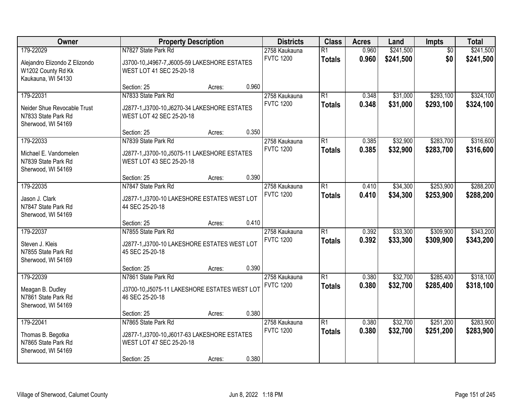| Owner                                                                                  | <b>Property Description</b>                                                                                     |        | <b>Districts</b> | <b>Class</b>                      | <b>Acres</b>                     | Land           | <b>Impts</b>           | <b>Total</b>           |                        |
|----------------------------------------------------------------------------------------|-----------------------------------------------------------------------------------------------------------------|--------|------------------|-----------------------------------|----------------------------------|----------------|------------------------|------------------------|------------------------|
| 179-22029<br>Alejandro Elizondo Z Elizondo<br>W1202 County Rd Kk<br>Kaukauna, WI 54130 | N7827 State Park Rd<br>J3700-10, J4967-7, J6005-59 LAKESHORE ESTATES<br>WEST LOT 41 SEC 25-20-18                |        |                  | 2758 Kaukauna<br><b>FVTC 1200</b> | $\overline{R1}$<br><b>Totals</b> | 0.960<br>0.960 | \$241,500<br>\$241,500 | $\overline{50}$<br>\$0 | \$241,500<br>\$241,500 |
|                                                                                        | Section: 25                                                                                                     | Acres: | 0.960            |                                   |                                  |                |                        |                        |                        |
| 179-22031<br>Neider Shue Revocable Trust<br>N7833 State Park Rd<br>Sherwood, WI 54169  | N7833 State Park Rd<br>J2877-1, J3700-10, J6270-34 LAKESHORE ESTATES<br>WEST LOT 42 SEC 25-20-18                |        |                  | 2758 Kaukauna<br><b>FVTC 1200</b> | $\overline{R1}$<br><b>Totals</b> | 0.348<br>0.348 | \$31,000<br>\$31,000   | \$293,100<br>\$293,100 | \$324,100<br>\$324,100 |
|                                                                                        | Section: 25                                                                                                     | Acres: | 0.350            |                                   |                                  |                |                        |                        |                        |
| 179-22033<br>Michael E. Vandomelen<br>N7839 State Park Rd<br>Sherwood, WI 54169        | N7839 State Park Rd<br>J2877-1, J3700-10, J5075-11 LAKESHORE ESTATES<br>WEST LOT 43 SEC 25-20-18                |        |                  | 2758 Kaukauna<br><b>FVTC 1200</b> | $\overline{R1}$<br><b>Totals</b> | 0.385<br>0.385 | \$32,900<br>\$32,900   | \$283,700<br>\$283,700 | \$316,600<br>\$316,600 |
|                                                                                        | Section: 25                                                                                                     | Acres: | 0.390            |                                   |                                  |                |                        |                        |                        |
| 179-22035<br>Jason J. Clark<br>N7847 State Park Rd<br>Sherwood, WI 54169               | N7847 State Park Rd<br>J2877-1, J3700-10 LAKESHORE ESTATES WEST LOT<br>44 SEC 25-20-18                          |        |                  | 2758 Kaukauna<br><b>FVTC 1200</b> | $\overline{R1}$<br><b>Totals</b> | 0.410<br>0.410 | \$34,300<br>\$34,300   | \$253,900<br>\$253,900 | \$288,200<br>\$288,200 |
|                                                                                        | Section: 25                                                                                                     | Acres: | 0.410            |                                   |                                  |                |                        |                        |                        |
| 179-22037<br>Steven J. Kleis<br>N7855 State Park Rd<br>Sherwood, WI 54169              | N7855 State Park Rd<br>J2877-1, J3700-10 LAKESHORE ESTATES WEST LOT<br>45 SEC 25-20-18                          |        |                  | 2758 Kaukauna<br><b>FVTC 1200</b> | $\overline{R1}$<br><b>Totals</b> | 0.392<br>0.392 | \$33,300<br>\$33,300   | \$309,900<br>\$309,900 | \$343,200<br>\$343,200 |
|                                                                                        | Section: 25                                                                                                     | Acres: | 0.390            |                                   |                                  |                |                        |                        |                        |
| 179-22039<br>Meagan B. Dudley<br>N7861 State Park Rd<br>Sherwood, WI 54169             | N7861 State Park Rd<br>J3700-10, J5075-11 LAKESHORE ESTATES WEST LOT<br>46 SEC 25-20-18                         |        |                  | 2758 Kaukauna<br><b>FVTC 1200</b> | $\overline{R1}$<br><b>Totals</b> | 0.380<br>0.380 | \$32,700<br>\$32,700   | \$285,400<br>\$285,400 | \$318,100<br>\$318,100 |
|                                                                                        | Section: 25                                                                                                     | Acres: | 0.380            |                                   |                                  |                |                        |                        |                        |
| 179-22041<br>Thomas B. Begotka<br>N7865 State Park Rd<br>Sherwood, WI 54169            | N7865 State Park Rd<br>J2877-1, J3700-10, J6017-63 LAKESHORE ESTATES<br>WEST LOT 47 SEC 25-20-18<br>Section: 25 | Acres: | 0.380            | 2758 Kaukauna<br><b>FVTC 1200</b> | $\overline{R1}$<br><b>Totals</b> | 0.380<br>0.380 | \$32,700<br>\$32,700   | \$251,200<br>\$251,200 | \$283,900<br>\$283,900 |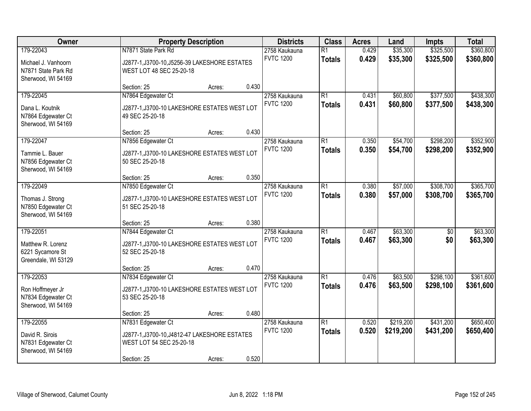| Owner                                                                         | <b>Property Description</b>                                                                                    |        | <b>Districts</b> | <b>Class</b>                      | <b>Acres</b>                     | Land           | <b>Impts</b>           | <b>Total</b>           |                        |
|-------------------------------------------------------------------------------|----------------------------------------------------------------------------------------------------------------|--------|------------------|-----------------------------------|----------------------------------|----------------|------------------------|------------------------|------------------------|
| 179-22043<br>Michael J. Vanhoorn<br>N7871 State Park Rd<br>Sherwood, WI 54169 | N7871 State Park Rd<br>J2877-1, J3700-10, J5256-39 LAKESHORE ESTATES<br>WEST LOT 48 SEC 25-20-18               |        |                  | 2758 Kaukauna<br><b>FVTC 1200</b> | $\overline{R1}$<br><b>Totals</b> | 0.429<br>0.429 | \$35,300<br>\$35,300   | \$325,500<br>\$325,500 | \$360,800<br>\$360,800 |
|                                                                               | Section: 25                                                                                                    | Acres: | 0.430            |                                   |                                  |                |                        |                        |                        |
| 179-22045<br>Dana L. Koutnik<br>N7864 Edgewater Ct<br>Sherwood, WI 54169      | N7864 Edgewater Ct<br>J2877-1, J3700-10 LAKESHORE ESTATES WEST LOT<br>49 SEC 25-20-18                          |        |                  | 2758 Kaukauna<br><b>FVTC 1200</b> | $\overline{R1}$<br><b>Totals</b> | 0.431<br>0.431 | \$60,800<br>\$60,800   | \$377,500<br>\$377,500 | \$438,300<br>\$438,300 |
|                                                                               | Section: 25                                                                                                    | Acres: | 0.430            |                                   |                                  |                |                        |                        |                        |
| 179-22047<br>Tammie L. Bauer<br>N7856 Edgewater Ct<br>Sherwood, WI 54169      | N7856 Edgewater Ct<br>J2877-1, J3700-10 LAKESHORE ESTATES WEST LOT<br>50 SEC 25-20-18                          |        |                  | 2758 Kaukauna<br><b>FVTC 1200</b> | $\overline{R1}$<br><b>Totals</b> | 0.350<br>0.350 | \$54,700<br>\$54,700   | \$298,200<br>\$298,200 | \$352,900<br>\$352,900 |
|                                                                               | Section: 25                                                                                                    | Acres: | 0.350            |                                   |                                  |                |                        |                        |                        |
| 179-22049<br>Thomas J. Strong<br>N7850 Edgewater Ct<br>Sherwood, WI 54169     | N7850 Edgewater Ct<br>J2877-1, J3700-10 LAKESHORE ESTATES WEST LOT<br>51 SEC 25-20-18                          |        |                  | 2758 Kaukauna<br><b>FVTC 1200</b> | $\overline{R1}$<br><b>Totals</b> | 0.380<br>0.380 | \$57,000<br>\$57,000   | \$308,700<br>\$308,700 | \$365,700<br>\$365,700 |
|                                                                               | Section: 25                                                                                                    | Acres: | 0.380            |                                   |                                  |                |                        |                        |                        |
| 179-22051<br>Matthew R. Lorenz<br>6221 Sycamore St<br>Greendale, WI 53129     | N7844 Edgewater Ct<br>J2877-1, J3700-10 LAKESHORE ESTATES WEST LOT<br>52 SEC 25-20-18                          |        |                  | 2758 Kaukauna<br><b>FVTC 1200</b> | $\overline{R1}$<br><b>Totals</b> | 0.467<br>0.467 | \$63,300<br>\$63,300   | $\overline{50}$<br>\$0 | \$63,300<br>\$63,300   |
|                                                                               | Section: 25                                                                                                    | Acres: | 0.470            |                                   |                                  |                |                        |                        |                        |
| 179-22053<br>Ron Hoffmeyer Jr<br>N7834 Edgewater Ct<br>Sherwood, WI 54169     | N7834 Edgewater Ct<br>J2877-1, J3700-10 LAKESHORE ESTATES WEST LOT<br>53 SEC 25-20-18                          |        |                  | 2758 Kaukauna<br><b>FVTC 1200</b> | $\overline{R1}$<br><b>Totals</b> | 0.476<br>0.476 | \$63,500<br>\$63,500   | \$298,100<br>\$298,100 | \$361,600<br>\$361,600 |
|                                                                               | Section: 25                                                                                                    | Acres: | 0.480            |                                   |                                  |                |                        |                        |                        |
| 179-22055<br>David R. Sirois<br>N7831 Edgewater Ct<br>Sherwood, WI 54169      | N7831 Edgewater Ct<br>J2877-1, J3700-10, J4812-47 LAKESHORE ESTATES<br>WEST LOT 54 SEC 25-20-18<br>Section: 25 | Acres: | 0.520            | 2758 Kaukauna<br><b>FVTC 1200</b> | $\overline{R1}$<br><b>Totals</b> | 0.520<br>0.520 | \$219,200<br>\$219,200 | \$431,200<br>\$431,200 | \$650,400<br>\$650,400 |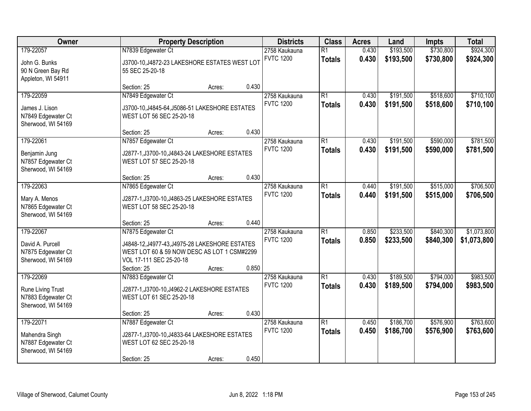| Owner                                                                     |                                                                                                                                                               | <b>Property Description</b> |       | <b>Districts</b>                  | <b>Class</b>                     | <b>Acres</b>   | Land                   | Impts                  | <b>Total</b>               |
|---------------------------------------------------------------------------|---------------------------------------------------------------------------------------------------------------------------------------------------------------|-----------------------------|-------|-----------------------------------|----------------------------------|----------------|------------------------|------------------------|----------------------------|
| 179-22057<br>John G. Bunks<br>90 N Green Bay Rd<br>Appleton, WI 54911     | N7839 Edgewater Ct<br>J3700-10, J4872-23 LAKESHORE ESTATES WEST LOT<br>55 SEC 25-20-18                                                                        |                             |       | 2758 Kaukauna<br><b>FVTC 1200</b> | $\overline{R1}$<br><b>Totals</b> | 0.430<br>0.430 | \$193,500<br>\$193,500 | \$730,800<br>\$730,800 | \$924,300<br>\$924,300     |
|                                                                           | Section: 25                                                                                                                                                   | Acres:                      | 0.430 |                                   |                                  |                |                        |                        |                            |
| 179-22059<br>James J. Lison<br>N7849 Edgewater Ct<br>Sherwood, WI 54169   | N7849 Edgewater Ct<br>J3700-10, J4845-64, J5086-51 LAKESHORE ESTATES<br>WEST LOT 56 SEC 25-20-18                                                              |                             |       | 2758 Kaukauna<br><b>FVTC 1200</b> | $\overline{R1}$<br><b>Totals</b> | 0.430<br>0.430 | \$191,500<br>\$191,500 | \$518,600<br>\$518,600 | \$710,100<br>\$710,100     |
|                                                                           | Section: 25                                                                                                                                                   | Acres:                      | 0.430 |                                   |                                  |                |                        |                        |                            |
| 179-22061<br>Benjamin Jung<br>N7857 Edgewater Ct<br>Sherwood, WI 54169    | N7857 Edgewater Ct<br>J2877-1, J3700-10, J4843-24 LAKESHORE ESTATES<br>WEST LOT 57 SEC 25-20-18                                                               |                             |       | 2758 Kaukauna<br><b>FVTC 1200</b> | $\overline{R1}$<br><b>Totals</b> | 0.430<br>0.430 | \$191,500<br>\$191,500 | \$590,000<br>\$590,000 | \$781,500<br>\$781,500     |
|                                                                           | Section: 25                                                                                                                                                   | Acres:                      | 0.430 |                                   |                                  |                |                        |                        |                            |
| 179-22063<br>Mary A. Menos<br>N7865 Edgewater Ct<br>Sherwood, WI 54169    | N7865 Edgewater Ct<br>J2877-1, J3700-10, J4863-25 LAKESHORE ESTATES<br>WEST LOT 58 SEC 25-20-18                                                               |                             |       | 2758 Kaukauna<br><b>FVTC 1200</b> | $\overline{R1}$<br><b>Totals</b> | 0.440<br>0.440 | \$191,500<br>\$191,500 | \$515,000<br>\$515,000 | \$706,500<br>\$706,500     |
|                                                                           | Section: 25                                                                                                                                                   | Acres:                      | 0.440 |                                   |                                  |                |                        |                        |                            |
| 179-22067<br>David A. Purcell<br>N7875 Edgewater Ct<br>Sherwood, WI 54169 | N7875 Edgewater Ct<br>J4848-12, J4977-43, J4975-28 LAKESHORE ESTATES<br>WEST LOT 60 & 59 NOW DESC AS LOT 1 CSM#2299<br>VOL 17-111 SEC 25-20-18<br>Section: 25 | Acres:                      | 0.850 | 2758 Kaukauna<br><b>FVTC 1200</b> | $\overline{R1}$<br><b>Totals</b> | 0.850<br>0.850 | \$233,500<br>\$233,500 | \$840,300<br>\$840,300 | \$1,073,800<br>\$1,073,800 |
| 179-22069                                                                 | N7883 Edgewater Ct                                                                                                                                            |                             |       | 2758 Kaukauna                     | $\overline{R1}$                  | 0.430          | \$189,500              | \$794,000              | \$983,500                  |
| Rune Living Trust<br>N7883 Edgewater Ct<br>Sherwood, WI 54169             | J2877-1, J3700-10, J4962-2 LAKESHORE ESTATES<br>WEST LOT 61 SEC 25-20-18                                                                                      |                             |       | <b>FVTC 1200</b>                  | <b>Totals</b>                    | 0.430          | \$189,500              | \$794,000              | \$983,500                  |
|                                                                           | Section: 25                                                                                                                                                   | Acres:                      | 0.430 |                                   |                                  |                |                        |                        |                            |
| 179-22071<br>Mahendra Singh<br>N7887 Edgewater Ct<br>Sherwood, WI 54169   | N7887 Edgewater Ct<br>J2877-1, J3700-10, J4833-64 LAKESHORE ESTATES<br>WEST LOT 62 SEC 25-20-18<br>Section: 25                                                | Acres:                      | 0.450 | 2758 Kaukauna<br><b>FVTC 1200</b> | $\overline{R1}$<br><b>Totals</b> | 0.450<br>0.450 | \$186,700<br>\$186,700 | \$576,900<br>\$576,900 | \$763,600<br>\$763,600     |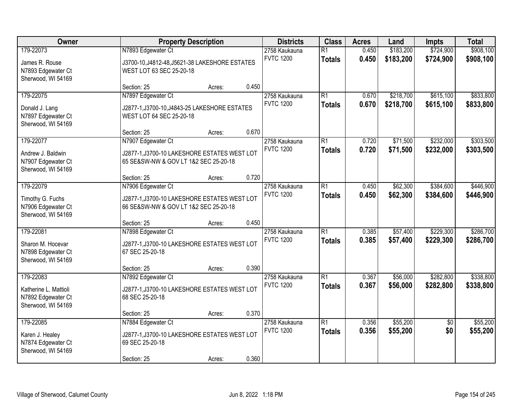| Owner                                                                          | <b>Property Description</b>                                                                                 |        |       | <b>Districts</b>                  | <b>Class</b>                     | <b>Acres</b>   | Land                   | Impts                  | <b>Total</b>           |
|--------------------------------------------------------------------------------|-------------------------------------------------------------------------------------------------------------|--------|-------|-----------------------------------|----------------------------------|----------------|------------------------|------------------------|------------------------|
| 179-22073<br>James R. Rouse<br>N7893 Edgewater Ct<br>Sherwood, WI 54169        | N7893 Edgewater Ct<br>J3700-10, J4812-48, J5621-38 LAKESHORE ESTATES<br>WEST LOT 63 SEC 25-20-18            |        |       | 2758 Kaukauna<br><b>FVTC 1200</b> | $\overline{R1}$<br><b>Totals</b> | 0.450<br>0.450 | \$183,200<br>\$183,200 | \$724,900<br>\$724,900 | \$908,100<br>\$908,100 |
|                                                                                | Section: 25                                                                                                 | Acres: | 0.450 |                                   |                                  |                |                        |                        |                        |
| 179-22075<br>Donald J. Lang<br>N7897 Edgewater Ct<br>Sherwood, WI 54169        | N7897 Edgewater Ct<br>J2877-1, J3700-10, J4843-25 LAKESHORE ESTATES<br>WEST LOT 64 SEC 25-20-18             |        |       | 2758 Kaukauna<br><b>FVTC 1200</b> | $\overline{R1}$<br><b>Totals</b> | 0.670<br>0.670 | \$218,700<br>\$218,700 | \$615,100<br>\$615,100 | \$833,800<br>\$833,800 |
|                                                                                | Section: 25                                                                                                 | Acres: | 0.670 |                                   |                                  |                |                        |                        |                        |
| 179-22077<br>Andrew J. Baldwin<br>N7907 Edgewater Ct<br>Sherwood, WI 54169     | N7907 Edgewater Ct<br>J2877-1, J3700-10 LAKESHORE ESTATES WEST LOT<br>65 SE&SW-NW & GOV LT 1&2 SEC 25-20-18 |        |       | 2758 Kaukauna<br><b>FVTC 1200</b> | $\overline{R1}$<br><b>Totals</b> | 0.720<br>0.720 | \$71,500<br>\$71,500   | \$232,000<br>\$232,000 | \$303,500<br>\$303,500 |
|                                                                                | Section: 25                                                                                                 | Acres: | 0.720 |                                   |                                  |                |                        |                        |                        |
| 179-22079<br>Timothy G. Fuchs<br>N7906 Edgewater Ct<br>Sherwood, WI 54169      | N7906 Edgewater Ct<br>J2877-1, J3700-10 LAKESHORE ESTATES WEST LOT<br>66 SE&SW-NW & GOV LT 1&2 SEC 25-20-18 |        |       | 2758 Kaukauna<br><b>FVTC 1200</b> | $\overline{R1}$<br><b>Totals</b> | 0.450<br>0.450 | \$62,300<br>\$62,300   | \$384,600<br>\$384,600 | \$446,900<br>\$446,900 |
|                                                                                | Section: 25                                                                                                 | Acres: | 0.450 |                                   |                                  |                |                        |                        |                        |
| 179-22081<br>Sharon M. Hocevar<br>N7898 Edgewater Ct<br>Sherwood, WI 54169     | N7898 Edgewater Ct<br>J2877-1, J3700-10 LAKESHORE ESTATES WEST LOT<br>67 SEC 25-20-18                       |        |       | 2758 Kaukauna<br><b>FVTC 1200</b> | $\overline{R1}$<br><b>Totals</b> | 0.385<br>0.385 | \$57,400<br>\$57,400   | \$229,300<br>\$229,300 | \$286,700<br>\$286,700 |
|                                                                                | Section: 25                                                                                                 | Acres: | 0.390 |                                   |                                  |                |                        |                        |                        |
| 179-22083<br>Katherine L. Mattioli<br>N7892 Edgewater Ct<br>Sherwood, WI 54169 | N7892 Edgewater Ct<br>J2877-1, J3700-10 LAKESHORE ESTATES WEST LOT<br>68 SEC 25-20-18                       |        |       | 2758 Kaukauna<br><b>FVTC 1200</b> | $\overline{R1}$<br><b>Totals</b> | 0.367<br>0.367 | \$56,000<br>\$56,000   | \$282,800<br>\$282,800 | \$338,800<br>\$338,800 |
|                                                                                | Section: 25                                                                                                 | Acres: | 0.370 |                                   |                                  |                |                        |                        |                        |
| 179-22085<br>Karen J. Healey<br>N7874 Edgewater Ct<br>Sherwood, WI 54169       | N7884 Edgewater Ct<br>J2877-1, J3700-10 LAKESHORE ESTATES WEST LOT<br>69 SEC 25-20-18<br>Section: 25        | Acres: | 0.360 | 2758 Kaukauna<br><b>FVTC 1200</b> | $\overline{R1}$<br><b>Totals</b> | 0.356<br>0.356 | \$55,200<br>\$55,200   | $\overline{50}$<br>\$0 | \$55,200<br>\$55,200   |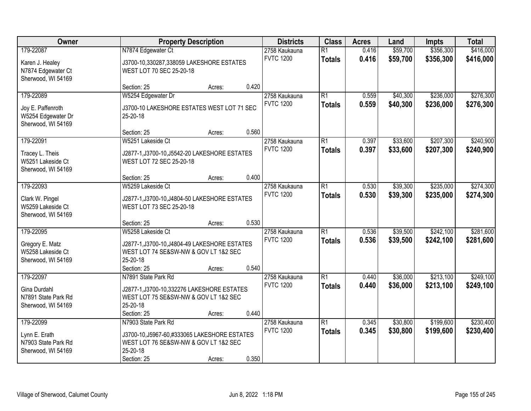| Owner               |                                               | <b>Property Description</b> |                  |                 | <b>Acres</b> | Land     | Impts     | <b>Total</b> |
|---------------------|-----------------------------------------------|-----------------------------|------------------|-----------------|--------------|----------|-----------|--------------|
| 179-22087           | N7874 Edgewater Ct                            |                             | 2758 Kaukauna    | $\overline{R1}$ | 0.416        | \$59,700 | \$356,300 | \$416,000    |
| Karen J. Healey     | J3700-10,330287,338059 LAKESHORE ESTATES      |                             | <b>FVTC 1200</b> | <b>Totals</b>   | 0.416        | \$59,700 | \$356,300 | \$416,000    |
| N7874 Edgewater Ct  | WEST LOT 70 SEC 25-20-18                      |                             |                  |                 |              |          |           |              |
| Sherwood, WI 54169  |                                               |                             |                  |                 |              |          |           |              |
|                     | Section: 25                                   | 0.420<br>Acres:             |                  |                 |              |          |           |              |
| 179-22089           | W5254 Edgewater Dr                            |                             | 2758 Kaukauna    | $\overline{R1}$ | 0.559        | \$40,300 | \$236,000 | \$276,300    |
| Joy E. Paffenroth   | J3700-10 LAKESHORE ESTATES WEST LOT 71 SEC    |                             | <b>FVTC 1200</b> | <b>Totals</b>   | 0.559        | \$40,300 | \$236,000 | \$276,300    |
| W5254 Edgewater Dr  | 25-20-18                                      |                             |                  |                 |              |          |           |              |
| Sherwood, WI 54169  |                                               |                             |                  |                 |              |          |           |              |
|                     | Section: 25                                   | 0.560<br>Acres:             |                  |                 |              |          |           |              |
| 179-22091           | W5251 Lakeside Ct                             |                             | 2758 Kaukauna    | $\overline{R1}$ | 0.397        | \$33,600 | \$207,300 | \$240,900    |
| Tracey L. Theis     | J2877-1, J3700-10, J5542-20 LAKESHORE ESTATES |                             | <b>FVTC 1200</b> | <b>Totals</b>   | 0.397        | \$33,600 | \$207,300 | \$240,900    |
| W5251 Lakeside Ct   | WEST LOT 72 SEC 25-20-18                      |                             |                  |                 |              |          |           |              |
| Sherwood, WI 54169  |                                               |                             |                  |                 |              |          |           |              |
|                     | Section: 25                                   | 0.400<br>Acres:             |                  |                 |              |          |           |              |
| 179-22093           | W5259 Lakeside Ct                             |                             | 2758 Kaukauna    | $\overline{R1}$ | 0.530        | \$39,300 | \$235,000 | \$274,300    |
| Clark W. Pingel     | J2877-1, J3700-10, J4804-50 LAKESHORE ESTATES |                             | <b>FVTC 1200</b> | <b>Totals</b>   | 0.530        | \$39,300 | \$235,000 | \$274,300    |
| W5259 Lakeside Ct   | WEST LOT 73 SEC 25-20-18                      |                             |                  |                 |              |          |           |              |
| Sherwood, WI 54169  |                                               |                             |                  |                 |              |          |           |              |
|                     | Section: 25                                   | 0.530<br>Acres:             |                  |                 |              |          |           |              |
| 179-22095           | W5258 Lakeside Ct                             |                             | 2758 Kaukauna    | $\overline{R1}$ | 0.536        | \$39,500 | \$242,100 | \$281,600    |
| Gregory E. Matz     | J2877-1, J3700-10, J4804-49 LAKESHORE ESTATES |                             | <b>FVTC 1200</b> | <b>Totals</b>   | 0.536        | \$39,500 | \$242,100 | \$281,600    |
| W5258 Lakeside Ct   | WEST LOT 74 SE&SW-NW & GOV LT 1&2 SEC         |                             |                  |                 |              |          |           |              |
| Sherwood, WI 54169  | 25-20-18                                      |                             |                  |                 |              |          |           |              |
|                     | Section: 25                                   | 0.540<br>Acres:             |                  |                 |              |          |           |              |
| 179-22097           | N7891 State Park Rd                           |                             | 2758 Kaukauna    | $\overline{R1}$ | 0.440        | \$36,000 | \$213,100 | \$249,100    |
| Gina Durdahl        | J2877-1, J3700-10, 332276 LAKESHORE ESTATES   |                             | <b>FVTC 1200</b> | <b>Totals</b>   | 0.440        | \$36,000 | \$213,100 | \$249,100    |
| N7891 State Park Rd | WEST LOT 75 SE&SW-NW & GOV LT 1&2 SEC         |                             |                  |                 |              |          |           |              |
| Sherwood, WI 54169  | 25-20-18                                      |                             |                  |                 |              |          |           |              |
|                     | Section: 25                                   | 0.440<br>Acres:             |                  |                 |              |          |           |              |
| 179-22099           | N7903 State Park Rd                           |                             | 2758 Kaukauna    | $\overline{R1}$ | 0.345        | \$30,800 | \$199,600 | \$230,400    |
| Lynn E. Erath       | J3700-10, J5967-60, #333065 LAKESHORE ESTATES |                             | <b>FVTC 1200</b> | <b>Totals</b>   | 0.345        | \$30,800 | \$199,600 | \$230,400    |
| N7903 State Park Rd | WEST LOT 76 SE&SW-NW & GOV LT 1&2 SEC         |                             |                  |                 |              |          |           |              |
| Sherwood, WI 54169  | 25-20-18                                      |                             |                  |                 |              |          |           |              |
|                     | Section: 25                                   | 0.350<br>Acres:             |                  |                 |              |          |           |              |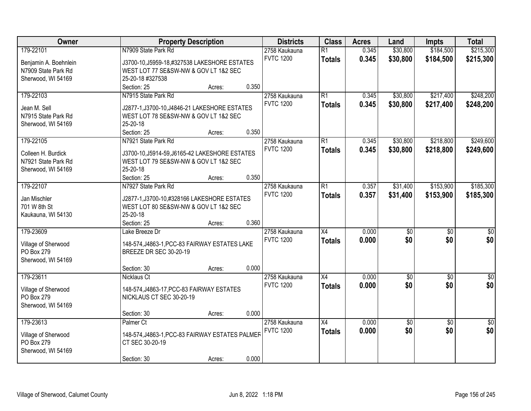| Owner                 |                                                 | <b>Property Description</b> |       |                  | <b>Class</b>    | <b>Acres</b> | Land            | Impts           | <b>Total</b>     |
|-----------------------|-------------------------------------------------|-----------------------------|-------|------------------|-----------------|--------------|-----------------|-----------------|------------------|
| 179-22101             | N7909 State Park Rd                             |                             |       | 2758 Kaukauna    | $\overline{R1}$ | 0.345        | \$30,800        | \$184,500       | \$215,300        |
| Benjamin A. Boehnlein | J3700-10, J5959-18, #327538 LAKESHORE ESTATES   |                             |       | <b>FVTC 1200</b> | <b>Totals</b>   | 0.345        | \$30,800        | \$184,500       | \$215,300        |
| N7909 State Park Rd   | WEST LOT 77 SE&SW-NW & GOV LT 1&2 SEC           |                             |       |                  |                 |              |                 |                 |                  |
| Sherwood, WI 54169    | 25-20-18 #327538                                |                             |       |                  |                 |              |                 |                 |                  |
|                       | Section: 25                                     | Acres:                      | 0.350 |                  |                 |              |                 |                 |                  |
| 179-22103             | N7915 State Park Rd                             |                             |       | 2758 Kaukauna    | $\overline{R1}$ | 0.345        | \$30,800        | \$217,400       | \$248,200        |
|                       |                                                 |                             |       | <b>FVTC 1200</b> | <b>Totals</b>   | 0.345        | \$30,800        | \$217,400       | \$248,200        |
| Jean M. Sell          | J2877-1, J3700-10, J4846-21 LAKESHORE ESTATES   |                             |       |                  |                 |              |                 |                 |                  |
| N7915 State Park Rd   | WEST LOT 78 SE&SW-NW & GOV LT 1&2 SEC           |                             |       |                  |                 |              |                 |                 |                  |
| Sherwood, WI 54169    | 25-20-18                                        |                             |       |                  |                 |              |                 |                 |                  |
|                       | Section: 25                                     | Acres:                      | 0.350 |                  |                 |              |                 |                 |                  |
| 179-22105             | N7921 State Park Rd                             |                             |       | 2758 Kaukauna    | $\overline{R1}$ | 0.345        | \$30,800        | \$218,800       | \$249,600        |
| Colleen H. Burdick    | J3700-10, J5914-59, J6165-42 LAKESHORE ESTATES  |                             |       | <b>FVTC 1200</b> | <b>Totals</b>   | 0.345        | \$30,800        | \$218,800       | \$249,600        |
| N7921 State Park Rd   | WEST LOT 79 SE&SW-NW & GOV LT 1&2 SEC           |                             |       |                  |                 |              |                 |                 |                  |
| Sherwood, WI 54169    | 25-20-18                                        |                             |       |                  |                 |              |                 |                 |                  |
|                       | Section: 25                                     | Acres:                      | 0.350 |                  |                 |              |                 |                 |                  |
| 179-22107             | N7927 State Park Rd                             |                             |       | 2758 Kaukauna    | $\overline{R1}$ | 0.357        | \$31,400        | \$153,900       | \$185,300        |
|                       |                                                 |                             |       | <b>FVTC 1200</b> | <b>Totals</b>   | 0.357        | \$31,400        | \$153,900       | \$185,300        |
| Jan Mischler          | J2877-1, J3700-10, #328166 LAKESHORE ESTATES    |                             |       |                  |                 |              |                 |                 |                  |
| 701 W 8th St          | WEST LOT 80 SE&SW-NW & GOV LT 1&2 SEC           |                             |       |                  |                 |              |                 |                 |                  |
| Kaukauna, WI 54130    | 25-20-18                                        |                             |       |                  |                 |              |                 |                 |                  |
|                       | Section: 25                                     | Acres:                      | 0.360 |                  |                 |              |                 |                 |                  |
| 179-23609             | Lake Breeze Dr                                  |                             |       | 2758 Kaukauna    | $\overline{X4}$ | 0.000        | $\overline{50}$ | $\overline{50}$ | $\overline{50}$  |
| Village of Sherwood   | 148-574, J4863-1, PCC-83 FAIRWAY ESTATES LAKE   |                             |       | <b>FVTC 1200</b> | <b>Totals</b>   | 0.000        | \$0             | \$0             | \$0              |
| PO Box 279            | <b>BREEZE DR SEC 30-20-19</b>                   |                             |       |                  |                 |              |                 |                 |                  |
| Sherwood, WI 54169    |                                                 |                             |       |                  |                 |              |                 |                 |                  |
|                       | Section: 30                                     | Acres:                      | 0.000 |                  |                 |              |                 |                 |                  |
| 179-23611             | <b>Nicklaus Ct</b>                              |                             |       | 2758 Kaukauna    | $\overline{X4}$ | 0.000        | $\sqrt{50}$     | $\overline{50}$ | $\overline{\$0}$ |
|                       |                                                 |                             |       | <b>FVTC 1200</b> | <b>Totals</b>   | 0.000        | \$0             | \$0             | \$0              |
| Village of Sherwood   | 148-574, J4863-17, PCC-83 FAIRWAY ESTATES       |                             |       |                  |                 |              |                 |                 |                  |
| PO Box 279            | NICKLAUS CT SEC 30-20-19                        |                             |       |                  |                 |              |                 |                 |                  |
| Sherwood, WI 54169    |                                                 |                             |       |                  |                 |              |                 |                 |                  |
|                       | Section: 30                                     | Acres:                      | 0.000 |                  |                 |              |                 |                 |                  |
| 179-23613             | Palmer Ct                                       |                             |       | 2758 Kaukauna    | $\overline{X4}$ | 0.000        | \$0             | $\overline{50}$ | $\overline{50}$  |
| Village of Sherwood   | 148-574, J4863-1, PCC-83 FAIRWAY ESTATES PALMER |                             |       | <b>FVTC 1200</b> | <b>Totals</b>   | 0.000        | \$0             | \$0             | \$0              |
| PO Box 279            | CT SEC 30-20-19                                 |                             |       |                  |                 |              |                 |                 |                  |
| Sherwood, WI 54169    |                                                 |                             |       |                  |                 |              |                 |                 |                  |
|                       | Section: 30                                     | Acres:                      | 0.000 |                  |                 |              |                 |                 |                  |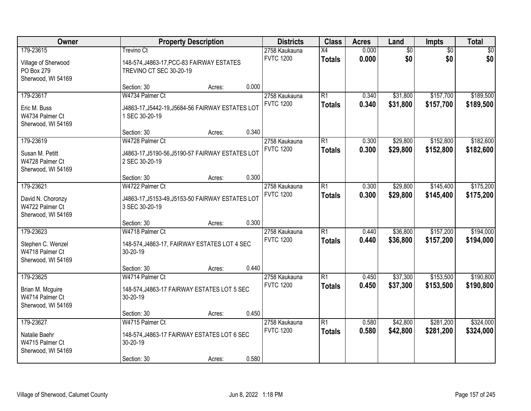| Owner                                                      | <b>Property Description</b>                                                               |        |       | <b>Districts</b>                  | <b>Class</b>                     | <b>Acres</b>   | Land                   | Impts                  | <b>Total</b>           |
|------------------------------------------------------------|-------------------------------------------------------------------------------------------|--------|-------|-----------------------------------|----------------------------------|----------------|------------------------|------------------------|------------------------|
| 179-23615<br>Village of Sherwood<br>PO Box 279             | <b>Trevino Ct</b><br>148-574, J4863-17, PCC-83 FAIRWAY ESTATES<br>TREVINO CT SEC 30-20-19 |        |       | 2758 Kaukauna<br><b>FVTC 1200</b> | X4<br><b>Totals</b>              | 0.000<br>0.000 | $\overline{60}$<br>\$0 | $\overline{50}$<br>\$0 | \$0<br>\$0             |
| Sherwood, WI 54169                                         | Section: 30                                                                               | Acres: | 0.000 |                                   |                                  |                |                        |                        |                        |
| 179-23617                                                  | W4734 Palmer Ct                                                                           |        |       | 2758 Kaukauna<br><b>FVTC 1200</b> | $\overline{R1}$<br><b>Totals</b> | 0.340<br>0.340 | \$31,800<br>\$31,800   | \$157,700<br>\$157,700 | \$189,500<br>\$189,500 |
| Eric M. Buss<br>W4734 Palmer Ct<br>Sherwood, WI 54169      | J4863-17, J5442-19, J5684-56 FAIRWAY ESTATES LOT<br>1 SEC 30-20-19                        |        |       |                                   |                                  |                |                        |                        |                        |
|                                                            | Section: 30                                                                               | Acres: | 0.340 |                                   |                                  |                |                        |                        |                        |
| 179-23619                                                  | W4728 Palmer Ct                                                                           |        |       | 2758 Kaukauna                     | $\overline{R1}$                  | 0.300          | \$29,800               | \$152,800              | \$182,600              |
| Susan M. Petitt<br>W4728 Palmer Ct<br>Sherwood, WI 54169   | J4863-17, J5190-56, J5190-57 FAIRWAY ESTATES LOT<br>2 SEC 30-20-19                        |        |       | <b>FVTC 1200</b>                  | <b>Totals</b>                    | 0.300          | \$29,800               | \$152,800              | \$182,600              |
|                                                            | Section: 30                                                                               | Acres: | 0.300 |                                   |                                  |                |                        |                        |                        |
| 179-23621                                                  | W4722 Palmer Ct                                                                           |        |       | 2758 Kaukauna                     | $\overline{R1}$                  | 0.300          | \$29,800               | \$145,400              | \$175,200              |
| David N. Choronzy<br>W4722 Palmer Ct<br>Sherwood, WI 54169 | J4863-17, J5153-49, J5153-50 FAIRWAY ESTATES LOT<br>3 SEC 30-20-19                        |        |       | <b>FVTC 1200</b>                  | <b>Totals</b>                    | 0.300          | \$29,800               | \$145,400              | \$175,200              |
|                                                            | Section: 30                                                                               | Acres: | 0.300 |                                   |                                  |                |                        |                        |                        |
| 179-23623                                                  | W4718 Palmer Ct                                                                           |        |       | 2758 Kaukauna                     | $\overline{R1}$                  | 0.440          | \$36,800               | \$157,200              | \$194,000              |
| Stephen C. Wenzel<br>W4718 Palmer Ct<br>Sherwood, WI 54169 | 148-574, J4863-17, FAIRWAY ESTATES LOT 4 SEC<br>30-20-19                                  |        |       | <b>FVTC 1200</b>                  | <b>Totals</b>                    | 0.440          | \$36,800               | \$157,200              | \$194,000              |
|                                                            | Section: 30                                                                               | Acres: | 0.440 |                                   |                                  |                |                        |                        |                        |
| 179-23625                                                  | W4714 Palmer Ct                                                                           |        |       | 2758 Kaukauna                     | $\overline{R1}$                  | 0.450          | \$37,300               | \$153,500              | \$190,800              |
| Brian M. Mcguire<br>W4714 Palmer Ct<br>Sherwood, WI 54169  | 148-574, J4863-17 FAIRWAY ESTATES LOT 5 SEC<br>30-20-19                                   |        |       | <b>FVTC 1200</b>                  | <b>Totals</b>                    | 0.450          | \$37,300               | \$153,500              | \$190,800              |
|                                                            | Section: 30                                                                               | Acres: | 0.450 |                                   |                                  |                |                        |                        |                        |
| 179-23627                                                  | W4715 Palmer Ct                                                                           |        |       | 2758 Kaukauna                     | $\overline{R1}$                  | 0.580          | \$42,800               | \$281,200              | \$324,000              |
| Natalie Baehr<br>W4715 Palmer Ct<br>Sherwood, WI 54169     | 148-574, J4863-17 FAIRWAY ESTATES LOT 6 SEC<br>30-20-19                                   |        |       | <b>FVTC 1200</b>                  | <b>Totals</b>                    | 0.580          | \$42,800               | \$281,200              | \$324,000              |
|                                                            | Section: 30                                                                               | Acres: | 0.580 |                                   |                                  |                |                        |                        |                        |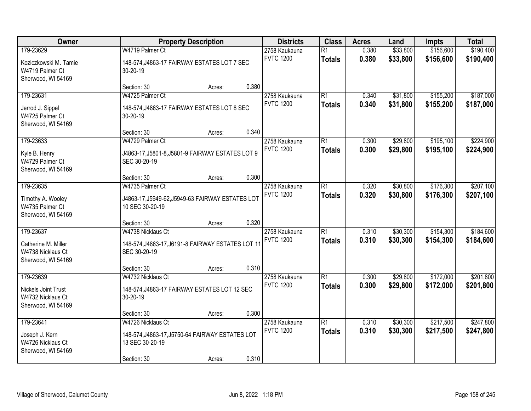| Owner                                                                       |                                                                                                        | <b>Property Description</b> |       | <b>Districts</b>                                                      | <b>Class</b>                     | <b>Acres</b>   | Land                                                                                                                                                                                                                                                | Impts                  | <b>Total</b>           |
|-----------------------------------------------------------------------------|--------------------------------------------------------------------------------------------------------|-----------------------------|-------|-----------------------------------------------------------------------|----------------------------------|----------------|-----------------------------------------------------------------------------------------------------------------------------------------------------------------------------------------------------------------------------------------------------|------------------------|------------------------|
| 179-23629<br>Koziczkowski M. Tamie<br>W4719 Palmer Ct<br>Sherwood, WI 54169 | W4719 Palmer Ct<br>148-574, J4863-17 FAIRWAY ESTATES LOT 7 SEC<br>30-20-19                             |                             |       | $\overline{R1}$<br>2758 Kaukauna<br><b>FVTC 1200</b><br><b>Totals</b> |                                  | 0.380<br>0.380 | \$33,800<br>\$33,800<br>\$31,800<br>0.340<br>0.340<br>\$31,800<br>\$195,100<br>\$29,800<br>0.300<br>\$29,800<br>0.300<br>\$30,800<br>0.320<br>0.320<br>\$30,800<br>0.310<br>\$30,300<br>0.310<br>\$30,300<br>\$29,800<br>0.300<br>0.300<br>\$29,800 | \$156,600<br>\$156,600 | \$190,400<br>\$190,400 |
|                                                                             | Section: 30                                                                                            | Acres:                      | 0.380 |                                                                       |                                  |                |                                                                                                                                                                                                                                                     |                        |                        |
| 179-23631<br>Jerrod J. Sippel<br>W4725 Palmer Ct<br>Sherwood, WI 54169      | W4725 Palmer Ct<br>148-574, J4863-17 FAIRWAY ESTATES LOT 8 SEC<br>30-20-19                             |                             |       | 2758 Kaukauna<br><b>FVTC 1200</b>                                     | $\overline{R1}$<br><b>Totals</b> |                |                                                                                                                                                                                                                                                     | \$155,200<br>\$155,200 | \$187,000<br>\$187,000 |
|                                                                             | Section: 30                                                                                            | Acres:                      | 0.340 |                                                                       |                                  |                |                                                                                                                                                                                                                                                     |                        |                        |
| 179-23633<br>Kyle B. Henry<br>W4729 Palmer Ct<br>Sherwood, WI 54169         | W4729 Palmer Ct<br>J4863-17, J5801-8, J5801-9 FAIRWAY ESTATES LOT 9<br>SEC 30-20-19                    |                             |       | 2758 Kaukauna<br><b>FVTC 1200</b>                                     | $\overline{R1}$<br><b>Totals</b> |                |                                                                                                                                                                                                                                                     | \$195,100              | \$224,900<br>\$224,900 |
|                                                                             | Section: 30                                                                                            | Acres:                      | 0.300 |                                                                       |                                  |                |                                                                                                                                                                                                                                                     |                        |                        |
| 179-23635<br>Timothy A. Wooley<br>W4735 Palmer Ct<br>Sherwood, WI 54169     | W4735 Palmer Ct<br>J4863-17, J5949-62, J5949-63 FAIRWAY ESTATES LOT<br>10 SEC 30-20-19                 |                             |       | 2758 Kaukauna<br><b>FVTC 1200</b>                                     | $\overline{R1}$<br><b>Totals</b> |                |                                                                                                                                                                                                                                                     | \$176,300<br>\$176,300 | \$207,100<br>\$207,100 |
|                                                                             | Section: 30                                                                                            | Acres:                      | 0.320 |                                                                       |                                  |                |                                                                                                                                                                                                                                                     |                        |                        |
| 179-23637<br>Catherine M. Miller<br>W4738 Nicklaus Ct<br>Sherwood, WI 54169 | W4738 Nicklaus Ct<br>148-574, J4863-17, J6191-8 FAIRWAY ESTATES LOT 11<br>SEC 30-20-19                 |                             |       | 2758 Kaukauna<br><b>FVTC 1200</b>                                     | $\overline{R1}$<br><b>Totals</b> |                |                                                                                                                                                                                                                                                     | \$154,300<br>\$154,300 | \$184,600<br>\$184,600 |
|                                                                             | Section: 30                                                                                            | Acres:                      | 0.310 |                                                                       |                                  |                |                                                                                                                                                                                                                                                     |                        |                        |
| 179-23639<br>Nickels Joint Trust<br>W4732 Nicklaus Ct<br>Sherwood, WI 54169 | W4732 Nicklaus Ct<br>148-574, J4863-17 FAIRWAY ESTATES LOT 12 SEC<br>30-20-19                          |                             |       | 2758 Kaukauna<br><b>FVTC 1200</b>                                     | $\overline{R1}$<br><b>Totals</b> |                |                                                                                                                                                                                                                                                     | \$172,000<br>\$172,000 | \$201,800<br>\$201,800 |
|                                                                             | Section: 30                                                                                            | Acres:                      | 0.300 |                                                                       |                                  |                |                                                                                                                                                                                                                                                     |                        |                        |
| 179-23641<br>Joseph J. Kern<br>W4726 Nicklaus Ct<br>Sherwood, WI 54169      | W4726 Nicklaus Ct<br>148-574, J4863-17, J5750-64 FAIRWAY ESTATES LOT<br>13 SEC 30-20-19<br>Section: 30 | Acres:                      | 0.310 | 2758 Kaukauna<br><b>FVTC 1200</b>                                     | $\overline{R1}$<br><b>Totals</b> | 0.310<br>0.310 | \$30,300<br>\$30,300                                                                                                                                                                                                                                | \$217,500<br>\$217,500 | \$247,800<br>\$247,800 |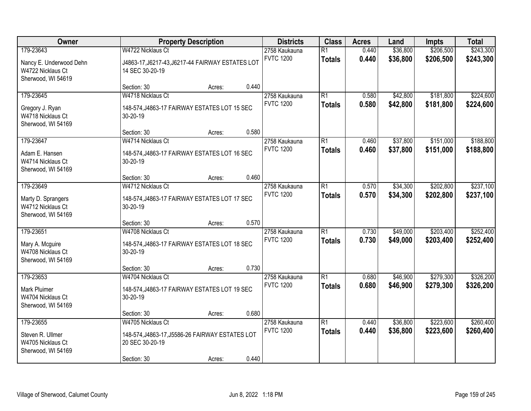| Owner                                                                           |                                                                                                        | <b>Property Description</b> |       | <b>Districts</b>                  | <b>Class</b>                     | <b>Acres</b>   | Land                 | Impts                  | <b>Total</b>           |
|---------------------------------------------------------------------------------|--------------------------------------------------------------------------------------------------------|-----------------------------|-------|-----------------------------------|----------------------------------|----------------|----------------------|------------------------|------------------------|
| 179-23643<br>Nancy E. Underwood Dehn<br>W4722 Nicklaus Ct<br>Sherwood, WI 54619 | W4722 Nicklaus Ct<br>J4863-17, J6217-43, J6217-44 FAIRWAY ESTATES LOT<br>14 SEC 30-20-19               |                             |       | 2758 Kaukauna<br><b>FVTC 1200</b> | $\overline{R1}$<br><b>Totals</b> | 0.440<br>0.440 | \$36,800<br>\$36,800 | \$206,500<br>\$206,500 | \$243,300<br>\$243,300 |
|                                                                                 | Section: 30                                                                                            | Acres:                      | 0.440 |                                   |                                  |                |                      |                        |                        |
| 179-23645<br>Gregory J. Ryan<br>W4718 Nicklaus Ct<br>Sherwood, WI 54169         | W4718 Nicklaus Ct<br>148-574, J4863-17 FAIRWAY ESTATES LOT 15 SEC<br>30-20-19                          |                             |       | 2758 Kaukauna<br><b>FVTC 1200</b> | $\overline{R1}$<br><b>Totals</b> | 0.580<br>0.580 | \$42,800<br>\$42,800 | \$181,800<br>\$181,800 | \$224,600<br>\$224,600 |
|                                                                                 | Section: 30                                                                                            | Acres:                      | 0.580 |                                   |                                  |                |                      |                        |                        |
| 179-23647<br>Adam E. Hansen<br>W4714 Nicklaus Ct<br>Sherwood, WI 54169          | W4714 Nicklaus Ct<br>148-574, J4863-17 FAIRWAY ESTATES LOT 16 SEC<br>30-20-19                          |                             |       | 2758 Kaukauna<br><b>FVTC 1200</b> | $\overline{R1}$<br><b>Totals</b> | 0.460<br>0.460 | \$37,800<br>\$37,800 | \$151,000<br>\$151,000 | \$188,800<br>\$188,800 |
|                                                                                 | Section: 30                                                                                            | Acres:                      | 0.460 |                                   |                                  |                |                      |                        |                        |
| 179-23649<br>Marty D. Sprangers<br>W4712 Nicklaus Ct<br>Sherwood, WI 54169      | W4712 Nicklaus Ct<br>148-574, J4863-17 FAIRWAY ESTATES LOT 17 SEC<br>30-20-19                          |                             |       | 2758 Kaukauna<br><b>FVTC 1200</b> | $\overline{R1}$<br><b>Totals</b> | 0.570<br>0.570 | \$34,300<br>\$34,300 | \$202,800<br>\$202,800 | \$237,100<br>\$237,100 |
|                                                                                 | Section: 30                                                                                            | Acres:                      | 0.570 |                                   |                                  |                |                      |                        |                        |
| 179-23651<br>Mary A. Mcguire<br>W4708 Nicklaus Ct<br>Sherwood, WI 54169         | W4708 Nicklaus Ct<br>148-574, J4863-17 FAIRWAY ESTATES LOT 18 SEC<br>30-20-19                          |                             |       | 2758 Kaukauna<br><b>FVTC 1200</b> | $\overline{R1}$<br><b>Totals</b> | 0.730<br>0.730 | \$49,000<br>\$49,000 | \$203,400<br>\$203,400 | \$252,400<br>\$252,400 |
|                                                                                 | Section: 30                                                                                            | Acres:                      | 0.730 |                                   |                                  |                |                      |                        |                        |
| 179-23653<br>Mark Pluimer<br>W4704 Nicklaus Ct<br>Sherwood, WI 54169            | W4704 Nicklaus Ct<br>148-574, J4863-17 FAIRWAY ESTATES LOT 19 SEC<br>30-20-19                          |                             |       | 2758 Kaukauna<br><b>FVTC 1200</b> | $\overline{R1}$<br><b>Totals</b> | 0.680<br>0.680 | \$46,900<br>\$46,900 | \$279,300<br>\$279,300 | \$326,200<br>\$326,200 |
|                                                                                 | Section: 30                                                                                            | Acres:                      | 0.680 |                                   |                                  |                |                      |                        |                        |
| 179-23655<br>Steven R. Ullmer<br>W4705 Nicklaus Ct<br>Sherwood, WI 54169        | W4705 Nicklaus Ct<br>148-574, J4863-17, J5586-26 FAIRWAY ESTATES LOT<br>20 SEC 30-20-19<br>Section: 30 | Acres:                      | 0.440 | 2758 Kaukauna<br><b>FVTC 1200</b> | $\overline{R1}$<br><b>Totals</b> | 0.440<br>0.440 | \$36,800<br>\$36,800 | \$223,600<br>\$223,600 | \$260,400<br>\$260,400 |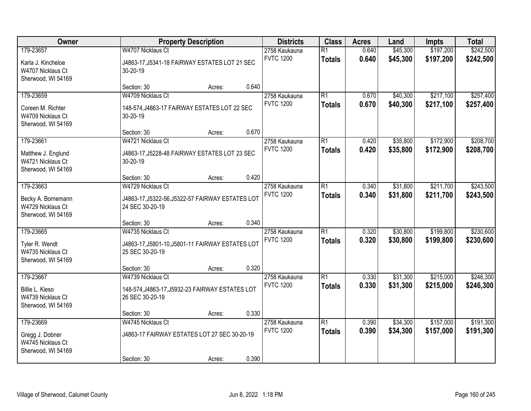| Owner                                                                      |                                                                                          | <b>Property Description</b> |       | <b>Districts</b>                  | <b>Class</b>                     | <b>Acres</b>   | Land                 | Impts                  | <b>Total</b>           |
|----------------------------------------------------------------------------|------------------------------------------------------------------------------------------|-----------------------------|-------|-----------------------------------|----------------------------------|----------------|----------------------|------------------------|------------------------|
| 179-23657<br>Karla J. Kincheloe<br>W4707 Nicklaus Ct<br>Sherwood, WI 54169 | W4707 Nicklaus Ct<br>J4863-17, J5341-18 FAIRWAY ESTATES LOT 21 SEC<br>30-20-19           |                             |       | 2758 Kaukauna<br><b>FVTC 1200</b> | $\overline{R1}$<br><b>Totals</b> | 0.640<br>0.640 | \$45,300<br>\$45,300 | \$197,200<br>\$197,200 | \$242,500<br>\$242,500 |
|                                                                            | Section: 30                                                                              | Acres:                      | 0.640 |                                   |                                  |                |                      |                        |                        |
| 179-23659<br>Coreen M. Richter<br>W4709 Nicklaus Ct<br>Sherwood, WI 54169  | W4709 Nicklaus Ct<br>148-574, J4863-17 FAIRWAY ESTATES LOT 22 SEC<br>30-20-19            |                             |       | 2758 Kaukauna<br><b>FVTC 1200</b> | $\overline{R1}$<br><b>Totals</b> | 0.670<br>0.670 | \$40,300<br>\$40,300 | \$217,100<br>\$217,100 | \$257,400<br>\$257,400 |
|                                                                            | Section: 30                                                                              | Acres:                      | 0.670 |                                   |                                  |                |                      |                        |                        |
| 179-23661<br>Matthew J. Englund<br>W4721 Nicklaus Ct<br>Sherwood, WI 54169 | W4721 Nicklaus Ct<br>J4863-17, J5228-48 FAIRWAY ESTATES LOT 23 SEC<br>30-20-19           |                             |       | 2758 Kaukauna<br><b>FVTC 1200</b> | $\overline{R1}$<br><b>Totals</b> | 0.420<br>0.420 | \$35,800<br>\$35,800 | \$172,900<br>\$172,900 | \$208,700<br>\$208,700 |
|                                                                            | Section: 30                                                                              | Acres:                      | 0.420 |                                   |                                  |                |                      |                        |                        |
| 179-23663<br>Becky A. Bornemann<br>W4729 Nicklaus Ct<br>Sherwood, WI 54169 | W4729 Nicklaus Ct<br>J4863-17, J5322-56, J5322-57 FAIRWAY ESTATES LOT<br>24 SEC 30-20-19 |                             |       | 2758 Kaukauna<br><b>FVTC 1200</b> | $\overline{R1}$<br><b>Totals</b> | 0.340<br>0.340 | \$31,800<br>\$31,800 | \$211,700<br>\$211,700 | \$243,500<br>\$243,500 |
|                                                                            | Section: 30                                                                              | Acres:                      | 0.340 |                                   |                                  |                |                      |                        |                        |
| 179-23665<br>Tyler R. Wendt<br>W4735 Nicklaus Ct<br>Sherwood, WI 54169     | W4735 Nicklaus Ct<br>J4863-17, J5801-10, J5801-11 FAIRWAY ESTATES LOT<br>25 SEC 30-20-19 |                             |       | 2758 Kaukauna<br><b>FVTC 1200</b> | $\overline{R1}$<br><b>Totals</b> | 0.320<br>0.320 | \$30,800<br>\$30,800 | \$199,800<br>\$199,800 | \$230,600<br>\$230,600 |
|                                                                            | Section: 30                                                                              | Acres:                      | 0.320 |                                   |                                  |                |                      |                        |                        |
| 179-23667<br>Billie L. Kieso<br>W4739 Nicklaus Ct<br>Sherwood, WI 54169    | W4739 Nicklaus Ct<br>148-574, J4863-17, J5932-23 FAIRWAY ESTATES LOT<br>26 SEC 30-20-19  |                             |       | 2758 Kaukauna<br><b>FVTC 1200</b> | $\overline{R1}$<br><b>Totals</b> | 0.330<br>0.330 | \$31,300<br>\$31,300 | \$215,000<br>\$215,000 | \$246,300<br>\$246,300 |
|                                                                            | Section: 30                                                                              | Acres:                      | 0.330 |                                   |                                  |                |                      |                        |                        |
| 179-23669<br>Gregg J. Dobner<br>W4745 Nicklaus Ct<br>Sherwood, WI 54169    | W4745 Nicklaus Ct<br>J4863-17 FAIRWAY ESTATES LOT 27 SEC 30-20-19<br>Section: 30         | Acres:                      | 0.390 | 2758 Kaukauna<br><b>FVTC 1200</b> | $\overline{R1}$<br><b>Totals</b> | 0.390<br>0.390 | \$34,300<br>\$34,300 | \$157,000<br>\$157,000 | \$191,300<br>\$191,300 |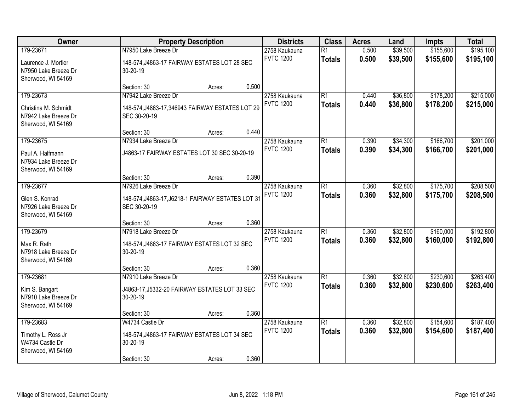| Owner                                                              | <b>Property Description</b>                                       | <b>Districts</b>                  | <b>Class</b>    | <b>Acres</b> | Land     | Impts     | <b>Total</b> |
|--------------------------------------------------------------------|-------------------------------------------------------------------|-----------------------------------|-----------------|--------------|----------|-----------|--------------|
| 179-23671                                                          | N7950 Lake Breeze Dr                                              | 2758 Kaukauna                     | $\overline{R1}$ | 0.500        | \$39,500 | \$155,600 | \$195,100    |
| Laurence J. Mortier<br>N7950 Lake Breeze Dr<br>Sherwood, WI 54169  | 148-574, J4863-17 FAIRWAY ESTATES LOT 28 SEC<br>30-20-19          | <b>FVTC 1200</b>                  | <b>Totals</b>   | 0.500        | \$39,500 | \$155,600 | \$195,100    |
|                                                                    | 0.500<br>Section: 30<br>Acres:                                    |                                   |                 |              |          |           |              |
| 179-23673                                                          | N7942 Lake Breeze Dr                                              | 2758 Kaukauna                     | $\overline{R1}$ | 0.440        | \$36,800 | \$178,200 | \$215,000    |
| Christina M. Schmidt<br>N7942 Lake Breeze Dr<br>Sherwood, WI 54169 | 148-574, J4863-17, 346943 FAIRWAY ESTATES LOT 29<br>SEC 30-20-19  | <b>FVTC 1200</b>                  | <b>Totals</b>   | 0.440        | \$36,800 | \$178,200 | \$215,000    |
|                                                                    | 0.440<br>Section: 30<br>Acres:                                    |                                   |                 |              |          |           |              |
| 179-23675                                                          | N7934 Lake Breeze Dr                                              | 2758 Kaukauna                     | $\overline{R1}$ | 0.390        | \$34,300 | \$166,700 | \$201,000    |
| Paul A. Halfmann<br>N7934 Lake Breeze Dr<br>Sherwood, WI 54169     | J4863-17 FAIRWAY ESTATES LOT 30 SEC 30-20-19                      | <b>FVTC 1200</b>                  | <b>Totals</b>   | 0.390        | \$34,300 | \$166,700 | \$201,000    |
|                                                                    | 0.390<br>Section: 30<br>Acres:                                    |                                   |                 |              |          |           |              |
| 179-23677                                                          | N7926 Lake Breeze Dr                                              | 2758 Kaukauna                     | $\overline{R1}$ | 0.360        | \$32,800 | \$175,700 | \$208,500    |
| Glen S. Konrad<br>N7926 Lake Breeze Dr<br>Sherwood, WI 54169       | 148-574, J4863-17, J6218-1 FAIRWAY ESTATES LOT 31<br>SEC 30-20-19 | <b>FVTC 1200</b>                  | <b>Totals</b>   | 0.360        | \$32,800 | \$175,700 | \$208,500    |
|                                                                    | 0.360<br>Section: 30<br>Acres:                                    |                                   |                 |              |          |           |              |
| 179-23679                                                          | N7918 Lake Breeze Dr                                              | 2758 Kaukauna                     | $\overline{R1}$ | 0.360        | \$32,800 | \$160,000 | \$192,800    |
| Max R. Rath<br>N7918 Lake Breeze Dr<br>Sherwood, WI 54169          | 148-574, J4863-17 FAIRWAY ESTATES LOT 32 SEC<br>30-20-19          | <b>FVTC 1200</b>                  | <b>Totals</b>   | 0.360        | \$32,800 | \$160,000 | \$192,800    |
|                                                                    | 0.360<br>Section: 30<br>Acres:                                    |                                   |                 |              |          |           |              |
| 179-23681                                                          | N7910 Lake Breeze Dr                                              | 2758 Kaukauna                     | $\overline{R1}$ | 0.360        | \$32,800 | \$230,600 | \$263,400    |
| Kim S. Bangart<br>N7910 Lake Breeze Dr<br>Sherwood, WI 54169       | J4863-17, J5332-20 FAIRWAY ESTATES LOT 33 SEC<br>30-20-19         | <b>FVTC 1200</b>                  | <b>Totals</b>   | 0.360        | \$32,800 | \$230,600 | \$263,400    |
|                                                                    | 0.360<br>Section: 30<br>Acres:                                    |                                   |                 |              |          |           |              |
| 179-23683                                                          | W4734 Castle Dr                                                   | 2758 Kaukauna<br><b>FVTC 1200</b> | $\overline{R1}$ | 0.360        | \$32,800 | \$154,600 | \$187,400    |
| Timothy L. Ross Jr<br>W4734 Castle Dr<br>Sherwood, WI 54169        | 148-574, J4863-17 FAIRWAY ESTATES LOT 34 SEC<br>30-20-19          |                                   | <b>Totals</b>   | 0.360        | \$32,800 | \$154,600 | \$187,400    |
|                                                                    | 0.360<br>Section: 30<br>Acres:                                    |                                   |                 |              |          |           |              |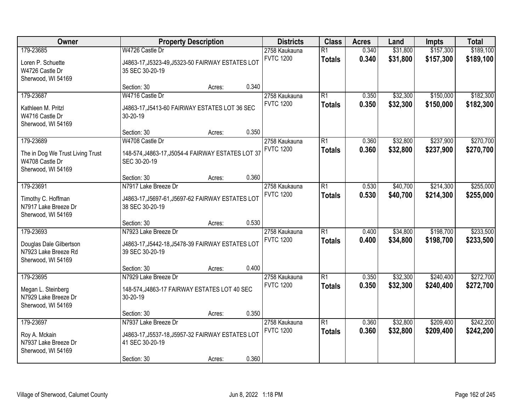| Owner                                                                                  |                                                                                                            | <b>Property Description</b> |       | <b>Districts</b>                  | <b>Class</b>                     | <b>Acres</b>   | Land                 | Impts                  | <b>Total</b>           |
|----------------------------------------------------------------------------------------|------------------------------------------------------------------------------------------------------------|-----------------------------|-------|-----------------------------------|----------------------------------|----------------|----------------------|------------------------|------------------------|
| 179-23685<br>Loren P. Schuette<br>W4726 Castle Dr<br>Sherwood, WI 54169                | W4726 Castle Dr<br>J4863-17, J5323-49, J5323-50 FAIRWAY ESTATES LOT<br>35 SEC 30-20-19                     |                             |       | 2758 Kaukauna<br><b>FVTC 1200</b> | $\overline{R1}$<br><b>Totals</b> | 0.340<br>0.340 | \$31,800<br>\$31,800 | \$157,300<br>\$157,300 | \$189,100<br>\$189,100 |
|                                                                                        | Section: 30                                                                                                | Acres:                      | 0.340 |                                   |                                  |                |                      |                        |                        |
| 179-23687<br>Kathleen M. Pritzl<br>W4716 Castle Dr<br>Sherwood, WI 54169               | W4716 Castle Dr<br>J4863-17, J5413-60 FAIRWAY ESTATES LOT 36 SEC<br>30-20-19                               |                             |       | 2758 Kaukauna<br><b>FVTC 1200</b> | $\overline{R1}$<br><b>Totals</b> | 0.350<br>0.350 | \$32,300<br>\$32,300 | \$150,000<br>\$150,000 | \$182,300<br>\$182,300 |
|                                                                                        | Section: 30                                                                                                | Acres:                      | 0.350 |                                   |                                  |                |                      |                        |                        |
| 179-23689<br>The in Dog We Trust Living Trust<br>W4708 Castle Dr<br>Sherwood, WI 54169 | W4708 Castle Dr<br>148-574, J4863-17, J5054-4 FAIRWAY ESTATES LOT 37<br>SEC 30-20-19                       |                             |       | 2758 Kaukauna<br><b>FVTC 1200</b> | $\overline{R1}$<br><b>Totals</b> | 0.360<br>0.360 | \$32,800<br>\$32,800 | \$237,900<br>\$237,900 | \$270,700<br>\$270,700 |
|                                                                                        | Section: 30                                                                                                | Acres:                      | 0.360 |                                   |                                  |                |                      |                        |                        |
| 179-23691<br>Timothy C. Hoffman<br>N7917 Lake Breeze Dr<br>Sherwood, WI 54169          | N7917 Lake Breeze Dr<br>J4863-17, J5697-61, J5697-62 FAIRWAY ESTATES LOT<br>38 SEC 30-20-19                |                             |       | 2758 Kaukauna<br><b>FVTC 1200</b> | $\overline{R1}$<br><b>Totals</b> | 0.530<br>0.530 | \$40,700<br>\$40,700 | \$214,300<br>\$214,300 | \$255,000<br>\$255,000 |
|                                                                                        | Section: 30                                                                                                | Acres:                      | 0.530 |                                   |                                  |                |                      |                        |                        |
| 179-23693<br>Douglas Dale Gilbertson<br>N7923 Lake Breeze Rd<br>Sherwood, WI 54169     | N7923 Lake Breeze Dr<br>J4863-17, J5442-18, J5478-39 FAIRWAY ESTATES LOT<br>39 SEC 30-20-19                |                             |       | 2758 Kaukauna<br><b>FVTC 1200</b> | $\overline{R1}$<br><b>Totals</b> | 0.400<br>0.400 | \$34,800<br>\$34,800 | \$198,700<br>\$198,700 | \$233,500<br>\$233,500 |
|                                                                                        | Section: 30                                                                                                | Acres:                      | 0.400 |                                   |                                  |                |                      |                        |                        |
| 179-23695<br>Megan L. Steinberg<br>N7929 Lake Breeze Dr<br>Sherwood, WI 54169          | N7929 Lake Breeze Dr<br>148-574, J4863-17 FAIRWAY ESTATES LOT 40 SEC<br>30-20-19                           |                             |       | 2758 Kaukauna<br><b>FVTC 1200</b> | $\overline{R1}$<br><b>Totals</b> | 0.350<br>0.350 | \$32,300<br>\$32,300 | \$240,400<br>\$240,400 | \$272,700<br>\$272,700 |
|                                                                                        | Section: 30                                                                                                | Acres:                      | 0.350 |                                   |                                  |                |                      |                        |                        |
| 179-23697<br>Roy A. Mckain<br>N7937 Lake Breeze Dr<br>Sherwood, WI 54169               | N7937 Lake Breeze Dr<br>J4863-17, J5537-18, J5957-32 FAIRWAY ESTATES LOT<br>41 SEC 30-20-19<br>Section: 30 | Acres:                      | 0.360 | 2758 Kaukauna<br><b>FVTC 1200</b> | $\overline{R1}$<br><b>Totals</b> | 0.360<br>0.360 | \$32,800<br>\$32,800 | \$209,400<br>\$209,400 | \$242,200<br>\$242,200 |
|                                                                                        |                                                                                                            |                             |       |                                   |                                  |                |                      |                        |                        |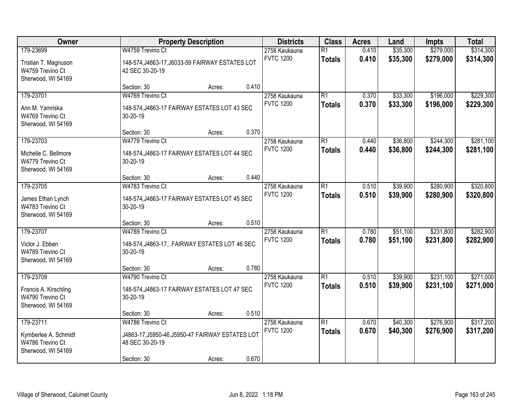| Owner                                                                        | <b>Property Description</b>                                                                                               | <b>Districts</b>                  | <b>Class</b>                     | <b>Acres</b>   | Land                 | Impts                  | <b>Total</b>           |
|------------------------------------------------------------------------------|---------------------------------------------------------------------------------------------------------------------------|-----------------------------------|----------------------------------|----------------|----------------------|------------------------|------------------------|
| 179-23699<br>Tristian T. Magnuson<br>W4759 Trevino Ct<br>Sherwood, WI 54169  | W4759 Trevino Ct<br>148-574, J4863-17, J6033-59 FAIRWAY ESTATES LOT<br>42 SEC 30-20-19                                    | 2758 Kaukauna<br><b>FVTC 1200</b> | $\overline{R1}$<br><b>Totals</b> | 0.410<br>0.410 | \$35,300<br>\$35,300 | \$279,000<br>\$279,000 | \$314,300<br>\$314,300 |
|                                                                              | 0.410<br>Section: 30<br>Acres:                                                                                            |                                   |                                  |                |                      |                        |                        |
| 179-23701<br>Ann M. Yamriska<br>W4769 Trevino Ct<br>Sherwood, WI 54169       | W4769 Trevino Ct<br>148-574, J4863-17 FAIRWAY ESTATES LOT 43 SEC<br>30-20-19                                              | 2758 Kaukauna<br><b>FVTC 1200</b> | $\overline{R1}$<br><b>Totals</b> | 0.370<br>0.370 | \$33,300<br>\$33,300 | \$196,000<br>\$196,000 | \$229,300<br>\$229,300 |
|                                                                              | 0.370<br>Section: 30<br>Acres:                                                                                            |                                   |                                  |                |                      |                        |                        |
| 179-23703<br>Michelle C. Bellmore<br>W4779 Trevino Ct<br>Sherwood, WI 54169  | W4779 Trevino Ct<br>148-574, J4863-17 FAIRWAY ESTATES LOT 44 SEC<br>30-20-19                                              | 2758 Kaukauna<br><b>FVTC 1200</b> | $\overline{R1}$<br><b>Totals</b> | 0.440<br>0.440 | \$36,800<br>\$36,800 | \$244,300<br>\$244,300 | \$281,100<br>\$281,100 |
|                                                                              | 0.440<br>Section: 30<br>Acres:                                                                                            |                                   |                                  |                |                      |                        |                        |
| 179-23705<br>James Ethan Lynch<br>W4783 Trevino Ct<br>Sherwood, WI 54169     | W4783 Trevino Ct<br>148-574, J4863-17 FAIRWAY ESTATES LOT 45 SEC<br>30-20-19                                              | 2758 Kaukauna<br><b>FVTC 1200</b> | $\overline{R1}$<br><b>Totals</b> | 0.510<br>0.510 | \$39,900<br>\$39,900 | \$280,900<br>\$280,900 | \$320,800<br>\$320,800 |
|                                                                              | 0.510<br>Section: 30<br>Acres:                                                                                            |                                   |                                  |                |                      |                        |                        |
| 179-23707<br>Victor J. Ebben<br>W4789 Trevino Ct<br>Sherwood, WI 54169       | W4789 Trevino Ct<br>148-574, J4863-17,. FAIRWAY ESTATES LOT 46 SEC<br>30-20-19                                            | 2758 Kaukauna<br><b>FVTC 1200</b> | $\overline{R1}$<br><b>Totals</b> | 0.780<br>0.780 | \$51,100<br>\$51,100 | \$231,800<br>\$231,800 | \$282,900<br>\$282,900 |
|                                                                              | 0.780<br>Section: 30<br>Acres:                                                                                            |                                   |                                  |                |                      |                        |                        |
| 179-23709<br>Francis A. Kirschling<br>W4790 Trevino Ct<br>Sherwood, WI 54169 | W4790 Trevino Ct<br>148-574, J4863-17 FAIRWAY ESTATES LOT 47 SEC<br>30-20-19                                              | 2758 Kaukauna<br><b>FVTC 1200</b> | $\overline{R1}$<br><b>Totals</b> | 0.510<br>0.510 | \$39,900<br>\$39,900 | \$231,100<br>\$231,100 | \$271,000<br>\$271,000 |
|                                                                              | 0.510<br>Section: 30<br>Acres:                                                                                            |                                   |                                  |                |                      |                        |                        |
| 179-23711<br>Kymberlee A. Schmidt<br>W4786 Trevino Ct<br>Sherwood, WI 54169  | W4786 Trevino Ct<br>J4863-17, J5950-46, J5950-47 FAIRWAY ESTATES LOT<br>48 SEC 30-20-19<br>0.670<br>Section: 30<br>Acres: | 2758 Kaukauna<br><b>FVTC 1200</b> | $\overline{R1}$<br><b>Totals</b> | 0.670<br>0.670 | \$40,300<br>\$40,300 | \$276,900<br>\$276,900 | \$317,200<br>\$317,200 |
|                                                                              |                                                                                                                           |                                   |                                  |                |                      |                        |                        |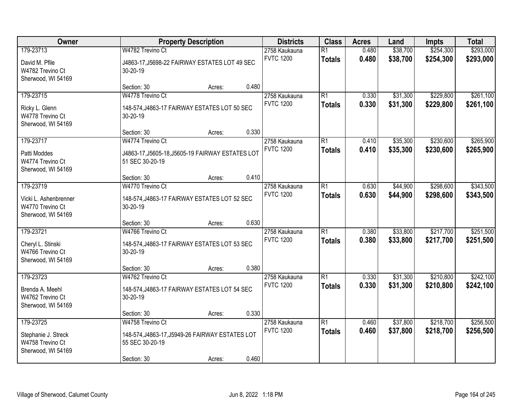| Owner                                                                        | <b>Property Description</b>                                                                                     |       | <b>Districts</b>                  | <b>Class</b>                     | <b>Acres</b>   | Land                 | Impts                  | <b>Total</b>           |
|------------------------------------------------------------------------------|-----------------------------------------------------------------------------------------------------------------|-------|-----------------------------------|----------------------------------|----------------|----------------------|------------------------|------------------------|
| 179-23713<br>David M. Pfile<br>W4782 Trevino Ct<br>Sherwood, WI 54169        | W4782 Trevino Ct<br>J4863-17, J5698-22 FAIRWAY ESTATES LOT 49 SEC<br>30-20-19                                   |       | 2758 Kaukauna<br><b>FVTC 1200</b> | $\overline{R1}$<br><b>Totals</b> | 0.480<br>0.480 | \$38,700<br>\$38,700 | \$254,300<br>\$254,300 | \$293,000<br>\$293,000 |
|                                                                              | Section: 30<br>Acres:                                                                                           | 0.480 |                                   |                                  |                |                      |                        |                        |
| 179-23715<br>Ricky L. Glenn<br>W4778 Trevino Ct<br>Sherwood, WI 54169        | W4778 Trevino Ct<br>148-574, J4863-17 FAIRWAY ESTATES LOT 50 SEC<br>30-20-19                                    |       | 2758 Kaukauna<br><b>FVTC 1200</b> | $\overline{R1}$<br><b>Totals</b> | 0.330<br>0.330 | \$31,300<br>\$31,300 | \$229,800<br>\$229,800 | \$261,100<br>\$261,100 |
|                                                                              | Section: 30<br>Acres:                                                                                           | 0.330 |                                   |                                  |                |                      |                        |                        |
| 179-23717<br>Patti Moddes<br>W4774 Trevino Ct<br>Sherwood, WI 54169          | W4774 Trevino Ct<br>J4863-17, J5605-18, J5605-19 FAIRWAY ESTATES LOT<br>51 SEC 30-20-19                         |       | 2758 Kaukauna<br><b>FVTC 1200</b> | $\overline{R1}$<br><b>Totals</b> | 0.410<br>0.410 | \$35,300<br>\$35,300 | \$230,600<br>\$230,600 | \$265,900<br>\$265,900 |
|                                                                              | Section: 30<br>Acres:                                                                                           | 0.410 |                                   |                                  |                |                      |                        |                        |
| 179-23719<br>Vicki L. Ashenbrenner<br>W4770 Trevino Ct<br>Sherwood, WI 54169 | W4770 Trevino Ct<br>148-574, J4863-17 FAIRWAY ESTATES LOT 52 SEC<br>30-20-19                                    |       | 2758 Kaukauna<br><b>FVTC 1200</b> | $\overline{R1}$<br><b>Totals</b> | 0.630<br>0.630 | \$44,900<br>\$44,900 | \$298,600<br>\$298,600 | \$343,500<br>\$343,500 |
|                                                                              | Section: 30<br>Acres:                                                                                           | 0.630 |                                   |                                  |                |                      |                        |                        |
| 179-23721<br>Cheryl L. Stinski<br>W4766 Trevino Ct<br>Sherwood, WI 54169     | W4766 Trevino Ct<br>148-574, J4863-17 FAIRWAY ESTATES LOT 53 SEC<br>30-20-19                                    |       | 2758 Kaukauna<br><b>FVTC 1200</b> | $\overline{R1}$<br><b>Totals</b> | 0.380<br>0.380 | \$33,800<br>\$33,800 | \$217,700<br>\$217,700 | \$251,500<br>\$251,500 |
|                                                                              | Section: 30<br>Acres:                                                                                           | 0.380 |                                   |                                  |                |                      |                        |                        |
| 179-23723<br>Brenda A. Meehl<br>W4762 Trevino Ct<br>Sherwood, WI 54169       | W4762 Trevino Ct<br>148-574, J4863-17 FAIRWAY ESTATES LOT 54 SEC<br>30-20-19                                    |       | 2758 Kaukauna<br><b>FVTC 1200</b> | $\overline{R1}$<br><b>Totals</b> | 0.330<br>0.330 | \$31,300<br>\$31,300 | \$210,800<br>\$210,800 | \$242,100<br>\$242,100 |
|                                                                              | Section: 30<br>Acres:                                                                                           | 0.330 |                                   |                                  |                |                      |                        |                        |
| 179-23725<br>Stephanie J. Streck<br>W4758 Trevino Ct<br>Sherwood, WI 54169   | W4758 Trevino Ct<br>148-574, J4863-17, J5949-26 FAIRWAY ESTATES LOT<br>55 SEC 30-20-19<br>Section: 30<br>Acres: | 0.460 | 2758 Kaukauna<br><b>FVTC 1200</b> | $\overline{R1}$<br><b>Totals</b> | 0.460<br>0.460 | \$37,800<br>\$37,800 | \$218,700<br>\$218,700 | \$256,500<br>\$256,500 |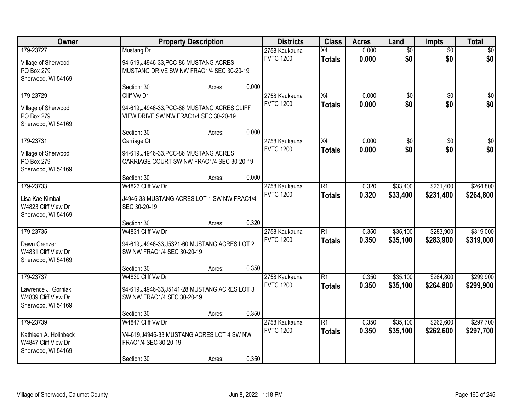| Owner                                                                           |                                                                                                                                  | <b>Property Description</b> |                | <b>Districts</b>                  | <b>Class</b>                     | <b>Acres</b>   | Land                   | <b>Impts</b>           | <b>Total</b>           |
|---------------------------------------------------------------------------------|----------------------------------------------------------------------------------------------------------------------------------|-----------------------------|----------------|-----------------------------------|----------------------------------|----------------|------------------------|------------------------|------------------------|
| 179-23727<br>Village of Sherwood<br>PO Box 279                                  | Mustang Dr<br>94-619, J4946-33, PCC-86 MUSTANG ACRES<br>MUSTANG DRIVE SW NW FRAC1/4 SEC 30-20-19                                 |                             |                | 2758 Kaukauna<br><b>FVTC 1200</b> | $\overline{X4}$<br><b>Totals</b> | 0.000<br>0.000 | $\overline{50}$<br>\$0 | $\overline{50}$<br>\$0 | \$0<br>\$0             |
| Sherwood, WI 54169                                                              | Section: 30                                                                                                                      | Acres:                      | 0.000          |                                   |                                  |                |                        |                        |                        |
| 179-23729<br>Village of Sherwood<br>PO Box 279<br>Sherwood, WI 54169            | Cliff Vw Dr<br>94-619, J4946-33, PCC-86 MUSTANG ACRES CLIFF<br>VIEW DRIVE SW NW FRAC1/4 SEC 30-20-19                             |                             |                | 2758 Kaukauna<br><b>FVTC 1200</b> | $\overline{X4}$<br><b>Totals</b> | 0.000<br>0.000 | $\overline{50}$<br>\$0 | $\overline{50}$<br>\$0 | \$0<br>\$0             |
| 179-23731<br>Village of Sherwood<br>PO Box 279<br>Sherwood, WI 54169            | Section: 30<br>Carriage Ct<br>94-619, J4946-33. PCC-86 MUSTANG ACRES<br>CARRIAGE COURT SW NW FRAC1/4 SEC 30-20-19<br>Section: 30 | Acres:<br>Acres:            | 0.000<br>0.000 | 2758 Kaukauna<br><b>FVTC 1200</b> | X4<br><b>Totals</b>              | 0.000<br>0.000 | $\overline{50}$<br>\$0 | $\overline{50}$<br>\$0 | $\overline{50}$<br>\$0 |
| 179-23733<br>Lisa Kae Kimball<br>W4823 Cliff View Dr<br>Sherwood, WI 54169      | W4823 Cliff Vw Dr<br>J4946-33 MUSTANG ACRES LOT 1 SW NW FRAC1/4<br>SEC 30-20-19                                                  |                             |                | 2758 Kaukauna<br><b>FVTC 1200</b> | $\overline{R1}$<br><b>Totals</b> | 0.320<br>0.320 | \$33,400<br>\$33,400   | \$231,400<br>\$231,400 | \$264,800<br>\$264,800 |
| 179-23735<br>Dawn Grenzer<br>W4831 Cliff View Dr<br>Sherwood, WI 54169          | Section: 30<br>W4831 Cliff Vw Dr<br>94-619, J4946-33, J5321-60 MUSTANG ACRES LOT 2<br>SW NW FRAC1/4 SEC 30-20-19<br>Section: 30  | Acres:<br>Acres:            | 0.320<br>0.350 | 2758 Kaukauna<br><b>FVTC 1200</b> | $\overline{R1}$<br><b>Totals</b> | 0.350<br>0.350 | \$35,100<br>\$35,100   | \$283,900<br>\$283,900 | \$319,000<br>\$319,000 |
| 179-23737<br>Lawrence J. Gorniak<br>W4839 Cliff View Dr<br>Sherwood, WI 54169   | W4839 Cliff Vw Dr<br>94-619, J4946-33, J5141-28 MUSTANG ACRES LOT 3<br>SW NW FRAC1/4 SEC 30-20-19<br>Section: 30                 | Acres:                      | 0.350          | 2758 Kaukauna<br><b>FVTC 1200</b> | $\overline{R1}$<br><b>Totals</b> | 0.350<br>0.350 | \$35,100<br>\$35,100   | \$264,800<br>\$264,800 | \$299,900<br>\$299,900 |
| 179-23739<br>Kathleen A. Holinbeck<br>W4847 Cliff View Dr<br>Sherwood, WI 54169 | W4847 Cliff Vw Dr<br>V4-619, J4946-33 MUSTANG ACRES LOT 4 SW NW<br>FRAC1/4 SEC 30-20-19<br>Section: 30                           | Acres:                      | 0.350          | 2758 Kaukauna<br><b>FVTC 1200</b> | $\overline{R1}$<br><b>Totals</b> | 0.350<br>0.350 | \$35,100<br>\$35,100   | \$262,600<br>\$262,600 | \$297,700<br>\$297,700 |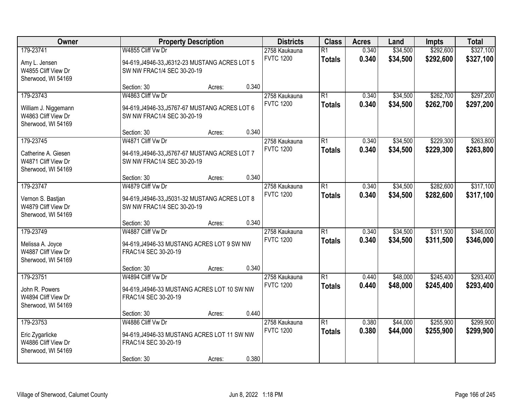| Owner                                                                          |                                                                                                         | <b>Property Description</b> |       | <b>Districts</b>                  | <b>Class</b>                     | <b>Acres</b>   | Land                 | Impts                  | <b>Total</b>           |
|--------------------------------------------------------------------------------|---------------------------------------------------------------------------------------------------------|-----------------------------|-------|-----------------------------------|----------------------------------|----------------|----------------------|------------------------|------------------------|
| 179-23741<br>Amy L. Jensen<br>W4855 Cliff View Dr<br>Sherwood, WI 54169        | W4855 Cliff Vw Dr<br>94-619, J4946-33, J6312-23 MUSTANG ACRES LOT 5<br>SW NW FRAC1/4 SEC 30-20-19       |                             |       | 2758 Kaukauna<br><b>FVTC 1200</b> | $\overline{R1}$<br><b>Totals</b> | 0.340<br>0.340 | \$34,500<br>\$34,500 | \$292,600<br>\$292,600 | \$327,100<br>\$327,100 |
|                                                                                | Section: 30                                                                                             | Acres:                      | 0.340 |                                   |                                  |                |                      |                        |                        |
| 179-23743<br>William J. Niggemann<br>W4863 Cliff View Dr<br>Sherwood, WI 54169 | W4863 Cliff Vw Dr<br>94-619, J4946-33, J5767-67 MUSTANG ACRES LOT 6<br>SW NW FRAC1/4 SEC 30-20-19       |                             |       | 2758 Kaukauna<br><b>FVTC 1200</b> | $\overline{R1}$<br><b>Totals</b> | 0.340<br>0.340 | \$34,500<br>\$34,500 | \$262,700<br>\$262,700 | \$297,200<br>\$297,200 |
|                                                                                | Section: 30                                                                                             | Acres:                      | 0.340 |                                   |                                  |                |                      |                        |                        |
| 179-23745<br>Catherine A. Giesen<br>W4871 Cliff View Dr<br>Sherwood, WI 54169  | W4871 Cliff Vw Dr<br>94-619, J4946-33, J5767-67 MUSTANG ACRES LOT 7<br>SW NW FRAC1/4 SEC 30-20-19       |                             |       | 2758 Kaukauna<br><b>FVTC 1200</b> | $\overline{R1}$<br><b>Totals</b> | 0.340<br>0.340 | \$34,500<br>\$34,500 | \$229,300<br>\$229,300 | \$263,800<br>\$263,800 |
|                                                                                | Section: 30                                                                                             | Acres:                      | 0.340 |                                   |                                  |                |                      |                        |                        |
| 179-23747<br>Vernon S. Bastjan<br>W4879 Cliff View Dr<br>Sherwood, WI 54169    | W4879 Cliff Vw Dr<br>94-619, J4946-33, J5031-32 MUSTANG ACRES LOT 8<br>SW NW FRAC1/4 SEC 30-20-19       |                             |       | 2758 Kaukauna<br><b>FVTC 1200</b> | $\overline{R1}$<br><b>Totals</b> | 0.340<br>0.340 | \$34,500<br>\$34,500 | \$282,600<br>\$282,600 | \$317,100<br>\$317,100 |
|                                                                                | Section: 30                                                                                             | Acres:                      | 0.340 |                                   |                                  |                |                      |                        |                        |
| 179-23749<br>Melissa A. Joyce<br>W4887 Cliff View Dr<br>Sherwood, WI 54169     | W4887 Cliff Vw Dr<br>94-619, J4946-33 MUSTANG ACRES LOT 9 SW NW<br>FRAC1/4 SEC 30-20-19                 |                             |       | 2758 Kaukauna<br><b>FVTC 1200</b> | $\overline{R1}$<br><b>Totals</b> | 0.340<br>0.340 | \$34,500<br>\$34,500 | \$311,500<br>\$311,500 | \$346,000<br>\$346,000 |
|                                                                                | Section: 30                                                                                             | Acres:                      | 0.340 |                                   |                                  |                |                      |                        |                        |
| 179-23751<br>John R. Powers<br>W4894 Cliff View Dr<br>Sherwood, WI 54169       | W4894 Cliff Vw Dr<br>94-619, J4946-33 MUSTANG ACRES LOT 10 SW NW<br>FRAC1/4 SEC 30-20-19                |                             |       | 2758 Kaukauna<br><b>FVTC 1200</b> | $\overline{R1}$<br><b>Totals</b> | 0.440<br>0.440 | \$48,000<br>\$48,000 | \$245,400<br>\$245,400 | \$293,400<br>\$293,400 |
|                                                                                | Section: 30                                                                                             | Acres:                      | 0.440 |                                   |                                  |                |                      |                        |                        |
| 179-23753<br>Eric Zygarlicke<br>W4886 Cliff View Dr<br>Sherwood, WI 54169      | W4886 Cliff Vw Dr<br>94-619, J4946-33 MUSTANG ACRES LOT 11 SW NW<br>FRAC1/4 SEC 30-20-19<br>Section: 30 | Acres:                      | 0.380 | 2758 Kaukauna<br><b>FVTC 1200</b> | $\overline{R1}$<br><b>Totals</b> | 0.380<br>0.380 | \$44,000<br>\$44,000 | \$255,900<br>\$255,900 | \$299,900<br>\$299,900 |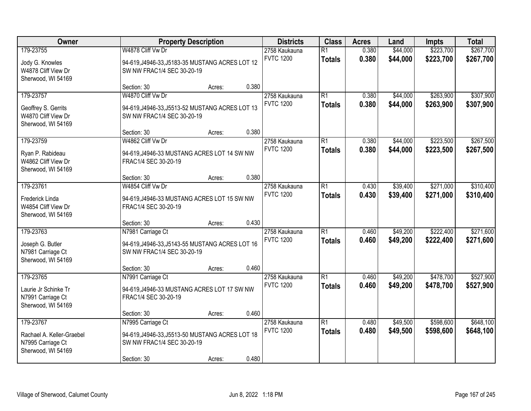| Owner                                                                             |                                                                                                                   | <b>Property Description</b> |       | <b>Districts</b>                  | <b>Class</b>                     | <b>Acres</b>   | Land                 | Impts                  | <b>Total</b>           |
|-----------------------------------------------------------------------------------|-------------------------------------------------------------------------------------------------------------------|-----------------------------|-------|-----------------------------------|----------------------------------|----------------|----------------------|------------------------|------------------------|
| 179-23755<br>Jody G. Knowles<br>W4878 Cliff View Dr<br>Sherwood, WI 54169         | W4878 Cliff Vw Dr<br>94-619, J4946-33, J5183-35 MUSTANG ACRES LOT 12<br>SW NW FRAC1/4 SEC 30-20-19                |                             |       | 2758 Kaukauna<br><b>FVTC 1200</b> | $\overline{R1}$<br><b>Totals</b> | 0.380<br>0.380 | \$44,000<br>\$44,000 | \$223,700<br>\$223,700 | \$267,700<br>\$267,700 |
|                                                                                   | Section: 30                                                                                                       | Acres:                      | 0.380 |                                   |                                  |                |                      |                        |                        |
| 179-23757<br>Geoffrey S. Gerrits<br>W4870 Cliff View Dr<br>Sherwood, WI 54169     | W4870 Cliff Vw Dr<br>94-619, J4946-33, J5513-52 MUSTANG ACRES LOT 13<br>SW NW FRAC1/4 SEC 30-20-19                |                             |       | 2758 Kaukauna<br><b>FVTC 1200</b> | $\overline{R1}$<br><b>Totals</b> | 0.380<br>0.380 | \$44,000<br>\$44,000 | \$263,900<br>\$263,900 | \$307,900<br>\$307,900 |
|                                                                                   | Section: 30                                                                                                       | Acres:                      | 0.380 |                                   |                                  |                |                      |                        |                        |
| 179-23759<br>Ryan P. Rabideau<br>W4862 Cliff View Dr<br>Sherwood, WI 54169        | W4862 Cliff Vw Dr<br>94-619, J4946-33 MUSTANG ACRES LOT 14 SW NW<br>FRAC1/4 SEC 30-20-19                          |                             |       | 2758 Kaukauna<br><b>FVTC 1200</b> | $\overline{R1}$<br><b>Totals</b> | 0.380<br>0.380 | \$44,000<br>\$44,000 | \$223,500<br>\$223,500 | \$267,500<br>\$267,500 |
|                                                                                   | Section: 30                                                                                                       | Acres:                      | 0.380 |                                   |                                  |                |                      |                        |                        |
| 179-23761<br>Frederick Linda<br>W4854 Cliff View Dr<br>Sherwood, WI 54169         | W4854 Cliff Vw Dr<br>94-619, J4946-33 MUSTANG ACRES LOT 15 SW NW<br>FRAC1/4 SEC 30-20-19                          |                             |       | 2758 Kaukauna<br><b>FVTC 1200</b> | $\overline{R1}$<br><b>Totals</b> | 0.430<br>0.430 | \$39,400<br>\$39,400 | \$271,000<br>\$271,000 | \$310,400<br>\$310,400 |
|                                                                                   | Section: 30                                                                                                       | Acres:                      | 0.430 |                                   |                                  |                |                      |                        |                        |
| 179-23763<br>Joseph G. Butler<br>N7981 Carriage Ct<br>Sherwood, WI 54169          | N7981 Carriage Ct<br>94-619, J4946-33, J5143-55 MUSTANG ACRES LOT 16<br>SW NW FRAC1/4 SEC 30-20-19                |                             |       | 2758 Kaukauna<br><b>FVTC 1200</b> | $\overline{R1}$<br><b>Totals</b> | 0.460<br>0.460 | \$49,200<br>\$49,200 | \$222,400<br>\$222,400 | \$271,600<br>\$271,600 |
|                                                                                   | Section: 30                                                                                                       | Acres:                      | 0.460 |                                   |                                  |                |                      |                        |                        |
| 179-23765<br>Laurie Jr Schinke Tr<br>N7991 Carriage Ct<br>Sherwood, WI 54169      | N7991 Carriage Ct<br>94-619, J4946-33 MUSTANG ACRES LOT 17 SW NW<br>FRAC1/4 SEC 30-20-19                          |                             |       | 2758 Kaukauna<br><b>FVTC 1200</b> | $\overline{R1}$<br><b>Totals</b> | 0.460<br>0.460 | \$49,200<br>\$49,200 | \$478,700<br>\$478,700 | \$527,900<br>\$527,900 |
|                                                                                   | Section: 30                                                                                                       | Acres:                      | 0.460 |                                   |                                  |                |                      |                        |                        |
| 179-23767<br>Rachael A. Keller-Graebel<br>N7995 Carriage Ct<br>Sherwood, WI 54169 | N7995 Carriage Ct<br>94-619, J4946-33, J5513-50 MUSTANG ACRES LOT 18<br>SW NW FRAC1/4 SEC 30-20-19<br>Section: 30 | Acres:                      | 0.480 | 2758 Kaukauna<br><b>FVTC 1200</b> | $\overline{R1}$<br><b>Totals</b> | 0.480<br>0.480 | \$49,500<br>\$49,500 | \$598,600<br>\$598,600 | \$648,100<br>\$648,100 |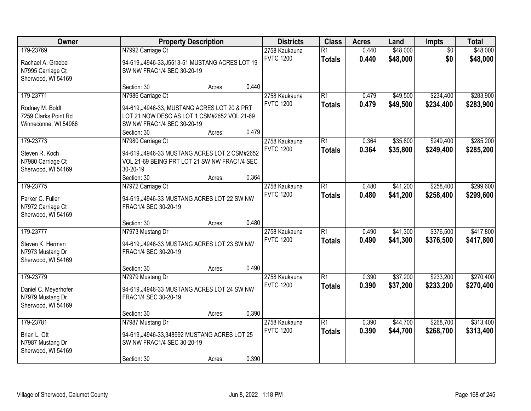| Owner                                                                        |                                                                                                                                                               | <b>Property Description</b> |       | <b>Districts</b>                  | <b>Class</b>                     | <b>Acres</b>   | Land                 | Impts                  | <b>Total</b>           |
|------------------------------------------------------------------------------|---------------------------------------------------------------------------------------------------------------------------------------------------------------|-----------------------------|-------|-----------------------------------|----------------------------------|----------------|----------------------|------------------------|------------------------|
| 179-23769<br>Rachael A. Graebel<br>N7995 Carriage Ct<br>Sherwood, WI 54169   | N7992 Carriage Ct<br>94-619, J4946-33, J5513-51 MUSTANG ACRES LOT 19<br>SW NW FRAC1/4 SEC 30-20-19                                                            |                             |       | 2758 Kaukauna<br><b>FVTC 1200</b> | $\overline{R1}$<br><b>Totals</b> | 0.440<br>0.440 | \$48,000<br>\$48,000 | $\overline{50}$<br>\$0 | \$48,000<br>\$48,000   |
|                                                                              | Section: 30                                                                                                                                                   | Acres:                      | 0.440 |                                   |                                  |                |                      |                        |                        |
| 179-23771<br>Rodney M. Boldt<br>7259 Clarks Point Rd<br>Winneconne, WI 54986 | N7986 Carriage Ct<br>94-619, J4946-33, MUSTANG ACRES LOT 20 & PRT<br>LOT 21 NOW DESC AS LOT 1 CSM#2652 VOL.21-69<br>SW NW FRAC1/4 SEC 30-20-19<br>Section: 30 |                             | 0.479 | 2758 Kaukauna<br><b>FVTC 1200</b> | $\overline{R1}$<br><b>Totals</b> | 0.479<br>0.479 | \$49,500<br>\$49,500 | \$234,400<br>\$234,400 | \$283,900<br>\$283,900 |
| 179-23773                                                                    | N7980 Carriage Ct                                                                                                                                             | Acres:                      |       | 2758 Kaukauna                     | $\overline{R1}$                  | 0.364          | \$35,800             | \$249,400              | \$285,200              |
| Steven R. Koch<br>N7980 Carriage Ct<br>Sherwood, WI 54169                    | 94-619, J4946-33 MUSTANG ACRES LOT 2 CSM#2652<br>VOL.21-69 BEING PRT LOT 21 SW NW FRAC1/4 SEC<br>30-20-19                                                     |                             |       | <b>FVTC 1200</b>                  | <b>Totals</b>                    | 0.364          | \$35,800             | \$249,400              | \$285,200              |
| 179-23775                                                                    | Section: 30<br>N7972 Carriage Ct                                                                                                                              | Acres:                      | 0.364 | 2758 Kaukauna                     | $\overline{R1}$                  | 0.480          | \$41,200             | \$258,400              | \$299,600              |
| Parker C. Fuller<br>N7972 Carriage Ct<br>Sherwood, WI 54169                  | 94-619, J4946-33 MUSTANG ACRES LOT 22 SW NW<br>FRAC1/4 SEC 30-20-19                                                                                           |                             |       | <b>FVTC 1200</b>                  | <b>Totals</b>                    | 0.480          | \$41,200             | \$258,400              | \$299,600              |
|                                                                              | Section: 30                                                                                                                                                   | Acres:                      | 0.480 |                                   |                                  |                |                      |                        |                        |
| 179-23777<br>Steven K. Herman<br>N7973 Mustang Dr<br>Sherwood, WI 54169      | N7973 Mustang Dr<br>94-619, J4946-33 MUSTANG ACRES LOT 23 SW NW<br>FRAC1/4 SEC 30-20-19                                                                       |                             |       | 2758 Kaukauna<br><b>FVTC 1200</b> | $\overline{R1}$<br><b>Totals</b> | 0.490<br>0.490 | \$41,300<br>\$41,300 | \$376,500<br>\$376,500 | \$417,800<br>\$417,800 |
|                                                                              | Section: 30                                                                                                                                                   | Acres:                      | 0.490 |                                   |                                  |                |                      |                        |                        |
| 179-23779<br>Daniel C. Meyerhofer<br>N7979 Mustang Dr<br>Sherwood, WI 54169  | N7979 Mustang Dr<br>94-619, J4946-33 MUSTANG ACRES LOT 24 SW NW<br>FRAC1/4 SEC 30-20-19                                                                       |                             |       | 2758 Kaukauna<br><b>FVTC 1200</b> | $\overline{R1}$<br><b>Totals</b> | 0.390<br>0.390 | \$37,200<br>\$37,200 | \$233,200<br>\$233,200 | \$270,400<br>\$270,400 |
|                                                                              | Section: 30                                                                                                                                                   | Acres:                      | 0.390 |                                   |                                  |                |                      |                        |                        |
| 179-23781<br>Brian L. Ott<br>N7987 Mustang Dr<br>Sherwood, WI 54169          | N7987 Mustang Dr<br>94-619, J4946-33, 348992 MUSTANG ACRES LOT 25<br>SW NW FRAC1/4 SEC 30-20-19<br>Section: 30                                                | Acres:                      | 0.390 | 2758 Kaukauna<br><b>FVTC 1200</b> | $\overline{R1}$<br><b>Totals</b> | 0.390<br>0.390 | \$44,700<br>\$44,700 | \$268,700<br>\$268,700 | \$313,400<br>\$313,400 |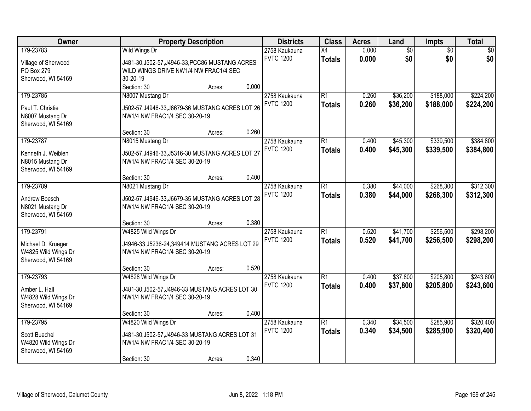| Owner<br><b>Property Description</b>                            |                                                                                                           | <b>Districts</b>                  | <b>Class</b>        | <b>Acres</b>   | Land                   | Impts                  | <b>Total</b> |
|-----------------------------------------------------------------|-----------------------------------------------------------------------------------------------------------|-----------------------------------|---------------------|----------------|------------------------|------------------------|--------------|
| 179-23783<br>Village of Sherwood<br>PO Box 279                  | Wild Wings Dr<br>J481-30, J502-57, J4946-33, PCC86 MUSTANG ACRES<br>WILD WINGS DRIVE NW1/4 NW FRAC1/4 SEC | 2758 Kaukauna<br><b>FVTC 1200</b> | X4<br><b>Totals</b> | 0.000<br>0.000 | $\overline{60}$<br>\$0 | $\overline{50}$<br>\$0 | \$0<br>\$0   |
| Sherwood, WI 54169                                              | 30-20-19<br>0.000<br>Section: 30<br>Acres:                                                                |                                   |                     |                |                        |                        |              |
| 179-23785                                                       | N8007 Mustang Dr                                                                                          | 2758 Kaukauna                     | $\overline{R1}$     | 0.260          | \$36,200               | \$188,000              | \$224,200    |
| Paul T. Christie<br>N8007 Mustang Dr<br>Sherwood, WI 54169      | J502-57, J4946-33, J6679-36 MUSTANG ACRES LOT 26<br>NW1/4 NW FRAC1/4 SEC 30-20-19                         | <b>FVTC 1200</b>                  | <b>Totals</b>       | 0.260          | \$36,200               | \$188,000              | \$224,200    |
|                                                                 | 0.260<br>Section: 30<br>Acres:                                                                            |                                   |                     |                |                        |                        |              |
| 179-23787                                                       | N8015 Mustang Dr                                                                                          | 2758 Kaukauna                     | $\overline{R1}$     | 0.400          | \$45,300               | \$339,500              | \$384,800    |
| Kenneth J. Weiblen<br>N8015 Mustang Dr<br>Sherwood, WI 54169    | J502-57, J4946-33, J5316-30 MUSTANG ACRES LOT 27<br>NW1/4 NW FRAC1/4 SEC 30-20-19                         | <b>FVTC 1200</b>                  | <b>Totals</b>       | 0.400          | \$45,300               | \$339,500              | \$384,800    |
|                                                                 | 0.400<br>Section: 30<br>Acres:                                                                            |                                   |                     |                |                        |                        |              |
| 179-23789                                                       | N8021 Mustang Dr                                                                                          | 2758 Kaukauna                     | $\overline{R1}$     | 0.380          | \$44,000               | \$268,300              | \$312,300    |
| Andrew Boesch<br>N8021 Mustang Dr<br>Sherwood, WI 54169         | J502-57, J4946-33, J6679-35 MUSTANG ACRES LOT 28<br>NW1/4 NW FRAC1/4 SEC 30-20-19                         | <b>FVTC 1200</b>                  | <b>Totals</b>       | 0.380          | \$44,000               | \$268,300              | \$312,300    |
|                                                                 | 0.380<br>Section: 30<br>Acres:                                                                            |                                   |                     |                |                        |                        |              |
| 179-23791                                                       | W4825 Wild Wings Dr                                                                                       | 2758 Kaukauna                     | $\overline{R1}$     | 0.520          | \$41,700               | \$256,500              | \$298,200    |
| Michael D. Krueger<br>W4825 Wild Wings Dr<br>Sherwood, WI 54169 | J4946-33, J5236-24, 349414 MUSTANG ACRES LOT 29<br>NW1/4 NW FRAC1/4 SEC 30-20-19                          | <b>FVTC 1200</b>                  | <b>Totals</b>       | 0.520          | \$41,700               | \$256,500              | \$298,200    |
|                                                                 | 0.520<br>Section: 30<br>Acres:                                                                            |                                   |                     |                |                        |                        |              |
| 179-23793                                                       | W4828 Wild Wings Dr                                                                                       | 2758 Kaukauna                     | $\overline{R1}$     | 0.400          | \$37,800               | \$205,800              | \$243,600    |
| Amber L. Hall<br>W4828 Wild Wings Dr<br>Sherwood, WI 54169      | J481-30, J502-57, J4946-33 MUSTANG ACRES LOT 30<br>NW1/4 NW FRAC1/4 SEC 30-20-19                          | <b>FVTC 1200</b>                  | <b>Totals</b>       | 0.400          | \$37,800               | \$205,800              | \$243,600    |
|                                                                 | 0.400<br>Section: 30<br>Acres:                                                                            |                                   |                     |                |                        |                        |              |
| 179-23795                                                       | W4820 Wild Wings Dr                                                                                       | 2758 Kaukauna                     | $\overline{R1}$     | 0.340          | \$34,500               | \$285,900              | \$320,400    |
| Scott Buechel<br>W4820 Wild Wings Dr<br>Sherwood, WI 54169      | J481-30, J502-57, J4946-33 MUSTANG ACRES LOT 31<br>NW1/4 NW FRAC1/4 SEC 30-20-19                          | <b>FVTC 1200</b>                  | <b>Totals</b>       | 0.340          | \$34,500               | \$285,900              | \$320,400    |
|                                                                 | 0.340<br>Section: 30<br>Acres:                                                                            |                                   |                     |                |                        |                        |              |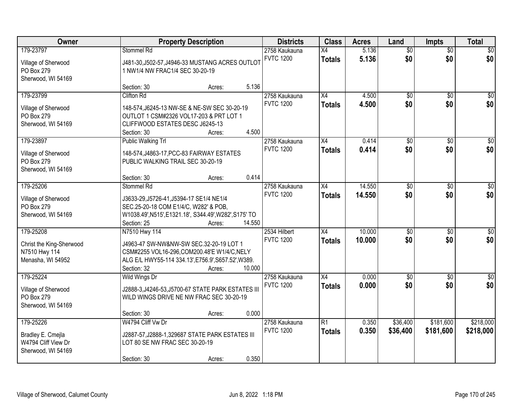| Owner<br><b>Property Description</b>                                 |                                                                                                                                                                | <b>Districts</b> | <b>Class</b> | <b>Acres</b>                      | Land                             | <b>Impts</b>   | <b>Total</b>           |                        |                  |
|----------------------------------------------------------------------|----------------------------------------------------------------------------------------------------------------------------------------------------------------|------------------|--------------|-----------------------------------|----------------------------------|----------------|------------------------|------------------------|------------------|
| 179-23797<br>Village of Sherwood<br>PO Box 279<br>Sherwood, WI 54169 | Stommel Rd<br>J481-30, J502-57, J4946-33 MUSTANG ACRES OUTLOT<br>1 NW1/4 NW FRAC1/4 SEC 30-20-19                                                               |                  |              | 2758 Kaukauna<br><b>FVTC 1200</b> | $\overline{X4}$<br><b>Totals</b> | 5.136<br>5.136 | $\overline{50}$<br>\$0 | $\overline{50}$<br>\$0 | \$0<br>\$0       |
|                                                                      | Section: 30                                                                                                                                                    | Acres:           | 5.136        |                                   |                                  |                |                        |                        |                  |
| 179-23799<br>Village of Sherwood<br>PO Box 279<br>Sherwood, WI 54169 | <b>Clifton Rd</b><br>148-574, J6245-13 NW-SE & NE-SW SEC 30-20-19<br>OUTLOT 1 CSM#2326 VOL17-203 & PRT LOT 1<br>CLIFFWOOD ESTATES DESC J6245-13<br>Section: 30 | Acres:           | 4.500        | 2758 Kaukauna<br><b>FVTC 1200</b> | $\overline{X4}$<br><b>Totals</b> | 4.500<br>4.500 | $\overline{50}$<br>\$0 | $\overline{50}$<br>\$0 | \$0<br>\$0       |
| 179-23897                                                            | Public Walking Trl                                                                                                                                             |                  |              | 2758 Kaukauna                     | X4                               | 0.414          | \$0                    | \$0                    | $\overline{50}$  |
| Village of Sherwood<br>PO Box 279<br>Sherwood, WI 54169              | 148-574, J4863-17, PCC-83 FAIRWAY ESTATES<br>PUBLIC WALKING TRAIL SEC 30-20-19<br>Section: 30                                                                  | Acres:           | 0.414        | <b>FVTC 1200</b>                  | <b>Totals</b>                    | 0.414          | \$0                    | \$0                    | \$0              |
| 179-25206                                                            | Stommel Rd                                                                                                                                                     |                  |              | 2758 Kaukauna                     | X4                               | 14.550         | \$0                    | $\sqrt{6}$             | \$0              |
| Village of Sherwood<br>PO Box 279<br>Sherwood, WI 54169              | J3633-29, J5726-41, J5394-17 SE1/4 NE1/4<br>SEC.25-20-18 COM E1/4/C, W282' & POB,<br>W1038.49', N515', E1321.18', S344.49', W282', S175' TO<br>Section: 25     | Acres:           | 14.550       | <b>FVTC 1200</b>                  | <b>Totals</b>                    | 14.550         | \$0                    | \$0                    | \$0              |
| 179-25208                                                            | N7510 Hwy 114                                                                                                                                                  |                  |              | 2534 Hilbert                      | $\overline{X4}$                  | 10.000         | $\overline{50}$        | $\overline{50}$        | $\overline{50}$  |
| Christ the King-Sherwood<br>N7510 Hwy 114<br>Menasha, WI 54952       | J4963-47 SW-NW&NW-SW SEC.32-20-19 LOT 1<br>CSM#2255 VOL16-296,COM200.48'E W1/4/C, NELY<br>ALG E/L HWY55-114 334.13', E756.9', S657.52', W389.<br>Section: 32   | Acres:           | 10.000       | <b>FVTC 1200</b>                  | <b>Totals</b>                    | 10.000         | \$0                    | \$0                    | \$0              |
| 179-25224                                                            | <b>Wild Wings Dr</b>                                                                                                                                           |                  |              | 2758 Kaukauna                     | X4                               | 0.000          | $\overline{50}$        | \$0                    | $\overline{\$0}$ |
| Village of Sherwood<br>PO Box 279<br>Sherwood, WI 54169              | J2888-3, J4246-53, J5700-67 STATE PARK ESTATES III<br>WILD WINGS DRIVE NE NW FRAC SEC 30-20-19<br>Section: 30                                                  | Acres:           | 0.000        | <b>FVTC 1200</b>                  | <b>Totals</b>                    | 0.000          | \$0                    | \$0                    | \$0              |
| 179-25226                                                            | W4794 Cliff Vw Dr                                                                                                                                              |                  |              | 2758 Kaukauna                     | $\overline{R1}$                  | 0.350          | \$36,400               | \$181,600              | \$218,000        |
| Bradley E. Cmejla<br>W4794 Cliff View Dr<br>Sherwood, WI 54169       | J2887-57, J2888-1, 329687 STATE PARK ESTATES III<br>LOT 80 SE NW FRAC SEC 30-20-19<br>Section: 30                                                              | Acres:           | 0.350        | <b>FVTC 1200</b>                  | <b>Totals</b>                    | 0.350          | \$36,400               | \$181,600              | \$218,000        |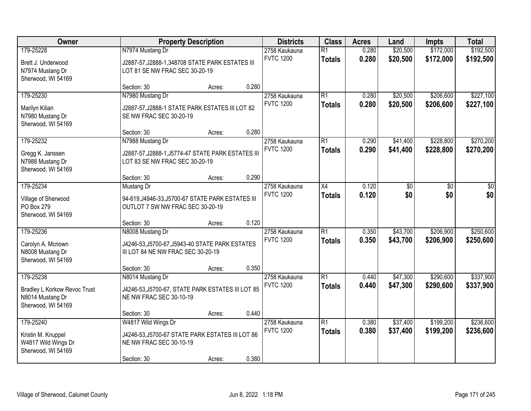| Owner<br><b>Property Description</b>                                                       |                                                                                                                   | <b>Districts</b> | <b>Class</b> | <b>Acres</b>                      | Land                             | Impts          | <b>Total</b>         |                        |                        |
|--------------------------------------------------------------------------------------------|-------------------------------------------------------------------------------------------------------------------|------------------|--------------|-----------------------------------|----------------------------------|----------------|----------------------|------------------------|------------------------|
| 179-25228<br>Brett J. Underwood<br>N7974 Mustang Dr                                        | N7974 Mustang Dr<br>J2887-57, J2888-1, 348708 STATE PARK ESTATES III<br>LOT 81 SE NW FRAC SEC 30-20-19            |                  |              | 2758 Kaukauna<br><b>FVTC 1200</b> | $\overline{R1}$<br><b>Totals</b> | 0.280<br>0.280 | \$20,500<br>\$20,500 | \$172,000<br>\$172,000 | \$192,500<br>\$192,500 |
| Sherwood, WI 54169                                                                         | Section: 30                                                                                                       | Acres:           | 0.280        |                                   |                                  |                |                      |                        |                        |
| 179-25230<br>Marilyn Kilian<br>N7980 Mustang Dr<br>Sherwood, WI 54169                      | N7980 Mustang Dr<br>J2887-57, J2888-1 STATE PARK ESTATES III LOT 82<br>SE NW FRAC SEC 30-20-19                    |                  |              | 2758 Kaukauna<br><b>FVTC 1200</b> | $\overline{R1}$<br><b>Totals</b> | 0.280<br>0.280 | \$20,500<br>\$20,500 | \$206,600<br>\$206,600 | \$227,100<br>\$227,100 |
| 179-25232                                                                                  | Section: 30<br>N7988 Mustang Dr                                                                                   | Acres:           | 0.280        | 2758 Kaukauna                     | $\overline{R1}$                  | 0.290          | \$41,400             | \$228,800              | \$270,200              |
| Gregg K. Janssen<br>N7988 Mustang Dr<br>Sherwood, WI 54169                                 | J2887-57, J2888-1, J5774-47 STATE PARK ESTATES III<br>LOT 83 SE NW FRAC SEC 30-20-19                              |                  |              | <b>FVTC 1200</b>                  | <b>Totals</b>                    | 0.290          | \$41,400             | \$228,800              | \$270,200              |
|                                                                                            | Section: 30                                                                                                       | Acres:           | 0.290        |                                   |                                  |                |                      |                        |                        |
| 179-25234<br>Village of Sherwood<br>PO Box 279<br>Sherwood, WI 54169                       | Mustang Dr<br>94-619, J4946-33, J5700-67 STATE PARK ESTATES III<br>OUTLOT 7 SW NW FRAC SEC 30-20-19               |                  |              | 2758 Kaukauna<br><b>FVTC 1200</b> | $\overline{X4}$<br><b>Totals</b> | 0.120<br>0.120 | \$0<br>\$0           | \$0<br>\$0             | \$0<br>\$0             |
|                                                                                            | Section: 30                                                                                                       | Acres:           | 0.120        |                                   |                                  |                |                      |                        |                        |
| 179-25236<br>Carolyn A. Mcnown<br>N8008 Mustang Dr<br>Sherwood, WI 54169                   | N8008 Mustang Dr<br>J4246-53, J5700-67, J5943-40 STATE PARK ESTATES<br>III LOT 84 NE NW FRAC SEC 30-20-19         |                  |              | 2758 Kaukauna<br><b>FVTC 1200</b> | $\overline{R1}$<br><b>Totals</b> | 0.350<br>0.350 | \$43,700<br>\$43,700 | \$206,900<br>\$206,900 | \$250,600<br>\$250,600 |
|                                                                                            | Section: 30                                                                                                       | Acres:           | 0.350        |                                   |                                  |                |                      |                        |                        |
| 179-25238<br><b>Bradley L Korkow Revoc Trust</b><br>N8014 Mustang Dr<br>Sherwood, WI 54169 | N8014 Mustang Dr<br>J4246-53, J5700-67, STATE PARK ESTATES III LOT 85<br>NE NW FRAC SEC 30-10-19                  |                  |              | 2758 Kaukauna<br><b>FVTC 1200</b> | $\overline{R1}$<br><b>Totals</b> | 0.440<br>0.440 | \$47,300<br>\$47,300 | \$290,600<br>\$290,600 | \$337,900<br>\$337,900 |
|                                                                                            | Section: 30                                                                                                       | Acres:           | 0.440        |                                   |                                  |                |                      |                        |                        |
| 179-25240<br>Kristin M. Knuppel<br>W4817 Wild Wings Dr<br>Sherwood, WI 54169               | W4817 Wild Wings Dr<br>J4246-53, J5700-67 STATE PARK ESTATES III LOT 86<br>NE NW FRAC SEC 30-10-19<br>Section: 30 | Acres:           | 0.380        | 2758 Kaukauna<br><b>FVTC 1200</b> | $\overline{R1}$<br><b>Totals</b> | 0.380<br>0.380 | \$37,400<br>\$37,400 | \$199,200<br>\$199,200 | \$236,600<br>\$236,600 |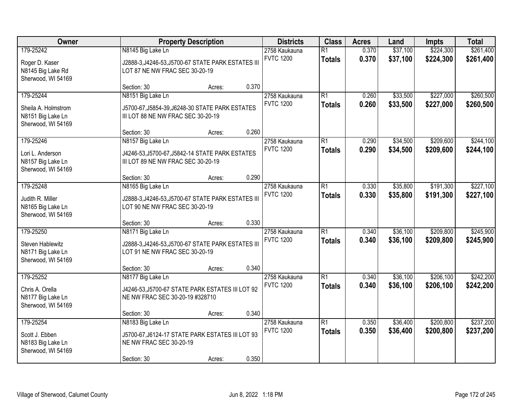| Owner<br><b>Property Description</b>                                        |                                                                                                                 | <b>Districts</b> | <b>Class</b> | <b>Acres</b><br>Land              |                                  | Impts          | <b>Total</b>         |                        |                        |
|-----------------------------------------------------------------------------|-----------------------------------------------------------------------------------------------------------------|------------------|--------------|-----------------------------------|----------------------------------|----------------|----------------------|------------------------|------------------------|
| 179-25242<br>Roger D. Kaser<br>N8145 Big Lake Rd<br>Sherwood, WI 54169      | N8145 Big Lake Ln<br>J2888-3, J4246-53, J5700-67 STATE PARK ESTATES III<br>LOT 87 NE NW FRAC SEC 30-20-19       |                  |              | 2758 Kaukauna<br><b>FVTC 1200</b> | $\overline{R1}$<br><b>Totals</b> | 0.370<br>0.370 | \$37,100<br>\$37,100 | \$224,300<br>\$224,300 | \$261,400<br>\$261,400 |
|                                                                             | Section: 30                                                                                                     | Acres:           | 0.370        |                                   |                                  |                |                      |                        |                        |
| 179-25244<br>Sheila A. Holmstrom<br>N8151 Big Lake Ln<br>Sherwood, WI 54169 | N8151 Big Lake Ln<br>J5700-67, J5854-39, J6248-30 STATE PARK ESTATES<br>III LOT 88 NE NW FRAC SEC 30-20-19      |                  |              | 2758 Kaukauna<br><b>FVTC 1200</b> | $\overline{R1}$<br><b>Totals</b> | 0.260<br>0.260 | \$33,500<br>\$33,500 | \$227,000<br>\$227,000 | \$260,500<br>\$260,500 |
| 179-25246                                                                   | Section: 30<br>N8157 Big Lake Ln                                                                                | Acres:           | 0.260        | 2758 Kaukauna                     | $\overline{R1}$                  | 0.290          | \$34,500             | \$209,600              | \$244,100              |
| Lori L. Anderson<br>N8157 Big Lake Ln<br>Sherwood, WI 54169                 | J4246-53, J5700-67, J5842-14 STATE PARK ESTATES<br>III LOT 89 NE NW FRAC SEC 30-20-19                           |                  |              | <b>FVTC 1200</b>                  | <b>Totals</b>                    | 0.290          | \$34,500             | \$209,600              | \$244,100              |
|                                                                             | Section: 30                                                                                                     | Acres:           | 0.290        |                                   |                                  |                |                      |                        |                        |
| 179-25248<br>Judith R. Miller<br>N8165 Big Lake Ln<br>Sherwood, WI 54169    | N8165 Big Lake Ln<br>J2888-3, J4246-53, J5700-67 STATE PARK ESTATES III<br>LOT 90 NE NW FRAC SEC 30-20-19       |                  |              | 2758 Kaukauna<br><b>FVTC 1200</b> | $\overline{R1}$<br><b>Totals</b> | 0.330<br>0.330 | \$35,800<br>\$35,800 | \$191,300<br>\$191,300 | \$227,100<br>\$227,100 |
|                                                                             | Section: 30                                                                                                     | Acres:           | 0.330        |                                   |                                  |                |                      |                        |                        |
| 179-25250<br>Steven Hablewitz<br>N8171 Big Lake Ln<br>Sherwood, WI 54169    | N8171 Big Lake Ln<br>J2888-3, J4246-53, J5700-67 STATE PARK ESTATES III<br>LOT 91 NE NW FRAC SEC 30-20-19       |                  |              | 2758 Kaukauna<br><b>FVTC 1200</b> | $\overline{R1}$<br><b>Totals</b> | 0.340<br>0.340 | \$36,100<br>\$36,100 | \$209,800<br>\$209,800 | \$245,900<br>\$245,900 |
|                                                                             | Section: 30                                                                                                     | Acres:           | 0.340        |                                   |                                  |                |                      |                        |                        |
| 179-25252<br>Chris A. Orella<br>N8177 Big Lake Ln<br>Sherwood, WI 54169     | N8177 Big Lake Ln<br>J4246-53, J5700-67 STATE PARK ESTATES III LOT 92<br>NE NW FRAC SEC 30-20-19 #328710        |                  |              | 2758 Kaukauna<br><b>FVTC 1200</b> | $\overline{R1}$<br><b>Totals</b> | 0.340<br>0.340 | \$36,100<br>\$36,100 | \$206,100<br>\$206,100 | \$242,200<br>\$242,200 |
|                                                                             | Section: 30                                                                                                     | Acres:           | 0.340        |                                   |                                  |                |                      |                        |                        |
| 179-25254<br>Scott J. Ebben<br>N8183 Big Lake Ln<br>Sherwood, WI 54169      | N8183 Big Lake Ln<br>J5700-67, J6124-17 STATE PARK ESTATES III LOT 93<br>NE NW FRAC SEC 30-20-19<br>Section: 30 | Acres:           | 0.350        | 2758 Kaukauna<br><b>FVTC 1200</b> | $\overline{R1}$<br><b>Totals</b> | 0.350<br>0.350 | \$36,400<br>\$36,400 | \$200,800<br>\$200,800 | \$237,200<br>\$237,200 |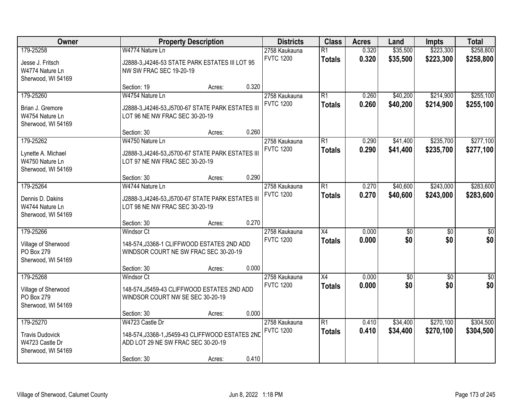| Owner                                                                        | <b>Property Description</b>                                                                                              | <b>Districts</b> | <b>Class</b> | <b>Acres</b>                      | Land                             | Impts          | <b>Total</b>         |                        |                         |
|------------------------------------------------------------------------------|--------------------------------------------------------------------------------------------------------------------------|------------------|--------------|-----------------------------------|----------------------------------|----------------|----------------------|------------------------|-------------------------|
| 179-25258<br>Jesse J. Fritsch<br>W4774 Nature Ln<br>Sherwood, WI 54169       | W4774 Nature Ln<br>J2888-3, J4246-53 STATE PARK ESTATES III LOT 95<br><b>NW SW FRAC SEC 19-20-19</b>                     |                  |              | 2758 Kaukauna<br><b>FVTC 1200</b> | $\overline{R1}$<br><b>Totals</b> | 0.320<br>0.320 | \$35,500<br>\$35,500 | \$223,300<br>\$223,300 | \$258,800<br>\$258,800  |
|                                                                              | Section: 19                                                                                                              | Acres:           | 0.320        |                                   |                                  |                |                      |                        |                         |
| 179-25260<br>Brian J. Gremore<br>W4754 Nature Ln<br>Sherwood, WI 54169       | W4754 Nature Ln<br>J2888-3, J4246-53, J5700-67 STATE PARK ESTATES III<br>LOT 96 NE NW FRAC SEC 30-20-19                  |                  |              | 2758 Kaukauna<br><b>FVTC 1200</b> | $\overline{R1}$<br><b>Totals</b> | 0.260<br>0.260 | \$40,200<br>\$40,200 | \$214,900<br>\$214,900 | \$255,100<br>\$255,100  |
|                                                                              | Section: 30                                                                                                              | Acres:           | 0.260        |                                   |                                  |                |                      |                        |                         |
| 179-25262<br>Lynette A. Michael<br>W4750 Nature Ln<br>Sherwood, WI 54169     | W4750 Nature Ln<br>J2888-3, J4246-53, J5700-67 STATE PARK ESTATES III<br>LOT 97 NE NW FRAC SEC 30-20-19                  |                  |              | 2758 Kaukauna<br><b>FVTC 1200</b> | $\overline{R1}$<br><b>Totals</b> | 0.290<br>0.290 | \$41,400<br>\$41,400 | \$235,700<br>\$235,700 | \$277,100<br>\$277,100  |
|                                                                              | Section: 30                                                                                                              | Acres:           | 0.290        |                                   |                                  |                |                      |                        |                         |
| 179-25264<br>Dennis D. Dakins<br>W4744 Nature Ln<br>Sherwood, WI 54169       | W4744 Nature Ln<br>J2888-3, J4246-53, J5700-67 STATE PARK ESTATES III<br>LOT 98 NE NW FRAC SEC 30-20-19                  |                  |              | 2758 Kaukauna<br><b>FVTC 1200</b> | $\overline{R1}$<br><b>Totals</b> | 0.270<br>0.270 | \$40,600<br>\$40,600 | \$243,000<br>\$243,000 | \$283,600<br>\$283,600  |
|                                                                              | Section: 30                                                                                                              | Acres:           | 0.270        |                                   |                                  |                |                      |                        |                         |
| 179-25266<br>Village of Sherwood<br>PO Box 279<br>Sherwood, WI 54169         | <b>Windsor Ct</b><br>148-574, J3368-1 CLIFFWOOD ESTATES 2ND ADD<br>WINDSOR COURT NE SW FRAC SEC 30-20-19                 |                  |              | 2758 Kaukauna<br><b>FVTC 1200</b> | $\overline{X4}$<br><b>Totals</b> | 0.000<br>0.000 | $\sqrt{30}$<br>\$0   | $\overline{50}$<br>\$0 | $\overline{\$0}$<br>\$0 |
|                                                                              | Section: 30                                                                                                              | Acres:           | 0.000        |                                   |                                  |                |                      |                        |                         |
| 179-25268<br>Village of Sherwood<br>PO Box 279<br>Sherwood, WI 54169         | <b>Windsor Ct</b><br>148-574, J5459-43 CLIFFWOOD ESTATES 2ND ADD<br>WINDSOR COURT NW SE SEC 30-20-19                     |                  |              | 2758 Kaukauna<br><b>FVTC 1200</b> | $\overline{X4}$<br><b>Totals</b> | 0.000<br>0.000 | \$0<br>\$0           | $\overline{50}$<br>\$0 | $\overline{50}$<br>\$0  |
|                                                                              | Section: 30                                                                                                              | Acres:           | 0.000        |                                   |                                  |                |                      |                        |                         |
| 179-25270<br><b>Travis Dudovick</b><br>W4723 Castle Dr<br>Sherwood, WI 54169 | W4723 Castle Dr<br>148-574, J3368-1, J5459-43 CLIFFWOOD ESTATES 2ND<br>ADD LOT 29 NE SW FRAC SEC 30-20-19<br>Section: 30 | Acres:           | 0.410        | 2758 Kaukauna<br><b>FVTC 1200</b> | $\overline{R1}$<br><b>Totals</b> | 0.410<br>0.410 | \$34,400<br>\$34,400 | \$270,100<br>\$270,100 | \$304,500<br>\$304,500  |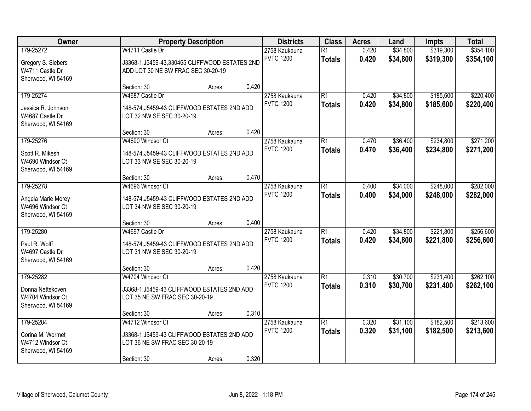| Owner                                                                     | <b>Property Description</b>                                                                                      |        |       | <b>Districts</b>                  | <b>Class</b>                     | <b>Acres</b>   | Land                 | Impts                  | <b>Total</b>           |
|---------------------------------------------------------------------------|------------------------------------------------------------------------------------------------------------------|--------|-------|-----------------------------------|----------------------------------|----------------|----------------------|------------------------|------------------------|
| 179-25272<br>Gregory S. Siebers<br>W4711 Castle Dr<br>Sherwood, WI 54169  | W4711 Castle Dr<br>J3368-1, J5459-43, 330465 CLIFFWOOD ESTATES 2ND<br>ADD LOT 30 NE SW FRAC SEC 30-20-19         |        |       | 2758 Kaukauna<br><b>FVTC 1200</b> | $\overline{R1}$<br><b>Totals</b> | 0.420<br>0.420 | \$34,800<br>\$34,800 | \$319,300<br>\$319,300 | \$354,100<br>\$354,100 |
|                                                                           | Section: 30                                                                                                      | Acres: | 0.420 |                                   |                                  |                |                      |                        |                        |
| 179-25274<br>Jessica R. Johnson<br>W4687 Castle Dr<br>Sherwood, WI 54169  | W4687 Castle Dr<br>148-574, J5459-43 CLIFFWOOD ESTATES 2ND ADD<br>LOT 32 NW SE SEC 30-20-19                      |        |       | 2758 Kaukauna<br><b>FVTC 1200</b> | $\overline{R1}$<br><b>Totals</b> | 0.420<br>0.420 | \$34,800<br>\$34,800 | \$185,600<br>\$185,600 | \$220,400<br>\$220,400 |
|                                                                           | Section: 30                                                                                                      | Acres: | 0.420 |                                   |                                  |                |                      |                        |                        |
| 179-25276<br>Scott R. Mikesh<br>W4690 Windsor Ct<br>Sherwood, WI 54169    | W4690 Windsor Ct<br>148-574, J5459-43 CLIFFWOOD ESTATES 2ND ADD<br>LOT 33 NW SE SEC 30-20-19                     |        |       | 2758 Kaukauna<br><b>FVTC 1200</b> | $\overline{R1}$<br><b>Totals</b> | 0.470<br>0.470 | \$36,400<br>\$36,400 | \$234,800<br>\$234,800 | \$271,200<br>\$271,200 |
|                                                                           | Section: 30                                                                                                      | Acres: | 0.470 |                                   |                                  |                |                      |                        |                        |
| 179-25278<br>Angela Marie Morey<br>W4696 Windsor Ct<br>Sherwood, WI 54169 | W4696 Windsor Ct<br>148-574, J5459-43 CLIFFWOOD ESTATES 2ND ADD<br>LOT 34 NW SE SEC 30-20-19                     |        |       | 2758 Kaukauna<br><b>FVTC 1200</b> | $\overline{R1}$<br><b>Totals</b> | 0.400<br>0.400 | \$34,000<br>\$34,000 | \$248,000<br>\$248,000 | \$282,000<br>\$282,000 |
|                                                                           | Section: 30                                                                                                      | Acres: | 0.400 |                                   |                                  |                |                      |                        |                        |
| 179-25280<br>Paul R. Wolff<br>W4697 Castle Dr<br>Sherwood, WI 54169       | W4697 Castle Dr<br>148-574, J5459-43 CLIFFWOOD ESTATES 2ND ADD<br>LOT 31 NW SE SEC 30-20-19                      |        |       | 2758 Kaukauna<br><b>FVTC 1200</b> | $\overline{R1}$<br><b>Totals</b> | 0.420<br>0.420 | \$34,800<br>\$34,800 | \$221,800<br>\$221,800 | \$256,600<br>\$256,600 |
|                                                                           | Section: 30                                                                                                      | Acres: | 0.420 |                                   |                                  |                |                      |                        |                        |
| 179-25282<br>Donna Nettekoven<br>W4704 Windsor Ct<br>Sherwood, WI 54169   | W4704 Windsor Ct<br>J3368-1, J5459-43 CLIFFWOOD ESTATES 2ND ADD<br>LOT 35 NE SW FRAC SEC 30-20-19                |        |       | 2758 Kaukauna<br><b>FVTC 1200</b> | $\overline{R1}$<br><b>Totals</b> | 0.310<br>0.310 | \$30,700<br>\$30,700 | \$231,400<br>\$231,400 | \$262,100<br>\$262,100 |
|                                                                           | Section: 30                                                                                                      | Acres: | 0.310 |                                   |                                  |                |                      |                        |                        |
| 179-25284<br>Corina M. Wormet<br>W4712 Windsor Ct<br>Sherwood, WI 54169   | W4712 Windsor Ct<br>J3368-1, J5459-43 CLIFFWOOD ESTATES 2ND ADD<br>LOT 36 NE SW FRAC SEC 30-20-19<br>Section: 30 | Acres: | 0.320 | 2758 Kaukauna<br><b>FVTC 1200</b> | $\overline{R1}$<br><b>Totals</b> | 0.320<br>0.320 | \$31,100<br>\$31,100 | \$182,500<br>\$182,500 | \$213,600<br>\$213,600 |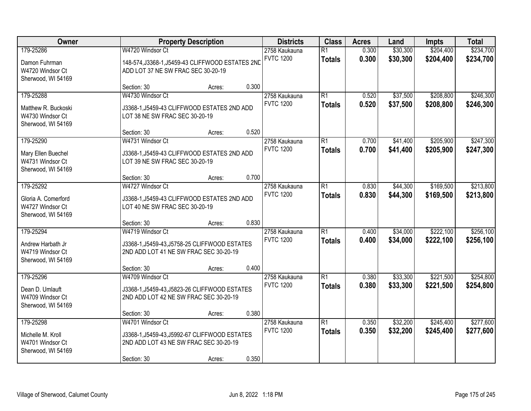| Owner                                                                      | <b>Property Description</b>                                                                                                |        | <b>Districts</b> | <b>Class</b>                      | <b>Acres</b>                     | Land           | Impts                | <b>Total</b>           |                        |
|----------------------------------------------------------------------------|----------------------------------------------------------------------------------------------------------------------------|--------|------------------|-----------------------------------|----------------------------------|----------------|----------------------|------------------------|------------------------|
| 179-25286<br>Damon Fuhrman<br>W4720 Windsor Ct<br>Sherwood, WI 54169       | W4720 Windsor Ct<br>148-574, J3368-1, J5459-43 CLIFFWOOD ESTATES 2ND<br>ADD LOT 37 NE SW FRAC SEC 30-20-19                 |        |                  | 2758 Kaukauna<br><b>FVTC 1200</b> | $\overline{R1}$<br><b>Totals</b> | 0.300<br>0.300 | \$30,300<br>\$30,300 | \$204,400<br>\$204,400 | \$234,700<br>\$234,700 |
|                                                                            | Section: 30                                                                                                                | Acres: | 0.300            |                                   |                                  |                |                      |                        |                        |
| 179-25288<br>Matthew R. Buckoski<br>W4730 Windsor Ct<br>Sherwood, WI 54169 | W4730 Windsor Ct<br>J3368-1, J5459-43 CLIFFWOOD ESTATES 2ND ADD<br>LOT 38 NE SW FRAC SEC 30-20-19                          |        |                  | 2758 Kaukauna<br><b>FVTC 1200</b> | $\overline{R1}$<br><b>Totals</b> | 0.520<br>0.520 | \$37,500<br>\$37,500 | \$208,800<br>\$208,800 | \$246,300<br>\$246,300 |
|                                                                            | Section: 30                                                                                                                | Acres: | 0.520            |                                   |                                  |                |                      |                        |                        |
| 179-25290<br>Mary Ellen Buechel<br>W4731 Windsor Ct<br>Sherwood, WI 54169  | W4731 Windsor Ct<br>J3368-1, J5459-43 CLIFFWOOD ESTATES 2ND ADD<br>LOT 39 NE SW FRAC SEC 30-20-19                          |        |                  | 2758 Kaukauna<br><b>FVTC 1200</b> | $\overline{R1}$<br><b>Totals</b> | 0.700<br>0.700 | \$41,400<br>\$41,400 | \$205,900<br>\$205,900 | \$247,300<br>\$247,300 |
|                                                                            | Section: 30                                                                                                                | Acres: | 0.700            |                                   |                                  |                |                      |                        |                        |
| 179-25292<br>Gloria A. Comerford<br>W4727 Windsor Ct<br>Sherwood, WI 54169 | W4727 Windsor Ct<br>J3368-1, J5459-43 CLIFFWOOD ESTATES 2ND ADD<br>LOT 40 NE SW FRAC SEC 30-20-19                          |        |                  | 2758 Kaukauna<br><b>FVTC 1200</b> | $\overline{R1}$<br><b>Totals</b> | 0.830<br>0.830 | \$44,300<br>\$44,300 | \$169,500<br>\$169,500 | \$213,800<br>\$213,800 |
|                                                                            | Section: 30                                                                                                                | Acres: | 0.830            |                                   |                                  |                |                      |                        |                        |
| 179-25294<br>Andrew Harbath Jr<br>W4719 Windsor Ct<br>Sherwood, WI 54169   | W4719 Windsor Ct<br>J3368-1, J5459-43, J5758-25 CLIFFWOOD ESTATES<br>2ND ADD LOT 41 NE SW FRAC SEC 30-20-19                |        |                  | 2758 Kaukauna<br><b>FVTC 1200</b> | $\overline{R1}$<br><b>Totals</b> | 0.400<br>0.400 | \$34,000<br>\$34,000 | \$222,100<br>\$222,100 | \$256,100<br>\$256,100 |
|                                                                            | Section: 30                                                                                                                | Acres: | 0.400            |                                   |                                  |                |                      |                        |                        |
| 179-25296<br>Dean D. Umlauft<br>W4709 Windsor Ct<br>Sherwood, WI 54169     | W4709 Windsor Ct<br>J3368-1, J5459-43, J5823-26 CLIFFWOOD ESTATES<br>2ND ADD LOT 42 NE SW FRAC SEC 30-20-19                |        |                  | 2758 Kaukauna<br><b>FVTC 1200</b> | $\overline{R1}$<br><b>Totals</b> | 0.380<br>0.380 | \$33,300<br>\$33,300 | \$221,500<br>\$221,500 | \$254,800<br>\$254,800 |
|                                                                            | Section: 30                                                                                                                | Acres: | 0.380            |                                   |                                  |                |                      |                        |                        |
| 179-25298<br>Michelle M. Kroll<br>W4701 Windsor Ct<br>Sherwood, WI 54169   | W4701 Windsor Ct<br>J3368-1, J5459-43, J5992-67 CLIFFWOOD ESTATES<br>2ND ADD LOT 43 NE SW FRAC SEC 30-20-19<br>Section: 30 | Acres: | 0.350            | 2758 Kaukauna<br><b>FVTC 1200</b> | $\overline{R1}$<br><b>Totals</b> | 0.350<br>0.350 | \$32,200<br>\$32,200 | \$245,400<br>\$245,400 | \$277,600<br>\$277,600 |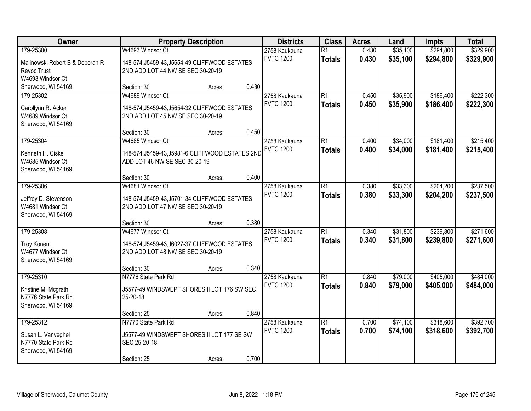| Owner                           | <b>Property Description</b>                      |        | <b>Districts</b> | <b>Class</b>     | <b>Acres</b>    | Land  | <b>Impts</b> | <b>Total</b> |           |
|---------------------------------|--------------------------------------------------|--------|------------------|------------------|-----------------|-------|--------------|--------------|-----------|
| 179-25300                       | W4693 Windsor Ct                                 |        |                  | 2758 Kaukauna    | $\overline{R1}$ | 0.430 | \$35,100     | \$294,800    | \$329,900 |
| Malinowski Robert B & Deborah R | 148-574, J5459-43, J5654-49 CLIFFWOOD ESTATES    |        |                  | <b>FVTC 1200</b> | <b>Totals</b>   | 0.430 | \$35,100     | \$294,800    | \$329,900 |
| Revoc Trust                     | 2ND ADD LOT 44 NW SE SEC 30-20-19                |        |                  |                  |                 |       |              |              |           |
| W4693 Windsor Ct                |                                                  |        |                  |                  |                 |       |              |              |           |
| Sherwood, WI 54169              | Section: 30                                      | Acres: | 0.430            |                  |                 |       |              |              |           |
| 179-25302                       | W4689 Windsor Ct                                 |        |                  | 2758 Kaukauna    | R1              | 0.450 | \$35,900     | \$186,400    | \$222,300 |
| Carollynn R. Acker              | 148-574, J5459-43, J5654-32 CLIFFWOOD ESTATES    |        |                  | <b>FVTC 1200</b> | <b>Totals</b>   | 0.450 | \$35,900     | \$186,400    | \$222,300 |
| W4689 Windsor Ct                | 2ND ADD LOT 45 NW SE SEC 30-20-19                |        |                  |                  |                 |       |              |              |           |
| Sherwood, WI 54169              |                                                  |        |                  |                  |                 |       |              |              |           |
|                                 | Section: 30                                      | Acres: | 0.450            |                  |                 |       |              |              |           |
| 179-25304                       | W4685 Windsor Ct                                 |        |                  | 2758 Kaukauna    | R1              | 0.400 | \$34,000     | \$181,400    | \$215,400 |
| Kenneth H. Ciske                | 148-574, J5459-43, J5981-6 CLIFFWOOD ESTATES 2ND |        |                  | <b>FVTC 1200</b> | <b>Totals</b>   | 0.400 | \$34,000     | \$181,400    | \$215,400 |
| W4685 Windsor Ct                | ADD LOT 46 NW SE SEC 30-20-19                    |        |                  |                  |                 |       |              |              |           |
| Sherwood, WI 54169              |                                                  |        |                  |                  |                 |       |              |              |           |
|                                 | Section: 30                                      | Acres: | 0.400            |                  |                 |       |              |              |           |
| 179-25306                       | W4681 Windsor Ct                                 |        |                  | 2758 Kaukauna    | R1              | 0.380 | \$33,300     | \$204,200    | \$237,500 |
| Jeffrey D. Stevenson            | 148-574, J5459-43, J5701-34 CLIFFWOOD ESTATES    |        |                  | <b>FVTC 1200</b> | <b>Totals</b>   | 0.380 | \$33,300     | \$204,200    | \$237,500 |
| W4681 Windsor Ct                | 2ND ADD LOT 47 NW SE SEC 30-20-19                |        |                  |                  |                 |       |              |              |           |
| Sherwood, WI 54169              |                                                  |        |                  |                  |                 |       |              |              |           |
|                                 | Section: 30                                      | Acres: | 0.380            |                  |                 |       |              |              |           |
| 179-25308                       | W4677 Windsor Ct                                 |        |                  | 2758 Kaukauna    | $\overline{R1}$ | 0.340 | \$31,800     | \$239,800    | \$271,600 |
| Troy Konen                      | 148-574, J5459-43, J6027-37 CLIFFWOOD ESTATES    |        |                  | <b>FVTC 1200</b> | <b>Totals</b>   | 0.340 | \$31,800     | \$239,800    | \$271,600 |
| W4677 Windsor Ct                | 2ND ADD LOT 48 NW SE SEC 30-20-19                |        |                  |                  |                 |       |              |              |           |
| Sherwood, WI 54169              |                                                  |        |                  |                  |                 |       |              |              |           |
|                                 | Section: 30                                      | Acres: | 0.340            |                  |                 |       |              |              |           |
| 179-25310                       | N7776 State Park Rd                              |        |                  | 2758 Kaukauna    | R1              | 0.840 | \$79,000     | \$405,000    | \$484,000 |
| Kristine M. Mcgrath             | J5577-49 WINDSWEPT SHORES II LOT 176 SW SEC      |        |                  | <b>FVTC 1200</b> | <b>Totals</b>   | 0.840 | \$79,000     | \$405,000    | \$484,000 |
| N7776 State Park Rd             | 25-20-18                                         |        |                  |                  |                 |       |              |              |           |
| Sherwood, WI 54169              |                                                  |        |                  |                  |                 |       |              |              |           |
|                                 | Section: 25                                      | Acres: | 0.840            |                  |                 |       |              |              |           |
| 179-25312                       | N7770 State Park Rd                              |        |                  | 2758 Kaukauna    | R1              | 0.700 | \$74,100     | \$318,600    | \$392,700 |
| Susan L. Vanveghel              | J5577-49 WINDSWEPT SHORES II LOT 177 SE SW       |        |                  | <b>FVTC 1200</b> | <b>Totals</b>   | 0.700 | \$74,100     | \$318,600    | \$392,700 |
| N7770 State Park Rd             | SEC 25-20-18                                     |        |                  |                  |                 |       |              |              |           |
| Sherwood, WI 54169              |                                                  |        |                  |                  |                 |       |              |              |           |
|                                 | Section: 25                                      | Acres: | 0.700            |                  |                 |       |              |              |           |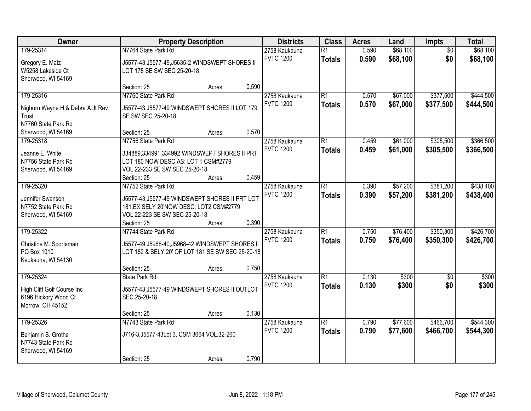| Owner                                   |                                                                                           | <b>Property Description</b> |       | <b>Districts</b> | <b>Class</b>    | <b>Acres</b> | Land     | <b>Impts</b>    | <b>Total</b> |
|-----------------------------------------|-------------------------------------------------------------------------------------------|-----------------------------|-------|------------------|-----------------|--------------|----------|-----------------|--------------|
| 179-25314                               | N7764 State Park Rd                                                                       |                             |       | 2758 Kaukauna    | $\overline{R1}$ | 0.590        | \$68,100 | $\overline{50}$ | \$68,100     |
| Gregory E. Matz                         | J5577-43, J5577-49, J5635-2 WINDSWEPT SHORES II                                           |                             |       | <b>FVTC 1200</b> | <b>Totals</b>   | 0.590        | \$68,100 | \$0             | \$68,100     |
| W5258 Lakeside Ct                       | LOT 178 SE SW SEC 25-20-18                                                                |                             |       |                  |                 |              |          |                 |              |
| Sherwood, WI 54169                      |                                                                                           |                             |       |                  |                 |              |          |                 |              |
|                                         | Section: 25                                                                               | Acres:                      | 0.590 |                  |                 |              |          |                 |              |
| 179-25316                               | N7760 State Park Rd                                                                       |                             |       | 2758 Kaukauna    | $\overline{R1}$ | 0.570        | \$67,000 | \$377,500       | \$444,500    |
| Nighorn Wayne H & Debra A Jt Rev        | J5577-43, J5577-49 WINDSWEPT SHORES II LOT 179                                            |                             |       | <b>FVTC 1200</b> | <b>Totals</b>   | 0.570        | \$67,000 | \$377,500       | \$444,500    |
| Trust                                   | SE SW SEC 25-20-18                                                                        |                             |       |                  |                 |              |          |                 |              |
| N7760 State Park Rd                     |                                                                                           |                             |       |                  |                 |              |          |                 |              |
| Sherwood, WI 54169                      | Section: 25                                                                               | Acres:                      | 0.570 |                  |                 |              |          |                 |              |
| 179-25318                               | N7756 State Park Rd                                                                       |                             |       | 2758 Kaukauna    | $\overline{R1}$ | 0.459        | \$61,000 | \$305,500       | \$366,500    |
| Jeanne E. White                         | 334889,334991,334992 WINDSWEPT SHORES II PRT                                              |                             |       | <b>FVTC 1200</b> | <b>Totals</b>   | 0.459        | \$61,000 | \$305,500       | \$366,500    |
| N7756 State Park Rd                     | LOT 180 NOW DESC AS: LOT 1 CSM#2779                                                       |                             |       |                  |                 |              |          |                 |              |
| Sherwood, WI 54169                      | VOL.22-233 SE SW SEC 25-20-18                                                             |                             |       |                  |                 |              |          |                 |              |
|                                         | Section: 25                                                                               | Acres:                      | 0.459 |                  |                 |              |          |                 |              |
| 179-25320                               | N7752 State Park Rd                                                                       |                             |       | 2758 Kaukauna    | $\overline{R1}$ | 0.390        | \$57,200 | \$381,200       | \$438,400    |
|                                         |                                                                                           |                             |       | <b>FVTC 1200</b> | <b>Totals</b>   | 0.390        | \$57,200 | \$381,200       | \$438,400    |
| Jennifer Swanson<br>N7752 State Park Rd | J5577-43, J5577-49 WINDSWEPT SHORES II PRT LOT<br>181, EX SELY 20'NOW DESC: LOT2 CSM#2779 |                             |       |                  |                 |              |          |                 |              |
| Sherwood, WI 54169                      | VOL.22-223 SE SW SEC 25-20-18                                                             |                             |       |                  |                 |              |          |                 |              |
|                                         | Section: 25                                                                               | Acres:                      | 0.390 |                  |                 |              |          |                 |              |
| 179-25322                               | N7744 State Park Rd                                                                       |                             |       | 2758 Kaukauna    | $\overline{R1}$ | 0.750        | \$76,400 | \$350,300       | \$426,700    |
|                                         |                                                                                           |                             |       | <b>FVTC 1200</b> | <b>Totals</b>   | 0.750        | \$76,400 | \$350,300       | \$426,700    |
| Christine M. Sportsman                  | J5577-49, J5968-40, J5968-42 WINDSWEPT SHORES II                                          |                             |       |                  |                 |              |          |                 |              |
| PO Box 1010<br>Kaukauna, WI 54130       | LOT 182 & SELY 20' OF LOT 181 SE SW SEC 25-20-18                                          |                             |       |                  |                 |              |          |                 |              |
|                                         | Section: 25                                                                               | Acres:                      | 0.750 |                  |                 |              |          |                 |              |
| 179-25324                               | State Park Rd                                                                             |                             |       | 2758 Kaukauna    | $\overline{R1}$ | 0.130        | \$300    | $\overline{50}$ | \$300        |
|                                         |                                                                                           |                             |       | <b>FVTC 1200</b> | <b>Totals</b>   | 0.130        | \$300    | \$0             | \$300        |
| High Cliff Golf Course Inc              | J5577-43, J5577-49 WINDSWEPT SHORES II OUTLOT                                             |                             |       |                  |                 |              |          |                 |              |
| 6196 Hickory Wood Ct                    | SEC 25-20-18                                                                              |                             |       |                  |                 |              |          |                 |              |
| Morrow, OH 45152                        |                                                                                           |                             | 0.130 |                  |                 |              |          |                 |              |
| 179-25326                               | Section: 25<br>N7743 State Park Rd                                                        | Acres:                      |       | 2758 Kaukauna    | $\overline{R1}$ | 0.790        | \$77,600 | \$466,700       | \$544,300    |
|                                         |                                                                                           |                             |       | <b>FVTC 1200</b> |                 | 0.790        | \$77,600 | \$466,700       | \$544,300    |
| Benjamin S. Grothe                      | J716-3, J5577-43Lot 3, CSM 3664 VOL.32-260                                                |                             |       |                  | <b>Totals</b>   |              |          |                 |              |
| N7743 State Park Rd                     |                                                                                           |                             |       |                  |                 |              |          |                 |              |
| Sherwood, WI 54169                      |                                                                                           |                             |       |                  |                 |              |          |                 |              |
|                                         | Section: 25                                                                               | Acres:                      | 0.790 |                  |                 |              |          |                 |              |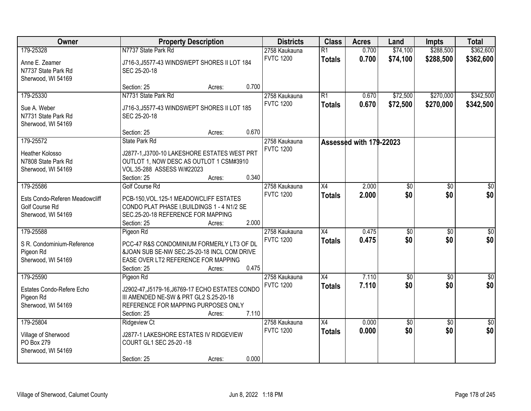| Owner                                                                  |                                                                                                                                                 | <b>Property Description</b> |       | <b>Districts</b> | <b>Class</b>    | <b>Acres</b>            | Land       | <b>Impts</b>    | <b>Total</b>    |
|------------------------------------------------------------------------|-------------------------------------------------------------------------------------------------------------------------------------------------|-----------------------------|-------|------------------|-----------------|-------------------------|------------|-----------------|-----------------|
| 179-25328                                                              | N7737 State Park Rd                                                                                                                             |                             |       | 2758 Kaukauna    | $\overline{R1}$ | 0.700                   | \$74,100   | \$288,500       | \$362,600       |
| Anne E. Zeamer<br>N7737 State Park Rd<br>Sherwood, WI 54169            | J716-3, J5577-43 WINDSWEPT SHORES II LOT 184<br>SEC 25-20-18                                                                                    |                             |       | <b>FVTC 1200</b> | <b>Totals</b>   | 0.700                   | \$74,100   | \$288,500       | \$362,600       |
|                                                                        | Section: 25                                                                                                                                     | Acres:                      | 0.700 |                  |                 |                         |            |                 |                 |
| 179-25330                                                              | N7731 State Park Rd                                                                                                                             |                             |       | 2758 Kaukauna    | $\overline{R1}$ | 0.670                   | \$72,500   | \$270,000       | \$342,500       |
| Sue A. Weber<br>N7731 State Park Rd<br>Sherwood, WI 54169              | J716-3, J5577-43 WINDSWEPT SHORES II LOT 185<br>SEC 25-20-18                                                                                    |                             |       | <b>FVTC 1200</b> | <b>Totals</b>   | 0.670                   | \$72,500   | \$270,000       | \$342,500       |
|                                                                        | Section: 25                                                                                                                                     | Acres:                      | 0.670 |                  |                 |                         |            |                 |                 |
| 179-25572                                                              | <b>State Park Rd</b>                                                                                                                            |                             |       | 2758 Kaukauna    |                 | Assessed with 179-22023 |            |                 |                 |
| <b>Heather Kolosso</b><br>N7808 State Park Rd<br>Sherwood, WI 54169    | J2877-1, J3700-10 LAKESHORE ESTATES WEST PRT<br>OUTLOT 1, NOW DESC AS OUTLOT 1 CSM#3910<br>VOL.35-288 ASSESS W/#22023<br>Section: 25            | Acres:                      | 0.340 | <b>FVTC 1200</b> |                 |                         |            |                 |                 |
| 179-25586                                                              | Golf Course Rd                                                                                                                                  |                             |       | 2758 Kaukauna    | $\overline{X4}$ | 2.000                   | \$0        | $\overline{30}$ | $\overline{50}$ |
| Ests Condo-Referen Meadowcliff<br>Golf Course Rd<br>Sherwood, WI 54169 | PCB-150, VOL. 125-1 MEADOWCLIFF ESTATES<br>CONDO PLAT PHASE I, BUILDINGS 1 - 4 N1/2 SE<br>SEC.25-20-18 REFERENCE FOR MAPPING<br>Section: 25     | Acres:                      | 2.000 | <b>FVTC 1200</b> | <b>Totals</b>   | 2.000                   | \$0        | \$0             | \$0             |
| 179-25588                                                              | Pigeon Rd                                                                                                                                       |                             |       | 2758 Kaukauna    | X4              | 0.475                   | \$0        | $\overline{50}$ | \$0             |
| S R. Condominium-Reference<br>Pigeon Rd<br>Sherwood, WI 54169          | PCC-47 R&S CONDOMINIUM FORMERLY LT3 OF DL<br>&JOAN SUB SE-NW SEC.25-20-18 INCL COM DRIVE<br>EASE OVER LT2 REFERENCE FOR MAPPING<br>Section: 25  | Acres:                      | 0.475 | <b>FVTC 1200</b> | <b>Totals</b>   | 0.475                   | \$0        | \$0             | \$0             |
| 179-25590                                                              | Pigeon Rd                                                                                                                                       |                             |       | 2758 Kaukauna    | X4              | 7.110                   | \$0        | $\sqrt{6}$      | $\frac{6}{3}$   |
| Estates Condo-Refere Echo<br>Pigeon Rd<br>Sherwood, WI 54169           | J2902-47, J5179-16, J6769-17 ECHO ESTATES CONDO<br>III AMENDED NE-SW & PRT GL2 S.25-20-18<br>REFERENCE FOR MAPPING PURPOSES ONLY<br>Section: 25 | Acres:                      | 7.110 | <b>FVTC 1200</b> | <b>Totals</b>   | 7.110                   | \$0        | \$0             | \$0             |
| 179-25804                                                              | <b>Ridgeview Ct</b>                                                                                                                             |                             |       | 2758 Kaukauna    | $\overline{X4}$ | 0.000                   | $\sqrt{6}$ | $\overline{50}$ | $\overline{50}$ |
| Village of Sherwood<br>PO Box 279<br>Sherwood, WI 54169                | J2877-1 LAKESHORE ESTATES IV RIDGEVIEW<br>COURT GL1 SEC 25-20 -18<br>Section: 25                                                                | Acres:                      | 0.000 | <b>FVTC 1200</b> | <b>Totals</b>   | 0.000                   | \$0        | \$0             | \$0             |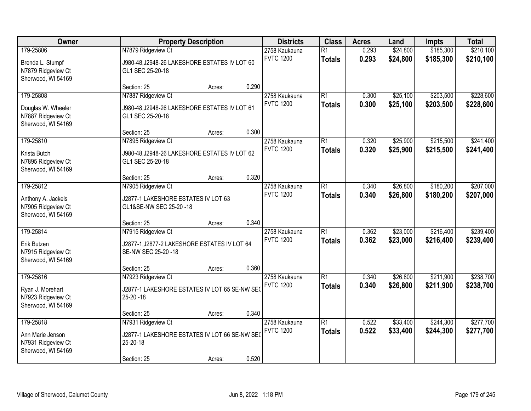| Owner                                                                       | <b>Property Description</b>                                                                    |        |       | <b>Districts</b>                  | <b>Class</b>                     | <b>Acres</b>   | Land                 | <b>Impts</b>           | <b>Total</b>           |
|-----------------------------------------------------------------------------|------------------------------------------------------------------------------------------------|--------|-------|-----------------------------------|----------------------------------|----------------|----------------------|------------------------|------------------------|
| 179-25806<br>Brenda L. Stumpf<br>N7879 Ridgeview Ct<br>Sherwood, WI 54169   | N7879 Ridgeview Ct<br>J980-48, J2948-26 LAKESHORE ESTATES IV LOT 60<br>GL1 SEC 25-20-18        |        |       | 2758 Kaukauna<br><b>FVTC 1200</b> | $\overline{R1}$<br><b>Totals</b> | 0.293<br>0.293 | \$24,800<br>\$24,800 | \$185,300<br>\$185,300 | \$210,100<br>\$210,100 |
|                                                                             | Section: 25                                                                                    | Acres: | 0.290 |                                   |                                  |                |                      |                        |                        |
| 179-25808<br>Douglas W. Wheeler<br>N7887 Ridgeview Ct<br>Sherwood, WI 54169 | N7887 Ridgeview Ct<br>J980-48, J2948-26 LAKESHORE ESTATES IV LOT 61<br>GL1 SEC 25-20-18        |        |       | 2758 Kaukauna<br><b>FVTC 1200</b> | $\overline{R1}$<br><b>Totals</b> | 0.300<br>0.300 | \$25,100<br>\$25,100 | \$203,500<br>\$203,500 | \$228,600<br>\$228,600 |
|                                                                             | Section: 25                                                                                    | Acres: | 0.300 |                                   |                                  |                |                      |                        |                        |
| 179-25810<br>Krista Butch<br>N7895 Ridgeview Ct<br>Sherwood, WI 54169       | N7895 Ridgeview Ct<br>J980-48, J2948-26 LAKESHORE ESTATES IV LOT 62<br>GL1 SEC 25-20-18        |        |       | 2758 Kaukauna<br><b>FVTC 1200</b> | $\overline{R1}$<br><b>Totals</b> | 0.320<br>0.320 | \$25,900<br>\$25,900 | \$215,500<br>\$215,500 | \$241,400<br>\$241,400 |
|                                                                             | Section: 25                                                                                    | Acres: | 0.320 |                                   |                                  |                |                      |                        |                        |
| 179-25812<br>Anthony A. Jackels<br>N7905 Ridgeview Ct<br>Sherwood, WI 54169 | N7905 Ridgeview Ct<br>J2877-1 LAKESHORE ESTATES IV LOT 63<br>GL1&SE-NW SEC 25-20 -18           |        |       | 2758 Kaukauna<br><b>FVTC 1200</b> | $\overline{R1}$<br><b>Totals</b> | 0.340<br>0.340 | \$26,800<br>\$26,800 | \$180,200<br>\$180,200 | \$207,000<br>\$207,000 |
|                                                                             | Section: 25                                                                                    | Acres: | 0.340 |                                   |                                  |                |                      |                        |                        |
| 179-25814<br>Erik Butzen<br>N7915 Ridgeview Ct<br>Sherwood, WI 54169        | N7915 Ridgeview Ct<br>J2877-1, J2877-2 LAKESHORE ESTATES IV LOT 64<br>SE-NW SEC 25-20 -18      |        |       | 2758 Kaukauna<br><b>FVTC 1200</b> | $\overline{R1}$<br><b>Totals</b> | 0.362<br>0.362 | \$23,000<br>\$23,000 | \$216,400<br>\$216,400 | \$239,400<br>\$239,400 |
|                                                                             | Section: 25                                                                                    | Acres: | 0.360 |                                   |                                  |                |                      |                        |                        |
| 179-25816<br>Ryan J. Morehart<br>N7923 Ridgeview Ct<br>Sherwood, WI 54169   | N7923 Ridgeview Ct<br>J2877-1 LAKESHORE ESTATES IV LOT 65 SE-NW SE(<br>25-20 - 18              |        |       | 2758 Kaukauna<br><b>FVTC 1200</b> | $\overline{R1}$<br><b>Totals</b> | 0.340<br>0.340 | \$26,800<br>\$26,800 | \$211,900<br>\$211,900 | \$238,700<br>\$238,700 |
|                                                                             | Section: 25                                                                                    | Acres: | 0.340 |                                   |                                  |                |                      |                        |                        |
| 179-25818<br>Ann Marie Jenson<br>N7931 Ridgeview Ct<br>Sherwood, WI 54169   | N7931 Ridgeview Ct<br>J2877-1 LAKESHORE ESTATES IV LOT 66 SE-NW SEO<br>25-20-18<br>Section: 25 | Acres: | 0.520 | 2758 Kaukauna<br><b>FVTC 1200</b> | $\overline{R1}$<br><b>Totals</b> | 0.522<br>0.522 | \$33,400<br>\$33,400 | \$244,300<br>\$244,300 | \$277,700<br>\$277,700 |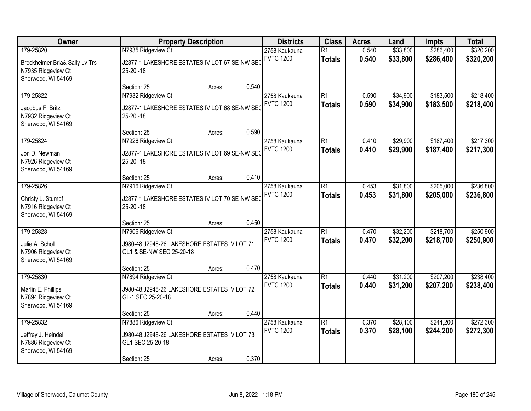| Owner                                                                                   | <b>Property Description</b>                                                                            | <b>Districts</b> | <b>Class</b> | <b>Acres</b>                      | Land                             | <b>Impts</b>   | <b>Total</b>         |                        |                        |
|-----------------------------------------------------------------------------------------|--------------------------------------------------------------------------------------------------------|------------------|--------------|-----------------------------------|----------------------------------|----------------|----------------------|------------------------|------------------------|
| 179-25820<br>Breckheimer Bria& Sally Lv Trs<br>N7935 Ridgeview Ct<br>Sherwood, WI 54169 | N7935 Ridgeview Ct<br>J2877-1 LAKESHORE ESTATES IV LOT 67 SE-NW SE(<br>$25-20 - 18$                    |                  |              | 2758 Kaukauna<br><b>FVTC 1200</b> | $\overline{R1}$<br><b>Totals</b> | 0.540<br>0.540 | \$33,800<br>\$33,800 | \$286,400<br>\$286,400 | \$320,200<br>\$320,200 |
|                                                                                         | Section: 25                                                                                            | Acres:           | 0.540        |                                   |                                  |                |                      |                        |                        |
| 179-25822<br>Jacobus F. Britz<br>N7932 Ridgeview Ct<br>Sherwood, WI 54169               | N7932 Ridgeview Ct<br>J2877-1 LAKESHORE ESTATES IV LOT 68 SE-NW SEO<br>$25-20 - 18$                    |                  |              | 2758 Kaukauna<br><b>FVTC 1200</b> | $\overline{R1}$<br><b>Totals</b> | 0.590<br>0.590 | \$34,900<br>\$34,900 | \$183,500<br>\$183,500 | \$218,400<br>\$218,400 |
|                                                                                         | Section: 25                                                                                            | Acres:           | 0.590        |                                   |                                  |                |                      |                        |                        |
| 179-25824<br>Jon D. Newman<br>N7926 Ridgeview Ct<br>Sherwood, WI 54169                  | N7926 Ridgeview Ct<br>J2877-1 LAKESHORE ESTATES IV LOT 69 SE-NW SE(<br>$25 - 20 - 18$                  |                  |              | 2758 Kaukauna<br><b>FVTC 1200</b> | $\overline{R1}$<br><b>Totals</b> | 0.410<br>0.410 | \$29,900<br>\$29,900 | \$187,400<br>\$187,400 | \$217,300<br>\$217,300 |
|                                                                                         | Section: 25                                                                                            | Acres:           | 0.410        |                                   |                                  |                |                      |                        |                        |
| 179-25826<br>Christy L. Stumpf<br>N7916 Ridgeview Ct<br>Sherwood, WI 54169              | N7916 Ridgeview Ct<br>J2877-1 LAKESHORE ESTATES IV LOT 70 SE-NW SEO<br>$25-20 - 18$                    |                  |              | 2758 Kaukauna<br><b>FVTC 1200</b> | $\overline{R1}$<br><b>Totals</b> | 0.453<br>0.453 | \$31,800<br>\$31,800 | \$205,000<br>\$205,000 | \$236,800<br>\$236,800 |
|                                                                                         | Section: 25                                                                                            | Acres:           | 0.450        |                                   |                                  |                |                      |                        |                        |
| 179-25828<br>Julie A. Scholl<br>N7906 Ridgeview Ct<br>Sherwood, WI 54169                | N7906 Ridgeview Ct<br>J980-48, J2948-26 LAKESHORE ESTATES IV LOT 71<br>GL1 & SE-NW SEC 25-20-18        |                  |              | 2758 Kaukauna<br><b>FVTC 1200</b> | $\overline{R1}$<br><b>Totals</b> | 0.470<br>0.470 | \$32,200<br>\$32,200 | \$218,700<br>\$218,700 | \$250,900<br>\$250,900 |
|                                                                                         | Section: 25                                                                                            | Acres:           | 0.470        |                                   |                                  |                |                      |                        |                        |
| 179-25830<br>Marlin E. Phillips<br>N7894 Ridgeview Ct<br>Sherwood, WI 54169             | N7894 Ridgeview Ct<br>J980-48, J2948-26 LAKESHORE ESTATES IV LOT 72<br>GL-1 SEC 25-20-18               |                  |              | 2758 Kaukauna<br><b>FVTC 1200</b> | $\overline{R1}$<br><b>Totals</b> | 0.440<br>0.440 | \$31,200<br>\$31,200 | \$207,200<br>\$207,200 | \$238,400<br>\$238,400 |
|                                                                                         | Section: 25                                                                                            | Acres:           | 0.440        |                                   |                                  |                |                      |                        |                        |
| 179-25832<br>Jeffrey J. Heindel<br>N7886 Ridgeview Ct<br>Sherwood, WI 54169             | N7886 Ridgeview Ct<br>J980-48, J2948-26 LAKESHORE ESTATES IV LOT 73<br>GL1 SEC 25-20-18<br>Section: 25 | Acres:           | 0.370        | 2758 Kaukauna<br><b>FVTC 1200</b> | $\overline{R1}$<br><b>Totals</b> | 0.370<br>0.370 | \$28,100<br>\$28,100 | \$244,200<br>\$244,200 | \$272,300<br>\$272,300 |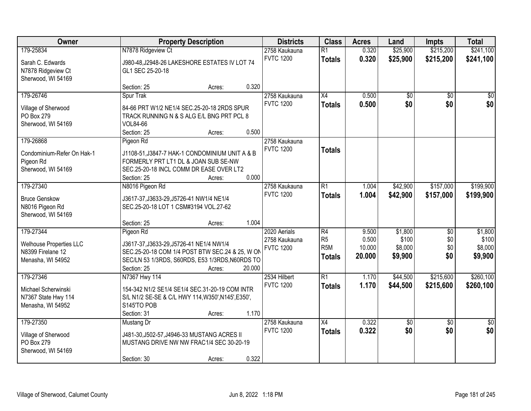| Owner                                                                     |                                                                                   | <b>Property Description</b>                                                                                    |        | <b>Districts</b>                  | <b>Class</b>                                        | <b>Acres</b>              | Land                        | Impts                  | <b>Total</b>                |
|---------------------------------------------------------------------------|-----------------------------------------------------------------------------------|----------------------------------------------------------------------------------------------------------------|--------|-----------------------------------|-----------------------------------------------------|---------------------------|-----------------------------|------------------------|-----------------------------|
| 179-25834<br>Sarah C. Edwards<br>N7878 Ridgeview Ct<br>Sherwood, WI 54169 | N7878 Ridgeview Ct<br>GL1 SEC 25-20-18                                            | J980-48, J2948-26 LAKESHORE ESTATES IV LOT 74                                                                  |        | 2758 Kaukauna<br><b>FVTC 1200</b> | $\overline{R1}$<br><b>Totals</b>                    | 0.320<br>0.320            | \$25,900<br>\$25,900        | \$215,200<br>\$215,200 | \$241,100<br>\$241,100      |
|                                                                           | Section: 25                                                                       | Acres:                                                                                                         | 0.320  |                                   |                                                     |                           |                             |                        |                             |
| 179-26746<br>Village of Sherwood<br>PO Box 279<br>Sherwood, WI 54169      | Spur Trak<br>VOL84-66<br>Section: 25                                              | 84-66 PRT W1/2 NE1/4 SEC.25-20-18 2RDS SPUR<br>TRACK RUNNING N & S ALG E/L BNG PRT PCL 8<br>Acres:             | 0.500  | 2758 Kaukauna<br><b>FVTC 1200</b> | $\overline{X4}$<br><b>Totals</b>                    | 0.500<br>0.500            | \$0<br>\$0                  | $\overline{50}$<br>\$0 | $\overline{50}$<br>\$0      |
| 179-26868                                                                 | Pigeon Rd                                                                         |                                                                                                                |        | 2758 Kaukauna                     |                                                     |                           |                             |                        |                             |
| Condominium-Refer On Hak-1<br>Pigeon Rd<br>Sherwood, WI 54169             | FORMERLY PRT LT1 DL & JOAN SUB SE-NW<br>Section: 25                               | J1108-51, J3847-7 HAK-1 CONDOMINIUM UNIT A & B<br>SEC.25-20-18 INCL COMM DR EASE OVER LT2<br>Acres:            | 0.000  | <b>FVTC 1200</b>                  | <b>Totals</b>                                       |                           |                             |                        |                             |
| 179-27340                                                                 | N8016 Pigeon Rd                                                                   |                                                                                                                |        | 2758 Kaukauna                     | $\overline{R1}$                                     | 1.004                     | \$42,900                    | \$157,000              | \$199,900                   |
| <b>Bruce Genskow</b><br>N8016 Pigeon Rd<br>Sherwood, WI 54169             | J3617-37, J3633-29, J5726-41 NW1/4 NE1/4<br>SEC.25-20-18 LOT 1 CSM#3194 VOL.27-62 |                                                                                                                |        | <b>FVTC 1200</b>                  | <b>Totals</b>                                       | 1.004                     | \$42,900                    | \$157,000              | \$199,900                   |
| 179-27344                                                                 | Section: 25<br>Pigeon Rd                                                          | Acres:                                                                                                         | 1.004  | 2020 Aerials                      | $\overline{R4}$                                     | 9.500                     | \$1,800                     | $\overline{50}$        | \$1,800                     |
| <b>Welhouse Properties LLC</b><br>N8399 Firelane 12<br>Menasha, WI 54952  | J3617-37, J3633-29, J5726-41 NE1/4 NW1/4<br>Section: 25                           | SEC.25-20-18 COM 1/4 POST BTW SEC.24 & 25, W ON<br>SEC/LN 53 1/3RDS, S60RDS, E53 1/3RDS, N60RDS TO<br>Acres:   | 20.000 | 2758 Kaukauna<br><b>FVTC 1200</b> | R <sub>5</sub><br>R <sub>5</sub> M<br><b>Totals</b> | 0.500<br>10.000<br>20.000 | \$100<br>\$8,000<br>\$9,900 | \$0<br>\$0<br>\$0      | \$100<br>\$8,000<br>\$9,900 |
| 179-27346                                                                 | N7367 Hwy 114                                                                     |                                                                                                                |        | 2534 Hilbert                      | $\overline{R1}$                                     | 1.170                     | \$44,500                    | \$215,600              | \$260,100                   |
| Michael Scherwinski<br>N7367 State Hwy 114<br>Menasha, WI 54952           | S145'TO POB<br>Section: 31                                                        | 154-342 N1/2 SE1/4 SE1/4 SEC.31-20-19 COM INTR<br>S/L N1/2 SE-SE & C/L HWY 114, W350', N145', E350',<br>Acres: | 1.170  | <b>FVTC 1200</b>                  | <b>Totals</b>                                       | 1.170                     | \$44,500                    | \$215,600              | \$260,100                   |
| 179-27350                                                                 | Mustang Dr                                                                        |                                                                                                                |        | 2758 Kaukauna                     | $\overline{X4}$                                     | 0.322                     | $\sqrt{50}$                 | $\overline{50}$        | $\overline{50}$             |
| Village of Sherwood<br>PO Box 279<br>Sherwood, WI 54169                   |                                                                                   | J481-30, J502-57, J4946-33 MUSTANG ACRES II<br>MUSTANG DRIVE NW NW FRAC1/4 SEC 30-20-19                        |        | <b>FVTC 1200</b>                  | <b>Totals</b>                                       | 0.322                     | \$0                         | \$0                    | \$0                         |
|                                                                           | Section: 30                                                                       | Acres:                                                                                                         | 0.322  |                                   |                                                     |                           |                             |                        |                             |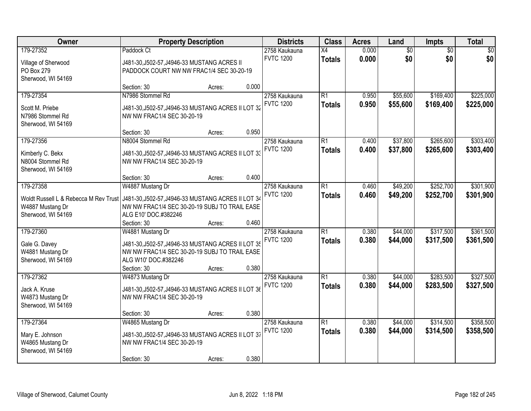| Owner                                 |                                                    | <b>Property Description</b> |       | <b>Districts</b> | <b>Class</b>    | <b>Acres</b> | Land            | Impts           | <b>Total</b> |
|---------------------------------------|----------------------------------------------------|-----------------------------|-------|------------------|-----------------|--------------|-----------------|-----------------|--------------|
| 179-27352                             | Paddock Ct                                         |                             |       | 2758 Kaukauna    | $\overline{X4}$ | 0.000        | $\overline{60}$ | $\overline{50}$ | \$0          |
| Village of Sherwood                   | J481-30, J502-57, J4946-33 MUSTANG ACRES II        |                             |       | <b>FVTC 1200</b> | <b>Totals</b>   | 0.000        | \$0             | \$0             | \$0          |
| PO Box 279                            | PADDOCK COURT NW NW FRAC1/4 SEC 30-20-19           |                             |       |                  |                 |              |                 |                 |              |
| Sherwood, WI 54169                    |                                                    |                             |       |                  |                 |              |                 |                 |              |
|                                       | Section: 30                                        | Acres:                      | 0.000 |                  |                 |              |                 |                 |              |
| 179-27354                             | N7986 Stommel Rd                                   |                             |       | 2758 Kaukauna    | $\overline{R1}$ | 0.950        | \$55,600        | \$169,400       | \$225,000    |
| Scott M. Priebe                       | J481-30, J502-57, J4946-33 MUSTANG ACRES II LOT 32 |                             |       | <b>FVTC 1200</b> | <b>Totals</b>   | 0.950        | \$55,600        | \$169,400       | \$225,000    |
| N7986 Stommel Rd                      | NW NW FRAC1/4 SEC 30-20-19                         |                             |       |                  |                 |              |                 |                 |              |
| Sherwood, WI 54169                    |                                                    |                             |       |                  |                 |              |                 |                 |              |
|                                       | Section: 30                                        | Acres:                      | 0.950 |                  |                 |              |                 |                 |              |
| 179-27356                             | N8004 Stommel Rd                                   |                             |       | 2758 Kaukauna    | $\overline{R1}$ | 0.400        | \$37,800        | \$265,600       | \$303,400    |
| Kimberly C. Bekx                      | J481-30, J502-57, J4946-33 MUSTANG ACRES II LOT 33 |                             |       | <b>FVTC 1200</b> | <b>Totals</b>   | 0.400        | \$37,800        | \$265,600       | \$303,400    |
| N8004 Stommel Rd                      | NW NW FRAC1/4 SEC 30-20-19                         |                             |       |                  |                 |              |                 |                 |              |
| Sherwood, WI 54169                    |                                                    |                             |       |                  |                 |              |                 |                 |              |
|                                       | Section: 30                                        | Acres:                      | 0.400 |                  |                 |              |                 |                 |              |
| 179-27358                             | W4887 Mustang Dr                                   |                             |       | 2758 Kaukauna    | $\overline{R1}$ | 0.460        | \$49,200        | \$252,700       | \$301,900    |
| Woldt Russell L & Rebecca M Rev Trust | J481-30, J502-57, J4946-33 MUSTANG ACRES II LOT 34 |                             |       | <b>FVTC 1200</b> | <b>Totals</b>   | 0.460        | \$49,200        | \$252,700       | \$301,900    |
| W4887 Mustang Dr                      | NW NW FRAC1/4 SEC 30-20-19 SUBJ TO TRAIL EASE      |                             |       |                  |                 |              |                 |                 |              |
| Sherwood, WI 54169                    | ALG E10' DOC.#382246                               |                             |       |                  |                 |              |                 |                 |              |
|                                       | Section: 30                                        | Acres:                      | 0.460 |                  |                 |              |                 |                 |              |
| 179-27360                             | W4881 Mustang Dr                                   |                             |       | 2758 Kaukauna    | $\overline{R1}$ | 0.380        | \$44,000        | \$317,500       | \$361,500    |
| Gale G. Davey                         | J481-30, J502-57, J4946-33 MUSTANG ACRES II LOT 35 |                             |       | <b>FVTC 1200</b> | <b>Totals</b>   | 0.380        | \$44,000        | \$317,500       | \$361,500    |
| W4881 Mustang Dr                      | NW NW FRAC1/4 SEC 30-20-19 SUBJ TO TRAIL EASE      |                             |       |                  |                 |              |                 |                 |              |
| Sherwood, WI 54169                    | ALG W10' DOC.#382246                               |                             |       |                  |                 |              |                 |                 |              |
|                                       | Section: 30                                        | Acres:                      | 0.380 |                  |                 |              |                 |                 |              |
| 179-27362                             | W4873 Mustang Dr                                   |                             |       | 2758 Kaukauna    | $\overline{R1}$ | 0.380        | \$44,000        | \$283,500       | \$327,500    |
| Jack A. Kruse                         | J481-30, J502-57, J4946-33 MUSTANG ACRES II LOT 36 |                             |       | <b>FVTC 1200</b> | <b>Totals</b>   | 0.380        | \$44,000        | \$283,500       | \$327,500    |
| W4873 Mustang Dr                      | NW NW FRAC1/4 SEC 30-20-19                         |                             |       |                  |                 |              |                 |                 |              |
| Sherwood, WI 54169                    |                                                    |                             |       |                  |                 |              |                 |                 |              |
|                                       | Section: 30                                        | Acres:                      | 0.380 |                  |                 |              |                 |                 |              |
| 179-27364                             | W4865 Mustang Dr                                   |                             |       | 2758 Kaukauna    | $\overline{R1}$ | 0.380        | \$44,000        | \$314,500       | \$358,500    |
| Mary E. Johnson                       | J481-30, J502-57, J4946-33 MUSTANG ACRES II LOT 37 |                             |       | <b>FVTC 1200</b> | <b>Totals</b>   | 0.380        | \$44,000        | \$314,500       | \$358,500    |
| W4865 Mustang Dr                      | NW NW FRAC1/4 SEC 30-20-19                         |                             |       |                  |                 |              |                 |                 |              |
| Sherwood, WI 54169                    |                                                    |                             |       |                  |                 |              |                 |                 |              |
|                                       | Section: 30                                        | Acres:                      | 0.380 |                  |                 |              |                 |                 |              |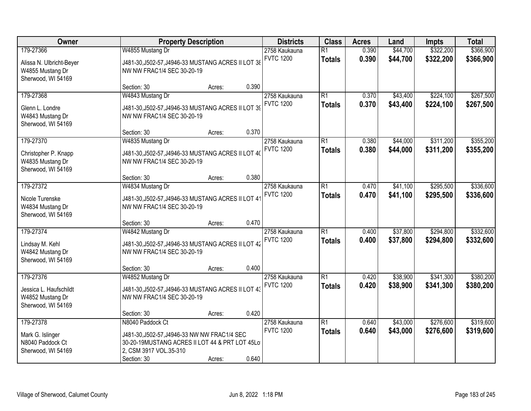| Owner                                                                           | <b>Property Description</b>                                                                                                                                 | <b>Districts</b> | <b>Class</b> | <b>Acres</b>                      | Land                             | Impts          | <b>Total</b>         |                        |                        |
|---------------------------------------------------------------------------------|-------------------------------------------------------------------------------------------------------------------------------------------------------------|------------------|--------------|-----------------------------------|----------------------------------|----------------|----------------------|------------------------|------------------------|
| 179-27366<br>Alissa N. Ulbricht-Beyer<br>W4855 Mustang Dr<br>Sherwood, WI 54169 | W4855 Mustang Dr<br>J481-30, J502-57, J4946-33 MUSTANG ACRES II LOT 38<br>NW NW FRAC1/4 SEC 30-20-19                                                        |                  |              | 2758 Kaukauna<br><b>FVTC 1200</b> | $\overline{R1}$<br><b>Totals</b> | 0.390<br>0.390 | \$44,700<br>\$44,700 | \$322,200<br>\$322,200 | \$366,900<br>\$366,900 |
|                                                                                 | Section: 30                                                                                                                                                 | Acres:           | 0.390        |                                   |                                  |                |                      |                        |                        |
| 179-27368<br>Glenn L. Londre<br>W4843 Mustang Dr<br>Sherwood, WI 54169          | W4843 Mustang Dr<br>J481-30, J502-57, J4946-33 MUSTANG ACRES II LOT 39<br>NW NW FRAC1/4 SEC 30-20-19                                                        |                  |              | 2758 Kaukauna<br><b>FVTC 1200</b> | $\overline{R1}$<br><b>Totals</b> | 0.370<br>0.370 | \$43,400<br>\$43,400 | \$224,100<br>\$224,100 | \$267,500<br>\$267,500 |
|                                                                                 | Section: 30                                                                                                                                                 | Acres:           | 0.370        |                                   |                                  |                |                      |                        |                        |
| 179-27370<br>Christopher P. Knapp<br>W4835 Mustang Dr<br>Sherwood, WI 54169     | W4835 Mustang Dr<br>J481-30, J502-57, J4946-33 MUSTANG ACRES II LOT 40<br>NW NW FRAC1/4 SEC 30-20-19                                                        |                  |              | 2758 Kaukauna<br><b>FVTC 1200</b> | $\overline{R1}$<br><b>Totals</b> | 0.380<br>0.380 | \$44,000<br>\$44,000 | \$311,200<br>\$311,200 | \$355,200<br>\$355,200 |
|                                                                                 | Section: 30                                                                                                                                                 | Acres:           | 0.380        |                                   |                                  |                |                      |                        |                        |
| 179-27372<br>Nicole Turenske<br>W4834 Mustang Dr<br>Sherwood, WI 54169          | W4834 Mustang Dr<br>J481-30, J502-57, J4946-33 MUSTANG ACRES II LOT 41<br>NW NW FRAC1/4 SEC 30-20-19                                                        |                  |              | 2758 Kaukauna<br><b>FVTC 1200</b> | $\overline{R1}$<br><b>Totals</b> | 0.470<br>0.470 | \$41,100<br>\$41,100 | \$295,500<br>\$295,500 | \$336,600<br>\$336,600 |
|                                                                                 | Section: 30                                                                                                                                                 | Acres:           | 0.470        |                                   |                                  |                |                      |                        |                        |
| 179-27374<br>Lindsay M. Kehl<br>W4842 Mustang Dr<br>Sherwood, WI 54169          | W4842 Mustang Dr<br>J481-30, J502-57, J4946-33 MUSTANG ACRES II LOT 42<br>NW NW FRAC1/4 SEC 30-20-19                                                        |                  |              | 2758 Kaukauna<br><b>FVTC 1200</b> | $\overline{R1}$<br><b>Totals</b> | 0.400<br>0.400 | \$37,800<br>\$37,800 | \$294,800<br>\$294,800 | \$332,600<br>\$332,600 |
|                                                                                 | Section: 30                                                                                                                                                 | Acres:           | 0.400        |                                   |                                  |                |                      |                        |                        |
| 179-27376<br>Jessica L. Haufschildt<br>W4852 Mustang Dr<br>Sherwood, WI 54169   | W4852 Mustang Dr<br>J481-30, J502-57, J4946-33 MUSTANG ACRES II LOT 43<br>NW NW FRAC1/4 SEC 30-20-19                                                        |                  |              | 2758 Kaukauna<br><b>FVTC 1200</b> | $\overline{R1}$<br><b>Totals</b> | 0.420<br>0.420 | \$38,900<br>\$38,900 | \$341,300<br>\$341,300 | \$380,200<br>\$380,200 |
|                                                                                 | Section: 30                                                                                                                                                 | Acres:           | 0.420        |                                   |                                  |                |                      |                        |                        |
| 179-27378<br>Mark G. Islinger<br>N8040 Paddock Ct<br>Sherwood, WI 54169         | N8040 Paddock Ct<br>J481-30, J502-57, J4946-33 NW NW FRAC1/4 SEC<br>30-20-19MUSTANG ACRES II LOT 44 & PRT LOT 45Lo<br>2, CSM 3917 VOL.35-310<br>Section: 30 | Acres:           | 0.640        | 2758 Kaukauna<br><b>FVTC 1200</b> | $\overline{R1}$<br><b>Totals</b> | 0.640<br>0.640 | \$43,000<br>\$43,000 | \$276,600<br>\$276,600 | \$319,600<br>\$319,600 |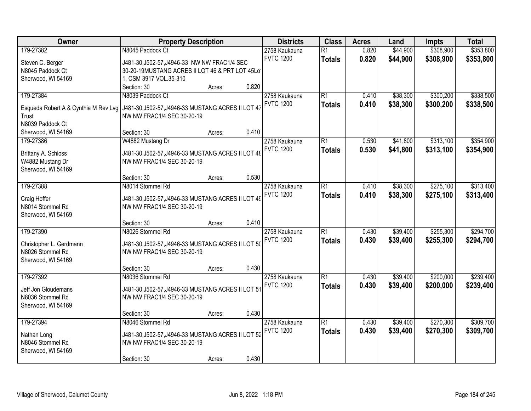| Owner                                   | <b>Property Description</b>                                                      |                 | <b>Districts</b> | <b>Class</b>    | <b>Acres</b> | Land     | Impts     | <b>Total</b> |
|-----------------------------------------|----------------------------------------------------------------------------------|-----------------|------------------|-----------------|--------------|----------|-----------|--------------|
| 179-27382                               | N8045 Paddock Ct                                                                 |                 | 2758 Kaukauna    | $\overline{R1}$ | 0.820        | \$44,900 | \$308,900 | \$353,800    |
| Steven C. Berger                        | J481-30, J502-57, J4946-33 NW NW FRAC1/4 SEC                                     |                 | <b>FVTC 1200</b> | <b>Totals</b>   | 0.820        | \$44,900 | \$308,900 | \$353,800    |
| N8045 Paddock Ct                        | 30-20-19MUSTANG ACRES II LOT 46 & PRT LOT 45Lo                                   |                 |                  |                 |              |          |           |              |
| Sherwood, WI 54169                      | 1, CSM 3917 VOL.35-310                                                           |                 |                  |                 |              |          |           |              |
|                                         | Section: 30                                                                      | 0.820<br>Acres: |                  |                 |              |          |           |              |
| 179-27384                               | N8039 Paddock Ct                                                                 |                 | 2758 Kaukauna    | $\overline{R1}$ | 0.410        | \$38,300 | \$300,200 | \$338,500    |
| Esqueda Robert A & Cynthia M Rev Lvg    | J481-30, J502-57, J4946-33 MUSTANG ACRES II LOT 47                               |                 | <b>FVTC 1200</b> | <b>Totals</b>   | 0.410        | \$38,300 | \$300,200 | \$338,500    |
| Trust                                   | NW NW FRAC1/4 SEC 30-20-19                                                       |                 |                  |                 |              |          |           |              |
| N8039 Paddock Ct                        |                                                                                  |                 |                  |                 |              |          |           |              |
| Sherwood, WI 54169                      | Section: 30                                                                      | 0.410<br>Acres: |                  |                 |              |          |           |              |
| 179-27386                               | W4882 Mustang Dr                                                                 |                 | 2758 Kaukauna    | $\overline{R1}$ | 0.530        | \$41,800 | \$313,100 | \$354,900    |
|                                         |                                                                                  |                 | <b>FVTC 1200</b> | <b>Totals</b>   | 0.530        | \$41,800 | \$313,100 | \$354,900    |
| Brittany A. Schloss                     | J481-30, J502-57, J4946-33 MUSTANG ACRES II LOT 48                               |                 |                  |                 |              |          |           |              |
| W4882 Mustang Dr                        | NW NW FRAC1/4 SEC 30-20-19                                                       |                 |                  |                 |              |          |           |              |
| Sherwood, WI 54169                      | Section: 30                                                                      | 0.530<br>Acres: |                  |                 |              |          |           |              |
| 179-27388                               | N8014 Stommel Rd                                                                 |                 | 2758 Kaukauna    | $\overline{R1}$ | 0.410        | \$38,300 | \$275,100 | \$313,400    |
|                                         |                                                                                  |                 | <b>FVTC 1200</b> |                 | 0.410        | \$38,300 |           |              |
| Craig Hoffer                            | J481-30, J502-57, J4946-33 MUSTANG ACRES II LOT 49                               |                 |                  | <b>Totals</b>   |              |          | \$275,100 | \$313,400    |
| N8014 Stommel Rd                        | NW NW FRAC1/4 SEC 30-20-19                                                       |                 |                  |                 |              |          |           |              |
| Sherwood, WI 54169                      |                                                                                  |                 |                  |                 |              |          |           |              |
|                                         | Section: 30                                                                      | 0.410<br>Acres: |                  |                 |              |          |           |              |
| 179-27390                               | N8026 Stommel Rd                                                                 |                 | 2758 Kaukauna    | $\overline{R1}$ | 0.430        | \$39,400 | \$255,300 | \$294,700    |
| Christopher L. Gerdmann                 | J481-30, J502-57, J4946-33 MUSTANG ACRES II LOT 50                               |                 | <b>FVTC 1200</b> | <b>Totals</b>   | 0.430        | \$39,400 | \$255,300 | \$294,700    |
| N8026 Stommel Rd                        | NW NW FRAC1/4 SEC 30-20-19                                                       |                 |                  |                 |              |          |           |              |
| Sherwood, WI 54169                      |                                                                                  |                 |                  |                 |              |          |           |              |
|                                         | Section: 30                                                                      | 0.430<br>Acres: |                  |                 |              |          |           |              |
| 179-27392                               | N8036 Stommel Rd                                                                 |                 | 2758 Kaukauna    | $\overline{R1}$ | 0.430        | \$39,400 | \$200,000 | \$239,400    |
|                                         |                                                                                  |                 | <b>FVTC 1200</b> | <b>Totals</b>   | 0.430        | \$39,400 | \$200,000 | \$239,400    |
| Jeff Jon Gloudemans<br>N8036 Stommel Rd | J481-30, J502-57, J4946-33 MUSTANG ACRES II LOT 51<br>NW NW FRAC1/4 SEC 30-20-19 |                 |                  |                 |              |          |           |              |
| Sherwood, WI 54169                      |                                                                                  |                 |                  |                 |              |          |           |              |
|                                         | Section: 30                                                                      | 0.430<br>Acres: |                  |                 |              |          |           |              |
| 179-27394                               | N8046 Stommel Rd                                                                 |                 | 2758 Kaukauna    | $\overline{R1}$ | 0.430        | \$39,400 | \$270,300 | \$309,700    |
|                                         |                                                                                  |                 | <b>FVTC 1200</b> | <b>Totals</b>   | 0.430        | \$39,400 | \$270,300 | \$309,700    |
| Nathan Long                             | J481-30, J502-57, J4946-33 MUSTANG ACRES II LOT 52                               |                 |                  |                 |              |          |           |              |
| N8046 Stommel Rd                        | NW NW FRAC1/4 SEC 30-20-19                                                       |                 |                  |                 |              |          |           |              |
| Sherwood, WI 54169                      |                                                                                  |                 |                  |                 |              |          |           |              |
|                                         | Section: 30                                                                      | 0.430<br>Acres: |                  |                 |              |          |           |              |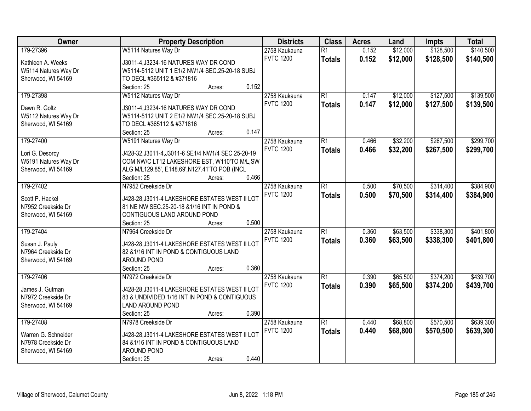| Owner                | <b>Property Description</b>                        | <b>Districts</b>                  | <b>Class</b>    | <b>Acres</b> | Land     | <b>Impts</b> | <b>Total</b> |
|----------------------|----------------------------------------------------|-----------------------------------|-----------------|--------------|----------|--------------|--------------|
| 179-27396            | W5114 Natures Way Dr                               | 2758 Kaukauna                     | $\overline{R1}$ | 0.152        | \$12,000 | \$128,500    | \$140,500    |
| Kathleen A. Weeks    | J3011-4, J3234-16 NATURES WAY DR COND              | <b>FVTC 1200</b>                  | <b>Totals</b>   | 0.152        | \$12,000 | \$128,500    | \$140,500    |
| W5114 Natures Way Dr | W5114-5112 UNIT 1 E1/2 NW1/4 SEC.25-20-18 SUBJ     |                                   |                 |              |          |              |              |
| Sherwood, WI 54169   | TO DECL #365112 & #371816                          |                                   |                 |              |          |              |              |
|                      | 0.152<br>Section: 25<br>Acres:                     |                                   |                 |              |          |              |              |
| 179-27398            | W5112 Natures Way Dr                               | 2758 Kaukauna                     | $\overline{R1}$ | 0.147        | \$12,000 | \$127,500    | \$139,500    |
| Dawn R. Goltz        | J3011-4, J3234-16 NATURES WAY DR COND              | <b>FVTC 1200</b>                  | <b>Totals</b>   | 0.147        | \$12,000 | \$127,500    | \$139,500    |
| W5112 Natures Way Dr | W5114-5112 UNIT 2 E1/2 NW1/4 SEC.25-20-18 SUBJ     |                                   |                 |              |          |              |              |
| Sherwood, WI 54169   | TO DECL #365112 & #371816                          |                                   |                 |              |          |              |              |
|                      | 0.147<br>Section: 25<br>Acres:                     |                                   |                 |              |          |              |              |
| 179-27400            | W5191 Natures Way Dr                               | 2758 Kaukauna                     | $\overline{R1}$ | 0.466        | \$32,200 | \$267,500    | \$299,700    |
|                      |                                                    | <b>FVTC 1200</b>                  | <b>Totals</b>   | 0.466        | \$32,200 | \$267,500    | \$299,700    |
| Lori G. Desorcy      | J428-32, J3011-4, J3011-6 SE1/4 NW1/4 SEC 25-20-19 |                                   |                 |              |          |              |              |
| W5191 Natures Way Dr | COM NW/C LT12 LAKESHORE EST, W110'TO M/L,SW        |                                   |                 |              |          |              |              |
| Sherwood, WI 54169   | ALG M/L129.85', E148.69', N127.41'TO POB (INCL     |                                   |                 |              |          |              |              |
|                      | Section: 25<br>0.466<br>Acres:                     |                                   |                 |              |          |              |              |
| 179-27402            | N7952 Creekside Dr                                 | 2758 Kaukauna                     | $\overline{R1}$ | 0.500        | \$70,500 | \$314,400    | \$384,900    |
| Scott P. Hackel      | J428-28, J3011-4 LAKESHORE ESTATES WEST II LOT     | <b>FVTC 1200</b>                  | <b>Totals</b>   | 0.500        | \$70,500 | \$314,400    | \$384,900    |
| N7952 Creekside Dr   | 81 NE NW SEC.25-20-18 & 1/16 INT IN POND &         |                                   |                 |              |          |              |              |
| Sherwood, WI 54169   | CONTIGUOUS LAND AROUND POND                        |                                   |                 |              |          |              |              |
|                      | 0.500<br>Section: 25<br>Acres:                     |                                   |                 |              |          |              |              |
| 179-27404            | N7964 Creekside Dr                                 | 2758 Kaukauna                     | $\overline{R1}$ | 0.360        | \$63,500 | \$338,300    | \$401,800    |
| Susan J. Pauly       | J428-28, J3011-4 LAKESHORE ESTATES WEST II LOT     | <b>FVTC 1200</b>                  | <b>Totals</b>   | 0.360        | \$63,500 | \$338,300    | \$401,800    |
| N7964 Creekside Dr   | 82 & 1/16 INT IN POND & CONTIGUOUS LAND            |                                   |                 |              |          |              |              |
| Sherwood, WI 54169   | AROUND POND                                        |                                   |                 |              |          |              |              |
|                      | 0.360<br>Section: 25<br>Acres:                     |                                   |                 |              |          |              |              |
| 179-27406            | N7972 Creekside Dr                                 | 2758 Kaukauna                     | $\overline{R1}$ | 0.390        | \$65,500 | \$374,200    | \$439,700    |
|                      |                                                    | <b>FVTC 1200</b>                  | <b>Totals</b>   | 0.390        | \$65,500 | \$374,200    | \$439,700    |
| James J. Gutman      | J428-28, J3011-4 LAKESHORE ESTATES WEST II LOT     |                                   |                 |              |          |              |              |
| N7972 Creekside Dr   | 83 & UNDIVIDED 1/16 INT IN POND & CONTIGUOUS       |                                   |                 |              |          |              |              |
| Sherwood, WI 54169   | LAND AROUND POND<br>0.390                          |                                   |                 |              |          |              |              |
|                      | Section: 25<br>Acres:                              |                                   | $\overline{R1}$ |              |          |              |              |
| 179-27408            | N7978 Creekside Dr                                 | 2758 Kaukauna<br><b>FVTC 1200</b> |                 | 0.440        | \$68,800 | \$570,500    | \$639,300    |
| Warren G. Schneider  | J428-28, J3011-4 LAKESHORE ESTATES WEST II LOT     |                                   | <b>Totals</b>   | 0.440        | \$68,800 | \$570,500    | \$639,300    |
| N7978 Creekside Dr   | 84 & 1/16 INT IN POND & CONTIGUOUS LAND            |                                   |                 |              |          |              |              |
| Sherwood, WI 54169   | AROUND POND                                        |                                   |                 |              |          |              |              |
|                      | 0.440<br>Section: 25<br>Acres:                     |                                   |                 |              |          |              |              |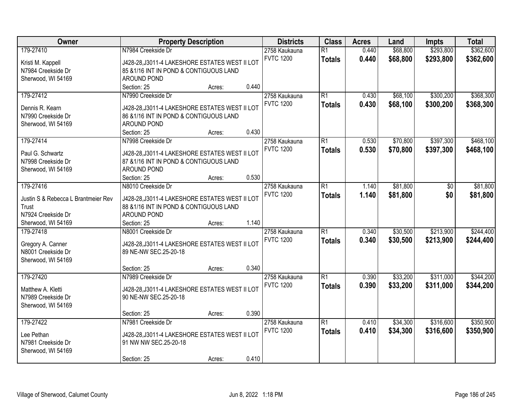| Owner                               | <b>Property Description</b>                    | <b>Districts</b> | <b>Class</b>    | <b>Acres</b> | Land     | Impts          | <b>Total</b> |
|-------------------------------------|------------------------------------------------|------------------|-----------------|--------------|----------|----------------|--------------|
| 179-27410                           | N7984 Creekside Dr                             | 2758 Kaukauna    | $\overline{R1}$ | 0.440        | \$68,800 | \$293,800      | \$362,600    |
| Kristi M. Kappell                   | J428-28, J3011-4 LAKESHORE ESTATES WEST II LOT | <b>FVTC 1200</b> | <b>Totals</b>   | 0.440        | \$68,800 | \$293,800      | \$362,600    |
| N7984 Creekside Dr                  | 85 & 1/16 INT IN POND & CONTIGUOUS LAND        |                  |                 |              |          |                |              |
| Sherwood, WI 54169                  | AROUND POND                                    |                  |                 |              |          |                |              |
|                                     | 0.440<br>Section: 25<br>Acres:                 |                  |                 |              |          |                |              |
| 179-27412                           | N7990 Creekside Dr                             | 2758 Kaukauna    | $\overline{R1}$ | 0.430        | \$68,100 | \$300,200      | \$368,300    |
|                                     |                                                | <b>FVTC 1200</b> | <b>Totals</b>   | 0.430        | \$68,100 | \$300,200      | \$368,300    |
| Dennis R. Kearn                     | J428-28, J3011-4 LAKESHORE ESTATES WEST II LOT |                  |                 |              |          |                |              |
| N7990 Creekside Dr                  | 86 & 1/16 INT IN POND & CONTIGUOUS LAND        |                  |                 |              |          |                |              |
| Sherwood, WI 54169                  | AROUND POND                                    |                  |                 |              |          |                |              |
|                                     | 0.430<br>Section: 25<br>Acres:                 |                  |                 |              |          |                |              |
| 179-27414                           | N7998 Creekside Dr                             | 2758 Kaukauna    | $\overline{R1}$ | 0.530        | \$70,800 | \$397,300      | \$468,100    |
| Paul G. Schwartz                    | J428-28, J3011-4 LAKESHORE ESTATES WEST II LOT | <b>FVTC 1200</b> | <b>Totals</b>   | 0.530        | \$70,800 | \$397,300      | \$468,100    |
| N7998 Creekside Dr                  | 87 &1/16 INT IN POND & CONTIGUOUS LAND         |                  |                 |              |          |                |              |
| Sherwood, WI 54169                  | AROUND POND                                    |                  |                 |              |          |                |              |
|                                     | 0.530<br>Section: 25<br>Acres:                 |                  |                 |              |          |                |              |
| 179-27416                           | N8010 Creekside Dr                             | 2758 Kaukauna    | $\overline{R1}$ | 1.140        | \$81,800 | $\frac{1}{20}$ | \$81,800     |
|                                     |                                                | <b>FVTC 1200</b> | <b>Totals</b>   | 1.140        | \$81,800 | \$0            | \$81,800     |
| Justin S & Rebecca L Brantmeier Rev | J428-28, J3011-4 LAKESHORE ESTATES WEST II LOT |                  |                 |              |          |                |              |
| Trust                               | 88 &1/16 INT IN POND & CONTIGUOUS LAND         |                  |                 |              |          |                |              |
| N7924 Creekside Dr                  | AROUND POND                                    |                  |                 |              |          |                |              |
| Sherwood, WI 54169                  | 1.140<br>Section: 25<br>Acres:                 |                  |                 |              |          |                |              |
| 179-27418                           | N8001 Creekside Dr                             | 2758 Kaukauna    | $\overline{R1}$ | 0.340        | \$30,500 | \$213,900      | \$244,400    |
| Gregory A. Canner                   | J428-28, J3011-4 LAKESHORE ESTATES WEST II LOT | <b>FVTC 1200</b> | <b>Totals</b>   | 0.340        | \$30,500 | \$213,900      | \$244,400    |
| N8001 Creekside Dr                  | 89 NE-NW SEC.25-20-18                          |                  |                 |              |          |                |              |
| Sherwood, WI 54169                  |                                                |                  |                 |              |          |                |              |
|                                     | 0.340<br>Section: 25<br>Acres:                 |                  |                 |              |          |                |              |
| 179-27420                           | N7989 Creekside Dr                             | 2758 Kaukauna    | $\overline{R1}$ | 0.390        | \$33,200 | \$311,000      | \$344,200    |
|                                     |                                                | <b>FVTC 1200</b> | <b>Totals</b>   | 0.390        | \$33,200 | \$311,000      | \$344,200    |
| Matthew A. Kletti                   | J428-28, J3011-4 LAKESHORE ESTATES WEST II LOT |                  |                 |              |          |                |              |
| N7989 Creekside Dr                  | 90 NE-NW SEC.25-20-18                          |                  |                 |              |          |                |              |
| Sherwood, WI 54169                  |                                                |                  |                 |              |          |                |              |
|                                     | 0.390<br>Section: 25<br>Acres:                 |                  |                 |              |          |                |              |
| 179-27422                           | N7981 Creekside Dr                             | 2758 Kaukauna    | $\overline{R1}$ | 0.410        | \$34,300 | \$316,600      | \$350,900    |
| Lee Pethan                          | J428-28, J3011-4 LAKESHORE ESTATES WEST II LOT | <b>FVTC 1200</b> | <b>Totals</b>   | 0.410        | \$34,300 | \$316,600      | \$350,900    |
| N7981 Creekside Dr                  | 91 NW NW SEC.25-20-18                          |                  |                 |              |          |                |              |
| Sherwood, WI 54169                  |                                                |                  |                 |              |          |                |              |
|                                     | 0.410<br>Section: 25<br>Acres:                 |                  |                 |              |          |                |              |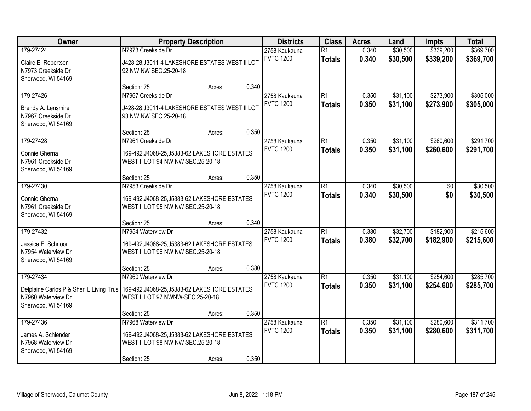| Owner                                    | <b>Property Description</b>                    | <b>Districts</b> | <b>Class</b> | <b>Acres</b>                      | Land            | Impts | <b>Total</b> |           |           |
|------------------------------------------|------------------------------------------------|------------------|--------------|-----------------------------------|-----------------|-------|--------------|-----------|-----------|
| 179-27424                                | N7973 Creekside Dr                             |                  |              | 2758 Kaukauna                     | $\overline{R1}$ | 0.340 | \$30,500     | \$339,200 | \$369,700 |
| Claire E. Robertson                      | J428-28, J3011-4 LAKESHORE ESTATES WEST II LOT |                  |              | <b>FVTC 1200</b>                  | <b>Totals</b>   | 0.340 | \$30,500     | \$339,200 | \$369,700 |
| N7973 Creekside Dr                       | 92 NW NW SEC.25-20-18                          |                  |              |                                   |                 |       |              |           |           |
| Sherwood, WI 54169                       |                                                |                  |              |                                   |                 |       |              |           |           |
|                                          | Section: 25                                    | Acres:           | 0.340        |                                   |                 |       |              |           |           |
| 179-27426                                | N7967 Creekside Dr                             |                  |              | 2758 Kaukauna<br><b>FVTC 1200</b> | $\overline{R1}$ | 0.350 | \$31,100     | \$273,900 | \$305,000 |
| Brenda A. Lensmire                       | J428-28, J3011-4 LAKESHORE ESTATES WEST II LOT |                  |              |                                   | <b>Totals</b>   | 0.350 | \$31,100     | \$273,900 | \$305,000 |
| N7967 Creekside Dr                       | 93 NW NW SEC.25-20-18                          |                  |              |                                   |                 |       |              |           |           |
| Sherwood, WI 54169                       |                                                |                  |              |                                   |                 |       |              |           |           |
|                                          | Section: 25                                    | Acres:           | 0.350        |                                   |                 |       |              |           |           |
| 179-27428                                | N7961 Creekside Dr                             |                  |              | 2758 Kaukauna                     | $\overline{R1}$ | 0.350 | \$31,100     | \$260,600 | \$291,700 |
| Connie Gherna                            | 169-492, J4068-25, J5383-62 LAKESHORE ESTATES  |                  |              | <b>FVTC 1200</b>                  | <b>Totals</b>   | 0.350 | \$31,100     | \$260,600 | \$291,700 |
| N7961 Creekside Dr                       | WEST II LOT 94 NW NW SEC.25-20-18              |                  |              |                                   |                 |       |              |           |           |
| Sherwood, WI 54169                       |                                                |                  |              |                                   |                 |       |              |           |           |
|                                          | Section: 25                                    | Acres:           | 0.350        |                                   |                 |       |              |           |           |
| 179-27430                                | N7953 Creekside Dr                             |                  |              | 2758 Kaukauna                     | $\overline{R1}$ | 0.340 | \$30,500     | \$0       | \$30,500  |
| Connie Gherna                            | 169-492, J4068-25, J5383-62 LAKESHORE ESTATES  |                  |              | <b>FVTC 1200</b>                  | <b>Totals</b>   | 0.340 | \$30,500     | \$0       | \$30,500  |
| N7961 Creekside Dr                       | WEST II LOT 95 NW NW SEC.25-20-18              |                  |              |                                   |                 |       |              |           |           |
| Sherwood, WI 54169                       |                                                |                  |              |                                   |                 |       |              |           |           |
|                                          | Section: 25                                    | Acres:           | 0.340        |                                   |                 |       |              |           |           |
| 179-27432                                | N7954 Waterview Dr                             |                  |              | 2758 Kaukauna                     | $\overline{R1}$ | 0.380 | \$32,700     | \$182,900 | \$215,600 |
| Jessica E. Schnoor                       | 169-492, J4068-25, J5383-62 LAKESHORE ESTATES  |                  |              | <b>FVTC 1200</b>                  | <b>Totals</b>   | 0.380 | \$32,700     | \$182,900 | \$215,600 |
| N7954 Waterview Dr                       | WEST II LOT 96 NW NW SEC.25-20-18              |                  |              |                                   |                 |       |              |           |           |
| Sherwood, WI 54169                       |                                                |                  |              |                                   |                 |       |              |           |           |
|                                          | Section: 25                                    | Acres:           | 0.380        |                                   |                 |       |              |           |           |
| 179-27434                                | N7960 Waterview Dr                             |                  |              | 2758 Kaukauna                     | $\overline{R1}$ | 0.350 | \$31,100     | \$254,600 | \$285,700 |
| Delplaine Carlos P & Sheri L Living Trus | 169-492, J4068-25, J5383-62 LAKESHORE ESTATES  |                  |              | <b>FVTC 1200</b>                  | <b>Totals</b>   | 0.350 | \$31,100     | \$254,600 | \$285,700 |
| N7960 Waterview Dr                       | WEST II LOT 97 NWNW-SEC.25-20-18               |                  |              |                                   |                 |       |              |           |           |
| Sherwood, WI 54169                       |                                                |                  |              |                                   |                 |       |              |           |           |
|                                          | Section: 25                                    | Acres:           | 0.350        |                                   |                 |       |              |           |           |
| 179-27436                                | N7968 Waterview Dr                             |                  |              | 2758 Kaukauna                     | $\overline{R1}$ | 0.350 | \$31,100     | \$280,600 | \$311,700 |
| James A. Schlender                       | 169-492, J4068-25, J5383-62 LAKESHORE ESTATES  |                  |              | <b>FVTC 1200</b>                  | <b>Totals</b>   | 0.350 | \$31,100     | \$280,600 | \$311,700 |
| N7968 Waterview Dr                       | WEST II LOT 98 NW NW SEC.25-20-18              |                  |              |                                   |                 |       |              |           |           |
| Sherwood, WI 54169                       |                                                |                  |              |                                   |                 |       |              |           |           |
|                                          | Section: 25                                    | Acres:           | 0.350        |                                   |                 |       |              |           |           |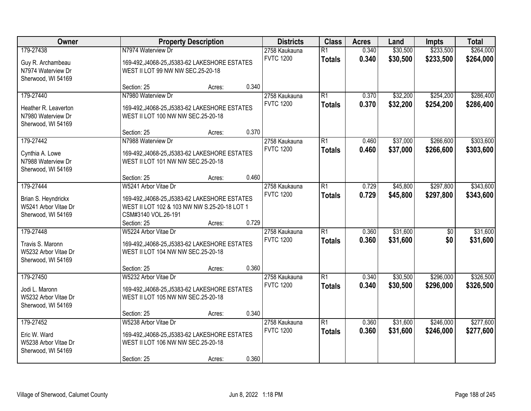| Owner                                                                          | <b>Property Description</b>                                                                                                                  | <b>Districts</b>                           | <b>Class</b>                     | <b>Acres</b>   | Land                 | Impts                  | <b>Total</b>           |
|--------------------------------------------------------------------------------|----------------------------------------------------------------------------------------------------------------------------------------------|--------------------------------------------|----------------------------------|----------------|----------------------|------------------------|------------------------|
| 179-27438<br>Guy R. Archambeau<br>N7974 Waterview Dr                           | N7974 Waterview Dr<br>169-492, J4068-25, J5383-62 LAKESHORE ESTATES<br>WEST II LOT 99 NW NW SEC.25-20-18                                     | 2758 Kaukauna<br><b>FVTC 1200</b>          | $\overline{R1}$<br><b>Totals</b> | 0.340<br>0.340 | \$30,500<br>\$30,500 | \$233,500<br>\$233,500 | \$264,000<br>\$264,000 |
| Sherwood, WI 54169                                                             | Section: 25<br>Acres:                                                                                                                        | 0.340                                      |                                  |                |                      |                        |                        |
| 179-27440<br>Heather R. Leaverton<br>N7980 Waterview Dr<br>Sherwood, WI 54169  | N7980 Waterview Dr<br>169-492, J4068-25, J5383-62 LAKESHORE ESTATES<br>WEST II LOT 100 NW NW SEC.25-20-18                                    | 2758 Kaukauna<br><b>FVTC 1200</b>          | $\overline{R1}$<br><b>Totals</b> | 0.370<br>0.370 | \$32,200<br>\$32,200 | \$254,200<br>\$254,200 | \$286,400<br>\$286,400 |
| 179-27442                                                                      | Section: 25<br>Acres:<br>N7988 Waterview Dr                                                                                                  | 0.370<br>2758 Kaukauna                     | $\overline{R1}$                  | 0.460          | \$37,000             | \$266,600              | \$303,600              |
| Cynthia A. Lowe<br>N7988 Waterview Dr<br>Sherwood, WI 54169                    | 169-492, J4068-25, J5383-62 LAKESHORE ESTATES<br>WEST II LOT 101 NW NW SEC.25-20-18                                                          | <b>FVTC 1200</b>                           | <b>Totals</b>                    | 0.460          | \$37,000             | \$266,600              | \$303,600              |
|                                                                                | Section: 25<br>Acres:                                                                                                                        | 0.460                                      |                                  |                |                      |                        |                        |
| 179-27444<br>Brian S. Heyndrickx<br>W5241 Arbor Vitae Dr<br>Sherwood, WI 54169 | W5241 Arbor Vitae Dr<br>169-492, J4068-25, J5383-62 LAKESHORE ESTATES<br>WEST II LOT 102 & 103 NW NW S.25-20-18 LOT 1<br>CSM#3140 VOL.26-191 | 2758 Kaukauna<br><b>FVTC 1200</b>          | $\overline{R1}$<br><b>Totals</b> | 0.729<br>0.729 | \$45,800<br>\$45,800 | \$297,800<br>\$297,800 | \$343,600<br>\$343,600 |
|                                                                                | Section: 25<br>Acres:                                                                                                                        | 0.729                                      |                                  |                |                      |                        |                        |
| 179-27448<br>Travis S. Maronn<br>W5232 Arbor Vitae Dr<br>Sherwood, WI 54169    | W5224 Arbor Vitae Dr<br>169-492, J4068-25, J5383-62 LAKESHORE ESTATES<br>WEST II LOT 104 NW NW SEC.25-20-18                                  | 2758 Kaukauna<br><b>FVTC 1200</b>          | $\overline{R1}$<br><b>Totals</b> | 0.360<br>0.360 | \$31,600<br>\$31,600 | $\overline{50}$<br>\$0 | \$31,600<br>\$31,600   |
|                                                                                | Section: 25<br>Acres:                                                                                                                        | 0.360                                      |                                  |                |                      |                        |                        |
| 179-27450<br>Jodi L. Maronn<br>W5232 Arbor Vitae Dr<br>Sherwood, WI 54169      | W5232 Arbor Vitae Dr<br>169-492, J4068-25, J5383-62 LAKESHORE ESTATES<br>WEST II LOT 105 NW NW SEC.25-20-18                                  | 2758 Kaukauna<br><b>FVTC 1200</b>          | $\overline{R1}$<br><b>Totals</b> | 0.340<br>0.340 | \$30,500<br>\$30,500 | \$296,000<br>\$296,000 | \$326,500<br>\$326,500 |
|                                                                                | Section: 25<br>Acres:                                                                                                                        | 0.340                                      |                                  |                |                      |                        |                        |
| 179-27452<br>Eric W. Ward<br>W5238 Arbor Vitae Dr<br>Sherwood, WI 54169        | W5238 Arbor Vitae Dr<br>169-492, J4068-25, J5383-62 LAKESHORE ESTATES<br>WEST II LOT 106 NW NW SEC.25-20-18<br>Section: 25<br>Acres:         | 2758 Kaukauna<br><b>FVTC 1200</b><br>0.360 | $\overline{R1}$<br><b>Totals</b> | 0.360<br>0.360 | \$31,600<br>\$31,600 | \$246,000<br>\$246,000 | \$277,600<br>\$277,600 |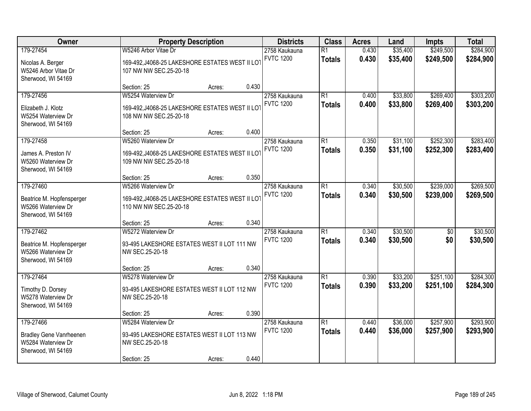| Owner                                                                                   | <b>Property Description</b>                                                                         | <b>Districts</b> | <b>Class</b> | <b>Acres</b>                      | Land                             | Impts          | <b>Total</b>         |                        |                        |
|-----------------------------------------------------------------------------------------|-----------------------------------------------------------------------------------------------------|------------------|--------------|-----------------------------------|----------------------------------|----------------|----------------------|------------------------|------------------------|
| 179-27454<br>Nicolas A. Berger<br>W5246 Arbor Vitae Dr<br>Sherwood, WI 54169            | W5246 Arbor Vitae Dr<br>169-492, J4068-25 LAKESHORE ESTATES WEST II LOT<br>107 NW NW SEC.25-20-18   |                  |              | 2758 Kaukauna<br><b>FVTC 1200</b> | $\overline{R1}$<br><b>Totals</b> | 0.430<br>0.430 | \$35,400<br>\$35,400 | \$249,500<br>\$249,500 | \$284,900<br>\$284,900 |
|                                                                                         | Section: 25                                                                                         | Acres:           | 0.430        |                                   |                                  |                |                      |                        |                        |
| 179-27456<br>Elizabeth J. Klotz<br>W5254 Waterview Dr<br>Sherwood, WI 54169             | W5254 Waterview Dr<br>169-492, J4068-25 LAKESHORE ESTATES WEST II LOT<br>108 NW NW SEC.25-20-18     |                  |              | 2758 Kaukauna<br><b>FVTC 1200</b> | $\overline{R1}$<br><b>Totals</b> | 0.400<br>0.400 | \$33,800<br>\$33,800 | \$269,400<br>\$269,400 | \$303,200<br>\$303,200 |
|                                                                                         | Section: 25                                                                                         | Acres:           | 0.400        |                                   |                                  |                |                      |                        |                        |
| 179-27458<br>James A. Preston IV<br>W5260 Waterview Dr<br>Sherwood, WI 54169            | W5260 Waterview Dr<br>169-492, J4068-25 LAKESHORE ESTATES WEST II LOT<br>109 NW NW SEC.25-20-18     |                  |              | 2758 Kaukauna<br><b>FVTC 1200</b> | $\overline{R1}$<br><b>Totals</b> | 0.350<br>0.350 | \$31,100<br>\$31,100 | \$252,300<br>\$252,300 | \$283,400<br>\$283,400 |
|                                                                                         | Section: 25                                                                                         | Acres:           | 0.350        |                                   |                                  |                |                      |                        |                        |
| 179-27460<br>Beatrice M. Hopfensperger<br>W5266 Waterview Dr<br>Sherwood, WI 54169      | W5266 Waterview Dr<br>169-492, J4068-25 LAKESHORE ESTATES WEST II LOT<br>110 NW NW SEC.25-20-18     |                  |              | 2758 Kaukauna<br><b>FVTC 1200</b> | $\overline{R1}$<br><b>Totals</b> | 0.340<br>0.340 | \$30,500<br>\$30,500 | \$239,000<br>\$239,000 | \$269,500<br>\$269,500 |
|                                                                                         | Section: 25                                                                                         | Acres:           | 0.340        |                                   |                                  |                |                      |                        |                        |
| 179-27462<br>Beatrice M. Hopfensperger<br>W5266 Waterview Dr<br>Sherwood, WI 54169      | W5272 Waterview Dr<br>93-495 LAKESHORE ESTATES WEST II LOT 111 NW<br>NW SEC.25-20-18                |                  |              | 2758 Kaukauna<br><b>FVTC 1200</b> | $\overline{R1}$<br><b>Totals</b> | 0.340<br>0.340 | \$30,500<br>\$30,500 | $\overline{50}$<br>\$0 | \$30,500<br>\$30,500   |
|                                                                                         | Section: 25                                                                                         | Acres:           | 0.340        |                                   |                                  |                |                      |                        |                        |
| 179-27464<br>Timothy D. Dorsey<br>W5278 Waterview Dr<br>Sherwood, WI 54169              | W5278 Waterview Dr<br>93-495 LAKESHORE ESTATES WEST II LOT 112 NW<br>NW SEC.25-20-18                |                  |              | 2758 Kaukauna<br><b>FVTC 1200</b> | $\overline{R1}$<br><b>Totals</b> | 0.390<br>0.390 | \$33,200<br>\$33,200 | \$251,100<br>\$251,100 | \$284,300<br>\$284,300 |
|                                                                                         | Section: 25                                                                                         | Acres:           | 0.390        |                                   |                                  |                |                      |                        |                        |
| 179-27466<br><b>Bradley Gene Vanrheenen</b><br>W5284 Waterview Dr<br>Sherwood, WI 54169 | W5284 Waterview Dr<br>93-495 LAKESHORE ESTATES WEST II LOT 113 NW<br>NW SEC.25-20-18<br>Section: 25 | Acres:           | 0.440        | 2758 Kaukauna<br><b>FVTC 1200</b> | $\overline{R1}$<br><b>Totals</b> | 0.440<br>0.440 | \$36,000<br>\$36,000 | \$257,900<br>\$257,900 | \$293,900<br>\$293,900 |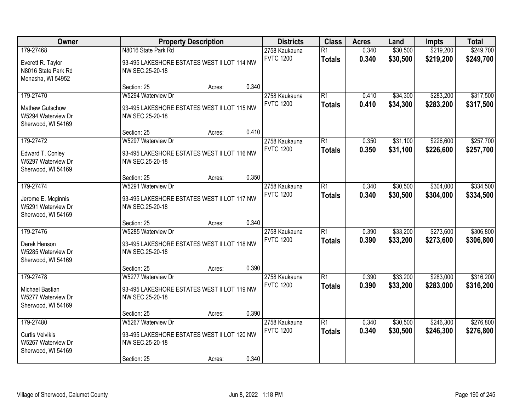| Owner                                                                           | <b>Property Description</b>                                                                         | <b>Districts</b> | <b>Class</b> | <b>Acres</b>                      | Land                             | Impts          | <b>Total</b>         |                        |                        |
|---------------------------------------------------------------------------------|-----------------------------------------------------------------------------------------------------|------------------|--------------|-----------------------------------|----------------------------------|----------------|----------------------|------------------------|------------------------|
| 179-27468<br>Everett R. Taylor<br>N8016 State Park Rd<br>Menasha, WI 54952      | N8016 State Park Rd<br>93-495 LAKESHORE ESTATES WEST II LOT 114 NW<br>NW SEC.25-20-18               |                  |              | 2758 Kaukauna<br><b>FVTC 1200</b> | $\overline{R1}$<br><b>Totals</b> | 0.340<br>0.340 | \$30,500<br>\$30,500 | \$219,200<br>\$219,200 | \$249,700<br>\$249,700 |
|                                                                                 | Section: 25                                                                                         | Acres:           | 0.340        |                                   |                                  |                |                      |                        |                        |
| 179-27470<br><b>Mathew Gutschow</b><br>W5294 Waterview Dr<br>Sherwood, WI 54169 | W5294 Waterview Dr<br>93-495 LAKESHORE ESTATES WEST II LOT 115 NW<br>NW SEC.25-20-18                |                  |              | 2758 Kaukauna<br><b>FVTC 1200</b> | $\overline{R1}$<br><b>Totals</b> | 0.410<br>0.410 | \$34,300<br>\$34,300 | \$283,200<br>\$283,200 | \$317,500<br>\$317,500 |
|                                                                                 | Section: 25                                                                                         | Acres:           | 0.410        |                                   |                                  |                |                      |                        |                        |
| 179-27472<br>Edward T. Conley<br>W5297 Waterview Dr<br>Sherwood, WI 54169       | W5297 Waterview Dr<br>93-495 LAKESHORE ESTATES WEST II LOT 116 NW<br>NW SEC.25-20-18                |                  |              | 2758 Kaukauna<br><b>FVTC 1200</b> | $\overline{R1}$<br><b>Totals</b> | 0.350<br>0.350 | \$31,100<br>\$31,100 | \$226,600<br>\$226,600 | \$257,700<br>\$257,700 |
|                                                                                 | Section: 25                                                                                         | Acres:           | 0.350        |                                   |                                  |                |                      |                        |                        |
| 179-27474<br>Jerome E. Mcginnis<br>W5291 Waterview Dr<br>Sherwood, WI 54169     | W5291 Waterview Dr<br>93-495 LAKESHORE ESTATES WEST II LOT 117 NW<br>NW SEC.25-20-18                |                  |              | 2758 Kaukauna<br><b>FVTC 1200</b> | $\overline{R1}$<br><b>Totals</b> | 0.340<br>0.340 | \$30,500<br>\$30,500 | \$304,000<br>\$304,000 | \$334,500<br>\$334,500 |
|                                                                                 | Section: 25                                                                                         | Acres:           | 0.340        |                                   |                                  |                |                      |                        |                        |
| 179-27476<br>Derek Henson<br>W5285 Waterview Dr<br>Sherwood, WI 54169           | W5285 Waterview Dr<br>93-495 LAKESHORE ESTATES WEST II LOT 118 NW<br>NW SEC.25-20-18                |                  |              | 2758 Kaukauna<br><b>FVTC 1200</b> | $\overline{R1}$<br><b>Totals</b> | 0.390<br>0.390 | \$33,200<br>\$33,200 | \$273,600<br>\$273,600 | \$306,800<br>\$306,800 |
|                                                                                 | Section: 25                                                                                         | Acres:           | 0.390        |                                   |                                  |                |                      |                        |                        |
| 179-27478<br>Michael Bastian<br>W5277 Waterview Dr<br>Sherwood, WI 54169        | W5277 Waterview Dr<br>93-495 LAKESHORE ESTATES WEST II LOT 119 NW<br>NW SEC.25-20-18                |                  |              | 2758 Kaukauna<br><b>FVTC 1200</b> | $\overline{R1}$<br><b>Totals</b> | 0.390<br>0.390 | \$33,200<br>\$33,200 | \$283,000<br>\$283,000 | \$316,200<br>\$316,200 |
|                                                                                 | Section: 25                                                                                         | Acres:           | 0.390        |                                   |                                  |                |                      |                        |                        |
| 179-27480<br><b>Curtis Velvikis</b><br>W5267 Waterview Dr<br>Sherwood, WI 54169 | W5267 Waterview Dr<br>93-495 LAKESHORE ESTATES WEST II LOT 120 NW<br>NW SEC.25-20-18<br>Section: 25 | Acres:           | 0.340        | 2758 Kaukauna<br><b>FVTC 1200</b> | $\overline{R1}$<br><b>Totals</b> | 0.340<br>0.340 | \$30,500<br>\$30,500 | \$246,300<br>\$246,300 | \$276,800<br>\$276,800 |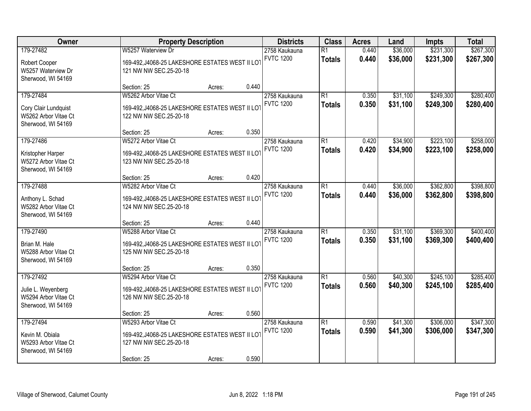| 179-27482<br>W5257 Waterview Dr<br>$\overline{R1}$<br>2758 Kaukauna<br><b>FVTC 1200</b><br><b>Totals</b><br>169-492, J4068-25 LAKESHORE ESTATES WEST II LOT<br>Robert Cooper<br>W5257 Waterview Dr<br>121 NW NW SEC.25-20-18<br>Sherwood, WI 54169<br>0.440<br>Section: 25<br>Acres:<br>179-27484<br>$\overline{R1}$<br>W5262 Arbor Vitae Ct<br>2758 Kaukauna<br><b>FVTC 1200</b><br><b>Totals</b><br>169-492, J4068-25 LAKESHORE ESTATES WEST II LOT<br>Cory Clair Lundquist<br>W5262 Arbor Vitae Ct<br>122 NW NW SEC.25-20-18<br>Sherwood, WI 54169 | \$36,000<br>0.440<br>0.440<br>\$36,000 | \$231,300              | \$267,300              |
|-------------------------------------------------------------------------------------------------------------------------------------------------------------------------------------------------------------------------------------------------------------------------------------------------------------------------------------------------------------------------------------------------------------------------------------------------------------------------------------------------------------------------------------------------------|----------------------------------------|------------------------|------------------------|
|                                                                                                                                                                                                                                                                                                                                                                                                                                                                                                                                                       |                                        | \$231,300              | \$267,300              |
|                                                                                                                                                                                                                                                                                                                                                                                                                                                                                                                                                       |                                        |                        |                        |
|                                                                                                                                                                                                                                                                                                                                                                                                                                                                                                                                                       | 0.350<br>\$31,100<br>0.350<br>\$31,100 | \$249,300<br>\$249,300 | \$280,400<br>\$280,400 |
| 0.350<br>Section: 25<br>Acres:                                                                                                                                                                                                                                                                                                                                                                                                                                                                                                                        |                                        |                        |                        |
| 179-27486<br>$\overline{R1}$<br>W5272 Arbor Vitae Ct<br>2758 Kaukauna<br><b>FVTC 1200</b><br><b>Totals</b><br>169-492, J4068-25 LAKESHORE ESTATES WEST II LOT<br>Kristopher Harper<br>W5272 Arbor Vitae Ct<br>123 NW NW SEC.25-20-18<br>Sherwood, WI 54169                                                                                                                                                                                                                                                                                            | \$34,900<br>0.420<br>0.420<br>\$34,900 | \$223,100<br>\$223,100 | \$258,000<br>\$258,000 |
| 0.420<br>Section: 25<br>Acres:                                                                                                                                                                                                                                                                                                                                                                                                                                                                                                                        |                                        |                        |                        |
| 179-27488<br>W5282 Arbor Vitae Ct<br>$\overline{R1}$<br>2758 Kaukauna<br><b>FVTC 1200</b><br><b>Totals</b><br>169-492, J4068-25 LAKESHORE ESTATES WEST II LOT<br>Anthony L. Schad<br>W5282 Arbor Vitae Ct<br>124 NW NW SEC.25-20-18<br>Sherwood, WI 54169                                                                                                                                                                                                                                                                                             | \$36,000<br>0.440<br>0.440<br>\$36,000 | \$362,800<br>\$362,800 | \$398,800<br>\$398,800 |
| 0.440<br>Section: 25<br>Acres:                                                                                                                                                                                                                                                                                                                                                                                                                                                                                                                        |                                        |                        |                        |
| 179-27490<br>$\overline{R1}$<br>W5288 Arbor Vitae Ct<br>2758 Kaukauna<br><b>FVTC 1200</b><br><b>Totals</b><br>169-492, J4068-25 LAKESHORE ESTATES WEST II LOT<br>Brian M. Hale<br>W5288 Arbor Vitae Ct<br>125 NW NW SEC.25-20-18<br>Sherwood, WI 54169                                                                                                                                                                                                                                                                                                | \$31,100<br>0.350<br>0.350<br>\$31,100 | \$369,300<br>\$369,300 | \$400,400<br>\$400,400 |
| 0.350<br>Section: 25<br>Acres:                                                                                                                                                                                                                                                                                                                                                                                                                                                                                                                        |                                        |                        |                        |
| 179-27492<br>$\overline{R1}$<br>W5294 Arbor Vitae Ct<br>2758 Kaukauna<br><b>FVTC 1200</b><br><b>Totals</b><br>169-492, J4068-25 LAKESHORE ESTATES WEST II LOT<br>Julie L. Weyenberg<br>W5294 Arbor Vitae Ct<br>126 NW NW SEC.25-20-18<br>Sherwood, WI 54169                                                                                                                                                                                                                                                                                           | 0.560<br>\$40,300<br>0.560<br>\$40,300 | \$245,100<br>\$245,100 | \$285,400<br>\$285,400 |
| 0.560<br>Section: 25<br>Acres:                                                                                                                                                                                                                                                                                                                                                                                                                                                                                                                        |                                        |                        |                        |
| 179-27494<br>$\overline{R1}$<br>W5293 Arbor Vitae Ct<br>2758 Kaukauna<br><b>FVTC 1200</b><br><b>Totals</b><br>Kevin M. Obiala<br>169-492, J4068-25 LAKESHORE ESTATES WEST II LOT<br>W5293 Arbor Vitae Ct<br>127 NW NW SEC.25-20-18<br>Sherwood, WI 54169<br>0.590<br>Section: 25<br>Acres:                                                                                                                                                                                                                                                            | 0.590<br>\$41,300<br>0.590<br>\$41,300 | \$306,000<br>\$306,000 | \$347,300<br>\$347,300 |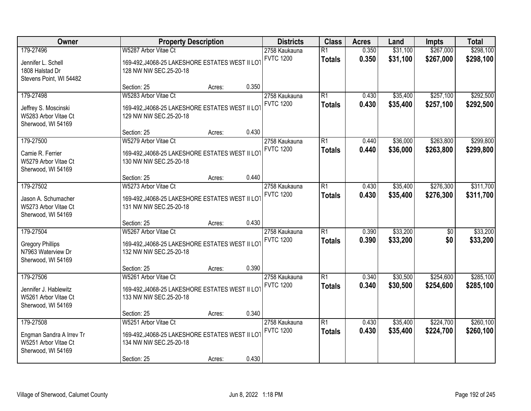| Owner                                                                               |                                                                                                                  | <b>Property Description</b> |       | <b>Districts</b>                  | <b>Class</b>                     | <b>Acres</b>   | Land                 | Impts                  | <b>Total</b>           |
|-------------------------------------------------------------------------------------|------------------------------------------------------------------------------------------------------------------|-----------------------------|-------|-----------------------------------|----------------------------------|----------------|----------------------|------------------------|------------------------|
| 179-27496<br>Jennifer L. Schell<br>1808 Halstad Dr<br>Stevens Point, WI 54482       | W5287 Arbor Vitae Ct<br>169-492, J4068-25 LAKESHORE ESTATES WEST II LOT<br>128 NW NW SEC.25-20-18                |                             |       | 2758 Kaukauna<br><b>FVTC 1200</b> | $\overline{R1}$<br><b>Totals</b> | 0.350<br>0.350 | \$31,100<br>\$31,100 | \$267,000<br>\$267,000 | \$298,100<br>\$298,100 |
|                                                                                     | Section: 25                                                                                                      | Acres:                      | 0.350 |                                   |                                  |                |                      |                        |                        |
| 179-27498<br>Jeffrey S. Moscinski<br>W5283 Arbor Vitae Ct<br>Sherwood, WI 54169     | W5283 Arbor Vitae Ct<br>169-492, J4068-25 LAKESHORE ESTATES WEST II LOT<br>129 NW NW SEC.25-20-18                |                             |       | 2758 Kaukauna<br><b>FVTC 1200</b> | $\overline{R1}$<br><b>Totals</b> | 0.430<br>0.430 | \$35,400<br>\$35,400 | \$257,100<br>\$257,100 | \$292,500<br>\$292,500 |
|                                                                                     | Section: 25                                                                                                      | Acres:                      | 0.430 |                                   |                                  |                |                      |                        |                        |
| 179-27500<br>Camie R. Ferrier<br>W5279 Arbor Vitae Ct<br>Sherwood, WI 54169         | W5279 Arbor Vitae Ct<br>169-492, J4068-25 LAKESHORE ESTATES WEST II LOT<br>130 NW NW SEC.25-20-18                |                             |       | 2758 Kaukauna<br><b>FVTC 1200</b> | $\overline{R1}$<br><b>Totals</b> | 0.440<br>0.440 | \$36,000<br>\$36,000 | \$263,800<br>\$263,800 | \$299,800<br>\$299,800 |
|                                                                                     | Section: 25                                                                                                      | Acres:                      | 0.440 |                                   |                                  |                |                      |                        |                        |
| 179-27502<br>Jason A. Schumacher<br>W5273 Arbor Vitae Ct<br>Sherwood, WI 54169      | W5273 Arbor Vitae Ct<br>169-492, J4068-25 LAKESHORE ESTATES WEST II LOT<br>131 NW NW SEC.25-20-18                |                             |       | 2758 Kaukauna<br><b>FVTC 1200</b> | $\overline{R1}$<br><b>Totals</b> | 0.430<br>0.430 | \$35,400<br>\$35,400 | \$276,300<br>\$276,300 | \$311,700<br>\$311,700 |
|                                                                                     | Section: 25                                                                                                      | Acres:                      | 0.430 |                                   |                                  |                |                      |                        |                        |
| 179-27504<br><b>Gregory Phillips</b><br>N7963 Waterview Dr<br>Sherwood, WI 54169    | W5267 Arbor Vitae Ct<br>169-492, J4068-25 LAKESHORE ESTATES WEST II LOT<br>132 NW NW SEC.25-20-18                |                             |       | 2758 Kaukauna<br><b>FVTC 1200</b> | $\overline{R1}$<br><b>Totals</b> | 0.390<br>0.390 | \$33,200<br>\$33,200 | $\overline{50}$<br>\$0 | \$33,200<br>\$33,200   |
|                                                                                     | Section: 25                                                                                                      | Acres:                      | 0.390 |                                   |                                  |                |                      |                        |                        |
| 179-27506<br>Jennifer J. Hablewitz<br>W5261 Arbor Vitae Ct<br>Sherwood, WI 54169    | W5261 Arbor Vitae Ct<br>169-492, J4068-25 LAKESHORE ESTATES WEST II LOT<br>133 NW NW SEC.25-20-18                |                             |       | 2758 Kaukauna<br><b>FVTC 1200</b> | $\overline{R1}$<br><b>Totals</b> | 0.340<br>0.340 | \$30,500<br>\$30,500 | \$254,600<br>\$254,600 | \$285,100<br>\$285,100 |
|                                                                                     | Section: 25                                                                                                      | Acres:                      | 0.340 |                                   |                                  |                |                      |                        |                        |
| 179-27508<br>Engman Sandra A Irrev Tr<br>W5251 Arbor Vitae Ct<br>Sherwood, WI 54169 | W5251 Arbor Vitae Ct<br>169-492, J4068-25 LAKESHORE ESTATES WEST II LOT<br>134 NW NW SEC.25-20-18<br>Section: 25 | Acres:                      | 0.430 | 2758 Kaukauna<br><b>FVTC 1200</b> | $\overline{R1}$<br><b>Totals</b> | 0.430<br>0.430 | \$35,400<br>\$35,400 | \$224,700<br>\$224,700 | \$260,100<br>\$260,100 |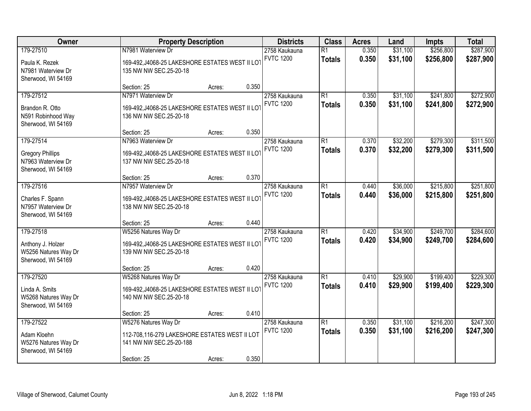| Owner                                                                            | <b>Property Description</b>                                                                                                        | <b>Districts</b>                  | <b>Class</b>                     | <b>Acres</b>   | Land                 | Impts                  | <b>Total</b>           |
|----------------------------------------------------------------------------------|------------------------------------------------------------------------------------------------------------------------------------|-----------------------------------|----------------------------------|----------------|----------------------|------------------------|------------------------|
| 179-27510<br>Paula K. Rezek<br>N7981 Waterview Dr                                | N7981 Waterview Dr<br>169-492, J4068-25 LAKESHORE ESTATES WEST II LOT<br>135 NW NW SEC.25-20-18                                    | 2758 Kaukauna<br><b>FVTC 1200</b> | $\overline{R1}$<br><b>Totals</b> | 0.350<br>0.350 | \$31,100<br>\$31,100 | \$256,800<br>\$256,800 | \$287,900<br>\$287,900 |
| Sherwood, WI 54169                                                               | 0.350<br>Section: 25<br>Acres:                                                                                                     |                                   |                                  |                |                      |                        |                        |
| 179-27512<br>Brandon R. Otto<br>N591 Robinhood Way<br>Sherwood, WI 54169         | N7971 Waterview Dr<br>169-492, J4068-25 LAKESHORE ESTATES WEST II LOT<br>136 NW NW SEC.25-20-18                                    | 2758 Kaukauna<br><b>FVTC 1200</b> | $\overline{R1}$<br><b>Totals</b> | 0.350<br>0.350 | \$31,100<br>\$31,100 | \$241,800<br>\$241,800 | \$272,900<br>\$272,900 |
|                                                                                  | 0.350<br>Section: 25<br>Acres:                                                                                                     |                                   |                                  |                |                      |                        |                        |
| 179-27514<br><b>Gregory Phillips</b><br>N7963 Waterview Dr<br>Sherwood, WI 54169 | N7963 Waterview Dr<br>169-492, J4068-25 LAKESHORE ESTATES WEST II LOT<br>137 NW NW SEC.25-20-18                                    | 2758 Kaukauna<br><b>FVTC 1200</b> | $\overline{R1}$<br><b>Totals</b> | 0.370<br>0.370 | \$32,200<br>\$32,200 | \$279,300<br>\$279,300 | \$311,500<br>\$311,500 |
|                                                                                  | 0.370<br>Section: 25<br>Acres:                                                                                                     |                                   |                                  |                |                      |                        |                        |
| 179-27516<br>Charles F. Spann<br>N7957 Waterview Dr<br>Sherwood, WI 54169        | N7957 Waterview Dr<br>169-492, J4068-25 LAKESHORE ESTATES WEST II LOT<br>138 NW NW SEC.25-20-18                                    | 2758 Kaukauna<br><b>FVTC 1200</b> | $\overline{R1}$<br><b>Totals</b> | 0.440<br>0.440 | \$36,000<br>\$36,000 | \$215,800<br>\$215,800 | \$251,800<br>\$251,800 |
|                                                                                  | 0.440<br>Section: 25<br>Acres:                                                                                                     |                                   |                                  |                |                      |                        |                        |
| 179-27518<br>Anthony J. Holzer<br>W5256 Natures Way Dr<br>Sherwood, WI 54169     | W5256 Natures Way Dr<br>169-492, J4068-25 LAKESHORE ESTATES WEST II LOT<br>139 NW NW SEC.25-20-18                                  | 2758 Kaukauna<br><b>FVTC 1200</b> | $\overline{R1}$<br><b>Totals</b> | 0.420<br>0.420 | \$34,900<br>\$34,900 | \$249,700<br>\$249,700 | \$284,600<br>\$284,600 |
|                                                                                  | 0.420<br>Section: 25<br>Acres:                                                                                                     |                                   |                                  |                |                      |                        |                        |
| 179-27520<br>Linda A. Smits<br>W5268 Natures Way Dr<br>Sherwood, WI 54169        | W5268 Natures Way Dr<br>169-492, J4068-25 LAKESHORE ESTATES WEST II LOT<br>140 NW NW SEC.25-20-18                                  | 2758 Kaukauna<br><b>FVTC 1200</b> | $\overline{R1}$<br><b>Totals</b> | 0.410<br>0.410 | \$29,900<br>\$29,900 | \$199,400<br>\$199,400 | \$229,300<br>\$229,300 |
|                                                                                  | 0.410<br>Section: 25<br>Acres:                                                                                                     |                                   |                                  |                |                      |                        |                        |
| 179-27522<br>Adam Kloehn<br>W5276 Natures Way Dr<br>Sherwood, WI 54169           | W5276 Natures Way Dr<br>112-708,116-279 LAKESHORE ESTATES WEST II LOT<br>141 NW NW SEC.25-20-188<br>0.350<br>Section: 25<br>Acres: | 2758 Kaukauna<br><b>FVTC 1200</b> | $\overline{R1}$<br><b>Totals</b> | 0.350<br>0.350 | \$31,100<br>\$31,100 | \$216,200<br>\$216,200 | \$247,300<br>\$247,300 |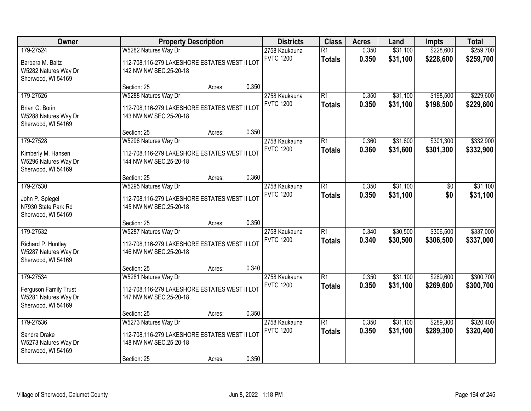| \$228,600<br>179-27524<br>W5282 Natures Way Dr<br>$\overline{R1}$<br>0.350<br>\$31,100<br>2758 Kaukauna<br><b>FVTC 1200</b><br>0.350<br>\$31,100<br>\$228,600<br><b>Totals</b><br>112-708,116-279 LAKESHORE ESTATES WEST II LOT<br>Barbara M. Baltz<br>W5282 Natures Way Dr<br>142 NW NW SEC.25-20-18<br>Sherwood, WI 54169<br>0.350<br>Section: 25<br>Acres:<br>179-27526<br>W5288 Natures Way Dr<br>2758 Kaukauna<br>$\overline{R1}$<br>\$31,100<br>\$198,500<br>0.350<br><b>FVTC 1200</b><br>0.350<br>\$31,100<br>\$198,500<br><b>Totals</b><br>112-708,116-279 LAKESHORE ESTATES WEST II LOT<br>Brian G. Borin<br>W5288 Natures Way Dr<br>143 NW NW SEC.25-20-18<br>Sherwood, WI 54169<br>0.350<br>Section: 25<br>Acres:<br>179-27528<br>W5296 Natures Way Dr<br>$\overline{R1}$<br>\$31,600<br>\$301,300<br>2758 Kaukauna<br>0.360<br><b>FVTC 1200</b><br>\$31,600<br>0.360<br>\$301,300<br><b>Totals</b><br>Kimberly M. Hansen<br>112-708,116-279 LAKESHORE ESTATES WEST II LOT<br>W5296 Natures Way Dr<br>144 NW NW SEC.25-20-18<br>Sherwood, WI 54169<br>0.360<br>Section: 25<br>Acres:<br>179-27530<br>$\overline{R1}$<br>\$31,100<br>W5295 Natures Way Dr<br>2758 Kaukauna<br>0.350<br>\$0<br><b>FVTC 1200</b><br>0.350<br>\$31,100<br>\$0<br><b>Totals</b><br>John P. Spiegel<br>112-708,116-279 LAKESHORE ESTATES WEST II LOT<br>N7930 State Park Rd<br>145 NW NW SEC.25-20-18<br>Sherwood, WI 54169<br>0.350<br>Section: 25<br>Acres:<br>179-27532<br>$\overline{R1}$<br>\$30,500<br>\$306,500<br>W5287 Natures Way Dr<br>0.340<br>2758 Kaukauna<br><b>FVTC 1200</b><br>0.340<br>\$30,500<br>\$306,500<br><b>Totals</b><br>112-708,116-279 LAKESHORE ESTATES WEST II LOT<br>Richard P. Huntley<br>W5287 Natures Way Dr<br>146 NW NW SEC.25-20-18<br>Sherwood, WI 54169<br>0.340<br>Section: 25<br>Acres:<br>\$269,600<br>179-27534<br>$\overline{R1}$<br>\$31,100<br>W5281 Natures Way Dr<br>2758 Kaukauna<br>0.350<br><b>FVTC 1200</b><br>0.350<br>\$31,100<br>\$269,600<br><b>Totals</b><br>Ferguson Family Trust<br>112-708,116-279 LAKESHORE ESTATES WEST II LOT<br>W5281 Natures Way Dr<br>147 NW NW SEC.25-20-18<br>Sherwood, WI 54169<br>0.350<br>Section: 25<br>Acres:<br>179-27536<br>W5273 Natures Way Dr<br>$\overline{R1}$<br>\$31,100<br>\$289,300<br>2758 Kaukauna<br>0.350<br><b>FVTC 1200</b><br>0.350<br>\$31,100<br>\$289,300<br><b>Totals</b><br>112-708,116-279 LAKESHORE ESTATES WEST II LOT<br>Sandra Drake<br>148 NW NW SEC.25-20-18<br>W5273 Natures Way Dr | Owner              | <b>Property Description</b> |  | <b>Districts</b> | <b>Class</b> | <b>Acres</b> | Land | Impts | <b>Total</b>           |
|--------------------------------------------------------------------------------------------------------------------------------------------------------------------------------------------------------------------------------------------------------------------------------------------------------------------------------------------------------------------------------------------------------------------------------------------------------------------------------------------------------------------------------------------------------------------------------------------------------------------------------------------------------------------------------------------------------------------------------------------------------------------------------------------------------------------------------------------------------------------------------------------------------------------------------------------------------------------------------------------------------------------------------------------------------------------------------------------------------------------------------------------------------------------------------------------------------------------------------------------------------------------------------------------------------------------------------------------------------------------------------------------------------------------------------------------------------------------------------------------------------------------------------------------------------------------------------------------------------------------------------------------------------------------------------------------------------------------------------------------------------------------------------------------------------------------------------------------------------------------------------------------------------------------------------------------------------------------------------------------------------------------------------------------------------------------------------------------------------------------------------------------------------------------------------------------------------------------------------------------------------------------------------------------------------------------------------------------------------------------------------------------------------------------------------------------------------------------------------------------------|--------------------|-----------------------------|--|------------------|--------------|--------------|------|-------|------------------------|
|                                                                                                                                                                                                                                                                                                                                                                                                                                                                                                                                                                                                                                                                                                                                                                                                                                                                                                                                                                                                                                                                                                                                                                                                                                                                                                                                                                                                                                                                                                                                                                                                                                                                                                                                                                                                                                                                                                                                                                                                                                                                                                                                                                                                                                                                                                                                                                                                                                                                                                  |                    |                             |  |                  |              |              |      |       | \$259,700<br>\$259,700 |
|                                                                                                                                                                                                                                                                                                                                                                                                                                                                                                                                                                                                                                                                                                                                                                                                                                                                                                                                                                                                                                                                                                                                                                                                                                                                                                                                                                                                                                                                                                                                                                                                                                                                                                                                                                                                                                                                                                                                                                                                                                                                                                                                                                                                                                                                                                                                                                                                                                                                                                  |                    |                             |  |                  |              |              |      |       |                        |
|                                                                                                                                                                                                                                                                                                                                                                                                                                                                                                                                                                                                                                                                                                                                                                                                                                                                                                                                                                                                                                                                                                                                                                                                                                                                                                                                                                                                                                                                                                                                                                                                                                                                                                                                                                                                                                                                                                                                                                                                                                                                                                                                                                                                                                                                                                                                                                                                                                                                                                  |                    |                             |  |                  |              |              |      |       | \$229,600<br>\$229,600 |
|                                                                                                                                                                                                                                                                                                                                                                                                                                                                                                                                                                                                                                                                                                                                                                                                                                                                                                                                                                                                                                                                                                                                                                                                                                                                                                                                                                                                                                                                                                                                                                                                                                                                                                                                                                                                                                                                                                                                                                                                                                                                                                                                                                                                                                                                                                                                                                                                                                                                                                  |                    |                             |  |                  |              |              |      |       |                        |
|                                                                                                                                                                                                                                                                                                                                                                                                                                                                                                                                                                                                                                                                                                                                                                                                                                                                                                                                                                                                                                                                                                                                                                                                                                                                                                                                                                                                                                                                                                                                                                                                                                                                                                                                                                                                                                                                                                                                                                                                                                                                                                                                                                                                                                                                                                                                                                                                                                                                                                  |                    |                             |  |                  |              |              |      |       | \$332,900<br>\$332,900 |
|                                                                                                                                                                                                                                                                                                                                                                                                                                                                                                                                                                                                                                                                                                                                                                                                                                                                                                                                                                                                                                                                                                                                                                                                                                                                                                                                                                                                                                                                                                                                                                                                                                                                                                                                                                                                                                                                                                                                                                                                                                                                                                                                                                                                                                                                                                                                                                                                                                                                                                  |                    |                             |  |                  |              |              |      |       |                        |
|                                                                                                                                                                                                                                                                                                                                                                                                                                                                                                                                                                                                                                                                                                                                                                                                                                                                                                                                                                                                                                                                                                                                                                                                                                                                                                                                                                                                                                                                                                                                                                                                                                                                                                                                                                                                                                                                                                                                                                                                                                                                                                                                                                                                                                                                                                                                                                                                                                                                                                  |                    |                             |  |                  |              |              |      |       | \$31,100<br>\$31,100   |
|                                                                                                                                                                                                                                                                                                                                                                                                                                                                                                                                                                                                                                                                                                                                                                                                                                                                                                                                                                                                                                                                                                                                                                                                                                                                                                                                                                                                                                                                                                                                                                                                                                                                                                                                                                                                                                                                                                                                                                                                                                                                                                                                                                                                                                                                                                                                                                                                                                                                                                  |                    |                             |  |                  |              |              |      |       |                        |
|                                                                                                                                                                                                                                                                                                                                                                                                                                                                                                                                                                                                                                                                                                                                                                                                                                                                                                                                                                                                                                                                                                                                                                                                                                                                                                                                                                                                                                                                                                                                                                                                                                                                                                                                                                                                                                                                                                                                                                                                                                                                                                                                                                                                                                                                                                                                                                                                                                                                                                  |                    |                             |  |                  |              |              |      |       | \$337,000<br>\$337,000 |
|                                                                                                                                                                                                                                                                                                                                                                                                                                                                                                                                                                                                                                                                                                                                                                                                                                                                                                                                                                                                                                                                                                                                                                                                                                                                                                                                                                                                                                                                                                                                                                                                                                                                                                                                                                                                                                                                                                                                                                                                                                                                                                                                                                                                                                                                                                                                                                                                                                                                                                  |                    |                             |  |                  |              |              |      |       |                        |
|                                                                                                                                                                                                                                                                                                                                                                                                                                                                                                                                                                                                                                                                                                                                                                                                                                                                                                                                                                                                                                                                                                                                                                                                                                                                                                                                                                                                                                                                                                                                                                                                                                                                                                                                                                                                                                                                                                                                                                                                                                                                                                                                                                                                                                                                                                                                                                                                                                                                                                  |                    |                             |  |                  |              |              |      |       | \$300,700<br>\$300,700 |
|                                                                                                                                                                                                                                                                                                                                                                                                                                                                                                                                                                                                                                                                                                                                                                                                                                                                                                                                                                                                                                                                                                                                                                                                                                                                                                                                                                                                                                                                                                                                                                                                                                                                                                                                                                                                                                                                                                                                                                                                                                                                                                                                                                                                                                                                                                                                                                                                                                                                                                  |                    |                             |  |                  |              |              |      |       |                        |
| 0.350<br>Section: 25<br>Acres:                                                                                                                                                                                                                                                                                                                                                                                                                                                                                                                                                                                                                                                                                                                                                                                                                                                                                                                                                                                                                                                                                                                                                                                                                                                                                                                                                                                                                                                                                                                                                                                                                                                                                                                                                                                                                                                                                                                                                                                                                                                                                                                                                                                                                                                                                                                                                                                                                                                                   | Sherwood, WI 54169 |                             |  |                  |              |              |      |       | \$320,400<br>\$320,400 |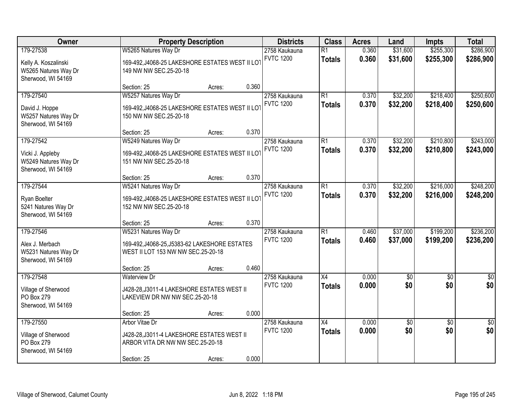| Owner                                                                           | <b>Property Description</b>                                                                                     |                                                                                                                | <b>Districts</b> | <b>Class</b>                      | <b>Acres</b>                     | Land           | Impts                | <b>Total</b>           |                         |
|---------------------------------------------------------------------------------|-----------------------------------------------------------------------------------------------------------------|----------------------------------------------------------------------------------------------------------------|------------------|-----------------------------------|----------------------------------|----------------|----------------------|------------------------|-------------------------|
| 179-27538<br>Kelly A. Koszalinski<br>W5265 Natures Way Dr<br>Sherwood, WI 54169 | W5265 Natures Way Dr                                                                                            | 2758 Kaukauna<br><b>FVTC 1200</b><br>169-492, J4068-25 LAKESHORE ESTATES WEST II LOT<br>149 NW NW SEC.25-20-18 |                  |                                   | $\overline{R1}$<br><b>Totals</b> | 0.360<br>0.360 | \$31,600<br>\$31,600 | \$255,300<br>\$255,300 | \$286,900<br>\$286,900  |
|                                                                                 | Section: 25                                                                                                     | Acres:                                                                                                         | 0.360            |                                   |                                  |                |                      |                        |                         |
| 179-27540<br>David J. Hoppe<br>W5257 Natures Way Dr<br>Sherwood, WI 54169       | W5257 Natures Way Dr<br>169-492, J4068-25 LAKESHORE ESTATES WEST II LOT<br>150 NW NW SEC.25-20-18               |                                                                                                                |                  | 2758 Kaukauna<br><b>FVTC 1200</b> | $\overline{R1}$<br><b>Totals</b> | 0.370<br>0.370 | \$32,200<br>\$32,200 | \$218,400<br>\$218,400 | \$250,600<br>\$250,600  |
|                                                                                 | Section: 25                                                                                                     | Acres:                                                                                                         | 0.370            |                                   |                                  |                |                      |                        |                         |
| 179-27542<br>Vicki J. Appleby<br>W5249 Natures Way Dr<br>Sherwood, WI 54169     | W5249 Natures Way Dr<br>169-492, J4068-25 LAKESHORE ESTATES WEST II LOT<br>151 NW NW SEC.25-20-18               |                                                                                                                |                  | 2758 Kaukauna<br><b>FVTC 1200</b> | $\overline{R1}$<br><b>Totals</b> | 0.370<br>0.370 | \$32,200<br>\$32,200 | \$210,800<br>\$210,800 | \$243,000<br>\$243,000  |
|                                                                                 | Section: 25                                                                                                     | Acres:                                                                                                         | 0.370            |                                   |                                  |                |                      |                        |                         |
| 179-27544<br>Ryan Boelter<br>5241 Natures Way Dr<br>Sherwood, WI 54169          | W5241 Natures Way Dr<br>169-492, J4068-25 LAKESHORE ESTATES WEST II LOT<br>152 NW NW SEC.25-20-18               |                                                                                                                |                  | 2758 Kaukauna<br><b>FVTC 1200</b> | $\overline{R1}$<br><b>Totals</b> | 0.370<br>0.370 | \$32,200<br>\$32,200 | \$216,000<br>\$216,000 | \$248,200<br>\$248,200  |
|                                                                                 | Section: 25                                                                                                     | Acres:                                                                                                         | 0.370            |                                   |                                  |                |                      |                        |                         |
| 179-27546<br>Alex J. Merbach<br>W5231 Natures Way Dr<br>Sherwood, WI 54169      | W5231 Natures Way Dr<br>169-492, J4068-25, J5383-62 LAKESHORE ESTATES<br>WEST II LOT 153 NW NW SEC.25-20-18     |                                                                                                                |                  | 2758 Kaukauna<br><b>FVTC 1200</b> | $\overline{R1}$<br><b>Totals</b> | 0.460<br>0.460 | \$37,000<br>\$37,000 | \$199,200<br>\$199,200 | \$236,200<br>\$236,200  |
|                                                                                 | Section: 25                                                                                                     | Acres:                                                                                                         | 0.460            |                                   |                                  |                |                      |                        |                         |
| 179-27548<br>Village of Sherwood<br>PO Box 279<br>Sherwood, WI 54169            | <b>Waterview Dr</b><br>J428-28, J3011-4 LAKESHORE ESTATES WEST II<br>LAKEVIEW DR NW NW SEC.25-20-18             |                                                                                                                |                  | 2758 Kaukauna<br><b>FVTC 1200</b> | $\overline{X4}$<br><b>Totals</b> | 0.000<br>0.000 | $\sqrt{50}$<br>\$0   | $\overline{50}$<br>\$0 | $\overline{\$0}$<br>\$0 |
|                                                                                 | Section: 25                                                                                                     | Acres:                                                                                                         | 0.000            |                                   |                                  |                |                      |                        |                         |
| 179-27550<br>Village of Sherwood<br>PO Box 279<br>Sherwood, WI 54169            | Arbor Vitae Dr<br>J428-28, J3011-4 LAKESHORE ESTATES WEST II<br>ARBOR VITA DR NW NW SEC.25-20-18<br>Section: 25 | Acres:                                                                                                         | 0.000            | 2758 Kaukauna<br><b>FVTC 1200</b> | $\overline{X4}$<br><b>Totals</b> | 0.000<br>0.000 | $\sqrt{50}$<br>\$0   | $\overline{30}$<br>\$0 | $\overline{50}$<br>\$0  |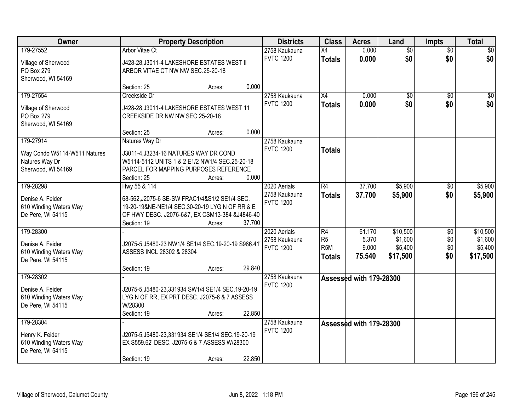| Owner                                       | <b>Property Description</b>                                                                     |                  | <b>Districts</b> | <b>Class</b>     | <b>Acres</b>            | Land            | <b>Impts</b>    | <b>Total</b> |
|---------------------------------------------|-------------------------------------------------------------------------------------------------|------------------|------------------|------------------|-------------------------|-----------------|-----------------|--------------|
| 179-27552                                   | <b>Arbor Vitae Ct</b>                                                                           |                  | 2758 Kaukauna    | $\overline{X4}$  | 0.000                   | $\overline{50}$ | $\overline{50}$ | $\sqrt{50}$  |
| Village of Sherwood                         | J428-28, J3011-4 LAKESHORE ESTATES WEST II                                                      |                  | <b>FVTC 1200</b> | <b>Totals</b>    | 0.000                   | \$0             | \$0             | \$0          |
| PO Box 279                                  | ARBOR VITAE CT NW NW SEC.25-20-18                                                               |                  |                  |                  |                         |                 |                 |              |
| Sherwood, WI 54169                          |                                                                                                 |                  |                  |                  |                         |                 |                 |              |
|                                             | Section: 25                                                                                     | 0.000<br>Acres:  |                  |                  |                         |                 |                 |              |
| 179-27554                                   | Creekside Dr                                                                                    |                  | 2758 Kaukauna    | $\overline{X4}$  | 0.000                   | $\overline{50}$ | $\overline{50}$ | $\sqrt{50}$  |
| Village of Sherwood                         | J428-28, J3011-4 LAKESHORE ESTATES WEST 11                                                      |                  | <b>FVTC 1200</b> | <b>Totals</b>    | 0.000                   | \$0             | \$0             | \$0          |
| PO Box 279                                  | CREEKSIDE DR NW NW SEC.25-20-18                                                                 |                  |                  |                  |                         |                 |                 |              |
| Sherwood, WI 54169                          |                                                                                                 |                  |                  |                  |                         |                 |                 |              |
|                                             | Section: 25                                                                                     | 0.000<br>Acres:  |                  |                  |                         |                 |                 |              |
| 179-27914                                   | Natures Way Dr                                                                                  |                  | 2758 Kaukauna    |                  |                         |                 |                 |              |
| Way Condo W5114-W511 Natures                | J3011-4, J3234-16 NATURES WAY DR COND                                                           |                  | <b>FVTC 1200</b> | <b>Totals</b>    |                         |                 |                 |              |
| Natures Way Dr                              | W5114-5112 UNITS 1 & 2 E1/2 NW1/4 SEC.25-20-18                                                  |                  |                  |                  |                         |                 |                 |              |
| Sherwood, WI 54169                          | PARCEL FOR MAPPING PURPOSES REFERENCE                                                           |                  |                  |                  |                         |                 |                 |              |
|                                             | Section: 25                                                                                     | 0.000<br>Acres:  |                  |                  |                         |                 |                 |              |
| 179-28298                                   | Hwy 55 & 114                                                                                    |                  | 2020 Aerials     | R4               | 37.700                  | \$5,900         | \$0             | \$5,900      |
| Denise A. Feider                            |                                                                                                 |                  | 2758 Kaukauna    | <b>Totals</b>    | 37.700                  | \$5,900         | \$0             | \$5,900      |
| 610 Winding Waters Way                      | 68-562, J2075-6 SE-SW FRAC1/4&S1/2 SE1/4 SEC.<br>19-20-19&NE-NE1/4 SEC.30-20-19 LYG N OF RR & E |                  | <b>FVTC 1200</b> |                  |                         |                 |                 |              |
| De Pere, WI 54115                           | OF HWY DESC. J2076-6&7, EX CSM13-384 &J4846-40                                                  |                  |                  |                  |                         |                 |                 |              |
|                                             | Section: 19                                                                                     | 37.700<br>Acres: |                  |                  |                         |                 |                 |              |
| 179-28300                                   |                                                                                                 |                  | 2020 Aerials     | R4               | 61.170                  | \$10,500        | $\overline{30}$ | \$10,500     |
|                                             |                                                                                                 |                  | 2758 Kaukauna    | R <sub>5</sub>   | 5.370                   | \$1,600         | \$0             | \$1,600      |
| Denise A. Feider                            | J2075-5, J5480-23 NW1/4 SE1/4 SEC. 19-20-19 S986.41<br>ASSESS INCL 28302 & 28304                |                  | <b>FVTC 1200</b> | R <sub>5</sub> M | 9.000                   | \$5,400         | \$0             | \$5,400      |
| 610 Winding Waters Way<br>De Pere, WI 54115 |                                                                                                 |                  |                  | <b>Totals</b>    | 75.540                  | \$17,500        | \$0             | \$17,500     |
|                                             | Section: 19                                                                                     | 29.840<br>Acres: |                  |                  |                         |                 |                 |              |
| 179-28302                                   |                                                                                                 |                  | 2758 Kaukauna    |                  | Assessed with 179-28300 |                 |                 |              |
|                                             |                                                                                                 |                  | <b>FVTC 1200</b> |                  |                         |                 |                 |              |
| Denise A. Feider                            | J2075-5, J5480-23, 331934 SW1/4 SE1/4 SEC. 19-20-19                                             |                  |                  |                  |                         |                 |                 |              |
| 610 Winding Waters Way<br>De Pere, WI 54115 | LYG N OF RR, EX PRT DESC. J2075-6 & 7 ASSESS<br>W/28300                                         |                  |                  |                  |                         |                 |                 |              |
|                                             | Section: 19                                                                                     | 22.850<br>Acres: |                  |                  |                         |                 |                 |              |
| 179-28304                                   |                                                                                                 |                  | 2758 Kaukauna    |                  | Assessed with 179-28300 |                 |                 |              |
|                                             |                                                                                                 |                  | <b>FVTC 1200</b> |                  |                         |                 |                 |              |
| Henry K. Feider                             | J2075-5, J5480-23, 331934 SE1/4 SE1/4 SEC. 19-20-19                                             |                  |                  |                  |                         |                 |                 |              |
| 610 Winding Waters Way                      | EX S559.62' DESC. J2075-6 & 7 ASSESS W/28300                                                    |                  |                  |                  |                         |                 |                 |              |
| De Pere, WI 54115                           | Section: 19                                                                                     | 22.850           |                  |                  |                         |                 |                 |              |
|                                             |                                                                                                 | Acres:           |                  |                  |                         |                 |                 |              |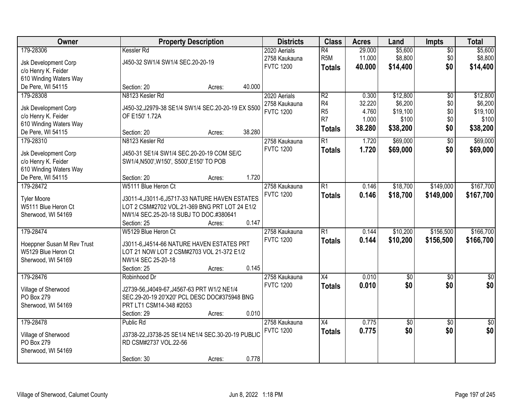| Owner                             | <b>Property Description</b>                        |        |        | <b>Districts</b> | <b>Class</b>     | <b>Acres</b> | Land            | <b>Impts</b>    | <b>Total</b>     |
|-----------------------------------|----------------------------------------------------|--------|--------|------------------|------------------|--------------|-----------------|-----------------|------------------|
| 179-28306                         | Kessler Rd                                         |        |        | 2020 Aerials     | $\overline{R4}$  | 29.000       | \$5,600         | $\sqrt{$0}$     | \$5,600          |
| Jsk Development Corp              | J450-32 SW1/4 SW1/4 SEC.20-20-19                   |        |        | 2758 Kaukauna    | R <sub>5</sub> M | 11.000       | \$8,800         | \$0             | \$8,800          |
| c/o Henry K. Feider               |                                                    |        |        | <b>FVTC 1200</b> | <b>Totals</b>    | 40.000       | \$14,400        | \$0             | \$14,400         |
| 610 Winding Waters Way            |                                                    |        |        |                  |                  |              |                 |                 |                  |
| De Pere, WI 54115                 | Section: 20                                        | Acres: | 40.000 |                  |                  |              |                 |                 |                  |
| 179-28308                         | N8123 Kesler Rd                                    |        |        | 2020 Aerials     | R <sub>2</sub>   | 0.300        | \$12,800        | $\overline{50}$ | \$12,800         |
|                                   |                                                    |        |        | 2758 Kaukauna    | R <sub>4</sub>   | 32.220       | \$6,200         | \$0             | \$6,200          |
| Jsk Development Corp              | J450-32, J2979-38 SE1/4 SW1/4 SEC.20-20-19 EX S500 |        |        | <b>FVTC 1200</b> | R <sub>5</sub>   | 4.760        | \$19,100        | \$0             | \$19,100         |
| c/o Henry K. Feider               | OF E150' 1.72A                                     |        |        |                  | R7               | 1.000        | \$100           | \$0             | \$100            |
| 610 Winding Waters Way            |                                                    |        | 38.280 |                  | <b>Totals</b>    | 38.280       | \$38,200        | \$0             | \$38,200         |
| De Pere, WI 54115                 | Section: 20                                        | Acres: |        |                  |                  |              |                 |                 |                  |
| 179-28310                         | N8123 Kesler Rd                                    |        |        | 2758 Kaukauna    | R1               | 1.720        | \$69,000        | \$0             | \$69,000         |
| <b>Jsk Development Corp</b>       | J450-31 SE1/4 SW1/4 SEC.20-20-19 COM SE/C          |        |        | <b>FVTC 1200</b> | <b>Totals</b>    | 1.720        | \$69,000        | \$0             | \$69,000         |
| c/o Henry K. Feider               | SW1/4, N500', W150', S500', E150' TO POB           |        |        |                  |                  |              |                 |                 |                  |
| 610 Winding Waters Way            |                                                    |        |        |                  |                  |              |                 |                 |                  |
| De Pere, WI 54115                 | Section: 20                                        | Acres: | 1.720  |                  |                  |              |                 |                 |                  |
| 179-28472                         | W5111 Blue Heron Ct                                |        |        | 2758 Kaukauna    | R1               | 0.146        | \$18,700        | \$149,000       | \$167,700        |
| <b>Tyler Moore</b>                | J3011-4, J3011-6, J5717-33 NATURE HAVEN ESTATES    |        |        | <b>FVTC 1200</b> | <b>Totals</b>    | 0.146        | \$18,700        | \$149,000       | \$167,700        |
| W5111 Blue Heron Ct               | LOT 2 CSM#2702 VOL.21-369 BNG PRT LOT 24 E1/2      |        |        |                  |                  |              |                 |                 |                  |
| Sherwood, WI 54169                | NW1/4 SEC.25-20-18 SUBJ TO DOC.#380641             |        |        |                  |                  |              |                 |                 |                  |
|                                   | Section: 25                                        | Acres: | 0.147  |                  |                  |              |                 |                 |                  |
| 179-28474                         | W5129 Blue Heron Ct                                |        |        | 2758 Kaukauna    | $\overline{R1}$  | 0.144        | \$10,200        | \$156,500       | \$166,700        |
|                                   |                                                    |        |        | <b>FVTC 1200</b> | <b>Totals</b>    | 0.144        | \$10,200        | \$156,500       | \$166,700        |
| Hoeppner Susan M Rev Trust        | J3011-6, J4514-66 NATURE HAVEN ESTATES PRT         |        |        |                  |                  |              |                 |                 |                  |
| W5129 Blue Heron Ct               | LOT 21 NOW LOT 2 CSM#2703 VOL 21-372 E1/2          |        |        |                  |                  |              |                 |                 |                  |
| Sherwood, WI 54169                | NW1/4 SEC 25-20-18                                 |        |        |                  |                  |              |                 |                 |                  |
|                                   | Section: 25                                        | Acres: | 0.145  |                  |                  |              |                 |                 |                  |
| 179-28476                         | Robinhood Dr                                       |        |        | 2758 Kaukauna    | $\overline{X4}$  | 0.010        | $\overline{50}$ | $\overline{50}$ | $\overline{\$0}$ |
| Village of Sherwood               | J2739-56, J4049-67, J4567-63 PRT W1/2 NE1/4        |        |        | <b>FVTC 1200</b> | <b>Totals</b>    | 0.010        | \$0             | \$0             | \$0              |
| PO Box 279                        | SEC.29-20-19 20'X20' PCL DESC DOC#375948 BNG       |        |        |                  |                  |              |                 |                 |                  |
| Sherwood, WI 54169                | PRT LT1 CSM14-348 #2053                            |        |        |                  |                  |              |                 |                 |                  |
|                                   | Section: 29                                        | Acres: | 0.010  |                  |                  |              |                 |                 |                  |
| 179-28478                         | Public Rd                                          |        |        | 2758 Kaukauna    | $\overline{X4}$  | 0.775        | $\overline{50}$ | $\overline{50}$ | $\overline{30}$  |
|                                   | J3738-22, J3738-25 SE1/4 NE1/4 SEC.30-20-19 PUBLIC |        |        | <b>FVTC 1200</b> | <b>Totals</b>    | 0.775        | \$0             | \$0             | \$0              |
| Village of Sherwood<br>PO Box 279 | RD CSM#2737 VOL.22-56                              |        |        |                  |                  |              |                 |                 |                  |
| Sherwood, WI 54169                |                                                    |        |        |                  |                  |              |                 |                 |                  |
|                                   | Section: 30                                        | Acres: | 0.778  |                  |                  |              |                 |                 |                  |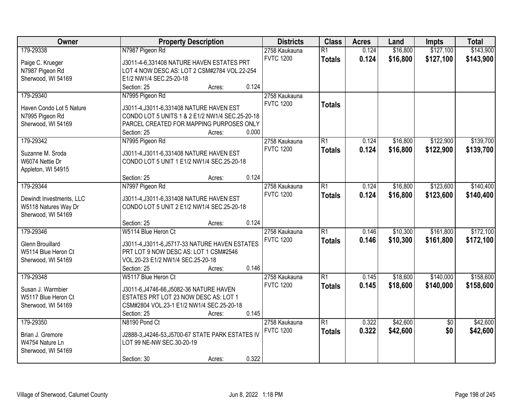| Owner                    | <b>Property Description</b>                        | <b>Districts</b> | <b>Class</b>    | <b>Acres</b> | Land     | <b>Impts</b>    | <b>Total</b> |
|--------------------------|----------------------------------------------------|------------------|-----------------|--------------|----------|-----------------|--------------|
| 179-29338                | N7987 Pigeon Rd                                    | 2758 Kaukauna    | $\overline{R1}$ | 0.124        | \$16,800 | \$127,100       | \$143,900    |
| Paige C. Krueger         | J3011-4-6,331408 NATURE HAVEN ESTATES PRT          | <b>FVTC 1200</b> | <b>Totals</b>   | 0.124        | \$16,800 | \$127,100       | \$143,900    |
| N7987 Pigeon Rd          | LOT 4 NOW DESC AS: LOT 2 CSM#2784 VOL.22-254       |                  |                 |              |          |                 |              |
| Sherwood, WI 54169       | E1/2 NW1/4 SEC.25-20-18                            |                  |                 |              |          |                 |              |
|                          | 0.124<br>Section: 25<br>Acres:                     |                  |                 |              |          |                 |              |
| 179-29340                | N7995 Pigeon Rd                                    | 2758 Kaukauna    |                 |              |          |                 |              |
|                          |                                                    | <b>FVTC 1200</b> | <b>Totals</b>   |              |          |                 |              |
| Haven Condo Lot 5 Nature | J3011-4, J3011-6, 331408 NATURE HAVEN EST          |                  |                 |              |          |                 |              |
| N7995 Pigeon Rd          | CONDO LOT 5 UNITS 1 & 2 E1/2 NW1/4 SEC.25-20-18    |                  |                 |              |          |                 |              |
| Sherwood, WI 54169       | PARCEL CREATED FOR MAPPING PURPOSES ONLY           |                  |                 |              |          |                 |              |
|                          | 0.000<br>Section: 25<br>Acres:                     |                  |                 |              |          |                 |              |
| 179-29342                | N7995 Pigeon Rd                                    | 2758 Kaukauna    | $\overline{R1}$ | 0.124        | \$16,800 | \$122,900       | \$139,700    |
| Suzanne M. Sroda         | J3011-4, J3011-6, 331408 NATURE HAVEN EST          | <b>FVTC 1200</b> | <b>Totals</b>   | 0.124        | \$16,800 | \$122,900       | \$139,700    |
| W6074 Nettie Dr          | CONDO LOT 5 UNIT 1 E1/2 NW1/4 SEC.25-20-18         |                  |                 |              |          |                 |              |
| Appleton, WI 54915       |                                                    |                  |                 |              |          |                 |              |
|                          | 0.124<br>Section: 25<br>Acres:                     |                  |                 |              |          |                 |              |
| 179-29344                | N7997 Pigeon Rd                                    | 2758 Kaukauna    | $\overline{R1}$ | 0.124        | \$16,800 | \$123,600       | \$140,400    |
|                          |                                                    | <b>FVTC 1200</b> | <b>Totals</b>   | 0.124        | \$16,800 | \$123,600       | \$140,400    |
| Dewindt Investments, LLC | J3011-4, J3011-6, 331408 NATURE HAVEN EST          |                  |                 |              |          |                 |              |
| W5118 Natures Way Dr     | CONDO LOT 5 UNIT 2 E1/2 NW1/4 SEC.25-20-18         |                  |                 |              |          |                 |              |
| Sherwood, WI 54169       |                                                    |                  |                 |              |          |                 |              |
|                          | 0.124<br>Section: 25<br>Acres:                     |                  |                 |              |          |                 |              |
| 179-29346                | W5114 Blue Heron Ct                                | 2758 Kaukauna    | $\overline{R1}$ | 0.146        | \$10,300 | \$161,800       | \$172,100    |
| <b>Glenn Brouillard</b>  | J3011-4, J3011-6, J5717-33 NATURE HAVEN ESTATES    | <b>FVTC 1200</b> | <b>Totals</b>   | 0.146        | \$10,300 | \$161,800       | \$172,100    |
| W5114 Blue Heron Ct      | PRT LOT 9 NOW DESC AS: LOT 1 CSM#2546              |                  |                 |              |          |                 |              |
| Sherwood, WI 54169       | VOL.20-23 E1/2 NW1/4 SEC.25-20-18                  |                  |                 |              |          |                 |              |
|                          | 0.146<br>Section: 25<br>Acres:                     |                  |                 |              |          |                 |              |
| 179-29348                | W5117 Blue Heron Ct                                | 2758 Kaukauna    | $\overline{R1}$ | 0.145        | \$18,600 | \$140,000       | \$158,600    |
| Susan J. Warmbier        | J3011-6, J4746-66, J5082-36 NATURE HAVEN           | <b>FVTC 1200</b> | <b>Totals</b>   | 0.145        | \$18,600 | \$140,000       | \$158,600    |
|                          |                                                    |                  |                 |              |          |                 |              |
| W5117 Blue Heron Ct      | ESTATES PRT LOT 23 NOW DESC AS: LOT 1              |                  |                 |              |          |                 |              |
| Sherwood, WI 54169       | CSM#2804 VOL.23-1 E1/2 NW1/4 SEC.25-20-18<br>0.145 |                  |                 |              |          |                 |              |
|                          | Section: 25<br>Acres:                              |                  |                 |              |          |                 |              |
| 179-29350                | N8190 Pond Ct                                      | 2758 Kaukauna    | $\overline{R1}$ | 0.322        | \$42,600 | $\overline{50}$ | \$42,600     |
| Brian J. Gremore         | J2888-3, J4246-53, J5700-67 STATE PARK ESTATES IV  | <b>FVTC 1200</b> | <b>Totals</b>   | 0.322        | \$42,600 | \$0             | \$42,600     |
| W4754 Nature Ln          | LOT 99 NE-NW SEC.30-20-19                          |                  |                 |              |          |                 |              |
| Sherwood, WI 54169       |                                                    |                  |                 |              |          |                 |              |
|                          | 0.322<br>Section: 30<br>Acres:                     |                  |                 |              |          |                 |              |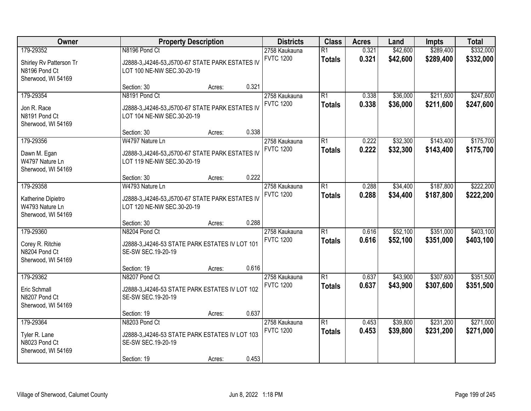| Owner                                                                    | <b>Property Description</b>                                                                           |        | <b>Districts</b> | <b>Class</b>                      | <b>Acres</b>                     | Land           | <b>Impts</b>         | <b>Total</b>           |                        |
|--------------------------------------------------------------------------|-------------------------------------------------------------------------------------------------------|--------|------------------|-----------------------------------|----------------------------------|----------------|----------------------|------------------------|------------------------|
| 179-29352<br>Shirley Rv Patterson Tr<br>N8196 Pond Ct                    | N8196 Pond Ct<br>J2888-3, J4246-53, J5700-67 STATE PARK ESTATES IV<br>LOT 100 NE-NW SEC.30-20-19      |        |                  | 2758 Kaukauna<br><b>FVTC 1200</b> | $\overline{R1}$<br><b>Totals</b> | 0.321<br>0.321 | \$42,600<br>\$42,600 | \$289,400<br>\$289,400 | \$332,000<br>\$332,000 |
| Sherwood, WI 54169                                                       | Section: 30                                                                                           | Acres: | 0.321            |                                   |                                  |                |                      |                        |                        |
| 179-29354<br>Jon R. Race<br>N8191 Pond Ct<br>Sherwood, WI 54169          | N8191 Pond Ct<br>J2888-3, J4246-53, J5700-67 STATE PARK ESTATES IV<br>LOT 104 NE-NW SEC.30-20-19      |        |                  | 2758 Kaukauna<br><b>FVTC 1200</b> | $\overline{R1}$<br><b>Totals</b> | 0.338<br>0.338 | \$36,000<br>\$36,000 | \$211,600<br>\$211,600 | \$247,600<br>\$247,600 |
| 179-29356                                                                | Section: 30<br>W4797 Nature Ln                                                                        | Acres: | 0.338            | 2758 Kaukauna                     | $\overline{R1}$                  | 0.222          | \$32,300             | \$143,400              | \$175,700              |
| Dawn M. Egan<br>W4797 Nature Ln<br>Sherwood, WI 54169                    | J2888-3, J4246-53, J5700-67 STATE PARK ESTATES IV<br>LOT 119 NE-NW SEC.30-20-19                       |        |                  | <b>FVTC 1200</b>                  | <b>Totals</b>                    | 0.222          | \$32,300             | \$143,400              | \$175,700              |
|                                                                          | Section: 30                                                                                           | Acres: | 0.222            |                                   |                                  |                |                      |                        |                        |
| 179-29358<br>Katherine Dipietro<br>W4793 Nature Ln<br>Sherwood, WI 54169 | W4793 Nature Ln<br>J2888-3, J4246-53, J5700-67 STATE PARK ESTATES IV<br>LOT 120 NE-NW SEC.30-20-19    |        |                  | 2758 Kaukauna<br><b>FVTC 1200</b> | $\overline{R1}$<br><b>Totals</b> | 0.288<br>0.288 | \$34,400<br>\$34,400 | \$187,800<br>\$187,800 | \$222,200<br>\$222,200 |
|                                                                          | Section: 30                                                                                           | Acres: | 0.288            |                                   |                                  |                |                      |                        |                        |
| 179-29360<br>Corey R. Ritchie<br>N8204 Pond Ct<br>Sherwood, WI 54169     | N8204 Pond Ct<br>J2888-3, J4246-53 STATE PARK ESTATES IV LOT 101<br>SE-SW SEC.19-20-19                |        |                  | 2758 Kaukauna<br><b>FVTC 1200</b> | $\overline{R1}$<br><b>Totals</b> | 0.616<br>0.616 | \$52,100<br>\$52,100 | \$351,000<br>\$351,000 | \$403,100<br>\$403,100 |
|                                                                          | Section: 19                                                                                           | Acres: | 0.616            |                                   |                                  |                |                      |                        |                        |
| 179-29362<br>Eric Schmall<br>N8207 Pond Ct<br>Sherwood, WI 54169         | N8207 Pond Ct<br>J2888-3, J4246-53 STATE PARK ESTATES IV LOT 102<br>SE-SW SEC.19-20-19                |        |                  | 2758 Kaukauna<br><b>FVTC 1200</b> | $\overline{R1}$<br><b>Totals</b> | 0.637<br>0.637 | \$43,900<br>\$43,900 | \$307,600<br>\$307,600 | \$351,500<br>\$351,500 |
|                                                                          | Section: 19                                                                                           | Acres: | 0.637            |                                   |                                  |                |                      |                        |                        |
| 179-29364<br>Tyler R. Lane<br>N8023 Pond Ct<br>Sherwood, WI 54169        | N8203 Pond Ct<br>J2888-3, J4246-53 STATE PARK ESTATES IV LOT 103<br>SE-SW SEC.19-20-19<br>Section: 19 | Acres: | 0.453            | 2758 Kaukauna<br><b>FVTC 1200</b> | $\overline{R1}$<br><b>Totals</b> | 0.453<br>0.453 | \$39,800<br>\$39,800 | \$231,200<br>\$231,200 | \$271,000<br>\$271,000 |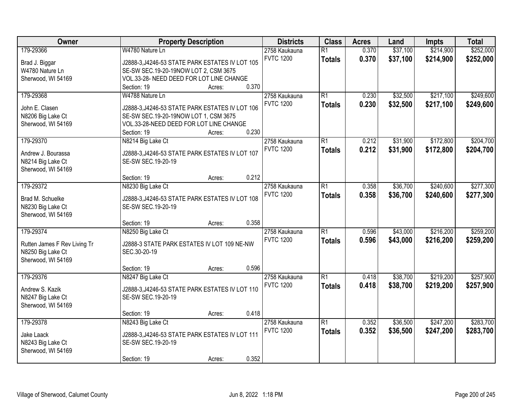| Owner                        | <b>Property Description</b>                     | <b>Districts</b> | <b>Class</b>    | <b>Acres</b> | Land     | <b>Impts</b> | <b>Total</b> |
|------------------------------|-------------------------------------------------|------------------|-----------------|--------------|----------|--------------|--------------|
| 179-29366                    | W4780 Nature Ln                                 | 2758 Kaukauna    | $\overline{R1}$ | 0.370        | \$37,100 | \$214,900    | \$252,000    |
| Brad J. Biggar               | J2888-3, J4246-53 STATE PARK ESTATES IV LOT 105 | <b>FVTC 1200</b> | <b>Totals</b>   | 0.370        | \$37,100 | \$214,900    | \$252,000    |
| W4780 Nature Ln              | SE-SW SEC.19-20-19NOW LOT 2, CSM 3675           |                  |                 |              |          |              |              |
| Sherwood, WI 54169           | VOL.33-28- NEED DEED FOR LOT LINE CHANGE        |                  |                 |              |          |              |              |
|                              | 0.370<br>Section: 19<br>Acres:                  |                  |                 |              |          |              |              |
| 179-29368                    | W4788 Nature Ln                                 | 2758 Kaukauna    | $\overline{R1}$ | 0.230        | \$32,500 | \$217,100    | \$249,600    |
|                              |                                                 | <b>FVTC 1200</b> | <b>Totals</b>   | 0.230        | \$32,500 | \$217,100    | \$249,600    |
| John E. Clasen               | J2888-3, J4246-53 STATE PARK ESTATES IV LOT 106 |                  |                 |              |          |              |              |
| N8206 Big Lake Ct            | SE-SW SEC.19-20-19NOW LOT 1, CSM 3675           |                  |                 |              |          |              |              |
| Sherwood, WI 54169           | VOL.33-28-NEED DEED FOR LOT LINE CHANGE         |                  |                 |              |          |              |              |
|                              | 0.230<br>Section: 19<br>Acres:                  |                  |                 |              |          |              |              |
| 179-29370                    | N8214 Big Lake Ct                               | 2758 Kaukauna    | $\overline{R1}$ | 0.212        | \$31,900 | \$172,800    | \$204,700    |
| Andrew J. Bourassa           | J2888-3, J4246-53 STATE PARK ESTATES IV LOT 107 | <b>FVTC 1200</b> | <b>Totals</b>   | 0.212        | \$31,900 | \$172,800    | \$204,700    |
| N8214 Big Lake Ct            | SE-SW SEC.19-20-19                              |                  |                 |              |          |              |              |
| Sherwood, WI 54169           |                                                 |                  |                 |              |          |              |              |
|                              | 0.212<br>Section: 19<br>Acres:                  |                  |                 |              |          |              |              |
| 179-29372                    | N8230 Big Lake Ct                               | 2758 Kaukauna    | $\overline{R1}$ | 0.358        | \$36,700 | \$240,600    | \$277,300    |
|                              |                                                 | <b>FVTC 1200</b> | <b>Totals</b>   | 0.358        | \$36,700 | \$240,600    | \$277,300    |
| Brad M. Schuelke             | J2888-3, J4246-53 STATE PARK ESTATES IV LOT 108 |                  |                 |              |          |              |              |
| N8230 Big Lake Ct            | SE-SW SEC.19-20-19                              |                  |                 |              |          |              |              |
| Sherwood, WI 54169           |                                                 |                  |                 |              |          |              |              |
|                              | 0.358<br>Section: 19<br>Acres:                  |                  |                 |              |          |              |              |
| 179-29374                    | N8250 Big Lake Ct                               | 2758 Kaukauna    | $\overline{R1}$ | 0.596        | \$43,000 | \$216,200    | \$259,200    |
| Rutten James F Rev Living Tr | J2888-3 STATE PARK ESTATES IV LOT 109 NE-NW     | <b>FVTC 1200</b> | <b>Totals</b>   | 0.596        | \$43,000 | \$216,200    | \$259,200    |
| N8250 Big Lake Ct            | SEC.30-20-19                                    |                  |                 |              |          |              |              |
| Sherwood, WI 54169           |                                                 |                  |                 |              |          |              |              |
|                              | 0.596<br>Section: 19<br>Acres:                  |                  |                 |              |          |              |              |
| 179-29376                    | N8247 Big Lake Ct                               | 2758 Kaukauna    | $\overline{R1}$ | 0.418        | \$38,700 | \$219,200    | \$257,900    |
|                              |                                                 | <b>FVTC 1200</b> | <b>Totals</b>   | 0.418        | \$38,700 | \$219,200    | \$257,900    |
| Andrew S. Kazik              | J2888-3, J4246-53 STATE PARK ESTATES IV LOT 110 |                  |                 |              |          |              |              |
| N8247 Big Lake Ct            | SE-SW SEC.19-20-19                              |                  |                 |              |          |              |              |
| Sherwood, WI 54169           |                                                 |                  |                 |              |          |              |              |
|                              | 0.418<br>Section: 19<br>Acres:                  |                  |                 |              |          |              |              |
| 179-29378                    | N8243 Big Lake Ct                               | 2758 Kaukauna    | $\overline{R1}$ | 0.352        | \$36,500 | \$247,200    | \$283,700    |
| Jake Laack                   | J2888-3, J4246-53 STATE PARK ESTATES IV LOT 111 | <b>FVTC 1200</b> | <b>Totals</b>   | 0.352        | \$36,500 | \$247,200    | \$283,700    |
| N8243 Big Lake Ct            | SE-SW SEC.19-20-19                              |                  |                 |              |          |              |              |
| Sherwood, WI 54169           |                                                 |                  |                 |              |          |              |              |
|                              | 0.352<br>Section: 19<br>Acres:                  |                  |                 |              |          |              |              |
|                              |                                                 |                  |                 |              |          |              |              |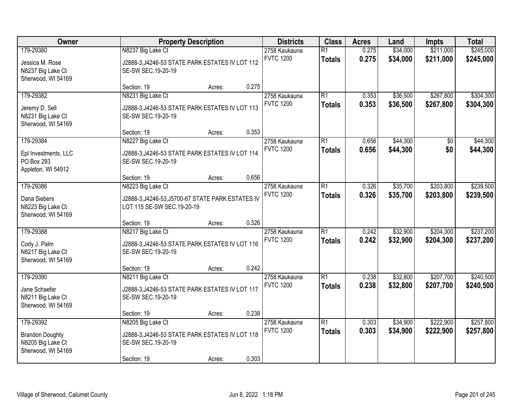| Owner                                                                          | <b>Property Description</b>                                                                               |        | <b>Districts</b> | <b>Class</b>                      | <b>Acres</b>                     | Land           | Impts                | <b>Total</b>           |                        |
|--------------------------------------------------------------------------------|-----------------------------------------------------------------------------------------------------------|--------|------------------|-----------------------------------|----------------------------------|----------------|----------------------|------------------------|------------------------|
| 179-29380<br>Jessica M. Rose<br>N8237 Big Lake Ct<br>Sherwood, WI 54169        | N8237 Big Lake Ct<br>J2888-3, J4246-53 STATE PARK ESTATES IV LOT 112<br>SE-SW SEC.19-20-19                |        |                  | 2758 Kaukauna<br><b>FVTC 1200</b> | $\overline{R1}$<br><b>Totals</b> | 0.275<br>0.275 | \$34,000<br>\$34,000 | \$211,000<br>\$211,000 | \$245,000<br>\$245,000 |
|                                                                                | Section: 19                                                                                               | Acres: | 0.275            |                                   |                                  |                |                      |                        |                        |
| 179-29382<br>Jeremy D. Sell<br>N8231 Big Lake Ct<br>Sherwood, WI 54169         | N8231 Big Lake Ct<br>J2888-3, J4246-53 STATE PARK ESTATES IV LOT 113<br>SE-SW SEC.19-20-19                |        |                  | 2758 Kaukauna<br><b>FVTC 1200</b> | $\overline{R1}$<br><b>Totals</b> | 0.353<br>0.353 | \$36,500<br>\$36,500 | \$267,800<br>\$267,800 | \$304,300<br>\$304,300 |
|                                                                                | Section: 19                                                                                               | Acres: | 0.353            |                                   |                                  |                |                      |                        |                        |
| 179-29384<br>Epl Investments, LLC<br>PO Box 293<br>Appleton, WI 54912          | N8227 Big Lake Ct<br>J2888-3, J4246-53 STATE PARK ESTATES IV LOT 114<br>SE-SW SEC.19-20-19                |        |                  | 2758 Kaukauna<br><b>FVTC 1200</b> | $\overline{R1}$<br><b>Totals</b> | 0.656<br>0.656 | \$44,300<br>\$44,300 | \$0<br>\$0             | \$44,300<br>\$44,300   |
|                                                                                | Section: 19                                                                                               | Acres: | 0.656            |                                   |                                  |                |                      |                        |                        |
| 179-29386<br>Dana Siebers<br>N8223 Big Lake Ct<br>Sherwood, WI 54169           | N8223 Big Lake Ct<br>J2888-3, J4246-53, J5700-67 STATE PARK ESTATES IV<br>LOT 115 SE-SW SEC.19-20-19      |        |                  | 2758 Kaukauna<br><b>FVTC 1200</b> | $\overline{R1}$<br><b>Totals</b> | 0.326<br>0.326 | \$35,700<br>\$35,700 | \$203,800<br>\$203,800 | \$239,500<br>\$239,500 |
|                                                                                | Section: 19                                                                                               | Acres: | 0.326            |                                   |                                  |                |                      |                        |                        |
| 179-29388<br>Cody J. Palm<br>N8217 Big Lake Ct<br>Sherwood, WI 54169           | N8217 Big Lake Ct<br>J2888-3, J4246-53 STATE PARK ESTATES IV LOT 116<br>SE-SW SEC.19-20-19                |        |                  | 2758 Kaukauna<br><b>FVTC 1200</b> | $\overline{R1}$<br><b>Totals</b> | 0.242<br>0.242 | \$32,900<br>\$32,900 | \$204,300<br>\$204,300 | \$237,200<br>\$237,200 |
|                                                                                | Section: 19                                                                                               | Acres: | 0.242            |                                   |                                  |                |                      |                        |                        |
| 179-29390<br>Jane Schaefer<br>N8211 Big Lake Ct<br>Sherwood, WI 54169          | N8211 Big Lake Ct<br>J2888-3, J4246-53 STATE PARK ESTATES IV LOT 117<br>SE-SW SEC.19-20-19                |        |                  | 2758 Kaukauna<br><b>FVTC 1200</b> | $\overline{R1}$<br><b>Totals</b> | 0.238<br>0.238 | \$32,800<br>\$32,800 | \$207,700<br>\$207,700 | \$240,500<br>\$240,500 |
|                                                                                | Section: 19                                                                                               | Acres: | 0.238            |                                   |                                  |                |                      |                        |                        |
| 179-29392<br><b>Brandon Doughty</b><br>N8205 Big Lake Ct<br>Sherwood, WI 54169 | N8205 Big Lake Ct<br>J2888-3, J4246-53 STATE PARK ESTATES IV LOT 118<br>SE-SW SEC.19-20-19<br>Section: 19 | Acres: | 0.303            | 2758 Kaukauna<br><b>FVTC 1200</b> | $\overline{R1}$<br><b>Totals</b> | 0.303<br>0.303 | \$34,900<br>\$34,900 | \$222,900<br>\$222,900 | \$257,800<br>\$257,800 |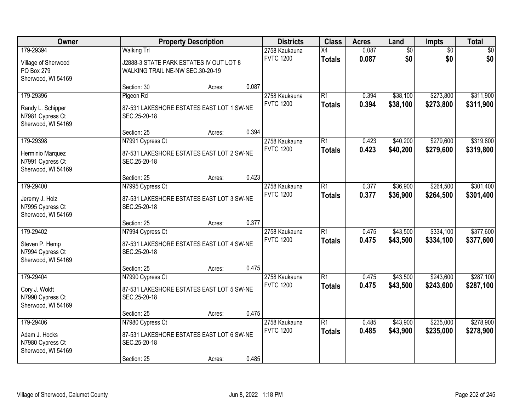| Owner                                                                    | <b>Property Description</b>                                                                  |                                                                                              | <b>Districts</b> | <b>Class</b>                      | <b>Acres</b>                     | Land           | Impts                | <b>Total</b>           |                        |
|--------------------------------------------------------------------------|----------------------------------------------------------------------------------------------|----------------------------------------------------------------------------------------------|------------------|-----------------------------------|----------------------------------|----------------|----------------------|------------------------|------------------------|
| 179-29394<br>Village of Sherwood<br>PO Box 279<br>Sherwood, WI 54169     | <b>Walking Trl</b>                                                                           | 2758 Kaukauna<br>J2888-3 STATE PARK ESTATES IV OUT LOT 8<br>WALKING TRAIL NE-NW SEC.30-20-19 |                  |                                   | $\overline{X4}$<br><b>Totals</b> | 0.087<br>0.087 | \$0<br>\$0           | $\overline{50}$<br>\$0 | \$0<br>\$0             |
|                                                                          | Section: 30                                                                                  | Acres:                                                                                       | 0.087            |                                   |                                  |                |                      |                        |                        |
| 179-29396<br>Randy L. Schipper<br>N7981 Cypress Ct<br>Sherwood, WI 54169 | Pigeon Rd<br>87-531 LAKESHORE ESTATES EAST LOT 1 SW-NE<br>SEC.25-20-18                       |                                                                                              |                  | 2758 Kaukauna<br><b>FVTC 1200</b> | $\overline{R1}$<br><b>Totals</b> | 0.394<br>0.394 | \$38,100<br>\$38,100 | \$273,800<br>\$273,800 | \$311,900<br>\$311,900 |
|                                                                          | Section: 25                                                                                  | Acres:                                                                                       | 0.394            |                                   |                                  |                |                      |                        |                        |
| 179-29398<br>Herminio Marquez<br>N7991 Cypress Ct<br>Sherwood, WI 54169  | N7991 Cypress Ct<br>87-531 LAKESHORE ESTATES EAST LOT 2 SW-NE<br>SEC.25-20-18                |                                                                                              |                  | 2758 Kaukauna<br><b>FVTC 1200</b> | $\overline{R1}$<br><b>Totals</b> | 0.423<br>0.423 | \$40,200<br>\$40,200 | \$279,600<br>\$279,600 | \$319,800<br>\$319,800 |
|                                                                          | Section: 25                                                                                  | Acres:                                                                                       | 0.423            |                                   |                                  |                |                      |                        |                        |
| 179-29400<br>Jeremy J. Holz<br>N7995 Cypress Ct<br>Sherwood, WI 54169    | N7995 Cypress Ct<br>87-531 LAKESHORE ESTATES EAST LOT 3 SW-NE<br>SEC.25-20-18                |                                                                                              |                  | 2758 Kaukauna<br><b>FVTC 1200</b> | $\overline{R1}$<br><b>Totals</b> | 0.377<br>0.377 | \$36,900<br>\$36,900 | \$264,500<br>\$264,500 | \$301,400<br>\$301,400 |
|                                                                          | Section: 25                                                                                  | Acres:                                                                                       | 0.377            |                                   |                                  |                |                      |                        |                        |
| 179-29402<br>Steven P. Hemp<br>N7994 Cypress Ct<br>Sherwood, WI 54169    | N7994 Cypress Ct<br>87-531 LAKESHORE ESTATES EAST LOT 4 SW-NE<br>SEC.25-20-18                |                                                                                              |                  | 2758 Kaukauna<br><b>FVTC 1200</b> | $\overline{R1}$<br><b>Totals</b> | 0.475<br>0.475 | \$43,500<br>\$43,500 | \$334,100<br>\$334,100 | \$377,600<br>\$377,600 |
|                                                                          | Section: 25                                                                                  | Acres:                                                                                       | 0.475            |                                   |                                  |                |                      |                        |                        |
| 179-29404<br>Cory J. Woldt<br>N7990 Cypress Ct<br>Sherwood, WI 54169     | N7990 Cypress Ct<br>87-531 LAKESHORE ESTATES EAST LOT 5 SW-NE<br>SEC.25-20-18                |                                                                                              |                  | 2758 Kaukauna<br><b>FVTC 1200</b> | $\overline{R1}$<br><b>Totals</b> | 0.475<br>0.475 | \$43,500<br>\$43,500 | \$243,600<br>\$243,600 | \$287,100<br>\$287,100 |
|                                                                          | Section: 25                                                                                  | Acres:                                                                                       | 0.475            |                                   |                                  |                |                      |                        |                        |
| 179-29406<br>Adam J. Hocks<br>N7980 Cypress Ct<br>Sherwood, WI 54169     | N7980 Cypress Ct<br>87-531 LAKESHORE ESTATES EAST LOT 6 SW-NE<br>SEC.25-20-18<br>Section: 25 | Acres:                                                                                       | 0.485            | 2758 Kaukauna<br><b>FVTC 1200</b> | $\overline{R1}$<br><b>Totals</b> | 0.485<br>0.485 | \$43,900<br>\$43,900 | \$235,000<br>\$235,000 | \$278,900<br>\$278,900 |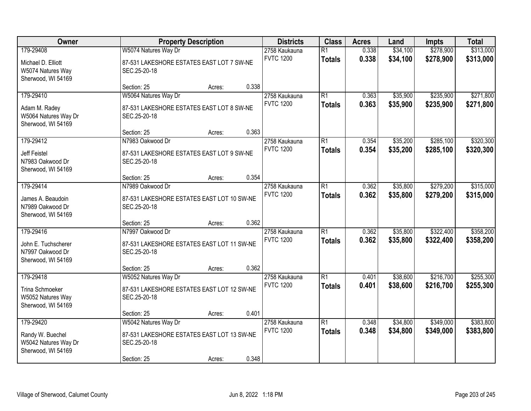| Owner                                                                       |                                                                                                   | <b>Property Description</b> |       |                                   | <b>Class</b>                     | <b>Acres</b>   | Land                 | Impts                  | <b>Total</b>           |
|-----------------------------------------------------------------------------|---------------------------------------------------------------------------------------------------|-----------------------------|-------|-----------------------------------|----------------------------------|----------------|----------------------|------------------------|------------------------|
| 179-29408<br>Michael D. Elliott<br>W5074 Natures Way<br>Sherwood, WI 54169  | W5074 Natures Way Dr<br>87-531 LAKESHORE ESTATES EAST LOT 7 SW-NE<br>SEC.25-20-18                 |                             |       | 2758 Kaukauna<br><b>FVTC 1200</b> | $\overline{R1}$<br><b>Totals</b> | 0.338<br>0.338 | \$34,100<br>\$34,100 | \$278,900<br>\$278,900 | \$313,000<br>\$313,000 |
|                                                                             | Section: 25                                                                                       | Acres:                      | 0.338 |                                   |                                  |                |                      |                        |                        |
| 179-29410<br>Adam M. Radey<br>W5064 Natures Way Dr<br>Sherwood, WI 54169    | W5064 Natures Way Dr<br>87-531 LAKESHORE ESTATES EAST LOT 8 SW-NE<br>SEC.25-20-18                 |                             |       | 2758 Kaukauna<br><b>FVTC 1200</b> | $\overline{R1}$<br><b>Totals</b> | 0.363<br>0.363 | \$35,900<br>\$35,900 | \$235,900<br>\$235,900 | \$271,800<br>\$271,800 |
|                                                                             | Section: 25                                                                                       | Acres:                      | 0.363 |                                   |                                  |                |                      |                        |                        |
| 179-29412<br><b>Jeff Feistel</b><br>N7983 Oakwood Dr<br>Sherwood, WI 54169  | N7983 Oakwood Dr<br>87-531 LAKESHORE ESTATES EAST LOT 9 SW-NE<br>SEC.25-20-18                     |                             |       | 2758 Kaukauna<br><b>FVTC 1200</b> | $\overline{R1}$<br><b>Totals</b> | 0.354<br>0.354 | \$35,200<br>\$35,200 | \$285,100<br>\$285,100 | \$320,300<br>\$320,300 |
|                                                                             | Section: 25                                                                                       | Acres:                      | 0.354 |                                   |                                  |                |                      |                        |                        |
| 179-29414<br>James A. Beaudoin<br>N7989 Oakwood Dr<br>Sherwood, WI 54169    | N7989 Oakwood Dr<br>87-531 LAKESHORE ESTATES EAST LOT 10 SW-NE<br>SEC.25-20-18                    |                             |       | 2758 Kaukauna<br><b>FVTC 1200</b> | $\overline{R1}$<br><b>Totals</b> | 0.362<br>0.362 | \$35,800<br>\$35,800 | \$279,200<br>\$279,200 | \$315,000<br>\$315,000 |
|                                                                             | Section: 25                                                                                       | Acres:                      | 0.362 |                                   |                                  |                |                      |                        |                        |
| 179-29416<br>John E. Tuchscherer<br>N7997 Oakwood Dr<br>Sherwood, WI 54169  | N7997 Oakwood Dr<br>87-531 LAKESHORE ESTATES EAST LOT 11 SW-NE<br>SEC.25-20-18                    |                             |       | 2758 Kaukauna<br><b>FVTC 1200</b> | $\overline{R1}$<br><b>Totals</b> | 0.362<br>0.362 | \$35,800<br>\$35,800 | \$322,400<br>\$322,400 | \$358,200<br>\$358,200 |
|                                                                             | Section: 25                                                                                       | Acres:                      | 0.362 |                                   |                                  |                |                      |                        |                        |
| 179-29418<br>Trina Schmoeker<br>W5052 Natures Way<br>Sherwood, WI 54169     | W5052 Natures Way Dr<br>87-531 LAKESHORE ESTATES EAST LOT 12 SW-NE<br>SEC.25-20-18                |                             |       | 2758 Kaukauna<br><b>FVTC 1200</b> | $\overline{R1}$<br><b>Totals</b> | 0.401<br>0.401 | \$38,600<br>\$38,600 | \$216,700<br>\$216,700 | \$255,300<br>\$255,300 |
|                                                                             | Section: 25                                                                                       | Acres:                      | 0.401 |                                   |                                  |                |                      |                        |                        |
| 179-29420<br>Randy W. Buechel<br>W5042 Natures Way Dr<br>Sherwood, WI 54169 | W5042 Natures Way Dr<br>87-531 LAKESHORE ESTATES EAST LOT 13 SW-NE<br>SEC.25-20-18<br>Section: 25 | Acres:                      | 0.348 | 2758 Kaukauna<br><b>FVTC 1200</b> | $\overline{R1}$<br><b>Totals</b> | 0.348<br>0.348 | \$34,800<br>\$34,800 | \$349,000<br>\$349,000 | \$383,800<br>\$383,800 |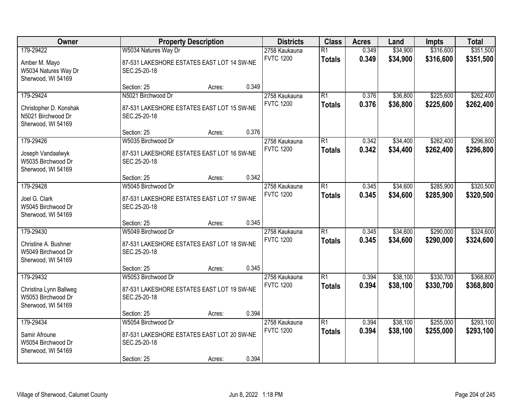| Owner                                                                           | <b>Property Description</b>                                                                     |        | <b>Districts</b> | <b>Class</b>                      | <b>Acres</b>                     | Land           | Impts                | <b>Total</b>           |                        |
|---------------------------------------------------------------------------------|-------------------------------------------------------------------------------------------------|--------|------------------|-----------------------------------|----------------------------------|----------------|----------------------|------------------------|------------------------|
| 179-29422<br>Amber M. Mayo<br>W5034 Natures Way Dr<br>Sherwood, WI 54169        | W5034 Natures Way Dr<br>87-531 LAKESHORE ESTATES EAST LOT 14 SW-NE<br>SEC.25-20-18              |        |                  | 2758 Kaukauna<br><b>FVTC 1200</b> | $\overline{R1}$<br><b>Totals</b> | 0.349<br>0.349 | \$34,900<br>\$34,900 | \$316,600<br>\$316,600 | \$351,500<br>\$351,500 |
|                                                                                 | Section: 25                                                                                     | Acres: | 0.349            |                                   |                                  |                |                      |                        |                        |
| 179-29424<br>Christopher D. Konshak<br>N5021 Birchwood Dr<br>Sherwood, WI 54169 | N5021 Birchwood Dr<br>87-531 LAKESHORE ESTATES EAST LOT 15 SW-NE<br>SEC.25-20-18                |        |                  | 2758 Kaukauna<br><b>FVTC 1200</b> | $\overline{R1}$<br><b>Totals</b> | 0.376<br>0.376 | \$36,800<br>\$36,800 | \$225,600<br>\$225,600 | \$262,400<br>\$262,400 |
|                                                                                 | Section: 25                                                                                     | Acres: | 0.376            |                                   |                                  |                |                      |                        |                        |
| 179-29426<br>Joseph Vandaalwyk<br>W5035 Birchwood Dr<br>Sherwood, WI 54169      | W5035 Birchwood Dr<br>87-531 LAKESHORE ESTATES EAST LOT 16 SW-NE<br>SEC.25-20-18                |        |                  | 2758 Kaukauna<br><b>FVTC 1200</b> | $\overline{R1}$<br><b>Totals</b> | 0.342<br>0.342 | \$34,400<br>\$34,400 | \$262,400<br>\$262,400 | \$296,800<br>\$296,800 |
|                                                                                 | Section: 25                                                                                     | Acres: | 0.342            |                                   |                                  |                |                      |                        |                        |
| 179-29428<br>Joel G. Clark<br>W5045 Birchwood Dr<br>Sherwood, WI 54169          | W5045 Birchwood Dr<br>87-531 LAKESHORE ESTATES EAST LOT 17 SW-NE<br>SEC.25-20-18                |        |                  | 2758 Kaukauna<br><b>FVTC 1200</b> | $\overline{R1}$<br><b>Totals</b> | 0.345<br>0.345 | \$34,600<br>\$34,600 | \$285,900<br>\$285,900 | \$320,500<br>\$320,500 |
|                                                                                 | Section: 25                                                                                     | Acres: | 0.345            |                                   |                                  |                |                      |                        |                        |
| 179-29430<br>Christine A. Bushner<br>W5049 Birchwood Dr<br>Sherwood, WI 54169   | W5049 Birchwood Dr<br>87-531 LAKESHORE ESTATES EAST LOT 18 SW-NE<br>SEC.25-20-18                |        |                  | 2758 Kaukauna<br><b>FVTC 1200</b> | $\overline{R1}$<br><b>Totals</b> | 0.345<br>0.345 | \$34,600<br>\$34,600 | \$290,000<br>\$290,000 | \$324,600<br>\$324,600 |
|                                                                                 | Section: 25                                                                                     | Acres: | 0.345            |                                   |                                  |                |                      |                        |                        |
| 179-29432<br>Christina Lynn Ballweg<br>W5053 Birchwood Dr<br>Sherwood, WI 54169 | W5053 Birchwood Dr<br>87-531 LAKESHORE ESTATES EAST LOT 19 SW-NE<br>SEC.25-20-18                |        |                  | 2758 Kaukauna<br><b>FVTC 1200</b> | $\overline{R1}$<br><b>Totals</b> | 0.394<br>0.394 | \$38,100<br>\$38,100 | \$330,700<br>\$330,700 | \$368,800<br>\$368,800 |
|                                                                                 | Section: 25                                                                                     | Acres: | 0.394            |                                   |                                  |                |                      |                        |                        |
| 179-29434<br>Samir Afroune<br>W5054 Birchwood Dr<br>Sherwood, WI 54169          | W5054 Birchwood Dr<br>87-531 LAKESHORE ESTATES EAST LOT 20 SW-NE<br>SEC.25-20-18<br>Section: 25 | Acres: | 0.394            | 2758 Kaukauna<br><b>FVTC 1200</b> | $\overline{R1}$<br><b>Totals</b> | 0.394<br>0.394 | \$38,100<br>\$38,100 | \$255,000<br>\$255,000 | \$293,100<br>\$293,100 |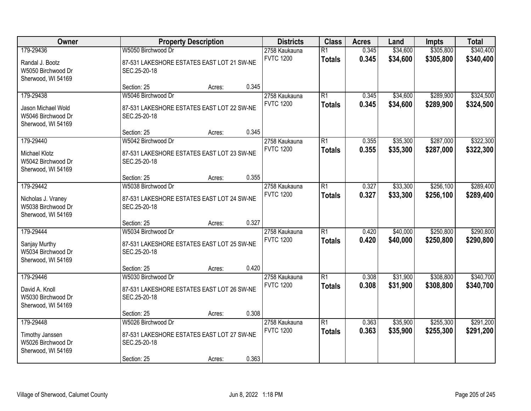| Owner                                                                         | <b>Property Description</b>                                                                     |        |       | <b>Districts</b>                  | <b>Class</b>                     | <b>Acres</b>   | Land                 | Impts                  | <b>Total</b>           |
|-------------------------------------------------------------------------------|-------------------------------------------------------------------------------------------------|--------|-------|-----------------------------------|----------------------------------|----------------|----------------------|------------------------|------------------------|
| 179-29436<br>Randal J. Bootz<br>W5050 Birchwood Dr<br>Sherwood, WI 54169      | W5050 Birchwood Dr<br>87-531 LAKESHORE ESTATES EAST LOT 21 SW-NE<br>SEC.25-20-18                |        |       | 2758 Kaukauna<br><b>FVTC 1200</b> | $\overline{R1}$<br><b>Totals</b> | 0.345<br>0.345 | \$34,600<br>\$34,600 | \$305,800<br>\$305,800 | \$340,400<br>\$340,400 |
|                                                                               | Section: 25                                                                                     | Acres: | 0.345 |                                   |                                  |                |                      |                        |                        |
| 179-29438<br>Jason Michael Wold<br>W5046 Birchwood Dr<br>Sherwood, WI 54169   | W5046 Birchwood Dr<br>87-531 LAKESHORE ESTATES EAST LOT 22 SW-NE<br>SEC.25-20-18                |        |       | 2758 Kaukauna<br><b>FVTC 1200</b> | $\overline{R1}$<br><b>Totals</b> | 0.345<br>0.345 | \$34,600<br>\$34,600 | \$289,900<br>\$289,900 | \$324,500<br>\$324,500 |
|                                                                               | Section: 25                                                                                     | Acres: | 0.345 |                                   |                                  |                |                      |                        |                        |
| 179-29440<br><b>Michael Klotz</b><br>W5042 Birchwood Dr<br>Sherwood, WI 54169 | W5042 Birchwood Dr<br>87-531 LAKESHORE ESTATES EAST LOT 23 SW-NE<br>SEC.25-20-18                |        |       | 2758 Kaukauna<br><b>FVTC 1200</b> | $\overline{R1}$<br><b>Totals</b> | 0.355<br>0.355 | \$35,300<br>\$35,300 | \$287,000<br>\$287,000 | \$322,300<br>\$322,300 |
|                                                                               | Section: 25                                                                                     | Acres: | 0.355 |                                   |                                  |                |                      |                        |                        |
| 179-29442<br>Nicholas J. Vraney<br>W5038 Birchwood Dr<br>Sherwood, WI 54169   | W5038 Birchwood Dr<br>87-531 LAKESHORE ESTATES EAST LOT 24 SW-NE<br>SEC.25-20-18                |        |       | 2758 Kaukauna<br><b>FVTC 1200</b> | $\overline{R1}$<br><b>Totals</b> | 0.327<br>0.327 | \$33,300<br>\$33,300 | \$256,100<br>\$256,100 | \$289,400<br>\$289,400 |
|                                                                               | Section: 25                                                                                     | Acres: | 0.327 |                                   |                                  |                |                      |                        |                        |
| 179-29444<br>Sanjay Murthy<br>W5034 Birchwood Dr<br>Sherwood, WI 54169        | W5034 Birchwood Dr<br>87-531 LAKESHORE ESTATES EAST LOT 25 SW-NE<br>SEC.25-20-18                |        |       | 2758 Kaukauna<br><b>FVTC 1200</b> | $\overline{R1}$<br><b>Totals</b> | 0.420<br>0.420 | \$40,000<br>\$40,000 | \$250,800<br>\$250,800 | \$290,800<br>\$290,800 |
|                                                                               | Section: 25                                                                                     | Acres: | 0.420 |                                   |                                  |                |                      |                        |                        |
| 179-29446<br>David A. Knoll<br>W5030 Birchwood Dr<br>Sherwood, WI 54169       | W5030 Birchwood Dr<br>87-531 LAKESHORE ESTATES EAST LOT 26 SW-NE<br>SEC.25-20-18                |        |       | 2758 Kaukauna<br><b>FVTC 1200</b> | $\overline{R1}$<br><b>Totals</b> | 0.308<br>0.308 | \$31,900<br>\$31,900 | \$308,800<br>\$308,800 | \$340,700<br>\$340,700 |
|                                                                               | Section: 25                                                                                     | Acres: | 0.308 |                                   |                                  |                |                      |                        |                        |
| 179-29448<br>Timothy Janssen<br>W5026 Birchwood Dr<br>Sherwood, WI 54169      | W5026 Birchwood Dr<br>87-531 LAKESHORE ESTATES EAST LOT 27 SW-NE<br>SEC.25-20-18<br>Section: 25 | Acres: | 0.363 | 2758 Kaukauna<br><b>FVTC 1200</b> | $\overline{R1}$<br><b>Totals</b> | 0.363<br>0.363 | \$35,900<br>\$35,900 | \$255,300<br>\$255,300 | \$291,200<br>\$291,200 |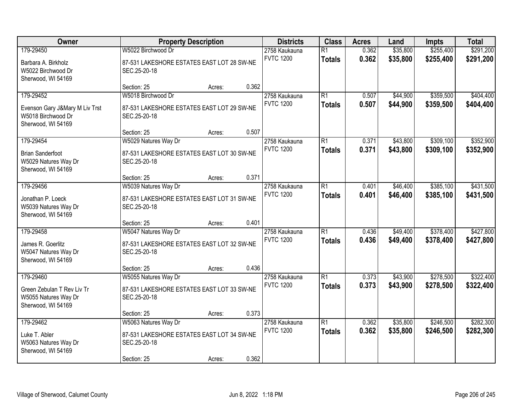| Owner                                                                                   | <b>Property Description</b>                                                                       |        | <b>Districts</b> | <b>Class</b>                      | <b>Acres</b>                     | Land           | <b>Impts</b>         | <b>Total</b>           |                        |
|-----------------------------------------------------------------------------------------|---------------------------------------------------------------------------------------------------|--------|------------------|-----------------------------------|----------------------------------|----------------|----------------------|------------------------|------------------------|
| 179-29450<br>Barbara A. Birkholz<br>W5022 Birchwood Dr                                  | W5022 Birchwood Dr<br>87-531 LAKESHORE ESTATES EAST LOT 28 SW-NE<br>SEC.25-20-18                  |        |                  | 2758 Kaukauna<br><b>FVTC 1200</b> | $\overline{R1}$<br><b>Totals</b> | 0.362<br>0.362 | \$35,800<br>\$35,800 | \$255,400<br>\$255,400 | \$291,200<br>\$291,200 |
| Sherwood, WI 54169                                                                      | Section: 25                                                                                       | Acres: | 0.362            |                                   |                                  |                |                      |                        |                        |
| 179-29452<br>Evenson Gary J&Mary M Liv Trst<br>W5018 Birchwood Dr<br>Sherwood, WI 54169 | W5018 Birchwood Dr<br>87-531 LAKESHORE ESTATES EAST LOT 29 SW-NE<br>SEC.25-20-18                  |        |                  | 2758 Kaukauna<br><b>FVTC 1200</b> | $\overline{R1}$<br><b>Totals</b> | 0.507<br>0.507 | \$44,900<br>\$44,900 | \$359,500<br>\$359,500 | \$404,400<br>\$404,400 |
|                                                                                         | Section: 25                                                                                       | Acres: | 0.507            |                                   |                                  |                |                      |                        |                        |
| 179-29454<br><b>Brian Sanderfoot</b><br>W5029 Natures Way Dr<br>Sherwood, WI 54169      | W5029 Natures Way Dr<br>87-531 LAKESHORE ESTATES EAST LOT 30 SW-NE<br>SEC.25-20-18                |        |                  | 2758 Kaukauna<br><b>FVTC 1200</b> | $\overline{R1}$<br><b>Totals</b> | 0.371<br>0.371 | \$43,800<br>\$43,800 | \$309,100<br>\$309,100 | \$352,900<br>\$352,900 |
|                                                                                         | Section: 25                                                                                       | Acres: | 0.371            |                                   |                                  |                |                      |                        |                        |
| 179-29456<br>Jonathan P. Loeck<br>W5039 Natures Way Dr<br>Sherwood, WI 54169            | W5039 Natures Way Dr<br>87-531 LAKESHORE ESTATES EAST LOT 31 SW-NE<br>SEC.25-20-18                |        |                  | 2758 Kaukauna<br><b>FVTC 1200</b> | $\overline{R1}$<br><b>Totals</b> | 0.401<br>0.401 | \$46,400<br>\$46,400 | \$385,100<br>\$385,100 | \$431,500<br>\$431,500 |
|                                                                                         | Section: 25                                                                                       | Acres: | 0.401            |                                   |                                  |                |                      |                        |                        |
| 179-29458<br>James R. Goerlitz<br>W5047 Natures Way Dr<br>Sherwood, WI 54169            | W5047 Natures Way Dr<br>87-531 LAKESHORE ESTATES EAST LOT 32 SW-NE<br>SEC.25-20-18                |        |                  | 2758 Kaukauna<br><b>FVTC 1200</b> | $\overline{R1}$<br><b>Totals</b> | 0.436<br>0.436 | \$49,400<br>\$49,400 | \$378,400<br>\$378,400 | \$427,800<br>\$427,800 |
|                                                                                         | Section: 25                                                                                       | Acres: | 0.436            |                                   |                                  |                |                      |                        |                        |
| 179-29460<br>Green Zebulan T Rev Liv Tr<br>W5055 Natures Way Dr<br>Sherwood, WI 54169   | W5055 Natures Way Dr<br>87-531 LAKESHORE ESTATES EAST LOT 33 SW-NE<br>SEC.25-20-18                |        |                  | 2758 Kaukauna<br><b>FVTC 1200</b> | $\overline{R1}$<br><b>Totals</b> | 0.373<br>0.373 | \$43,900<br>\$43,900 | \$278,500<br>\$278,500 | \$322,400<br>\$322,400 |
|                                                                                         | Section: 25                                                                                       | Acres: | 0.373            |                                   |                                  |                |                      |                        |                        |
| 179-29462<br>Luke T. Abler<br>W5063 Natures Way Dr<br>Sherwood, WI 54169                | W5063 Natures Way Dr<br>87-531 LAKESHORE ESTATES EAST LOT 34 SW-NE<br>SEC.25-20-18<br>Section: 25 | Acres: | 0.362            | 2758 Kaukauna<br><b>FVTC 1200</b> | $\overline{R1}$<br><b>Totals</b> | 0.362<br>0.362 | \$35,800<br>\$35,800 | \$246,500<br>\$246,500 | \$282,300<br>\$282,300 |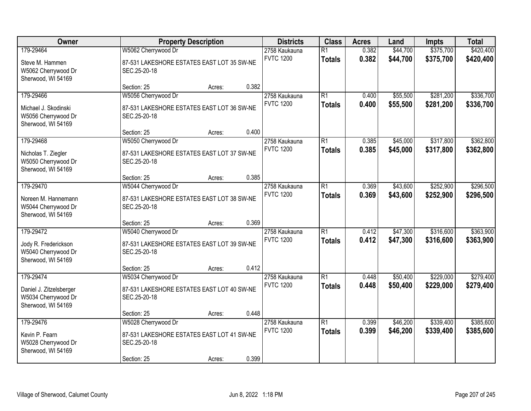| Owner                                                                             | <b>Property Description</b>                                                                      |                 | <b>Districts</b>                  | <b>Class</b>                     | <b>Acres</b>   | Land                 | <b>Impts</b>           | <b>Total</b>           |
|-----------------------------------------------------------------------------------|--------------------------------------------------------------------------------------------------|-----------------|-----------------------------------|----------------------------------|----------------|----------------------|------------------------|------------------------|
| 179-29464<br>Steve M. Hammen<br>W5062 Cherrywood Dr<br>Sherwood, WI 54169         | W5062 Cherrywood Dr<br>87-531 LAKESHORE ESTATES EAST LOT 35 SW-NE<br>SEC.25-20-18                |                 | 2758 Kaukauna<br><b>FVTC 1200</b> | $\overline{R1}$<br><b>Totals</b> | 0.382<br>0.382 | \$44,700<br>\$44,700 | \$375,700<br>\$375,700 | \$420,400<br>\$420,400 |
|                                                                                   | Section: 25                                                                                      | 0.382<br>Acres: |                                   |                                  |                |                      |                        |                        |
| 179-29466<br>Michael J. Skodinski<br>W5056 Cherrywood Dr<br>Sherwood, WI 54169    | W5056 Cherrywood Dr<br>87-531 LAKESHORE ESTATES EAST LOT 36 SW-NE<br>SEC.25-20-18                |                 | 2758 Kaukauna<br><b>FVTC 1200</b> | $\overline{R1}$<br><b>Totals</b> | 0.400<br>0.400 | \$55,500<br>\$55,500 | \$281,200<br>\$281,200 | \$336,700<br>\$336,700 |
|                                                                                   | Section: 25                                                                                      | 0.400<br>Acres: |                                   |                                  |                |                      |                        |                        |
| 179-29468<br>Nicholas T. Ziegler<br>W5050 Cherrywood Dr<br>Sherwood, WI 54169     | W5050 Cherrywood Dr<br>87-531 LAKESHORE ESTATES EAST LOT 37 SW-NE<br>SEC.25-20-18                |                 | 2758 Kaukauna<br><b>FVTC 1200</b> | $\overline{R1}$<br><b>Totals</b> | 0.385<br>0.385 | \$45,000<br>\$45,000 | \$317,800<br>\$317,800 | \$362,800<br>\$362,800 |
|                                                                                   | Section: 25                                                                                      | 0.385<br>Acres: |                                   |                                  |                |                      |                        |                        |
| 179-29470<br>Noreen M. Hannemann<br>W5044 Cherrywood Dr<br>Sherwood, WI 54169     | W5044 Cherrywood Dr<br>87-531 LAKESHORE ESTATES EAST LOT 38 SW-NE<br>SEC.25-20-18                |                 | 2758 Kaukauna<br><b>FVTC 1200</b> | $\overline{R1}$<br><b>Totals</b> | 0.369<br>0.369 | \$43,600<br>\$43,600 | \$252,900<br>\$252,900 | \$296,500<br>\$296,500 |
|                                                                                   | Section: 25                                                                                      | 0.369<br>Acres: |                                   |                                  |                |                      |                        |                        |
| 179-29472<br>Jody R. Frederickson<br>W5040 Cherrywood Dr<br>Sherwood, WI 54169    | W5040 Cherrywood Dr<br>87-531 LAKESHORE ESTATES EAST LOT 39 SW-NE<br>SEC.25-20-18                |                 | 2758 Kaukauna<br><b>FVTC 1200</b> | $\overline{R1}$<br><b>Totals</b> | 0.412<br>0.412 | \$47,300<br>\$47,300 | \$316,600<br>\$316,600 | \$363,900<br>\$363,900 |
|                                                                                   | Section: 25                                                                                      | 0.412<br>Acres: |                                   |                                  |                |                      |                        |                        |
| 179-29474<br>Daniel J. Zitzelsberger<br>W5034 Cherrywood Dr<br>Sherwood, WI 54169 | W5034 Cherrywood Dr<br>87-531 LAKESHORE ESTATES EAST LOT 40 SW-NE<br>SEC.25-20-18                |                 | 2758 Kaukauna<br><b>FVTC 1200</b> | $\overline{R1}$<br><b>Totals</b> | 0.448<br>0.448 | \$50,400<br>\$50,400 | \$229,000<br>\$229,000 | \$279,400<br>\$279,400 |
|                                                                                   | Section: 25                                                                                      | 0.448<br>Acres: |                                   |                                  |                |                      |                        |                        |
| 179-29476<br>Kevin P. Fearn<br>W5028 Cherrywood Dr<br>Sherwood, WI 54169          | W5028 Cherrywood Dr<br>87-531 LAKESHORE ESTATES EAST LOT 41 SW-NE<br>SEC.25-20-18<br>Section: 25 | 0.399<br>Acres: | 2758 Kaukauna<br><b>FVTC 1200</b> | $\overline{R1}$<br><b>Totals</b> | 0.399<br>0.399 | \$46,200<br>\$46,200 | \$339,400<br>\$339,400 | \$385,600<br>\$385,600 |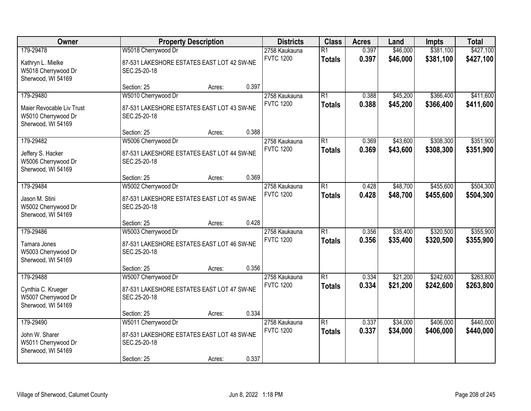| Owner                                                                               | <b>Property Description</b>                                                                      |        |       | <b>Districts</b>                  | <b>Class</b>                     | <b>Acres</b>   | Land                 | <b>Impts</b>           | <b>Total</b>           |
|-------------------------------------------------------------------------------------|--------------------------------------------------------------------------------------------------|--------|-------|-----------------------------------|----------------------------------|----------------|----------------------|------------------------|------------------------|
| 179-29478<br>Kathryn L. Mielke<br>W5018 Cherrywood Dr<br>Sherwood, WI 54169         | W5018 Cherrywood Dr<br>87-531 LAKESHORE ESTATES EAST LOT 42 SW-NE<br>SEC.25-20-18                |        |       | 2758 Kaukauna<br><b>FVTC 1200</b> | $\overline{R1}$<br><b>Totals</b> | 0.397<br>0.397 | \$46,000<br>\$46,000 | \$381,100<br>\$381,100 | \$427,100<br>\$427,100 |
|                                                                                     | Section: 25                                                                                      | Acres: | 0.397 |                                   |                                  |                |                      |                        |                        |
| 179-29480<br>Maier Revocable Liv Trust<br>W5010 Cherrywood Dr<br>Sherwood, WI 54169 | W5010 Cherrywood Dr<br>87-531 LAKESHORE ESTATES EAST LOT 43 SW-NE<br>SEC.25-20-18                |        |       | 2758 Kaukauna<br><b>FVTC 1200</b> | $\overline{R1}$<br><b>Totals</b> | 0.388<br>0.388 | \$45,200<br>\$45,200 | \$366,400<br>\$366,400 | \$411,600<br>\$411,600 |
|                                                                                     | Section: 25                                                                                      | Acres: | 0.388 |                                   |                                  |                |                      |                        |                        |
| 179-29482<br>Jeffery S. Hacker<br>W5006 Cherrywood Dr<br>Sherwood, WI 54169         | W5006 Cherrywood Dr<br>87-531 LAKESHORE ESTATES EAST LOT 44 SW-NE<br>SEC.25-20-18                |        |       | 2758 Kaukauna<br><b>FVTC 1200</b> | $\overline{R1}$<br><b>Totals</b> | 0.369<br>0.369 | \$43,600<br>\$43,600 | \$308,300<br>\$308,300 | \$351,900<br>\$351,900 |
|                                                                                     | Section: 25                                                                                      | Acres: | 0.369 |                                   |                                  |                |                      |                        |                        |
| 179-29484<br>Jason M. Stini<br>W5002 Cherrywood Dr                                  | W5002 Cherrywood Dr<br>87-531 LAKESHORE ESTATES EAST LOT 45 SW-NE<br>SEC.25-20-18                |        |       | 2758 Kaukauna<br><b>FVTC 1200</b> | $\overline{R1}$<br><b>Totals</b> | 0.428<br>0.428 | \$48,700<br>\$48,700 | \$455,600<br>\$455,600 | \$504,300<br>\$504,300 |
| Sherwood, WI 54169                                                                  | Section: 25                                                                                      | Acres: | 0.428 |                                   |                                  |                |                      |                        |                        |
| 179-29486<br>Tamara Jones<br>W5003 Cherrywood Dr<br>Sherwood, WI 54169              | W5003 Cherrywood Dr<br>87-531 LAKESHORE ESTATES EAST LOT 46 SW-NE<br>SEC.25-20-18                |        |       | 2758 Kaukauna<br><b>FVTC 1200</b> | $\overline{R1}$<br><b>Totals</b> | 0.356<br>0.356 | \$35,400<br>\$35,400 | \$320,500<br>\$320,500 | \$355,900<br>\$355,900 |
|                                                                                     | Section: 25                                                                                      | Acres: | 0.356 |                                   |                                  |                |                      |                        |                        |
| 179-29488<br>Cynthia C. Krueger<br>W5007 Cherrywood Dr<br>Sherwood, WI 54169        | W5007 Cherrywood Dr<br>87-531 LAKESHORE ESTATES EAST LOT 47 SW-NE<br>SEC.25-20-18                |        |       | 2758 Kaukauna<br><b>FVTC 1200</b> | $\overline{R1}$<br><b>Totals</b> | 0.334<br>0.334 | \$21,200<br>\$21,200 | \$242,600<br>\$242,600 | \$263,800<br>\$263,800 |
|                                                                                     | Section: 25                                                                                      | Acres: | 0.334 |                                   |                                  |                |                      |                        |                        |
| 179-29490<br>John W. Sharer<br>W5011 Cherrywood Dr<br>Sherwood, WI 54169            | W5011 Cherrywood Dr<br>87-531 LAKESHORE ESTATES EAST LOT 48 SW-NE<br>SEC.25-20-18<br>Section: 25 | Acres: | 0.337 | 2758 Kaukauna<br><b>FVTC 1200</b> | $\overline{R1}$<br><b>Totals</b> | 0.337<br>0.337 | \$34,000<br>\$34,000 | \$406,000<br>\$406,000 | \$440,000<br>\$440,000 |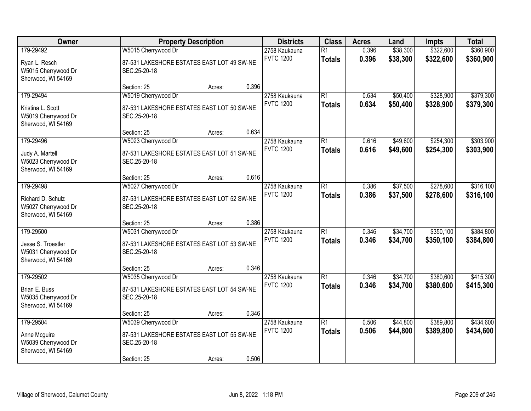| Owner                                                                        | <b>Property Description</b>                                                                                         |                                   | <b>Class</b>                     | <b>Acres</b>   | Land                 | <b>Impts</b>           | <b>Total</b>           |
|------------------------------------------------------------------------------|---------------------------------------------------------------------------------------------------------------------|-----------------------------------|----------------------------------|----------------|----------------------|------------------------|------------------------|
| 179-29492<br>Ryan L. Resch<br>W5015 Cherrywood Dr<br>Sherwood, WI 54169      | W5015 Cherrywood Dr<br>87-531 LAKESHORE ESTATES EAST LOT 49 SW-NE<br>SEC.25-20-18                                   | 2758 Kaukauna<br><b>FVTC 1200</b> | $\overline{R1}$<br><b>Totals</b> | 0.396<br>0.396 | \$38,300<br>\$38,300 | \$322,600<br>\$322,600 | \$360,900<br>\$360,900 |
|                                                                              | 0.396<br>Section: 25<br>Acres:                                                                                      |                                   |                                  |                |                      |                        |                        |
| 179-29494<br>Kristina L. Scott<br>W5019 Cherrywood Dr<br>Sherwood, WI 54169  | W5019 Cherrywood Dr<br>87-531 LAKESHORE ESTATES EAST LOT 50 SW-NE<br>SEC.25-20-18                                   | 2758 Kaukauna<br><b>FVTC 1200</b> | $\overline{R1}$<br><b>Totals</b> | 0.634<br>0.634 | \$50,400<br>\$50,400 | \$328,900<br>\$328,900 | \$379,300<br>\$379,300 |
|                                                                              | 0.634<br>Section: 25<br>Acres:                                                                                      |                                   |                                  |                |                      |                        |                        |
| 179-29496<br>Judy A. Martell<br>W5023 Cherrywood Dr<br>Sherwood, WI 54169    | W5023 Cherrywood Dr<br>87-531 LAKESHORE ESTATES EAST LOT 51 SW-NE<br>SEC.25-20-18                                   | 2758 Kaukauna<br><b>FVTC 1200</b> | $\overline{R1}$<br><b>Totals</b> | 0.616<br>0.616 | \$49,600<br>\$49,600 | \$254,300<br>\$254,300 | \$303,900<br>\$303,900 |
|                                                                              | 0.616<br>Section: 25<br>Acres:                                                                                      |                                   |                                  |                |                      |                        |                        |
| 179-29498<br>Richard D. Schulz<br>W5027 Cherrywood Dr<br>Sherwood, WI 54169  | W5027 Cherrywood Dr<br>87-531 LAKESHORE ESTATES EAST LOT 52 SW-NE<br>SEC.25-20-18                                   | 2758 Kaukauna<br><b>FVTC 1200</b> | $\overline{R1}$<br><b>Totals</b> | 0.386<br>0.386 | \$37,500<br>\$37,500 | \$278,600<br>\$278,600 | \$316,100<br>\$316,100 |
|                                                                              | 0.386<br>Section: 25<br>Acres:                                                                                      |                                   |                                  |                |                      |                        |                        |
| 179-29500<br>Jesse S. Troestler<br>W5031 Cherrywood Dr<br>Sherwood, WI 54169 | W5031 Cherrywood Dr<br>87-531 LAKESHORE ESTATES EAST LOT 53 SW-NE<br>SEC.25-20-18                                   | 2758 Kaukauna<br><b>FVTC 1200</b> | $\overline{R1}$<br><b>Totals</b> | 0.346<br>0.346 | \$34,700<br>\$34,700 | \$350,100<br>\$350,100 | \$384,800<br>\$384,800 |
|                                                                              | 0.346<br>Section: 25<br>Acres:                                                                                      |                                   |                                  |                |                      |                        |                        |
| 179-29502<br>Brian E. Buss<br>W5035 Cherrywood Dr<br>Sherwood, WI 54169      | W5035 Cherrywood Dr<br>87-531 LAKESHORE ESTATES EAST LOT 54 SW-NE<br>SEC.25-20-18                                   | 2758 Kaukauna<br><b>FVTC 1200</b> | $\overline{R1}$<br><b>Totals</b> | 0.346<br>0.346 | \$34,700<br>\$34,700 | \$380,600<br>\$380,600 | \$415,300<br>\$415,300 |
|                                                                              | 0.346<br>Section: 25<br>Acres:                                                                                      |                                   |                                  |                |                      |                        |                        |
| 179-29504<br>Anne Mcguire<br>W5039 Cherrywood Dr<br>Sherwood, WI 54169       | W5039 Cherrywood Dr<br>87-531 LAKESHORE ESTATES EAST LOT 55 SW-NE<br>SEC.25-20-18<br>0.506<br>Section: 25<br>Acres: | 2758 Kaukauna<br><b>FVTC 1200</b> | $\overline{R1}$<br><b>Totals</b> | 0.506<br>0.506 | \$44,800<br>\$44,800 | \$389,800<br>\$389,800 | \$434,600<br>\$434,600 |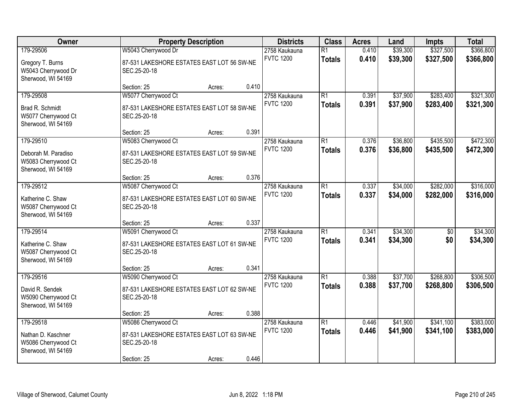| Owner                                                                         | <b>Property Description</b>                                                                      |        |       | <b>Districts</b>                  | <b>Class</b>                     | <b>Acres</b>   | Land                 | <b>Impts</b>           | <b>Total</b>           |
|-------------------------------------------------------------------------------|--------------------------------------------------------------------------------------------------|--------|-------|-----------------------------------|----------------------------------|----------------|----------------------|------------------------|------------------------|
| 179-29506<br>Gregory T. Burns<br>W5043 Cherrywood Dr<br>Sherwood, WI 54169    | W5043 Cherrywood Dr<br>87-531 LAKESHORE ESTATES EAST LOT 56 SW-NE<br>SEC.25-20-18                |        |       | 2758 Kaukauna<br><b>FVTC 1200</b> | $\overline{R1}$<br><b>Totals</b> | 0.410<br>0.410 | \$39,300<br>\$39,300 | \$327,500<br>\$327,500 | \$366,800<br>\$366,800 |
|                                                                               | Section: 25                                                                                      | Acres: | 0.410 |                                   |                                  |                |                      |                        |                        |
| 179-29508<br>Brad R. Schmidt<br>W5077 Cherrywood Ct<br>Sherwood, WI 54169     | W5077 Cherrywood Ct<br>87-531 LAKESHORE ESTATES EAST LOT 58 SW-NE<br>SEC.25-20-18                |        |       | 2758 Kaukauna<br><b>FVTC 1200</b> | $\overline{R1}$<br><b>Totals</b> | 0.391<br>0.391 | \$37,900<br>\$37,900 | \$283,400<br>\$283,400 | \$321,300<br>\$321,300 |
|                                                                               | Section: 25                                                                                      | Acres: | 0.391 |                                   |                                  |                |                      |                        |                        |
| 179-29510<br>Deborah M. Paradiso<br>W5083 Cherrywood Ct<br>Sherwood, WI 54169 | W5083 Cherrywood Ct<br>87-531 LAKESHORE ESTATES EAST LOT 59 SW-NE<br>SEC.25-20-18                |        |       | 2758 Kaukauna<br><b>FVTC 1200</b> | $\overline{R1}$<br><b>Totals</b> | 0.376<br>0.376 | \$36,800<br>\$36,800 | \$435,500<br>\$435,500 | \$472,300<br>\$472,300 |
|                                                                               | Section: 25                                                                                      | Acres: | 0.376 |                                   |                                  |                |                      |                        |                        |
| 179-29512<br>Katherine C. Shaw<br>W5087 Cherrywood Ct<br>Sherwood, WI 54169   | W5087 Cherrywood Ct<br>87-531 LAKESHORE ESTATES EAST LOT 60 SW-NE<br>SEC.25-20-18                |        |       | 2758 Kaukauna<br><b>FVTC 1200</b> | $\overline{R1}$<br><b>Totals</b> | 0.337<br>0.337 | \$34,000<br>\$34,000 | \$282,000<br>\$282,000 | \$316,000<br>\$316,000 |
|                                                                               | Section: 25                                                                                      | Acres: | 0.337 |                                   |                                  |                |                      |                        |                        |
| 179-29514<br>Katherine C. Shaw<br>W5087 Cherrywood Ct<br>Sherwood, WI 54169   | W5091 Cherrywood Ct<br>87-531 LAKESHORE ESTATES EAST LOT 61 SW-NE<br>SEC.25-20-18                |        |       | 2758 Kaukauna<br><b>FVTC 1200</b> | $\overline{R1}$<br><b>Totals</b> | 0.341<br>0.341 | \$34,300<br>\$34,300 | $\overline{50}$<br>\$0 | \$34,300<br>\$34,300   |
|                                                                               | Section: 25                                                                                      | Acres: | 0.341 |                                   |                                  |                |                      |                        |                        |
| 179-29516<br>David R. Sendek<br>W5090 Cherrywood Ct<br>Sherwood, WI 54169     | W5090 Cherrywood Ct<br>87-531 LAKESHORE ESTATES EAST LOT 62 SW-NE<br>SEC.25-20-18                |        |       | 2758 Kaukauna<br><b>FVTC 1200</b> | $\overline{R1}$<br><b>Totals</b> | 0.388<br>0.388 | \$37,700<br>\$37,700 | \$268,800<br>\$268,800 | \$306,500<br>\$306,500 |
|                                                                               | Section: 25                                                                                      | Acres: | 0.388 |                                   |                                  |                |                      |                        |                        |
| 179-29518<br>Nathan D. Kaschner<br>W5086 Cherrywood Ct<br>Sherwood, WI 54169  | W5086 Cherrywood Ct<br>87-531 LAKESHORE ESTATES EAST LOT 63 SW-NE<br>SEC.25-20-18<br>Section: 25 | Acres: | 0.446 | 2758 Kaukauna<br><b>FVTC 1200</b> | $\overline{R1}$<br><b>Totals</b> | 0.446<br>0.446 | \$41,900<br>\$41,900 | \$341,100<br>\$341,100 | \$383,000<br>\$383,000 |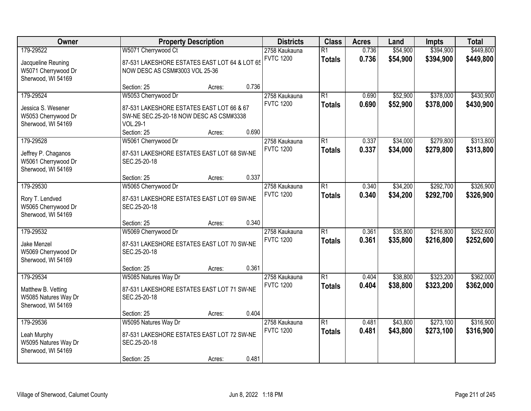| Owner                                                                         | <b>Property Description</b>                                                                                                                   |                                                                                 |                | <b>Districts</b>                  | <b>Class</b>                     | <b>Acres</b>   | Land                 | <b>Impts</b>           | <b>Total</b>           |
|-------------------------------------------------------------------------------|-----------------------------------------------------------------------------------------------------------------------------------------------|---------------------------------------------------------------------------------|----------------|-----------------------------------|----------------------------------|----------------|----------------------|------------------------|------------------------|
| 179-29522<br>Jacqueline Reuning<br>W5071 Cherrywood Dr<br>Sherwood, WI 54169  | W5071 Cherrywood Ct                                                                                                                           | 87-531 LAKESHORE ESTATES EAST LOT 64 & LOT 65<br>NOW DESC AS CSM#3003 VOL 25-36 |                |                                   |                                  | 0.736<br>0.736 | \$54,900<br>\$54,900 | \$394,900<br>\$394,900 | \$449,800<br>\$449,800 |
|                                                                               | Section: 25                                                                                                                                   | Acres:                                                                          | 0.736          |                                   |                                  |                |                      |                        |                        |
| 179-29524<br>Jessica S. Wesener<br>W5053 Cherrywood Dr<br>Sherwood, WI 54169  | W5053 Cherrywood Dr<br>87-531 LAKESHORE ESTATES EAST LOT 66 & 67<br>SW-NE SEC.25-20-18 NOW DESC AS CSM#3338<br><b>VOL.29-1</b><br>Section: 25 | Acres:                                                                          | 0.690          | 2758 Kaukauna<br><b>FVTC 1200</b> | $\overline{R1}$<br><b>Totals</b> | 0.690<br>0.690 | \$52,900<br>\$52,900 | \$378,000<br>\$378,000 | \$430,900<br>\$430,900 |
| 179-29528<br>Jeffrey P. Chaganos<br>W5061 Cherrywood Dr<br>Sherwood, WI 54169 | W5061 Cherrywood Dr<br>87-531 LAKESHORE ESTATES EAST LOT 68 SW-NE<br>SEC.25-20-18<br>Section: 25                                              |                                                                                 | 0.337          | 2758 Kaukauna<br><b>FVTC 1200</b> | $\overline{R1}$<br><b>Totals</b> | 0.337<br>0.337 | \$34,000<br>\$34,000 | \$279,800<br>\$279,800 | \$313,800<br>\$313,800 |
| 179-29530<br>Rory T. Lendved<br>W5065 Cherrywood Dr<br>Sherwood, WI 54169     | W5065 Cherrywood Dr<br>87-531 LAKESHORE ESTATES EAST LOT 69 SW-NE<br>SEC.25-20-18                                                             | Acres:                                                                          |                | 2758 Kaukauna<br><b>FVTC 1200</b> | $\overline{R1}$<br><b>Totals</b> | 0.340<br>0.340 | \$34,200<br>\$34,200 | \$292,700<br>\$292,700 | \$326,900<br>\$326,900 |
| 179-29532<br>Jake Menzel<br>W5069 Cherrywood Dr<br>Sherwood, WI 54169         | Section: 25<br>W5069 Cherrywood Dr<br>87-531 LAKESHORE ESTATES EAST LOT 70 SW-NE<br>SEC.25-20-18<br>Section: 25                               | Acres:<br>Acres:                                                                | 0.340<br>0.361 | 2758 Kaukauna<br><b>FVTC 1200</b> | $\overline{R1}$<br><b>Totals</b> | 0.361<br>0.361 | \$35,800<br>\$35,800 | \$216,800<br>\$216,800 | \$252,600<br>\$252,600 |
| 179-29534<br>Matthew B. Vetting<br>W5085 Natures Way Dr<br>Sherwood, WI 54169 | W5085 Natures Way Dr<br>87-531 LAKESHORE ESTATES EAST LOT 71 SW-NE<br>SEC.25-20-18<br>Section: 25                                             | Acres:                                                                          | 0.404          | 2758 Kaukauna<br><b>FVTC 1200</b> | $\overline{R1}$<br><b>Totals</b> | 0.404<br>0.404 | \$38,800<br>\$38,800 | \$323,200<br>\$323,200 | \$362,000<br>\$362,000 |
| 179-29536<br>Leah Murphy<br>W5095 Natures Way Dr<br>Sherwood, WI 54169        | W5095 Natures Way Dr<br>87-531 LAKESHORE ESTATES EAST LOT 72 SW-NE<br>SEC.25-20-18<br>Section: 25                                             | Acres:                                                                          | 0.481          | 2758 Kaukauna<br><b>FVTC 1200</b> | $\overline{R1}$<br><b>Totals</b> | 0.481<br>0.481 | \$43,800<br>\$43,800 | \$273,100<br>\$273,100 | \$316,900<br>\$316,900 |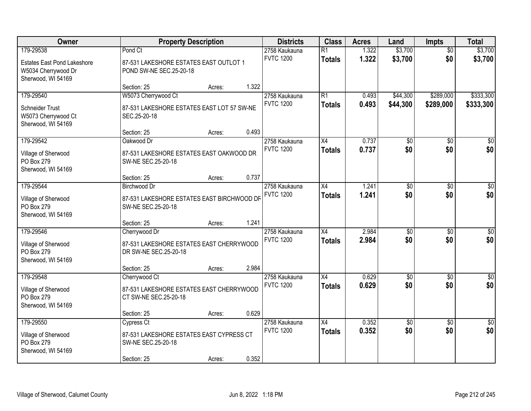| Owner                                                                                        | <b>Property Description</b><br><b>Districts</b>                                                    | <b>Class</b> | <b>Acres</b> | Land                              | <b>Impts</b>                     | <b>Total</b>   |                        |                        |                        |
|----------------------------------------------------------------------------------------------|----------------------------------------------------------------------------------------------------|--------------|--------------|-----------------------------------|----------------------------------|----------------|------------------------|------------------------|------------------------|
| 179-29538<br><b>Estates East Pond Lakeshore</b><br>W5034 Cherrywood Dr<br>Sherwood, WI 54169 | Pond Ct<br>87-531 LAKESHORE ESTATES EAST OUTLOT 1<br>POND SW-NE SEC.25-20-18                       |              |              | 2758 Kaukauna<br><b>FVTC 1200</b> | $\overline{R1}$<br><b>Totals</b> | 1.322<br>1.322 | \$3,700<br>\$3,700     | $\overline{50}$<br>\$0 | \$3,700<br>\$3,700     |
|                                                                                              | Section: 25                                                                                        | Acres:       | 1.322        |                                   |                                  |                |                        |                        |                        |
| 179-29540<br><b>Schneider Trust</b><br>W5073 Cherrywood Ct<br>Sherwood, WI 54169             | W5073 Cherrywood Ct<br>87-531 LAKESHORE ESTATES EAST LOT 57 SW-NE<br>SEC.25-20-18                  |              |              | 2758 Kaukauna<br><b>FVTC 1200</b> | $\overline{R1}$<br><b>Totals</b> | 0.493<br>0.493 | \$44,300<br>\$44,300   | \$289,000<br>\$289,000 | \$333,300<br>\$333,300 |
|                                                                                              | Section: 25                                                                                        | Acres:       | 0.493        |                                   |                                  |                |                        |                        |                        |
| 179-29542<br>Village of Sherwood<br>PO Box 279<br>Sherwood, WI 54169                         | Oakwood Dr<br>87-531 LAKESHORE ESTATES EAST OAKWOOD DR<br>SW-NE SEC.25-20-18                       |              |              | 2758 Kaukauna<br><b>FVTC 1200</b> | X4<br><b>Totals</b>              | 0.737<br>0.737 | $\overline{50}$<br>\$0 | \$0<br>\$0             | $\overline{50}$<br>\$0 |
|                                                                                              | Section: 25                                                                                        | Acres:       | 0.737        |                                   |                                  |                |                        |                        |                        |
| 179-29544<br>Village of Sherwood<br>PO Box 279<br>Sherwood, WI 54169                         | Birchwood Dr<br>87-531 LAKESHORE ESTATES EAST BIRCHWOOD DF<br>SW-NE SEC.25-20-18                   |              |              | 2758 Kaukauna<br><b>FVTC 1200</b> | X4<br><b>Totals</b>              | 1.241<br>1.241 | $\overline{50}$<br>\$0 | \$0<br>\$0             | $\sqrt{50}$<br>\$0     |
|                                                                                              | Section: 25                                                                                        | Acres:       | 1.241        |                                   |                                  |                |                        |                        |                        |
| 179-29546<br>Village of Sherwood<br>PO Box 279<br>Sherwood, WI 54169                         | Cherrywood Dr<br>87-531 LAKESHORE ESTATES EAST CHERRYWOOD<br>DR SW-NE SEC.25-20-18                 |              |              | 2758 Kaukauna<br><b>FVTC 1200</b> | X4<br><b>Totals</b>              | 2.984<br>2.984 | \$0<br>\$0             | \$0<br>\$0             | $\sqrt{50}$<br>\$0     |
|                                                                                              | Section: 25                                                                                        | Acres:       | 2.984        |                                   |                                  |                |                        |                        |                        |
| 179-29548<br>Village of Sherwood<br>PO Box 279<br>Sherwood, WI 54169                         | Cherrywood Ct<br>87-531 LAKESHORE ESTATES EAST CHERRYWOOD<br>CT SW-NE SEC.25-20-18                 |              |              | 2758 Kaukauna<br><b>FVTC 1200</b> | X4<br><b>Totals</b>              | 0.629<br>0.629 | $\sqrt{6}$<br>\$0      | \$0<br>\$0             | $\sqrt{$0]}$<br>\$0    |
|                                                                                              | Section: 25                                                                                        | Acres:       | 0.629        |                                   |                                  |                |                        |                        |                        |
| 179-29550<br>Village of Sherwood<br>PO Box 279<br>Sherwood, WI 54169                         | <b>Cypress Ct</b><br>87-531 LAKESHORE ESTATES EAST CYPRESS CT<br>SW-NE SEC.25-20-18<br>Section: 25 | Acres:       | 0.352        | 2758 Kaukauna<br><b>FVTC 1200</b> | $\overline{X4}$<br><b>Totals</b> | 0.352<br>0.352 | $\overline{60}$<br>\$0 | $\overline{50}$<br>\$0 | \$0<br>\$0             |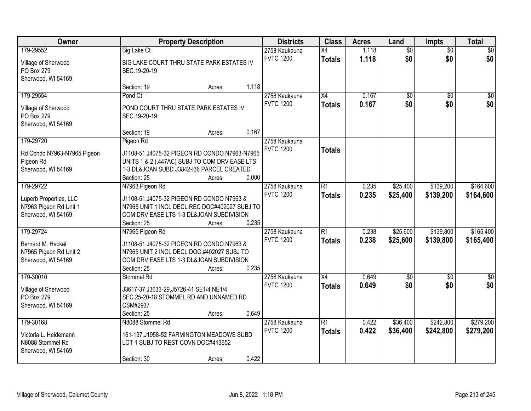| Owner                                                                  | <b>Property Description</b>                                                                                                                                           |       | <b>Districts</b>                  | <b>Class</b>                     | <b>Acres</b>   | Land                   | <b>Impts</b>           | <b>Total</b>       |
|------------------------------------------------------------------------|-----------------------------------------------------------------------------------------------------------------------------------------------------------------------|-------|-----------------------------------|----------------------------------|----------------|------------------------|------------------------|--------------------|
| 179-29552                                                              | <b>Big Lake Ct</b>                                                                                                                                                    |       | 2758 Kaukauna                     | $\overline{X4}$                  | 1.118          | $\overline{50}$        | $\overline{50}$        | $\sqrt{50}$        |
| Village of Sherwood<br>PO Box 279<br>Sherwood, WI 54169                | BIG LAKE COURT THRU STATE PARK ESTATES IV<br>SEC.19-20-19                                                                                                             |       | <b>FVTC 1200</b>                  | <b>Totals</b>                    | 1.118          | \$0                    | \$0                    | \$0                |
|                                                                        | Section: 19<br>Acres:                                                                                                                                                 | 1.118 |                                   |                                  |                |                        |                        |                    |
| 179-29554<br>Village of Sherwood<br>PO Box 279<br>Sherwood, WI 54169   | Pond Ct<br>POND COURT THRU STATE PARK ESTATES IV<br>SEC.19-20-19                                                                                                      |       | 2758 Kaukauna<br><b>FVTC 1200</b> | $\overline{X4}$<br><b>Totals</b> | 0.167<br>0.167 | $\overline{50}$<br>\$0 | $\overline{50}$<br>\$0 | $\sqrt{50}$<br>\$0 |
|                                                                        | Section: 19<br>Acres:                                                                                                                                                 | 0.167 |                                   |                                  |                |                        |                        |                    |
| 179-29720                                                              | Pigeon Rd                                                                                                                                                             |       | 2758 Kaukauna                     |                                  |                |                        |                        |                    |
| Rd Condo N7963-N7965 Pigeon<br>Pigeon Rd<br>Sherwood, WI 54169         | J1108-51, J4075-32 PIGEON RD CONDO N7963-N7965<br>UNITS 1 & 2 (.447AC) SUBJ TO COM DRV EASE LTS<br>1-3 DL&JOAN SUBD J3842-I36 PARCEL CREATED<br>Section: 25<br>Acres: | 0.000 | <b>FVTC 1200</b>                  | <b>Totals</b>                    |                |                        |                        |                    |
| 179-29722                                                              | N7963 Pigeon Rd                                                                                                                                                       |       | 2758 Kaukauna                     | $\overline{R1}$                  | 0.235          | \$25,400               | \$139,200              | \$164,600          |
| Luperb Properties, LLC<br>N7963 Pigeon Rd Unit 1<br>Sherwood, WI 54169 | J1108-51, J4075-32 PIGEON RD CONDO N7963 &<br>N7965 UNIT 1 INCL DECL REC DOC#402027 SUBJ TO<br>COM DRV EASE LTS 1-3 DL&JOAN SUBDIVISION<br>Section: 25<br>Acres:      | 0.235 | <b>FVTC 1200</b>                  | <b>Totals</b>                    | 0.235          | \$25,400               | \$139,200              | \$164,600          |
| 179-29724                                                              | N7965 Pigeon Rd                                                                                                                                                       |       | 2758 Kaukauna                     | $\overline{R1}$                  | 0.238          | \$25,600               | \$139,800              | \$165,400          |
| Bernard M. Hackel<br>N7965 Pigeon Rd Unit 2<br>Sherwood, WI 54169      | J1108-51, J4075-32 PIGEON RD CONDO N7963 &<br>N7965 UNIT 2 INCL DECL DOC.#402027 SUBJ TO<br>COM DRV EASE LTS 1-3 DL&JOAN SUBDIVISION<br>Section: 25<br>Acres:         | 0.235 | <b>FVTC 1200</b>                  | <b>Totals</b>                    | 0.238          | \$25,600               | \$139,800              | \$165,400          |
| 179-30010                                                              | Stommel Rd                                                                                                                                                            |       | 2758 Kaukauna                     | X4                               | 0.649          | \$0                    | \$0                    | $\frac{1}{6}$      |
| Village of Sherwood<br>PO Box 279<br>Sherwood, WI 54169                | J3617-37, J3633-29, J5726-41 SE1/4 NE1/4<br>SEC.25-20-18 STOMMEL RD AND UNNAMED RD<br>CSM#2937<br>Section: 25<br>Acres:                                               | 0.649 | <b>FVTC 1200</b>                  | <b>Totals</b>                    | 0.649          | \$0                    | \$0                    | \$0                |
| 179-30168                                                              | N8088 Stommel Rd                                                                                                                                                      |       | 2758 Kaukauna                     | R1                               | 0.422          | \$36,400               | \$242,800              | \$279,200          |
| Victoria L. Heidemann<br>N8088 Stommel Rd<br>Sherwood, WI 54169        | 161-197, J1958-52 FARMINGTON MEADOWS SUBD<br>LOT 1 SUBJ TO REST COVN DOC#413652<br>Section: 30<br>Acres:                                                              | 0.422 | <b>FVTC 1200</b>                  | <b>Totals</b>                    | 0.422          | \$36,400               | \$242,800              | \$279,200          |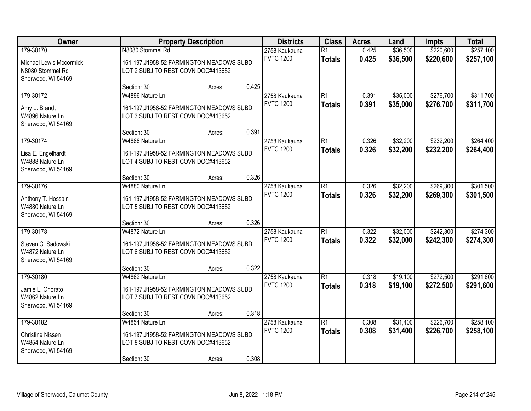| Owner                                                                          | <b>Property Description</b>                                                                                       |        |       | <b>Districts</b>                  | <b>Class</b>                     | <b>Acres</b>   | Land                 | <b>Impts</b>           | <b>Total</b>           |
|--------------------------------------------------------------------------------|-------------------------------------------------------------------------------------------------------------------|--------|-------|-----------------------------------|----------------------------------|----------------|----------------------|------------------------|------------------------|
| 179-30170<br>Michael Lewis Mccormick<br>N8080 Stommel Rd<br>Sherwood, WI 54169 | N8080 Stommel Rd<br>161-197, J1958-52 FARMINGTON MEADOWS SUBD<br>LOT 2 SUBJ TO REST COVN DOC#413652               |        |       | 2758 Kaukauna<br><b>FVTC 1200</b> | $\overline{R1}$<br><b>Totals</b> | 0.425<br>0.425 | \$36,500<br>\$36,500 | \$220,600<br>\$220,600 | \$257,100<br>\$257,100 |
|                                                                                | Section: 30                                                                                                       | Acres: | 0.425 |                                   |                                  |                |                      |                        |                        |
| 179-30172<br>Amy L. Brandt<br>W4896 Nature Ln<br>Sherwood, WI 54169            | W4896 Nature Ln<br>161-197, J1958-52 FARMINGTON MEADOWS SUBD<br>LOT 3 SUBJ TO REST COVN DOC#413652                |        |       | 2758 Kaukauna<br><b>FVTC 1200</b> | $\overline{R1}$<br><b>Totals</b> | 0.391<br>0.391 | \$35,000<br>\$35,000 | \$276,700<br>\$276,700 | \$311,700<br>\$311,700 |
| 179-30174                                                                      | Section: 30<br>W4888 Nature Ln                                                                                    | Acres: | 0.391 |                                   | $\overline{R1}$                  |                |                      | \$232,200              | \$264,400              |
| Lisa E. Engelhardt<br>W4888 Nature Ln<br>Sherwood, WI 54169                    | 161-197, J1958-52 FARMINGTON MEADOWS SUBD<br>LOT 4 SUBJ TO REST COVN DOC#413652                                   |        |       | 2758 Kaukauna<br><b>FVTC 1200</b> | <b>Totals</b>                    | 0.326<br>0.326 | \$32,200<br>\$32,200 | \$232,200              | \$264,400              |
|                                                                                | Section: 30                                                                                                       | Acres: | 0.326 |                                   |                                  |                |                      |                        |                        |
| 179-30176<br>Anthony T. Hossain<br>W4880 Nature Ln<br>Sherwood, WI 54169       | W4880 Nature Ln<br>161-197, J1958-52 FARMINGTON MEADOWS SUBD<br>LOT 5 SUBJ TO REST COVN DOC#413652                |        |       | 2758 Kaukauna<br><b>FVTC 1200</b> | $\overline{R1}$<br><b>Totals</b> | 0.326<br>0.326 | \$32,200<br>\$32,200 | \$269,300<br>\$269,300 | \$301,500<br>\$301,500 |
|                                                                                | Section: 30                                                                                                       | Acres: | 0.326 |                                   |                                  |                |                      |                        |                        |
| 179-30178<br>Steven C. Sadowski<br>W4872 Nature Ln<br>Sherwood, WI 54169       | W4872 Nature Ln<br>161-197, J1958-52 FARMINGTON MEADOWS SUBD<br>LOT 6 SUBJ TO REST COVN DOC#413652                |        |       | 2758 Kaukauna<br><b>FVTC 1200</b> | $\overline{R1}$<br><b>Totals</b> | 0.322<br>0.322 | \$32,000<br>\$32,000 | \$242,300<br>\$242,300 | \$274,300<br>\$274,300 |
|                                                                                | Section: 30                                                                                                       | Acres: | 0.322 |                                   |                                  |                |                      |                        |                        |
| 179-30180<br>Jamie L. Onorato<br>W4862 Nature Ln<br>Sherwood, WI 54169         | W4862 Nature Ln<br>161-197, J1958-52 FARMINGTON MEADOWS SUBD<br>LOT 7 SUBJ TO REST COVN DOC#413652                |        |       | 2758 Kaukauna<br><b>FVTC 1200</b> | $\overline{R1}$<br><b>Totals</b> | 0.318<br>0.318 | \$19,100<br>\$19,100 | \$272,500<br>\$272,500 | \$291,600<br>\$291,600 |
|                                                                                | Section: 30                                                                                                       | Acres: | 0.318 |                                   |                                  |                |                      |                        |                        |
| 179-30182<br><b>Christine Nissen</b><br>W4854 Nature Ln<br>Sherwood, WI 54169  | W4854 Nature Ln<br>161-197, J1958-52 FARMINGTON MEADOWS SUBD<br>LOT 8 SUBJ TO REST COVN DOC#413652<br>Section: 30 | Acres: | 0.308 | 2758 Kaukauna<br><b>FVTC 1200</b> | $\overline{R1}$<br><b>Totals</b> | 0.308<br>0.308 | \$31,400<br>\$31,400 | \$226,700<br>\$226,700 | \$258,100<br>\$258,100 |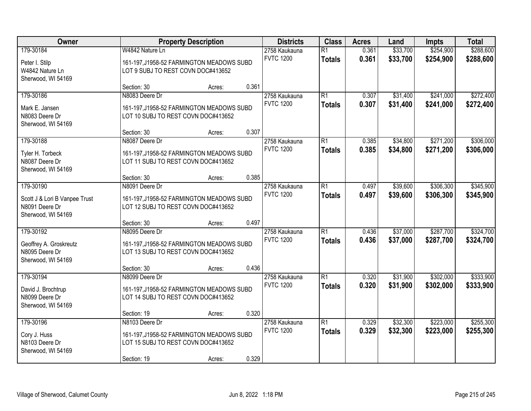| Owner                                                                              | <b>Property Description</b>                                                                                       |        |       | <b>Districts</b>                  | <b>Class</b>                     | <b>Acres</b>   | Land                 | <b>Impts</b>           | <b>Total</b>           |
|------------------------------------------------------------------------------------|-------------------------------------------------------------------------------------------------------------------|--------|-------|-----------------------------------|----------------------------------|----------------|----------------------|------------------------|------------------------|
| 179-30184<br>Peter I. Stilp<br>W4842 Nature Ln<br>Sherwood, WI 54169               | W4842 Nature Ln<br>161-197, J1958-52 FARMINGTON MEADOWS SUBD<br>LOT 9 SUBJ TO REST COVN DOC#413652                |        |       | 2758 Kaukauna<br><b>FVTC 1200</b> | $\overline{R1}$<br><b>Totals</b> | 0.361<br>0.361 | \$33,700<br>\$33,700 | \$254,900<br>\$254,900 | \$288,600<br>\$288,600 |
|                                                                                    | Section: 30                                                                                                       | Acres: | 0.361 |                                   |                                  |                |                      |                        |                        |
| 179-30186<br>Mark E. Jansen<br>N8083 Deere Dr<br>Sherwood, WI 54169                | N8083 Deere Dr<br>161-197, J1958-52 FARMINGTON MEADOWS SUBD<br>LOT 10 SUBJ TO REST COVN DOC#413652                |        |       | 2758 Kaukauna<br><b>FVTC 1200</b> | $\overline{R1}$<br><b>Totals</b> | 0.307<br>0.307 | \$31,400<br>\$31,400 | \$241,000<br>\$241,000 | \$272,400<br>\$272,400 |
|                                                                                    | Section: 30                                                                                                       | Acres: | 0.307 |                                   |                                  |                |                      |                        |                        |
| 179-30188<br>Tyler H. Torbeck<br>N8087 Deere Dr<br>Sherwood, WI 54169              | N8087 Deere Dr<br>161-197, J1958-52 FARMINGTON MEADOWS SUBD<br>LOT 11 SUBJ TO REST COVN DOC#413652                |        |       | 2758 Kaukauna<br><b>FVTC 1200</b> | $\overline{R1}$<br><b>Totals</b> | 0.385<br>0.385 | \$34,800<br>\$34,800 | \$271,200<br>\$271,200 | \$306,000<br>\$306,000 |
|                                                                                    | Section: 30                                                                                                       | Acres: | 0.385 |                                   |                                  |                |                      |                        |                        |
| 179-30190<br>Scott J & Lori B Vanpee Trust<br>N8091 Deere Dr<br>Sherwood, WI 54169 | N8091 Deere Dr<br>161-197, J1958-52 FARMINGTON MEADOWS SUBD<br>LOT 12 SUBJ TO REST COVN DOC#413652                |        |       | 2758 Kaukauna<br><b>FVTC 1200</b> | $\overline{R1}$<br><b>Totals</b> | 0.497<br>0.497 | \$39,600<br>\$39,600 | \$306,300<br>\$306,300 | \$345,900<br>\$345,900 |
|                                                                                    | Section: 30                                                                                                       | Acres: | 0.497 |                                   |                                  |                |                      |                        |                        |
| 179-30192<br>Geoffrey A. Groskreutz<br>N8095 Deere Dr<br>Sherwood, WI 54169        | N8095 Deere Dr<br>161-197, J1958-52 FARMINGTON MEADOWS SUBD<br>LOT 13 SUBJ TO REST COVN DOC#413652                |        |       | 2758 Kaukauna<br><b>FVTC 1200</b> | $\overline{R1}$<br><b>Totals</b> | 0.436<br>0.436 | \$37,000<br>\$37,000 | \$287,700<br>\$287,700 | \$324,700<br>\$324,700 |
|                                                                                    | Section: 30                                                                                                       | Acres: | 0.436 |                                   |                                  |                |                      |                        |                        |
| 179-30194<br>David J. Brochtrup<br>N8099 Deere Dr<br>Sherwood, WI 54169            | N8099 Deere Dr<br>161-197, J1958-52 FARMINGTON MEADOWS SUBD<br>LOT 14 SUBJ TO REST COVN DOC#413652                |        |       | 2758 Kaukauna<br><b>FVTC 1200</b> | $\overline{R1}$<br><b>Totals</b> | 0.320<br>0.320 | \$31,900<br>\$31,900 | \$302,000<br>\$302,000 | \$333,900<br>\$333,900 |
|                                                                                    | Section: 19                                                                                                       | Acres: | 0.320 |                                   |                                  |                |                      |                        |                        |
| 179-30196<br>Cory J. Huss<br>N8103 Deere Dr<br>Sherwood, WI 54169                  | N8103 Deere Dr<br>161-197, J1958-52 FARMINGTON MEADOWS SUBD<br>LOT 15 SUBJ TO REST COVN DOC#413652<br>Section: 19 | Acres: | 0.329 | 2758 Kaukauna<br><b>FVTC 1200</b> | $\overline{R1}$<br><b>Totals</b> | 0.329<br>0.329 | \$32,300<br>\$32,300 | \$223,000<br>\$223,000 | \$255,300<br>\$255,300 |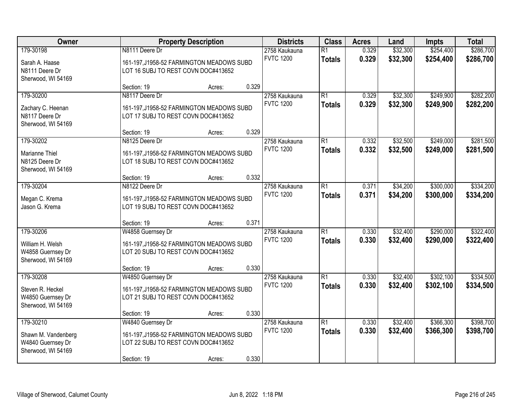| Owner                                                                       | <b>Property Description</b>                                                                                          |        |       | <b>Districts</b>                  | <b>Class</b>                     | <b>Acres</b>   | Land                 | <b>Impts</b>           | <b>Total</b>           |
|-----------------------------------------------------------------------------|----------------------------------------------------------------------------------------------------------------------|--------|-------|-----------------------------------|----------------------------------|----------------|----------------------|------------------------|------------------------|
| 179-30198<br>Sarah A. Haase<br>N8111 Deere Dr<br>Sherwood, WI 54169         | N8111 Deere Dr<br>161-197, J1958-52 FARMINGTON MEADOWS SUBD<br>LOT 16 SUBJ TO REST COVN DOC#413652                   |        |       | 2758 Kaukauna<br><b>FVTC 1200</b> | $\overline{R1}$<br><b>Totals</b> | 0.329<br>0.329 | \$32,300<br>\$32,300 | \$254,400<br>\$254,400 | \$286,700<br>\$286,700 |
|                                                                             | Section: 19                                                                                                          | Acres: | 0.329 |                                   |                                  |                |                      |                        |                        |
| 179-30200<br>Zachary C. Heenan<br>N8117 Deere Dr<br>Sherwood, WI 54169      | N8117 Deere Dr<br>161-197, J1958-52 FARMINGTON MEADOWS SUBD<br>LOT 17 SUBJ TO REST COVN DOC#413652<br>Section: 19    | Acres: | 0.329 | 2758 Kaukauna<br><b>FVTC 1200</b> | $\overline{R1}$<br><b>Totals</b> | 0.329<br>0.329 | \$32,300<br>\$32,300 | \$249,900<br>\$249,900 | \$282,200<br>\$282,200 |
| 179-30202                                                                   | N8125 Deere Dr                                                                                                       |        |       | 2758 Kaukauna                     | $\overline{R1}$                  | 0.332          | \$32,500             | \$249,000              | \$281,500              |
| Marianne Thiel<br>N8125 Deere Dr<br>Sherwood, WI 54169                      | 161-197, J1958-52 FARMINGTON MEADOWS SUBD<br>LOT 18 SUBJ TO REST COVN DOC#413652                                     |        |       | <b>FVTC 1200</b>                  | <b>Totals</b>                    | 0.332          | \$32,500             | \$249,000              | \$281,500              |
|                                                                             | Section: 19                                                                                                          | Acres: | 0.332 |                                   |                                  |                |                      |                        |                        |
| 179-30204<br>Megan C. Krema<br>Jason G. Krema                               | N8122 Deere Dr<br>161-197, J1958-52 FARMINGTON MEADOWS SUBD<br>LOT 19 SUBJ TO REST COVN DOC#413652                   |        |       | 2758 Kaukauna<br><b>FVTC 1200</b> | $\overline{R1}$<br><b>Totals</b> | 0.371<br>0.371 | \$34,200<br>\$34,200 | \$300,000<br>\$300,000 | \$334,200<br>\$334,200 |
|                                                                             | Section: 19                                                                                                          | Acres: | 0.371 |                                   |                                  |                |                      |                        |                        |
| 179-30206<br>William H. Welsh<br>W4858 Guernsey Dr<br>Sherwood, WI 54169    | W4858 Guernsey Dr<br>161-197, J1958-52 FARMINGTON MEADOWS SUBD<br>LOT 20 SUBJ TO REST COVN DOC#413652                |        |       | 2758 Kaukauna<br><b>FVTC 1200</b> | $\overline{R1}$<br><b>Totals</b> | 0.330<br>0.330 | \$32,400<br>\$32,400 | \$290,000<br>\$290,000 | \$322,400<br>\$322,400 |
|                                                                             | Section: 19                                                                                                          | Acres: | 0.330 |                                   |                                  |                |                      |                        |                        |
| 179-30208<br>Steven R. Heckel<br>W4850 Guernsey Dr<br>Sherwood, WI 54169    | W4850 Guernsey Dr<br>161-197, J1958-52 FARMINGTON MEADOWS SUBD<br>LOT 21 SUBJ TO REST COVN DOC#413652                |        |       | 2758 Kaukauna<br><b>FVTC 1200</b> | $\overline{R1}$<br><b>Totals</b> | 0.330<br>0.330 | \$32,400<br>\$32,400 | \$302,100<br>\$302,100 | \$334,500<br>\$334,500 |
|                                                                             | Section: 19                                                                                                          | Acres: | 0.330 |                                   |                                  |                |                      |                        |                        |
| 179-30210<br>Shawn M. Vandenberg<br>W4840 Guernsey Dr<br>Sherwood, WI 54169 | W4840 Guernsey Dr<br>161-197, J1958-52 FARMINGTON MEADOWS SUBD<br>LOT 22 SUBJ TO REST COVN DOC#413652<br>Section: 19 | Acres: | 0.330 | 2758 Kaukauna<br><b>FVTC 1200</b> | $\overline{R1}$<br><b>Totals</b> | 0.330<br>0.330 | \$32,400<br>\$32,400 | \$366,300<br>\$366,300 | \$398,700<br>\$398,700 |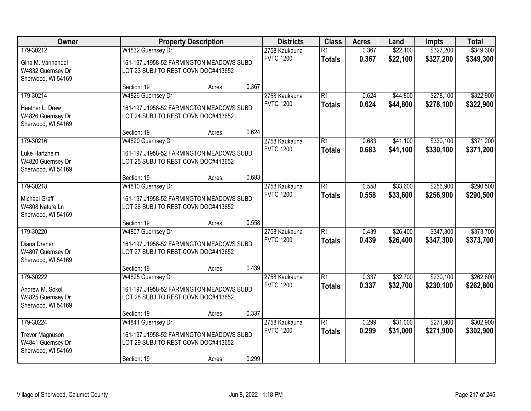| Owner                                                                      |                                                                                                       | <b>Property Description</b> |       | <b>Districts</b>                  | <b>Class</b>                     | <b>Acres</b>   | Land                 | <b>Impts</b>           | <b>Total</b>           |
|----------------------------------------------------------------------------|-------------------------------------------------------------------------------------------------------|-----------------------------|-------|-----------------------------------|----------------------------------|----------------|----------------------|------------------------|------------------------|
| 179-30212<br>Gina M. Vanhandel<br>W4832 Guernsey Dr<br>Sherwood, WI 54169  | W4832 Guernsey Dr<br>161-197, J1958-52 FARMINGTON MEADOWS SUBD<br>LOT 23 SUBJ TO REST COVN DOC#413652 |                             |       | 2758 Kaukauna<br><b>FVTC 1200</b> | $\overline{R1}$<br><b>Totals</b> | 0.367<br>0.367 | \$22,100<br>\$22,100 | \$327,200<br>\$327,200 | \$349,300<br>\$349,300 |
|                                                                            | Section: 19                                                                                           | Acres:                      | 0.367 |                                   |                                  |                |                      |                        |                        |
| 179-30214<br>Heather L. Drew<br>W4826 Guernsey Dr<br>Sherwood, WI 54169    | W4826 Guernsey Dr<br>161-197, J1958-52 FARMINGTON MEADOWS SUBD<br>LOT 24 SUBJ TO REST COVN DOC#413652 |                             |       | 2758 Kaukauna<br><b>FVTC 1200</b> | $\overline{R1}$<br><b>Totals</b> | 0.624<br>0.624 | \$44,800<br>\$44,800 | \$278,100<br>\$278,100 | \$322,900<br>\$322,900 |
|                                                                            | Section: 19                                                                                           | Acres:                      | 0.624 |                                   |                                  |                |                      |                        |                        |
| 179-30216<br>Luke Hartzheim<br>W4820 Guernsey Dr<br>Sherwood, WI 54169     | W4820 Guernsey Dr<br>161-197, J1958-52 FARMINGTON MEADOWS SUBD<br>LOT 25 SUBJ TO REST COVN DOC#413652 |                             |       | 2758 Kaukauna<br><b>FVTC 1200</b> | $\overline{R1}$<br><b>Totals</b> | 0.683<br>0.683 | \$41,100<br>\$41,100 | \$330,100<br>\$330,100 | \$371,200<br>\$371,200 |
|                                                                            | Section: 19                                                                                           | Acres:                      | 0.683 |                                   |                                  |                |                      |                        |                        |
| 179-30218<br><b>Michael Graff</b><br>W4808 Nature Ln<br>Sherwood, WI 54169 | W4810 Guernsey Dr<br>161-197, J1958-52 FARMINGTON MEADOWS SUBD<br>LOT 26 SUBJ TO REST COVN DOC#413652 |                             |       | 2758 Kaukauna<br><b>FVTC 1200</b> | $\overline{R1}$<br><b>Totals</b> | 0.558<br>0.558 | \$33,600<br>\$33,600 | \$256,900<br>\$256,900 | \$290,500<br>\$290,500 |
|                                                                            | Section: 19                                                                                           | Acres:                      | 0.558 |                                   |                                  |                |                      |                        |                        |
| 179-30220<br>Diana Dreher<br>W4807 Guernsey Dr<br>Sherwood, WI 54169       | W4807 Guernsey Dr<br>161-197, J1958-52 FARMINGTON MEADOWS SUBD<br>LOT 27 SUBJ TO REST COVN DOC#413652 |                             |       | 2758 Kaukauna<br><b>FVTC 1200</b> | $\overline{R1}$<br><b>Totals</b> | 0.439<br>0.439 | \$26,400<br>\$26,400 | \$347,300<br>\$347,300 | \$373,700<br>\$373,700 |
| 179-30222                                                                  | Section: 19<br>W4825 Guernsey Dr                                                                      | Acres:                      | 0.439 | 2758 Kaukauna                     | $\overline{R1}$                  | 0.337          | \$32,700             | \$230,100              | \$262,800              |
| Andrew M. Sokol<br>W4825 Guernsey Dr<br>Sherwood, WI 54169                 | 161-197, J1958-52 FARMINGTON MEADOWS SUBD<br>LOT 28 SUBJ TO REST COVN DOC#413652                      |                             | 0.337 | <b>FVTC 1200</b>                  | <b>Totals</b>                    | 0.337          | \$32,700             | \$230,100              | \$262,800              |
| 179-30224                                                                  | Section: 19<br>W4841 Guernsey Dr                                                                      | Acres:                      |       | 2758 Kaukauna                     | $\overline{R1}$                  | 0.299          | \$31,000             | \$271,900              | \$302,900              |
| <b>Trevor Magnuson</b><br>W4841 Guernsey Dr<br>Sherwood, WI 54169          | 161-197, J1958-52 FARMINGTON MEADOWS SUBD<br>LOT 29 SUBJ TO REST COVN DOC#413652<br>Section: 19       | Acres:                      | 0.299 | <b>FVTC 1200</b>                  | <b>Totals</b>                    | 0.299          | \$31,000             | \$271,900              | \$302,900              |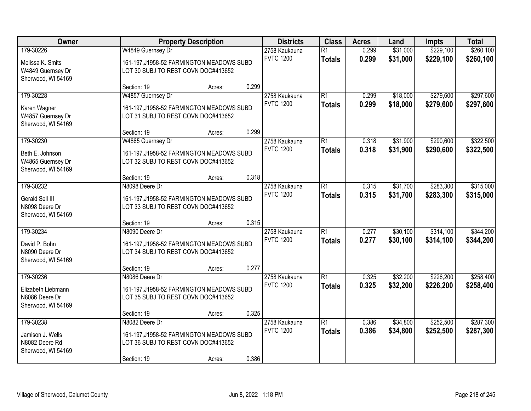| Owner                                                                    |                                                                                                                   | <b>Property Description</b> |       | <b>Districts</b>                  | <b>Class</b>                     | <b>Acres</b>   | Land                 | <b>Impts</b>           | <b>Total</b>           |
|--------------------------------------------------------------------------|-------------------------------------------------------------------------------------------------------------------|-----------------------------|-------|-----------------------------------|----------------------------------|----------------|----------------------|------------------------|------------------------|
| 179-30226<br>Melissa K. Smits<br>W4849 Guernsey Dr<br>Sherwood, WI 54169 | W4849 Guernsey Dr<br>161-197, J1958-52 FARMINGTON MEADOWS SUBD<br>LOT 30 SUBJ TO REST COVN DOC#413652             |                             |       | 2758 Kaukauna<br><b>FVTC 1200</b> | $\overline{R1}$<br><b>Totals</b> | 0.299<br>0.299 | \$31,000<br>\$31,000 | \$229,100<br>\$229,100 | \$260,100<br>\$260,100 |
|                                                                          | Section: 19                                                                                                       | Acres:                      | 0.299 |                                   |                                  |                |                      |                        |                        |
| 179-30228<br>Karen Wagner<br>W4857 Guernsey Dr<br>Sherwood, WI 54169     | W4857 Guernsey Dr<br>161-197, J1958-52 FARMINGTON MEADOWS SUBD<br>LOT 31 SUBJ TO REST COVN DOC#413652             |                             |       | 2758 Kaukauna<br><b>FVTC 1200</b> | $\overline{R1}$<br><b>Totals</b> | 0.299<br>0.299 | \$18,000<br>\$18,000 | \$279,600<br>\$279,600 | \$297,600<br>\$297,600 |
|                                                                          | Section: 19                                                                                                       | Acres:                      | 0.299 |                                   |                                  |                |                      |                        |                        |
| 179-30230<br>Beth E. Johnson<br>W4865 Guernsey Dr<br>Sherwood, WI 54169  | W4865 Guernsey Dr<br>161-197, J1958-52 FARMINGTON MEADOWS SUBD<br>LOT 32 SUBJ TO REST COVN DOC#413652             |                             |       | 2758 Kaukauna<br><b>FVTC 1200</b> | $\overline{R1}$<br><b>Totals</b> | 0.318<br>0.318 | \$31,900<br>\$31,900 | \$290,600<br>\$290,600 | \$322,500<br>\$322,500 |
|                                                                          | Section: 19                                                                                                       | Acres:                      | 0.318 |                                   |                                  |                |                      |                        |                        |
| 179-30232<br>Gerald Sell III<br>N8098 Deere Dr<br>Sherwood, WI 54169     | N8098 Deere Dr<br>161-197, J1958-52 FARMINGTON MEADOWS SUBD<br>LOT 33 SUBJ TO REST COVN DOC#413652                |                             |       | 2758 Kaukauna<br><b>FVTC 1200</b> | $\overline{R1}$<br><b>Totals</b> | 0.315<br>0.315 | \$31,700<br>\$31,700 | \$283,300<br>\$283,300 | \$315,000<br>\$315,000 |
|                                                                          | Section: 19                                                                                                       | Acres:                      | 0.315 |                                   |                                  |                |                      |                        |                        |
| 179-30234<br>David P. Bohn<br>N8090 Deere Dr<br>Sherwood, WI 54169       | N8090 Deere Dr<br>161-197, J1958-52 FARMINGTON MEADOWS SUBD<br>LOT 34 SUBJ TO REST COVN DOC#413652                |                             |       | 2758 Kaukauna<br><b>FVTC 1200</b> | $\overline{R1}$<br><b>Totals</b> | 0.277<br>0.277 | \$30,100<br>\$30,100 | \$314,100<br>\$314,100 | \$344,200<br>\$344,200 |
|                                                                          | Section: 19                                                                                                       | Acres:                      | 0.277 |                                   |                                  |                |                      |                        |                        |
| 179-30236<br>Elizabeth Liebmann<br>N8086 Deere Dr<br>Sherwood, WI 54169  | N8086 Deere Dr<br>161-197, J1958-52 FARMINGTON MEADOWS SUBD<br>LOT 35 SUBJ TO REST COVN DOC#413652                |                             |       | 2758 Kaukauna<br><b>FVTC 1200</b> | $\overline{R1}$<br><b>Totals</b> | 0.325<br>0.325 | \$32,200<br>\$32,200 | \$226,200<br>\$226,200 | \$258,400<br>\$258,400 |
|                                                                          | Section: 19                                                                                                       | Acres:                      | 0.325 |                                   |                                  |                |                      |                        |                        |
| 179-30238<br>Jamison J. Wells<br>N8082 Deere Rd<br>Sherwood, WI 54169    | N8082 Deere Dr<br>161-197, J1958-52 FARMINGTON MEADOWS SUBD<br>LOT 36 SUBJ TO REST COVN DOC#413652<br>Section: 19 | Acres:                      | 0.386 | 2758 Kaukauna<br><b>FVTC 1200</b> | $\overline{R1}$<br><b>Totals</b> | 0.386<br>0.386 | \$34,800<br>\$34,800 | \$252,500<br>\$252,500 | \$287,300<br>\$287,300 |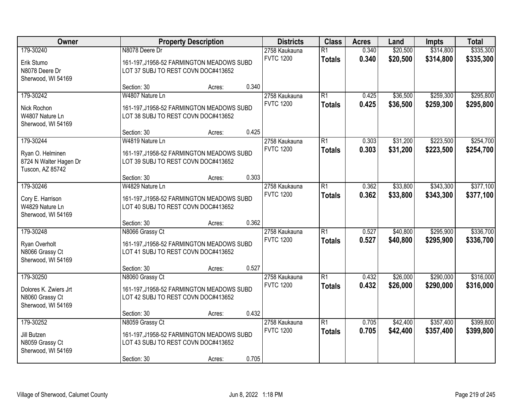| Owner                                                                       |                                                                                                                    | <b>Property Description</b> |       | <b>Districts</b>                  | <b>Class</b>                     | <b>Acres</b>   | Land                 | <b>Impts</b>           | <b>Total</b>           |
|-----------------------------------------------------------------------------|--------------------------------------------------------------------------------------------------------------------|-----------------------------|-------|-----------------------------------|----------------------------------|----------------|----------------------|------------------------|------------------------|
| 179-30240<br>Erik Stumo<br>N8078 Deere Dr<br>Sherwood, WI 54169             | N8078 Deere Dr<br>161-197, J1958-52 FARMINGTON MEADOWS SUBD<br>LOT 37 SUBJ TO REST COVN DOC#413652                 |                             |       | 2758 Kaukauna<br><b>FVTC 1200</b> | $\overline{R1}$<br><b>Totals</b> | 0.340<br>0.340 | \$20,500<br>\$20,500 | \$314,800<br>\$314,800 | \$335,300<br>\$335,300 |
|                                                                             | Section: 30                                                                                                        | Acres:                      | 0.340 |                                   |                                  |                |                      |                        |                        |
| 179-30242<br>Nick Rochon<br>W4807 Nature Ln<br>Sherwood, WI 54169           | W4807 Nature Ln<br>161-197, J1958-52 FARMINGTON MEADOWS SUBD<br>LOT 38 SUBJ TO REST COVN DOC#413652                |                             |       | 2758 Kaukauna<br><b>FVTC 1200</b> | $\overline{R1}$<br><b>Totals</b> | 0.425<br>0.425 | \$36,500<br>\$36,500 | \$259,300<br>\$259,300 | \$295,800<br>\$295,800 |
|                                                                             | Section: 30                                                                                                        | Acres:                      | 0.425 |                                   |                                  |                |                      |                        |                        |
| 179-30244<br>Ryan O. Helminen<br>8724 N Walter Hagen Dr<br>Tuscon, AZ 85742 | W4819 Nature Ln<br>161-197, J1958-52 FARMINGTON MEADOWS SUBD<br>LOT 39 SUBJ TO REST COVN DOC#413652                |                             |       | 2758 Kaukauna<br><b>FVTC 1200</b> | $\overline{R1}$<br><b>Totals</b> | 0.303<br>0.303 | \$31,200<br>\$31,200 | \$223,500<br>\$223,500 | \$254,700<br>\$254,700 |
|                                                                             | Section: 30                                                                                                        | Acres:                      | 0.303 |                                   |                                  |                |                      |                        |                        |
| 179-30246<br>Cory E. Harrison<br>W4829 Nature Ln<br>Sherwood, WI 54169      | W4829 Nature Ln<br>161-197, J1958-52 FARMINGTON MEADOWS SUBD<br>LOT 40 SUBJ TO REST COVN DOC#413652                |                             |       | 2758 Kaukauna<br><b>FVTC 1200</b> | $\overline{R1}$<br><b>Totals</b> | 0.362<br>0.362 | \$33,800<br>\$33,800 | \$343,300<br>\$343,300 | \$377,100<br>\$377,100 |
|                                                                             | Section: 30                                                                                                        | Acres:                      | 0.362 |                                   |                                  |                |                      |                        |                        |
| 179-30248<br>Ryan Overholt<br>N8066 Grassy Ct<br>Sherwood, WI 54169         | N8066 Grassy Ct<br>161-197, J1958-52 FARMINGTON MEADOWS SUBD<br>LOT 41 SUBJ TO REST COVN DOC#413652                |                             |       | 2758 Kaukauna<br><b>FVTC 1200</b> | $\overline{R1}$<br><b>Totals</b> | 0.527<br>0.527 | \$40,800<br>\$40,800 | \$295,900<br>\$295,900 | \$336,700<br>\$336,700 |
|                                                                             | Section: 30                                                                                                        | Acres:                      | 0.527 |                                   |                                  |                |                      |                        |                        |
| 179-30250<br>Dolores K. Zwiers Jrt<br>N8060 Grassy Ct<br>Sherwood, WI 54169 | N8060 Grassy Ct<br>161-197, J1958-52 FARMINGTON MEADOWS SUBD<br>LOT 42 SUBJ TO REST COVN DOC#413652                |                             |       | 2758 Kaukauna<br><b>FVTC 1200</b> | $\overline{R1}$<br><b>Totals</b> | 0.432<br>0.432 | \$26,000<br>\$26,000 | \$290,000<br>\$290,000 | \$316,000<br>\$316,000 |
|                                                                             | Section: 30                                                                                                        | Acres:                      | 0.432 |                                   |                                  |                |                      |                        |                        |
| 179-30252<br>Jill Butzen<br>N8059 Grassy Ct<br>Sherwood, WI 54169           | N8059 Grassy Ct<br>161-197, J1958-52 FARMINGTON MEADOWS SUBD<br>LOT 43 SUBJ TO REST COVN DOC#413652<br>Section: 30 | Acres:                      | 0.705 | 2758 Kaukauna<br><b>FVTC 1200</b> | $\overline{R1}$<br><b>Totals</b> | 0.705<br>0.705 | \$42,400<br>\$42,400 | \$357,400<br>\$357,400 | \$399,800<br>\$399,800 |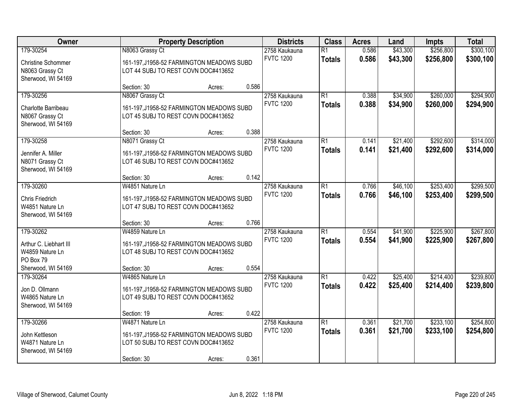| Owner                                                                           |                                                                                                                    | <b>Property Description</b> |       | <b>Districts</b>                  | <b>Class</b>                     | <b>Acres</b>   | Land                 | <b>Impts</b>           | <b>Total</b>           |
|---------------------------------------------------------------------------------|--------------------------------------------------------------------------------------------------------------------|-----------------------------|-------|-----------------------------------|----------------------------------|----------------|----------------------|------------------------|------------------------|
| 179-30254<br><b>Christine Schommer</b><br>N8063 Grassy Ct<br>Sherwood, WI 54169 | N8063 Grassy Ct<br>161-197, J1958-52 FARMINGTON MEADOWS SUBD<br>LOT 44 SUBJ TO REST COVN DOC#413652                |                             |       | 2758 Kaukauna<br><b>FVTC 1200</b> | $\overline{R1}$<br><b>Totals</b> | 0.586<br>0.586 | \$43,300<br>\$43,300 | \$256,800<br>\$256,800 | \$300,100<br>\$300,100 |
|                                                                                 | Section: 30                                                                                                        | Acres:                      | 0.586 |                                   |                                  |                |                      |                        |                        |
| 179-30256<br>Charlotte Barribeau<br>N8067 Grassy Ct<br>Sherwood, WI 54169       | N8067 Grassy Ct<br>161-197, J1958-52 FARMINGTON MEADOWS SUBD<br>LOT 45 SUBJ TO REST COVN DOC#413652                |                             |       | 2758 Kaukauna<br><b>FVTC 1200</b> | $\overline{R1}$<br><b>Totals</b> | 0.388<br>0.388 | \$34,900<br>\$34,900 | \$260,000<br>\$260,000 | \$294,900<br>\$294,900 |
| 179-30258                                                                       | Section: 30                                                                                                        | Acres:                      | 0.388 |                                   | $\overline{R1}$                  | 0.141          | \$21,400             | \$292,600              |                        |
| Jennifer A. Miller<br>N8071 Grassy Ct<br>Sherwood, WI 54169                     | N8071 Grassy Ct<br>161-197, J1958-52 FARMINGTON MEADOWS SUBD<br>LOT 46 SUBJ TO REST COVN DOC#413652                |                             |       | 2758 Kaukauna<br><b>FVTC 1200</b> | <b>Totals</b>                    | 0.141          | \$21,400             | \$292,600              | \$314,000<br>\$314,000 |
|                                                                                 | Section: 30                                                                                                        | Acres:                      | 0.142 |                                   |                                  |                |                      |                        |                        |
| 179-30260<br>Chris Friedrich<br>W4851 Nature Ln<br>Sherwood, WI 54169           | W4851 Nature Ln<br>161-197, J1958-52 FARMINGTON MEADOWS SUBD<br>LOT 47 SUBJ TO REST COVN DOC#413652                |                             |       | 2758 Kaukauna<br><b>FVTC 1200</b> | $\overline{R1}$<br><b>Totals</b> | 0.766<br>0.766 | \$46,100<br>\$46,100 | \$253,400<br>\$253,400 | \$299,500<br>\$299,500 |
|                                                                                 | Section: 30                                                                                                        | Acres:                      | 0.766 |                                   |                                  |                |                      |                        |                        |
| 179-30262<br>Arthur C. Liebhart III<br>W4859 Nature Ln<br>PO Box 79             | W4859 Nature Ln<br>161-197, J1958-52 FARMINGTON MEADOWS SUBD<br>LOT 48 SUBJ TO REST COVN DOC#413652                |                             |       | 2758 Kaukauna<br><b>FVTC 1200</b> | $\overline{R1}$<br><b>Totals</b> | 0.554<br>0.554 | \$41,900<br>\$41,900 | \$225,900<br>\$225,900 | \$267,800<br>\$267,800 |
| Sherwood, WI 54169                                                              | Section: 30                                                                                                        | Acres:                      | 0.554 |                                   |                                  |                |                      |                        |                        |
| 179-30264<br>Jon D. Ollmann<br>W4865 Nature Ln<br>Sherwood, WI 54169            | W4865 Nature Ln<br>161-197, J1958-52 FARMINGTON MEADOWS SUBD<br>LOT 49 SUBJ TO REST COVN DOC#413652                |                             |       | 2758 Kaukauna<br><b>FVTC 1200</b> | $\overline{R1}$<br><b>Totals</b> | 0.422<br>0.422 | \$25,400<br>\$25,400 | \$214,400<br>\$214,400 | \$239,800<br>\$239,800 |
|                                                                                 | Section: 19                                                                                                        | Acres:                      | 0.422 |                                   |                                  |                |                      |                        |                        |
| 179-30266<br>John Kettleson<br>W4871 Nature Ln<br>Sherwood, WI 54169            | W4871 Nature Ln<br>161-197, J1958-52 FARMINGTON MEADOWS SUBD<br>LOT 50 SUBJ TO REST COVN DOC#413652<br>Section: 30 | Acres:                      | 0.361 | 2758 Kaukauna<br><b>FVTC 1200</b> | $\overline{R1}$<br><b>Totals</b> | 0.361<br>0.361 | \$21,700<br>\$21,700 | \$233,100<br>\$233,100 | \$254,800<br>\$254,800 |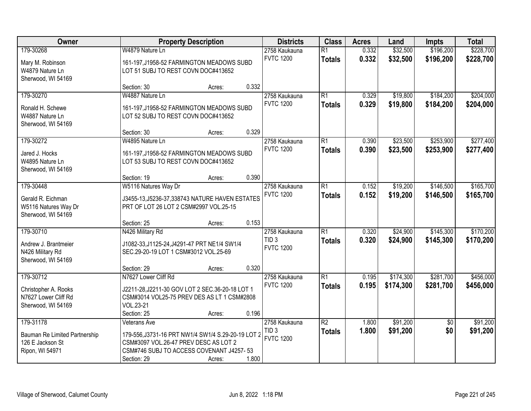| Owner                         |                                                    | <b>Property Description</b> |       | <b>Districts</b>                     | <b>Class</b>    | <b>Acres</b> | Land      | <b>Impts</b>    | <b>Total</b> |
|-------------------------------|----------------------------------------------------|-----------------------------|-------|--------------------------------------|-----------------|--------------|-----------|-----------------|--------------|
| 179-30268                     | W4879 Nature Ln                                    |                             |       | 2758 Kaukauna                        | $\overline{R1}$ | 0.332        | \$32,500  | \$196,200       | \$228,700    |
| Mary M. Robinson              | 161-197, J1958-52 FARMINGTON MEADOWS SUBD          |                             |       | <b>FVTC 1200</b>                     | <b>Totals</b>   | 0.332        | \$32,500  | \$196,200       | \$228,700    |
| W4879 Nature Ln               | LOT 51 SUBJ TO REST COVN DOC#413652                |                             |       |                                      |                 |              |           |                 |              |
| Sherwood, WI 54169            |                                                    |                             |       |                                      |                 |              |           |                 |              |
|                               | Section: 30                                        | Acres:                      | 0.332 |                                      |                 |              |           |                 |              |
| 179-30270                     | W4887 Nature Ln                                    |                             |       | 2758 Kaukauna                        | $\overline{R1}$ | 0.329        | \$19,800  | \$184,200       | \$204,000    |
| Ronald H. Schewe              | 161-197, J1958-52 FARMINGTON MEADOWS SUBD          |                             |       | <b>FVTC 1200</b>                     | <b>Totals</b>   | 0.329        | \$19,800  | \$184,200       | \$204,000    |
| W4887 Nature Ln               | LOT 52 SUBJ TO REST COVN DOC#413652                |                             |       |                                      |                 |              |           |                 |              |
| Sherwood, WI 54169            |                                                    |                             |       |                                      |                 |              |           |                 |              |
|                               | Section: 30                                        | Acres:                      | 0.329 |                                      |                 |              |           |                 |              |
| 179-30272                     | W4895 Nature Ln                                    |                             |       | 2758 Kaukauna                        | $\overline{R1}$ | 0.390        | \$23,500  | \$253,900       | \$277,400    |
| Jared J. Hocks                | 161-197, J1958-52 FARMINGTON MEADOWS SUBD          |                             |       | <b>FVTC 1200</b>                     | <b>Totals</b>   | 0.390        | \$23,500  | \$253,900       | \$277,400    |
| W4895 Nature Ln               | LOT 53 SUBJ TO REST COVN DOC#413652                |                             |       |                                      |                 |              |           |                 |              |
| Sherwood, WI 54169            |                                                    |                             |       |                                      |                 |              |           |                 |              |
|                               | Section: 19                                        | Acres:                      | 0.390 |                                      |                 |              |           |                 |              |
| 179-30448                     | W5116 Natures Way Dr                               |                             |       | 2758 Kaukauna                        | $\overline{R1}$ | 0.152        | \$19,200  | \$146,500       | \$165,700    |
| Gerald R. Eichman             | J3455-13, J5236-37, 338743 NATURE HAVEN ESTATES    |                             |       | <b>FVTC 1200</b>                     | <b>Totals</b>   | 0.152        | \$19,200  | \$146,500       | \$165,700    |
| W5116 Natures Way Dr          | PRT OF LOT 26 LOT 2 CSM#2997 VOL.25-15             |                             |       |                                      |                 |              |           |                 |              |
| Sherwood, WI 54169            |                                                    |                             |       |                                      |                 |              |           |                 |              |
|                               | Section: 25                                        | Acres:                      | 0.153 |                                      |                 |              |           |                 |              |
| 179-30710                     | N426 Military Rd                                   |                             |       | 2758 Kaukauna                        | $\overline{R1}$ | 0.320        | \$24,900  | \$145,300       | \$170,200    |
| Andrew J. Brantmeier          | J1082-33, J1125-24, J4291-47 PRT NE1/4 SW1/4       |                             |       | TID <sub>3</sub><br><b>FVTC 1200</b> | <b>Totals</b>   | 0.320        | \$24,900  | \$145,300       | \$170,200    |
| N426 Military Rd              | SEC.29-20-19 LOT 1 CSM#3012 VOL.25-69              |                             |       |                                      |                 |              |           |                 |              |
| Sherwood, WI 54169            |                                                    |                             |       |                                      |                 |              |           |                 |              |
|                               | Section: 29                                        | Acres:                      | 0.320 |                                      |                 |              |           |                 |              |
| 179-30712                     | N7627 Lower Cliff Rd                               |                             |       | 2758 Kaukauna                        | $\overline{R1}$ | 0.195        | \$174,300 | \$281,700       | \$456,000    |
| Christopher A. Rooks          | J2211-28, J2211-30 GOV LOT 2 SEC. 36-20-18 LOT 1   |                             |       | <b>FVTC 1200</b>                     | <b>Totals</b>   | 0.195        | \$174,300 | \$281,700       | \$456,000    |
| N7627 Lower Cliff Rd          | CSM#3014 VOL25-75 PREV DES AS LT 1 CSM#2808        |                             |       |                                      |                 |              |           |                 |              |
| Sherwood, WI 54169            | VOL.23-21                                          |                             |       |                                      |                 |              |           |                 |              |
|                               | Section: 25                                        | Acres:                      | 0.196 |                                      |                 |              |           |                 |              |
| 179-31178                     | Veterans Ave                                       |                             |       | 2758 Kaukauna                        | $\overline{R2}$ | 1.800        | \$91,200  | $\overline{50}$ | \$91,200     |
| Bauman Re Limited Partnership | 179-556, J3731-16 PRT NW1/4 SW1/4 S.29-20-19 LOT 2 |                             |       | TID <sub>3</sub><br><b>FVTC 1200</b> | <b>Totals</b>   | 1.800        | \$91,200  | \$0             | \$91,200     |
| 126 E Jackson St              | CSM#3097 VOL.26-47 PREV DESC AS LOT 2              |                             |       |                                      |                 |              |           |                 |              |
| Ripon, WI 54971               | CSM#746 SUBJ TO ACCESS COVENANT J4257-53           |                             |       |                                      |                 |              |           |                 |              |
|                               | Section: 29                                        | Acres:                      | 1.800 |                                      |                 |              |           |                 |              |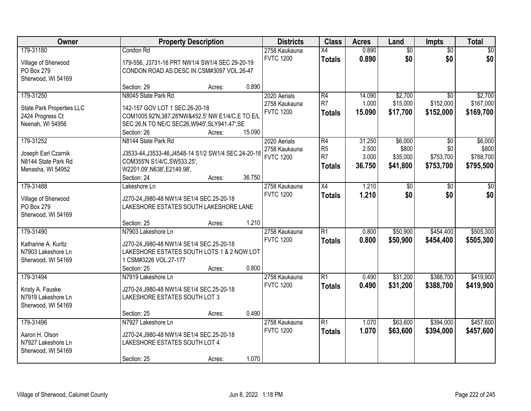| Owner                                                                          |                                                                                                                                                                           | <b>Property Description</b> |        | <b>Districts</b>                                  | <b>Class</b>                                                         | <b>Acres</b>                       | Land                                     | Impts                                            | <b>Total</b>                               |
|--------------------------------------------------------------------------------|---------------------------------------------------------------------------------------------------------------------------------------------------------------------------|-----------------------------|--------|---------------------------------------------------|----------------------------------------------------------------------|------------------------------------|------------------------------------------|--------------------------------------------------|--------------------------------------------|
| 179-31180<br>Village of Sherwood<br>PO Box 279<br>Sherwood, WI 54169           | Condon Rd<br>179-556, J3731-16 PRT NW1/4 SW1/4 SEC 29-20-19<br>CONDON ROAD AS DESC IN CSM#3097 VOL.26-47                                                                  |                             |        | 2758 Kaukauna<br><b>FVTC 1200</b>                 | $\overline{X4}$<br><b>Totals</b>                                     | 0.890<br>0.890                     | $\overline{60}$<br>\$0                   | $\overline{30}$<br>\$0                           | \$0<br>\$0                                 |
|                                                                                | Section: 29                                                                                                                                                               | Acres:                      | 0.890  |                                                   |                                                                      |                                    |                                          |                                                  |                                            |
| 179-31250<br>State Park Properties LLC<br>2424 Progress Ct<br>Neenah, WI 54956 | N8045 State Park Rd<br>142-157 GOV LOT 1 SEC.26-20-18<br>COM1005.92'N,387.28'NW&452.5' NW E1/4/C,E TO E/L<br>SEC 26,N TO NE/C SEC26, W945', SLY941.47', SE<br>Section: 26 | Acres:                      | 15.090 | 2020 Aerials<br>2758 Kaukauna<br><b>FVTC 1200</b> | $\overline{R4}$<br>R <sub>7</sub><br><b>Totals</b>                   | 14.090<br>1.000<br>15.090          | \$2,700<br>\$15,000<br>\$17,700          | $\overline{50}$<br>\$152,000<br>\$152,000        | \$2,700<br>\$167,000<br>\$169,700          |
| 179-31252<br>Joseph Earl Czarnik<br>N8144 State Park Rd<br>Menasha, WI 54952   | N8144 State Park Rd<br>J3533-44, J3533-46, J4548-14 S1/2 SW1/4 SEC. 24-20-18<br>COM355'N S1/4/C, SW533.25',<br>W2201.09', N638', E2149.98',<br>Section: 24                | Acres:                      | 36.750 | 2020 Aerials<br>2758 Kaukauna<br><b>FVTC 1200</b> | $\overline{R4}$<br>R <sub>5</sub><br>R <sub>7</sub><br><b>Totals</b> | 31.250<br>2.500<br>3.000<br>36.750 | \$6,000<br>\$800<br>\$35,000<br>\$41,800 | $\overline{50}$<br>\$0<br>\$753,700<br>\$753,700 | \$6,000<br>\$800<br>\$788,700<br>\$795,500 |
| 179-31488<br>Village of Sherwood<br>PO Box 279<br>Sherwood, WI 54169           | Lakeshore Ln<br>J270-24, J980-48 NW1/4 SE1/4 SEC.25-20-18<br>LAKESHORE ESTATES SOUTH LAKESHORE LANE<br>Section: 25                                                        | Acres:                      | 1.210  | 2758 Kaukauna<br><b>FVTC 1200</b>                 | $\overline{X4}$<br><b>Totals</b>                                     | 1.210<br>1.210                     | \$0<br>\$0                               | \$0<br>\$0                                       | \$0<br>\$0                                 |
| 179-31490<br>Katharine A. Kuritz<br>N7903 Lakeshore Ln<br>Sherwood, WI 54169   | N7903 Lakeshore Ln<br>J270-24, J980-48 NW1/4 SE1/4 SEC.25-20-18<br>LAKESHORE ESTATES SOUTH LOTS 1 & 2 NOW LOT<br>1 CSM#3226 VOL.27-177<br>Section: 25                     | Acres:                      | 0.800  | 2758 Kaukauna<br><b>FVTC 1200</b>                 | $\overline{R1}$<br><b>Totals</b>                                     | 0.800<br>0.800                     | \$50,900<br>\$50,900                     | \$454,400<br>\$454,400                           | \$505,300<br>\$505,300                     |
| 179-31494<br>Kristy A. Fauske<br>N7919 Lakeshore Ln<br>Sherwood, WI 54169      | N7919 Lakeshore Ln<br>J270-24, J980-48 NW1/4 SE1/4 SEC.25-20-18<br>LAKESHORE ESTATES SOUTH LOT 3<br>Section: 25                                                           | Acres:                      | 0.490  | 2758 Kaukauna<br><b>FVTC 1200</b>                 | $\overline{R1}$<br><b>Totals</b>                                     | 0.490<br>0.490                     | \$31,200<br>\$31,200                     | \$388,700<br>\$388,700                           | \$419,900<br>\$419,900                     |
| 179-31496<br>Aaron H. Olson<br>N7927 Lakeshore Ln<br>Sherwood, WI 54169        | N7927 Lakeshore Ln<br>J270-24, J980-48 NW1/4 SE1/4 SEC. 25-20-18<br>LAKESHORE ESTATES SOUTH LOT 4<br>Section: 25                                                          | Acres:                      | 1.070  | 2758 Kaukauna<br><b>FVTC 1200</b>                 | $\overline{R1}$<br><b>Totals</b>                                     | 1.070<br>1.070                     | \$63,600<br>\$63,600                     | \$394,000<br>\$394,000                           | \$457,600<br>\$457,600                     |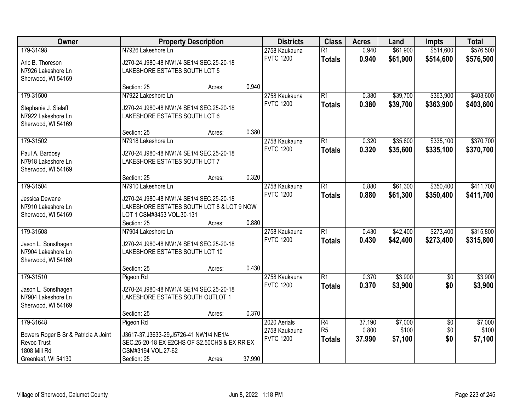| Owner                                |                                                                                        | <b>Property Description</b> |        | <b>Districts</b> | <b>Class</b>    | <b>Acres</b> | Land     | <b>Impts</b>    | <b>Total</b> |
|--------------------------------------|----------------------------------------------------------------------------------------|-----------------------------|--------|------------------|-----------------|--------------|----------|-----------------|--------------|
| 179-31498                            | N7926 Lakeshore Ln                                                                     |                             |        | 2758 Kaukauna    | $\overline{R1}$ | 0.940        | \$61,900 | \$514,600       | \$576,500    |
| Aric B. Thoreson                     | J270-24, J980-48 NW1/4 SE1/4 SEC.25-20-18                                              |                             |        | <b>FVTC 1200</b> | <b>Totals</b>   | 0.940        | \$61,900 | \$514,600       | \$576,500    |
| N7926 Lakeshore Ln                   | LAKESHORE ESTATES SOUTH LOT 5                                                          |                             |        |                  |                 |              |          |                 |              |
| Sherwood, WI 54169                   |                                                                                        |                             |        |                  |                 |              |          |                 |              |
|                                      | Section: 25                                                                            | Acres:                      | 0.940  |                  |                 |              |          |                 |              |
| 179-31500                            | N7922 Lakeshore Ln                                                                     |                             |        | 2758 Kaukauna    | $\overline{R1}$ | 0.380        | \$39,700 | \$363,900       | \$403,600    |
| Stephanie J. Sielaff                 | J270-24, J980-48 NW1/4 SE1/4 SEC. 25-20-18                                             |                             |        | <b>FVTC 1200</b> | <b>Totals</b>   | 0.380        | \$39,700 | \$363,900       | \$403,600    |
| N7922 Lakeshore Ln                   | LAKESHORE ESTATES SOUTH LOT 6                                                          |                             |        |                  |                 |              |          |                 |              |
| Sherwood, WI 54169                   |                                                                                        |                             |        |                  |                 |              |          |                 |              |
|                                      | Section: 25                                                                            | Acres:                      | 0.380  |                  |                 |              |          |                 |              |
| 179-31502                            | N7918 Lakeshore Ln                                                                     |                             |        | 2758 Kaukauna    | $\overline{R1}$ | 0.320        | \$35,600 | \$335,100       | \$370,700    |
| Paul A. Bardosy                      | J270-24, J980-48 NW1/4 SE1/4 SEC.25-20-18                                              |                             |        | <b>FVTC 1200</b> | <b>Totals</b>   | 0.320        | \$35,600 | \$335,100       | \$370,700    |
| N7918 Lakeshore Ln                   | LAKESHORE ESTATES SOUTH LOT 7                                                          |                             |        |                  |                 |              |          |                 |              |
| Sherwood, WI 54169                   |                                                                                        |                             |        |                  |                 |              |          |                 |              |
|                                      | Section: 25                                                                            | Acres:                      | 0.320  |                  |                 |              |          |                 |              |
| 179-31504                            | N7910 Lakeshore Ln                                                                     |                             |        | 2758 Kaukauna    | $\overline{R1}$ | 0.880        | \$61,300 | \$350,400       | \$411,700    |
|                                      |                                                                                        |                             |        | <b>FVTC 1200</b> | <b>Totals</b>   | 0.880        | \$61,300 | \$350,400       | \$411,700    |
| Jessica Dewane<br>N7910 Lakeshore Ln | J270-24, J980-48 NW1/4 SE1/4 SEC.25-20-18<br>LAKESHORE ESTATES SOUTH LOT 8 & LOT 9 NOW |                             |        |                  |                 |              |          |                 |              |
| Sherwood, WI 54169                   | LOT 1 CSM#3453 VOL.30-131                                                              |                             |        |                  |                 |              |          |                 |              |
|                                      | Section: 25                                                                            | Acres:                      | 0.880  |                  |                 |              |          |                 |              |
| 179-31508                            | N7904 Lakeshore Ln                                                                     |                             |        | 2758 Kaukauna    | $\overline{R1}$ | 0.430        | \$42,400 | \$273,400       | \$315,800    |
|                                      |                                                                                        |                             |        | <b>FVTC 1200</b> | <b>Totals</b>   | 0.430        | \$42,400 | \$273,400       | \$315,800    |
| Jason L. Sonsthagen                  | J270-24, J980-48 NW1/4 SE1/4 SEC.25-20-18                                              |                             |        |                  |                 |              |          |                 |              |
| N7904 Lakeshore Ln                   | LAKESHORE ESTATES SOUTH LOT 10                                                         |                             |        |                  |                 |              |          |                 |              |
| Sherwood, WI 54169                   |                                                                                        |                             |        |                  |                 |              |          |                 |              |
|                                      | Section: 25                                                                            | Acres:                      | 0.430  |                  |                 |              |          |                 |              |
| 179-31510                            | Pigeon Rd                                                                              |                             |        | 2758 Kaukauna    | $\overline{R1}$ | 0.370        | \$3,900  | $\overline{50}$ | \$3,900      |
| Jason L. Sonsthagen                  | J270-24, J980-48 NW1/4 SE1/4 SEC. 25-20-18                                             |                             |        | <b>FVTC 1200</b> | <b>Totals</b>   | 0.370        | \$3,900  | \$0             | \$3,900      |
| N7904 Lakeshore Ln                   | LAKESHORE ESTATES SOUTH OUTLOT 1                                                       |                             |        |                  |                 |              |          |                 |              |
| Sherwood, WI 54169                   |                                                                                        |                             |        |                  |                 |              |          |                 |              |
|                                      | Section: 25                                                                            | Acres:                      | 0.370  |                  |                 |              |          |                 |              |
| 179-31648                            | Pigeon Rd                                                                              |                             |        | 2020 Aerials     | $\overline{R4}$ | 37.190       | \$7,000  | $\overline{50}$ | \$7,000      |
| Bowers Roger B Sr & Patricia A Joint | J3617-37, J3633-29, J5726-41 NW1/4 NE1/4                                               |                             |        | 2758 Kaukauna    | R <sub>5</sub>  | 0.800        | \$100    | \$0             | \$100        |
| Revoc Trust                          | SEC.25-20-18 EX E2CHS OF S2.50CHS & EX RR EX                                           |                             |        | <b>FVTC 1200</b> | <b>Totals</b>   | 37.990       | \$7,100  | \$0             | \$7,100      |
| 1808 Mill Rd                         | CSM#3194 VOL.27-62                                                                     |                             |        |                  |                 |              |          |                 |              |
| Greenleaf, WI 54130                  | Section: 25                                                                            | Acres:                      | 37.990 |                  |                 |              |          |                 |              |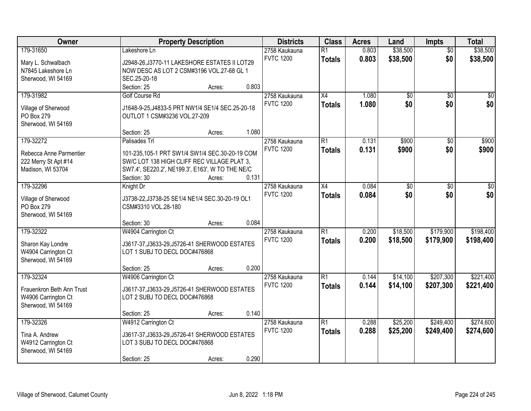| Owner                     | <b>Property Description</b>                      |        |       | <b>Districts</b> | <b>Class</b>    | <b>Acres</b> | Land            | <b>Impts</b>    | <b>Total</b>    |
|---------------------------|--------------------------------------------------|--------|-------|------------------|-----------------|--------------|-----------------|-----------------|-----------------|
| 179-31650                 | Lakeshore Ln                                     |        |       | 2758 Kaukauna    | $\overline{R1}$ | 0.803        | \$38,500        | $\overline{50}$ | \$38,500        |
| Mary L. Schwalbach        | J2948-26, J3770-11 LAKESHORE ESTATES II LOT29    |        |       | <b>FVTC 1200</b> | <b>Totals</b>   | 0.803        | \$38,500        | \$0             | \$38,500        |
| N7845 Lakeshore Ln        | NOW DESC AS LOT 2 CSM#3196 VOL.27-68 GL 1        |        |       |                  |                 |              |                 |                 |                 |
| Sherwood, WI 54169        | SEC.25-20-18                                     |        |       |                  |                 |              |                 |                 |                 |
|                           | Section: 25                                      | Acres: | 0.803 |                  |                 |              |                 |                 |                 |
| 179-31982                 | Golf Course Rd                                   |        |       | 2758 Kaukauna    | X4              | 1.080        | $\overline{50}$ | $\overline{50}$ | $\overline{30}$ |
|                           |                                                  |        |       | <b>FVTC 1200</b> | <b>Totals</b>   | 1.080        | \$0             | \$0             | \$0             |
| Village of Sherwood       | J1648-9-25, J4833-5 PRT NW1/4 SE1/4 SEC.25-20-18 |        |       |                  |                 |              |                 |                 |                 |
| PO Box 279                | OUTLOT 1 CSM#3236 VOL.27-209                     |        |       |                  |                 |              |                 |                 |                 |
| Sherwood, WI 54169        |                                                  |        | 1.080 |                  |                 |              |                 |                 |                 |
|                           | Section: 25                                      | Acres: |       | 2758 Kaukauna    | $\overline{R1}$ | 0.131        | \$900           |                 | \$900           |
| 179-32272                 | Palisades Trl                                    |        |       |                  |                 |              |                 | \$0             |                 |
| Rebecca Anne Parmentier   | 101-235,105-1 PRT SW1/4 SW1/4 SEC.30-20-19 COM   |        |       | <b>FVTC 1200</b> | <b>Totals</b>   | 0.131        | \$900           | \$0             | \$900           |
| 222 Merry St Apt #14      | SW/C LOT 138 HIGH CLIFF REC VILLAGE PLAT 3.      |        |       |                  |                 |              |                 |                 |                 |
| Madison, WI 53704         | SW7.4', SE220.2', NE199.3', E163', W TO THE NE/C |        |       |                  |                 |              |                 |                 |                 |
|                           | Section: 30                                      | Acres: | 0.131 |                  |                 |              |                 |                 |                 |
| 179-32296                 | Knight Dr                                        |        |       | 2758 Kaukauna    | X4              | 0.084        | $\overline{50}$ | \$0             | $\overline{30}$ |
|                           |                                                  |        |       | <b>FVTC 1200</b> | <b>Totals</b>   | 0.084        | \$0             | \$0             | \$0             |
| Village of Sherwood       | J3738-22, J3738-25 SE1/4 NE1/4 SEC.30-20-19 OL1  |        |       |                  |                 |              |                 |                 |                 |
| PO Box 279                | CSM#3310 VOL.28-180                              |        |       |                  |                 |              |                 |                 |                 |
| Sherwood, WI 54169        | Section: 30                                      |        | 0.084 |                  |                 |              |                 |                 |                 |
| 179-32322                 | W4904 Carrington Ct                              | Acres: |       | 2758 Kaukauna    | $\overline{R1}$ | 0.200        | \$18,500        | \$179,900       | \$198,400       |
|                           |                                                  |        |       | <b>FVTC 1200</b> |                 |              |                 |                 |                 |
| Sharon Kay Londre         | J3617-37, J3633-29, J5726-41 SHERWOOD ESTATES    |        |       |                  | <b>Totals</b>   | 0.200        | \$18,500        | \$179,900       | \$198,400       |
| W4904 Carrington Ct       | LOT 1 SUBJ TO DECL DOC#476868                    |        |       |                  |                 |              |                 |                 |                 |
| Sherwood, WI 54169        |                                                  |        |       |                  |                 |              |                 |                 |                 |
|                           | Section: 25                                      | Acres: | 0.200 |                  |                 |              |                 |                 |                 |
| 179-32324                 | W4906 Carrington Ct                              |        |       | 2758 Kaukauna    | $\overline{R1}$ | 0.144        | \$14,100        | \$207,300       | \$221,400       |
| Frauenkron Beth Ann Trust | J3617-37, J3633-29, J5726-41 SHERWOOD ESTATES    |        |       | <b>FVTC 1200</b> | <b>Totals</b>   | 0.144        | \$14,100        | \$207,300       | \$221,400       |
| W4906 Carrington Ct       | LOT 2 SUBJ TO DECL DOC#476868                    |        |       |                  |                 |              |                 |                 |                 |
| Sherwood, WI 54169        |                                                  |        |       |                  |                 |              |                 |                 |                 |
|                           | Section: 25                                      | Acres: | 0.140 |                  |                 |              |                 |                 |                 |
| 179-32326                 | W4912 Carrington Ct                              |        |       | 2758 Kaukauna    | $\overline{R1}$ | 0.288        | \$25,200        | \$249,400       | \$274,600       |
|                           |                                                  |        |       | <b>FVTC 1200</b> | <b>Totals</b>   | 0.288        | \$25,200        | \$249,400       | \$274,600       |
| Tina A. Andrew            | J3617-37, J3633-29, J5726-41 SHERWOOD ESTATES    |        |       |                  |                 |              |                 |                 |                 |
| W4912 Carrington Ct       | LOT 3 SUBJ TO DECL DOC#476868                    |        |       |                  |                 |              |                 |                 |                 |
| Sherwood, WI 54169        |                                                  |        |       |                  |                 |              |                 |                 |                 |
|                           | Section: 25                                      | Acres: | 0.290 |                  |                 |              |                 |                 |                 |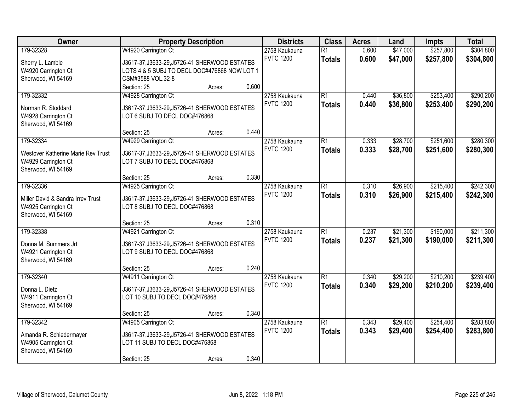| Owner                              | <b>Property Description</b>                   |       | <b>Districts</b>                  | <b>Class</b>                     | <b>Acres</b>   | Land                 | <b>Impts</b>           | <b>Total</b>           |
|------------------------------------|-----------------------------------------------|-------|-----------------------------------|----------------------------------|----------------|----------------------|------------------------|------------------------|
| 179-32328                          | W4920 Carrington Ct                           |       | 2758 Kaukauna<br><b>FVTC 1200</b> | $\overline{R1}$<br><b>Totals</b> | 0.600<br>0.600 | \$47,000<br>\$47,000 | \$257,800<br>\$257,800 | \$304,800<br>\$304,800 |
| Sherry L. Lambie                   | J3617-37, J3633-29, J5726-41 SHERWOOD ESTATES |       |                                   |                                  |                |                      |                        |                        |
| W4920 Carrington Ct                | LOTS 4 & 5 SUBJ TO DECL DOC#476868 NOW LOT 1  |       |                                   |                                  |                |                      |                        |                        |
| Sherwood, WI 54169                 | CSM#3588 VOL.32-8                             |       |                                   |                                  |                |                      |                        |                        |
|                                    | Section: 25<br>Acres:                         | 0.600 |                                   |                                  |                |                      |                        |                        |
| 179-32332                          | W4928 Carrington Ct                           |       | 2758 Kaukauna                     | $\overline{R1}$                  | 0.440          | \$36,800             | \$253,400              | \$290,200              |
| Norman R. Stoddard                 | J3617-37, J3633-29, J5726-41 SHERWOOD ESTATES |       | <b>FVTC 1200</b>                  | <b>Totals</b>                    | 0.440          | \$36,800             | \$253,400              | \$290,200              |
| W4928 Carrington Ct                | LOT 6 SUBJ TO DECL DOC#476868                 |       |                                   |                                  |                |                      |                        |                        |
| Sherwood, WI 54169                 |                                               |       |                                   |                                  |                |                      |                        |                        |
|                                    | Section: 25<br>Acres:                         | 0.440 |                                   |                                  |                |                      |                        |                        |
| 179-32334                          | W4929 Carrington Ct                           |       | 2758 Kaukauna                     | $\overline{R1}$                  | 0.333          | \$28,700             | \$251,600              | \$280,300              |
| Westover Katherine Marie Rev Trust | J3617-37, J3633-29, J5726-41 SHERWOOD ESTATES |       | <b>FVTC 1200</b>                  | <b>Totals</b>                    | 0.333          | \$28,700             | \$251,600              | \$280,300              |
| W4929 Carrington Ct                | LOT 7 SUBJ TO DECL DOC#476868                 |       |                                   |                                  |                |                      |                        |                        |
| Sherwood, WI 54169                 |                                               |       |                                   |                                  |                |                      |                        |                        |
|                                    | Section: 25<br>Acres:                         | 0.330 |                                   |                                  |                |                      |                        |                        |
| 179-32336                          | W4925 Carrington Ct                           |       | 2758 Kaukauna                     | $\overline{R1}$                  | 0.310          | \$26,900             | \$215,400              | \$242,300              |
|                                    |                                               |       | <b>FVTC 1200</b>                  | <b>Totals</b>                    | 0.310          | \$26,900             | \$215,400              | \$242,300              |
| Miller David & Sandra Irrey Trust  | J3617-37, J3633-29, J5726-41 SHERWOOD ESTATES |       |                                   |                                  |                |                      |                        |                        |
| W4925 Carrington Ct                | LOT 8 SUBJ TO DECL DOC#476868                 |       |                                   |                                  |                |                      |                        |                        |
| Sherwood, WI 54169                 |                                               |       |                                   |                                  |                |                      |                        |                        |
|                                    | Section: 25<br>Acres:                         | 0.310 |                                   |                                  |                |                      |                        |                        |
| 179-32338                          | W4921 Carrington Ct                           |       | 2758 Kaukauna                     | $\overline{R1}$                  | 0.237          | \$21,300             | \$190,000              | \$211,300              |
| Donna M. Summers Jrt               | J3617-37, J3633-29, J5726-41 SHERWOOD ESTATES |       | <b>FVTC 1200</b>                  | <b>Totals</b>                    | 0.237          | \$21,300             | \$190,000              | \$211,300              |
| W4921 Carrington Ct                | LOT 9 SUBJ TO DECL DOC#476868                 |       |                                   |                                  |                |                      |                        |                        |
| Sherwood, WI 54169                 |                                               |       |                                   |                                  |                |                      |                        |                        |
|                                    | Section: 25<br>Acres:                         | 0.240 |                                   |                                  |                |                      |                        |                        |
| 179-32340                          | W4911 Carrington Ct                           |       | 2758 Kaukauna                     | $\overline{R1}$                  | 0.340          | \$29,200             | \$210,200              | \$239,400              |
| Donna L. Dietz                     | J3617-37, J3633-29, J5726-41 SHERWOOD ESTATES |       | <b>FVTC 1200</b>                  | <b>Totals</b>                    | 0.340          | \$29,200             | \$210,200              | \$239,400              |
| W4911 Carrington Ct                | LOT 10 SUBJ TO DECL DOC#476868                |       |                                   |                                  |                |                      |                        |                        |
| Sherwood, WI 54169                 |                                               |       |                                   |                                  |                |                      |                        |                        |
|                                    | Section: 25<br>Acres:                         | 0.340 |                                   |                                  |                |                      |                        |                        |
| 179-32342                          | W4905 Carrington Ct                           |       | 2758 Kaukauna                     | $\overline{R1}$                  | 0.343          | \$29,400             | \$254,400              | \$283,800              |
|                                    |                                               |       | <b>FVTC 1200</b>                  | <b>Totals</b>                    | 0.343          | \$29,400             | \$254,400              | \$283,800              |
| Amanda R. Schiedermayer            | J3617-37, J3633-29, J5726-41 SHERWOOD ESTATES |       |                                   |                                  |                |                      |                        |                        |
| W4905 Carrington Ct                | LOT 11 SUBJ TO DECL DOC#476868                |       |                                   |                                  |                |                      |                        |                        |
| Sherwood, WI 54169                 |                                               |       |                                   |                                  |                |                      |                        |                        |
|                                    | Section: 25<br>Acres:                         | 0.340 |                                   |                                  |                |                      |                        |                        |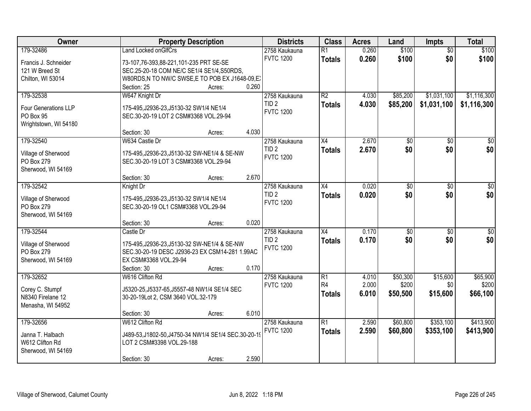| Owner                             | <b>Property Description</b>                          | <b>Districts</b> | <b>Class</b>    | <b>Acres</b> | Land            | <b>Impts</b>    | <b>Total</b>    |
|-----------------------------------|------------------------------------------------------|------------------|-----------------|--------------|-----------------|-----------------|-----------------|
| 179-32486                         | <b>Land Locked onGIfCrs</b>                          | 2758 Kaukauna    | $\overline{R1}$ | 0.260        | \$100           | $\overline{50}$ | \$100           |
| Francis J. Schneider              | 73-107,76-393,88-221,101-235 PRT SE-SE               | <b>FVTC 1200</b> | <b>Totals</b>   | 0.260        | \$100           | \$0             | \$100           |
| 121 W Breed St                    | SEC.25-20-18 COM NE/C SE1/4 SE1/4, S50RDS,           |                  |                 |              |                 |                 |                 |
| Chilton, WI 53014                 | W80RDS, N TO NW/C SWSE, E TO POB EX J1648-09, EX     |                  |                 |              |                 |                 |                 |
|                                   | Section: 25<br>Acres:                                | 0.260            |                 |              |                 |                 |                 |
| 179-32538                         | W647 Knight Dr                                       | 2758 Kaukauna    | $\overline{R2}$ | 4.030        | \$85,200        | \$1,031,100     | \$1,116,300     |
|                                   |                                                      | TID <sub>2</sub> | <b>Totals</b>   | 4.030        | \$85,200        | \$1,031,100     | \$1,116,300     |
| <b>Four Generations LLP</b>       | 175-495, J2936-23, J5130-32 SW1/4 NE1/4              | <b>FVTC 1200</b> |                 |              |                 |                 |                 |
| PO Box 95                         | SEC.30-20-19 LOT 2 CSM#3368 VOL.29-94                |                  |                 |              |                 |                 |                 |
| Wrightstown, WI 54180             |                                                      |                  |                 |              |                 |                 |                 |
|                                   | Section: 30<br>Acres:                                | 4.030            |                 |              |                 |                 |                 |
| 179-32540                         | W634 Castle Dr                                       | 2758 Kaukauna    | X4              | 2.670        | \$0             | \$0             | $\overline{50}$ |
| Village of Sherwood               | 175-495, J2936-23, J5130-32 SW-NE1/4 & SE-NW         | TID <sub>2</sub> | <b>Totals</b>   | 2.670        | \$0             | \$0             | \$0             |
| PO Box 279                        | SEC.30-20-19 LOT 3 CSM#3368 VOL.29-94                | <b>FVTC 1200</b> |                 |              |                 |                 |                 |
| Sherwood, WI 54169                |                                                      |                  |                 |              |                 |                 |                 |
|                                   | Section: 30<br>Acres:                                | 2.670            |                 |              |                 |                 |                 |
| 179-32542                         | Knight Dr                                            | 2758 Kaukauna    | X4              | 0.020        | \$0             | $\sqrt[6]{}$    | \$0             |
|                                   | 175-495, J2936-23, J5130-32 SW1/4 NE1/4              | TID <sub>2</sub> | <b>Totals</b>   | 0.020        | \$0             | \$0             | \$0             |
| Village of Sherwood<br>PO Box 279 | SEC.30-20-19 OL1 CSM#3368 VOL.29-94                  | <b>FVTC 1200</b> |                 |              |                 |                 |                 |
| Sherwood, WI 54169                |                                                      |                  |                 |              |                 |                 |                 |
|                                   | Section: 30<br>Acres:                                | 0.020            |                 |              |                 |                 |                 |
| 179-32544                         | Castle Dr                                            | 2758 Kaukauna    | $\overline{X4}$ | 0.170        | $\overline{50}$ | $\overline{50}$ | $\sqrt{50}$     |
|                                   |                                                      | TID <sub>2</sub> |                 |              | \$0             |                 |                 |
| Village of Sherwood               | 175-495, J2936-23, J5130-32 SW-NE1/4 & SE-NW         | <b>FVTC 1200</b> | <b>Totals</b>   | 0.170        |                 | \$0             | \$0             |
| PO Box 279                        | SEC.30-20-19 DESC J2936-23 EX CSM14-281 1.99AC       |                  |                 |              |                 |                 |                 |
| Sherwood, WI 54169                | EX CSM#3368 VOL.29-94                                |                  |                 |              |                 |                 |                 |
|                                   | Section: 30<br>Acres:                                | 0.170            |                 |              |                 |                 |                 |
| 179-32652                         | W616 Clifton Rd                                      | 2758 Kaukauna    | R1              | 4.010        | \$50,300        | \$15,600        | \$65,900        |
| Corey C. Stumpf                   | J5320-25, J5337-65, J5557-48 NW1/4 SE1/4 SEC         | <b>FVTC 1200</b> | R <sub>4</sub>  | 2.000        | \$200           | \$0             | \$200           |
| N8340 Firelane 12                 | 30-20-19Lot 2, CSM 3640 VOL.32-179                   |                  | <b>Totals</b>   | 6.010        | \$50,500        | \$15,600        | \$66,100        |
| Menasha, WI 54952                 |                                                      |                  |                 |              |                 |                 |                 |
|                                   | Section: 30<br>Acres:                                | 6.010            |                 |              |                 |                 |                 |
| 179-32656                         | W612 Clifton Rd                                      | 2758 Kaukauna    | $\overline{R1}$ | 2.590        | \$60,800        | \$353,100       | \$413,900       |
|                                   |                                                      | <b>FVTC 1200</b> | <b>Totals</b>   | 2.590        | \$60,800        | \$353,100       | \$413,900       |
| Janna T. Halbach                  | J489-53, J1802-50, J4750-34 NW1/4 SE1/4 SEC.30-20-19 |                  |                 |              |                 |                 |                 |
| W612 Clifton Rd                   | LOT 2 CSM#3398 VOL.29-188                            |                  |                 |              |                 |                 |                 |
| Sherwood, WI 54169                |                                                      |                  |                 |              |                 |                 |                 |
|                                   | Section: 30<br>Acres:                                | 2.590            |                 |              |                 |                 |                 |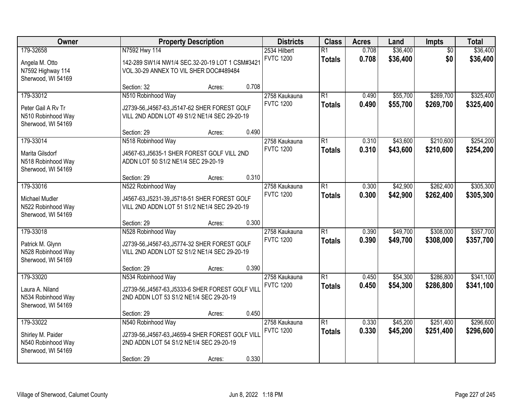| <b>Owner</b>                                                               | <b>Property Description</b>                                                                                                       |        |       | <b>Districts</b>                  | <b>Class</b>                     | <b>Acres</b>   | Land                 | Impts                  | <b>Total</b>           |
|----------------------------------------------------------------------------|-----------------------------------------------------------------------------------------------------------------------------------|--------|-------|-----------------------------------|----------------------------------|----------------|----------------------|------------------------|------------------------|
| 179-32658<br>Angela M. Otto<br>N7592 Highway 114<br>Sherwood, WI 54169     | N7592 Hwy 114<br>142-289 SW1/4 NW1/4 SEC.32-20-19 LOT 1 CSM#3421<br>VOL.30-29 ANNEX TO VIL SHER DOC#489484                        |        |       | 2534 Hilbert<br><b>FVTC 1200</b>  | $\overline{R1}$<br><b>Totals</b> | 0.708<br>0.708 | \$36,400<br>\$36,400 | $\overline{50}$<br>\$0 | \$36,400<br>\$36,400   |
| 179-33012                                                                  | Section: 32<br>N510 Robinhood Way                                                                                                 | Acres: | 0.708 | 2758 Kaukauna                     | $\overline{R1}$                  | 0.490          | \$55,700             | \$269,700              | \$325,400              |
| Peter Gail A Rv Tr<br>N510 Robinhood Way<br>Sherwood, WI 54169             | J2739-56, J4567-63, J5147-62 SHER FOREST GOLF<br>VILL 2ND ADDN LOT 49 S1/2 NE1/4 SEC 29-20-19                                     |        | 0.490 | <b>FVTC 1200</b>                  | <b>Totals</b>                    | 0.490          | \$55,700             | \$269,700              | \$325,400              |
| 179-33014                                                                  | Section: 29<br>N518 Robinhood Way                                                                                                 | Acres: |       | 2758 Kaukauna                     | $\overline{R1}$                  | 0.310          | \$43,600             | \$210,600              | \$254,200              |
| Marita Gilsdorf<br>N518 Robinhood Way<br>Sherwood, WI 54169                | J4567-63, J5635-1 SHER FOREST GOLF VILL 2ND<br>ADDN LOT 50 S1/2 NE1/4 SEC 29-20-19                                                |        |       | <b>FVTC 1200</b>                  | <b>Totals</b>                    | 0.310          | \$43,600             | \$210,600              | \$254,200              |
|                                                                            | Section: 29                                                                                                                       | Acres: | 0.310 |                                   |                                  |                |                      |                        |                        |
| 179-33016<br>Michael Mudler<br>N522 Robinhood Way<br>Sherwood, WI 54169    | N522 Robinhood Way<br>J4567-63, J5231-39, J5718-51 SHER FOREST GOLF<br>VILL 2ND ADDN LOT 51 S1/2 NE1/4 SEC 29-20-19               |        |       | 2758 Kaukauna<br><b>FVTC 1200</b> | $\overline{R1}$<br><b>Totals</b> | 0.300<br>0.300 | \$42,900<br>\$42,900 | \$262,400<br>\$262,400 | \$305,300<br>\$305,300 |
|                                                                            | Section: 29                                                                                                                       | Acres: | 0.300 |                                   |                                  |                |                      |                        |                        |
| 179-33018<br>Patrick M. Glynn<br>N528 Robinhood Way<br>Sherwood, WI 54169  | N528 Robinhood Way<br>J2739-56, J4567-63, J5774-32 SHER FOREST GOLF<br>VILL 2ND ADDN LOT 52 S1/2 NE1/4 SEC 29-20-19               |        |       | 2758 Kaukauna<br><b>FVTC 1200</b> | $\overline{R1}$<br><b>Totals</b> | 0.390<br>0.390 | \$49,700<br>\$49,700 | \$308,000<br>\$308,000 | \$357,700<br>\$357,700 |
|                                                                            | Section: 29                                                                                                                       | Acres: | 0.390 |                                   |                                  |                |                      |                        |                        |
| 179-33020<br>Laura A. Niland<br>N534 Robinhood Way<br>Sherwood, WI 54169   | N534 Robinhood Way<br>J2739-56, J4567-63, J5333-6 SHER FOREST GOLF VILL<br>2ND ADDN LOT 53 S1/2 NE1/4 SEC 29-20-19                |        |       | 2758 Kaukauna<br><b>FVTC 1200</b> | $\overline{R1}$<br><b>Totals</b> | 0.450<br>0.450 | \$54,300<br>\$54,300 | \$286,800<br>\$286,800 | \$341,100<br>\$341,100 |
|                                                                            | Section: 29                                                                                                                       | Acres: | 0.450 |                                   |                                  |                |                      |                        |                        |
| 179-33022<br>Shirley M. Paider<br>N540 Robinhood Way<br>Sherwood, WI 54169 | N540 Robinhood Way<br>J2739-56, J4567-63, J4659-4 SHER FOREST GOLF VILL<br>2ND ADDN LOT 54 S1/2 NE1/4 SEC 29-20-19<br>Section: 29 | Acres: | 0.330 | 2758 Kaukauna<br><b>FVTC 1200</b> | $\overline{R1}$<br><b>Totals</b> | 0.330<br>0.330 | \$45,200<br>\$45,200 | \$251,400<br>\$251,400 | \$296,600<br>\$296,600 |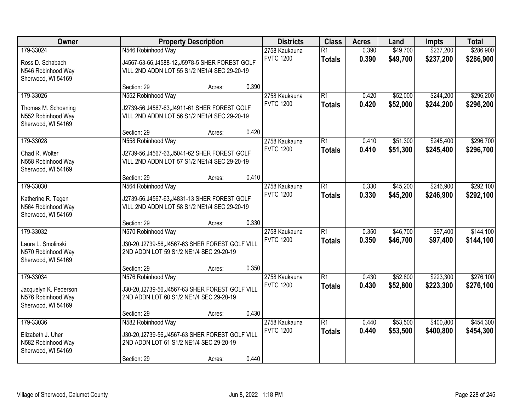| Owner                                                                          |                                                                                                                                  | <b>Property Description</b> |       | <b>Districts</b>                  | <b>Class</b>                     | <b>Acres</b>   | Land                 | <b>Impts</b>           | <b>Total</b>           |
|--------------------------------------------------------------------------------|----------------------------------------------------------------------------------------------------------------------------------|-----------------------------|-------|-----------------------------------|----------------------------------|----------------|----------------------|------------------------|------------------------|
| 179-33024<br>Ross D. Schabach<br>N546 Robinhood Way<br>Sherwood, WI 54169      | N546 Robinhood Way<br>J4567-63-66, J4588-12, J5978-5 SHER FOREST GOLF<br>VILL 2ND ADDN LOT 55 S1/2 NE1/4 SEC 29-20-19            |                             |       | 2758 Kaukauna<br><b>FVTC 1200</b> | $\overline{R1}$<br><b>Totals</b> | 0.390<br>0.390 | \$49,700<br>\$49,700 | \$237,200<br>\$237,200 | \$286,900<br>\$286,900 |
|                                                                                | Section: 29                                                                                                                      | Acres:                      | 0.390 |                                   |                                  |                |                      |                        |                        |
| 179-33026<br>Thomas M. Schoening<br>N552 Robinhood Way<br>Sherwood, WI 54169   | N552 Robinhood Way<br>J2739-56, J4567-63, J4911-61 SHER FOREST GOLF<br>VILL 2ND ADDN LOT 56 S1/2 NE1/4 SEC 29-20-19              |                             |       | 2758 Kaukauna<br><b>FVTC 1200</b> | $\overline{R1}$<br><b>Totals</b> | 0.420<br>0.420 | \$52,000<br>\$52,000 | \$244,200<br>\$244,200 | \$296,200<br>\$296,200 |
| 179-33028                                                                      | Section: 29                                                                                                                      | Acres:                      | 0.420 |                                   | $\overline{R1}$                  | 0.410          |                      | \$245,400              | \$296,700              |
| Chad R. Wolter<br>N558 Robinhood Way<br>Sherwood, WI 54169                     | N558 Robinhood Way<br>J2739-56, J4567-63, J5041-62 SHER FOREST GOLF<br>VILL 2ND ADDN LOT 57 S1/2 NE1/4 SEC 29-20-19              |                             |       | 2758 Kaukauna<br><b>FVTC 1200</b> | <b>Totals</b>                    | 0.410          | \$51,300<br>\$51,300 | \$245,400              | \$296,700              |
|                                                                                | Section: 29                                                                                                                      | Acres:                      | 0.410 |                                   |                                  |                |                      |                        |                        |
| 179-33030<br>Katherine R. Tegen<br>N564 Robinhood Way<br>Sherwood, WI 54169    | N564 Robinhood Way<br>J2739-56, J4567-63, J4831-13 SHER FOREST GOLF<br>VILL 2ND ADDN LOT 58 S1/2 NE1/4 SEC 29-20-19              |                             |       | 2758 Kaukauna<br><b>FVTC 1200</b> | $\overline{R1}$<br><b>Totals</b> | 0.330<br>0.330 | \$45,200<br>\$45,200 | \$246,900<br>\$246,900 | \$292,100<br>\$292,100 |
|                                                                                | Section: 29                                                                                                                      | Acres:                      | 0.330 |                                   |                                  |                |                      |                        |                        |
| 179-33032<br>Laura L. Smolinski<br>N570 Robinhood Way<br>Sherwood, WI 54169    | N570 Robinhood Way<br>J30-20, J2739-56, J4567-63 SHER FOREST GOLF VILL<br>2ND ADDN LOT 59 S1/2 NE1/4 SEC 29-20-19                |                             |       | 2758 Kaukauna<br><b>FVTC 1200</b> | $\overline{R1}$<br><b>Totals</b> | 0.350<br>0.350 | \$46,700<br>\$46,700 | \$97,400<br>\$97,400   | \$144,100<br>\$144,100 |
|                                                                                | Section: 29                                                                                                                      | Acres:                      | 0.350 |                                   |                                  |                |                      |                        |                        |
| 179-33034<br>Jacquelyn K. Pederson<br>N576 Robinhood Way<br>Sherwood, WI 54169 | N576 Robinhood Way<br>J30-20, J2739-56, J4567-63 SHER FOREST GOLF VILL<br>2ND ADDN LOT 60 S1/2 NE1/4 SEC 29-20-19                |                             |       | 2758 Kaukauna<br><b>FVTC 1200</b> | $\overline{R1}$<br><b>Totals</b> | 0.430<br>0.430 | \$52,800<br>\$52,800 | \$223,300<br>\$223,300 | \$276,100<br>\$276,100 |
|                                                                                | Section: 29                                                                                                                      | Acres:                      | 0.430 |                                   |                                  |                |                      |                        |                        |
| 179-33036<br>Elizabeth J. Uher<br>N582 Robinhood Way<br>Sherwood, WI 54169     | N582 Robinhood Way<br>J30-20, J2739-56, J4567-63 SHER FOREST GOLF VILL<br>2ND ADDN LOT 61 S1/2 NE1/4 SEC 29-20-19<br>Section: 29 | Acres:                      | 0.440 | 2758 Kaukauna<br><b>FVTC 1200</b> | $\overline{R1}$<br><b>Totals</b> | 0.440<br>0.440 | \$53,500<br>\$53,500 | \$400,800<br>\$400,800 | \$454,300<br>\$454,300 |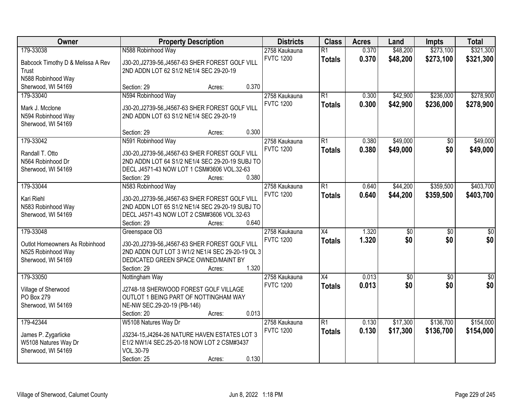| Owner                                                | <b>Property Description</b>                                                                         | <b>Districts</b> | <b>Class</b>    | <b>Acres</b> | Land            | <b>Impts</b>    | <b>Total</b>     |
|------------------------------------------------------|-----------------------------------------------------------------------------------------------------|------------------|-----------------|--------------|-----------------|-----------------|------------------|
| 179-33038                                            | N588 Robinhood Way                                                                                  | 2758 Kaukauna    | $\overline{R1}$ | 0.370        | \$48,200        | \$273,100       | \$321,300        |
| Babcock Timothy D & Melissa A Rev                    | J30-20, J2739-56, J4567-63 SHER FOREST GOLF VILL                                                    | <b>FVTC 1200</b> | <b>Totals</b>   | 0.370        | \$48,200        | \$273,100       | \$321,300        |
| Trust                                                | 2ND ADDN LOT 62 S1/2 NE1/4 SEC 29-20-19                                                             |                  |                 |              |                 |                 |                  |
| N588 Robinhood Way                                   |                                                                                                     |                  |                 |              |                 |                 |                  |
| Sherwood, WI 54169                                   | 0.370<br>Section: 29<br>Acres:                                                                      |                  |                 |              |                 |                 |                  |
| 179-33040                                            | N594 Robinhood Way                                                                                  | 2758 Kaukauna    | $\overline{R1}$ | 0.300        | \$42,900        | \$236,000       | \$278,900        |
| Mark J. Mcclone                                      | J30-20, J2739-56, J4567-63 SHER FOREST GOLF VILL                                                    | <b>FVTC 1200</b> | <b>Totals</b>   | 0.300        | \$42,900        | \$236,000       | \$278,900        |
| N594 Robinhood Way                                   | 2ND ADDN LOT 63 S1/2 NE1/4 SEC 29-20-19                                                             |                  |                 |              |                 |                 |                  |
| Sherwood, WI 54169                                   |                                                                                                     |                  |                 |              |                 |                 |                  |
|                                                      | 0.300<br>Section: 29<br>Acres:                                                                      |                  |                 |              |                 |                 |                  |
| 179-33042                                            | N591 Robinhood Way                                                                                  | 2758 Kaukauna    | R1              | 0.380        | \$49,000        | \$0             | \$49,000         |
| Randall T. Otto                                      | J30-20, J2739-56, J4567-63 SHER FOREST GOLF VILL                                                    | <b>FVTC 1200</b> | <b>Totals</b>   | 0.380        | \$49,000        | \$0             | \$49,000         |
| N564 Robinhood Dr                                    | 2ND ADDN LOT 64 S1/2 NE1/4 SEC 29-20-19 SUBJ TO                                                     |                  |                 |              |                 |                 |                  |
| Sherwood, WI 54169                                   | DECL J4571-43 NOW LOT 1 CSM#3606 VOL.32-63                                                          |                  |                 |              |                 |                 |                  |
|                                                      | 0.380<br>Section: 29<br>Acres:                                                                      |                  |                 |              |                 |                 |                  |
| 179-33044                                            | N583 Robinhood Way                                                                                  | 2758 Kaukauna    | R1              | 0.640        | \$44,200        | \$359,500       | \$403,700        |
| Kari Riehl                                           |                                                                                                     | <b>FVTC 1200</b> | <b>Totals</b>   | 0.640        | \$44,200        | \$359,500       | \$403,700        |
| N583 Robinhood Way                                   | J30-20, J2739-56, J4567-63 SHER FOREST GOLF VILL<br>2ND ADDN LOT 65 S1/2 NE1/4 SEC 29-20-19 SUBJ TO |                  |                 |              |                 |                 |                  |
| Sherwood, WI 54169                                   | DECL J4571-43 NOW LOT 2 CSM#3606 VOL.32-63                                                          |                  |                 |              |                 |                 |                  |
|                                                      | 0.640<br>Section: 29<br>Acres:                                                                      |                  |                 |              |                 |                 |                  |
| 179-33048                                            | Greenspace OI3                                                                                      | 2758 Kaukauna    | $\overline{X4}$ | 1.320        | $\overline{50}$ | $\overline{30}$ | $\overline{30}$  |
|                                                      |                                                                                                     | <b>FVTC 1200</b> | <b>Totals</b>   | 1.320        | \$0             | \$0             | \$0              |
| Outlot Homeowners As Robinhood<br>N525 Robinhood Way | J30-20, J2739-56, J4567-63 SHER FOREST GOLF VILL<br>2ND ADDN OUT LOT 3 W1/2 NE1/4 SEC 29-20-19 OL 3 |                  |                 |              |                 |                 |                  |
| Sherwood, WI 54169                                   | DEDICATED GREEN SPACE OWNED/MAINT BY                                                                |                  |                 |              |                 |                 |                  |
|                                                      | 1.320<br>Section: 29<br>Acres:                                                                      |                  |                 |              |                 |                 |                  |
| 179-33050                                            | Nottingham Way                                                                                      | 2758 Kaukauna    | $\overline{X4}$ | 0.013        | $\overline{50}$ | $\overline{50}$ | $\overline{\$0}$ |
|                                                      |                                                                                                     | <b>FVTC 1200</b> | <b>Totals</b>   | 0.013        | \$0             | \$0             | \$0              |
| Village of Sherwood                                  | J2748-18 SHERWOOD FOREST GOLF VILLAGE                                                               |                  |                 |              |                 |                 |                  |
| PO Box 279<br>Sherwood, WI 54169                     | OUTLOT 1 BEING PART OF NOTTINGHAM WAY<br>NE-NW SEC.29-20-19 (PB-146)                                |                  |                 |              |                 |                 |                  |
|                                                      | 0.013<br>Section: 20<br>Acres:                                                                      |                  |                 |              |                 |                 |                  |
| 179-42344                                            | W5108 Natures Way Dr                                                                                | 2758 Kaukauna    | $\overline{R1}$ | 0.130        | \$17,300        | \$136,700       | \$154,000        |
|                                                      |                                                                                                     | <b>FVTC 1200</b> | <b>Totals</b>   | 0.130        | \$17,300        | \$136,700       | \$154,000        |
| James P. Zygarlicke                                  | J3234-15, J4264-26 NATURE HAVEN ESTATES LOT 3                                                       |                  |                 |              |                 |                 |                  |
| W5108 Natures Way Dr                                 | E1/2 NW1/4 SEC.25-20-18 NOW LOT 2 CSM#3437                                                          |                  |                 |              |                 |                 |                  |
| Sherwood, WI 54169                                   | VOL.30-79                                                                                           |                  |                 |              |                 |                 |                  |
|                                                      | 0.130<br>Section: 25<br>Acres:                                                                      |                  |                 |              |                 |                 |                  |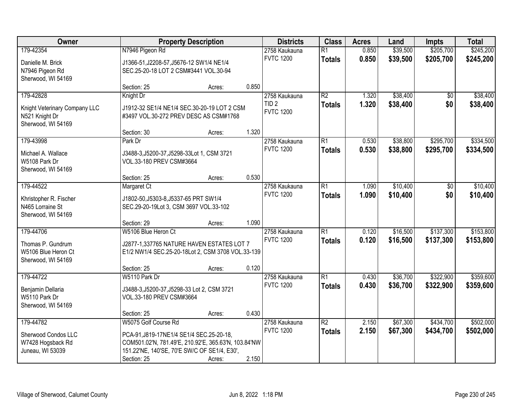| Owner                                                                              |                                                                                                                                                                                         | <b>Property Description</b> | <b>Districts</b> | <b>Class</b>                                          | <b>Acres</b>                     | Land           | <b>Impts</b>         | <b>Total</b>           |                        |
|------------------------------------------------------------------------------------|-----------------------------------------------------------------------------------------------------------------------------------------------------------------------------------------|-----------------------------|------------------|-------------------------------------------------------|----------------------------------|----------------|----------------------|------------------------|------------------------|
| 179-42354<br>Danielle M. Brick<br>N7946 Pigeon Rd<br>Sherwood, WI 54169            | N7946 Pigeon Rd<br>J1366-51, J2208-57, J5676-12 SW1/4 NE1/4<br>SEC.25-20-18 LOT 2 CSM#3441 VOL.30-94                                                                                    |                             |                  | 2758 Kaukauna<br><b>FVTC 1200</b>                     | $\overline{R1}$<br><b>Totals</b> | 0.850<br>0.850 | \$39,500<br>\$39,500 | \$205,700<br>\$205,700 | \$245,200<br>\$245,200 |
|                                                                                    | Section: 25                                                                                                                                                                             | Acres:                      | 0.850            |                                                       |                                  |                |                      |                        |                        |
| 179-42828<br>Knight Veterinary Company LLC<br>N521 Knight Dr<br>Sherwood, WI 54169 | Knight Dr<br>J1912-32 SE1/4 NE1/4 SEC.30-20-19 LOT 2 CSM<br>#3497 VOL.30-272 PREV DESC AS CSM#1768                                                                                      |                             |                  | 2758 Kaukauna<br>TID <sub>2</sub><br><b>FVTC 1200</b> | $\overline{R2}$<br><b>Totals</b> | 1.320<br>1.320 | \$38,400<br>\$38,400 | \$0<br>\$0             | \$38,400<br>\$38,400   |
|                                                                                    | Section: 30                                                                                                                                                                             | Acres:                      | 1.320            |                                                       |                                  |                |                      |                        |                        |
| 179-43998<br>Michael A. Wallace<br>W5108 Park Dr<br>Sherwood, WI 54169             | Park Dr<br>J3488-3, J5200-37, J5298-33Lot 1, CSM 3721<br>VOL.33-180 PREV CSM#3664                                                                                                       |                             |                  | 2758 Kaukauna<br><b>FVTC 1200</b>                     | $\overline{R1}$<br><b>Totals</b> | 0.530<br>0.530 | \$38,800<br>\$38,800 | \$295,700<br>\$295,700 | \$334,500<br>\$334,500 |
|                                                                                    | Section: 25                                                                                                                                                                             | Acres:                      | 0.530            |                                                       |                                  |                |                      |                        |                        |
| 179-44522<br>Khristopher R. Fischer<br>N465 Lorraine St<br>Sherwood, WI 54169      | Margaret Ct<br>J1802-50, J5303-8, J5337-65 PRT SW1/4<br>SEC.29-20-19Lot 3, CSM 3697 VOL.33-102                                                                                          |                             |                  | 2758 Kaukauna<br><b>FVTC 1200</b>                     | $\overline{R1}$<br><b>Totals</b> | 1.090<br>1.090 | \$10,400<br>\$10,400 | \$0<br>\$0             | \$10,400<br>\$10,400   |
|                                                                                    | Section: 29                                                                                                                                                                             | Acres:                      | 1.090            |                                                       |                                  |                |                      |                        |                        |
| 179-44706<br>Thomas P. Gundrum<br>W5106 Blue Heron Ct<br>Sherwood, WI 54169        | W5106 Blue Heron Ct<br>J2877-1,337765 NATURE HAVEN ESTATES LOT 7<br>E1/2 NW1/4 SEC.25-20-18Lot 2, CSM 3708 VOL.33-139<br>Section: 25                                                    | Acres:                      | 0.120            | 2758 Kaukauna<br><b>FVTC 1200</b>                     | $\overline{R1}$<br><b>Totals</b> | 0.120<br>0.120 | \$16,500<br>\$16,500 | \$137,300<br>\$137,300 | \$153,800<br>\$153,800 |
| 179-44722                                                                          | W5110 Park Dr                                                                                                                                                                           |                             |                  | 2758 Kaukauna                                         | $\overline{R1}$                  | 0.430          | \$36,700             | \$322,900              | \$359,600              |
| Benjamin Dellaria<br>W5110 Park Dr<br>Sherwood, WI 54169                           | J3488-3, J5200-37, J5298-33 Lot 2, CSM 3721<br>VOL.33-180 PREV CSM#3664                                                                                                                 |                             |                  | <b>FVTC 1200</b>                                      | <b>Totals</b>                    | 0.430          | \$36,700             | \$322,900              | \$359,600              |
|                                                                                    | Section: 25                                                                                                                                                                             | Acres:                      | 0.430            |                                                       |                                  |                |                      |                        |                        |
| 179-44782<br>Sherwood Condos LLC<br>W7428 Hogsback Rd<br>Juneau, WI 53039          | W5075 Golf Course Rd<br>PCA-91, J819-17NE1/4 SE1/4 SEC.25-20-18,<br>COM501.02'N, 781.49'E, 210.92'E, 365.63'N, 103.84'NW<br>151.22'NE, 140'SE, 70'E SW/C OF SE1/4, E30',<br>Section: 25 | Acres:                      | 2.150            | 2758 Kaukauna<br><b>FVTC 1200</b>                     | $\overline{R2}$<br><b>Totals</b> | 2.150<br>2.150 | \$67,300<br>\$67,300 | \$434,700<br>\$434,700 | \$502,000<br>\$502,000 |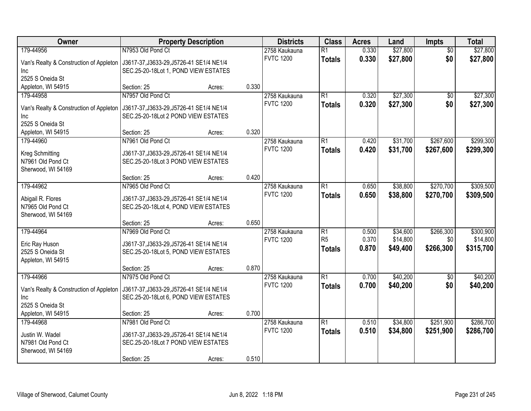| Owner                                   |                                          | <b>Property Description</b> |       | <b>Districts</b>                  | <b>Class</b>    | <b>Acres</b> | Land     | <b>Impts</b>    | <b>Total</b> |
|-----------------------------------------|------------------------------------------|-----------------------------|-------|-----------------------------------|-----------------|--------------|----------|-----------------|--------------|
| 179-44956                               | N7953 Old Pond Ct                        |                             |       | 2758 Kaukauna                     | $\overline{R1}$ | 0.330        | \$27,800 | $\overline{50}$ | \$27,800     |
| Van's Realty & Construction of Appleton | J3617-37, J3633-29, J5726-41 SE1/4 NE1/4 |                             |       | <b>FVTC 1200</b>                  | <b>Totals</b>   | 0.330        | \$27,800 | \$0             | \$27,800     |
| Inc.                                    | SEC.25-20-18Lot 1, POND VIEW ESTATES     |                             |       |                                   |                 |              |          |                 |              |
| 2525 S Oneida St                        |                                          |                             |       |                                   |                 |              |          |                 |              |
| Appleton, WI 54915                      | Section: 25                              | Acres:                      | 0.330 |                                   |                 |              |          |                 |              |
| 179-44958                               | N7957 Old Pond Ct                        |                             |       | 2758 Kaukauna                     | R1              | 0.320        | \$27,300 | $\overline{50}$ | \$27,300     |
| Van's Realty & Construction of Appleton | J3617-37, J3633-29, J5726-41 SE1/4 NE1/4 |                             |       | <b>FVTC 1200</b>                  | <b>Totals</b>   | 0.320        | \$27,300 | \$0             | \$27,300     |
| Inc                                     | SEC.25-20-18Lot 2 POND VIEW ESTATES      |                             |       |                                   |                 |              |          |                 |              |
| 2525 S Oneida St                        |                                          |                             |       |                                   |                 |              |          |                 |              |
| Appleton, WI 54915                      | Section: 25                              | Acres:                      | 0.320 |                                   |                 |              |          |                 |              |
| 179-44960                               | N7961 Old Pond Ct                        |                             |       | 2758 Kaukauna                     | R1              | 0.420        | \$31,700 | \$267,600       | \$299,300    |
| Kreg Schmitting                         | J3617-37, J3633-29, J5726-41 SE1/4 NE1/4 |                             |       | <b>FVTC 1200</b>                  | <b>Totals</b>   | 0.420        | \$31,700 | \$267,600       | \$299,300    |
| N7961 Old Pond Ct                       | SEC.25-20-18Lot 3 POND VIEW ESTATES      |                             |       |                                   |                 |              |          |                 |              |
| Sherwood, WI 54169                      |                                          |                             |       |                                   |                 |              |          |                 |              |
|                                         | Section: 25                              | Acres:                      | 0.420 |                                   |                 |              |          |                 |              |
| 179-44962                               | N7965 Old Pond Ct                        |                             |       | 2758 Kaukauna                     | R1              | 0.650        | \$38,800 | \$270,700       | \$309,500    |
|                                         |                                          |                             |       | <b>FVTC 1200</b>                  | <b>Totals</b>   | 0.650        | \$38,800 | \$270,700       | \$309,500    |
| Abigail R. Flores                       | J3617-37, J3633-29, J5726-41 SE1/4 NE1/4 |                             |       |                                   |                 |              |          |                 |              |
| N7965 Old Pond Ct                       | SEC.25-20-18Lot 4, POND VIEW ESTATES     |                             |       |                                   |                 |              |          |                 |              |
| Sherwood, WI 54169                      |                                          |                             | 0.650 |                                   |                 |              |          |                 |              |
| 179-44964                               | Section: 25<br>N7969 Old Pond Ct         | Acres:                      |       |                                   | $\overline{R1}$ | 0.500        | \$34,600 | \$266,300       | \$300,900    |
|                                         |                                          |                             |       | 2758 Kaukauna<br><b>FVTC 1200</b> | R <sub>5</sub>  | 0.370        | \$14,800 | \$0             | \$14,800     |
| Eric Ray Huson                          | J3617-37, J3633-29, J5726-41 SE1/4 NE1/4 |                             |       |                                   | <b>Totals</b>   | 0.870        | \$49,400 | \$266,300       | \$315,700    |
| 2525 S Oneida St                        | SEC.25-20-18Lot 5, POND VIEW ESTATES     |                             |       |                                   |                 |              |          |                 |              |
| Appleton, WI 54915                      |                                          |                             |       |                                   |                 |              |          |                 |              |
|                                         | Section: 25                              | Acres:                      | 0.870 |                                   |                 |              |          |                 |              |
| 179-44966                               | N7975 Old Pond Ct                        |                             |       | 2758 Kaukauna                     | R1              | 0.700        | \$40,200 | $\overline{50}$ | \$40,200     |
| Van's Realty & Construction of Appleton | J3617-37, J3633-29, J5726-41 SE1/4 NE1/4 |                             |       | <b>FVTC 1200</b>                  | <b>Totals</b>   | 0.700        | \$40,200 | \$0             | \$40,200     |
| Inc                                     | SEC.25-20-18Lot 6, POND VIEW ESTATES     |                             |       |                                   |                 |              |          |                 |              |
| 2525 S Oneida St                        |                                          |                             |       |                                   |                 |              |          |                 |              |
| Appleton, WI 54915                      | Section: 25                              | Acres:                      | 0.700 |                                   |                 |              |          |                 |              |
| 179-44968                               | N7981 Old Pond Ct                        |                             |       | 2758 Kaukauna                     | R1              | 0.510        | \$34,800 | \$251,900       | \$286,700    |
| Justin W. Wadel                         | J3617-37, J3633-29, J5726-41 SE1/4 NE1/4 |                             |       | <b>FVTC 1200</b>                  | Totals          | 0.510        | \$34,800 | \$251,900       | \$286,700    |
| N7981 Old Pond Ct                       | SEC.25-20-18Lot 7 POND VIEW ESTATES      |                             |       |                                   |                 |              |          |                 |              |
| Sherwood, WI 54169                      |                                          |                             |       |                                   |                 |              |          |                 |              |
|                                         | Section: 25                              | Acres:                      | 0.510 |                                   |                 |              |          |                 |              |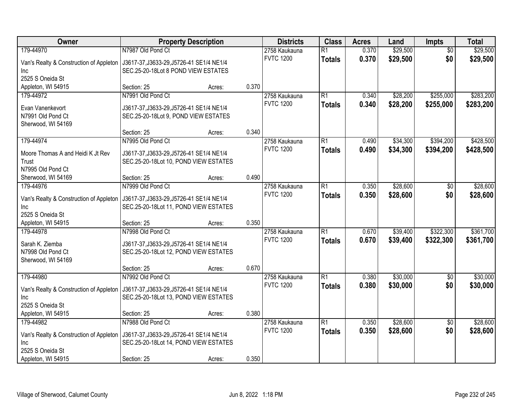| Owner                                   | <b>Property Description</b>              |        |       | <b>Districts</b> | <b>Class</b>    | <b>Acres</b> | Land     | <b>Impts</b>    | <b>Total</b> |
|-----------------------------------------|------------------------------------------|--------|-------|------------------|-----------------|--------------|----------|-----------------|--------------|
| 179-44970                               | N7987 Old Pond Ct                        |        |       | 2758 Kaukauna    | $\overline{R1}$ | 0.370        | \$29,500 | $\overline{50}$ | \$29,500     |
| Van's Realty & Construction of Appleton | J3617-37, J3633-29, J5726-41 SE1/4 NE1/4 |        |       | <b>FVTC 1200</b> | <b>Totals</b>   | 0.370        | \$29,500 | \$0             | \$29,500     |
| Inc.                                    | SEC.25-20-18Lot 8 POND VIEW ESTATES      |        |       |                  |                 |              |          |                 |              |
| 2525 S Oneida St                        |                                          |        |       |                  |                 |              |          |                 |              |
| Appleton, WI 54915                      | Section: 25                              | Acres: | 0.370 |                  |                 |              |          |                 |              |
| 179-44972                               | N7991 Old Pond Ct                        |        |       | 2758 Kaukauna    | $\overline{R1}$ | 0.340        | \$28,200 | \$255,000       | \$283,200    |
| Evan Vanenkevort                        | J3617-37, J3633-29, J5726-41 SE1/4 NE1/4 |        |       | <b>FVTC 1200</b> | <b>Totals</b>   | 0.340        | \$28,200 | \$255,000       | \$283,200    |
| N7991 Old Pond Ct                       | SEC.25-20-18Lot 9, POND VIEW ESTATES     |        |       |                  |                 |              |          |                 |              |
| Sherwood, WI 54169                      |                                          |        |       |                  |                 |              |          |                 |              |
|                                         | Section: 25                              | Acres: | 0.340 |                  |                 |              |          |                 |              |
| 179-44974                               | N7995 Old Pond Ct                        |        |       | 2758 Kaukauna    | $\overline{R1}$ | 0.490        | \$34,300 | \$394,200       | \$428,500    |
| Moore Thomas A and Heidi K Jt Rev       | J3617-37, J3633-29, J5726-41 SE1/4 NE1/4 |        |       | <b>FVTC 1200</b> | <b>Totals</b>   | 0.490        | \$34,300 | \$394,200       | \$428,500    |
| Trust                                   | SEC.25-20-18Lot 10, POND VIEW ESTATES    |        |       |                  |                 |              |          |                 |              |
| N7995 Old Pond Ct                       |                                          |        |       |                  |                 |              |          |                 |              |
| Sherwood, WI 54169                      | Section: 25                              | Acres: | 0.490 |                  |                 |              |          |                 |              |
| 179-44976                               | N7999 Old Pond Ct                        |        |       | 2758 Kaukauna    | R1              | 0.350        | \$28,600 | \$0             | \$28,600     |
| Van's Realty & Construction of Appleton | J3617-37, J3633-29, J5726-41 SE1/4 NE1/4 |        |       | <b>FVTC 1200</b> | <b>Totals</b>   | 0.350        | \$28,600 | \$0             | \$28,600     |
| Inc                                     | SEC.25-20-18Lot 11, POND VIEW ESTATES    |        |       |                  |                 |              |          |                 |              |
| 2525 S Oneida St                        |                                          |        |       |                  |                 |              |          |                 |              |
| Appleton, WI 54915                      | Section: 25                              | Acres: | 0.350 |                  |                 |              |          |                 |              |
| 179-44978                               | N7998 Old Pond Ct                        |        |       | 2758 Kaukauna    | $\overline{R1}$ | 0.670        | \$39,400 | \$322,300       | \$361,700    |
| Sarah K. Ziemba                         | J3617-37, J3633-29, J5726-41 SE1/4 NE1/4 |        |       | <b>FVTC 1200</b> | <b>Totals</b>   | 0.670        | \$39,400 | \$322,300       | \$361,700    |
| N7998 Old Pond Ct                       | SEC.25-20-18Lot 12, POND VIEW ESTATES    |        |       |                  |                 |              |          |                 |              |
| Sherwood, WI 54169                      |                                          |        |       |                  |                 |              |          |                 |              |
|                                         | Section: 25                              | Acres: | 0.670 |                  |                 |              |          |                 |              |
| 179-44980                               | N7992 Old Pond Ct                        |        |       | 2758 Kaukauna    | R1              | 0.380        | \$30,000 | \$0             | \$30,000     |
| Van's Realty & Construction of Appleton | J3617-37, J3633-29, J5726-41 SE1/4 NE1/4 |        |       | <b>FVTC 1200</b> | <b>Totals</b>   | 0.380        | \$30,000 | \$0             | \$30,000     |
| Inc                                     | SEC.25-20-18Lot 13, POND VIEW ESTATES    |        |       |                  |                 |              |          |                 |              |
| 2525 S Oneida St                        |                                          |        |       |                  |                 |              |          |                 |              |
| Appleton, WI 54915                      | Section: 25                              | Acres: | 0.380 |                  |                 |              |          |                 |              |
| 179-44982                               | N7988 Old Pond Ct                        |        |       | 2758 Kaukauna    | R1              | 0.350        | \$28,600 | $\overline{50}$ | \$28,600     |
| Van's Realty & Construction of Appleton | J3617-37, J3633-29, J5726-41 SE1/4 NE1/4 |        |       | <b>FVTC 1200</b> | <b>Totals</b>   | 0.350        | \$28,600 | \$0             | \$28,600     |
| Inc                                     | SEC.25-20-18Lot 14, POND VIEW ESTATES    |        |       |                  |                 |              |          |                 |              |
| 2525 S Oneida St                        |                                          |        |       |                  |                 |              |          |                 |              |
| Appleton, WI 54915                      | Section: 25                              | Acres: | 0.350 |                  |                 |              |          |                 |              |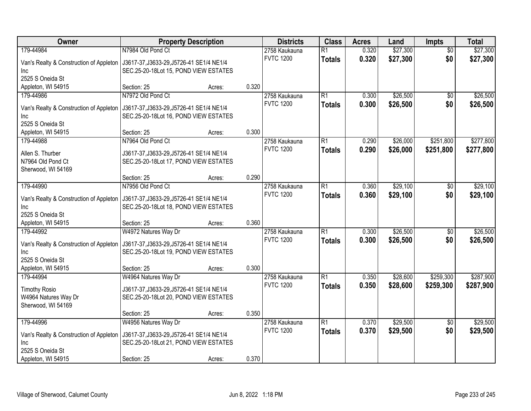| Owner                                   | <b>Property Description</b>              |        |       | <b>Districts</b>                  | <b>Class</b>    | <b>Acres</b> | Land     | <b>Impts</b>    | <b>Total</b> |
|-----------------------------------------|------------------------------------------|--------|-------|-----------------------------------|-----------------|--------------|----------|-----------------|--------------|
| 179-44984                               | N7984 Old Pond Ct                        |        |       | 2758 Kaukauna                     | $\overline{R1}$ | 0.320        | \$27,300 | \$0             | \$27,300     |
| Van's Realty & Construction of Appleton | J3617-37, J3633-29, J5726-41 SE1/4 NE1/4 |        |       | <b>FVTC 1200</b>                  | <b>Totals</b>   | 0.320        | \$27,300 | \$0             | \$27,300     |
| Inc.                                    | SEC.25-20-18Lot 15, POND VIEW ESTATES    |        |       |                                   |                 |              |          |                 |              |
| 2525 S Oneida St                        |                                          |        |       |                                   |                 |              |          |                 |              |
| Appleton, WI 54915                      | Section: 25                              | Acres: | 0.320 |                                   |                 |              |          |                 |              |
| 179-44986                               | N7972 Old Pond Ct                        |        |       | 2758 Kaukauna                     | R1              | 0.300        | \$26,500 | \$0             | \$26,500     |
| Van's Realty & Construction of Appleton | J3617-37, J3633-29, J5726-41 SE1/4 NE1/4 |        |       | <b>FVTC 1200</b>                  | <b>Totals</b>   | 0.300        | \$26,500 | \$0             | \$26,500     |
| Inc                                     | SEC.25-20-18Lot 16, POND VIEW ESTATES    |        |       |                                   |                 |              |          |                 |              |
| 2525 S Oneida St                        |                                          |        |       |                                   |                 |              |          |                 |              |
| Appleton, WI 54915                      | Section: 25                              | Acres: | 0.300 |                                   |                 |              |          |                 |              |
| 179-44988                               | N7964 Old Pond Ct                        |        |       | 2758 Kaukauna                     | R1              | 0.290        | \$26,000 | \$251,800       | \$277,800    |
| Allen S. Thurber                        | J3617-37, J3633-29, J5726-41 SE1/4 NE1/4 |        |       | <b>FVTC 1200</b>                  | <b>Totals</b>   | 0.290        | \$26,000 | \$251,800       | \$277,800    |
| N7964 Old Pond Ct                       | SEC.25-20-18Lot 17, POND VIEW ESTATES    |        |       |                                   |                 |              |          |                 |              |
| Sherwood, WI 54169                      |                                          |        |       |                                   |                 |              |          |                 |              |
|                                         | Section: 25                              | Acres: | 0.290 |                                   |                 |              |          |                 |              |
| 179-44990                               | N7956 Old Pond Ct                        |        |       | 2758 Kaukauna                     | R1              | 0.360        | \$29,100 | $\sqrt[6]{30}$  | \$29,100     |
|                                         |                                          |        |       | <b>FVTC 1200</b>                  | <b>Totals</b>   | 0.360        | \$29,100 | \$0             | \$29,100     |
| Van's Realty & Construction of Appleton | J3617-37, J3633-29, J5726-41 SE1/4 NE1/4 |        |       |                                   |                 |              |          |                 |              |
| Inc<br>2525 S Oneida St                 | SEC.25-20-18Lot 18, POND VIEW ESTATES    |        |       |                                   |                 |              |          |                 |              |
| Appleton, WI 54915                      | Section: 25                              | Acres: | 0.360 |                                   |                 |              |          |                 |              |
| 179-44992                               | W4972 Natures Way Dr                     |        |       | 2758 Kaukauna                     | $\overline{R1}$ | 0.300        | \$26,500 | $\overline{50}$ | \$26,500     |
|                                         |                                          |        |       | <b>FVTC 1200</b>                  | <b>Totals</b>   | 0.300        | \$26,500 | \$0             | \$26,500     |
| Van's Realty & Construction of Appleton | J3617-37, J3633-29, J5726-41 SE1/4 NE1/4 |        |       |                                   |                 |              |          |                 |              |
| <b>Inc</b>                              | SEC.25-20-18Lot 19, POND VIEW ESTATES    |        |       |                                   |                 |              |          |                 |              |
| 2525 S Oneida St                        |                                          |        |       |                                   |                 |              |          |                 |              |
| Appleton, WI 54915                      | Section: 25                              | Acres: | 0.300 |                                   |                 |              |          |                 |              |
| 179-44994                               | W4964 Natures Way Dr                     |        |       | 2758 Kaukauna<br><b>FVTC 1200</b> | R1              | 0.350        | \$28,600 | \$259,300       | \$287,900    |
| <b>Timothy Rosio</b>                    | J3617-37, J3633-29, J5726-41 SE1/4 NE1/4 |        |       |                                   | <b>Totals</b>   | 0.350        | \$28,600 | \$259,300       | \$287,900    |
| W4964 Natures Way Dr                    | SEC.25-20-18Lot 20, POND VIEW ESTATES    |        |       |                                   |                 |              |          |                 |              |
| Sherwood, WI 54169                      |                                          |        |       |                                   |                 |              |          |                 |              |
|                                         | Section: 25                              | Acres: | 0.350 |                                   |                 |              |          |                 |              |
| 179-44996                               | W4956 Natures Way Dr                     |        |       | 2758 Kaukauna                     | R1              | 0.370        | \$29,500 | $\overline{50}$ | \$29,500     |
| Van's Realty & Construction of Appleton | J3617-37, J3633-29, J5726-41 SE1/4 NE1/4 |        |       | <b>FVTC 1200</b>                  | <b>Totals</b>   | 0.370        | \$29,500 | \$0             | \$29,500     |
| Inc                                     | SEC.25-20-18Lot 21, POND VIEW ESTATES    |        |       |                                   |                 |              |          |                 |              |
| 2525 S Oneida St                        |                                          |        |       |                                   |                 |              |          |                 |              |
| Appleton, WI 54915                      | Section: 25                              | Acres: | 0.370 |                                   |                 |              |          |                 |              |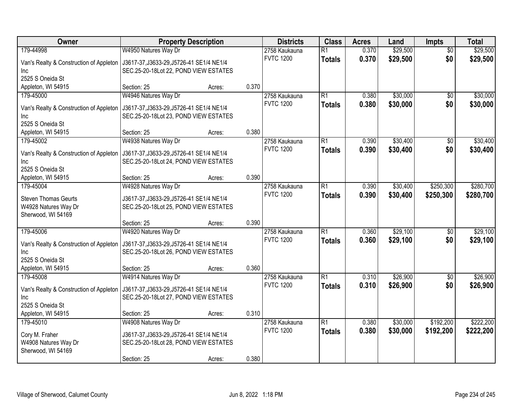| \$29,500<br>179-44998<br>W4950 Natures Way Dr<br>0.370<br>2758 Kaukauna<br>$\overline{R1}$<br>\$0<br>\$0<br><b>FVTC 1200</b><br>0.370<br>\$29,500<br>\$29,500<br><b>Totals</b><br>Van's Realty & Construction of Appleton<br>J3617-37, J3633-29, J5726-41 SE1/4 NE1/4<br>SEC.25-20-18Lot 22, POND VIEW ESTATES<br>Inc.<br>2525 S Oneida St<br>0.370<br>Appleton, WI 54915<br>Section: 25<br>Acres:<br>W4946 Natures Way Dr<br>$\overline{R1}$<br>\$30,000<br>179-45000<br>2758 Kaukauna<br>0.380<br>$\overline{50}$<br><b>FVTC 1200</b><br>0.380<br>\$30,000<br>\$0<br>\$30,000<br><b>Totals</b><br>Van's Realty & Construction of Appleton<br>J3617-37, J3633-29, J5726-41 SE1/4 NE1/4<br>SEC.25-20-18Lot 23, POND VIEW ESTATES<br>Inc<br>2525 S Oneida St<br>0.380<br>Appleton, WI 54915<br>Section: 25<br>Acres:<br>W4938 Natures Way Dr<br>\$30,400<br>R1<br>0.390<br>179-45002<br>2758 Kaukauna<br>$\sqrt[6]{3}$<br><b>FVTC 1200</b><br>0.390<br>\$30,400<br>\$0<br><b>Totals</b><br>Van's Realty & Construction of Appleton<br>J3617-37, J3633-29, J5726-41 SE1/4 NE1/4<br>SEC.25-20-18Lot 24, POND VIEW ESTATES<br>Inc<br>2525 S Oneida St<br>0.390<br>Section: 25<br>Appleton, WI 54915<br>Acres:<br>W4928 Natures Way Dr<br>\$30,400<br>\$250,300<br>2758 Kaukauna<br>R1<br>0.390<br>179-45004<br><b>FVTC 1200</b><br>0.390<br>\$30,400<br>\$250,300<br>\$280,700<br><b>Totals</b><br><b>Steven Thomas Geurts</b><br>J3617-37, J3633-29, J5726-41 SE1/4 NE1/4<br>W4928 Natures Way Dr<br>SEC.25-20-18Lot 25, POND VIEW ESTATES<br>Sherwood, WI 54169<br>0.390<br>Section: 25<br>Acres:<br>\$29,100<br>179-45006<br>W4920 Natures Way Dr<br>$\overline{R1}$<br>0.360<br>$\overline{50}$<br>2758 Kaukauna<br><b>FVTC 1200</b><br>0.360<br>\$29,100<br>\$0<br>\$29,100<br><b>Totals</b><br>Van's Realty & Construction of Appleton<br>J3617-37, J3633-29, J5726-41 SE1/4 NE1/4<br>SEC.25-20-18Lot 26, POND VIEW ESTATES<br><b>Inc</b><br>2525 S Oneida St<br>0.360<br>Appleton, WI 54915<br>Section: 25<br>Acres:<br>\$26,900<br>179-45008<br>W4914 Natures Way Dr<br>$\overline{R1}$<br>0.310<br>2758 Kaukauna<br>$\sqrt{$0}$<br><b>FVTC 1200</b><br>0.310<br>\$26,900<br>\$0<br>\$26,900<br><b>Totals</b><br>Van's Realty & Construction of Appleton<br>J3617-37, J3633-29, J5726-41 SE1/4 NE1/4<br>SEC.25-20-18Lot 27, POND VIEW ESTATES<br>Inc<br>2525 S Oneida St<br>0.310<br>Appleton, WI 54915<br>Section: 25<br>Acres:<br>W4908 Natures Way Dr<br>\$30,000<br>\$192,200<br>179-45010<br>2758 Kaukauna<br>$\overline{R1}$<br>0.380<br><b>FVTC 1200</b><br>0.380<br>\$30,000<br>\$192,200<br>\$222,200<br><b>Totals</b><br>Cory M. Fraher<br>J3617-37, J3633-29, J5726-41 SE1/4 NE1/4<br>SEC.25-20-18Lot 28, POND VIEW ESTATES | Owner                | <b>Property Description</b> |  | <b>Districts</b> | <b>Class</b> | <b>Acres</b> | Land     | <b>Impts</b> | <b>Total</b> |
|--------------------------------------------------------------------------------------------------------------------------------------------------------------------------------------------------------------------------------------------------------------------------------------------------------------------------------------------------------------------------------------------------------------------------------------------------------------------------------------------------------------------------------------------------------------------------------------------------------------------------------------------------------------------------------------------------------------------------------------------------------------------------------------------------------------------------------------------------------------------------------------------------------------------------------------------------------------------------------------------------------------------------------------------------------------------------------------------------------------------------------------------------------------------------------------------------------------------------------------------------------------------------------------------------------------------------------------------------------------------------------------------------------------------------------------------------------------------------------------------------------------------------------------------------------------------------------------------------------------------------------------------------------------------------------------------------------------------------------------------------------------------------------------------------------------------------------------------------------------------------------------------------------------------------------------------------------------------------------------------------------------------------------------------------------------------------------------------------------------------------------------------------------------------------------------------------------------------------------------------------------------------------------------------------------------------------------------------------------------------------------------------------------------------------------------------------------------------------------------------------------------------------------------------------------------------------------------------------------------------------------------------------------------------------------------------------------------------------------------------|----------------------|-----------------------------|--|------------------|--------------|--------------|----------|--------------|--------------|
|                                                                                                                                                                                                                                                                                                                                                                                                                                                                                                                                                                                                                                                                                                                                                                                                                                                                                                                                                                                                                                                                                                                                                                                                                                                                                                                                                                                                                                                                                                                                                                                                                                                                                                                                                                                                                                                                                                                                                                                                                                                                                                                                                                                                                                                                                                                                                                                                                                                                                                                                                                                                                                                                                                                                            |                      |                             |  |                  |              |              | \$29,500 |              |              |
| \$30,000<br>\$30,400<br>\$280,700<br>\$29,100<br>\$26,900                                                                                                                                                                                                                                                                                                                                                                                                                                                                                                                                                                                                                                                                                                                                                                                                                                                                                                                                                                                                                                                                                                                                                                                                                                                                                                                                                                                                                                                                                                                                                                                                                                                                                                                                                                                                                                                                                                                                                                                                                                                                                                                                                                                                                                                                                                                                                                                                                                                                                                                                                                                                                                                                                  |                      |                             |  |                  |              |              |          |              |              |
| \$30,400<br>\$222,200                                                                                                                                                                                                                                                                                                                                                                                                                                                                                                                                                                                                                                                                                                                                                                                                                                                                                                                                                                                                                                                                                                                                                                                                                                                                                                                                                                                                                                                                                                                                                                                                                                                                                                                                                                                                                                                                                                                                                                                                                                                                                                                                                                                                                                                                                                                                                                                                                                                                                                                                                                                                                                                                                                                      |                      |                             |  |                  |              |              |          |              |              |
|                                                                                                                                                                                                                                                                                                                                                                                                                                                                                                                                                                                                                                                                                                                                                                                                                                                                                                                                                                                                                                                                                                                                                                                                                                                                                                                                                                                                                                                                                                                                                                                                                                                                                                                                                                                                                                                                                                                                                                                                                                                                                                                                                                                                                                                                                                                                                                                                                                                                                                                                                                                                                                                                                                                                            |                      |                             |  |                  |              |              |          |              |              |
|                                                                                                                                                                                                                                                                                                                                                                                                                                                                                                                                                                                                                                                                                                                                                                                                                                                                                                                                                                                                                                                                                                                                                                                                                                                                                                                                                                                                                                                                                                                                                                                                                                                                                                                                                                                                                                                                                                                                                                                                                                                                                                                                                                                                                                                                                                                                                                                                                                                                                                                                                                                                                                                                                                                                            |                      |                             |  |                  |              |              |          |              |              |
|                                                                                                                                                                                                                                                                                                                                                                                                                                                                                                                                                                                                                                                                                                                                                                                                                                                                                                                                                                                                                                                                                                                                                                                                                                                                                                                                                                                                                                                                                                                                                                                                                                                                                                                                                                                                                                                                                                                                                                                                                                                                                                                                                                                                                                                                                                                                                                                                                                                                                                                                                                                                                                                                                                                                            |                      |                             |  |                  |              |              |          |              |              |
|                                                                                                                                                                                                                                                                                                                                                                                                                                                                                                                                                                                                                                                                                                                                                                                                                                                                                                                                                                                                                                                                                                                                                                                                                                                                                                                                                                                                                                                                                                                                                                                                                                                                                                                                                                                                                                                                                                                                                                                                                                                                                                                                                                                                                                                                                                                                                                                                                                                                                                                                                                                                                                                                                                                                            |                      |                             |  |                  |              |              |          |              |              |
|                                                                                                                                                                                                                                                                                                                                                                                                                                                                                                                                                                                                                                                                                                                                                                                                                                                                                                                                                                                                                                                                                                                                                                                                                                                                                                                                                                                                                                                                                                                                                                                                                                                                                                                                                                                                                                                                                                                                                                                                                                                                                                                                                                                                                                                                                                                                                                                                                                                                                                                                                                                                                                                                                                                                            |                      |                             |  |                  |              |              |          |              |              |
|                                                                                                                                                                                                                                                                                                                                                                                                                                                                                                                                                                                                                                                                                                                                                                                                                                                                                                                                                                                                                                                                                                                                                                                                                                                                                                                                                                                                                                                                                                                                                                                                                                                                                                                                                                                                                                                                                                                                                                                                                                                                                                                                                                                                                                                                                                                                                                                                                                                                                                                                                                                                                                                                                                                                            |                      |                             |  |                  |              |              |          |              |              |
|                                                                                                                                                                                                                                                                                                                                                                                                                                                                                                                                                                                                                                                                                                                                                                                                                                                                                                                                                                                                                                                                                                                                                                                                                                                                                                                                                                                                                                                                                                                                                                                                                                                                                                                                                                                                                                                                                                                                                                                                                                                                                                                                                                                                                                                                                                                                                                                                                                                                                                                                                                                                                                                                                                                                            |                      |                             |  |                  |              |              |          |              |              |
|                                                                                                                                                                                                                                                                                                                                                                                                                                                                                                                                                                                                                                                                                                                                                                                                                                                                                                                                                                                                                                                                                                                                                                                                                                                                                                                                                                                                                                                                                                                                                                                                                                                                                                                                                                                                                                                                                                                                                                                                                                                                                                                                                                                                                                                                                                                                                                                                                                                                                                                                                                                                                                                                                                                                            |                      |                             |  |                  |              |              |          |              |              |
|                                                                                                                                                                                                                                                                                                                                                                                                                                                                                                                                                                                                                                                                                                                                                                                                                                                                                                                                                                                                                                                                                                                                                                                                                                                                                                                                                                                                                                                                                                                                                                                                                                                                                                                                                                                                                                                                                                                                                                                                                                                                                                                                                                                                                                                                                                                                                                                                                                                                                                                                                                                                                                                                                                                                            |                      |                             |  |                  |              |              |          |              |              |
|                                                                                                                                                                                                                                                                                                                                                                                                                                                                                                                                                                                                                                                                                                                                                                                                                                                                                                                                                                                                                                                                                                                                                                                                                                                                                                                                                                                                                                                                                                                                                                                                                                                                                                                                                                                                                                                                                                                                                                                                                                                                                                                                                                                                                                                                                                                                                                                                                                                                                                                                                                                                                                                                                                                                            |                      |                             |  |                  |              |              |          |              |              |
|                                                                                                                                                                                                                                                                                                                                                                                                                                                                                                                                                                                                                                                                                                                                                                                                                                                                                                                                                                                                                                                                                                                                                                                                                                                                                                                                                                                                                                                                                                                                                                                                                                                                                                                                                                                                                                                                                                                                                                                                                                                                                                                                                                                                                                                                                                                                                                                                                                                                                                                                                                                                                                                                                                                                            |                      |                             |  |                  |              |              |          |              |              |
|                                                                                                                                                                                                                                                                                                                                                                                                                                                                                                                                                                                                                                                                                                                                                                                                                                                                                                                                                                                                                                                                                                                                                                                                                                                                                                                                                                                                                                                                                                                                                                                                                                                                                                                                                                                                                                                                                                                                                                                                                                                                                                                                                                                                                                                                                                                                                                                                                                                                                                                                                                                                                                                                                                                                            |                      |                             |  |                  |              |              |          |              |              |
|                                                                                                                                                                                                                                                                                                                                                                                                                                                                                                                                                                                                                                                                                                                                                                                                                                                                                                                                                                                                                                                                                                                                                                                                                                                                                                                                                                                                                                                                                                                                                                                                                                                                                                                                                                                                                                                                                                                                                                                                                                                                                                                                                                                                                                                                                                                                                                                                                                                                                                                                                                                                                                                                                                                                            |                      |                             |  |                  |              |              |          |              |              |
|                                                                                                                                                                                                                                                                                                                                                                                                                                                                                                                                                                                                                                                                                                                                                                                                                                                                                                                                                                                                                                                                                                                                                                                                                                                                                                                                                                                                                                                                                                                                                                                                                                                                                                                                                                                                                                                                                                                                                                                                                                                                                                                                                                                                                                                                                                                                                                                                                                                                                                                                                                                                                                                                                                                                            |                      |                             |  |                  |              |              |          |              |              |
|                                                                                                                                                                                                                                                                                                                                                                                                                                                                                                                                                                                                                                                                                                                                                                                                                                                                                                                                                                                                                                                                                                                                                                                                                                                                                                                                                                                                                                                                                                                                                                                                                                                                                                                                                                                                                                                                                                                                                                                                                                                                                                                                                                                                                                                                                                                                                                                                                                                                                                                                                                                                                                                                                                                                            |                      |                             |  |                  |              |              |          |              |              |
|                                                                                                                                                                                                                                                                                                                                                                                                                                                                                                                                                                                                                                                                                                                                                                                                                                                                                                                                                                                                                                                                                                                                                                                                                                                                                                                                                                                                                                                                                                                                                                                                                                                                                                                                                                                                                                                                                                                                                                                                                                                                                                                                                                                                                                                                                                                                                                                                                                                                                                                                                                                                                                                                                                                                            |                      |                             |  |                  |              |              |          |              |              |
|                                                                                                                                                                                                                                                                                                                                                                                                                                                                                                                                                                                                                                                                                                                                                                                                                                                                                                                                                                                                                                                                                                                                                                                                                                                                                                                                                                                                                                                                                                                                                                                                                                                                                                                                                                                                                                                                                                                                                                                                                                                                                                                                                                                                                                                                                                                                                                                                                                                                                                                                                                                                                                                                                                                                            |                      |                             |  |                  |              |              |          |              |              |
|                                                                                                                                                                                                                                                                                                                                                                                                                                                                                                                                                                                                                                                                                                                                                                                                                                                                                                                                                                                                                                                                                                                                                                                                                                                                                                                                                                                                                                                                                                                                                                                                                                                                                                                                                                                                                                                                                                                                                                                                                                                                                                                                                                                                                                                                                                                                                                                                                                                                                                                                                                                                                                                                                                                                            |                      |                             |  |                  |              |              |          |              |              |
|                                                                                                                                                                                                                                                                                                                                                                                                                                                                                                                                                                                                                                                                                                                                                                                                                                                                                                                                                                                                                                                                                                                                                                                                                                                                                                                                                                                                                                                                                                                                                                                                                                                                                                                                                                                                                                                                                                                                                                                                                                                                                                                                                                                                                                                                                                                                                                                                                                                                                                                                                                                                                                                                                                                                            |                      |                             |  |                  |              |              |          |              |              |
|                                                                                                                                                                                                                                                                                                                                                                                                                                                                                                                                                                                                                                                                                                                                                                                                                                                                                                                                                                                                                                                                                                                                                                                                                                                                                                                                                                                                                                                                                                                                                                                                                                                                                                                                                                                                                                                                                                                                                                                                                                                                                                                                                                                                                                                                                                                                                                                                                                                                                                                                                                                                                                                                                                                                            |                      |                             |  |                  |              |              |          |              |              |
|                                                                                                                                                                                                                                                                                                                                                                                                                                                                                                                                                                                                                                                                                                                                                                                                                                                                                                                                                                                                                                                                                                                                                                                                                                                                                                                                                                                                                                                                                                                                                                                                                                                                                                                                                                                                                                                                                                                                                                                                                                                                                                                                                                                                                                                                                                                                                                                                                                                                                                                                                                                                                                                                                                                                            |                      |                             |  |                  |              |              |          |              |              |
|                                                                                                                                                                                                                                                                                                                                                                                                                                                                                                                                                                                                                                                                                                                                                                                                                                                                                                                                                                                                                                                                                                                                                                                                                                                                                                                                                                                                                                                                                                                                                                                                                                                                                                                                                                                                                                                                                                                                                                                                                                                                                                                                                                                                                                                                                                                                                                                                                                                                                                                                                                                                                                                                                                                                            |                      |                             |  |                  |              |              |          |              |              |
|                                                                                                                                                                                                                                                                                                                                                                                                                                                                                                                                                                                                                                                                                                                                                                                                                                                                                                                                                                                                                                                                                                                                                                                                                                                                                                                                                                                                                                                                                                                                                                                                                                                                                                                                                                                                                                                                                                                                                                                                                                                                                                                                                                                                                                                                                                                                                                                                                                                                                                                                                                                                                                                                                                                                            |                      |                             |  |                  |              |              |          |              |              |
|                                                                                                                                                                                                                                                                                                                                                                                                                                                                                                                                                                                                                                                                                                                                                                                                                                                                                                                                                                                                                                                                                                                                                                                                                                                                                                                                                                                                                                                                                                                                                                                                                                                                                                                                                                                                                                                                                                                                                                                                                                                                                                                                                                                                                                                                                                                                                                                                                                                                                                                                                                                                                                                                                                                                            |                      |                             |  |                  |              |              |          |              |              |
|                                                                                                                                                                                                                                                                                                                                                                                                                                                                                                                                                                                                                                                                                                                                                                                                                                                                                                                                                                                                                                                                                                                                                                                                                                                                                                                                                                                                                                                                                                                                                                                                                                                                                                                                                                                                                                                                                                                                                                                                                                                                                                                                                                                                                                                                                                                                                                                                                                                                                                                                                                                                                                                                                                                                            |                      |                             |  |                  |              |              |          |              |              |
|                                                                                                                                                                                                                                                                                                                                                                                                                                                                                                                                                                                                                                                                                                                                                                                                                                                                                                                                                                                                                                                                                                                                                                                                                                                                                                                                                                                                                                                                                                                                                                                                                                                                                                                                                                                                                                                                                                                                                                                                                                                                                                                                                                                                                                                                                                                                                                                                                                                                                                                                                                                                                                                                                                                                            |                      |                             |  |                  |              |              |          |              |              |
|                                                                                                                                                                                                                                                                                                                                                                                                                                                                                                                                                                                                                                                                                                                                                                                                                                                                                                                                                                                                                                                                                                                                                                                                                                                                                                                                                                                                                                                                                                                                                                                                                                                                                                                                                                                                                                                                                                                                                                                                                                                                                                                                                                                                                                                                                                                                                                                                                                                                                                                                                                                                                                                                                                                                            |                      |                             |  |                  |              |              |          |              |              |
|                                                                                                                                                                                                                                                                                                                                                                                                                                                                                                                                                                                                                                                                                                                                                                                                                                                                                                                                                                                                                                                                                                                                                                                                                                                                                                                                                                                                                                                                                                                                                                                                                                                                                                                                                                                                                                                                                                                                                                                                                                                                                                                                                                                                                                                                                                                                                                                                                                                                                                                                                                                                                                                                                                                                            |                      |                             |  |                  |              |              |          |              |              |
|                                                                                                                                                                                                                                                                                                                                                                                                                                                                                                                                                                                                                                                                                                                                                                                                                                                                                                                                                                                                                                                                                                                                                                                                                                                                                                                                                                                                                                                                                                                                                                                                                                                                                                                                                                                                                                                                                                                                                                                                                                                                                                                                                                                                                                                                                                                                                                                                                                                                                                                                                                                                                                                                                                                                            |                      |                             |  |                  |              |              |          |              |              |
|                                                                                                                                                                                                                                                                                                                                                                                                                                                                                                                                                                                                                                                                                                                                                                                                                                                                                                                                                                                                                                                                                                                                                                                                                                                                                                                                                                                                                                                                                                                                                                                                                                                                                                                                                                                                                                                                                                                                                                                                                                                                                                                                                                                                                                                                                                                                                                                                                                                                                                                                                                                                                                                                                                                                            |                      |                             |  |                  |              |              |          |              |              |
|                                                                                                                                                                                                                                                                                                                                                                                                                                                                                                                                                                                                                                                                                                                                                                                                                                                                                                                                                                                                                                                                                                                                                                                                                                                                                                                                                                                                                                                                                                                                                                                                                                                                                                                                                                                                                                                                                                                                                                                                                                                                                                                                                                                                                                                                                                                                                                                                                                                                                                                                                                                                                                                                                                                                            | W4908 Natures Way Dr |                             |  |                  |              |              |          |              |              |
| Sherwood, WI 54169<br>0.380<br>Section: 25<br>Acres:                                                                                                                                                                                                                                                                                                                                                                                                                                                                                                                                                                                                                                                                                                                                                                                                                                                                                                                                                                                                                                                                                                                                                                                                                                                                                                                                                                                                                                                                                                                                                                                                                                                                                                                                                                                                                                                                                                                                                                                                                                                                                                                                                                                                                                                                                                                                                                                                                                                                                                                                                                                                                                                                                       |                      |                             |  |                  |              |              |          |              |              |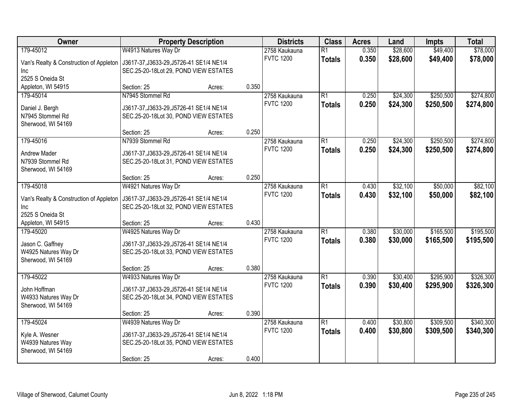| Owner                                   | <b>Property Description</b>              |        |       | <b>Districts</b> | <b>Class</b>    | <b>Acres</b> | Land     | <b>Impts</b> | <b>Total</b> |
|-----------------------------------------|------------------------------------------|--------|-------|------------------|-----------------|--------------|----------|--------------|--------------|
| 179-45012                               | W4913 Natures Way Dr                     |        |       | 2758 Kaukauna    | $\overline{R1}$ | 0.350        | \$28,600 | \$49,400     | \$78,000     |
| Van's Realty & Construction of Appleton | J3617-37, J3633-29, J5726-41 SE1/4 NE1/4 |        |       | <b>FVTC 1200</b> | <b>Totals</b>   | 0.350        | \$28,600 | \$49,400     | \$78,000     |
| Inc                                     | SEC.25-20-18Lot 29, POND VIEW ESTATES    |        |       |                  |                 |              |          |              |              |
| 2525 S Oneida St                        |                                          |        |       |                  |                 |              |          |              |              |
| Appleton, WI 54915                      | Section: 25                              | Acres: | 0.350 |                  |                 |              |          |              |              |
| 179-45014                               | N7945 Stommel Rd                         |        |       | 2758 Kaukauna    | $\overline{R1}$ | 0.250        | \$24,300 | \$250,500    | \$274,800    |
| Daniel J. Bergh                         | J3617-37, J3633-29, J5726-41 SE1/4 NE1/4 |        |       | <b>FVTC 1200</b> | <b>Totals</b>   | 0.250        | \$24,300 | \$250,500    | \$274,800    |
| N7945 Stommel Rd                        | SEC.25-20-18Lot 30, POND VIEW ESTATES    |        |       |                  |                 |              |          |              |              |
| Sherwood, WI 54169                      |                                          |        |       |                  |                 |              |          |              |              |
|                                         | Section: 25                              | Acres: | 0.250 |                  |                 |              |          |              |              |
| 179-45016                               | N7939 Stommel Rd                         |        |       | 2758 Kaukauna    | $\overline{R1}$ | 0.250        | \$24,300 | \$250,500    | \$274,800    |
| Andrew Mader                            | J3617-37, J3633-29, J5726-41 SE1/4 NE1/4 |        |       | <b>FVTC 1200</b> | <b>Totals</b>   | 0.250        | \$24,300 | \$250,500    | \$274,800    |
| N7939 Stommel Rd                        | SEC.25-20-18Lot 31, POND VIEW ESTATES    |        |       |                  |                 |              |          |              |              |
| Sherwood, WI 54169                      |                                          |        |       |                  |                 |              |          |              |              |
|                                         | Section: 25                              | Acres: | 0.250 |                  |                 |              |          |              |              |
| 179-45018                               | W4921 Natures Way Dr                     |        |       | 2758 Kaukauna    | $\overline{R1}$ | 0.430        | \$32,100 | \$50,000     | \$82,100     |
| Van's Realty & Construction of Appleton | J3617-37, J3633-29, J5726-41 SE1/4 NE1/4 |        |       | <b>FVTC 1200</b> | <b>Totals</b>   | 0.430        | \$32,100 | \$50,000     | \$82,100     |
| Inc                                     | SEC.25-20-18Lot 32, POND VIEW ESTATES    |        |       |                  |                 |              |          |              |              |
| 2525 S Oneida St                        |                                          |        |       |                  |                 |              |          |              |              |
| Appleton, WI 54915                      | Section: 25                              | Acres: | 0.430 |                  |                 |              |          |              |              |
| 179-45020                               | W4925 Natures Way Dr                     |        |       | 2758 Kaukauna    | $\overline{R1}$ | 0.380        | \$30,000 | \$165,500    | \$195,500    |
| Jason C. Gaffney                        | J3617-37, J3633-29, J5726-41 SE1/4 NE1/4 |        |       | <b>FVTC 1200</b> | <b>Totals</b>   | 0.380        | \$30,000 | \$165,500    | \$195,500    |
| W4925 Natures Way Dr                    | SEC.25-20-18Lot 33, POND VIEW ESTATES    |        |       |                  |                 |              |          |              |              |
| Sherwood, WI 54169                      |                                          |        |       |                  |                 |              |          |              |              |
|                                         | Section: 25                              | Acres: | 0.380 |                  |                 |              |          |              |              |
| 179-45022                               | W4933 Natures Way Dr                     |        |       | 2758 Kaukauna    | R1              | 0.390        | \$30,400 | \$295,900    | \$326,300    |
| John Hoffman                            | J3617-37, J3633-29, J5726-41 SE1/4 NE1/4 |        |       | <b>FVTC 1200</b> | <b>Totals</b>   | 0.390        | \$30,400 | \$295,900    | \$326,300    |
| W4933 Natures Way Dr                    | SEC.25-20-18Lot 34, POND VIEW ESTATES    |        |       |                  |                 |              |          |              |              |
| Sherwood, WI 54169                      |                                          |        |       |                  |                 |              |          |              |              |
|                                         | Section: 25                              | Acres: | 0.390 |                  |                 |              |          |              |              |
| 179-45024                               | W4939 Natures Way Dr                     |        |       | 2758 Kaukauna    | R1              | 0.400        | \$30,800 | \$309,500    | \$340,300    |
| Kyle A. Wesner                          | J3617-37, J3633-29, J5726-41 SE1/4 NE1/4 |        |       | <b>FVTC 1200</b> | <b>Totals</b>   | 0.400        | \$30,800 | \$309,500    | \$340,300    |
| W4939 Natures Way                       | SEC.25-20-18Lot 35, POND VIEW ESTATES    |        |       |                  |                 |              |          |              |              |
| Sherwood, WI 54169                      |                                          |        |       |                  |                 |              |          |              |              |
|                                         | Section: 25                              | Acres: | 0.400 |                  |                 |              |          |              |              |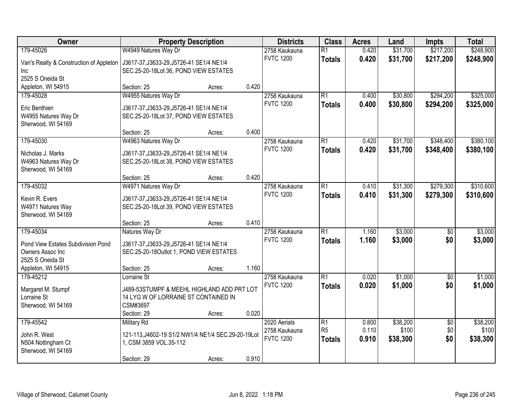| Owner                                   | <b>Property Description</b>                        |        |       | <b>Districts</b> | <b>Class</b>    | <b>Acres</b> | Land     | <b>Impts</b>    | <b>Total</b> |
|-----------------------------------------|----------------------------------------------------|--------|-------|------------------|-----------------|--------------|----------|-----------------|--------------|
| 179-45026                               | W4949 Natures Way Dr                               |        |       | 2758 Kaukauna    | $\overline{R1}$ | 0.420        | \$31,700 | \$217,200       | \$248,900    |
| Van's Realty & Construction of Appleton | J3617-37, J3633-29, J5726-41 SE1/4 NE1/4           |        |       | <b>FVTC 1200</b> | <b>Totals</b>   | 0.420        | \$31,700 | \$217,200       | \$248,900    |
| Inc                                     | SEC.25-20-18Lot 36, POND VIEW ESTATES              |        |       |                  |                 |              |          |                 |              |
| 2525 S Oneida St                        |                                                    |        |       |                  |                 |              |          |                 |              |
| Appleton, WI 54915                      | Section: 25                                        | Acres: | 0.420 |                  |                 |              |          |                 |              |
| 179-45028                               | W4955 Natures Way Dr                               |        |       | 2758 Kaukauna    | R1              | 0.400        | \$30,800 | \$294,200       | \$325,000    |
| Eric Benthien                           | J3617-37, J3633-29, J5726-41 SE1/4 NE1/4           |        |       | <b>FVTC 1200</b> | <b>Totals</b>   | 0.400        | \$30,800 | \$294,200       | \$325,000    |
| W4955 Natures Way Dr                    | SEC.25-20-18Lot 37, POND VIEW ESTATES              |        |       |                  |                 |              |          |                 |              |
| Sherwood, WI 54169                      |                                                    |        |       |                  |                 |              |          |                 |              |
|                                         | Section: 25                                        | Acres: | 0.400 |                  |                 |              |          |                 |              |
| 179-45030                               | W4963 Natures Way Dr                               |        |       | 2758 Kaukauna    | R1              | 0.420        | \$31,700 | \$348,400       | \$380,100    |
| Nicholas J. Marks                       | J3617-37, J3633-29, J5726-41 SE1/4 NE1/4           |        |       | <b>FVTC 1200</b> | <b>Totals</b>   | 0.420        | \$31,700 | \$348,400       | \$380,100    |
| W4963 Natures Way Dr                    | SEC.25-20-18Lot 38, POND VIEW ESTATES              |        |       |                  |                 |              |          |                 |              |
| Sherwood, WI 54169                      |                                                    |        |       |                  |                 |              |          |                 |              |
|                                         | Section: 25                                        | Acres: | 0.420 |                  |                 |              |          |                 |              |
| 179-45032                               | W4971 Natures Way Dr                               |        |       | 2758 Kaukauna    | R1              | 0.410        | \$31,300 | \$279,300       | \$310,600    |
|                                         |                                                    |        |       | <b>FVTC 1200</b> | <b>Totals</b>   | 0.410        | \$31,300 | \$279,300       | \$310,600    |
| Kevin R. Evers                          | J3617-37, J3633-29, J5726-41 SE1/4 NE1/4           |        |       |                  |                 |              |          |                 |              |
| W4971 Natures Way                       | SEC.25-20-18Lot 39, POND VIEW ESTATES              |        |       |                  |                 |              |          |                 |              |
| Sherwood, WI 54169                      | Section: 25                                        | Acres: | 0.410 |                  |                 |              |          |                 |              |
| 179-45034                               | Natures Way Dr                                     |        |       | 2758 Kaukauna    | $\overline{R1}$ | 1.160        | \$3,000  | $\overline{50}$ | \$3,000      |
|                                         |                                                    |        |       | <b>FVTC 1200</b> | <b>Totals</b>   | 1.160        | \$3,000  | \$0             | \$3,000      |
| Pond View Estates Subdivision Pond      | J3617-37, J3633-29, J5726-41 SE1/4 NE1/4           |        |       |                  |                 |              |          |                 |              |
| Owners Assoc Inc                        | SEC.25-20-18Outlot 1, POND VIEW ESTATES            |        |       |                  |                 |              |          |                 |              |
| 2525 S Oneida St                        |                                                    |        |       |                  |                 |              |          |                 |              |
| Appleton, WI 54915                      | Section: 25                                        | Acres: | 1.160 |                  |                 |              |          |                 |              |
| 179-45212                               | Lorraine St                                        |        |       | 2758 Kaukauna    | R1              | 0.020        | \$1,000  | $\overline{60}$ | \$1,000      |
| Margaret M. Stumpf                      | J489-53STUMPF & MEEHL HIGHLAND ADD PRT LOT         |        |       | <b>FVTC 1200</b> | <b>Totals</b>   | 0.020        | \$1,000  | \$0             | \$1,000      |
| Lorraine St                             | 14 LYG W OF LORRAINE ST CONTAINED IN               |        |       |                  |                 |              |          |                 |              |
| Sherwood, WI 54169                      | CSM#3697                                           |        |       |                  |                 |              |          |                 |              |
|                                         | Section: 29                                        | Acres: | 0.020 |                  |                 |              |          |                 |              |
| 179-45542                               | <b>Military Rd</b>                                 |        |       | 2020 Aerials     | R1              | 0.800        | \$38,200 | $\sqrt{$0}$     | \$38,200     |
| John R. West                            | 121-113, J4602-19 S1/2 NW1/4 NE1/4 SEC.29-20-19Lot |        |       | 2758 Kaukauna    | R <sub>5</sub>  | 0.110        | \$100    | \$0             | \$100        |
| N504 Nottingham Ct                      | 1, CSM 3859 VOL.35-112                             |        |       | <b>FVTC 1200</b> | <b>Totals</b>   | 0.910        | \$38,300 | \$0             | \$38,300     |
| Sherwood, WI 54169                      |                                                    |        |       |                  |                 |              |          |                 |              |
|                                         | Section: 29                                        | Acres: | 0.910 |                  |                 |              |          |                 |              |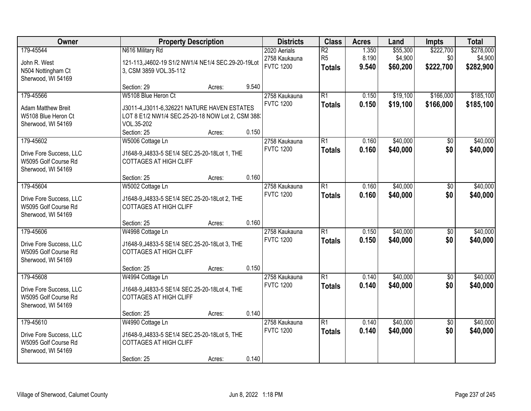| Owner                                                                               | <b>Property Description</b>                                                                                                                            |        |       | <b>Districts</b>                                  | <b>Class</b>                                       | <b>Acres</b>            | Land                            | <b>Impts</b>                  | <b>Total</b>                      |
|-------------------------------------------------------------------------------------|--------------------------------------------------------------------------------------------------------------------------------------------------------|--------|-------|---------------------------------------------------|----------------------------------------------------|-------------------------|---------------------------------|-------------------------------|-----------------------------------|
| 179-45544<br>John R. West<br>N504 Nottingham Ct<br>Sherwood, WI 54169               | N616 Military Rd<br>121-113, J4602-19 S1/2 NW1/4 NE1/4 SEC.29-20-19Lot<br>3, CSM 3859 VOL.35-112                                                       |        |       | 2020 Aerials<br>2758 Kaukauna<br><b>FVTC 1200</b> | $\overline{R2}$<br>R <sub>5</sub><br><b>Totals</b> | 1.350<br>8.190<br>9.540 | \$55,300<br>\$4,900<br>\$60,200 | \$222,700<br>\$0<br>\$222,700 | \$278,000<br>\$4,900<br>\$282,900 |
|                                                                                     | Section: 29                                                                                                                                            | Acres: | 9.540 |                                                   |                                                    |                         |                                 |                               |                                   |
| 179-45566<br><b>Adam Matthew Breit</b><br>W5108 Blue Heron Ct<br>Sherwood, WI 54169 | W5108 Blue Heron Ct<br>J3011-4, J3011-6, 326221 NATURE HAVEN ESTATES<br>LOT 8 E1/2 NW1/4 SEC.25-20-18 NOW Lot 2, CSM 388:<br>VOL.35-202<br>Section: 25 | Acres: | 0.150 | 2758 Kaukauna<br><b>FVTC 1200</b>                 | $\overline{R1}$<br><b>Totals</b>                   | 0.150<br>0.150          | \$19,100<br>\$19,100            | \$166,000<br>\$166,000        | \$185,100<br>\$185,100            |
| 179-45602<br>Drive Fore Success, LLC                                                | W5006 Cottage Ln<br>J1648-9, J4833-5 SE1/4 SEC.25-20-18Lot 1, THE                                                                                      |        |       | 2758 Kaukauna<br><b>FVTC 1200</b>                 | R1<br><b>Totals</b>                                | 0.160<br>0.160          | \$40,000<br>\$40,000            | \$0<br>\$0                    | \$40,000<br>\$40,000              |
| W5095 Golf Course Rd<br>Sherwood, WI 54169                                          | <b>COTTAGES AT HIGH CLIFF</b><br>Section: 25                                                                                                           | Acres: | 0.160 |                                                   |                                                    |                         |                                 |                               |                                   |
| 179-45604                                                                           | W5002 Cottage Ln                                                                                                                                       |        |       | 2758 Kaukauna                                     | R1                                                 | 0.160                   | \$40,000                        | \$0                           | \$40,000                          |
| Drive Fore Success, LLC<br>W5095 Golf Course Rd<br>Sherwood, WI 54169               | J1648-9, J4833-5 SE1/4 SEC. 25-20-18 Lot 2, THE<br><b>COTTAGES AT HIGH CLIFF</b>                                                                       |        |       | <b>FVTC 1200</b>                                  | <b>Totals</b>                                      | 0.160                   | \$40,000                        | \$0                           | \$40,000                          |
|                                                                                     | Section: 25                                                                                                                                            | Acres: | 0.160 |                                                   |                                                    |                         |                                 |                               |                                   |
| 179-45606<br>Drive Fore Success, LLC<br>W5095 Golf Course Rd<br>Sherwood, WI 54169  | W4998 Cottage Ln<br>J1648-9, J4833-5 SE1/4 SEC. 25-20-18 Lot 3, THE<br><b>COTTAGES AT HIGH CLIFF</b>                                                   |        |       | 2758 Kaukauna<br><b>FVTC 1200</b>                 | $\overline{R1}$<br><b>Totals</b>                   | 0.150<br>0.150          | \$40,000<br>\$40,000            | $\overline{50}$<br>\$0        | \$40,000<br>\$40,000              |
|                                                                                     | Section: 25                                                                                                                                            | Acres: | 0.150 |                                                   |                                                    |                         |                                 |                               |                                   |
| 179-45608<br>Drive Fore Success, LLC<br>W5095 Golf Course Rd<br>Sherwood, WI 54169  | W4994 Cottage Ln<br>J1648-9, J4833-5 SE1/4 SEC. 25-20-18 Lot 4, THE<br><b>COTTAGES AT HIGH CLIFF</b>                                                   |        |       | 2758 Kaukauna<br><b>FVTC 1200</b>                 | R1<br><b>Totals</b>                                | 0.140<br>0.140          | \$40,000<br>\$40,000            | $\overline{50}$<br>\$0        | \$40,000<br>\$40,000              |
|                                                                                     | Section: 25                                                                                                                                            | Acres: | 0.140 |                                                   |                                                    |                         |                                 |                               |                                   |
| 179-45610<br>Drive Fore Success, LLC<br>W5095 Golf Course Rd<br>Sherwood, WI 54169  | W4990 Cottage Ln<br>J1648-9, J4833-5 SE1/4 SEC.25-20-18Lot 5, THE<br><b>COTTAGES AT HIGH CLIFF</b><br>Section: 25                                      | Acres: | 0.140 | 2758 Kaukauna<br><b>FVTC 1200</b>                 | $\overline{R1}$<br><b>Totals</b>                   | 0.140<br>0.140          | \$40,000<br>\$40,000            | $\overline{50}$<br>\$0        | \$40,000<br>\$40,000              |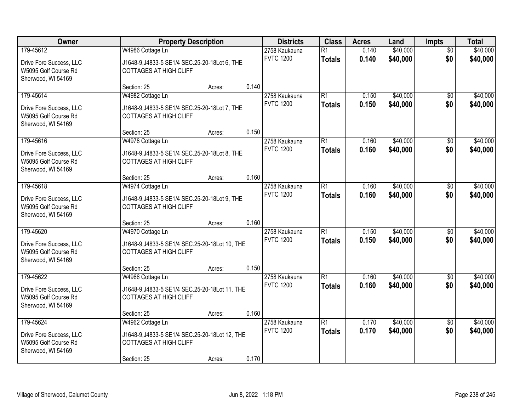| Owner                                           |                                                                                  | <b>Property Description</b> |       | <b>Districts</b>                  | <b>Class</b>    | <b>Acres</b> | Land     | <b>Impts</b>           | <b>Total</b> |
|-------------------------------------------------|----------------------------------------------------------------------------------|-----------------------------|-------|-----------------------------------|-----------------|--------------|----------|------------------------|--------------|
| 179-45612                                       | W4986 Cottage Ln                                                                 |                             |       | 2758 Kaukauna                     | $\overline{R1}$ | 0.140        | \$40,000 | $\overline{50}$        | \$40,000     |
| Drive Fore Success, LLC                         | J1648-9, J4833-5 SE1/4 SEC. 25-20-18 Lot 6, THE                                  |                             |       | <b>FVTC 1200</b>                  | <b>Totals</b>   | 0.140        | \$40,000 | \$0                    | \$40,000     |
| W5095 Golf Course Rd                            | <b>COTTAGES AT HIGH CLIFF</b>                                                    |                             |       |                                   |                 |              |          |                        |              |
| Sherwood, WI 54169                              |                                                                                  |                             | 0.140 |                                   |                 |              |          |                        |              |
| 179-45614                                       | Section: 25                                                                      | Acres:                      |       |                                   | $\overline{R1}$ | 0.150        | \$40,000 |                        | \$40,000     |
|                                                 | W4982 Cottage Ln                                                                 |                             |       | 2758 Kaukauna<br><b>FVTC 1200</b> | <b>Totals</b>   | 0.150        | \$40,000 | $\overline{50}$<br>\$0 | \$40,000     |
| Drive Fore Success, LLC                         | J1648-9, J4833-5 SE1/4 SEC.25-20-18Lot 7, THE                                    |                             |       |                                   |                 |              |          |                        |              |
| W5095 Golf Course Rd                            | <b>COTTAGES AT HIGH CLIFF</b>                                                    |                             |       |                                   |                 |              |          |                        |              |
| Sherwood, WI 54169                              | Section: 25                                                                      | Acres:                      | 0.150 |                                   |                 |              |          |                        |              |
| 179-45616                                       | W4978 Cottage Ln                                                                 |                             |       | 2758 Kaukauna                     | R1              | 0.160        | \$40,000 | \$0                    | \$40,000     |
|                                                 |                                                                                  |                             |       | <b>FVTC 1200</b>                  | <b>Totals</b>   | 0.160        | \$40,000 | \$0                    | \$40,000     |
| Drive Fore Success, LLC                         | J1648-9, J4833-5 SE1/4 SEC.25-20-18Lot 8, THE                                    |                             |       |                                   |                 |              |          |                        |              |
| W5095 Golf Course Rd<br>Sherwood, WI 54169      | <b>COTTAGES AT HIGH CLIFF</b>                                                    |                             |       |                                   |                 |              |          |                        |              |
|                                                 | Section: 25                                                                      | Acres:                      | 0.160 |                                   |                 |              |          |                        |              |
| 179-45618                                       | W4974 Cottage Ln                                                                 |                             |       | 2758 Kaukauna                     | R1              | 0.160        | \$40,000 | $\sqrt[6]{3}$          | \$40,000     |
|                                                 |                                                                                  |                             |       | <b>FVTC 1200</b>                  | <b>Totals</b>   | 0.160        | \$40,000 | \$0                    | \$40,000     |
| Drive Fore Success, LLC<br>W5095 Golf Course Rd | J1648-9, J4833-5 SE1/4 SEC. 25-20-18 Lot 9, THE<br><b>COTTAGES AT HIGH CLIFF</b> |                             |       |                                   |                 |              |          |                        |              |
| Sherwood, WI 54169                              |                                                                                  |                             |       |                                   |                 |              |          |                        |              |
|                                                 | Section: 25                                                                      | Acres:                      | 0.160 |                                   |                 |              |          |                        |              |
| 179-45620                                       | W4970 Cottage Ln                                                                 |                             |       | 2758 Kaukauna                     | $\overline{R1}$ | 0.150        | \$40,000 | $\overline{50}$        | \$40,000     |
| Drive Fore Success, LLC                         | J1648-9, J4833-5 SE1/4 SEC. 25-20-18 Lot 10, THE                                 |                             |       | <b>FVTC 1200</b>                  | <b>Totals</b>   | 0.150        | \$40,000 | \$0                    | \$40,000     |
| W5095 Golf Course Rd                            | <b>COTTAGES AT HIGH CLIFF</b>                                                    |                             |       |                                   |                 |              |          |                        |              |
| Sherwood, WI 54169                              |                                                                                  |                             |       |                                   |                 |              |          |                        |              |
|                                                 | Section: 25                                                                      | Acres:                      | 0.150 |                                   |                 |              |          |                        |              |
| 179-45622                                       | W4966 Cottage Ln                                                                 |                             |       | 2758 Kaukauna                     | $\overline{R1}$ | 0.160        | \$40,000 | $\overline{50}$        | \$40,000     |
| Drive Fore Success, LLC                         | J1648-9, J4833-5 SE1/4 SEC. 25-20-18 Lot 11, THE                                 |                             |       | <b>FVTC 1200</b>                  | <b>Totals</b>   | 0.160        | \$40,000 | \$0                    | \$40,000     |
| W5095 Golf Course Rd                            | <b>COTTAGES AT HIGH CLIFF</b>                                                    |                             |       |                                   |                 |              |          |                        |              |
| Sherwood, WI 54169                              |                                                                                  |                             |       |                                   |                 |              |          |                        |              |
|                                                 | Section: 25                                                                      | Acres:                      | 0.160 |                                   |                 |              |          |                        |              |
| 179-45624                                       | W4962 Cottage Ln                                                                 |                             |       | 2758 Kaukauna                     | R1              | 0.170        | \$40,000 | $\overline{50}$        | \$40,000     |
| Drive Fore Success, LLC                         | J1648-9, J4833-5 SE1/4 SEC.25-20-18Lot 12, THE                                   |                             |       | <b>FVTC 1200</b>                  | <b>Totals</b>   | 0.170        | \$40,000 | \$0                    | \$40,000     |
| W5095 Golf Course Rd                            | <b>COTTAGES AT HIGH CLIFF</b>                                                    |                             |       |                                   |                 |              |          |                        |              |
| Sherwood, WI 54169                              |                                                                                  |                             |       |                                   |                 |              |          |                        |              |
|                                                 | Section: 25                                                                      | Acres:                      | 0.170 |                                   |                 |              |          |                        |              |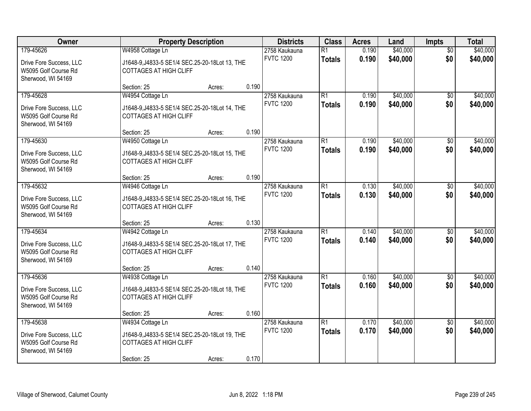| Owner                                                                 |                                                                                   | <b>Property Description</b> |       | <b>Districts</b> | <b>Class</b>    | <b>Acres</b> | Land     | <b>Impts</b>    | <b>Total</b> |
|-----------------------------------------------------------------------|-----------------------------------------------------------------------------------|-----------------------------|-------|------------------|-----------------|--------------|----------|-----------------|--------------|
| 179-45626                                                             | W4958 Cottage Ln                                                                  |                             |       | 2758 Kaukauna    | $\overline{R1}$ | 0.190        | \$40,000 | $\overline{50}$ | \$40,000     |
| Drive Fore Success, LLC<br>W5095 Golf Course Rd                       | J1648-9, J4833-5 SE1/4 SEC. 25-20-18 Lot 13, THE<br><b>COTTAGES AT HIGH CLIFF</b> |                             |       | <b>FVTC 1200</b> | <b>Totals</b>   | 0.190        | \$40,000 | \$0             | \$40,000     |
| Sherwood, WI 54169                                                    |                                                                                   |                             |       |                  |                 |              |          |                 |              |
|                                                                       | Section: 25                                                                       | Acres:                      | 0.190 |                  |                 |              |          |                 |              |
| 179-45628                                                             | W4954 Cottage Ln                                                                  |                             |       | 2758 Kaukauna    | $\overline{R1}$ | 0.190        | \$40,000 | $\overline{50}$ | \$40,000     |
| Drive Fore Success, LLC<br>W5095 Golf Course Rd<br>Sherwood, WI 54169 | J1648-9, J4833-5 SE1/4 SEC.25-20-18Lot 14, THE<br><b>COTTAGES AT HIGH CLIFF</b>   |                             |       | <b>FVTC 1200</b> | <b>Totals</b>   | 0.190        | \$40,000 | \$0             | \$40,000     |
|                                                                       | Section: 25                                                                       | Acres:                      | 0.190 |                  |                 |              |          |                 |              |
| 179-45630                                                             | W4950 Cottage Ln                                                                  |                             |       | 2758 Kaukauna    | R1              | 0.190        | \$40,000 | \$0             | \$40,000     |
| Drive Fore Success, LLC<br>W5095 Golf Course Rd<br>Sherwood, WI 54169 | J1648-9, J4833-5 SE1/4 SEC. 25-20-18 Lot 15, THE<br><b>COTTAGES AT HIGH CLIFF</b> |                             |       | <b>FVTC 1200</b> | <b>Totals</b>   | 0.190        | \$40,000 | \$0             | \$40,000     |
|                                                                       | Section: 25                                                                       | Acres:                      | 0.190 |                  |                 |              |          |                 |              |
| 179-45632                                                             | W4946 Cottage Ln                                                                  |                             |       | 2758 Kaukauna    | R1              | 0.130        | \$40,000 | $\sqrt[6]{3}$   | \$40,000     |
| Drive Fore Success, LLC<br>W5095 Golf Course Rd<br>Sherwood, WI 54169 | J1648-9, J4833-5 SE1/4 SEC. 25-20-18 Lot 16, THE<br><b>COTTAGES AT HIGH CLIFF</b> |                             |       | <b>FVTC 1200</b> | <b>Totals</b>   | 0.130        | \$40,000 | \$0             | \$40,000     |
|                                                                       | Section: 25                                                                       | Acres:                      | 0.130 |                  |                 |              |          |                 |              |
| 179-45634                                                             | W4942 Cottage Ln                                                                  |                             |       | 2758 Kaukauna    | $\overline{R1}$ | 0.140        | \$40,000 | $\overline{50}$ | \$40,000     |
| Drive Fore Success, LLC                                               | J1648-9, J4833-5 SE1/4 SEC. 25-20-18 Lot 17, THE                                  |                             |       | <b>FVTC 1200</b> | <b>Totals</b>   | 0.140        | \$40,000 | \$0             | \$40,000     |
| W5095 Golf Course Rd                                                  | <b>COTTAGES AT HIGH CLIFF</b>                                                     |                             |       |                  |                 |              |          |                 |              |
| Sherwood, WI 54169                                                    |                                                                                   |                             |       |                  |                 |              |          |                 |              |
|                                                                       | Section: 25                                                                       | Acres:                      | 0.140 |                  |                 |              |          |                 |              |
| 179-45636                                                             | W4938 Cottage Ln                                                                  |                             |       | 2758 Kaukauna    | $\overline{R1}$ | 0.160        | \$40,000 | $\overline{50}$ | \$40,000     |
| Drive Fore Success, LLC<br>W5095 Golf Course Rd<br>Sherwood, WI 54169 | J1648-9, J4833-5 SE1/4 SEC. 25-20-18 Lot 18, THE<br><b>COTTAGES AT HIGH CLIFF</b> |                             |       | <b>FVTC 1200</b> | <b>Totals</b>   | 0.160        | \$40,000 | \$0             | \$40,000     |
|                                                                       | Section: 25                                                                       | Acres:                      | 0.160 |                  |                 |              |          |                 |              |
| 179-45638                                                             | W4934 Cottage Ln                                                                  |                             |       | 2758 Kaukauna    | R1              | 0.170        | \$40,000 | $\overline{50}$ | \$40,000     |
| Drive Fore Success, LLC<br>W5095 Golf Course Rd<br>Sherwood, WI 54169 | J1648-9, J4833-5 SE1/4 SEC.25-20-18Lot 19, THE<br><b>COTTAGES AT HIGH CLIFF</b>   |                             |       | <b>FVTC 1200</b> | <b>Totals</b>   | 0.170        | \$40,000 | \$0             | \$40,000     |
|                                                                       | Section: 25                                                                       | Acres:                      | 0.170 |                  |                 |              |          |                 |              |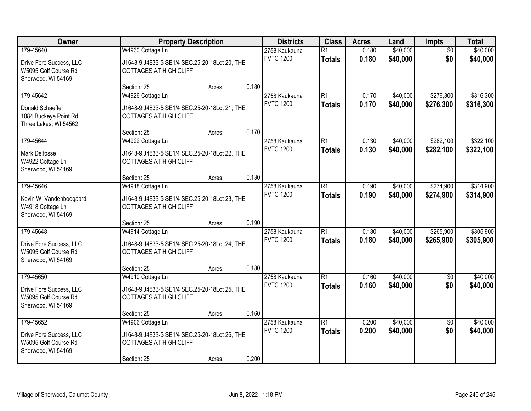| Owner                                                                 |                                                                                   | <b>Property Description</b> |       | <b>Districts</b>                  | <b>Class</b>                     | <b>Acres</b>   | Land                 | <b>Impts</b>           | <b>Total</b>         |
|-----------------------------------------------------------------------|-----------------------------------------------------------------------------------|-----------------------------|-------|-----------------------------------|----------------------------------|----------------|----------------------|------------------------|----------------------|
| 179-45640                                                             | W4930 Cottage Ln                                                                  |                             |       | 2758 Kaukauna<br><b>FVTC 1200</b> | $\overline{R1}$<br><b>Totals</b> | 0.180<br>0.180 | \$40,000<br>\$40,000 | $\overline{50}$<br>\$0 | \$40,000<br>\$40,000 |
| Drive Fore Success, LLC<br>W5095 Golf Course Rd<br>Sherwood, WI 54169 | J1648-9, J4833-5 SE1/4 SEC.25-20-18Lot 20, THE<br><b>COTTAGES AT HIGH CLIFF</b>   |                             |       |                                   |                                  |                |                      |                        |                      |
|                                                                       | Section: 25                                                                       | Acres:                      | 0.180 |                                   |                                  |                |                      |                        |                      |
| 179-45642                                                             | W4926 Cottage Ln                                                                  |                             |       | 2758 Kaukauna                     | R1                               | 0.170          | \$40,000             | \$276,300              | \$316,300            |
| Donald Schaeffer<br>1084 Buckeye Point Rd<br>Three Lakes, WI 54562    | J1648-9, J4833-5 SE1/4 SEC.25-20-18Lot 21, THE<br><b>COTTAGES AT HIGH CLIFF</b>   |                             |       | <b>FVTC 1200</b>                  | <b>Totals</b>                    | 0.170          | \$40,000             | \$276,300              | \$316,300            |
|                                                                       | Section: 25                                                                       | Acres:                      | 0.170 |                                   |                                  |                |                      |                        |                      |
| 179-45644                                                             | W4922 Cottage Ln                                                                  |                             |       | 2758 Kaukauna                     | R1                               | 0.130          | \$40,000             | \$282,100              | \$322,100            |
| <b>Mark Delfosse</b><br>W4922 Cottage Ln<br>Sherwood, WI 54169        | J1648-9, J4833-5 SE1/4 SEC. 25-20-18 Lot 22, THE<br><b>COTTAGES AT HIGH CLIFF</b> |                             |       | <b>FVTC 1200</b>                  | <b>Totals</b>                    | 0.130          | \$40,000             | \$282,100              | \$322,100            |
|                                                                       | Section: 25                                                                       | Acres:                      | 0.130 |                                   |                                  |                |                      |                        |                      |
| 179-45646                                                             | W4918 Cottage Ln                                                                  |                             |       | 2758 Kaukauna                     | R1                               | 0.190          | \$40,000             | \$274,900              | \$314,900            |
| Kevin W. Vandenboogaard<br>W4918 Cottage Ln<br>Sherwood, WI 54169     | J1648-9, J4833-5 SE1/4 SEC. 25-20-18 Lot 23, THE<br><b>COTTAGES AT HIGH CLIFF</b> |                             |       | <b>FVTC 1200</b>                  | <b>Totals</b>                    | 0.190          | \$40,000             | \$274,900              | \$314,900            |
|                                                                       | Section: 25                                                                       | Acres:                      | 0.190 |                                   |                                  |                |                      |                        |                      |
| 179-45648                                                             | W4914 Cottage Ln                                                                  |                             |       | 2758 Kaukauna                     | $\overline{R1}$                  | 0.180          | \$40,000             | \$265,900              | \$305,900            |
| Drive Fore Success, LLC<br>W5095 Golf Course Rd<br>Sherwood, WI 54169 | J1648-9, J4833-5 SE1/4 SEC. 25-20-18 Lot 24, THE<br><b>COTTAGES AT HIGH CLIFF</b> |                             |       | <b>FVTC 1200</b>                  | <b>Totals</b>                    | 0.180          | \$40,000             | \$265,900              | \$305,900            |
|                                                                       | Section: 25                                                                       | Acres:                      | 0.180 |                                   |                                  |                |                      |                        |                      |
| 179-45650                                                             | W4910 Cottage Ln                                                                  |                             |       | 2758 Kaukauna                     | $\overline{R1}$                  | 0.160          | \$40,000             | $\overline{50}$        | \$40,000             |
| Drive Fore Success, LLC<br>W5095 Golf Course Rd<br>Sherwood, WI 54169 | J1648-9, J4833-5 SE1/4 SEC.25-20-18Lot 25, THE<br><b>COTTAGES AT HIGH CLIFF</b>   |                             |       | <b>FVTC 1200</b>                  | <b>Totals</b>                    | 0.160          | \$40,000             | \$0                    | \$40,000             |
|                                                                       | Section: 25                                                                       | Acres:                      | 0.160 |                                   |                                  |                |                      |                        |                      |
| 179-45652                                                             | W4906 Cottage Ln                                                                  |                             |       | 2758 Kaukauna                     | $\overline{R1}$                  | 0.200          | \$40,000             | $\overline{50}$        | \$40,000             |
| Drive Fore Success, LLC<br>W5095 Golf Course Rd<br>Sherwood, WI 54169 | J1648-9, J4833-5 SE1/4 SEC. 25-20-18 Lot 26, THE<br><b>COTTAGES AT HIGH CLIFF</b> |                             |       | <b>FVTC 1200</b>                  | <b>Totals</b>                    | 0.200          | \$40,000             | \$0                    | \$40,000             |
|                                                                       | Section: 25                                                                       | Acres:                      | 0.200 |                                   |                                  |                |                      |                        |                      |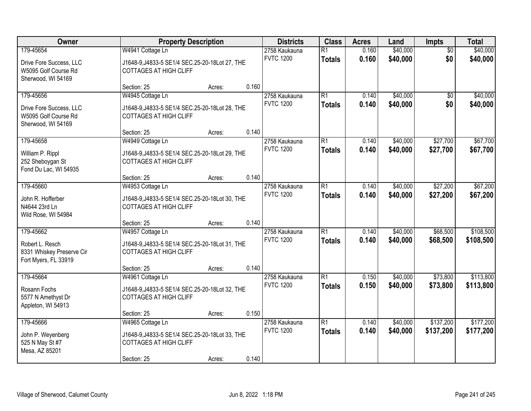| Owner                     | <b>Property Description</b>                      |        |       | <b>Districts</b>                  | <b>Class</b>    | <b>Acres</b> | Land     | <b>Impts</b>    | <b>Total</b> |
|---------------------------|--------------------------------------------------|--------|-------|-----------------------------------|-----------------|--------------|----------|-----------------|--------------|
| 179-45654                 | W4941 Cottage Ln                                 |        |       | 2758 Kaukauna                     | $\overline{R1}$ | 0.160        | \$40,000 | $\overline{50}$ | \$40,000     |
| Drive Fore Success, LLC   | J1648-9, J4833-5 SE1/4 SEC.25-20-18Lot 27, THE   |        |       | <b>FVTC 1200</b>                  | <b>Totals</b>   | 0.160        | \$40,000 | \$0             | \$40,000     |
| W5095 Golf Course Rd      | <b>COTTAGES AT HIGH CLIFF</b>                    |        |       |                                   |                 |              |          |                 |              |
| Sherwood, WI 54169        |                                                  |        |       |                                   |                 |              |          |                 |              |
|                           | Section: 25                                      | Acres: | 0.160 |                                   |                 |              |          |                 |              |
| 179-45656                 | W4945 Cottage Ln                                 |        |       | 2758 Kaukauna                     | $\overline{R1}$ | 0.140        | \$40,000 | $\overline{50}$ | \$40,000     |
| Drive Fore Success, LLC   | J1648-9, J4833-5 SE1/4 SEC.25-20-18Lot 28, THE   |        |       | <b>FVTC 1200</b>                  | <b>Totals</b>   | 0.140        | \$40,000 | \$0             | \$40,000     |
| W5095 Golf Course Rd      | <b>COTTAGES AT HIGH CLIFF</b>                    |        |       |                                   |                 |              |          |                 |              |
| Sherwood, WI 54169        |                                                  |        |       |                                   |                 |              |          |                 |              |
|                           | Section: 25                                      | Acres: | 0.140 |                                   |                 |              |          |                 |              |
| 179-45658                 | W4949 Cottage Ln                                 |        |       | 2758 Kaukauna                     | R1              | 0.140        | \$40,000 | \$27,700        | \$67,700     |
| William P. Rippl          | J1648-9, J4833-5 SE1/4 SEC. 25-20-18 Lot 29, THE |        |       | <b>FVTC 1200</b>                  | <b>Totals</b>   | 0.140        | \$40,000 | \$27,700        | \$67,700     |
| 252 Sheboygan St          | <b>COTTAGES AT HIGH CLIFF</b>                    |        |       |                                   |                 |              |          |                 |              |
| Fond Du Lac, WI 54935     |                                                  |        |       |                                   |                 |              |          |                 |              |
|                           | Section: 25                                      | Acres: | 0.140 |                                   |                 |              |          |                 |              |
| 179-45660                 | W4953 Cottage Ln                                 |        |       | 2758 Kaukauna<br><b>FVTC 1200</b> | R1              | 0.140        | \$40,000 | \$27,200        | \$67,200     |
| John R. Hofferber         | J1648-9, J4833-5 SE1/4 SEC. 25-20-18 Lot 30, THE |        |       |                                   | <b>Totals</b>   | 0.140        | \$40,000 | \$27,200        | \$67,200     |
| N4644 23rd Ln             | <b>COTTAGES AT HIGH CLIFF</b>                    |        |       |                                   |                 |              |          |                 |              |
| Wild Rose, WI 54984       |                                                  |        |       |                                   |                 |              |          |                 |              |
|                           | Section: 25                                      | Acres: | 0.140 |                                   |                 |              |          |                 |              |
| 179-45662                 | W4957 Cottage Ln                                 |        |       | 2758 Kaukauna<br><b>FVTC 1200</b> | $\overline{R1}$ | 0.140        | \$40,000 | \$68,500        | \$108,500    |
| Robert L. Resch           | J1648-9, J4833-5 SE1/4 SEC. 25-20-18 Lot 31, THE |        |       |                                   | <b>Totals</b>   | 0.140        | \$40,000 | \$68,500        | \$108,500    |
| 8331 Whiskey Preserve Cir | <b>COTTAGES AT HIGH CLIFF</b>                    |        |       |                                   |                 |              |          |                 |              |
| Fort Myers, FL 33919      |                                                  |        |       |                                   |                 |              |          |                 |              |
| 179-45664                 | Section: 25                                      | Acres: | 0.140 |                                   | R1              | 0.150        | \$40,000 | \$73,800        | \$113,800    |
|                           | W4961 Cottage Ln                                 |        |       | 2758 Kaukauna<br><b>FVTC 1200</b> | <b>Totals</b>   | 0.150        | \$40,000 | \$73,800        | \$113,800    |
| Rosann Fochs              | J1648-9, J4833-5 SE1/4 SEC. 25-20-18Lot 32, THE  |        |       |                                   |                 |              |          |                 |              |
| 5577 N Amethyst Dr        | <b>COTTAGES AT HIGH CLIFF</b>                    |        |       |                                   |                 |              |          |                 |              |
| Appleton, WI 54913        |                                                  |        |       |                                   |                 |              |          |                 |              |
| 179-45666                 | Section: 25<br>W4965 Cottage Ln                  | Acres: | 0.150 | 2758 Kaukauna                     | R1              | 0.140        | \$40,000 | \$137,200       | \$177,200    |
|                           |                                                  |        |       | <b>FVTC 1200</b>                  | <b>Totals</b>   | 0.140        | \$40,000 | \$137,200       | \$177,200    |
| John P. Weyenberg         | J1648-9, J4833-5 SE1/4 SEC. 25-20-18 Lot 33, THE |        |       |                                   |                 |              |          |                 |              |
| 525 N May St #7           | <b>COTTAGES AT HIGH CLIFF</b>                    |        |       |                                   |                 |              |          |                 |              |
| Mesa, AZ 85201            |                                                  |        | 0.140 |                                   |                 |              |          |                 |              |
|                           | Section: 25                                      | Acres: |       |                                   |                 |              |          |                 |              |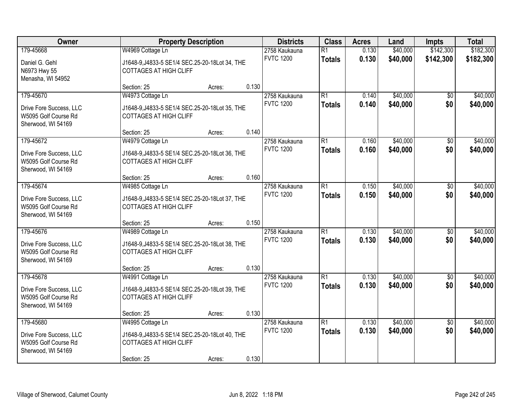| Owner                                                                              | <b>Property Description</b>                                                                                                                             | <b>Districts</b>                                    | <b>Class</b>                     | <b>Acres</b>   | Land                 | <b>Impts</b>           | <b>Total</b>           |
|------------------------------------------------------------------------------------|---------------------------------------------------------------------------------------------------------------------------------------------------------|-----------------------------------------------------|----------------------------------|----------------|----------------------|------------------------|------------------------|
| 179-45668<br>Daniel G. Gehl<br>N6973 Hwy 55                                        | W4969 Cottage Ln<br>J1648-9, J4833-5 SE1/4 SEC.25-20-18Lot 34, THE<br><b>COTTAGES AT HIGH CLIFF</b>                                                     | 2758 Kaukauna<br><b>FVTC 1200</b>                   | $\overline{R1}$<br><b>Totals</b> | 0.130<br>0.130 | \$40,000<br>\$40,000 | \$142,300<br>\$142,300 | \$182,300<br>\$182,300 |
| Menasha, WI 54952                                                                  | Section: 25<br>Acres:                                                                                                                                   | 0.130                                               |                                  |                |                      |                        |                        |
| 179-45670<br>Drive Fore Success, LLC<br>W5095 Golf Course Rd<br>Sherwood, WI 54169 | W4973 Cottage Ln<br>J1648-9, J4833-5 SE1/4 SEC. 25-20-18 Lot 35, THE<br><b>COTTAGES AT HIGH CLIFF</b>                                                   | 2758 Kaukauna<br><b>FVTC 1200</b>                   | R1<br><b>Totals</b>              | 0.140<br>0.140 | \$40,000<br>\$40,000 | $\overline{50}$<br>\$0 | \$40,000<br>\$40,000   |
| 179-45672<br>Drive Fore Success, LLC<br>W5095 Golf Course Rd<br>Sherwood, WI 54169 | Section: 25<br>Acres:<br>W4979 Cottage Ln<br>J1648-9, J4833-5 SE1/4 SEC. 25-20-18 Lot 36, THE<br><b>COTTAGES AT HIGH CLIFF</b>                          | 0.140<br>2758 Kaukauna<br><b>FVTC 1200</b>          | $\overline{R1}$<br><b>Totals</b> | 0.160<br>0.160 | \$40,000<br>\$40,000 | \$0<br>\$0             | \$40,000<br>\$40,000   |
| 179-45674<br>Drive Fore Success, LLC<br>W5095 Golf Course Rd<br>Sherwood, WI 54169 | Section: 25<br>Acres:<br>W4985 Cottage Ln<br>J1648-9, J4833-5 SE1/4 SEC. 25-20-18 Lot 37, THE<br><b>COTTAGES AT HIGH CLIFF</b>                          | 0.160<br>2758 Kaukauna<br><b>FVTC 1200</b>          | $\overline{R1}$<br><b>Totals</b> | 0.150<br>0.150 | \$40,000<br>\$40,000 | \$0<br>\$0             | \$40,000<br>\$40,000   |
| 179-45676<br>Drive Fore Success, LLC<br>W5095 Golf Course Rd<br>Sherwood, WI 54169 | Section: 25<br>Acres:<br>W4989 Cottage Ln<br>J1648-9, J4833-5 SE1/4 SEC. 25-20-18 Lot 38, THE<br><b>COTTAGES AT HIGH CLIFF</b>                          | 0.150<br>2758 Kaukauna<br><b>FVTC 1200</b>          | $\overline{R1}$<br><b>Totals</b> | 0.130<br>0.130 | \$40,000<br>\$40,000 | \$0<br>\$0             | \$40,000<br>\$40,000   |
| 179-45678<br>Drive Fore Success, LLC<br>W5095 Golf Course Rd<br>Sherwood, WI 54169 | Section: 25<br>Acres:<br>W4991 Cottage Ln<br>J1648-9, J4833-5 SE1/4 SEC. 25-20-18 Lot 39, THE<br><b>COTTAGES AT HIGH CLIFF</b><br>Section: 25<br>Acres: | 0.130<br>2758 Kaukauna<br><b>FVTC 1200</b><br>0.130 | R1<br><b>Totals</b>              | 0.130<br>0.130 | \$40,000<br>\$40,000 | \$0<br>\$0             | \$40,000<br>\$40,000   |
| 179-45680<br>Drive Fore Success, LLC<br>W5095 Golf Course Rd<br>Sherwood, WI 54169 | W4995 Cottage Ln<br>J1648-9, J4833-5 SE1/4 SEC. 25-20-18 Lot 40, THE<br><b>COTTAGES AT HIGH CLIFF</b><br>Section: 25<br>Acres:                          | 2758 Kaukauna<br><b>FVTC 1200</b><br>0.130          | R1<br><b>Totals</b>              | 0.130<br>0.130 | \$40,000<br>\$40,000 | $\overline{50}$<br>\$0 | \$40,000<br>\$40,000   |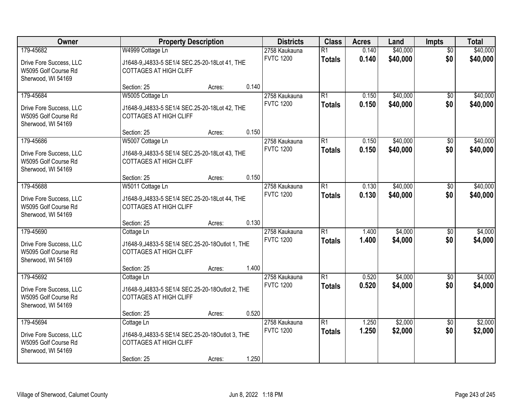| Owner                                           |                                                                                   | <b>Property Description</b> |       |                  | <b>Class</b>    | <b>Acres</b> | Land     | <b>Impts</b>    | <b>Total</b> |
|-------------------------------------------------|-----------------------------------------------------------------------------------|-----------------------------|-------|------------------|-----------------|--------------|----------|-----------------|--------------|
| 179-45682                                       | W4999 Cottage Ln                                                                  |                             |       | 2758 Kaukauna    | $\overline{R1}$ | 0.140        | \$40,000 | $\overline{50}$ | \$40,000     |
| Drive Fore Success, LLC<br>W5095 Golf Course Rd | J1648-9, J4833-5 SE1/4 SEC. 25-20-18 Lot 41, THE<br><b>COTTAGES AT HIGH CLIFF</b> |                             |       | <b>FVTC 1200</b> | <b>Totals</b>   | 0.140        | \$40,000 | \$0             | \$40,000     |
| Sherwood, WI 54169                              |                                                                                   |                             |       |                  |                 |              |          |                 |              |
|                                                 | Section: 25                                                                       | Acres:                      | 0.140 |                  |                 |              |          |                 |              |
| 179-45684                                       | W5005 Cottage Ln                                                                  |                             |       | 2758 Kaukauna    | $\overline{R1}$ | 0.150        | \$40,000 | $\overline{50}$ | \$40,000     |
| Drive Fore Success, LLC                         | J1648-9, J4833-5 SE1/4 SEC.25-20-18Lot 42, THE                                    |                             |       | <b>FVTC 1200</b> | <b>Totals</b>   | 0.150        | \$40,000 | \$0             | \$40,000     |
| W5095 Golf Course Rd                            | <b>COTTAGES AT HIGH CLIFF</b>                                                     |                             |       |                  |                 |              |          |                 |              |
| Sherwood, WI 54169                              | Section: 25                                                                       |                             | 0.150 |                  |                 |              |          |                 |              |
| 179-45686                                       | W5007 Cottage Ln                                                                  | Acres:                      |       | 2758 Kaukauna    | R1              | 0.150        | \$40,000 | \$0             | \$40,000     |
|                                                 |                                                                                   |                             |       | <b>FVTC 1200</b> | <b>Totals</b>   | 0.150        | \$40,000 | \$0             | \$40,000     |
| Drive Fore Success, LLC                         | J1648-9, J4833-5 SE1/4 SEC. 25-20-18 Lot 43, THE                                  |                             |       |                  |                 |              |          |                 |              |
| W5095 Golf Course Rd<br>Sherwood, WI 54169      | <b>COTTAGES AT HIGH CLIFF</b>                                                     |                             |       |                  |                 |              |          |                 |              |
|                                                 | Section: 25                                                                       | Acres:                      | 0.150 |                  |                 |              |          |                 |              |
| 179-45688                                       | W5011 Cottage Ln                                                                  |                             |       | 2758 Kaukauna    | R1              | 0.130        | \$40,000 | $\sqrt[6]{3}$   | \$40,000     |
| Drive Fore Success, LLC                         | J1648-9, J4833-5 SE1/4 SEC. 25-20-18 Lot 44, THE                                  |                             |       | <b>FVTC 1200</b> | <b>Totals</b>   | 0.130        | \$40,000 | \$0             | \$40,000     |
| W5095 Golf Course Rd                            | <b>COTTAGES AT HIGH CLIFF</b>                                                     |                             |       |                  |                 |              |          |                 |              |
| Sherwood, WI 54169                              |                                                                                   |                             |       |                  |                 |              |          |                 |              |
|                                                 | Section: 25                                                                       | Acres:                      | 0.130 |                  |                 |              |          |                 |              |
| 179-45690                                       | Cottage Ln                                                                        |                             |       | 2758 Kaukauna    | $\overline{R1}$ | 1.400        | \$4,000  | $\overline{50}$ | \$4,000      |
| Drive Fore Success, LLC                         | J1648-9, J4833-5 SE1/4 SEC.25-20-18Outlot 1, THE                                  |                             |       | <b>FVTC 1200</b> | <b>Totals</b>   | 1.400        | \$4,000  | \$0             | \$4,000      |
| W5095 Golf Course Rd                            | <b>COTTAGES AT HIGH CLIFF</b>                                                     |                             |       |                  |                 |              |          |                 |              |
| Sherwood, WI 54169                              | Section: 25                                                                       |                             | 1.400 |                  |                 |              |          |                 |              |
| 179-45692                                       | Cottage Ln                                                                        | Acres:                      |       | 2758 Kaukauna    | $\overline{R1}$ | 0.520        | \$4,000  | $\overline{50}$ | \$4,000      |
|                                                 |                                                                                   |                             |       | <b>FVTC 1200</b> | <b>Totals</b>   | 0.520        | \$4,000  | \$0             | \$4,000      |
| Drive Fore Success, LLC<br>W5095 Golf Course Rd | J1648-9, J4833-5 SE1/4 SEC.25-20-18Outlot 2, THE<br><b>COTTAGES AT HIGH CLIFF</b> |                             |       |                  |                 |              |          |                 |              |
| Sherwood, WI 54169                              |                                                                                   |                             |       |                  |                 |              |          |                 |              |
|                                                 | Section: 25                                                                       | Acres:                      | 0.520 |                  |                 |              |          |                 |              |
| 179-45694                                       | Cottage Ln                                                                        |                             |       | 2758 Kaukauna    | R1              | 1.250        | \$2,000  | $\overline{50}$ | \$2,000      |
| Drive Fore Success, LLC                         | J1648-9, J4833-5 SE1/4 SEC.25-20-18Outlot 3, THE                                  |                             |       | <b>FVTC 1200</b> | <b>Totals</b>   | 1.250        | \$2,000  | \$0             | \$2,000      |
| W5095 Golf Course Rd                            | <b>COTTAGES AT HIGH CLIFF</b>                                                     |                             |       |                  |                 |              |          |                 |              |
| Sherwood, WI 54169                              |                                                                                   |                             |       |                  |                 |              |          |                 |              |
|                                                 | Section: 25                                                                       | Acres:                      | 1.250 |                  |                 |              |          |                 |              |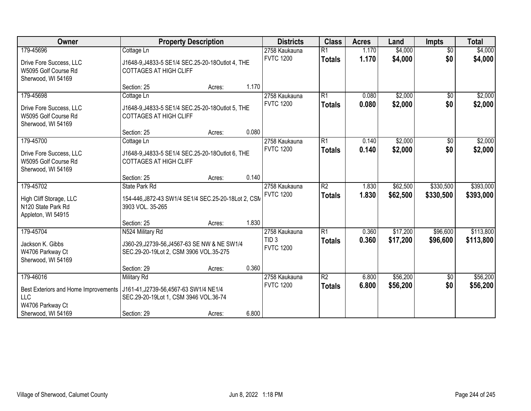| Owner                                | <b>Property Description</b>                         |        |       | <b>Districts</b>                  | <b>Class</b>    | <b>Acres</b> | Land     | <b>Impts</b>         | <b>Total</b> |
|--------------------------------------|-----------------------------------------------------|--------|-------|-----------------------------------|-----------------|--------------|----------|----------------------|--------------|
| 179-45696                            | Cottage Ln                                          |        |       | 2758 Kaukauna                     | $\overline{R1}$ | 1.170        | \$4,000  | $\overline{50}$      | \$4,000      |
| Drive Fore Success, LLC              | J1648-9, J4833-5 SE1/4 SEC. 25-20-18 Outlot 4, THE  |        |       | <b>FVTC 1200</b>                  | <b>Totals</b>   | 1.170        | \$4,000  | \$0                  | \$4,000      |
| W5095 Golf Course Rd                 | <b>COTTAGES AT HIGH CLIFF</b>                       |        |       |                                   |                 |              |          |                      |              |
| Sherwood, WI 54169                   |                                                     |        |       |                                   |                 |              |          |                      |              |
|                                      | Section: 25                                         | Acres: | 1.170 |                                   |                 |              |          |                      |              |
| 179-45698                            | Cottage Ln                                          |        |       | 2758 Kaukauna<br><b>FVTC 1200</b> | R1              | 0.080        | \$2,000  | \$0                  | \$2,000      |
| Drive Fore Success, LLC              | J1648-9, J4833-5 SE1/4 SEC. 25-20-18 Outlot 5, THE  |        |       |                                   | <b>Totals</b>   | 0.080        | \$2,000  | \$0                  | \$2,000      |
| W5095 Golf Course Rd                 | <b>COTTAGES AT HIGH CLIFF</b>                       |        |       |                                   |                 |              |          |                      |              |
| Sherwood, WI 54169                   |                                                     |        |       |                                   |                 |              |          |                      |              |
|                                      | Section: 25                                         | Acres: | 0.080 |                                   |                 |              |          |                      |              |
| 179-45700                            | Cottage Ln                                          |        |       | 2758 Kaukauna<br><b>FVTC 1200</b> | R1              | 0.140        | \$2,000  | $\sqrt[6]{3}$<br>\$0 | \$2,000      |
| Drive Fore Success, LLC              | J1648-9, J4833-5 SE1/4 SEC.25-20-18Outlot 6, THE    |        |       |                                   | <b>Totals</b>   | 0.140        | \$2,000  |                      | \$2,000      |
| W5095 Golf Course Rd                 | <b>COTTAGES AT HIGH CLIFF</b>                       |        |       |                                   |                 |              |          |                      |              |
| Sherwood, WI 54169                   |                                                     |        | 0.140 |                                   |                 |              |          |                      |              |
| 179-45702                            | Section: 25<br><b>State Park Rd</b>                 | Acres: |       | 2758 Kaukauna                     | $\overline{R2}$ | 1.830        | \$62,500 | \$330,500            | \$393,000    |
|                                      |                                                     |        |       | <b>FVTC 1200</b>                  | <b>Totals</b>   | 1.830        | \$62,500 | \$330,500            | \$393,000    |
| High Cliff Storage, LLC              | 154-446, J872-43 SW1/4 SE1/4 SEC.25-20-18Lot 2, CSN |        |       |                                   |                 |              |          |                      |              |
| N <sub>120</sub> State Park Rd       | 3903 VOL. 35-265                                    |        |       |                                   |                 |              |          |                      |              |
| Appleton, WI 54915                   | Section: 25                                         |        | 1.830 |                                   |                 |              |          |                      |              |
| 179-45704                            | N524 Military Rd                                    | Acres: |       | 2758 Kaukauna                     | R1              | 0.360        | \$17,200 | \$96,600             | \$113,800    |
|                                      |                                                     |        |       | TID <sub>3</sub>                  | <b>Totals</b>   | 0.360        | \$17,200 | \$96,600             | \$113,800    |
| Jackson K. Gibbs                     | J360-29, J2739-56, J4567-63 SE NW & NE SW1/4        |        |       | <b>FVTC 1200</b>                  |                 |              |          |                      |              |
| W4706 Parkway Ct                     | SEC.29-20-19Lot 2, CSM 3906 VOL.35-275              |        |       |                                   |                 |              |          |                      |              |
| Sherwood, WI 54169                   | Section: 29                                         | Acres: | 0.360 |                                   |                 |              |          |                      |              |
| 179-46016                            | <b>Military Rd</b>                                  |        |       | 2758 Kaukauna                     | R2              | 6.800        | \$56,200 | $\sqrt{6}$           | \$56,200     |
|                                      |                                                     |        |       | <b>FVTC 1200</b>                  | <b>Totals</b>   | 6.800        | \$56,200 | \$0                  | \$56,200     |
| Best Exteriors and Home Improvements | J161-41, J2739-56, 4567-63 SW1/4 NE1/4              |        |       |                                   |                 |              |          |                      |              |
| LLC<br>W4706 Parkway Ct              | SEC.29-20-19Lot 1, CSM 3946 VOL.36-74               |        |       |                                   |                 |              |          |                      |              |
| Sherwood, WI 54169                   | Section: 29                                         | Acres: | 6.800 |                                   |                 |              |          |                      |              |